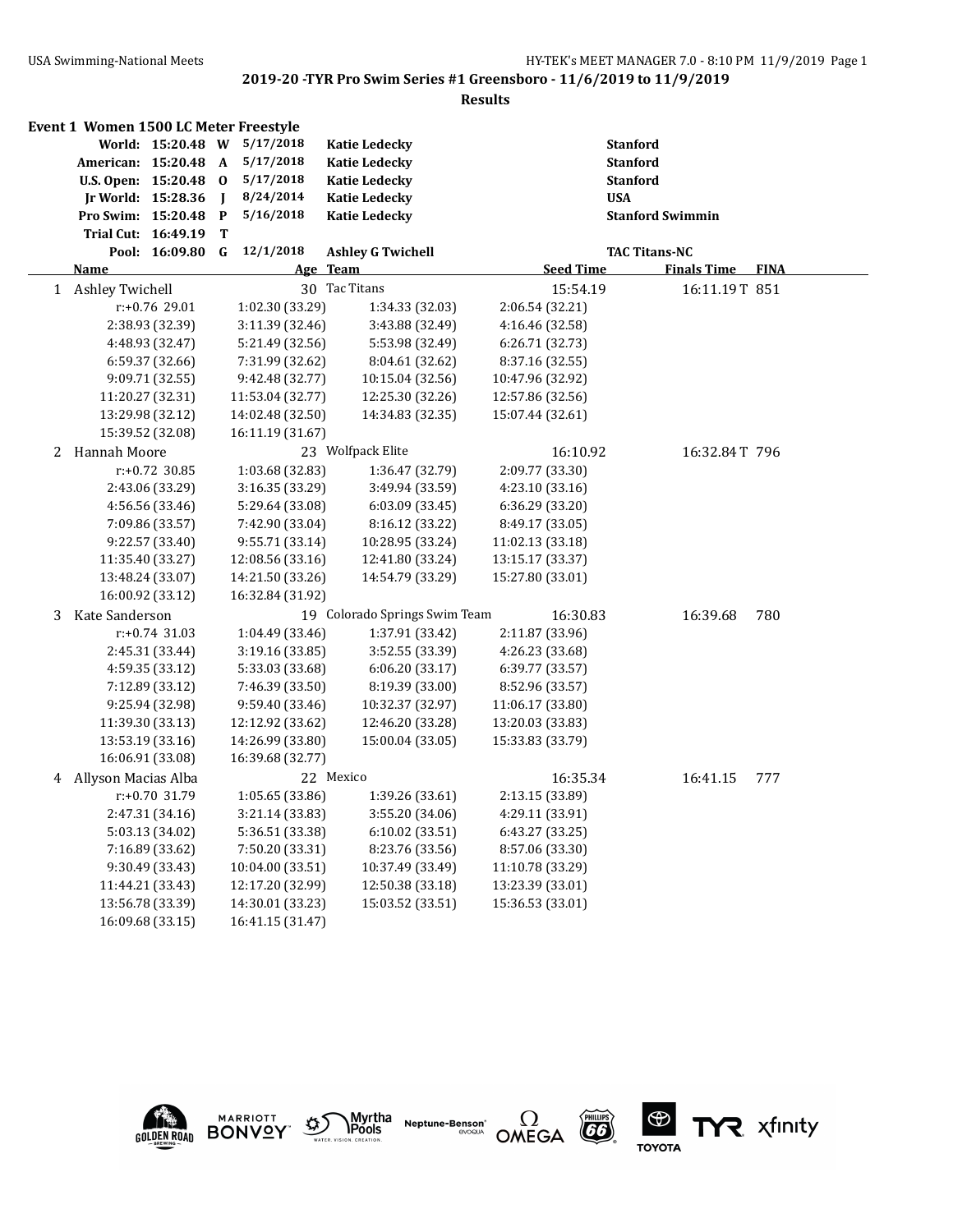|   | Event 1 Women 1500 LC Meter Freestyle |                   |              |                  |                               |                  |                         |                    |             |
|---|---------------------------------------|-------------------|--------------|------------------|-------------------------------|------------------|-------------------------|--------------------|-------------|
|   |                                       | World: 15:20.48 W |              | 5/17/2018        | <b>Katie Ledecky</b>          |                  | <b>Stanford</b>         |                    |             |
|   | American: 15:20.48 A                  |                   |              | 5/17/2018        | <b>Katie Ledecky</b>          |                  | <b>Stanford</b>         |                    |             |
|   | U.S. Open: 15:20.48 0                 |                   |              | 5/17/2018        | <b>Katie Ledecky</b>          |                  | <b>Stanford</b>         |                    |             |
|   | <b>Ir World: 15:28.36</b>             |                   | I            | 8/24/2014        | <b>Katie Ledecky</b>          |                  | <b>USA</b>              |                    |             |
|   | Pro Swim: 15:20.48                    |                   | $\mathbf{P}$ | 5/16/2018        | <b>Katie Ledecky</b>          |                  | <b>Stanford Swimmin</b> |                    |             |
|   | Trial Cut: 16:49.19                   |                   | T            |                  |                               |                  |                         |                    |             |
|   |                                       | Pool: 16:09.80    | G            | 12/1/2018        | <b>Ashley G Twichell</b>      |                  | <b>TAC Titans-NC</b>    |                    |             |
|   | <b>Name</b>                           |                   |              |                  | Age Team                      | <b>Seed Time</b> |                         | <b>Finals Time</b> | <b>FINA</b> |
|   | 1 Ashley Twichell                     |                   |              |                  | 30 Tac Titans                 | 15:54.19         |                         | 16:11.19T 851      |             |
|   |                                       | r:+0.76 29.01     |              | 1:02.30 (33.29)  | 1:34.33 (32.03)               | 2:06.54 (32.21)  |                         |                    |             |
|   |                                       | 2:38.93 (32.39)   |              | 3:11.39 (32.46)  | 3:43.88 (32.49)               | 4:16.46 (32.58)  |                         |                    |             |
|   |                                       | 4:48.93 (32.47)   |              | 5:21.49 (32.56)  | 5:53.98 (32.49)               | 6:26.71 (32.73)  |                         |                    |             |
|   |                                       | 6:59.37 (32.66)   |              | 7:31.99 (32.62)  | 8:04.61 (32.62)               | 8:37.16 (32.55)  |                         |                    |             |
|   |                                       | 9:09.71 (32.55)   |              | 9:42.48 (32.77)  | 10:15.04 (32.56)              | 10:47.96 (32.92) |                         |                    |             |
|   |                                       | 11:20.27 (32.31)  |              | 11:53.04 (32.77) | 12:25.30 (32.26)              | 12:57.86 (32.56) |                         |                    |             |
|   |                                       | 13:29.98 (32.12)  |              | 14:02.48 (32.50) | 14:34.83 (32.35)              | 15:07.44 (32.61) |                         |                    |             |
|   |                                       | 15:39.52 (32.08)  |              | 16:11.19 (31.67) |                               |                  |                         |                    |             |
|   | 2 Hannah Moore                        |                   |              |                  | 23 Wolfpack Elite             | 16:10.92         |                         | 16:32.84T 796      |             |
|   |                                       | $r: +0.72$ 30.85  |              | 1:03.68 (32.83)  | 1:36.47 (32.79)               | 2:09.77 (33.30)  |                         |                    |             |
|   |                                       | 2:43.06 (33.29)   |              | 3:16.35 (33.29)  | 3:49.94 (33.59)               | 4:23.10 (33.16)  |                         |                    |             |
|   |                                       | 4:56.56 (33.46)   |              | 5:29.64 (33.08)  | 6:03.09(33.45)                | 6:36.29 (33.20)  |                         |                    |             |
|   |                                       | 7:09.86 (33.57)   |              | 7:42.90 (33.04)  | 8:16.12 (33.22)               | 8:49.17 (33.05)  |                         |                    |             |
|   |                                       | 9:22.57 (33.40)   |              | 9:55.71 (33.14)  | 10:28.95 (33.24)              | 11:02.13 (33.18) |                         |                    |             |
|   |                                       | 11:35.40 (33.27)  |              | 12:08.56 (33.16) | 12:41.80 (33.24)              | 13:15.17 (33.37) |                         |                    |             |
|   |                                       | 13:48.24 (33.07)  |              | 14:21.50 (33.26) | 14:54.79 (33.29)              | 15:27.80 (33.01) |                         |                    |             |
|   |                                       | 16:00.92 (33.12)  |              | 16:32.84 (31.92) |                               |                  |                         |                    |             |
| 3 | Kate Sanderson                        |                   |              |                  | 19 Colorado Springs Swim Team | 16:30.83         |                         | 16:39.68           | 780         |
|   |                                       | $r: +0.74$ 31.03  |              | 1:04.49 (33.46)  | 1:37.91 (33.42)               | 2:11.87 (33.96)  |                         |                    |             |
|   |                                       | 2:45.31 (33.44)   |              | 3:19.16 (33.85)  | 3:52.55 (33.39)               | 4:26.23 (33.68)  |                         |                    |             |
|   |                                       | 4:59.35 (33.12)   |              | 5:33.03 (33.68)  | 6:06.20 (33.17)               | 6:39.77 (33.57)  |                         |                    |             |
|   |                                       | 7:12.89 (33.12)   |              | 7:46.39 (33.50)  | 8:19.39 (33.00)               | 8:52.96 (33.57)  |                         |                    |             |
|   |                                       | 9:25.94 (32.98)   |              | 9:59.40 (33.46)  | 10:32.37 (32.97)              | 11:06.17 (33.80) |                         |                    |             |
|   |                                       | 11:39.30 (33.13)  |              | 12:12.92 (33.62) | 12:46.20 (33.28)              | 13:20.03 (33.83) |                         |                    |             |
|   |                                       | 13:53.19 (33.16)  |              | 14:26.99 (33.80) | 15:00.04 (33.05)              | 15:33.83 (33.79) |                         |                    |             |
|   |                                       | 16:06.91 (33.08)  |              | 16:39.68 (32.77) |                               |                  |                         |                    |             |
| 4 | Allyson Macias Alba                   |                   |              |                  | 22 Mexico                     | 16:35.34         |                         | 16:41.15           | 777         |
|   |                                       | r:+0.70 31.79     |              | 1:05.65 (33.86)  | 1:39.26 (33.61)               | 2:13.15 (33.89)  |                         |                    |             |
|   |                                       | 2:47.31 (34.16)   |              | 3:21.14 (33.83)  | 3:55.20 (34.06)               | 4:29.11 (33.91)  |                         |                    |             |
|   |                                       | 5:03.13 (34.02)   |              | 5:36.51 (33.38)  | 6:10.02 (33.51)               | 6:43.27 (33.25)  |                         |                    |             |
|   |                                       | 7:16.89 (33.62)   |              | 7:50.20 (33.31)  | 8:23.76 (33.56)               | 8:57.06 (33.30)  |                         |                    |             |
|   |                                       | 9:30.49 (33.43)   |              | 10:04.00 (33.51) | 10:37.49 (33.49)              | 11:10.78 (33.29) |                         |                    |             |
|   |                                       | 11:44.21 (33.43)  |              | 12:17.20 (32.99) | 12:50.38 (33.18)              | 13:23.39 (33.01) |                         |                    |             |
|   |                                       | 13:56.78 (33.39)  |              | 14:30.01 (33.23) | 15:03.52 (33.51)              | 15:36.53 (33.01) |                         |                    |             |
|   |                                       | 16:09.68 (33.15)  |              | 16:41.15 (31.47) |                               |                  |                         |                    |             |











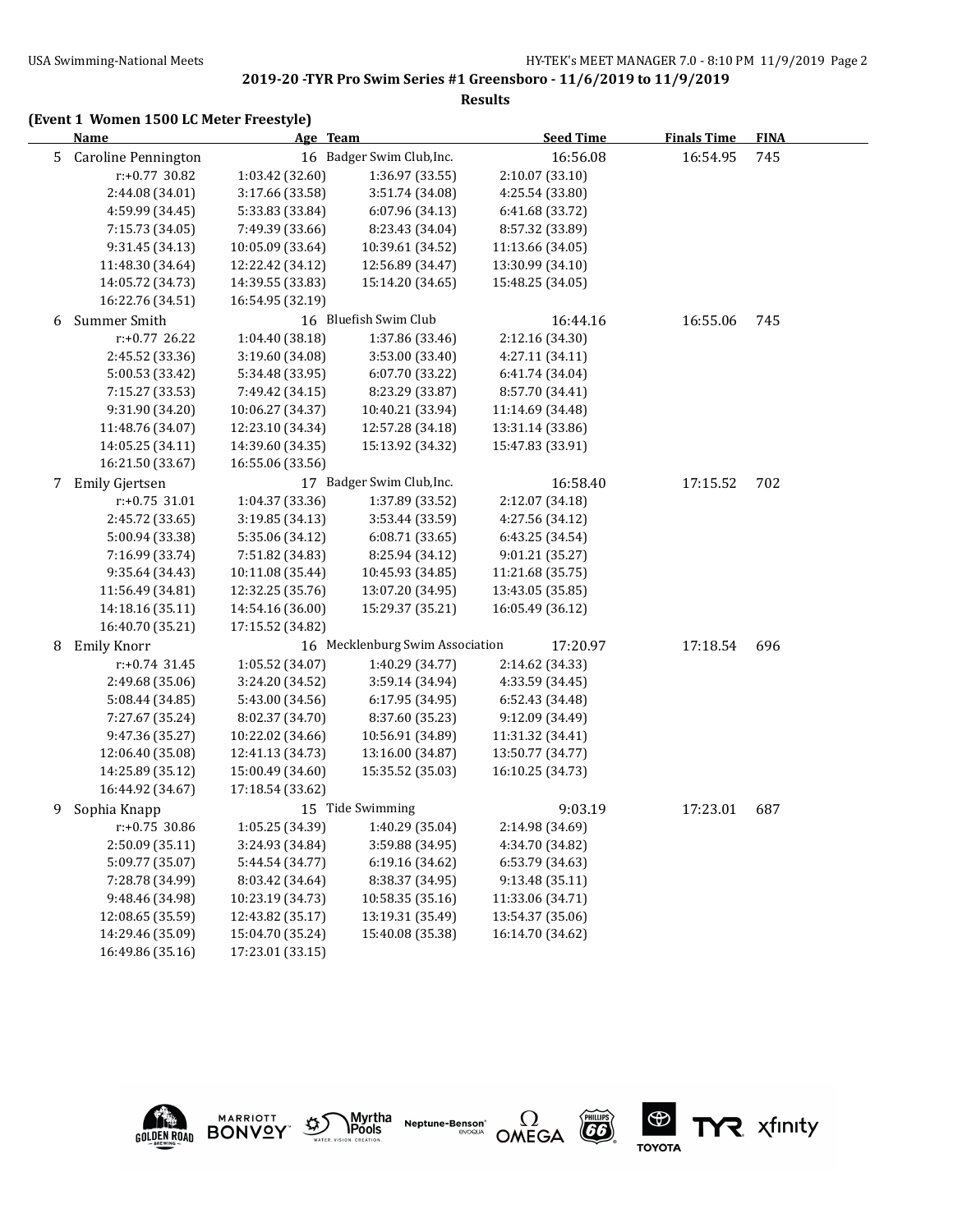#### **Results**

# **(Event 1 Women 1500 LC Meter Freestyle)**

|   | <b>Name</b>         | Age Team         |                                 | <b>Seed Time</b> | <b>Finals Time</b> | <b>FINA</b> |  |
|---|---------------------|------------------|---------------------------------|------------------|--------------------|-------------|--|
| 5 | Caroline Pennington |                  | 16 Badger Swim Club, Inc.       | 16:56.08         | 16:54.95           | 745         |  |
|   | r:+0.77 30.82       | 1:03.42 (32.60)  | 1:36.97 (33.55)                 | 2:10.07 (33.10)  |                    |             |  |
|   | 2:44.08 (34.01)     | 3:17.66 (33.58)  | 3:51.74 (34.08)                 | 4:25.54 (33.80)  |                    |             |  |
|   | 4:59.99 (34.45)     | 5:33.83 (33.84)  | 6:07.96 (34.13)                 | 6:41.68 (33.72)  |                    |             |  |
|   | 7:15.73 (34.05)     | 7:49.39 (33.66)  | 8:23.43 (34.04)                 | 8:57.32 (33.89)  |                    |             |  |
|   | 9:31.45 (34.13)     | 10:05.09 (33.64) | 10:39.61 (34.52)                | 11:13.66 (34.05) |                    |             |  |
|   | 11:48.30 (34.64)    | 12:22.42 (34.12) | 12:56.89 (34.47)                | 13:30.99 (34.10) |                    |             |  |
|   | 14:05.72 (34.73)    | 14:39.55 (33.83) | 15:14.20 (34.65)                | 15:48.25 (34.05) |                    |             |  |
|   | 16:22.76 (34.51)    | 16:54.95 (32.19) |                                 |                  |                    |             |  |
| 6 | Summer Smith        |                  | 16 Bluefish Swim Club           | 16:44.16         | 16:55.06           | 745         |  |
|   | $r: +0.77$ 26.22    | 1:04.40 (38.18)  | 1:37.86 (33.46)                 | 2:12.16 (34.30)  |                    |             |  |
|   | 2:45.52 (33.36)     | 3:19.60 (34.08)  | 3:53.00 (33.40)                 | 4:27.11 (34.11)  |                    |             |  |
|   | 5:00.53 (33.42)     | 5:34.48 (33.95)  | 6:07.70 (33.22)                 | 6:41.74 (34.04)  |                    |             |  |
|   | 7:15.27 (33.53)     | 7:49.42 (34.15)  | 8:23.29 (33.87)                 | 8:57.70 (34.41)  |                    |             |  |
|   | 9:31.90 (34.20)     | 10:06.27 (34.37) | 10:40.21 (33.94)                | 11:14.69 (34.48) |                    |             |  |
|   | 11:48.76 (34.07)    | 12:23.10 (34.34) | 12:57.28 (34.18)                | 13:31.14 (33.86) |                    |             |  |
|   | 14:05.25 (34.11)    | 14:39.60 (34.35) | 15:13.92 (34.32)                | 15:47.83 (33.91) |                    |             |  |
|   | 16:21.50 (33.67)    | 16:55.06 (33.56) |                                 |                  |                    |             |  |
| 7 | Emily Gjertsen      |                  | 17 Badger Swim Club, Inc.       | 16:58.40         | 17:15.52           | 702         |  |
|   | r:+0.75 31.01       | 1:04.37 (33.36)  | 1:37.89 (33.52)                 | 2:12.07 (34.18)  |                    |             |  |
|   | 2:45.72 (33.65)     | 3:19.85 (34.13)  | 3:53.44 (33.59)                 | 4:27.56 (34.12)  |                    |             |  |
|   | 5:00.94 (33.38)     | 5:35.06 (34.12)  | 6:08.71(33.65)                  | 6:43.25 (34.54)  |                    |             |  |
|   | 7:16.99 (33.74)     | 7:51.82 (34.83)  | 8:25.94 (34.12)                 | 9:01.21 (35.27)  |                    |             |  |
|   | 9:35.64 (34.43)     | 10:11.08 (35.44) | 10:45.93 (34.85)                | 11:21.68 (35.75) |                    |             |  |
|   | 11:56.49 (34.81)    | 12:32.25 (35.76) | 13:07.20 (34.95)                | 13:43.05 (35.85) |                    |             |  |
|   | 14:18.16 (35.11)    | 14:54.16 (36.00) | 15:29.37 (35.21)                | 16:05.49 (36.12) |                    |             |  |
|   | 16:40.70 (35.21)    | 17:15.52 (34.82) |                                 |                  |                    |             |  |
| 8 | <b>Emily Knorr</b>  |                  | 16 Mecklenburg Swim Association | 17:20.97         | 17:18.54           | 696         |  |
|   | $r: +0.74$ 31.45    | 1:05.52 (34.07)  | 1:40.29 (34.77)                 | 2:14.62 (34.33)  |                    |             |  |
|   | 2:49.68 (35.06)     | 3:24.20 (34.52)  | 3:59.14 (34.94)                 | 4:33.59 (34.45)  |                    |             |  |
|   | 5:08.44 (34.85)     | 5:43.00 (34.56)  | 6:17.95 (34.95)                 | 6:52.43 (34.48)  |                    |             |  |
|   | 7:27.67 (35.24)     | 8:02.37 (34.70)  | 8:37.60 (35.23)                 | 9:12.09 (34.49)  |                    |             |  |
|   | 9:47.36 (35.27)     | 10:22.02 (34.66) | 10:56.91 (34.89)                | 11:31.32 (34.41) |                    |             |  |
|   | 12:06.40 (35.08)    | 12:41.13 (34.73) | 13:16.00 (34.87)                | 13:50.77 (34.77) |                    |             |  |
|   | 14:25.89 (35.12)    | 15:00.49 (34.60) | 15:35.52 (35.03)                | 16:10.25 (34.73) |                    |             |  |
|   | 16:44.92 (34.67)    | 17:18.54 (33.62) |                                 |                  |                    |             |  |
| 9 | Sophia Knapp        |                  | 15 Tide Swimming                | 9:03.19          | 17:23.01           | 687         |  |
|   | $r: +0.75$ 30.86    | 1:05.25 (34.39)  | 1:40.29 (35.04)                 | 2:14.98 (34.69)  |                    |             |  |
|   | 2:50.09 (35.11)     | 3:24.93 (34.84)  | 3:59.88 (34.95)                 | 4:34.70 (34.82)  |                    |             |  |
|   | 5:09.77 (35.07)     | 5:44.54 (34.77)  | 6:19.16 (34.62)                 | 6:53.79 (34.63)  |                    |             |  |
|   | 7:28.78 (34.99)     | 8:03.42 (34.64)  | 8:38.37 (34.95)                 | 9:13.48 (35.11)  |                    |             |  |
|   | 9:48.46 (34.98)     | 10:23.19 (34.73) | 10:58.35 (35.16)                | 11:33.06 (34.71) |                    |             |  |
|   | 12:08.65 (35.59)    | 12:43.82 (35.17) | 13:19.31 (35.49)                | 13:54.37 (35.06) |                    |             |  |
|   | 14:29.46 (35.09)    | 15:04.70 (35.24) | 15:40.08 (35.38)                | 16:14.70 (34.62) |                    |             |  |
|   | 16:49.86 (35.16)    | 17:23.01 (33.15) |                                 |                  |                    |             |  |





Myrtha<br>Pools **Neptune-Benson\***<br>evoqua





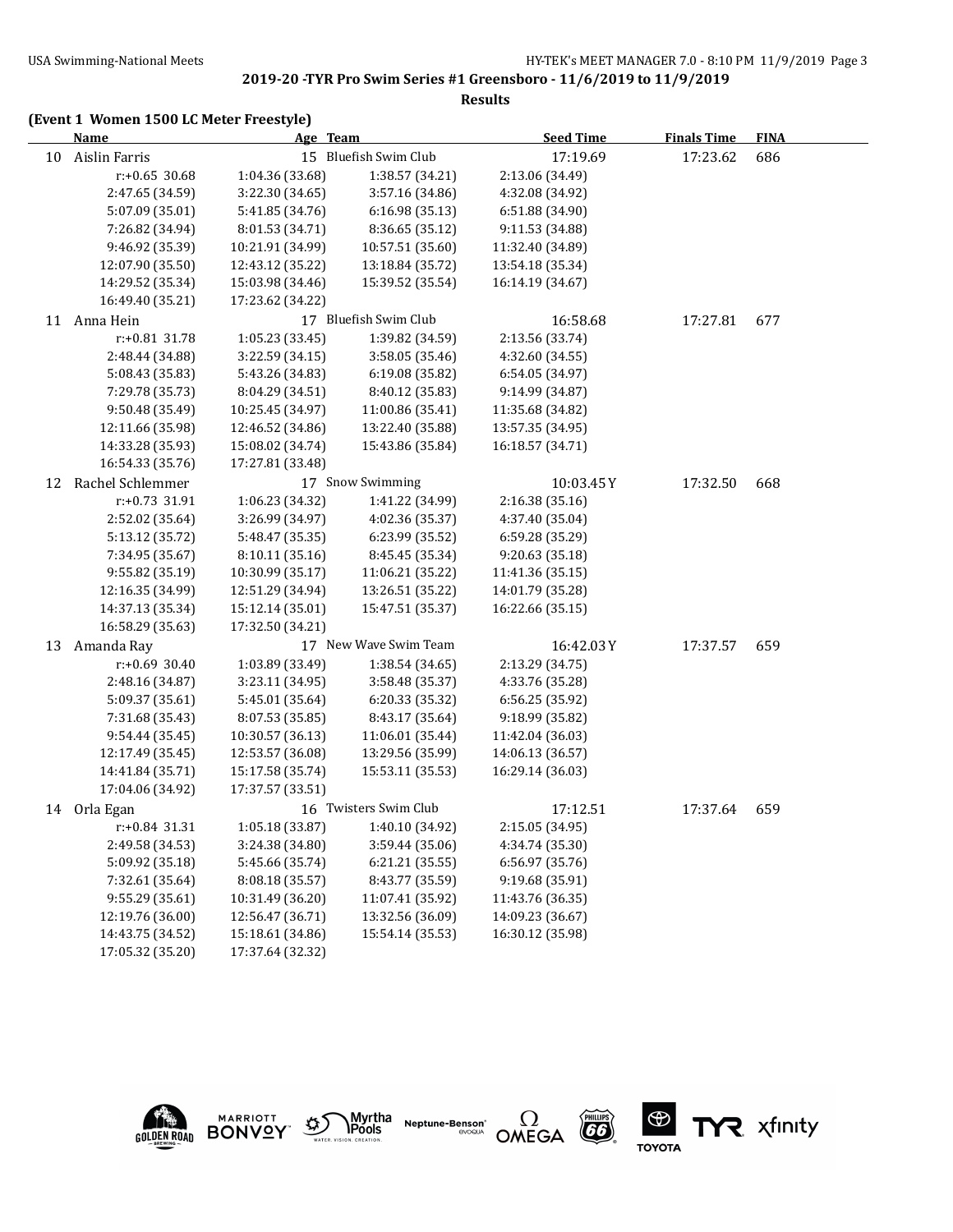#### **Results**

|  |  |  |  | (Event 1 Women 1500 LC Meter Freestyle) |
|--|--|--|--|-----------------------------------------|
|--|--|--|--|-----------------------------------------|

|    | <b>Name</b>         | Age Team         |                       | <b>Seed Time</b> | <b>Finals Time</b> | <b>FINA</b> |  |
|----|---------------------|------------------|-----------------------|------------------|--------------------|-------------|--|
| 10 | Aislin Farris       |                  | 15 Bluefish Swim Club | 17:19.69         | 17:23.62           | 686         |  |
|    | r:+0.65 30.68       | 1:04.36 (33.68)  | 1:38.57 (34.21)       | 2:13.06 (34.49)  |                    |             |  |
|    | 2:47.65 (34.59)     | 3:22.30 (34.65)  | 3:57.16 (34.86)       | 4:32.08 (34.92)  |                    |             |  |
|    | 5:07.09 (35.01)     | 5:41.85 (34.76)  | 6:16.98 (35.13)       | 6:51.88 (34.90)  |                    |             |  |
|    | 7:26.82 (34.94)     | 8:01.53 (34.71)  | 8:36.65 (35.12)       | 9:11.53 (34.88)  |                    |             |  |
|    | 9:46.92 (35.39)     | 10:21.91 (34.99) | 10:57.51 (35.60)      | 11:32.40 (34.89) |                    |             |  |
|    | 12:07.90 (35.50)    | 12:43.12 (35.22) | 13:18.84 (35.72)      | 13:54.18 (35.34) |                    |             |  |
|    | 14:29.52 (35.34)    | 15:03.98 (34.46) | 15:39.52 (35.54)      | 16:14.19 (34.67) |                    |             |  |
|    | 16:49.40 (35.21)    | 17:23.62 (34.22) |                       |                  |                    |             |  |
|    | 11 Anna Hein        |                  | 17 Bluefish Swim Club | 16:58.68         | 17:27.81           | 677         |  |
|    | r:+0.81 31.78       | 1:05.23 (33.45)  | 1:39.82 (34.59)       | 2:13.56 (33.74)  |                    |             |  |
|    | 2:48.44 (34.88)     | 3:22.59 (34.15)  | 3:58.05 (35.46)       | 4:32.60 (34.55)  |                    |             |  |
|    | 5:08.43 (35.83)     | 5:43.26 (34.83)  | 6:19.08 (35.82)       | 6:54.05 (34.97)  |                    |             |  |
|    | 7:29.78 (35.73)     | 8:04.29 (34.51)  | 8:40.12 (35.83)       | 9:14.99 (34.87)  |                    |             |  |
|    | 9:50.48 (35.49)     | 10:25.45 (34.97) | 11:00.86 (35.41)      | 11:35.68 (34.82) |                    |             |  |
|    | 12:11.66 (35.98)    | 12:46.52 (34.86) | 13:22.40 (35.88)      | 13:57.35 (34.95) |                    |             |  |
|    | 14:33.28 (35.93)    | 15:08.02 (34.74) | 15:43.86 (35.84)      | 16:18.57 (34.71) |                    |             |  |
|    | 16:54.33 (35.76)    | 17:27.81 (33.48) |                       |                  |                    |             |  |
|    | 12 Rachel Schlemmer |                  | 17 Snow Swimming      | 10:03.45Y        | 17:32.50           | 668         |  |
|    | r:+0.73 31.91       | 1:06.23 (34.32)  | 1:41.22 (34.99)       | 2:16.38 (35.16)  |                    |             |  |
|    | 2:52.02 (35.64)     | 3:26.99 (34.97)  | 4:02.36 (35.37)       | 4:37.40 (35.04)  |                    |             |  |
|    | 5:13.12 (35.72)     | 5:48.47 (35.35)  | 6:23.99 (35.52)       | 6:59.28 (35.29)  |                    |             |  |
|    | 7:34.95 (35.67)     | 8:10.11 (35.16)  | 8:45.45 (35.34)       | 9:20.63 (35.18)  |                    |             |  |
|    | 9:55.82 (35.19)     | 10:30.99 (35.17) | 11:06.21 (35.22)      | 11:41.36 (35.15) |                    |             |  |
|    | 12:16.35 (34.99)    | 12:51.29 (34.94) | 13:26.51 (35.22)      | 14:01.79 (35.28) |                    |             |  |
|    | 14:37.13 (35.34)    | 15:12.14 (35.01) | 15:47.51 (35.37)      | 16:22.66 (35.15) |                    |             |  |
|    | 16:58.29 (35.63)    | 17:32.50 (34.21) |                       |                  |                    |             |  |
|    | 13 Amanda Ray       |                  | 17 New Wave Swim Team | 16:42.03Y        | 17:37.57           | 659         |  |
|    | r:+0.69 30.40       | 1:03.89 (33.49)  | 1:38.54 (34.65)       | 2:13.29 (34.75)  |                    |             |  |
|    | 2:48.16 (34.87)     | 3:23.11 (34.95)  | 3:58.48 (35.37)       | 4:33.76 (35.28)  |                    |             |  |
|    | 5:09.37 (35.61)     | 5:45.01 (35.64)  | 6:20.33 (35.32)       | 6:56.25 (35.92)  |                    |             |  |
|    | 7:31.68 (35.43)     | 8:07.53 (35.85)  | 8:43.17 (35.64)       | 9:18.99 (35.82)  |                    |             |  |
|    | 9:54.44 (35.45)     | 10:30.57 (36.13) | 11:06.01 (35.44)      | 11:42.04 (36.03) |                    |             |  |
|    | 12:17.49 (35.45)    | 12:53.57 (36.08) | 13:29.56 (35.99)      | 14:06.13 (36.57) |                    |             |  |
|    | 14:41.84 (35.71)    | 15:17.58 (35.74) | 15:53.11 (35.53)      | 16:29.14 (36.03) |                    |             |  |
|    | 17:04.06 (34.92)    | 17:37.57 (33.51) |                       |                  |                    |             |  |
|    | 14 Orla Egan        |                  | 16 Twisters Swim Club | 17:12.51         | 17:37.64           | 659         |  |
|    | r:+0.84 31.31       | 1:05.18 (33.87)  | 1:40.10 (34.92)       | 2:15.05 (34.95)  |                    |             |  |
|    | 2:49.58 (34.53)     | 3:24.38 (34.80)  | 3:59.44 (35.06)       | 4:34.74 (35.30)  |                    |             |  |
|    | 5:09.92 (35.18)     | 5:45.66 (35.74)  | 6:21.21 (35.55)       | 6:56.97 (35.76)  |                    |             |  |
|    | 7:32.61 (35.64)     | 8:08.18 (35.57)  | 8:43.77 (35.59)       | 9:19.68 (35.91)  |                    |             |  |
|    | 9:55.29 (35.61)     | 10:31.49 (36.20) | 11:07.41 (35.92)      | 11:43.76 (36.35) |                    |             |  |
|    | 12:19.76 (36.00)    | 12:56.47 (36.71) | 13:32.56 (36.09)      | 14:09.23 (36.67) |                    |             |  |
|    | 14:43.75 (34.52)    | 15:18.61 (34.86) | 15:54.14 (35.53)      | 16:30.12 (35.98) |                    |             |  |
|    | 17:05.32 (35.20)    | 17:37.64 (32.32) |                       |                  |                    |             |  |





Myrtha<br>Pools **Neptune-Benson**\*<br>evoqua





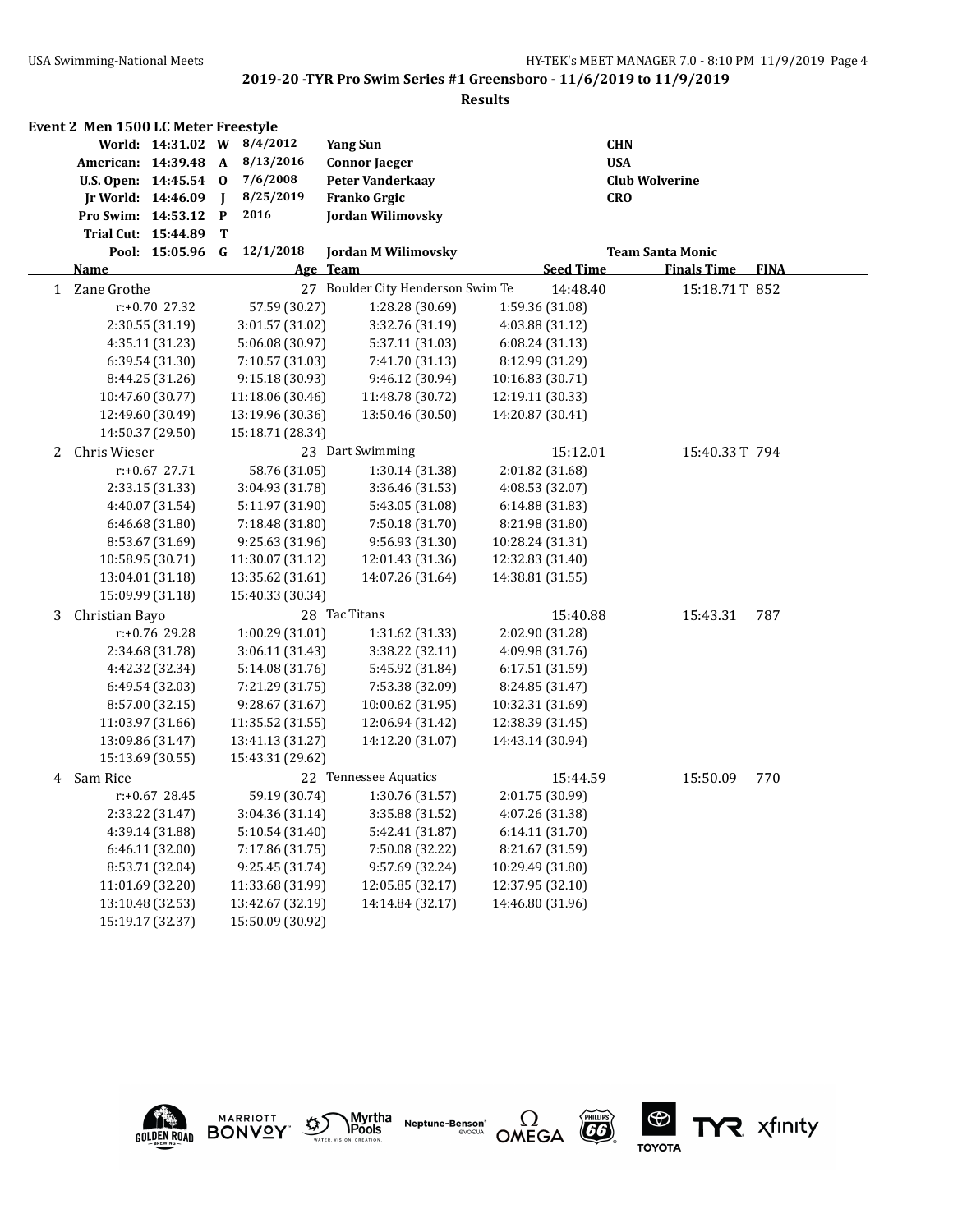|   | Event 2 Men 1500 LC Meter Freestyle |                   |              |                  |                                   |                  |                         |                    |             |
|---|-------------------------------------|-------------------|--------------|------------------|-----------------------------------|------------------|-------------------------|--------------------|-------------|
|   |                                     | World: 14:31.02 W |              | 8/4/2012         | <b>Yang Sun</b>                   |                  | <b>CHN</b>              |                    |             |
|   | American: 14:39.48 A                |                   |              | 8/13/2016        | <b>Connor Jaeger</b>              |                  | <b>USA</b>              |                    |             |
|   | U.S. Open: 14:45.54                 |                   | $\mathbf 0$  | 7/6/2008         | <b>Peter Vanderkaay</b>           |                  | <b>Club Wolverine</b>   |                    |             |
|   | Jr World: 14:46.09                  |                   | $\mathbf{I}$ | 8/25/2019        | <b>Franko Grgic</b>               |                  | <b>CRO</b>              |                    |             |
|   | Pro Swim: 14:53.12 P                |                   |              | 2016             | Jordan Wilimovsky                 |                  |                         |                    |             |
|   | Trial Cut: 15:44.89                 |                   | T            |                  |                                   |                  |                         |                    |             |
|   |                                     | Pool: 15:05.96    | G            | 12/1/2018        | <b>Jordan M Wilimovsky</b>        |                  | <b>Team Santa Monic</b> |                    |             |
|   | <b>Name</b>                         |                   |              |                  | Age Team                          | <b>Seed Time</b> |                         | <b>Finals Time</b> | <b>FINA</b> |
|   | 1 Zane Grothe                       |                   |              |                  | 27 Boulder City Henderson Swim Te | 14:48.40         |                         | 15:18.71T 852      |             |
|   |                                     | r:+0.70 27.32     |              | 57.59 (30.27)    | 1:28.28 (30.69)                   | 1:59.36 (31.08)  |                         |                    |             |
|   |                                     | 2:30.55 (31.19)   |              | 3:01.57 (31.02)  | 3:32.76 (31.19)                   | 4:03.88 (31.12)  |                         |                    |             |
|   |                                     | 4:35.11 (31.23)   |              | 5:06.08 (30.97)  | 5:37.11 (31.03)                   | 6:08.24 (31.13)  |                         |                    |             |
|   |                                     | 6:39.54(31.30)    |              | 7:10.57 (31.03)  | 7:41.70 (31.13)                   | 8:12.99 (31.29)  |                         |                    |             |
|   |                                     | 8:44.25 (31.26)   |              | 9:15.18 (30.93)  | 9:46.12 (30.94)                   | 10:16.83 (30.71) |                         |                    |             |
|   |                                     | 10:47.60 (30.77)  |              | 11:18.06 (30.46) | 11:48.78 (30.72)                  | 12:19.11 (30.33) |                         |                    |             |
|   |                                     | 12:49.60 (30.49)  |              | 13:19.96 (30.36) | 13:50.46 (30.50)                  | 14:20.87 (30.41) |                         |                    |             |
|   |                                     | 14:50.37 (29.50)  |              | 15:18.71 (28.34) |                                   |                  |                         |                    |             |
| 2 | Chris Wieser                        |                   |              |                  | 23 Dart Swimming                  | 15:12.01         |                         | 15:40.33T 794      |             |
|   |                                     | $r: +0.67$ 27.71  |              | 58.76 (31.05)    | 1:30.14 (31.38)                   | 2:01.82 (31.68)  |                         |                    |             |
|   |                                     | 2:33.15 (31.33)   |              | 3:04.93 (31.78)  | 3:36.46 (31.53)                   | 4:08.53 (32.07)  |                         |                    |             |
|   |                                     | 4:40.07 (31.54)   |              | 5:11.97 (31.90)  | 5:43.05 (31.08)                   | 6:14.88 (31.83)  |                         |                    |             |
|   |                                     | 6:46.68 (31.80)   |              | 7:18.48 (31.80)  | 7:50.18 (31.70)                   | 8:21.98 (31.80)  |                         |                    |             |
|   |                                     | 8:53.67 (31.69)   |              | 9:25.63 (31.96)  | 9:56.93 (31.30)                   | 10:28.24 (31.31) |                         |                    |             |
|   |                                     | 10:58.95 (30.71)  |              | 11:30.07 (31.12) | 12:01.43 (31.36)                  | 12:32.83 (31.40) |                         |                    |             |
|   |                                     | 13:04.01 (31.18)  |              | 13:35.62 (31.61) | 14:07.26 (31.64)                  | 14:38.81 (31.55) |                         |                    |             |
|   |                                     | 15:09.99 (31.18)  |              | 15:40.33 (30.34) |                                   |                  |                         |                    |             |
| 3 | Christian Bayo                      |                   |              |                  | 28 Tac Titans                     | 15:40.88         |                         | 15:43.31           | 787         |
|   |                                     | r:+0.76 29.28     |              | 1:00.29 (31.01)  | 1:31.62 (31.33)                   | 2:02.90 (31.28)  |                         |                    |             |
|   |                                     | 2:34.68 (31.78)   |              | 3:06.11 (31.43)  | 3:38.22 (32.11)                   | 4:09.98 (31.76)  |                         |                    |             |
|   |                                     | 4:42.32 (32.34)   |              | 5:14.08 (31.76)  | 5:45.92 (31.84)                   | 6:17.51 (31.59)  |                         |                    |             |
|   |                                     | 6:49.54 (32.03)   |              | 7:21.29 (31.75)  | 7:53.38 (32.09)                   | 8:24.85 (31.47)  |                         |                    |             |
|   |                                     | 8:57.00 (32.15)   |              | 9:28.67 (31.67)  | 10:00.62 (31.95)                  | 10:32.31 (31.69) |                         |                    |             |
|   |                                     | 11:03.97 (31.66)  |              | 11:35.52 (31.55) | 12:06.94 (31.42)                  | 12:38.39 (31.45) |                         |                    |             |
|   |                                     | 13:09.86 (31.47)  |              | 13:41.13 (31.27) | 14:12.20 (31.07)                  | 14:43.14 (30.94) |                         |                    |             |
|   |                                     | 15:13.69 (30.55)  |              | 15:43.31 (29.62) |                                   |                  |                         |                    |             |
|   | 4 Sam Rice                          |                   |              |                  | 22 Tennessee Aquatics             | 15:44.59         |                         | 15:50.09           | 770         |
|   |                                     | $r: +0.67$ 28.45  |              | 59.19 (30.74)    | 1:30.76 (31.57)                   | 2:01.75 (30.99)  |                         |                    |             |
|   |                                     | 2:33.22 (31.47)   |              | 3:04.36 (31.14)  | 3:35.88 (31.52)                   | 4:07.26 (31.38)  |                         |                    |             |
|   |                                     | 4:39.14 (31.88)   |              | 5:10.54 (31.40)  | 5:42.41 (31.87)                   | 6:14.11 (31.70)  |                         |                    |             |
|   |                                     | 6:46.11 (32.00)   |              | 7:17.86 (31.75)  | 7:50.08 (32.22)                   | 8:21.67 (31.59)  |                         |                    |             |
|   |                                     | 8:53.71 (32.04)   |              | 9:25.45 (31.74)  | 9:57.69 (32.24)                   | 10:29.49 (31.80) |                         |                    |             |
|   |                                     | 11:01.69 (32.20)  |              | 11:33.68 (31.99) | 12:05.85 (32.17)                  | 12:37.95 (32.10) |                         |                    |             |
|   |                                     | 13:10.48 (32.53)  |              | 13:42.67 (32.19) | 14:14.84 (32.17)                  | 14:46.80 (31.96) |                         |                    |             |
|   |                                     | 15:19.17 (32.37)  |              | 15:50.09 (30.92) |                                   |                  |                         |                    |             |











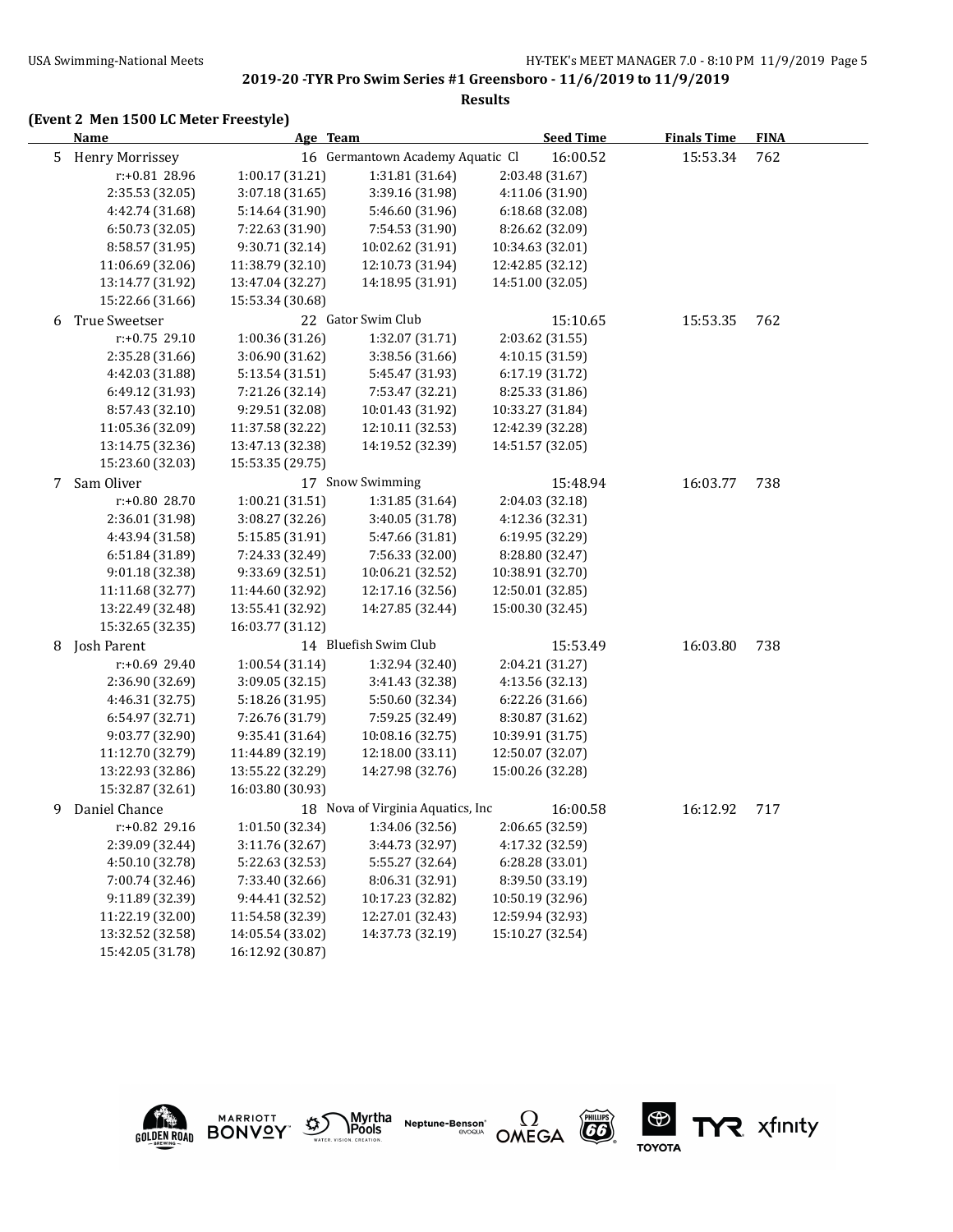#### **(Event 2 Men 1500 LC Meter Freestyle)**

|    | <u>Name</u>            | Age Team         |                                   | <b>Seed Time</b> | <b>Finals Time</b> | <b>FINA</b> |  |
|----|------------------------|------------------|-----------------------------------|------------------|--------------------|-------------|--|
| 5  | <b>Henry Morrissey</b> |                  | 16 Germantown Academy Aquatic Cl  | 16:00.52         | 15:53.34           | 762         |  |
|    | r:+0.81 28.96          | 1:00.17(31.21)   | 1:31.81 (31.64)                   | 2:03.48 (31.67)  |                    |             |  |
|    | 2:35.53 (32.05)        | 3:07.18 (31.65)  | 3:39.16 (31.98)                   | 4:11.06 (31.90)  |                    |             |  |
|    | 4:42.74 (31.68)        | 5:14.64 (31.90)  | 5:46.60 (31.96)                   | 6:18.68 (32.08)  |                    |             |  |
|    | 6:50.73 (32.05)        | 7:22.63 (31.90)  | 7:54.53 (31.90)                   | 8:26.62 (32.09)  |                    |             |  |
|    | 8:58.57 (31.95)        | 9:30.71 (32.14)  | 10:02.62 (31.91)                  | 10:34.63 (32.01) |                    |             |  |
|    | 11:06.69 (32.06)       | 11:38.79 (32.10) | 12:10.73 (31.94)                  | 12:42.85 (32.12) |                    |             |  |
|    | 13:14.77 (31.92)       | 13:47.04 (32.27) | 14:18.95 (31.91)                  | 14:51.00 (32.05) |                    |             |  |
|    | 15:22.66 (31.66)       | 15:53.34 (30.68) |                                   |                  |                    |             |  |
| 6  | True Sweetser          |                  | 22 Gator Swim Club                | 15:10.65         | 15:53.35           | 762         |  |
|    | r:+0.75 29.10          | 1:00.36 (31.26)  | 1:32.07 (31.71)                   | 2:03.62 (31.55)  |                    |             |  |
|    | 2:35.28 (31.66)        | 3:06.90 (31.62)  | 3:38.56 (31.66)                   | 4:10.15 (31.59)  |                    |             |  |
|    | 4:42.03 (31.88)        | 5:13.54 (31.51)  | 5:45.47 (31.93)                   | 6:17.19 (31.72)  |                    |             |  |
|    | 6:49.12 (31.93)        | 7:21.26 (32.14)  | 7:53.47 (32.21)                   | 8:25.33 (31.86)  |                    |             |  |
|    | 8:57.43 (32.10)        | 9:29.51 (32.08)  | 10:01.43 (31.92)                  | 10:33.27 (31.84) |                    |             |  |
|    | 11:05.36 (32.09)       | 11:37.58 (32.22) | 12:10.11 (32.53)                  | 12:42.39 (32.28) |                    |             |  |
|    | 13:14.75 (32.36)       | 13:47.13 (32.38) | 14:19.52 (32.39)                  | 14:51.57 (32.05) |                    |             |  |
|    | 15:23.60 (32.03)       | 15:53.35 (29.75) |                                   |                  |                    |             |  |
| 7  | Sam Oliver             |                  | 17 Snow Swimming                  | 15:48.94         | 16:03.77           | 738         |  |
|    | r:+0.80 28.70          | 1:00.21 (31.51)  | 1:31.85 (31.64)                   | 2:04.03 (32.18)  |                    |             |  |
|    | 2:36.01 (31.98)        | 3:08.27 (32.26)  | 3:40.05 (31.78)                   | 4:12.36 (32.31)  |                    |             |  |
|    | 4:43.94 (31.58)        | 5:15.85 (31.91)  | 5:47.66 (31.81)                   | 6:19.95 (32.29)  |                    |             |  |
|    | 6:51.84 (31.89)        | 7:24.33 (32.49)  | 7:56.33 (32.00)                   | 8:28.80 (32.47)  |                    |             |  |
|    | 9:01.18 (32.38)        | 9:33.69 (32.51)  | 10:06.21 (32.52)                  | 10:38.91 (32.70) |                    |             |  |
|    | 11:11.68 (32.77)       | 11:44.60 (32.92) | 12:17.16 (32.56)                  | 12:50.01 (32.85) |                    |             |  |
|    | 13:22.49 (32.48)       | 13:55.41 (32.92) | 14:27.85 (32.44)                  | 15:00.30 (32.45) |                    |             |  |
|    | 15:32.65 (32.35)       | 16:03.77 (31.12) |                                   |                  |                    |             |  |
| 8  | Josh Parent            |                  | 14 Bluefish Swim Club             | 15:53.49         | 16:03.80           | 738         |  |
|    | r:+0.69 29.40          | 1:00.54 (31.14)  | 1:32.94 (32.40)                   | 2:04.21 (31.27)  |                    |             |  |
|    | 2:36.90 (32.69)        | 3:09.05 (32.15)  | 3:41.43 (32.38)                   | 4:13.56 (32.13)  |                    |             |  |
|    | 4:46.31 (32.75)        | 5:18.26 (31.95)  | 5:50.60 (32.34)                   | 6:22.26 (31.66)  |                    |             |  |
|    | 6:54.97 (32.71)        | 7:26.76 (31.79)  | 7:59.25 (32.49)                   | 8:30.87 (31.62)  |                    |             |  |
|    | 9:03.77 (32.90)        | 9:35.41 (31.64)  | 10:08.16 (32.75)                  | 10:39.91 (31.75) |                    |             |  |
|    | 11:12.70 (32.79)       | 11:44.89 (32.19) | 12:18.00 (33.11)                  | 12:50.07 (32.07) |                    |             |  |
|    | 13:22.93 (32.86)       | 13:55.22 (32.29) | 14:27.98 (32.76)                  | 15:00.26 (32.28) |                    |             |  |
|    | 15:32.87 (32.61)       | 16:03.80 (30.93) |                                   |                  |                    |             |  |
| 9. | Daniel Chance          |                  | 18 Nova of Virginia Aquatics, Inc | 16:00.58         | 16:12.92           | 717         |  |
|    | r:+0.82 29.16          | 1:01.50 (32.34)  | 1:34.06 (32.56)                   | 2:06.65 (32.59)  |                    |             |  |
|    | 2:39.09 (32.44)        | 3:11.76 (32.67)  | 3:44.73 (32.97)                   | 4:17.32 (32.59)  |                    |             |  |
|    | 4:50.10 (32.78)        | 5:22.63 (32.53)  | 5:55.27 (32.64)                   | 6:28.28 (33.01)  |                    |             |  |
|    | 7:00.74 (32.46)        | 7:33.40 (32.66)  | 8:06.31 (32.91)                   | 8:39.50 (33.19)  |                    |             |  |
|    | 9:11.89 (32.39)        | 9:44.41 (32.52)  | 10:17.23 (32.82)                  | 10:50.19 (32.96) |                    |             |  |
|    | 11:22.19 (32.00)       | 11:54.58 (32.39) | 12:27.01 (32.43)                  | 12:59.94 (32.93) |                    |             |  |
|    | 13:32.52 (32.58)       | 14:05.54 (33.02) | 14:37.73 (32.19)                  | 15:10.27 (32.54) |                    |             |  |
|    |                        |                  |                                   |                  |                    |             |  |



15:42.05 (31.78) 16:12.92 (30.87)









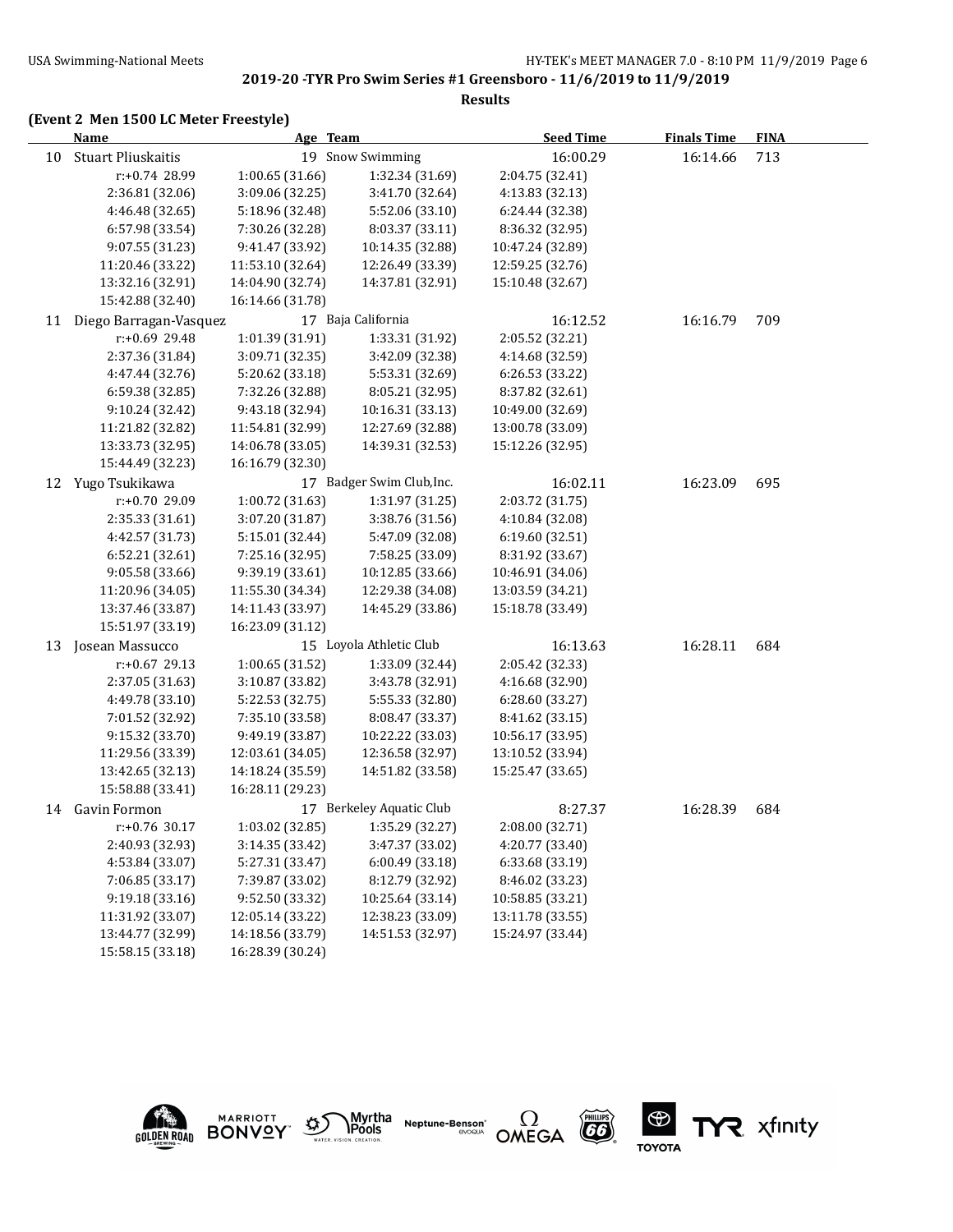#### **Results**

# **(Event 2 Men 1500 LC Meter Freestyle)**

|    | <b>Name</b>            | Age Team         |                           | <b>Seed Time</b> | <b>Finals Time</b> | <b>FINA</b> |  |
|----|------------------------|------------------|---------------------------|------------------|--------------------|-------------|--|
| 10 | Stuart Pliuskaitis     |                  | 19 Snow Swimming          | 16:00.29         | 16:14.66           | 713         |  |
|    | r:+0.74 28.99          | 1:00.65 (31.66)  | 1:32.34 (31.69)           | 2:04.75 (32.41)  |                    |             |  |
|    | 2:36.81 (32.06)        | 3:09.06 (32.25)  | 3:41.70 (32.64)           | 4:13.83 (32.13)  |                    |             |  |
|    | 4:46.48 (32.65)        | 5:18.96 (32.48)  | 5:52.06 (33.10)           | 6:24.44 (32.38)  |                    |             |  |
|    | 6:57.98 (33.54)        | 7:30.26 (32.28)  | 8:03.37 (33.11)           | 8:36.32 (32.95)  |                    |             |  |
|    | 9:07.55 (31.23)        | 9:41.47 (33.92)  | 10:14.35 (32.88)          | 10:47.24 (32.89) |                    |             |  |
|    | 11:20.46 (33.22)       | 11:53.10 (32.64) | 12:26.49 (33.39)          | 12:59.25 (32.76) |                    |             |  |
|    | 13:32.16 (32.91)       | 14:04.90 (32.74) | 14:37.81 (32.91)          | 15:10.48 (32.67) |                    |             |  |
|    | 15:42.88 (32.40)       | 16:14.66 (31.78) |                           |                  |                    |             |  |
| 11 | Diego Barragan-Vasquez |                  | 17 Baja California        | 16:12.52         | 16:16.79           | 709         |  |
|    | r:+0.69 29.48          | 1:01.39 (31.91)  | 1:33.31 (31.92)           | 2:05.52 (32.21)  |                    |             |  |
|    | 2:37.36 (31.84)        | 3:09.71 (32.35)  | 3:42.09 (32.38)           | 4:14.68 (32.59)  |                    |             |  |
|    | 4:47.44 (32.76)        | 5:20.62 (33.18)  | 5:53.31 (32.69)           | 6:26.53 (33.22)  |                    |             |  |
|    | 6:59.38 (32.85)        | 7:32.26 (32.88)  | 8:05.21 (32.95)           | 8:37.82 (32.61)  |                    |             |  |
|    | 9:10.24 (32.42)        | 9:43.18 (32.94)  | 10:16.31 (33.13)          | 10:49.00 (32.69) |                    |             |  |
|    | 11:21.82 (32.82)       | 11:54.81 (32.99) | 12:27.69 (32.88)          | 13:00.78 (33.09) |                    |             |  |
|    | 13:33.73 (32.95)       | 14:06.78 (33.05) | 14:39.31 (32.53)          | 15:12.26 (32.95) |                    |             |  |
|    | 15:44.49 (32.23)       | 16:16.79 (32.30) |                           |                  |                    |             |  |
|    | 12 Yugo Tsukikawa      |                  | 17 Badger Swim Club, Inc. | 16:02.11         | 16:23.09           | 695         |  |
|    | r:+0.70 29.09          | 1:00.72 (31.63)  | 1:31.97 (31.25)           | 2:03.72 (31.75)  |                    |             |  |
|    | 2:35.33 (31.61)        | 3:07.20 (31.87)  | 3:38.76 (31.56)           | 4:10.84 (32.08)  |                    |             |  |
|    | 4:42.57 (31.73)        | 5:15.01 (32.44)  | 5:47.09 (32.08)           | 6:19.60 (32.51)  |                    |             |  |
|    | 6:52.21 (32.61)        | 7:25.16 (32.95)  | 7:58.25 (33.09)           | 8:31.92 (33.67)  |                    |             |  |
|    | 9:05.58 (33.66)        | 9:39.19 (33.61)  | 10:12.85 (33.66)          | 10:46.91 (34.06) |                    |             |  |
|    | 11:20.96 (34.05)       | 11:55.30 (34.34) | 12:29.38 (34.08)          | 13:03.59 (34.21) |                    |             |  |
|    | 13:37.46 (33.87)       | 14:11.43 (33.97) | 14:45.29 (33.86)          | 15:18.78 (33.49) |                    |             |  |
|    | 15:51.97 (33.19)       | 16:23.09 (31.12) |                           |                  |                    |             |  |
| 13 | Josean Massucco        |                  | 15 Loyola Athletic Club   | 16:13.63         | 16:28.11           | 684         |  |
|    | r:+0.67 29.13          | 1:00.65 (31.52)  | 1:33.09 (32.44)           | 2:05.42 (32.33)  |                    |             |  |
|    | 2:37.05 (31.63)        | 3:10.87 (33.82)  | 3:43.78 (32.91)           | 4:16.68 (32.90)  |                    |             |  |
|    | 4:49.78 (33.10)        | 5:22.53 (32.75)  | 5:55.33 (32.80)           | 6:28.60 (33.27)  |                    |             |  |
|    | 7:01.52 (32.92)        | 7:35.10 (33.58)  | 8:08.47 (33.37)           | 8:41.62 (33.15)  |                    |             |  |
|    | 9:15.32 (33.70)        | 9:49.19 (33.87)  | 10:22.22 (33.03)          | 10:56.17 (33.95) |                    |             |  |
|    | 11:29.56 (33.39)       | 12:03.61 (34.05) | 12:36.58 (32.97)          | 13:10.52 (33.94) |                    |             |  |
|    | 13:42.65 (32.13)       | 14:18.24 (35.59) | 14:51.82 (33.58)          | 15:25.47 (33.65) |                    |             |  |
|    | 15:58.88 (33.41)       | 16:28.11 (29.23) |                           |                  |                    |             |  |
| 14 | Gavin Formon           |                  | 17 Berkeley Aquatic Club  | 8:27.37          | 16:28.39           | 684         |  |
|    | r:+0.76 30.17          | 1:03.02(32.85)   | 1:35.29(32.27)            | 2:08.00 (32.71)  |                    |             |  |
|    | 2:40.93 (32.93)        | 3:14.35 (33.42)  | 3:47.37 (33.02)           | 4:20.77 (33.40)  |                    |             |  |
|    | 4:53.84 (33.07)        | 5:27.31 (33.47)  | 6:00.49 (33.18)           | 6:33.68 (33.19)  |                    |             |  |
|    | 7:06.85 (33.17)        | 7:39.87 (33.02)  | 8:12.79 (32.92)           | 8:46.02 (33.23)  |                    |             |  |
|    | 9:19.18 (33.16)        | 9:52.50 (33.32)  | 10:25.64 (33.14)          | 10:58.85 (33.21) |                    |             |  |
|    | 11:31.92 (33.07)       | 12:05.14 (33.22) | 12:38.23 (33.09)          | 13:11.78 (33.55) |                    |             |  |
|    | 13:44.77 (32.99)       | 14:18.56 (33.79) | 14:51.53 (32.97)          | 15:24.97 (33.44) |                    |             |  |
|    | 15:58.15 (33.18)       | 16:28.39 (30.24) |                           |                  |                    |             |  |











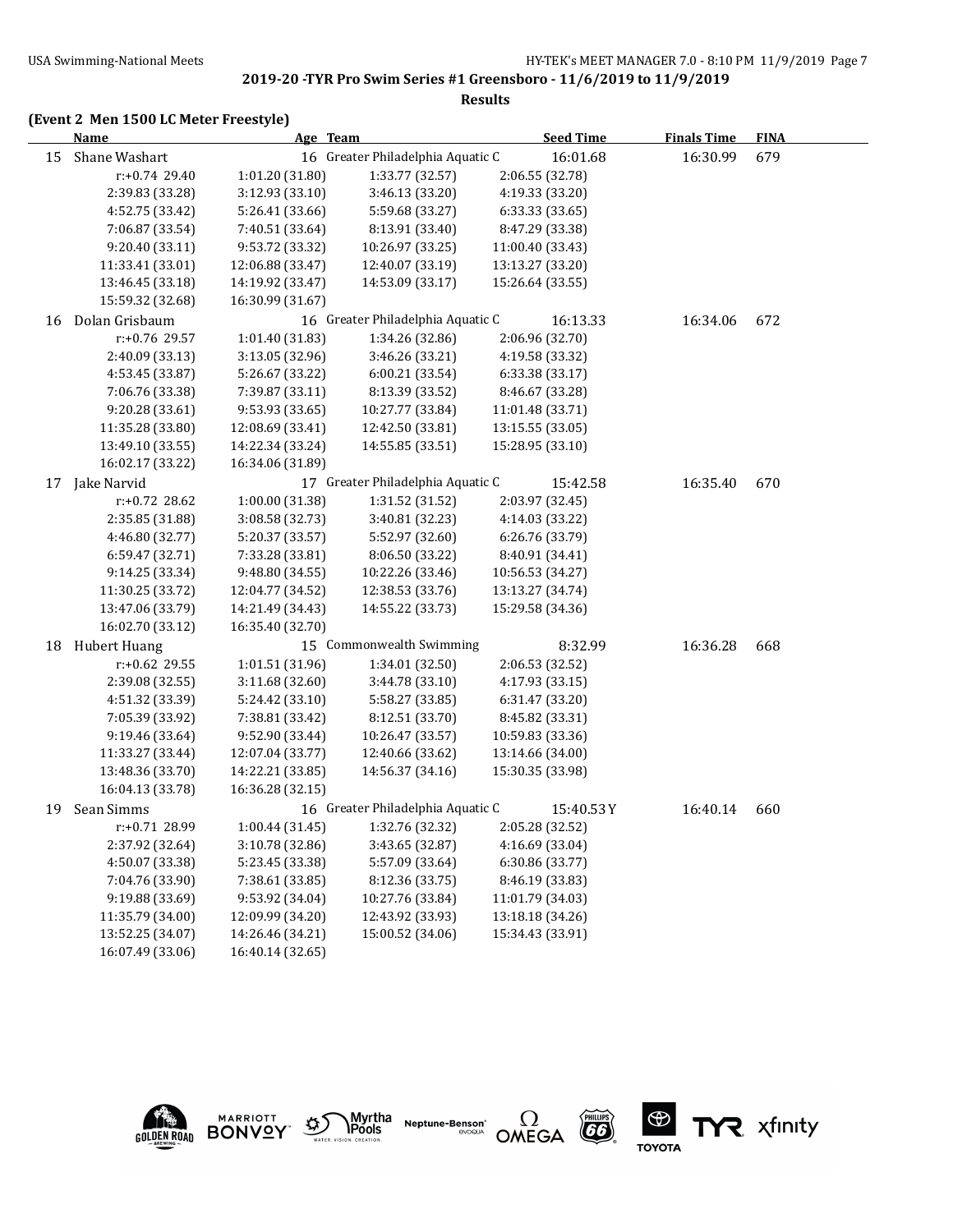# **(Event 2 Men 1500 LC Meter Freestyle)**

|    | Name             | Age Team         |                                   | <b>Seed Time</b> | <b>Finals Time</b> | <b>FINA</b> |  |
|----|------------------|------------------|-----------------------------------|------------------|--------------------|-------------|--|
| 15 | Shane Washart    |                  | 16 Greater Philadelphia Aquatic C | 16:01.68         | 16:30.99           | 679         |  |
|    | $r: +0.74$ 29.40 | 1:01.20 (31.80)  | 1:33.77 (32.57)                   | 2:06.55 (32.78)  |                    |             |  |
|    | 2:39.83 (33.28)  | 3:12.93 (33.10)  | 3:46.13 (33.20)                   | 4:19.33 (33.20)  |                    |             |  |
|    | 4:52.75 (33.42)  | 5:26.41 (33.66)  | 5:59.68 (33.27)                   | 6:33.33 (33.65)  |                    |             |  |
|    | 7:06.87 (33.54)  | 7:40.51 (33.64)  | 8:13.91 (33.40)                   | 8:47.29 (33.38)  |                    |             |  |
|    | 9:20.40 (33.11)  | 9:53.72 (33.32)  | 10:26.97 (33.25)                  | 11:00.40 (33.43) |                    |             |  |
|    | 11:33.41 (33.01) | 12:06.88 (33.47) | 12:40.07 (33.19)                  | 13:13.27 (33.20) |                    |             |  |
|    | 13:46.45 (33.18) | 14:19.92 (33.47) | 14:53.09 (33.17)                  | 15:26.64 (33.55) |                    |             |  |
|    | 15:59.32 (32.68) | 16:30.99 (31.67) |                                   |                  |                    |             |  |
| 16 | Dolan Grisbaum   |                  | 16 Greater Philadelphia Aquatic C | 16:13.33         | 16:34.06           | 672         |  |
|    | r:+0.76 29.57    | 1:01.40 (31.83)  | 1:34.26 (32.86)                   | 2:06.96 (32.70)  |                    |             |  |
|    | 2:40.09 (33.13)  | 3:13.05 (32.96)  | 3:46.26 (33.21)                   | 4:19.58 (33.32)  |                    |             |  |
|    | 4:53.45 (33.87)  | 5:26.67 (33.22)  | 6:00.21 (33.54)                   | 6:33.38 (33.17)  |                    |             |  |
|    | 7:06.76 (33.38)  | 7:39.87 (33.11)  | 8:13.39 (33.52)                   | 8:46.67 (33.28)  |                    |             |  |
|    | 9:20.28 (33.61)  | 9:53.93 (33.65)  | 10:27.77 (33.84)                  | 11:01.48 (33.71) |                    |             |  |
|    | 11:35.28 (33.80) | 12:08.69 (33.41) | 12:42.50 (33.81)                  | 13:15.55 (33.05) |                    |             |  |
|    | 13:49.10 (33.55) | 14:22.34 (33.24) | 14:55.85 (33.51)                  | 15:28.95 (33.10) |                    |             |  |
|    | 16:02.17 (33.22) | 16:34.06 (31.89) |                                   |                  |                    |             |  |
|    | 17 Jake Narvid   |                  | 17 Greater Philadelphia Aquatic C | 15:42.58         | 16:35.40           | 670         |  |
|    | r:+0.72 28.62    | 1:00.00 (31.38)  | 1:31.52 (31.52)                   | 2:03.97 (32.45)  |                    |             |  |
|    | 2:35.85 (31.88)  | 3:08.58 (32.73)  | 3:40.81 (32.23)                   | 4:14.03 (33.22)  |                    |             |  |
|    | 4:46.80 (32.77)  | 5:20.37 (33.57)  | 5:52.97 (32.60)                   | 6:26.76 (33.79)  |                    |             |  |
|    | 6:59.47 (32.71)  | 7:33.28 (33.81)  | 8:06.50 (33.22)                   | 8:40.91 (34.41)  |                    |             |  |
|    | 9:14.25 (33.34)  | 9:48.80 (34.55)  | 10:22.26 (33.46)                  | 10:56.53 (34.27) |                    |             |  |
|    | 11:30.25 (33.72) | 12:04.77 (34.52) | 12:38.53 (33.76)                  | 13:13.27 (34.74) |                    |             |  |
|    | 13:47.06 (33.79) | 14:21.49 (34.43) | 14:55.22 (33.73)                  | 15:29.58 (34.36) |                    |             |  |
|    | 16:02.70 (33.12) | 16:35.40 (32.70) |                                   |                  |                    |             |  |
|    | 18 Hubert Huang  |                  | 15 Commonwealth Swimming          | 8:32.99          | 16:36.28           | 668         |  |
|    | r:+0.62 29.55    | 1:01.51 (31.96)  | 1:34.01 (32.50)                   | 2:06.53 (32.52)  |                    |             |  |
|    | 2:39.08 (32.55)  | 3:11.68 (32.60)  | 3:44.78 (33.10)                   | 4:17.93 (33.15)  |                    |             |  |
|    | 4:51.32 (33.39)  | 5:24.42 (33.10)  | 5:58.27 (33.85)                   | 6:31.47 (33.20)  |                    |             |  |
|    | 7:05.39 (33.92)  | 7:38.81 (33.42)  | 8:12.51 (33.70)                   | 8:45.82 (33.31)  |                    |             |  |
|    | 9:19.46 (33.64)  | 9:52.90 (33.44)  | 10:26.47 (33.57)                  | 10:59.83 (33.36) |                    |             |  |
|    | 11:33.27 (33.44) | 12:07.04 (33.77) | 12:40.66 (33.62)                  | 13:14.66 (34.00) |                    |             |  |
|    | 13:48.36 (33.70) | 14:22.21 (33.85) | 14:56.37 (34.16)                  | 15:30.35 (33.98) |                    |             |  |
|    | 16:04.13 (33.78) | 16:36.28 (32.15) |                                   |                  |                    |             |  |
| 19 | Sean Simms       |                  | 16 Greater Philadelphia Aquatic C | 15:40.53 Y       | 16:40.14           | 660         |  |
|    | r:+0.71 28.99    | 1:00.44(31.45)   | 1:32.76 (32.32)                   | 2:05.28 (32.52)  |                    |             |  |
|    | 2:37.92 (32.64)  | 3:10.78 (32.86)  | 3:43.65 (32.87)                   | 4:16.69 (33.04)  |                    |             |  |
|    | 4:50.07 (33.38)  | 5:23.45 (33.38)  | 5:57.09 (33.64)                   | 6:30.86 (33.77)  |                    |             |  |
|    | 7:04.76 (33.90)  | 7:38.61 (33.85)  | 8:12.36 (33.75)                   | 8:46.19 (33.83)  |                    |             |  |
|    | 9:19.88 (33.69)  | 9:53.92 (34.04)  | 10:27.76 (33.84)                  | 11:01.79 (34.03) |                    |             |  |
|    | 11:35.79 (34.00) | 12:09.99 (34.20) | 12:43.92 (33.93)                  | 13:18.18 (34.26) |                    |             |  |
|    | 13:52.25 (34.07) | 14:26.46 (34.21) | 15:00.52 (34.06)                  | 15:34.43 (33.91) |                    |             |  |
|    | 16:07.49 (33.06) | 16:40.14 (32.65) |                                   |                  |                    |             |  |











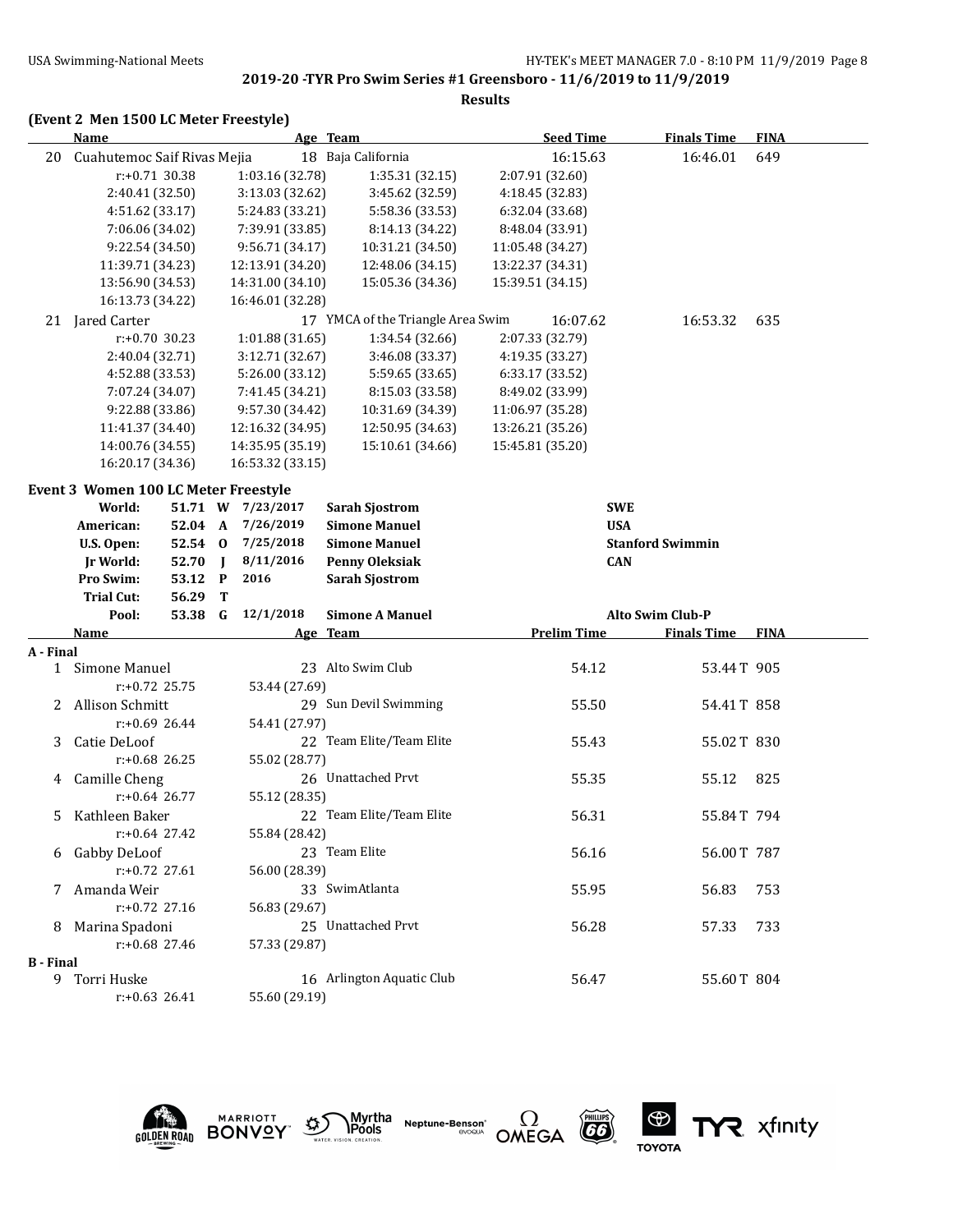#### **Results**

#### **(Event 2 Men 1500 LC Meter Freestyle)**

|           | <b>Name</b>                                 |         |                   | Age Team                          |                  | <b>Seed Time</b>   | <b>Finals Time</b>      | <b>FINA</b> |
|-----------|---------------------------------------------|---------|-------------------|-----------------------------------|------------------|--------------------|-------------------------|-------------|
| 20        | Cuahutemoc Saif Rivas Mejia                 |         |                   | 18 Baja California                |                  | 16:15.63           | 16:46.01                | 649         |
|           | $r: +0.71$ 30.38                            |         | 1:03.16 (32.78)   | 1:35.31 (32.15)                   | 2:07.91 (32.60)  |                    |                         |             |
|           | 2:40.41 (32.50)                             |         | 3:13.03 (32.62)   | 3:45.62 (32.59)                   | 4:18.45 (32.83)  |                    |                         |             |
|           | 4:51.62 (33.17)                             |         | 5:24.83 (33.21)   | 5:58.36 (33.53)                   |                  | 6:32.04 (33.68)    |                         |             |
|           | 7:06.06 (34.02)                             |         | 7:39.91 (33.85)   | 8:14.13 (34.22)                   | 8:48.04 (33.91)  |                    |                         |             |
|           | 9:22.54 (34.50)                             |         | 9:56.71 (34.17)   | 10:31.21 (34.50)                  | 11:05.48 (34.27) |                    |                         |             |
|           | 11:39.71 (34.23)                            |         | 12:13.91 (34.20)  | 12:48.06 (34.15)                  | 13:22.37 (34.31) |                    |                         |             |
|           | 13:56.90 (34.53)                            |         | 14:31.00 (34.10)  | 15:05.36 (34.36)                  | 15:39.51 (34.15) |                    |                         |             |
|           | 16:13.73 (34.22)                            |         | 16:46.01 (32.28)  |                                   |                  |                    |                         |             |
|           | 21 Jared Carter                             |         |                   | 17 YMCA of the Triangle Area Swim |                  | 16:07.62           | 16:53.32                | 635         |
|           | $r: +0.70$ 30.23                            |         | 1:01.88(31.65)    | 1:34.54 (32.66)                   |                  | 2:07.33 (32.79)    |                         |             |
|           | 2:40.04 (32.71)                             |         | 3:12.71 (32.67)   | 3:46.08 (33.37)                   | 4:19.35 (33.27)  |                    |                         |             |
|           | 4:52.88 (33.53)                             |         | 5:26.00 (33.12)   | 5:59.65 (33.65)                   |                  | 6:33.17 (33.52)    |                         |             |
|           | 7:07.24 (34.07)                             |         | 7:41.45 (34.21)   | 8:15.03 (33.58)                   | 8:49.02 (33.99)  |                    |                         |             |
|           | 9:22.88 (33.86)                             |         | 9:57.30 (34.42)   | 10:31.69 (34.39)                  | 11:06.97 (35.28) |                    |                         |             |
|           | 11:41.37 (34.40)                            |         | 12:16.32 (34.95)  | 12:50.95 (34.63)                  | 13:26.21 (35.26) |                    |                         |             |
|           | 14:00.76 (34.55)                            |         | 14:35.95 (35.19)  | 15:10.61 (34.66)                  | 15:45.81 (35.20) |                    |                         |             |
|           | 16:20.17 (34.36)                            |         | 16:53.32 (33.15)  |                                   |                  |                    |                         |             |
|           | <b>Event 3 Women 100 LC Meter Freestyle</b> |         |                   |                                   |                  |                    |                         |             |
|           | World:                                      |         | 51.71 W 7/23/2017 | <b>Sarah Sjostrom</b>             |                  | <b>SWE</b>         |                         |             |
|           | American:                                   | 52.04 A | 7/26/2019         | <b>Simone Manuel</b>              |                  | <b>USA</b>         |                         |             |
|           | U.S. Open:                                  |         | 52.54 0 7/25/2018 | <b>Simone Manuel</b>              |                  |                    | <b>Stanford Swimmin</b> |             |
|           | Jr World:                                   | 52.70 J | 8/11/2016         | <b>Penny Oleksiak</b>             |                  | <b>CAN</b>         |                         |             |
|           | Pro Swim:                                   | 53.12 P | 2016              | <b>Sarah Sjostrom</b>             |                  |                    |                         |             |
|           | <b>Trial Cut:</b>                           | 56.29 T |                   |                                   |                  |                    |                         |             |
|           | Pool:                                       | 53.38 G | 12/1/2018         | <b>Simone A Manuel</b>            |                  |                    | Alto Swim Club-P        |             |
|           | Name                                        |         |                   | Age Team                          |                  | <b>Prelim Time</b> | <b>Finals Time</b>      | <b>FINA</b> |
| A - Final |                                             |         |                   |                                   |                  |                    |                         |             |
|           | 1 Simone Manuel                             |         |                   | 23 Alto Swim Club                 |                  | 54.12              | 53.44T 905              |             |
|           | $r: +0.72$ 25.75                            |         | 53.44 (27.69)     |                                   |                  |                    |                         |             |
|           | 2 Allison Schmitt                           |         |                   | 29 Sun Devil Swimming             |                  | 55.50              | 54.41T 858              |             |
|           | $r: +0.69$ 26.44                            |         | 54.41 (27.97)     |                                   |                  |                    |                         |             |
| 3         | Catie DeLoof                                |         |                   | 22 Team Elite/Team Elite          |                  | 55.43              | 55.02T 830              |             |
|           | $r: +0.68$ 26.25                            |         | 55.02 (28.77)     |                                   |                  |                    |                         |             |
| 4         | Camille Cheng                               |         |                   | 26 Unattached Prvt                |                  | 55.35              | 55.12                   | 825         |
|           | $r: +0.64$ 26.77                            |         | 55.12 (28.35)     |                                   |                  |                    |                         |             |
|           | 5 Kathleen Baker                            |         |                   | 22 Team Elite/Team Elite          |                  | 56.31              | 55.84T 794              |             |
|           | $r: +0.64$ 27.42                            |         | 55.84 (28.42)     |                                   |                  |                    |                         |             |
|           | 6 Gabby DeLoof                              |         |                   | 23 Team Elite                     |                  | 56.16              | 56.00T 787              |             |
|           | r:+0.72 27.61                               |         | 56.00 (28.39)     |                                   |                  |                    |                         |             |
|           | 7 Amanda Weir                               |         |                   | 33 SwimAtlanta                    |                  | 55.95              | 56.83                   | 753         |
|           | r:+0.72 27.16                               |         | 56.83 (29.67)     |                                   |                  |                    |                         |             |
|           | 8 Marina Spadoni                            |         |                   | 25 Unattached Prvt                |                  | 56.28              | 57.33                   | 733         |
|           |                                             |         |                   |                                   |                  |                    |                         |             |
|           | $r: +0.68$ 27.46                            |         | 57.33 (29.87)     |                                   |                  |                    |                         |             |
|           |                                             |         |                   |                                   |                  |                    |                         |             |
| B - Final | 9 Torri Huske<br>$r: +0.63$ 26.41           |         | 55.60 (29.19)     | 16 Arlington Aquatic Club         |                  | 56.47              | 55.60T 804              |             |











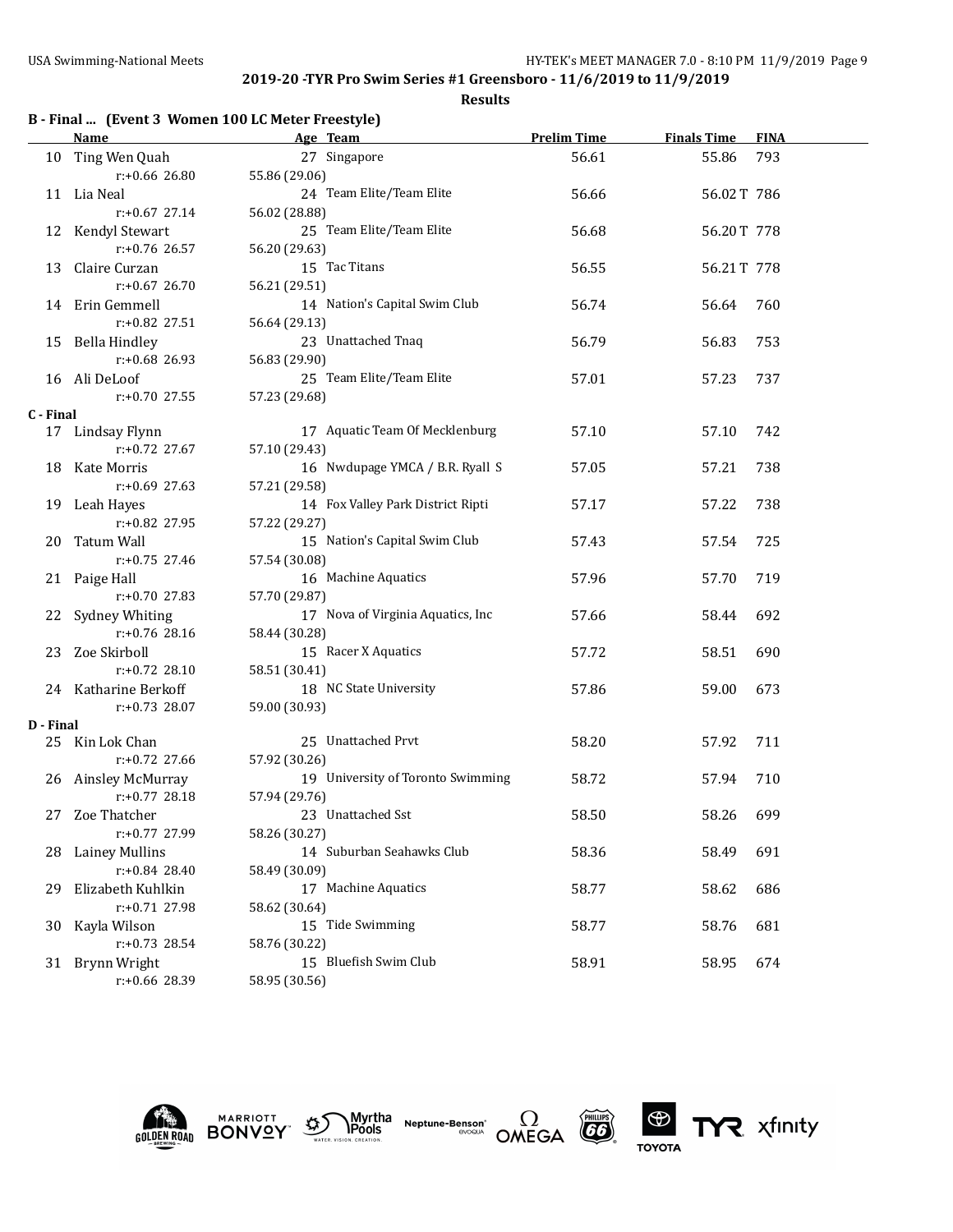|  |  |  |  |  | B - Final  (Event 3 Women 100 LC Meter Freestyle) |
|--|--|--|--|--|---------------------------------------------------|
|--|--|--|--|--|---------------------------------------------------|

|           | <b>Name</b>                      | Age Team                               | <b>Prelim Time</b> | <b>Finals Time</b> | <b>FINA</b> |
|-----------|----------------------------------|----------------------------------------|--------------------|--------------------|-------------|
|           | 10 Ting Wen Quah                 | 27 Singapore                           | 56.61              | 55.86              | 793         |
|           | r:+0.66 26.80                    | 55.86 (29.06)                          |                    |                    |             |
|           | 11 Lia Neal                      | 24 Team Elite/Team Elite               | 56.66              | 56.02T 786         |             |
|           | $r: +0.67$ 27.14                 | 56.02 (28.88)                          |                    |                    |             |
|           | 12 Kendyl Stewart                | 25 Team Elite/Team Elite               | 56.68              | 56.20T 778         |             |
|           | $r: +0.76$ 26.57                 | 56.20 (29.63)                          |                    |                    |             |
|           | 13 Claire Curzan                 | 15 Tac Titans                          | 56.55              | 56.21T 778         |             |
|           | $r: +0.67$ 26.70                 | 56.21 (29.51)                          |                    |                    |             |
|           | 14 Erin Gemmell                  | 14 Nation's Capital Swim Club          | 56.74              | 56.64              | 760         |
|           | $r: +0.82$ 27.51                 | 56.64 (29.13)                          |                    |                    |             |
|           | 15 Bella Hindley                 | 23 Unattached Tnaq                     | 56.79              | 56.83              | 753         |
|           | $r: +0.68$ 26.93                 | 56.83 (29.90)                          |                    |                    |             |
|           | 16 Ali DeLoof                    | 25 Team Elite/Team Elite               | 57.01              | 57.23              | 737         |
|           | r:+0.70 27.55                    | 57.23 (29.68)                          |                    |                    |             |
| C - Final |                                  |                                        |                    |                    |             |
|           | 17 Lindsay Flynn                 | 17 Aquatic Team Of Mecklenburg         | 57.10              | 57.10              | 742         |
|           | $r: +0.72$ 27.67                 | 57.10 (29.43)                          |                    |                    |             |
|           | 18 Kate Morris                   | 16 Nwdupage YMCA / B.R. Ryall S        | 57.05              | 57.21              | 738         |
|           | r:+0.69 27.63                    | 57.21 (29.58)                          |                    |                    |             |
|           | 19 Leah Hayes                    | 14 Fox Valley Park District Ripti      | 57.17              | 57.22              | 738         |
|           | r:+0.82 27.95                    | 57.22 (29.27)                          |                    |                    |             |
|           | 20 Tatum Wall                    | 15 Nation's Capital Swim Club          | 57.43              | 57.54              | 725         |
|           | r:+0.75 27.46                    | 57.54 (30.08)                          |                    |                    |             |
|           | 21 Paige Hall                    | 16 Machine Aquatics                    | 57.96              | 57.70              | 719         |
|           | $r: +0.70$ 27.83                 | 57.70 (29.87)                          |                    |                    |             |
|           | 22 Sydney Whiting                | 17 Nova of Virginia Aquatics, Inc      | 57.66              | 58.44              | 692         |
|           | $r: +0.76$ 28.16                 | 58.44 (30.28)                          |                    |                    |             |
|           | 23 Zoe Skirboll                  | 15 Racer X Aquatics                    | 57.72              | 58.51              | 690         |
|           | $r: +0.72$ 28.10                 | 58.51 (30.41)                          |                    |                    |             |
|           | 24 Katharine Berkoff             | 18 NC State University                 | 57.86              | 59.00              | 673         |
|           | r:+0.73 28.07                    | 59.00 (30.93)                          |                    |                    |             |
| D - Final | 25 Kin Lok Chan                  | 25 Unattached Prvt                     | 58.20              | 57.92              | 711         |
|           | r:+0.72 27.66                    | 57.92 (30.26)                          |                    |                    |             |
|           | 26 Ainsley McMurray              | 19 University of Toronto Swimming      | 58.72              | 57.94              | 710         |
|           | $r: +0.77$ 28.18                 | 57.94 (29.76)                          |                    |                    |             |
|           | 27 Zoe Thatcher                  | 23 Unattached Sst                      | 58.50              | 58.26              | 699         |
|           | r:+0.77 27.99                    | 58.26 (30.27)                          |                    |                    |             |
|           | <b>Lainey Mullins</b>            | 14 Suburban Seahawks Club              | 58.36              |                    | 691         |
| 28        | $r: +0.84$ 28.40                 | 58.49 (30.09)                          |                    | 58.49              |             |
|           | Elizabeth Kuhlkin                | 17 Machine Aquatics                    |                    |                    | 686         |
| 29        |                                  |                                        | 58.77              | 58.62              |             |
|           | r:+0.71 27.98                    | 58.62 (30.64)<br>15 Tide Swimming      |                    |                    | 681         |
| 30        | Kayla Wilson<br>r:+0.73 28.54    |                                        | 58.77              | 58.76              |             |
|           |                                  | 58.76 (30.22)<br>15 Bluefish Swim Club | 58.91              |                    | 674         |
|           | 31 Brynn Wright<br>r:+0.66 28.39 | 58.95 (30.56)                          |                    | 58.95              |             |
|           |                                  |                                        |                    |                    |             |











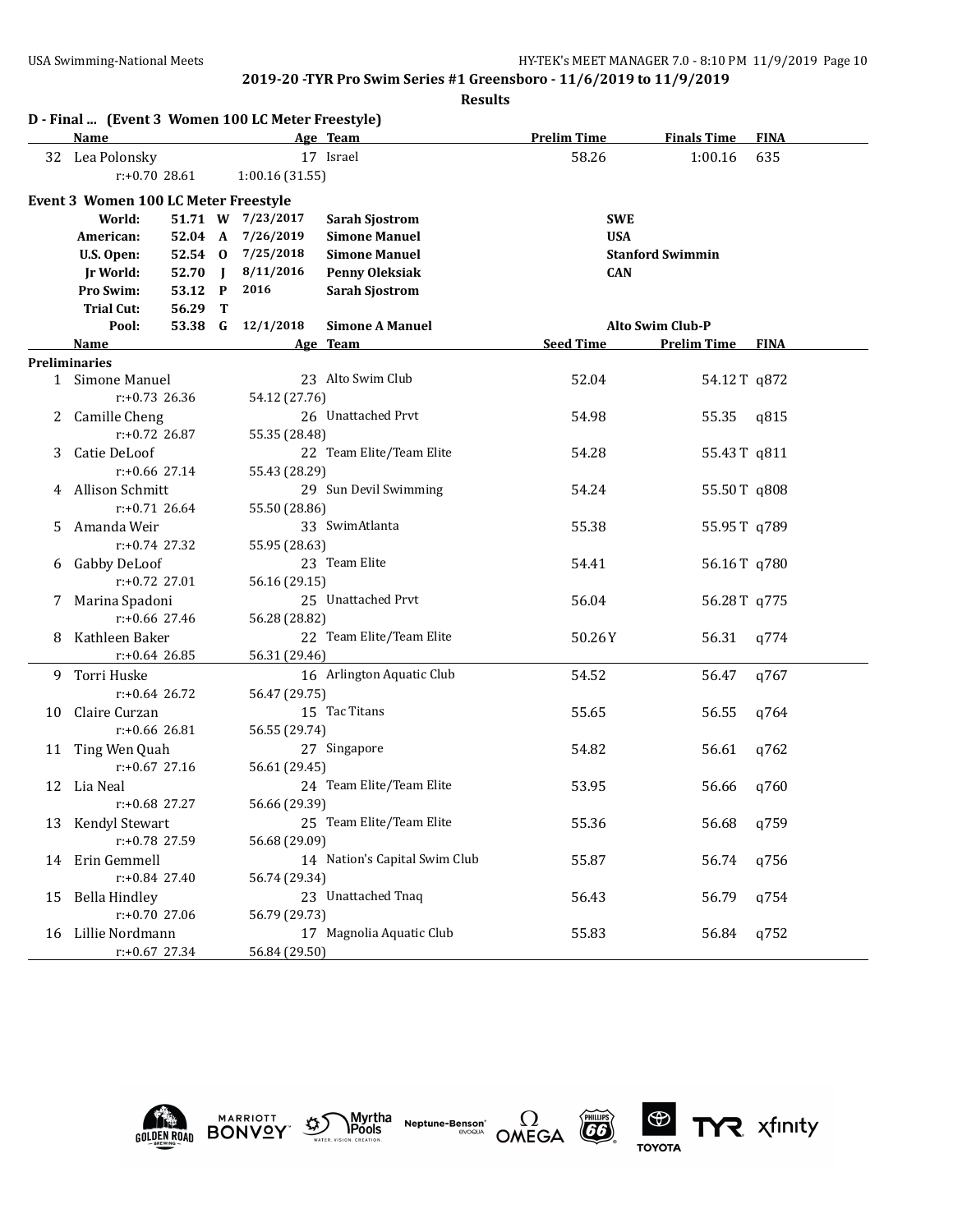|    | D - Final  (Event 3 Women 100 LC Meter Freestyle) |         |                |                   |                               |                    |                         |             |
|----|---------------------------------------------------|---------|----------------|-------------------|-------------------------------|--------------------|-------------------------|-------------|
|    | <b>Name</b>                                       |         |                |                   | Age Team                      | <b>Prelim Time</b> | <b>Finals Time</b>      | <b>FINA</b> |
|    | 32 Lea Polonsky                                   |         |                |                   | 17 Israel                     | 58.26              | 1:00.16                 | 635         |
|    | $r: +0.70$ 28.61                                  |         |                | 1:00.16 (31.55)   |                               |                    |                         |             |
|    | Event 3 Women 100 LC Meter Freestyle              |         |                |                   |                               |                    |                         |             |
|    | World:                                            | 51.71 W |                | 7/23/2017         | <b>Sarah Sjostrom</b>         | <b>SWE</b>         |                         |             |
|    | American:                                         | 52.04 A |                | 7/26/2019         | <b>Simone Manuel</b>          | <b>USA</b>         |                         |             |
|    | U.S. Open:                                        | 52.54 0 |                | 7/25/2018         | <b>Simone Manuel</b>          |                    | <b>Stanford Swimmin</b> |             |
|    | <b>Jr World:</b>                                  | 52.70   | $\blacksquare$ | 8/11/2016         | <b>Penny Oleksiak</b>         | <b>CAN</b>         |                         |             |
|    | Pro Swim:                                         | 53.12 P |                | 2016              | <b>Sarah Sjostrom</b>         |                    |                         |             |
|    | <b>Trial Cut:</b>                                 | 56.29   | т              |                   |                               |                    |                         |             |
|    | Pool:                                             |         |                | 53.38 G 12/1/2018 | <b>Simone A Manuel</b>        |                    | <b>Alto Swim Club-P</b> |             |
|    | Name                                              |         |                |                   | Age Team                      | <b>Seed Time</b>   | <b>Prelim Time FINA</b> |             |
|    | <b>Preliminaries</b>                              |         |                |                   |                               |                    |                         |             |
|    | 1 Simone Manuel                                   |         |                |                   | 23 Alto Swim Club             | 52.04              | 54.12T q872             |             |
|    | $r: +0.73$ 26.36                                  |         |                | 54.12 (27.76)     |                               |                    |                         |             |
| 2  | Camille Cheng                                     |         |                |                   | 26 Unattached Prvt            | 54.98              | 55.35                   | q815        |
|    | $r: +0.72$ 26.87                                  |         |                | 55.35 (28.48)     | 22 Team Elite/Team Elite      |                    |                         |             |
| 3  | Catie DeLoof                                      |         |                |                   |                               | 54.28              | 55.43T q811             |             |
|    | $r: +0.66$ 27.14                                  |         |                | 55.43 (28.29)     | 29 Sun Devil Swimming         |                    |                         |             |
|    | 4 Allison Schmitt<br>$r: +0.71$ 26.64             |         |                |                   |                               | 54.24              | 55.50T q808             |             |
|    | Amanda Weir                                       |         |                | 55.50 (28.86)     | 33 SwimAtlanta                |                    |                         |             |
| 5. | $r: +0.74$ 27.32                                  |         |                | 55.95 (28.63)     |                               | 55.38              | 55.95T q789             |             |
|    | Gabby DeLoof                                      |         |                |                   | 23 Team Elite                 | 54.41              | 56.16T q780             |             |
| 6  | $r: +0.72$ 27.01                                  |         |                | 56.16 (29.15)     |                               |                    |                         |             |
|    | 7 Marina Spadoni                                  |         |                |                   | 25 Unattached Prvt            | 56.04              | 56.28T q775             |             |
|    | $r: +0.66$ 27.46                                  |         |                | 56.28 (28.82)     |                               |                    |                         |             |
| 8  | Kathleen Baker                                    |         |                |                   | 22 Team Elite/Team Elite      | 50.26Y             | 56.31                   | q774        |
|    | $r: +0.64$ 26.85                                  |         |                | 56.31 (29.46)     |                               |                    |                         |             |
|    | 9 Torri Huske                                     |         |                |                   | 16 Arlington Aquatic Club     | 54.52              | 56.47                   | q767        |
|    | $r: +0.64$ 26.72                                  |         |                | 56.47 (29.75)     |                               |                    |                         |             |
| 10 | Claire Curzan                                     |         |                |                   | 15 Tac Titans                 | 55.65              | 56.55                   | q764        |
|    | $r: +0.66$ 26.81                                  |         |                | 56.55 (29.74)     |                               |                    |                         |             |
|    | 11 Ting Wen Quah                                  |         |                |                   | 27 Singapore                  | 54.82              | 56.61                   | q762        |
|    | $r: +0.67$ 27.16                                  |         |                | 56.61 (29.45)     |                               |                    |                         |             |
|    | 12 Lia Neal                                       |         |                |                   | 24 Team Elite/Team Elite      | 53.95              | 56.66                   | q760        |
|    | r:+0.68 27.27                                     |         |                | 56.66 (29.39)     |                               |                    |                         |             |
| 13 | Kendyl Stewart                                    |         |                |                   | 25 Team Elite/Team Elite      | 55.36              | 56.68                   | q759        |
|    | r:+0.78 27.59                                     |         |                | 56.68 (29.09)     |                               |                    |                         |             |
| 14 | Erin Gemmell                                      |         |                |                   | 14 Nation's Capital Swim Club | 55.87              | 56.74                   | q756        |
|    | $r: +0.84$ 27.40                                  |         |                | 56.74 (29.34)     |                               |                    |                         |             |
| 15 | <b>Bella Hindley</b>                              |         |                |                   | 23 Unattached Tnaq            | 56.43              | 56.79                   | q754        |
|    | r:+0.70 27.06                                     |         |                | 56.79 (29.73)     |                               |                    |                         |             |
| 16 | Lillie Nordmann                                   |         |                |                   | 17 Magnolia Aquatic Club      | 55.83              | 56.84                   | q752        |
|    | r:+0.67 27.34                                     |         |                | 56.84 (29.50)     |                               |                    |                         |             |









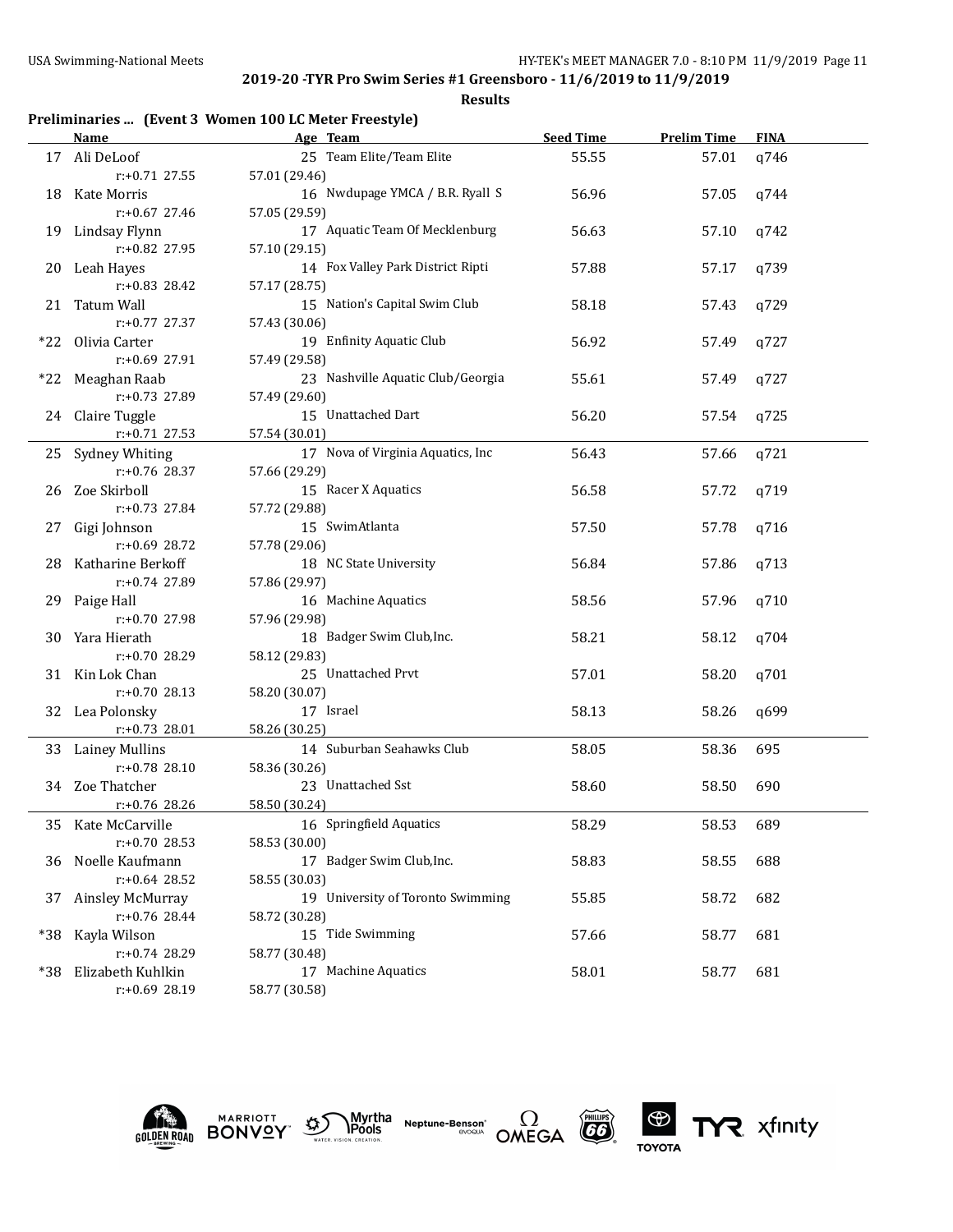**Results**

| Preliminaries  (Event 3 Women 100 LC Meter Freestyle) |  |  |  |  |  |  |
|-------------------------------------------------------|--|--|--|--|--|--|
|-------------------------------------------------------|--|--|--|--|--|--|

|       | Name                 | Age Team                           | <b>Seed Time</b> | <b>Prelim Time</b> | <b>FINA</b> |
|-------|----------------------|------------------------------------|------------------|--------------------|-------------|
|       | 17 Ali DeLoof        | 25 Team Elite/Team Elite           | 55.55            | 57.01              | q746        |
|       | $r: +0.71$ 27.55     | 57.01 (29.46)                      |                  |                    |             |
|       | 18 Kate Morris       | 16 Nwdupage YMCA / B.R. Ryall S    | 56.96            | 57.05              | q744        |
|       | $r: +0.67$ 27.46     | 57.05 (29.59)                      |                  |                    |             |
|       | 19 Lindsay Flynn     | 17 Aquatic Team Of Mecklenburg     | 56.63            | 57.10              | q742        |
|       | r:+0.82 27.95        | 57.10 (29.15)                      |                  |                    |             |
|       | 20 Leah Hayes        | 14 Fox Valley Park District Ripti  | 57.88            | 57.17              | q739        |
|       | r:+0.83 28.42        | 57.17 (28.75)                      |                  |                    |             |
|       | 21 Tatum Wall        | 15 Nation's Capital Swim Club      | 58.18            | 57.43              | q729        |
|       | $r: +0.77$ 27.37     | 57.43 (30.06)                      |                  |                    |             |
|       | *22 Olivia Carter    | 19 Enfinity Aquatic Club           | 56.92            | 57.49              | q727        |
|       | $r: +0.69$ 27.91     | 57.49 (29.58)                      |                  |                    |             |
|       | *22 Meaghan Raab     | 23 Nashville Aquatic Club/Georgia  | 55.61            | 57.49              | q727        |
|       | $r: +0.73$ 27.89     | 57.49 (29.60)                      |                  |                    |             |
|       | 24 Claire Tuggle     | 15 Unattached Dart                 | 56.20            | 57.54              | q725        |
|       | $r: +0.71$ 27.53     | 57.54 (30.01)                      |                  |                    |             |
|       | 25 Sydney Whiting    | 17 Nova of Virginia Aquatics, Inc. | 56.43            | 57.66              | q721        |
|       | $r: +0.76$ 28.37     | 57.66 (29.29)                      |                  |                    |             |
|       | 26 Zoe Skirboll      | 15 Racer X Aquatics                | 56.58            | 57.72              | q719        |
|       | $r: +0.73$ 27.84     | 57.72 (29.88)                      |                  |                    |             |
|       | 27 Gigi Johnson      | 15 SwimAtlanta                     | 57.50            | 57.78              | q716        |
|       | $r: +0.69$ 28.72     | 57.78 (29.06)                      |                  |                    |             |
|       | 28 Katharine Berkoff | 18 NC State University             | 56.84            | 57.86              | q713        |
|       | r:+0.74 27.89        | 57.86 (29.97)                      |                  |                    |             |
|       | 29 Paige Hall        | 16 Machine Aquatics                | 58.56            | 57.96              | q710        |
|       | $r: +0.70$ 27.98     | 57.96 (29.98)                      |                  |                    |             |
|       | 30 Yara Hierath      | 18 Badger Swim Club, Inc.          | 58.21            | 58.12              | q704        |
|       | $r: +0.70$ 28.29     | 58.12 (29.83)                      |                  |                    |             |
|       | 31 Kin Lok Chan      | 25 Unattached Prvt                 | 57.01            | 58.20              | q701        |
|       | $r: +0.70$ 28.13     | 58.20 (30.07)                      |                  |                    |             |
|       | 32 Lea Polonsky      | 17 Israel                          | 58.13            | 58.26              | q699        |
|       | $r: +0.73$ 28.01     | 58.26 (30.25)                      |                  |                    |             |
|       | 33 Lainey Mullins    | 14 Suburban Seahawks Club          | 58.05            | 58.36              | 695         |
|       | $r: +0.78$ 28.10     | 58.36 (30.26)                      |                  |                    |             |
|       | 34 Zoe Thatcher      | 23 Unattached Sst                  | 58.60            | 58.50              | 690         |
|       | r:+0.76 28.26        | 58.50 (30.24)                      |                  |                    |             |
|       | 35 Kate McCarville   | 16 Springfield Aquatics            | 58.29            | 58.53              | 689         |
|       | $r: +0.70$ 28.53     | 58.53 (30.00)                      |                  |                    |             |
|       | 36 Noelle Kaufmann   | 17 Badger Swim Club, Inc.          | 58.83            | 58.55              | 688         |
|       | $r: +0.64$ 28.52     | 58.55 (30.03)                      |                  |                    |             |
| 37    | Ainsley McMurray     | 19 University of Toronto Swimming  | 55.85            | 58.72              | 682         |
|       | r:+0.76 28.44        |                                    |                  |                    |             |
| $*38$ | Kayla Wilson         | 58.72 (30.28)<br>15 Tide Swimming  | 57.66            | 58.77              | 681         |
|       | r:+0.74 28.29        | 58.77 (30.48)                      |                  |                    |             |
|       | Elizabeth Kuhlkin    | 17 Machine Aquatics                | 58.01            |                    | 681         |
| *38   | r:+0.69 28.19        | 58.77 (30.58)                      |                  | 58.77              |             |
|       |                      |                                    |                  |                    |             |











TYR xfinity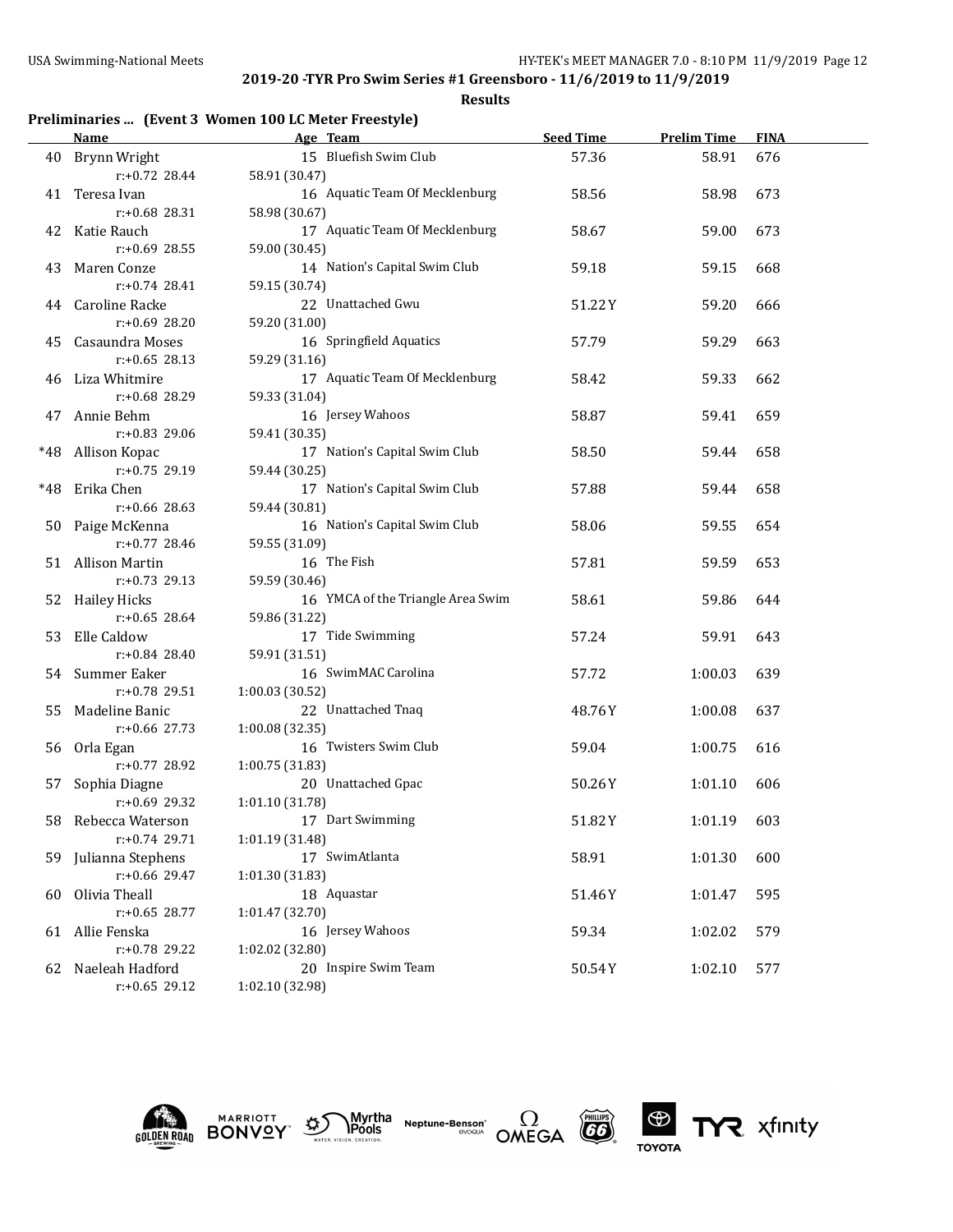**Results**

# **Preliminaries ... (Event 3 Women 100 LC Meter Freestyle)**

|     | Name                 | Age Team                          | <b>Seed Time</b> | <b>Prelim Time</b> | <b>FINA</b> |  |
|-----|----------------------|-----------------------------------|------------------|--------------------|-------------|--|
|     | 40 Brynn Wright      | 15 Bluefish Swim Club             | 57.36            | 58.91              | 676         |  |
|     | $r: +0.72$ 28.44     | 58.91 (30.47)                     |                  |                    |             |  |
| 41  | Teresa Ivan          | 16 Aquatic Team Of Mecklenburg    | 58.56            | 58.98              | 673         |  |
|     | r:+0.68 28.31        | 58.98 (30.67)                     |                  |                    |             |  |
| 42  | Katie Rauch          | 17 Aquatic Team Of Mecklenburg    | 58.67            | 59.00              | 673         |  |
|     | $r: +0.69$ 28.55     | 59.00 (30.45)                     |                  |                    |             |  |
| 43  | Maren Conze          | 14 Nation's Capital Swim Club     | 59.18            | 59.15              | 668         |  |
|     | $r: +0.74$ 28.41     | 59.15 (30.74)                     |                  |                    |             |  |
| 44  | Caroline Racke       | 22 Unattached Gwu                 | 51.22Y           | 59.20              | 666         |  |
|     | $r: +0.69$ 28.20     | 59.20 (31.00)                     |                  |                    |             |  |
| 45  | Casaundra Moses      | 16 Springfield Aquatics           | 57.79            | 59.29              | 663         |  |
|     | $r: +0.65$ 28.13     | 59.29 (31.16)                     |                  |                    |             |  |
| 46  | Liza Whitmire        | 17 Aquatic Team Of Mecklenburg    | 58.42            | 59.33              | 662         |  |
|     | r:+0.68 28.29        | 59.33 (31.04)                     |                  |                    |             |  |
| 47  | Annie Behm           | 16 Jersey Wahoos                  | 58.87            | 59.41              | 659         |  |
|     | $r: +0.83$ 29.06     | 59.41 (30.35)                     |                  |                    |             |  |
|     | *48 Allison Kopac    | 17 Nation's Capital Swim Club     | 58.50            | 59.44              | 658         |  |
|     | $r: +0.75$ 29.19     | 59.44 (30.25)                     |                  |                    |             |  |
| *48 | Erika Chen           | 17 Nation's Capital Swim Club     | 57.88            | 59.44              | 658         |  |
|     | $r: +0.66$ 28.63     | 59.44 (30.81)                     |                  |                    |             |  |
| 50  | Paige McKenna        | 16 Nation's Capital Swim Club     | 58.06            | 59.55              | 654         |  |
|     | $r: +0.77$ 28.46     | 59.55 (31.09)                     |                  |                    |             |  |
|     | 51 Allison Martin    | 16 The Fish                       | 57.81            | 59.59              | 653         |  |
|     | $r: +0.73$ 29.13     | 59.59 (30.46)                     |                  |                    |             |  |
|     | 52 Hailey Hicks      | 16 YMCA of the Triangle Area Swim | 58.61            | 59.86              | 644         |  |
|     | $r: +0.65$ 28.64     | 59.86 (31.22)                     |                  |                    |             |  |
| 53  | Elle Caldow          | 17 Tide Swimming                  | 57.24            | 59.91              | 643         |  |
|     | $r: +0.84$ 28.40     | 59.91 (31.51)                     |                  |                    |             |  |
|     | 54 Summer Eaker      | 16 SwimMAC Carolina               | 57.72            | 1:00.03            | 639         |  |
|     | $r: +0.78$ 29.51     | 1:00.03 (30.52)                   |                  |                    |             |  |
| 55  | Madeline Banic       | 22 Unattached Tnaq                | 48.76Y           | 1:00.08            | 637         |  |
|     | $r: +0.66$ 27.73     | 1:00.08 (32.35)                   |                  |                    |             |  |
|     | 56 Orla Egan         | 16 Twisters Swim Club             | 59.04            | 1:00.75            | 616         |  |
|     | $r: +0.77$ 28.92     | 1:00.75 (31.83)                   |                  |                    |             |  |
| 57  | Sophia Diagne        | 20 Unattached Gpac                | 50.26Y           | 1:01.10            | 606         |  |
|     | $r: +0.69$ 29.32     | 1:01.10 (31.78)                   |                  |                    |             |  |
| 58  | Rebecca Waterson     | 17 Dart Swimming                  | 51.82Y           | 1:01.19            | 603         |  |
|     | $r: +0.74$ 29.71     | 1:01.19 (31.48)                   |                  |                    |             |  |
|     | 59 Julianna Stephens | 17 SwimAtlanta                    | 58.91            | 1:01.30            | 600         |  |
|     | r:+0.66 29.47        | 1:01.30 (31.83)                   |                  |                    |             |  |
| 60  | Olivia Theall        | 18 Aquastar                       | 51.46Y           | 1:01.47            | 595         |  |
|     | $r: +0.65$ 28.77     | 1:01.47 (32.70)                   |                  |                    |             |  |
|     | 61 Allie Fenska      | 16 Jersey Wahoos                  | 59.34            | 1:02.02            | 579         |  |
|     | r:+0.78 29.22        | 1:02.02 (32.80)                   |                  |                    |             |  |
| 62  | Naeleah Hadford      | 20 Inspire Swim Team              | 50.54Y           | 1:02.10            | 577         |  |
|     | $r: +0.65$ 29.12     | 1:02.10 (32.98)                   |                  |                    |             |  |











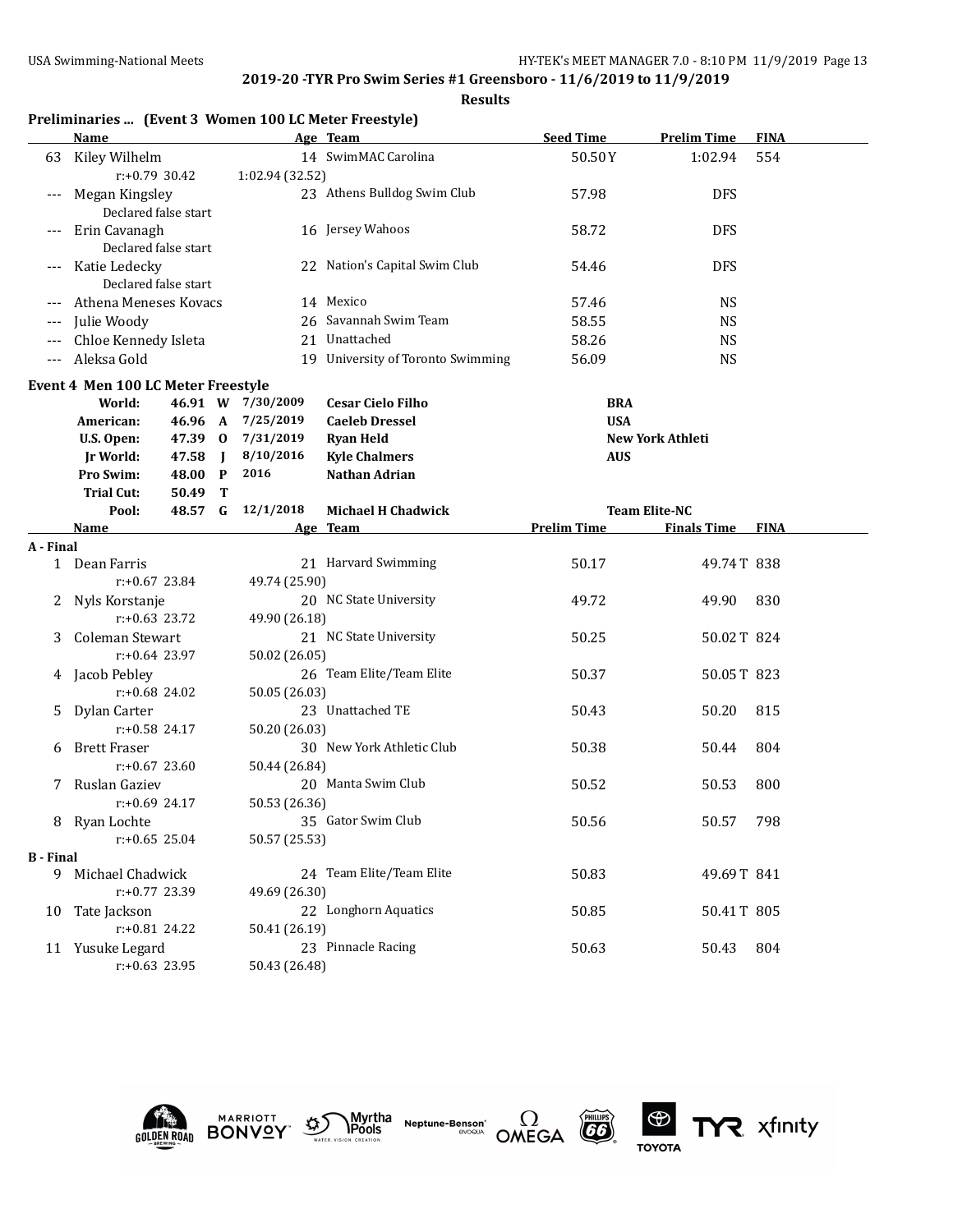|                  |                                    |                  |                |                   | Preliminaries  (Event 3 Women 100 LC Meter Freestyle) |                    |                         |             |
|------------------|------------------------------------|------------------|----------------|-------------------|-------------------------------------------------------|--------------------|-------------------------|-------------|
|                  | <b>Name</b>                        |                  |                |                   | Age Team                                              | <b>Seed Time</b>   | <b>Prelim Time</b>      | <b>FINA</b> |
| 63               | Kiley Wilhelm                      |                  |                |                   | 14 SwimMAC Carolina                                   | 50.50Y             | 1:02.94                 | 554         |
|                  |                                    | r:+0.79 30.42    |                | 1:02.94 (32.52)   |                                                       |                    |                         |             |
| ---              | Megan Kingsley                     |                  |                |                   | 23 Athens Bulldog Swim Club                           | 57.98              | <b>DFS</b>              |             |
|                  | Declared false start               |                  |                |                   |                                                       |                    |                         |             |
| $---$            | Erin Cavanagh                      |                  |                |                   | 16 Jersey Wahoos                                      | 58.72              | <b>DFS</b>              |             |
|                  | Declared false start               |                  |                |                   |                                                       |                    |                         |             |
|                  | Katie Ledecky                      |                  |                |                   | 22 Nation's Capital Swim Club                         | 54.46              | <b>DFS</b>              |             |
|                  | Declared false start               |                  |                |                   |                                                       |                    |                         |             |
|                  | Athena Meneses Kovacs              |                  |                |                   | 14 Mexico                                             | 57.46              | <b>NS</b>               |             |
| ---              | Julie Woody                        |                  |                |                   | 26 Savannah Swim Team                                 | 58.55              | <b>NS</b>               |             |
| ---              | Chloe Kennedy Isleta               |                  |                |                   | 21 Unattached                                         | 58.26              | <b>NS</b>               |             |
| ---              | Aleksa Gold                        |                  |                |                   | 19 University of Toronto Swimming                     | 56.09              | <b>NS</b>               |             |
|                  | Event 4 Men 100 LC Meter Freestyle |                  |                |                   |                                                       |                    |                         |             |
|                  | World:                             |                  |                | 46.91 W 7/30/2009 | <b>Cesar Cielo Filho</b>                              | <b>BRA</b>         |                         |             |
|                  | American:                          | 46.96 A          |                | 7/25/2019         | <b>Caeleb Dressel</b>                                 | <b>USA</b>         |                         |             |
|                  | U.S. Open:                         | 47.39 0          |                | 7/31/2019         | <b>Ryan Held</b>                                      |                    | <b>New York Athleti</b> |             |
|                  | <b>Jr World:</b>                   | 47.58            | $\blacksquare$ | 8/10/2016         | <b>Kyle Chalmers</b>                                  | <b>AUS</b>         |                         |             |
|                  | Pro Swim:                          | 48.00            | $\mathbf{P}$   | 2016              | <b>Nathan Adrian</b>                                  |                    |                         |             |
|                  | <b>Trial Cut:</b>                  | 50.49            | т              |                   |                                                       |                    |                         |             |
|                  | Pool:                              | 48.57 G          |                | 12/1/2018         | <b>Michael H Chadwick</b>                             |                    | <b>Team Elite-NC</b>    |             |
|                  | Name                               |                  |                |                   | Age Team                                              | <b>Prelim Time</b> | <b>Finals Time FINA</b> |             |
| A - Final        |                                    |                  |                |                   |                                                       |                    |                         |             |
|                  | 1 Dean Farris                      |                  |                |                   | 21 Harvard Swimming                                   | 50.17              | 49.74T 838              |             |
|                  |                                    | $r: +0.67$ 23.84 |                | 49.74 (25.90)     |                                                       |                    |                         |             |
| 2.               | Nyls Korstanje                     |                  |                |                   | 20 NC State University                                | 49.72              | 49.90                   | 830         |
|                  |                                    | $r: +0.63$ 23.72 |                | 49.90 (26.18)     |                                                       |                    |                         |             |
| 3                | Coleman Stewart                    |                  |                |                   | 21 NC State University                                | 50.25              | 50.02T 824              |             |
|                  |                                    | $r+0.64$ 23.97   |                | 50.02 (26.05)     |                                                       |                    |                         |             |
| 4                | Jacob Pebley                       |                  |                |                   | 26 Team Elite/Team Elite                              | 50.37              | 50.05T 823              |             |
|                  |                                    | $r: +0.68$ 24.02 |                | 50.05 (26.03)     |                                                       |                    |                         |             |
| 5                | Dylan Carter                       |                  |                |                   | 23 Unattached TE                                      | 50.43              | 50.20                   | 815         |
|                  |                                    | $r: +0.58$ 24.17 |                | 50.20 (26.03)     |                                                       |                    |                         |             |
| 6                | <b>Brett Fraser</b>                |                  |                |                   | 30 New York Athletic Club                             | 50.38              | 50.44                   | 804         |
|                  |                                    | $r: +0.67$ 23.60 |                | 50.44 (26.84)     |                                                       |                    |                         |             |
| 7                | Ruslan Gaziev                      |                  |                |                   | 20 Manta Swim Club                                    | 50.52              | 50.53                   | 800         |
|                  |                                    | r:+0.69 24.17    |                | 50.53 (26.36)     |                                                       |                    |                         |             |
|                  | 8 Ryan Lochte                      |                  |                |                   | 35 Gator Swim Club                                    | 50.56              | 50.57                   | 798         |
|                  |                                    | $r: +0.65$ 25.04 |                | 50.57 (25.53)     |                                                       |                    |                         |             |
| <b>B</b> - Final |                                    |                  |                |                   |                                                       |                    |                         |             |
|                  | 9 Michael Chadwick                 |                  |                |                   | 24 Team Elite/Team Elite                              | 50.83              | 49.69T 841              |             |
|                  |                                    | r:+0.77 23.39    |                | 49.69 (26.30)     |                                                       |                    |                         |             |
| 10               | Tate Jackson                       |                  |                |                   | 22 Longhorn Aquatics                                  | 50.85              | 50.41T 805              |             |
|                  |                                    | r:+0.81 24.22    |                | 50.41 (26.19)     |                                                       |                    |                         |             |
|                  | 11 Yusuke Legard                   |                  |                |                   | 23 Pinnacle Racing                                    | 50.63              | 50.43                   | 804         |
|                  |                                    | $r: +0.63$ 23.95 |                | 50.43 (26.48)     |                                                       |                    |                         |             |











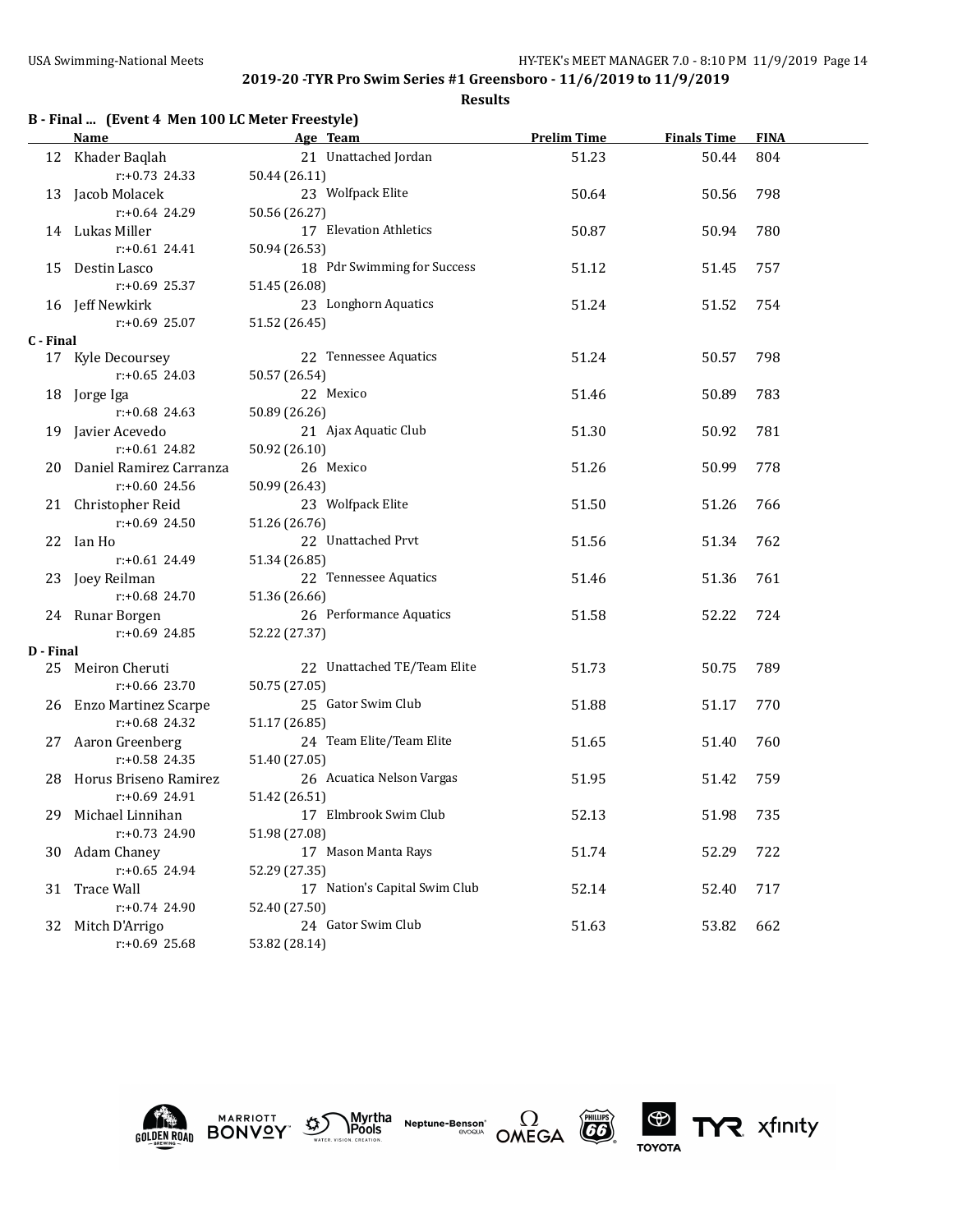|           | B - Final  (Event 4 Men 100 LC Meter Freestyle) |                               |                    |                    |             |  |  |  |
|-----------|-------------------------------------------------|-------------------------------|--------------------|--------------------|-------------|--|--|--|
|           | Name                                            | Age Team                      | <b>Prelim Time</b> | <b>Finals Time</b> | <b>FINA</b> |  |  |  |
|           | 12 Khader Baqlah                                | 21 Unattached Jordan          | 51.23              | 50.44              | 804         |  |  |  |
|           | $r: +0.73$ 24.33                                | 50.44 (26.11)                 |                    |                    |             |  |  |  |
|           | 13 Jacob Molacek                                | 23 Wolfpack Elite             | 50.64              | 50.56              | 798         |  |  |  |
|           | $r: +0.64$ 24.29                                | 50.56 (26.27)                 |                    |                    |             |  |  |  |
|           | 14 Lukas Miller                                 | 17 Elevation Athletics        | 50.87              | 50.94              | 780         |  |  |  |
|           | $r: +0.61$ 24.41                                | 50.94 (26.53)                 |                    |                    |             |  |  |  |
| 15        | Destin Lasco                                    | 18 Pdr Swimming for Success   | 51.12              | 51.45              | 757         |  |  |  |
|           | $r: +0.69$ 25.37                                | 51.45 (26.08)                 |                    |                    |             |  |  |  |
|           | 16 Jeff Newkirk                                 | 23 Longhorn Aquatics          | 51.24              | 51.52              | 754         |  |  |  |
|           | $r: +0.69$ 25.07                                | 51.52 (26.45)                 |                    |                    |             |  |  |  |
| C - Final |                                                 |                               |                    |                    |             |  |  |  |
|           | 17 Kyle Decoursey                               | 22 Tennessee Aquatics         | 51.24              | 50.57              | 798         |  |  |  |
|           | $r: +0.65$ 24.03                                | 50.57 (26.54)                 |                    |                    |             |  |  |  |
| 18        | Jorge Iga                                       | 22 Mexico                     | 51.46              | 50.89              | 783         |  |  |  |
|           | $r: +0.68$ 24.63                                | 50.89 (26.26)                 |                    |                    |             |  |  |  |
| 19        | Javier Acevedo                                  | 21 Ajax Aquatic Club          | 51.30              | 50.92              | 781         |  |  |  |
|           | $r: +0.61$ 24.82                                | 50.92 (26.10)                 |                    |                    |             |  |  |  |
|           | 20 Daniel Ramirez Carranza                      | 26 Mexico                     | 51.26              | 50.99              | 778         |  |  |  |
|           | $r: +0.60$ 24.56                                | 50.99 (26.43)                 |                    |                    |             |  |  |  |
|           | 21 Christopher Reid                             | 23 Wolfpack Elite             | 51.50              | 51.26              | 766         |  |  |  |
|           | $r: +0.69$ 24.50                                | 51.26 (26.76)                 |                    |                    |             |  |  |  |
|           | 22 Ian Ho                                       | 22 Unattached Prvt            | 51.56              | 51.34              | 762         |  |  |  |
|           | $r: +0.61$ 24.49                                | 51.34 (26.85)                 |                    |                    |             |  |  |  |
|           | 23 Joey Reilman                                 | 22 Tennessee Aquatics         | 51.46              | 51.36              | 761         |  |  |  |
|           | $r: +0.68$ 24.70                                | 51.36 (26.66)                 |                    |                    |             |  |  |  |
|           | 24 Runar Borgen                                 | 26 Performance Aquatics       | 51.58              | 52.22              | 724         |  |  |  |
|           | $r: +0.69$ 24.85                                | 52.22 (27.37)                 |                    |                    |             |  |  |  |
| D - Final |                                                 |                               |                    |                    |             |  |  |  |
|           | 25 Meiron Cheruti                               | 22 Unattached TE/Team Elite   | 51.73              | 50.75              | 789         |  |  |  |
|           | $r: +0.66$ 23.70                                | 50.75 (27.05)                 |                    |                    |             |  |  |  |
|           | 26 Enzo Martinez Scarpe                         | 25 Gator Swim Club            | 51.88              | 51.17              | 770         |  |  |  |
|           | $r: +0.68$ 24.32                                | 51.17 (26.85)                 |                    |                    |             |  |  |  |
|           | 27 Aaron Greenberg                              | 24 Team Elite/Team Elite      | 51.65              | 51.40              | 760         |  |  |  |
|           | $r: +0.58$ 24.35                                | 51.40 (27.05)                 |                    |                    |             |  |  |  |
| 28.       | Horus Briseno Ramirez                           | 26 Acuatica Nelson Vargas     | 51.95              | 51.42              | 759         |  |  |  |
|           | $r: +0.69$ 24.91                                | 51.42 (26.51)                 |                    |                    |             |  |  |  |
|           | 29 Michael Linnihan                             | 17 Elmbrook Swim Club         | 52.13              | 51.98              | 735         |  |  |  |
|           | r:+0.73 24.90                                   | 51.98 (27.08)                 |                    |                    |             |  |  |  |
|           | 30 Adam Chaney                                  | 17 Mason Manta Rays           | 51.74              | 52.29              | 722         |  |  |  |
|           | $r: +0.65$ 24.94                                | 52.29 (27.35)                 |                    |                    |             |  |  |  |
| 31        | <b>Trace Wall</b>                               | 17 Nation's Capital Swim Club | 52.14              | 52.40              | 717         |  |  |  |
|           | $r: +0.74$ 24.90                                | 52.40 (27.50)                 |                    |                    |             |  |  |  |
|           | 32 Mitch D'Arrigo                               | 24 Gator Swim Club            | 51.63              |                    | 662         |  |  |  |
|           | $r: +0.69$ 25.68                                |                               |                    | 53.82              |             |  |  |  |
|           |                                                 | 53.82 (28.14)                 |                    |                    |             |  |  |  |











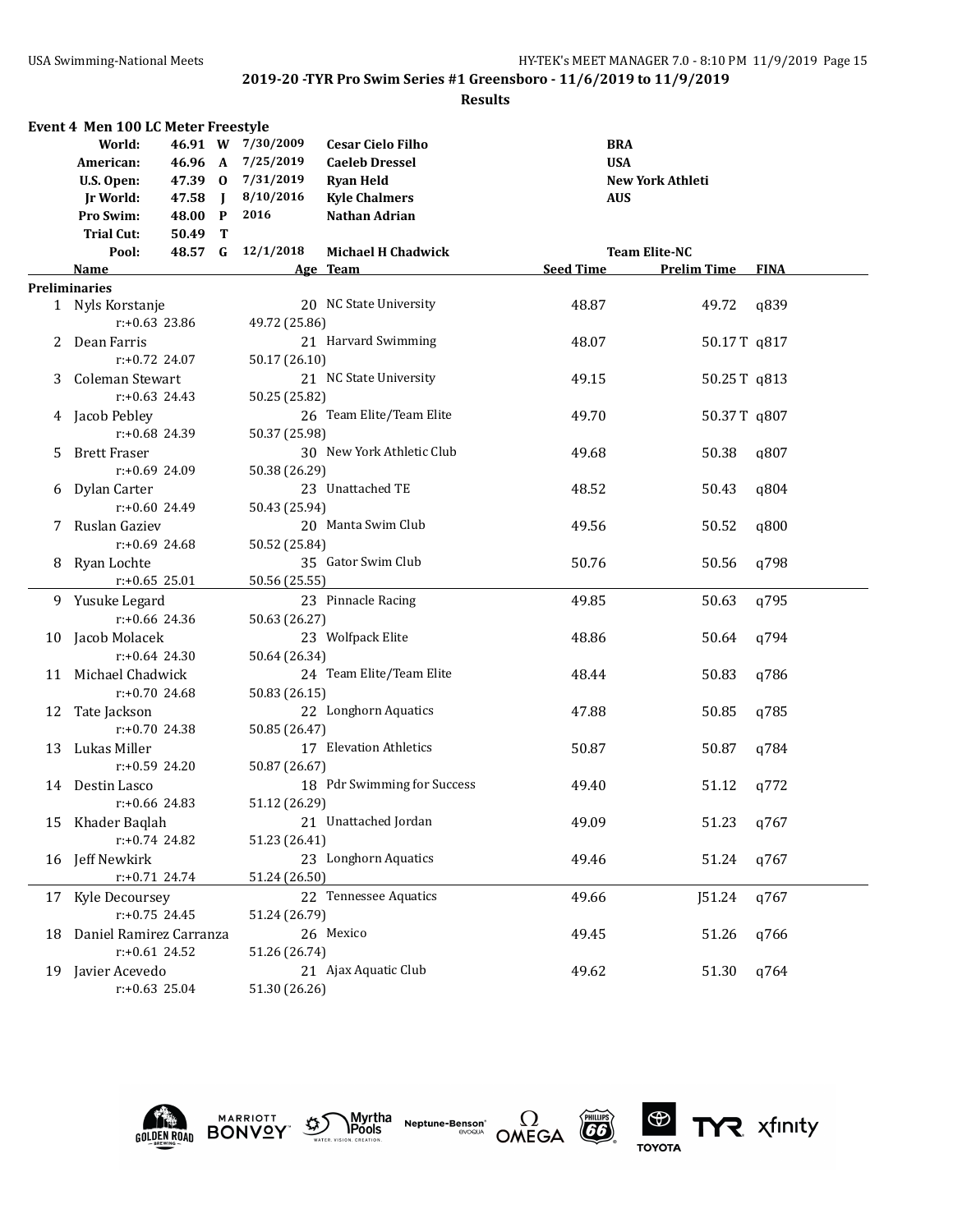|    | Event 4 Men 100 LC Meter Freestyle |         |                |                   |                             |                  |                      |             |  |
|----|------------------------------------|---------|----------------|-------------------|-----------------------------|------------------|----------------------|-------------|--|
|    | World:                             |         |                | 46.91 W 7/30/2009 | <b>Cesar Cielo Filho</b>    | <b>BRA</b>       |                      |             |  |
|    | American:                          |         |                | 46.96 A 7/25/2019 | <b>Caeleb Dressel</b>       | <b>USA</b>       |                      |             |  |
|    | U.S. Open:                         |         |                | 47.39 0 7/31/2019 | <b>Ryan Held</b>            |                  | New York Athleti     |             |  |
|    | Jr World:                          | 47.58   | $\blacksquare$ | 8/10/2016         | <b>Kyle Chalmers</b>        | <b>AUS</b>       |                      |             |  |
|    | <b>Pro Swim:</b>                   | 48.00 P |                | 2016              | Nathan Adrian               |                  |                      |             |  |
|    | <b>Trial Cut:</b>                  | 50.49   | T              |                   |                             |                  |                      |             |  |
|    | Pool:                              |         |                | 48.57 G 12/1/2018 | <b>Michael H Chadwick</b>   |                  | <b>Team Elite-NC</b> |             |  |
|    | Name                               |         |                |                   | Age Team                    | <b>Seed Time</b> | <b>Prelim Time</b>   | <b>FINA</b> |  |
|    | <b>Preliminaries</b>               |         |                |                   |                             |                  |                      |             |  |
|    | 1 Nyls Korstanje                   |         |                |                   | 20 NC State University      | 48.87            | 49.72                | q839        |  |
|    | $r: +0.63$ 23.86                   |         |                | 49.72 (25.86)     |                             |                  |                      |             |  |
|    | 2 Dean Farris                      |         |                |                   | 21 Harvard Swimming         | 48.07            | 50.17T q817          |             |  |
|    | $r: +0.72$ 24.07                   |         |                | 50.17 (26.10)     |                             |                  |                      |             |  |
|    | 3 Coleman Stewart                  |         |                |                   | 21 NC State University      | 49.15            |                      |             |  |
|    |                                    |         |                |                   |                             |                  | 50.25T q813          |             |  |
|    | $r: +0.63$ 24.43                   |         |                | 50.25 (25.82)     |                             |                  |                      |             |  |
|    | 4 Jacob Pebley                     |         |                |                   | 26 Team Elite/Team Elite    | 49.70            | 50.37T q807          |             |  |
|    | $r: +0.68$ 24.39                   |         |                | 50.37 (25.98)     |                             |                  |                      |             |  |
| 5. | <b>Brett Fraser</b>                |         |                |                   | 30 New York Athletic Club   | 49.68            | 50.38                | q807        |  |
|    | $r: +0.69$ 24.09                   |         |                | 50.38 (26.29)     |                             |                  |                      |             |  |
| 6  | Dylan Carter                       |         |                |                   | 23 Unattached TE            | 48.52            | 50.43                | q804        |  |
|    | $r: +0.60$ 24.49                   |         |                | 50.43 (25.94)     |                             |                  |                      |             |  |
| 7  | Ruslan Gaziev                      |         |                |                   | 20 Manta Swim Club          | 49.56            | 50.52                | q800        |  |
|    | $r: +0.69$ 24.68                   |         |                | 50.52 (25.84)     |                             |                  |                      |             |  |
|    | 8 Ryan Lochte                      |         |                |                   | 35 Gator Swim Club          | 50.76            | 50.56                | q798        |  |
|    | $r: +0.65$ 25.01                   |         |                | 50.56 (25.55)     |                             |                  |                      |             |  |
|    | 9 Yusuke Legard                    |         |                |                   | 23 Pinnacle Racing          | 49.85            | 50.63                | q795        |  |
|    | $r: +0.66$ 24.36                   |         |                | 50.63 (26.27)     |                             |                  |                      |             |  |
|    | 10 Jacob Molacek                   |         |                |                   | 23 Wolfpack Elite           | 48.86            | 50.64                | q794        |  |
|    | $r: +0.64$ 24.30                   |         |                | 50.64 (26.34)     |                             |                  |                      |             |  |
|    | 11 Michael Chadwick                |         |                |                   | 24 Team Elite/Team Elite    | 48.44            | 50.83                | q786        |  |
|    | $r: +0.70$ 24.68                   |         |                | 50.83 (26.15)     |                             |                  |                      |             |  |
| 12 | Tate Jackson                       |         |                |                   | 22 Longhorn Aquatics        | 47.88            | 50.85                | q785        |  |
|    | $r: +0.70$ 24.38                   |         |                | 50.85 (26.47)     |                             |                  |                      |             |  |
| 13 | Lukas Miller                       |         |                |                   | 17 Elevation Athletics      | 50.87            | 50.87                | q784        |  |
|    | $r: +0.59$ 24.20                   |         |                | 50.87 (26.67)     |                             |                  |                      |             |  |
|    | 14 Destin Lasco                    |         |                |                   | 18 Pdr Swimming for Success | 49.40            | 51.12                | q772        |  |
|    | $r: +0.66$ 24.83                   |         |                |                   |                             |                  |                      |             |  |
|    |                                    |         |                | 51.12 (26.29)     |                             |                  |                      |             |  |
|    | 15 Khader Baqlah                   |         |                |                   | 21 Unattached Jordan        | 49.09            | 51.23                | q767        |  |
|    | $r: +0.74$ 24.82                   |         |                | 51.23 (26.41)     |                             |                  |                      |             |  |
|    | 16 Jeff Newkirk                    |         |                |                   | 23 Longhorn Aquatics        | 49.46            | 51.24                | q767        |  |
|    | $r: +0.71$ 24.74                   |         |                | 51.24 (26.50)     |                             |                  |                      |             |  |
| 17 | Kyle Decoursey                     |         |                |                   | 22 Tennessee Aquatics       | 49.66            | J51.24               | q767        |  |
|    | $r: +0.75$ 24.45                   |         |                | 51.24 (26.79)     |                             |                  |                      |             |  |
| 18 | Daniel Ramirez Carranza            |         |                |                   | 26 Mexico                   | 49.45            | 51.26                | q766        |  |
|    | $r.+0.61$ 24.52                    |         |                | 51.26 (26.74)     |                             |                  |                      |             |  |
| 19 | Javier Acevedo                     |         |                |                   | 21 Ajax Aquatic Club        | 49.62            | 51.30                | q764        |  |
|    | $r: +0.63$ 25.04                   |         |                | 51.30 (26.26)     |                             |                  |                      |             |  |











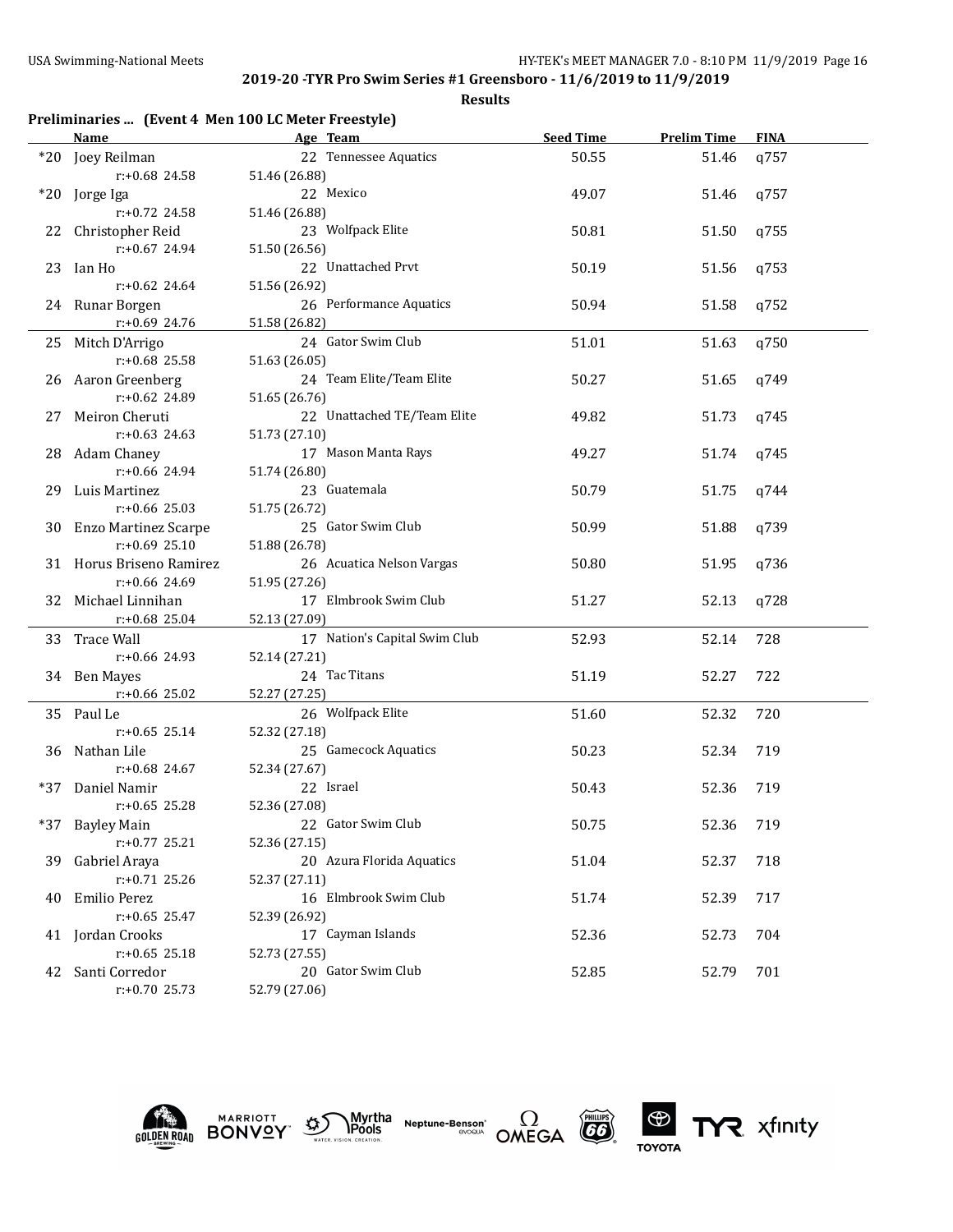|     |                             | Preliminaries  (Event 4 Men 100 LC Meter Freestyle) |                  |                    |             |
|-----|-----------------------------|-----------------------------------------------------|------------------|--------------------|-------------|
|     | Name                        | Age Team                                            | <b>Seed Time</b> | <b>Prelim Time</b> | <b>FINA</b> |
|     | *20 Joey Reilman            | 22 Tennessee Aquatics                               | 50.55            | 51.46              | q757        |
|     | r:+0.68 24.58               | 51.46 (26.88)                                       |                  |                    |             |
|     | *20 Jorge Iga               | 22 Mexico                                           | 49.07            | 51.46              | q757        |
|     | r:+0.72 24.58               | 51.46 (26.88)                                       |                  |                    |             |
| 22  | Christopher Reid            | 23 Wolfpack Elite                                   | 50.81            | 51.50              | q755        |
|     | $r: +0.67$ 24.94            | 51.50 (26.56)                                       |                  |                    |             |
| 23  | Ian Ho                      | 22 Unattached Prvt                                  | 50.19            | 51.56              | q753        |
|     | $r: +0.62$ 24.64            | 51.56 (26.92)                                       |                  |                    |             |
|     | 24 Runar Borgen             | 26 Performance Aquatics                             | 50.94            | 51.58              | q752        |
|     | r:+0.69 24.76               | 51.58 (26.82)                                       |                  |                    |             |
|     |                             | 24 Gator Swim Club                                  |                  |                    |             |
|     | 25 Mitch D'Arrigo           |                                                     | 51.01            | 51.63              | q750        |
|     | $r: +0.68$ 25.58            | 51.63 (26.05)                                       |                  |                    |             |
| 26  | Aaron Greenberg             | 24 Team Elite/Team Elite                            | 50.27            | 51.65              | q749        |
|     | r:+0.62 24.89               | 51.65 (26.76)                                       |                  |                    |             |
| 27  | Meiron Cheruti              | 22 Unattached TE/Team Elite                         | 49.82            | 51.73              | q745        |
|     | $r: +0.63$ 24.63            | 51.73 (27.10)                                       |                  |                    |             |
| 28  | <b>Adam Chaney</b>          | 17 Mason Manta Rays                                 | 49.27            | 51.74              | q745        |
|     | r:+0.66 24.94               | 51.74 (26.80)                                       |                  |                    |             |
| 29  | Luis Martinez               | 23 Guatemala                                        | 50.79            | 51.75              | q744        |
|     | r:+0.66 25.03               | 51.75 (26.72)                                       |                  |                    |             |
| 30  | <b>Enzo Martinez Scarpe</b> | 25 Gator Swim Club                                  | 50.99            | 51.88              | q739        |
|     | $r: +0.69$ 25.10            | 51.88 (26.78)                                       |                  |                    |             |
|     | 31 Horus Briseno Ramirez    | 26 Acuatica Nelson Vargas                           | 50.80            | 51.95              | q736        |
|     | $r: +0.66$ 24.69            | 51.95 (27.26)                                       |                  |                    |             |
|     | 32 Michael Linnihan         | 17 Elmbrook Swim Club                               | 51.27            | 52.13              | q728        |
|     | r:+0.68 25.04               | 52.13 (27.09)                                       |                  |                    |             |
|     | 33 Trace Wall               | 17 Nation's Capital Swim Club                       | 52.93            | 52.14              | 728         |
|     | r:+0.66 24.93               | 52.14 (27.21)                                       |                  |                    |             |
|     | 34 Ben Mayes                | 24 Tac Titans                                       | 51.19            | 52.27              | 722         |
|     | r:+0.66 25.02               | 52.27 (27.25)                                       |                  |                    |             |
|     |                             | 26 Wolfpack Elite                                   |                  |                    |             |
|     | 35 Paul Le                  |                                                     | 51.60            | 52.32              | 720         |
|     | $r: +0.65$ 25.14            | 52.32 (27.18)                                       |                  |                    |             |
| 36  | Nathan Lile                 | 25 Gamecock Aquatics                                | 50.23            | 52.34              | 719         |
|     | $r: +0.68$ 24.67            | 52.34 (27.67)                                       |                  |                    |             |
| *37 | Daniel Namir                | 22 Israel                                           | 50.43            | 52.36              | 719         |
|     | r:+0.65 25.28               | 52.36 (27.08)                                       |                  |                    |             |
| *37 | <b>Bayley Main</b>          | 22 Gator Swim Club                                  | 50.75            | 52.36              | 719         |
|     | r:+0.77 25.21               | 52.36 (27.15)                                       |                  |                    |             |
| 39. | Gabriel Araya               | 20 Azura Florida Aquatics                           | 51.04            | 52.37              | 718         |
|     | $r: +0.71$ 25.26            | 52.37 (27.11)                                       |                  |                    |             |
| 40  | Emilio Perez                | 16 Elmbrook Swim Club                               | 51.74            | 52.39              | 717         |
|     | $r: +0.65$ 25.47            | 52.39 (26.92)                                       |                  |                    |             |
|     | 41 Jordan Crooks            | 17 Cayman Islands                                   | 52.36            | 52.73              | 704         |
|     | $r: +0.65$ 25.18            | 52.73 (27.55)                                       |                  |                    |             |
| 42  | Santi Corredor              | 20 Gator Swim Club                                  | 52.85            | 52.79              | 701         |
|     | $r: +0.70$ 25.73            | 52.79 (27.06)                                       |                  |                    |             |











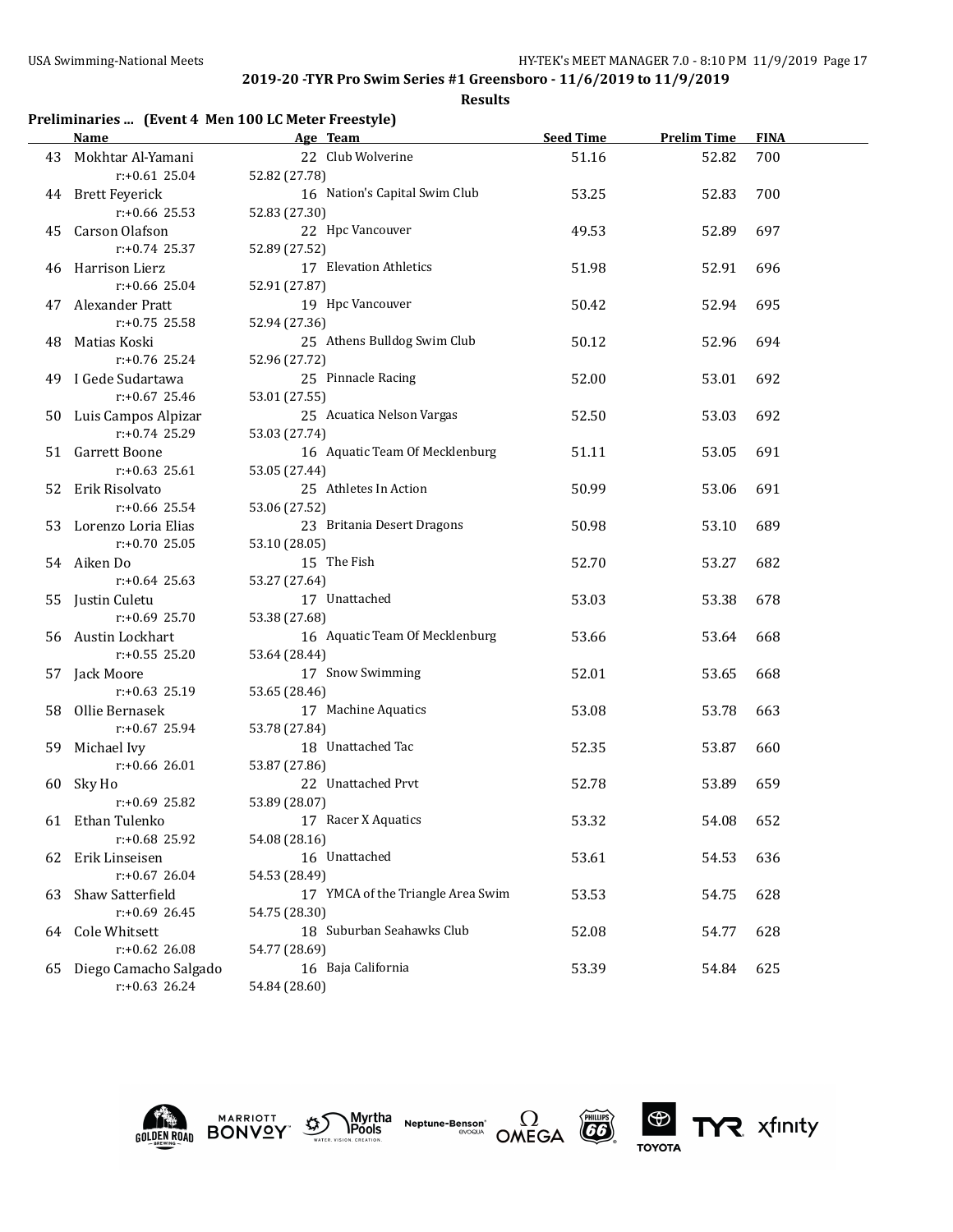| Preliminaries  (Event 4 Men 100 LC Meter Freestyle) |  |  |  |  |
|-----------------------------------------------------|--|--|--|--|
|-----------------------------------------------------|--|--|--|--|

|    | Name                     | Age Team                          | <b>Seed Time</b> | <b>Prelim Time</b> | <b>FINA</b> |
|----|--------------------------|-----------------------------------|------------------|--------------------|-------------|
|    | 43 Mokhtar Al-Yamani     | 22 Club Wolverine                 | 51.16            | 52.82              | 700         |
|    | $r: +0.61$ 25.04         | 52.82 (27.78)                     |                  |                    |             |
|    | 44 Brett Feyerick        | 16 Nation's Capital Swim Club     | 53.25            | 52.83              | 700         |
|    | $r: +0.66$ 25.53         | 52.83 (27.30)                     |                  |                    |             |
|    | 45 Carson Olafson        | 22 Hpc Vancouver                  | 49.53            | 52.89              | 697         |
|    | $r: +0.74$ 25.37         | 52.89 (27.52)                     |                  |                    |             |
|    | 46 Harrison Lierz        | 17 Elevation Athletics            | 51.98            | 52.91              | 696         |
|    | $r: +0.66$ 25.04         | 52.91 (27.87)                     |                  |                    |             |
|    | 47 Alexander Pratt       | 19 Hpc Vancouver                  | 50.42            | 52.94              | 695         |
|    | $r: +0.75$ 25.58         | 52.94 (27.36)                     |                  |                    |             |
| 48 | Matias Koski             | 25 Athens Bulldog Swim Club       | 50.12            | 52.96              | 694         |
|    | $r: +0.76$ 25.24         | 52.96 (27.72)                     |                  |                    |             |
|    | 49 I Gede Sudartawa      | 25 Pinnacle Racing                | 52.00            | 53.01              | 692         |
|    | $r: +0.67$ 25.46         | 53.01 (27.55)                     |                  |                    |             |
|    | 50 Luis Campos Alpizar   | 25 Acuatica Nelson Vargas         | 52.50            | 53.03              | 692         |
|    | $r: +0.74$ 25.29         | 53.03 (27.74)                     |                  |                    |             |
|    | 51 Garrett Boone         | 16 Aquatic Team Of Mecklenburg    | 51.11            | 53.05              | 691         |
|    | $r: +0.63$ 25.61         | 53.05 (27.44)                     |                  |                    |             |
|    | 52 Erik Risolvato        | 25 Athletes In Action             | 50.99            | 53.06              | 691         |
|    | $r: +0.66$ 25.54         | 53.06 (27.52)                     |                  |                    |             |
|    | 53 Lorenzo Loria Elias   | 23 Britania Desert Dragons        | 50.98            | 53.10              | 689         |
|    | r:+0.70 25.05            | 53.10 (28.05)                     |                  |                    |             |
|    | 54 Aiken Do              | 15 The Fish                       | 52.70            | 53.27              | 682         |
|    | $r: +0.64$ 25.63         | 53.27 (27.64)                     |                  |                    |             |
|    | 55 Justin Culetu         | 17 Unattached                     | 53.03            | 53.38              | 678         |
|    | $r: +0.69$ 25.70         | 53.38 (27.68)                     |                  |                    |             |
|    | 56 Austin Lockhart       | 16 Aquatic Team Of Mecklenburg    | 53.66            | 53.64              | 668         |
|    | $r: +0.55$ 25.20         | 53.64 (28.44)                     |                  |                    |             |
|    | 57 Jack Moore            | 17 Snow Swimming                  | 52.01            | 53.65              | 668         |
|    | $r: +0.63$ 25.19         | 53.65 (28.46)                     |                  |                    |             |
|    | 58 Ollie Bernasek        | 17 Machine Aquatics               | 53.08            | 53.78              | 663         |
|    | $r: +0.67$ 25.94         | 53.78 (27.84)                     |                  |                    |             |
|    | 59 Michael Ivy           | 18 Unattached Tac                 | 52.35            | 53.87              | 660         |
|    | $r: +0.66$ 26.01         | 53.87 (27.86)                     |                  |                    |             |
|    | 60 Sky Ho                | 22 Unattached Prvt                | 52.78            | 53.89              | 659         |
|    | $r: +0.69$ 25.82         | 53.89 (28.07)                     |                  |                    |             |
|    | 61 Ethan Tulenko         | 17 Racer X Aquatics               | 53.32            | 54.08              | 652         |
|    | r:+0.68 25.92            | 54.08 (28.16)                     |                  |                    |             |
| 62 | Erik Linseisen           | 16 Unattached                     | 53.61            | 54.53              | 636         |
|    | $r: +0.67$ 26.04         | 54.53 (28.49)                     |                  |                    |             |
| 63 | Shaw Satterfield         | 17 YMCA of the Triangle Area Swim | 53.53            | 54.75              | 628         |
|    | $r: +0.69$ 26.45         | 54.75 (28.30)                     |                  |                    |             |
| 64 | Cole Whitsett            | 18 Suburban Seahawks Club         | 52.08            | 54.77              | 628         |
|    | $r: +0.62$ 26.08         | 54.77 (28.69)                     |                  |                    |             |
|    | 65 Diego Camacho Salgado | 16 Baja California                | 53.39            | 54.84              | 625         |
|    | $r: +0.63$ 26.24         | 54.84 (28.60)                     |                  |                    |             |











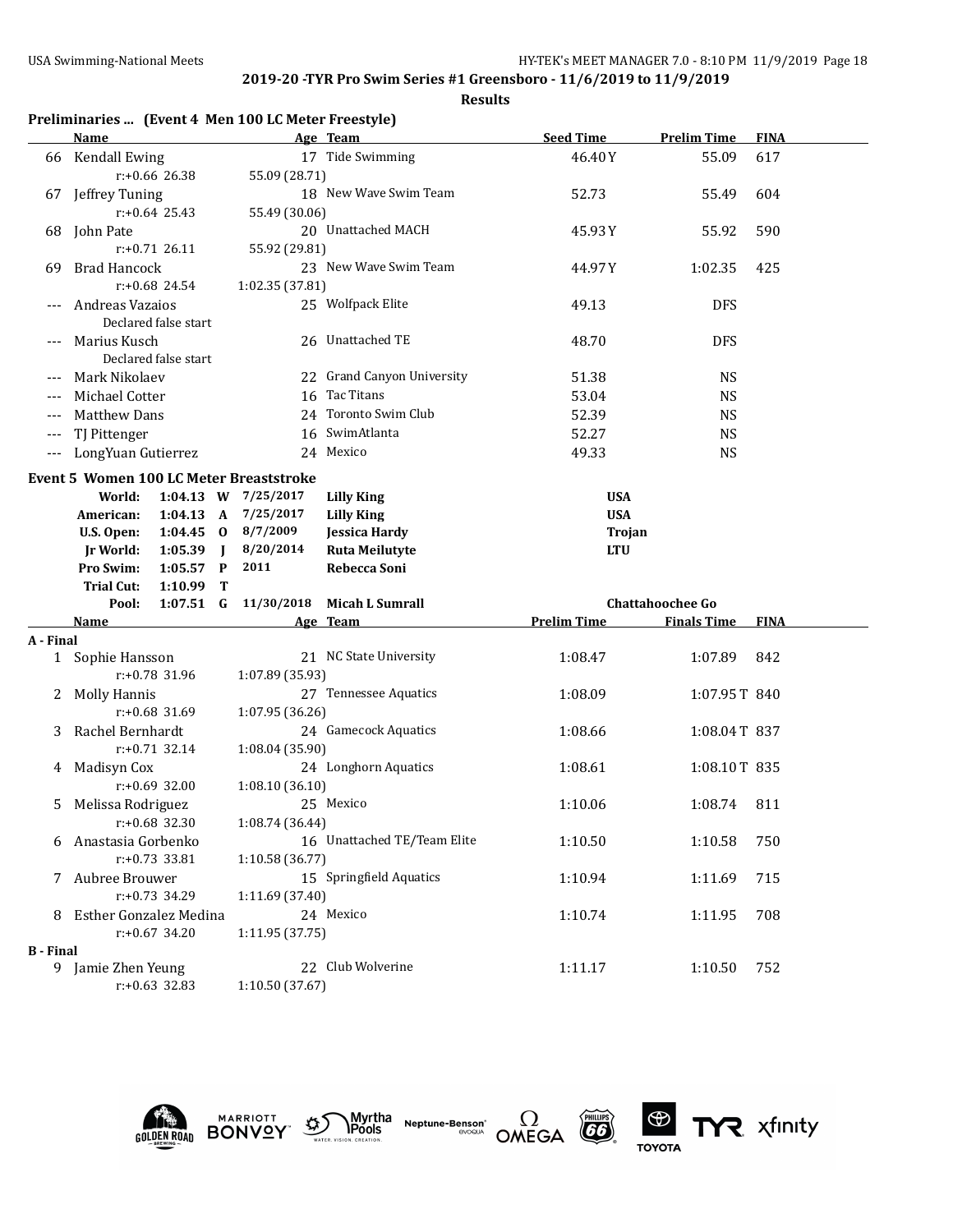|                  | Preliminaries  (Event 4 Men 100 LC Meter Freestyle) |                      |                             |                    |                         |             |
|------------------|-----------------------------------------------------|----------------------|-----------------------------|--------------------|-------------------------|-------------|
|                  | Name                                                |                      | Age Team                    | <b>Seed Time</b>   | <b>Prelim Time</b>      | <b>FINA</b> |
| 66               | Kendall Ewing                                       |                      | 17 Tide Swimming            | 46.40Y             | 55.09                   | 617         |
|                  | $r: +0.66$ 26.38                                    | 55.09 (28.71)        |                             |                    |                         |             |
|                  | 67 Jeffrey Tuning                                   |                      | 18 New Wave Swim Team       | 52.73              | 55.49                   | 604         |
|                  | $r: +0.64$ 25.43                                    | 55.49 (30.06)        |                             |                    |                         |             |
| 68               | John Pate                                           |                      | 20 Unattached MACH          | 45.93Y             | 55.92                   | 590         |
|                  | $r: +0.71$ 26.11                                    | 55.92 (29.81)        |                             |                    |                         |             |
| 69               | <b>Brad Hancock</b>                                 |                      | 23 New Wave Swim Team       | 44.97Y             | 1:02.35                 | 425         |
|                  | $r: +0.68$ 24.54                                    | 1:02.35 (37.81)      |                             |                    |                         |             |
|                  | Andreas Vazaios                                     |                      | 25 Wolfpack Elite           | 49.13              | <b>DFS</b>              |             |
|                  | Declared false start                                |                      |                             |                    |                         |             |
|                  | Marius Kusch                                        |                      | 26 Unattached TE            | 48.70              | <b>DFS</b>              |             |
|                  | Declared false start                                |                      |                             |                    |                         |             |
|                  | Mark Nikolaev                                       |                      | 22 Grand Canyon University  | 51.38              | <b>NS</b>               |             |
| $---$            | Michael Cotter                                      |                      | 16 Tac Titans               | 53.04              | <b>NS</b>               |             |
| ---              | <b>Matthew Dans</b>                                 |                      | 24 Toronto Swim Club        | 52.39              | <b>NS</b>               |             |
| $---$            | TJ Pittenger                                        |                      | 16 SwimAtlanta              | 52.27              | <b>NS</b>               |             |
| $---$            | LongYuan Gutierrez                                  |                      | 24 Mexico                   | 49.33              | <b>NS</b>               |             |
|                  |                                                     |                      |                             |                    |                         |             |
|                  | <b>Event 5 Women 100 LC Meter Breaststroke</b>      |                      |                             |                    |                         |             |
|                  | World:                                              | 1:04.13 W 7/25/2017  | <b>Lilly King</b>           | <b>USA</b>         |                         |             |
|                  | American:                                           | 1:04.13 A 7/25/2017  | <b>Lilly King</b>           | <b>USA</b>         |                         |             |
|                  | U.S. Open:                                          | 1:04.45 0 $8/7/2009$ | <b>Jessica Hardy</b>        | Trojan             |                         |             |
|                  | 1:05.39<br>Jr World:<br>$\blacksquare$              | 8/20/2014            | <b>Ruta Meilutyte</b>       | <b>LTU</b>         |                         |             |
|                  | Pro Swim:<br>$1:05.57$ P                            | 2011                 | Rebecca Soni                |                    |                         |             |
|                  | <b>Trial Cut:</b><br>1:10.99<br>Т                   |                      |                             |                    |                         |             |
|                  | $1:07.51$ G<br>Pool:                                | 11/30/2018           | Micah L Sumrall             |                    | <b>Chattahoochee Go</b> |             |
|                  | Name                                                |                      | Age Team                    | <b>Prelim Time</b> | <b>Finals Time</b>      | <b>FINA</b> |
| A - Final        |                                                     |                      |                             |                    |                         |             |
|                  | 1 Sophie Hansson                                    |                      | 21 NC State University      | 1:08.47            | 1:07.89                 | 842         |
|                  | r:+0.78 31.96                                       | 1:07.89 (35.93)      |                             |                    |                         |             |
| 2                | <b>Molly Hannis</b>                                 |                      | 27 Tennessee Aquatics       | 1:08.09            | 1:07.95T 840            |             |
|                  | r:+0.68 31.69                                       | 1:07.95 (36.26)      |                             |                    |                         |             |
| 3                | Rachel Bernhardt                                    |                      | 24 Gamecock Aquatics        | 1:08.66            | 1:08.04T 837            |             |
|                  | $r: +0.71$ 32.14                                    | 1:08.04 (35.90)      |                             |                    |                         |             |
| 4                | Madisyn Cox                                         |                      | 24 Longhorn Aquatics        | 1:08.61            | 1:08.10T 835            |             |
|                  | $r: +0.69$ 32.00                                    | 1:08.10 (36.10)      |                             |                    |                         |             |
|                  | 5 Melissa Rodriguez                                 |                      | 25 Mexico                   | 1:10.06            | 1:08.74 811             |             |
|                  | $r: +0.68$ 32.30                                    | 1:08.74(36.44)       |                             |                    |                         |             |
|                  | Anastasia Gorbenko                                  |                      | 16 Unattached TE/Team Elite | 1:10.50            | 1:10.58                 | 750         |
|                  | $r: +0.73$ 33.81                                    | 1:10.58 (36.77)      |                             |                    |                         |             |
|                  | 7 Aubree Brouwer                                    |                      | 15 Springfield Aquatics     | 1:10.94            | 1:11.69                 | 715         |
|                  | r:+0.73 34.29<br>1:11.69 (37.40)                    |                      |                             |                    |                         |             |
|                  | 8 Esther Gonzalez Medina                            |                      | 24 Mexico                   | 1:10.74            | 1:11.95                 | 708         |
|                  | $r: +0.67$ 34.20                                    | 1:11.95 (37.75)      |                             |                    |                         |             |
| <b>B</b> - Final |                                                     |                      |                             |                    |                         |             |
|                  | 9 Jamie Zhen Yeung                                  |                      | 22 Club Wolverine           | 1:11.17            | 1:10.50                 | 752         |
|                  | $r: +0.63$ 32.83                                    | 1:10.50 (37.67)      |                             |                    |                         |             |











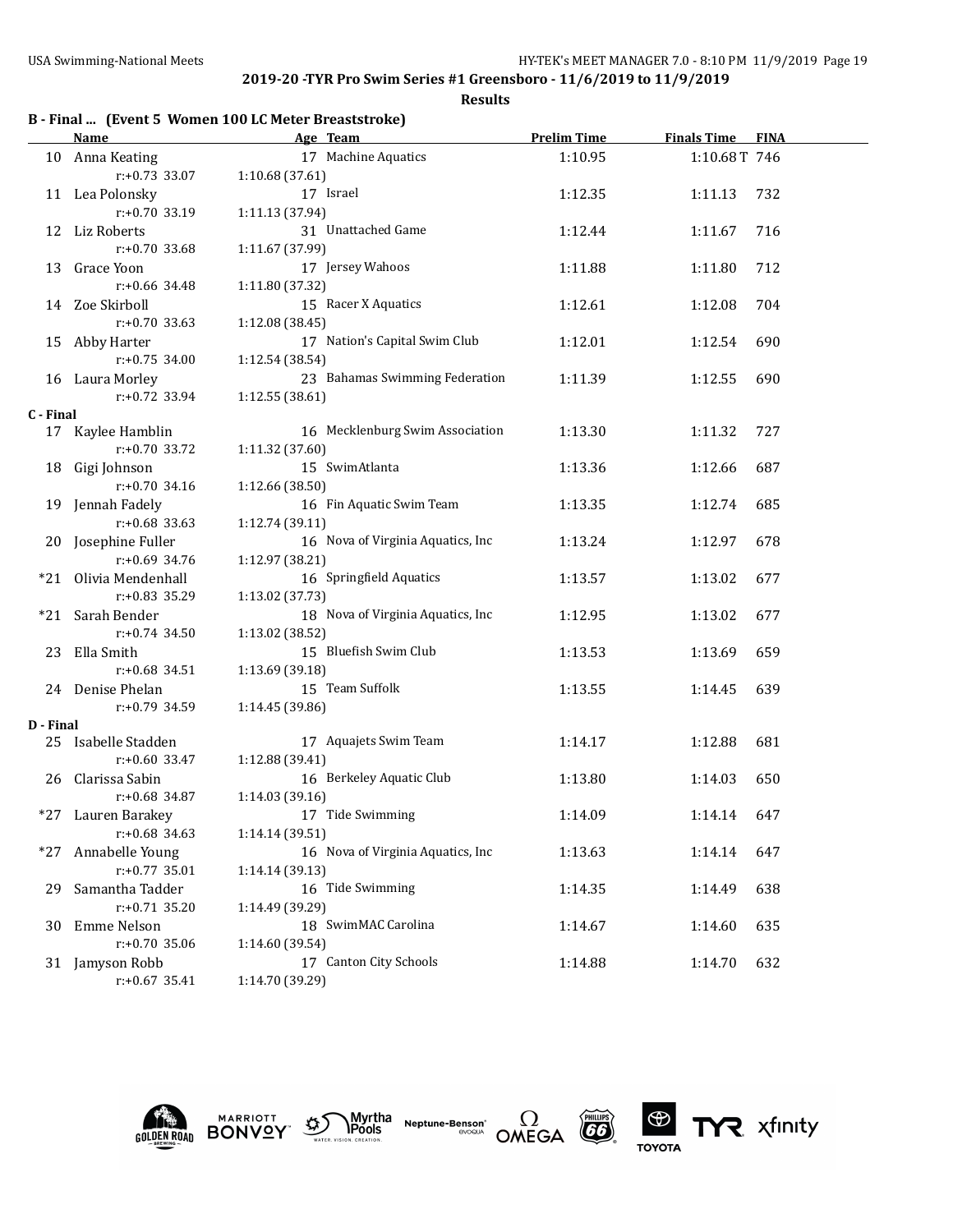|           |                       | B - Final  (Event 5 Women 100 LC Meter Breaststroke) |                    |                    |             |
|-----------|-----------------------|------------------------------------------------------|--------------------|--------------------|-------------|
|           | <b>Name</b>           | Age Team                                             | <b>Prelim Time</b> | <b>Finals Time</b> | <b>FINA</b> |
| 10        | Anna Keating          | 17 Machine Aquatics                                  | 1:10.95            | 1:10.68T 746       |             |
|           | $r: +0.73$ 33.07      | 1:10.68 (37.61)                                      |                    |                    |             |
|           | 11 Lea Polonsky       | 17 Israel                                            | 1:12.35            | 1:11.13            | 732         |
|           | $r: +0.70$ 33.19      | 1:11.13 (37.94)                                      |                    |                    |             |
|           | 12 Liz Roberts        | 31 Unattached Game                                   | 1:12.44            | 1:11.67            | 716         |
|           | $r: +0.70$ 33.68      | 1:11.67 (37.99)                                      |                    |                    |             |
|           | 13 Grace Yoon         | 17 Jersey Wahoos                                     | 1:11.88            | 1:11.80            | 712         |
|           | $r: +0.66$ 34.48      | 1:11.80 (37.32)                                      |                    |                    |             |
|           | 14 Zoe Skirboll       | 15 Racer X Aquatics                                  | 1:12.61            | 1:12.08            | 704         |
|           | $r: +0.70$ 33.63      | 1:12.08 (38.45)                                      |                    |                    |             |
|           | 15 Abby Harter        | 17 Nation's Capital Swim Club                        | 1:12.01            | 1:12.54            | 690         |
|           | $r: +0.75$ 34.00      | 1:12.54 (38.54)                                      |                    |                    |             |
|           | 16 Laura Morley       | 23 Bahamas Swimming Federation                       | 1:11.39            | 1:12.55            | 690         |
|           | $r: +0.72$ 33.94      | 1:12.55 (38.61)                                      |                    |                    |             |
| C - Final |                       |                                                      |                    |                    |             |
| 17        | Kaylee Hamblin        | 16 Mecklenburg Swim Association                      | 1:13.30            | 1:11.32            | 727         |
|           | $r: +0.70$ 33.72      | 1:11.32 (37.60)                                      |                    |                    |             |
|           | 18 Gigi Johnson       | 15 SwimAtlanta                                       | 1:13.36            | 1:12.66            | 687         |
|           | $r: +0.70$ 34.16      | 1:12.66 (38.50)                                      |                    |                    |             |
|           | 19 Jennah Fadely      | 16 Fin Aquatic Swim Team                             | 1:13.35            | 1:12.74            | 685         |
|           | $r: +0.68$ 33.63      | 1:12.74 (39.11)                                      |                    |                    |             |
|           | 20 Josephine Fuller   | 16 Nova of Virginia Aquatics, Inc.                   | 1:13.24            | 1:12.97            | 678         |
|           | $r: +0.69$ 34.76      | 1:12.97 (38.21)                                      |                    |                    |             |
|           | *21 Olivia Mendenhall | 16 Springfield Aquatics                              | 1:13.57            | 1:13.02            | 677         |
|           | $r: +0.83$ 35.29      | 1:13.02 (37.73)                                      |                    |                    |             |
| *21       | Sarah Bender          | 18 Nova of Virginia Aquatics, Inc                    | 1:12.95            | 1:13.02            | 677         |
|           | $r: +0.74$ 34.50      | 1:13.02 (38.52)                                      |                    |                    |             |
|           | 23 Ella Smith         | 15 Bluefish Swim Club                                | 1:13.53            | 1:13.69            | 659         |
|           | $r: +0.68$ 34.51      | 1:13.69 (39.18)                                      |                    |                    |             |
|           | 24 Denise Phelan      | 15 Team Suffolk                                      | 1:13.55            | 1:14.45            | 639         |
|           | $r: +0.79$ 34.59      | 1:14.45 (39.86)                                      |                    |                    |             |
| D - Final |                       |                                                      |                    |                    |             |
|           | 25 Isabelle Stadden   | 17 Aquajets Swim Team                                | 1:14.17            | 1:12.88            | 681         |
|           | $r: +0.60$ 33.47      | 1:12.88 (39.41)                                      |                    |                    |             |
| 26        | Clarissa Sabin        | 16 Berkeley Aquatic Club                             | 1:13.80            | 1:14.03            | 650         |
|           | $r: +0.68$ 34.87      | 1:14.03 (39.16)                                      |                    |                    |             |
|           | *27 Lauren Barakey    | 17 Tide Swimming                                     | 1:14.09            | 1:14.14            | 647         |
|           | $r: +0.68$ 34.63      | 1:14.14 (39.51)                                      |                    |                    |             |
| *27       | Annabelle Young       | 16 Nova of Virginia Aquatics, Inc.                   | 1:13.63            | 1:14.14            | 647         |
|           | $r: +0.77$ 35.01      | 1:14.14 (39.13)                                      |                    |                    |             |
| 29        | Samantha Tadder       | 16 Tide Swimming                                     | 1:14.35            | 1:14.49            | 638         |
|           | $r: +0.71$ 35.20      | 1:14.49 (39.29)                                      |                    |                    |             |
| 30        | Emme Nelson           | 18 SwimMAC Carolina                                  | 1:14.67            | 1:14.60            | 635         |
|           | $r: +0.70$ 35.06      | 1:14.60 (39.54)                                      |                    |                    |             |
|           | 31 Jamyson Robb       | 17 Canton City Schools                               | 1:14.88            | 1:14.70            | 632         |
|           | $r: +0.67$ 35.41      | 1:14.70 (39.29)                                      |                    |                    |             |











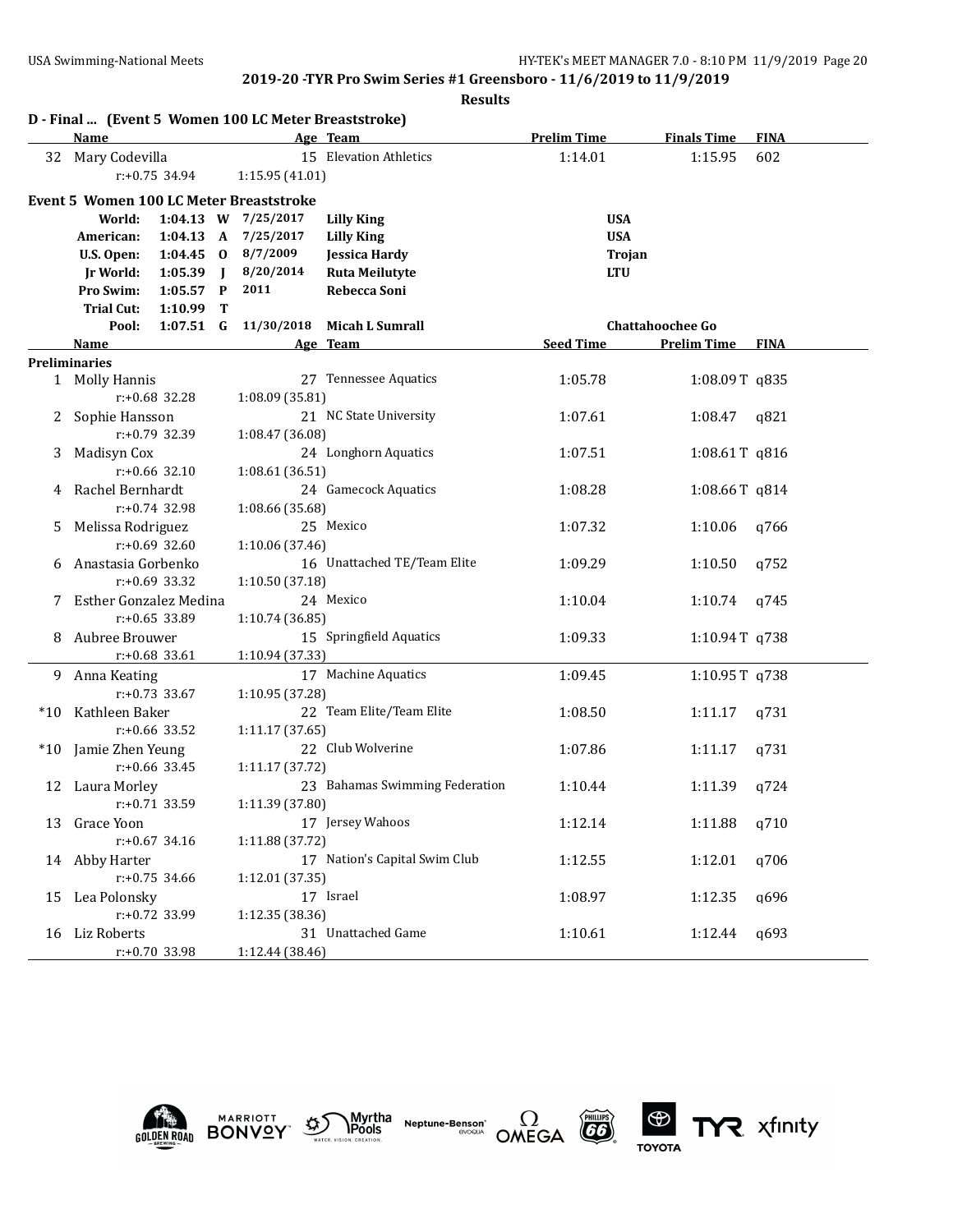|    | D - Final  (Event 5 Women 100 LC Meter Breaststroke) |                     |              |                     |                                |                    |                         |             |
|----|------------------------------------------------------|---------------------|--------------|---------------------|--------------------------------|--------------------|-------------------------|-------------|
|    | Name                                                 |                     |              |                     | Age Team                       | <b>Prelim Time</b> | <b>Finals Time</b>      | <b>FINA</b> |
| 32 | Mary Codevilla                                       |                     |              |                     | 15 Elevation Athletics         | 1:14.01            | 1:15.95                 | 602         |
|    |                                                      | $r: +0.75$ 34.94    |              | 1:15.95(41.01)      |                                |                    |                         |             |
|    | <b>Event 5 Women 100 LC Meter Breaststroke</b>       |                     |              |                     |                                |                    |                         |             |
|    | World:                                               |                     |              | 1:04.13 W 7/25/2017 | <b>Lilly King</b>              | <b>USA</b>         |                         |             |
|    | American:                                            | $1:04.13 \text{ A}$ |              | 7/25/2017           | <b>Lilly King</b>              | <b>USA</b>         |                         |             |
|    | U.S. Open:                                           | $1:04.45$ 0         |              | 8/7/2009            | <b>Jessica Hardy</b>           | Trojan             |                         |             |
|    | Jr World:                                            | 1:05.39             | $\mathbf{I}$ | 8/20/2014           | <b>Ruta Meilutyte</b>          | <b>LTU</b>         |                         |             |
|    | Pro Swim:                                            | 1:05.57             | $\mathbf{P}$ | 2011                | Rebecca Soni                   |                    |                         |             |
|    | <b>Trial Cut:</b>                                    | 1:10.99             | т            |                     |                                |                    |                         |             |
|    | Pool:                                                | $1:07.51$ G         |              | 11/30/2018          | <b>Micah L Sumrall</b>         |                    | <b>Chattahoochee Go</b> |             |
|    | <b>Name</b>                                          |                     |              |                     | Age Team                       | <b>Seed Time</b>   | <b>Prelim Time</b>      | <b>FINA</b> |
|    | <b>Preliminaries</b>                                 |                     |              |                     |                                |                    |                         |             |
|    | 1 Molly Hannis                                       |                     |              |                     | 27 Tennessee Aquatics          | 1:05.78            | 1:08.09T q835           |             |
|    |                                                      | r:+0.68 32.28       |              | 1:08.09 (35.81)     |                                |                    |                         |             |
|    | 2 Sophie Hansson                                     |                     |              |                     | 21 NC State University         | 1:07.61            | 1:08.47                 | q821        |
|    |                                                      | r:+0.79 32.39       |              | 1:08.47 (36.08)     |                                |                    |                         |             |
| 3  | Madisyn Cox                                          |                     |              |                     | 24 Longhorn Aquatics           | 1:07.51            | 1:08.61T q816           |             |
|    |                                                      | $r: +0.66$ 32.10    |              | 1:08.61 (36.51)     |                                |                    |                         |             |
| 4  | Rachel Bernhardt                                     |                     |              |                     | 24 Gamecock Aquatics           | 1:08.28            | 1:08.66T q814           |             |
|    |                                                      | $r: +0.74$ 32.98    |              | 1:08.66 (35.68)     |                                |                    |                         |             |
| 5. | Melissa Rodriguez                                    | $r: +0.69$ 32.60    |              |                     | 25 Mexico                      | 1:07.32            | 1:10.06                 | q766        |
|    | Anastasia Gorbenko                                   |                     |              | 1:10.06 (37.46)     | 16 Unattached TE/Team Elite    | 1:09.29            | 1:10.50                 | q752        |
| 6  |                                                      | $r: +0.69$ 33.32    |              | 1:10.50 (37.18)     |                                |                    |                         |             |
|    | Esther Gonzalez Medina                               |                     |              |                     | 24 Mexico                      | 1:10.04            | 1:10.74                 | q745        |
|    |                                                      | $r: +0.65$ 33.89    |              | 1:10.74 (36.85)     |                                |                    |                         |             |
| 8  | Aubree Brouwer                                       |                     |              |                     | 15 Springfield Aquatics        | 1:09.33            | 1:10.94T q738           |             |
|    |                                                      | r:+0.68 33.61       |              | 1:10.94 (37.33)     |                                |                    |                         |             |
| 9. | Anna Keating                                         |                     |              |                     | 17 Machine Aquatics            | 1:09.45            | 1:10.95T q738           |             |
|    |                                                      | $r: +0.73$ 33.67    |              | 1:10.95 (37.28)     |                                |                    |                         |             |
|    | *10 Kathleen Baker                                   |                     |              |                     | 22 Team Elite/Team Elite       | 1:08.50            | 1:11.17                 | q731        |
|    |                                                      | r:+0.66 33.52       |              | 1:11.17 (37.65)     |                                |                    |                         |             |
|    | *10 Jamie Zhen Yeung                                 |                     |              |                     | 22 Club Wolverine              | 1:07.86            | 1:11.17                 | q731        |
|    |                                                      | $r: +0.66$ 33.45    |              | 1:11.17 (37.72)     |                                |                    |                         |             |
|    | 12 Laura Morley                                      |                     |              |                     | 23 Bahamas Swimming Federation | 1:10.44            | 1:11.39                 | q724        |
|    |                                                      | r:+0.71 33.59       |              | 1:11.39 (37.80)     |                                |                    |                         |             |
|    | 13 Grace Yoon                                        |                     |              |                     | 17 Jersey Wahoos               | 1:12.14            | 1:11.88                 | q710        |
|    |                                                      | $r: +0.67$ 34.16    |              | 1:11.88 (37.72)     | 17 Nation's Capital Swim Club  |                    |                         |             |
|    | 14 Abby Harter                                       | $r: +0.75$ 34.66    |              | 1:12.01 (37.35)     |                                | 1:12.55            | 1:12.01                 | q706        |
| 15 | Lea Polonsky                                         |                     |              |                     | 17 Israel                      | 1:08.97            | 1:12.35                 | q696        |
|    |                                                      | r:+0.72 33.99       |              | 1:12.35 (38.36)     |                                |                    |                         |             |
|    | 16 Liz Roberts                                       |                     |              |                     | 31 Unattached Game             | 1:10.61            | 1:12.44                 | q693        |
|    |                                                      | r:+0.70 33.98       |              | 1:12.44 (38.46)     |                                |                    |                         |             |









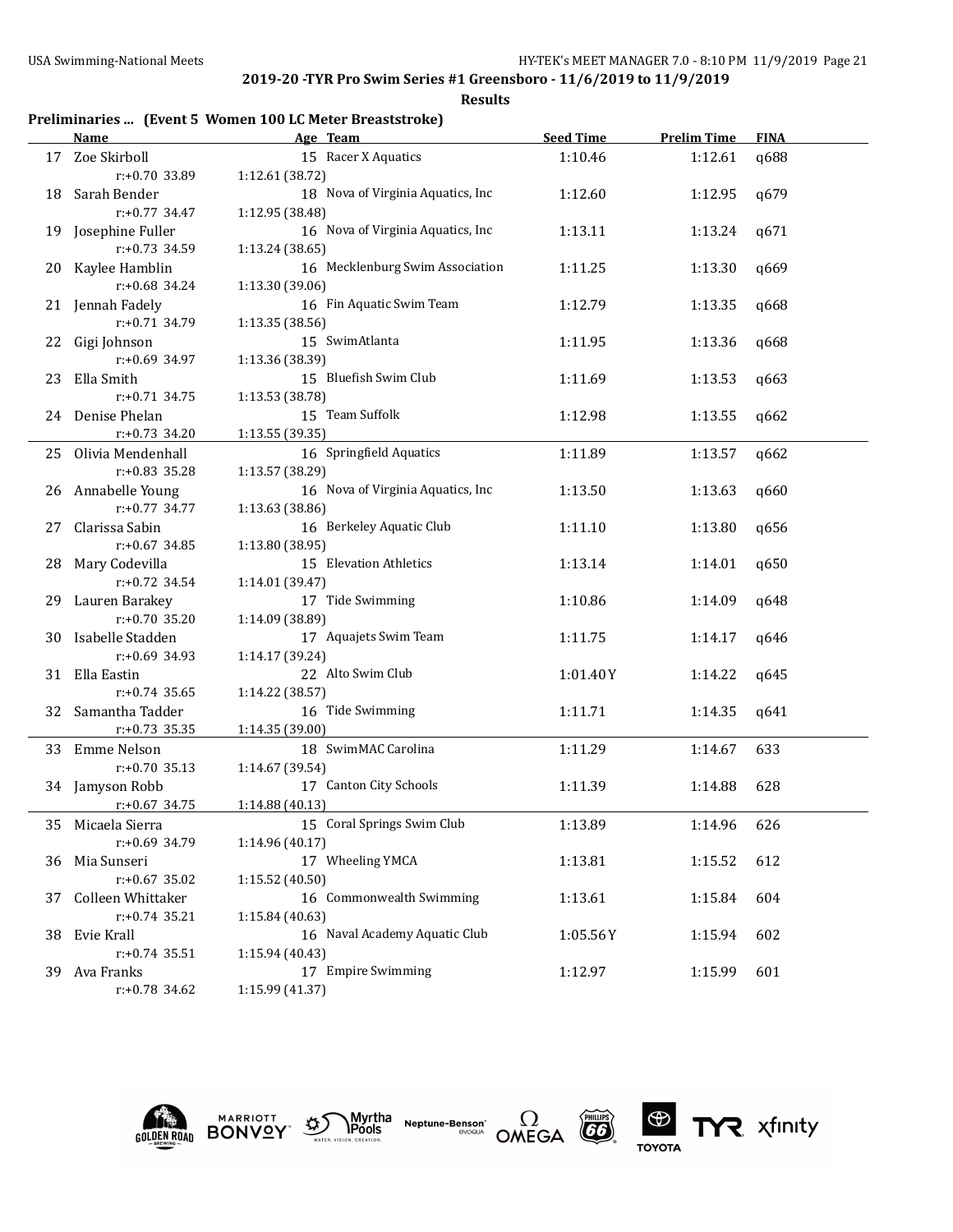**Results**

# **Preliminaries ... (Event 5 Women 100 LC Meter Breaststroke)**

|     | <b>Name</b>          | Age Team                          | <b>Seed Time</b> | <b>Prelim Time</b> | <b>FINA</b> |
|-----|----------------------|-----------------------------------|------------------|--------------------|-------------|
|     | 17 Zoe Skirboll      | 15 Racer X Aquatics               | 1:10.46          | 1:12.61            | q688        |
|     | $r: +0.70$ 33.89     | 1:12.61 (38.72)                   |                  |                    |             |
|     | 18 Sarah Bender      | 18 Nova of Virginia Aquatics, Inc | 1:12.60          | 1:12.95            | q679        |
|     | r:+0.77 34.47        | 1:12.95 (38.48)                   |                  |                    |             |
| 19  | Josephine Fuller     | 16 Nova of Virginia Aquatics, Inc | 1:13.11          | 1:13.24            | q671        |
|     | r:+0.73 34.59        | 1:13.24 (38.65)                   |                  |                    |             |
| 20  | Kaylee Hamblin       | 16 Mecklenburg Swim Association   | 1:11.25          | 1:13.30            | q669        |
|     | r:+0.68 34.24        | 1:13.30 (39.06)                   |                  |                    |             |
|     | 21 Jennah Fadely     | 16 Fin Aquatic Swim Team          | 1:12.79          | 1:13.35            | q668        |
|     | $r: +0.71$ 34.79     | 1:13.35 (38.56)                   |                  |                    |             |
|     | 22 Gigi Johnson      | 15 SwimAtlanta                    | 1:11.95          | 1:13.36            | q668        |
|     | $r: +0.69$ 34.97     | 1:13.36 (38.39)                   |                  |                    |             |
| 23  | Ella Smith           | 15 Bluefish Swim Club             | 1:11.69          | 1:13.53            | q663        |
|     | $r: +0.71$ 34.75     | 1:13.53 (38.78)                   |                  |                    |             |
|     | 24 Denise Phelan     | 15 Team Suffolk                   | 1:12.98          | 1:13.55            | q662        |
|     | $r: +0.73$ 34.20     | 1:13.55(39.35)                    |                  |                    |             |
|     | 25 Olivia Mendenhall | 16 Springfield Aquatics           | 1:11.89          | 1:13.57            | q662        |
|     | $r: +0.83$ 35.28     | 1:13.57 (38.29)                   |                  |                    |             |
|     | 26 Annabelle Young   | 16 Nova of Virginia Aquatics, Inc | 1:13.50          | 1:13.63            | q660        |
|     | r:+0.77 34.77        | 1:13.63 (38.86)                   |                  |                    |             |
| 27  | Clarissa Sabin       | 16 Berkeley Aquatic Club          | 1:11.10          | 1:13.80            | q656        |
|     | $r: +0.67$ 34.85     | 1:13.80 (38.95)                   |                  |                    |             |
| 28  | Mary Codevilla       | 15 Elevation Athletics            | 1:13.14          | 1:14.01            | q650        |
|     | $r: +0.72$ 34.54     | 1:14.01 (39.47)                   |                  |                    |             |
| 29  | Lauren Barakey       | 17 Tide Swimming                  | 1:10.86          | 1:14.09            | q648        |
|     | $r: +0.70$ 35.20     | 1:14.09 (38.89)                   |                  |                    |             |
| 30  | Isabelle Stadden     | 17 Aquajets Swim Team             | 1:11.75          | 1:14.17            | q646        |
|     | $r: +0.69$ 34.93     | 1:14.17 (39.24)                   |                  |                    |             |
|     | 31 Ella Eastin       | 22 Alto Swim Club                 | 1:01.40Y         | 1:14.22            | q645        |
|     | $r: +0.74$ 35.65     | 1:14.22 (38.57)                   |                  |                    |             |
|     | 32 Samantha Tadder   | 16 Tide Swimming                  | 1:11.71          | 1:14.35            | q641        |
|     | $r: +0.73$ 35.35     | 1:14.35(39.00)                    |                  |                    |             |
|     | 33 Emme Nelson       | 18 SwimMAC Carolina               | 1:11.29          | 1:14.67            | 633         |
|     | $r: +0.70$ 35.13     | 1:14.67 (39.54)                   |                  |                    |             |
|     | 34 Jamyson Robb      | 17 Canton City Schools            | 1:11.39          | 1:14.88            | 628         |
|     | $r: +0.67$ 34.75     | 1:14.88 (40.13)                   |                  |                    |             |
|     | 35 Micaela Sierra    | 15 Coral Springs Swim Club        | 1:13.89          | 1:14.96            | 626         |
|     | r:+0.69 34.79        | 1:14.96 (40.17)                   |                  |                    |             |
|     | 36 Mia Sunseri       | 17 Wheeling YMCA                  | 1:13.81          | 1:15.52            | 612         |
|     | $r: +0.67$ 35.02     | 1:15.52 (40.50)                   |                  |                    |             |
| 37  | Colleen Whittaker    | 16 Commonwealth Swimming          | 1:13.61          | 1:15.84            | 604         |
|     | $r: +0.74$ 35.21     | 1:15.84 (40.63)                   |                  |                    |             |
| 38. | Evie Krall           | 16 Naval Academy Aquatic Club     | 1:05.56Y         | 1:15.94            | 602         |
|     | $r: +0.74$ 35.51     | 1:15.94 (40.43)                   |                  |                    |             |
|     | 39 Ava Franks        | 17 Empire Swimming                | 1:12.97          | 1:15.99            | 601         |
|     | $r: +0.78$ 34.62     | 1:15.99 (41.37)                   |                  |                    |             |
|     |                      |                                   |                  |                    |             |











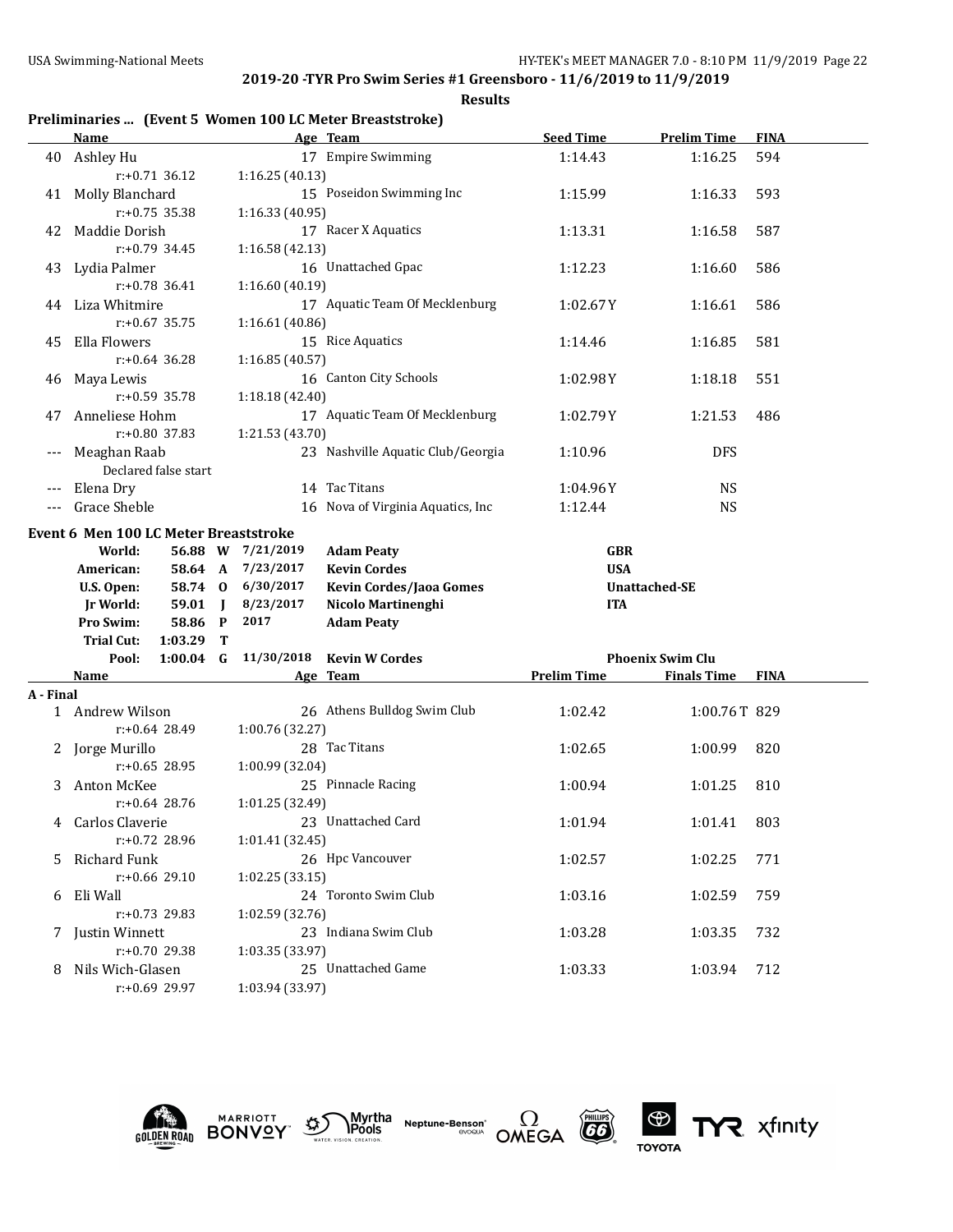**Results**

# **Preliminaries ... (Event 5 Women 100 LC Meter Breaststroke)**

|           | <u>Name</u>                           |                            |                   | Age Team                          | <b>Seed Time</b>   | <b>Prelim Time</b>      | <b>FINA</b> |
|-----------|---------------------------------------|----------------------------|-------------------|-----------------------------------|--------------------|-------------------------|-------------|
|           | 40 Ashley Hu                          |                            |                   | 17 Empire Swimming                | 1:14.43            | 1:16.25                 | 594         |
|           |                                       | $r: +0.71$ 36.12           | 1:16.25(40.13)    |                                   |                    |                         |             |
|           | 41 Molly Blanchard                    |                            |                   | 15 Poseidon Swimming Inc          | 1:15.99            | 1:16.33                 | 593         |
|           |                                       | $r: +0.75$ 35.38           | 1:16.33 (40.95)   |                                   |                    |                         |             |
| 42        | Maddie Dorish                         |                            |                   | 17 Racer X Aquatics               | 1:13.31            | 1:16.58                 | 587         |
|           |                                       | $r: +0.79$ 34.45           | 1:16.58 (42.13)   |                                   |                    |                         |             |
|           | 43 Lydia Palmer                       |                            |                   | 16 Unattached Gpac                | 1:12.23            | 1:16.60                 | 586         |
|           | $r: +0.78$ 36.41                      |                            | 1:16.60 (40.19)   |                                   |                    |                         |             |
| 44        | Liza Whitmire                         |                            |                   | 17 Aquatic Team Of Mecklenburg    | 1:02.67Y           | 1:16.61                 | 586         |
|           |                                       | $r: +0.67$ 35.75           | 1:16.61 (40.86)   |                                   |                    |                         |             |
| 45        | Ella Flowers                          |                            |                   | 15 Rice Aquatics                  | 1:14.46            | 1:16.85                 | 581         |
|           |                                       | $r: +0.64$ 36.28           | 1:16.85(40.57)    |                                   |                    |                         |             |
| 46        | Maya Lewis                            |                            |                   | 16 Canton City Schools            | 1:02.98Y           | 1:18.18                 | 551         |
|           |                                       | r:+0.59 35.78              | 1:18.18 (42.40)   |                                   |                    |                         |             |
| 47        | Anneliese Hohm                        |                            |                   | 17 Aquatic Team Of Mecklenburg    | 1:02.79Y           | 1:21.53                 | 486         |
|           | r:+0.80 37.83                         |                            | 1:21.53 (43.70)   |                                   |                    |                         |             |
|           | Meaghan Raab                          |                            |                   | 23 Nashville Aquatic Club/Georgia | 1:10.96            | <b>DFS</b>              |             |
|           |                                       | Declared false start       |                   |                                   |                    |                         |             |
|           | Elena Dry                             |                            |                   | 14 Tac Titans                     | 1:04.96Y           | <b>NS</b>               |             |
|           | Grace Sheble                          |                            |                   | 16 Nova of Virginia Aquatics, Inc | 1:12.44            | <b>NS</b>               |             |
|           |                                       |                            |                   |                                   |                    |                         |             |
|           | Event 6 Men 100 LC Meter Breaststroke |                            |                   |                                   |                    |                         |             |
|           | World:                                |                            | 56.88 W 7/21/2019 | <b>Adam Peaty</b>                 | <b>GBR</b>         |                         |             |
|           | American:                             |                            | 58.64 A 7/23/2017 | <b>Kevin Cordes</b>               | <b>USA</b>         |                         |             |
|           | U.S. Open:                            |                            | 58.74 0 6/30/2017 | Kevin Cordes/Jaoa Gomes           |                    | <b>Unattached-SE</b>    |             |
|           | <b>Jr World:</b>                      | $59.01$ J                  | 8/23/2017         | Nicolo Martinenghi                | <b>ITA</b>         |                         |             |
|           | Pro Swim:                             | 58.86 P                    | 2017              | <b>Adam Peaty</b>                 |                    |                         |             |
|           | <b>Trial Cut:</b><br>Pool:            | $1:03.29$ T<br>$1:00.04$ G | 11/30/2018        | <b>Kevin W Cordes</b>             |                    | <b>Phoenix Swim Clu</b> |             |
|           | Name                                  |                            |                   | Age Team                          | <b>Prelim Time</b> | <b>Finals Time</b>      | <b>FINA</b> |
| A - Final |                                       |                            |                   |                                   |                    |                         |             |
|           | 1 Andrew Wilson                       |                            |                   | 26 Athens Bulldog Swim Club       | 1:02.42            | 1:00.76T 829            |             |
|           |                                       | r:+0.64 28.49              | 1:00.76 (32.27)   |                                   |                    |                         |             |
|           |                                       |                            |                   |                                   |                    |                         |             |
|           |                                       |                            |                   |                                   |                    |                         |             |
|           | 2 Jorge Murillo                       |                            |                   | 28 Tac Titans                     | 1:02.65            | 1:00.99                 | 820         |
|           |                                       | $r: +0.65$ 28.95           | 1:00.99 (32.04)   |                                   |                    |                         |             |
| 3         | Anton McKee                           |                            |                   | 25 Pinnacle Racing                | 1:00.94            | 1:01.25                 | 810         |
|           |                                       | $r: +0.64$ 28.76           | 1:01.25 (32.49)   |                                   |                    |                         |             |
|           | 4 Carlos Claverie                     |                            |                   | 23 Unattached Card                | 1:01.94            | 1:01.41                 | 803         |
|           |                                       | r:+0.72 28.96              | 1:01.41 (32.45)   |                                   |                    |                         |             |
|           | Richard Funk                          |                            |                   | 26 Hpc Vancouver                  | 1:02.57            | 1:02.25                 | 771         |
|           |                                       | r:+0.66 29.10              | 1:02.25 (33.15)   |                                   |                    |                         |             |
| 6         | Eli Wall                              |                            |                   | 24 Toronto Swim Club              | 1:03.16            | 1:02.59                 | 759         |
|           |                                       | $r: +0.73$ 29.83           | 1:02.59 (32.76)   |                                   |                    |                         |             |
|           | 7 Justin Winnett                      |                            |                   | 23 Indiana Swim Club              | 1:03.28            | 1:03.35                 | 732         |
|           |                                       | r:+0.70 29.38              | 1:03.35 (33.97)   | 25 Unattached Game                |                    |                         |             |
|           | 8 Nils Wich-Glasen                    | r:+0.69 29.97              | 1:03.94 (33.97)   |                                   | 1:03.33            | 1:03.94                 | 712         |











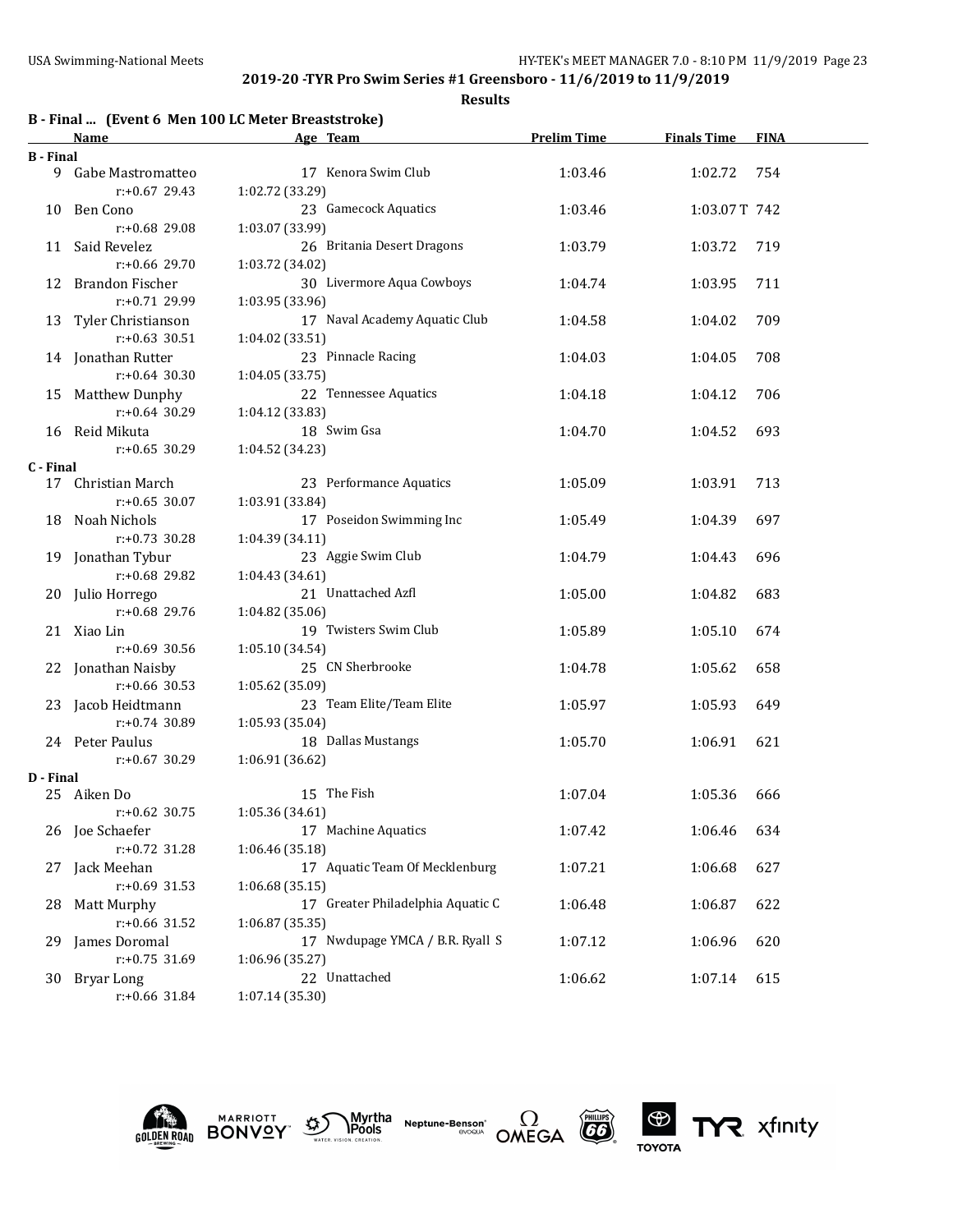|                  |                       | B - Final  (Event 6 Men 100 LC Meter Breaststroke) |                    |                    |             |
|------------------|-----------------------|----------------------------------------------------|--------------------|--------------------|-------------|
|                  | Name                  | Age Team                                           | <b>Prelim Time</b> | <b>Finals Time</b> | <b>FINA</b> |
| <b>B</b> - Final |                       |                                                    |                    |                    |             |
|                  | 9 Gabe Mastromatteo   | 17 Kenora Swim Club                                | 1:03.46            | 1:02.72            | 754         |
|                  | $r: +0.67$ 29.43      | 1:02.72 (33.29)                                    |                    |                    |             |
|                  | 10 Ben Cono           | 23 Gamecock Aquatics                               | 1:03.46            | 1:03.07T 742       |             |
|                  | $r: +0.68$ 29.08      | 1:03.07 (33.99)                                    |                    |                    |             |
| 11               | Said Revelez          | 26 Britania Desert Dragons                         | 1:03.79            | 1:03.72            | 719         |
|                  | $r: +0.66$ 29.70      | 1:03.72 (34.02)                                    |                    |                    |             |
|                  | 12 Brandon Fischer    | 30 Livermore Aqua Cowboys                          | 1:04.74            | 1:03.95            | 711         |
|                  | $r: +0.71$ 29.99      | 1:03.95 (33.96)                                    |                    |                    |             |
|                  | 13 Tyler Christianson | 17 Naval Academy Aquatic Club                      | 1:04.58            | 1:04.02            | 709         |
|                  | $r: +0.63$ 30.51      | 1:04.02 (33.51)                                    |                    |                    |             |
|                  | 14 Jonathan Rutter    | 23 Pinnacle Racing                                 | 1:04.03            | 1:04.05            | 708         |
|                  | $r: +0.64$ 30.30      | 1:04.05 (33.75)                                    |                    |                    |             |
|                  | 15 Matthew Dunphy     | 22 Tennessee Aquatics                              | 1:04.18            | 1:04.12            | 706         |
|                  | $r: +0.64$ 30.29      | 1:04.12 (33.83)                                    |                    |                    |             |
|                  | 16 Reid Mikuta        | 18 Swim Gsa                                        | 1:04.70            | 1:04.52            | 693         |
|                  | $r: +0.65$ 30.29      | 1:04.52 (34.23)                                    |                    |                    |             |
| C - Final        |                       |                                                    |                    |                    |             |
| 17               | Christian March       | 23 Performance Aquatics                            | 1:05.09            | 1:03.91            | 713         |
|                  | $r: +0.65$ 30.07      | 1:03.91 (33.84)                                    |                    |                    |             |
| 18               | Noah Nichols          | 17 Poseidon Swimming Inc                           | 1:05.49            | 1:04.39            | 697         |
|                  | $r: +0.73$ 30.28      | 1:04.39 (34.11)                                    |                    |                    |             |
|                  | 19 Jonathan Tybur     | 23 Aggie Swim Club                                 | 1:04.79            | 1:04.43            | 696         |
|                  | r:+0.68 29.82         | 1:04.43 (34.61)                                    |                    |                    |             |
|                  | 20 Julio Horrego      | 21 Unattached Azfl                                 | 1:05.00            | 1:04.82            | 683         |
|                  | r:+0.68 29.76         | 1:04.82 (35.06)                                    |                    |                    |             |
|                  | 21 Xiao Lin           | 19 Twisters Swim Club                              | 1:05.89            | 1:05.10            | 674         |
|                  | $r: +0.69$ 30.56      | 1:05.10 (34.54)                                    |                    |                    |             |
|                  | 22 Jonathan Naisby    | 25 CN Sherbrooke                                   | 1:04.78            | 1:05.62            | 658         |
|                  | $r: +0.66$ 30.53      | 1:05.62 (35.09)                                    |                    |                    |             |
|                  | 23 Jacob Heidtmann    | 23 Team Elite/Team Elite                           | 1:05.97            | 1:05.93            | 649         |
|                  | $r: +0.74$ 30.89      | 1:05.93 (35.04)                                    |                    |                    |             |
|                  | 24 Peter Paulus       | 18 Dallas Mustangs                                 | 1:05.70            | 1:06.91            | 621         |
|                  | $r: +0.67$ 30.29      | 1:06.91 (36.62)                                    |                    |                    |             |
| D - Final        |                       |                                                    |                    |                    |             |
|                  | 25 Aiken Do           | 15 The Fish                                        | 1:07.04            | 1:05.36            | 666         |
|                  | r:+0.62 30.75         | 1:05.36 (34.61)                                    |                    |                    |             |
|                  | 26 Joe Schaefer       | 17 Machine Aquatics                                | 1:07.42            | 1:06.46            | 634         |
|                  | $r: +0.72$ 31.28      | 1:06.46 (35.18)                                    |                    |                    |             |
|                  | 27 Jack Meehan        | 17 Aquatic Team Of Mecklenburg                     | 1:07.21            | 1:06.68            | 627         |
|                  | $r: +0.69$ 31.53      | 1:06.68(35.15)                                     |                    |                    |             |
| 28               | Matt Murphy           | 17 Greater Philadelphia Aquatic C                  | 1:06.48            | 1:06.87            | 622         |
|                  | $r: +0.66$ 31.52      | 1:06.87(35.35)                                     |                    |                    |             |
| 29               | James Doromal         | 17 Nwdupage YMCA / B.R. Ryall S                    | 1:07.12            | 1:06.96            | 620         |
|                  | r:+0.75 31.69         | 1:06.96 (35.27)                                    |                    |                    |             |
| 30               | <b>Bryar Long</b>     | 22 Unattached                                      | 1:06.62            | 1:07.14            | 615         |
|                  | r:+0.66 31.84         | 1:07.14 (35.30)                                    |                    |                    |             |











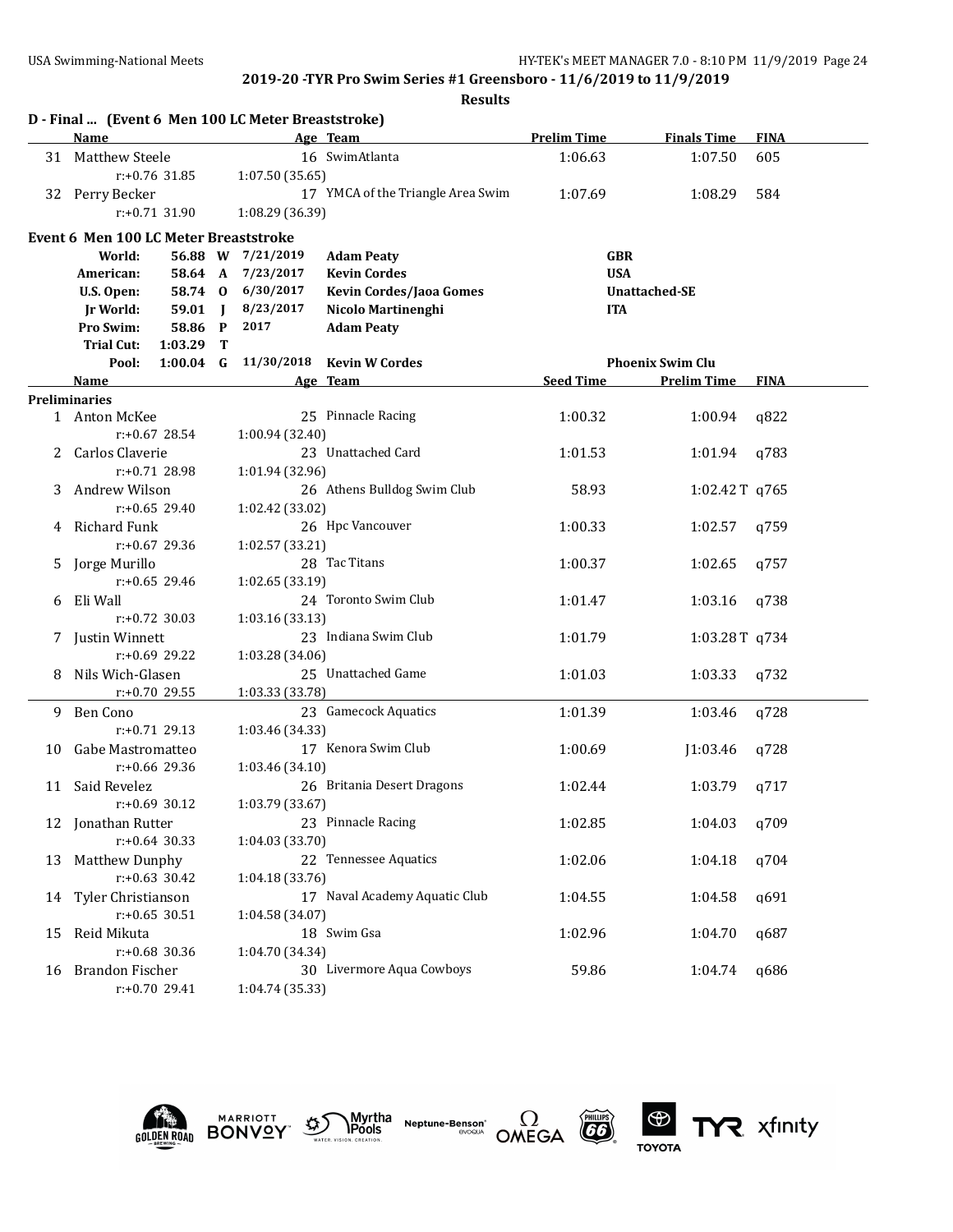|    | D - Final  (Event 6 Men 100 LC Meter Breaststroke) |              |                   |                                   |                    |                         |             |
|----|----------------------------------------------------|--------------|-------------------|-----------------------------------|--------------------|-------------------------|-------------|
|    | <b>Name</b>                                        |              |                   | Age Team                          | <b>Prelim Time</b> | <b>Finals Time</b>      | <b>FINA</b> |
|    | 31 Matthew Steele                                  |              |                   | 16 SwimAtlanta                    | 1:06.63            | 1:07.50                 | 605         |
|    | $r: +0.76$ 31.85                                   |              | 1:07.50 (35.65)   |                                   |                    |                         |             |
|    | 32 Perry Becker                                    |              |                   | 17 YMCA of the Triangle Area Swim | 1:07.69            | 1:08.29                 | 584         |
|    | $r: +0.71$ 31.90                                   |              | 1:08.29 (36.39)   |                                   |                    |                         |             |
|    | Event 6 Men 100 LC Meter Breaststroke              |              |                   |                                   |                    |                         |             |
|    | World:                                             |              | 56.88 W 7/21/2019 | <b>Adam Peaty</b>                 | <b>GBR</b>         |                         |             |
|    | American:<br>58.64 A                               |              | 7/23/2017         | <b>Kevin Cordes</b>               | <b>USA</b>         |                         |             |
|    | U.S. Open:                                         | 58.74 0      | 6/30/2017         | <b>Kevin Cordes/Jaoa Gomes</b>    |                    | <b>Unattached-SE</b>    |             |
|    | 59.01<br><b>Jr World:</b>                          | $\mathbf{I}$ | 8/23/2017         | Nicolo Martinenghi                | <b>ITA</b>         |                         |             |
|    | Pro Swim:<br>58.86                                 | $\mathbf{P}$ | 2017              | <b>Adam Peaty</b>                 |                    |                         |             |
|    | <b>Trial Cut:</b><br>1:03.29                       | т            |                   |                                   |                    |                         |             |
|    | Pool:                                              | $1:00.04$ G  | 11/30/2018        | <b>Kevin W Cordes</b>             |                    | <b>Phoenix Swim Clu</b> |             |
|    | Name                                               |              |                   | <u>Age Team</u>                   | <b>Seed Time</b>   | <b>Prelim Time</b>      | <b>FINA</b> |
|    | <b>Preliminaries</b>                               |              |                   |                                   |                    |                         |             |
|    | 1 Anton McKee                                      |              |                   | 25 Pinnacle Racing                | 1:00.32            | 1:00.94                 | q822        |
|    | $r: +0.67$ 28.54                                   |              | 1:00.94 (32.40)   |                                   |                    |                         |             |
|    | Carlos Claverie                                    |              |                   | 23 Unattached Card                | 1:01.53            | 1:01.94                 | q783        |
|    | $r: +0.71$ 28.98                                   |              | 1:01.94 (32.96)   |                                   |                    |                         |             |
| 3  | Andrew Wilson                                      |              |                   | 26 Athens Bulldog Swim Club       | 58.93              | 1:02.42T q765           |             |
|    | $r: +0.65$ 29.40                                   |              | 1:02.42 (33.02)   |                                   |                    |                         |             |
| 4  | Richard Funk                                       |              |                   | 26 Hpc Vancouver                  | 1:00.33            | 1:02.57                 | q759        |
|    | r:+0.67 29.36                                      |              | 1:02.57 (33.21)   |                                   |                    |                         |             |
| 5. | Jorge Murillo                                      |              |                   | 28 Tac Titans                     | 1:00.37            | 1:02.65                 | q757        |
|    | $r: +0.65$ 29.46                                   |              | 1:02.65 (33.19)   |                                   |                    |                         |             |
| 6  | Eli Wall                                           |              |                   | 24 Toronto Swim Club              | 1:01.47            | 1:03.16                 | q738        |
|    | $r: +0.72$ 30.03                                   |              | 1:03.16 (33.13)   | 23 Indiana Swim Club              |                    |                         |             |
|    | 7 Justin Winnett<br>r:+0.69 29.22                  |              |                   |                                   | 1:01.79            | 1:03.28T q734           |             |
| 8  | Nils Wich-Glasen                                   |              | 1:03.28 (34.06)   | 25 Unattached Game                | 1:01.03            | 1:03.33                 |             |
|    | $r: +0.70$ 29.55                                   |              | 1:03.33 (33.78)   |                                   |                    |                         | q732        |
| 9. | Ben Cono                                           |              |                   | 23 Gamecock Aquatics              | 1:01.39            | 1:03.46                 | q728        |
|    | $r: +0.71$ 29.13                                   |              | 1:03.46 (34.33)   |                                   |                    |                         |             |
| 10 | Gabe Mastromatteo                                  |              |                   | 17 Kenora Swim Club               | 1:00.69            | J1:03.46                | q728        |
|    | $r: +0.66$ 29.36                                   |              | 1:03.46 (34.10)   |                                   |                    |                         |             |
| 11 | Said Revelez                                       |              |                   | 26 Britania Desert Dragons        | 1:02.44            | 1:03.79                 | q717        |
|    | $r: +0.69$ 30.12                                   |              | 1:03.79 (33.67)   |                                   |                    |                         |             |
|    | 12 Jonathan Rutter                                 |              |                   | 23 Pinnacle Racing                | 1:02.85            | 1:04.03                 | q709        |
|    | $r: +0.64$ 30.33                                   |              | 1:04.03 (33.70)   |                                   |                    |                         |             |
|    | 13 Matthew Dunphy                                  |              |                   | 22 Tennessee Aquatics             | 1:02.06            | 1:04.18                 | q704        |
|    | $r: +0.63$ 30.42                                   |              | 1:04.18 (33.76)   |                                   |                    |                         |             |
|    | 14 Tyler Christianson                              |              |                   | 17 Naval Academy Aquatic Club     | 1:04.55            | 1:04.58                 | q691        |
|    | $r: +0.65$ 30.51                                   |              | 1:04.58 (34.07)   |                                   |                    |                         |             |
| 15 | Reid Mikuta                                        |              |                   | 18 Swim Gsa                       | 1:02.96            | 1:04.70                 | q687        |
|    | $r: +0.68$ 30.36                                   |              | 1:04.70 (34.34)   |                                   |                    |                         |             |
|    | 16 Brandon Fischer                                 |              |                   | 30 Livermore Aqua Cowboys         | 59.86              | 1:04.74                 | q686        |
|    | r:+0.70 29.41                                      |              | 1:04.74 (35.33)   |                                   |                    |                         |             |











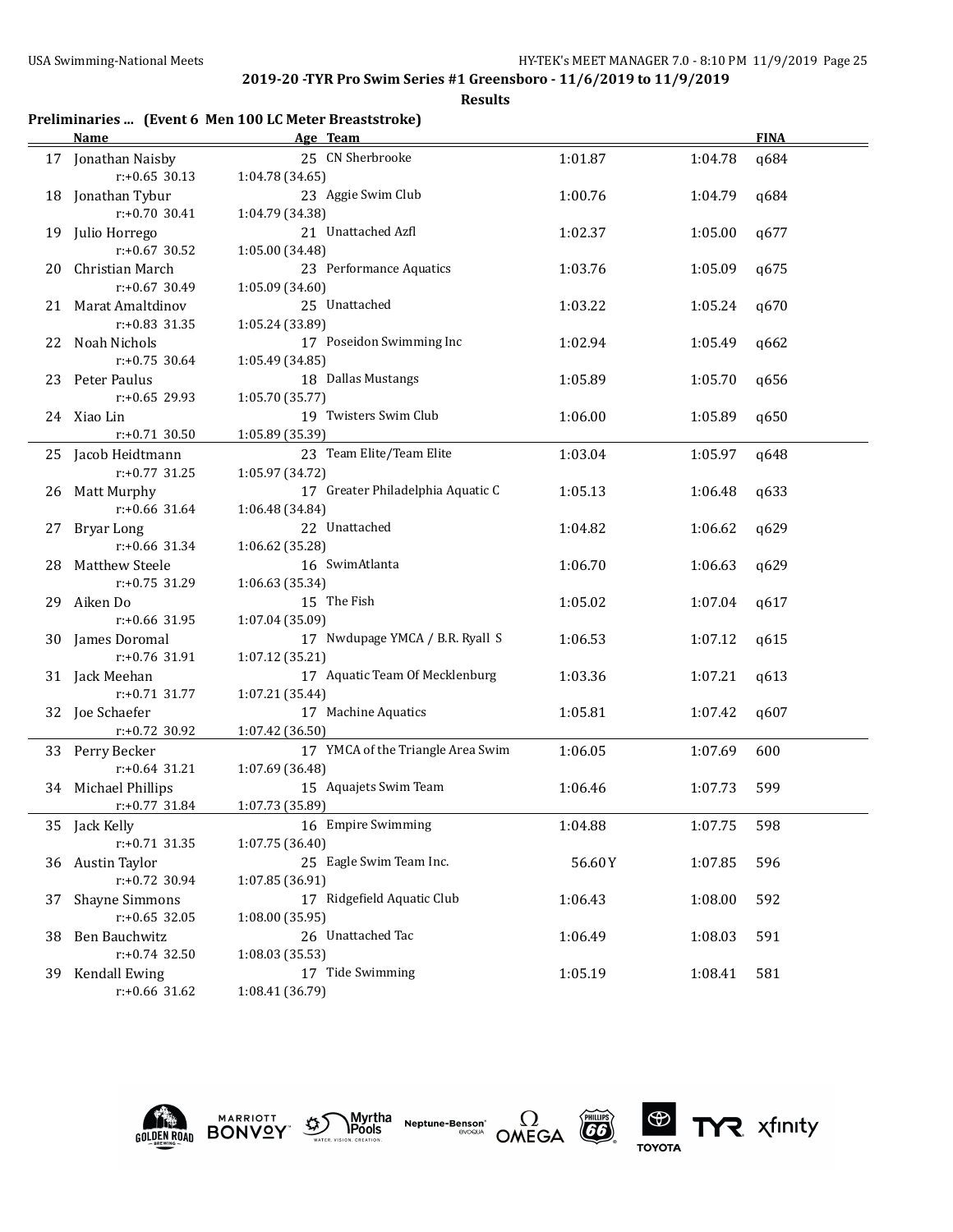**Results**

# **Preliminaries ... (Event 6 Men 100 LC Meter Breaststroke)**

|     | <b>Name</b>                               | Age Team                                 |         |         | <b>FINA</b> |
|-----|-------------------------------------------|------------------------------------------|---------|---------|-------------|
|     | 17 Jonathan Naisby                        | 25 CN Sherbrooke                         | 1:01.87 | 1:04.78 | q684        |
|     | $r: +0.65$ 30.13                          | 1:04.78 (34.65)                          |         |         |             |
|     | 18 Jonathan Tybur                         | 23 Aggie Swim Club                       | 1:00.76 | 1:04.79 | q684        |
|     | $r: +0.70$ 30.41                          | 1:04.79 (34.38)                          |         |         |             |
| 19  | Julio Horrego                             | 21 Unattached Azfl                       | 1:02.37 | 1:05.00 | q677        |
|     | $r: +0.67$ 30.52                          | 1:05.00 (34.48)                          |         |         |             |
| 20  | Christian March                           | 23 Performance Aquatics                  | 1:03.76 | 1:05.09 | q675        |
|     | r:+0.67 30.49                             | 1:05.09 (34.60)                          |         |         |             |
| 21  | <b>Marat Amaltdinov</b>                   | 25 Unattached                            | 1:03.22 | 1:05.24 | q670        |
|     | $r: +0.83$ 31.35                          | 1:05.24 (33.89)                          |         |         |             |
| 22  | Noah Nichols                              | 17 Poseidon Swimming Inc                 | 1:02.94 | 1:05.49 | q662        |
|     | $r: +0.75$ 30.64                          | 1:05.49 (34.85)                          |         |         |             |
| 23  | Peter Paulus                              | 18 Dallas Mustangs                       |         |         |             |
|     | r:+0.65 29.93                             |                                          | 1:05.89 | 1:05.70 | q656        |
|     |                                           | 1:05.70 (35.77)<br>19 Twisters Swim Club |         |         |             |
|     | 24 Xiao Lin                               |                                          | 1:06.00 | 1:05.89 | q650        |
|     | $r: +0.71$ 30.50                          | 1:05.89 (35.39)                          |         |         |             |
|     | 25 Jacob Heidtmann                        | 23 Team Elite/Team Elite                 | 1:03.04 | 1:05.97 | q648        |
|     | $r: +0.77$ 31.25                          | 1:05.97 (34.72)                          |         |         |             |
|     | 26 Matt Murphy                            | 17 Greater Philadelphia Aquatic C        | 1:05.13 | 1:06.48 | q633        |
|     | $r: +0.66$ 31.64                          | 1:06.48 (34.84)                          |         |         |             |
| 27  | Bryar Long                                | 22 Unattached                            | 1:04.82 | 1:06.62 | q629        |
|     | $r: +0.66$ 31.34                          | 1:06.62 (35.28)                          |         |         |             |
| 28  | <b>Matthew Steele</b>                     | 16 SwimAtlanta                           | 1:06.70 | 1:06.63 | q629        |
|     | r:+0.75 31.29                             | 1:06.63 (35.34)                          |         |         |             |
| 29  | Aiken Do                                  | 15 The Fish                              | 1:05.02 | 1:07.04 | q617        |
|     | $r: +0.66$ 31.95                          | 1:07.04 (35.09)                          |         |         |             |
|     | 30 James Doromal                          | 17 Nwdupage YMCA / B.R. Ryall S          | 1:06.53 | 1:07.12 | q615        |
|     | r:+0.76 31.91                             | 1:07.12 (35.21)                          |         |         |             |
|     | 31 Jack Meehan                            | 17 Aquatic Team Of Mecklenburg           | 1:03.36 | 1:07.21 | q613        |
|     | $r: +0.71$ 31.77                          | 1:07.21 (35.44)                          |         |         |             |
|     | 32 Joe Schaefer                           | 17 Machine Aquatics                      | 1:05.81 | 1:07.42 | q607        |
|     | r:+0.72 30.92                             | 1:07.42 (36.50)                          |         |         |             |
|     | 33 Perry Becker                           | 17 YMCA of the Triangle Area Swim        | 1:06.05 | 1:07.69 | 600         |
|     | $r: +0.64$ 31.21                          | 1:07.69 (36.48)                          |         |         |             |
|     | 34 Michael Phillips                       | 15 Aquajets Swim Team                    | 1:06.46 | 1:07.73 | 599         |
|     | $r: +0.77$ 31.84                          | 1:07.73 (35.89)                          |         |         |             |
|     | 35 Jack Kelly                             | 16 Empire Swimming                       | 1:04.88 | 1:07.75 | 598         |
|     | $r: +0.71$ 31.35                          | 1:07.75 (36.40)                          |         |         |             |
|     | 36 Austin Taylor                          | 25 Eagle Swim Team Inc.                  | 56.60Y  | 1:07.85 | 596         |
|     | r:+0.72 30.94                             | 1:07.85 (36.91)                          |         |         |             |
|     |                                           | 17 Ridgefield Aquatic Club               |         |         |             |
| 37  | <b>Shayne Simmons</b><br>$r: +0.65$ 32.05 |                                          | 1:06.43 | 1:08.00 | 592         |
|     |                                           | 1:08.00 (35.95)<br>26 Unattached Tac     |         |         |             |
| 38. | Ben Bauchwitz                             |                                          | 1:06.49 | 1:08.03 | 591         |
|     | r:+0.74 32.50                             | 1:08.03 (35.53)                          |         |         |             |
| 39  | <b>Kendall Ewing</b>                      | 17 Tide Swimming                         | 1:05.19 | 1:08.41 | 581         |
|     | r:+0.66 31.62                             | 1:08.41 (36.79)                          |         |         |             |











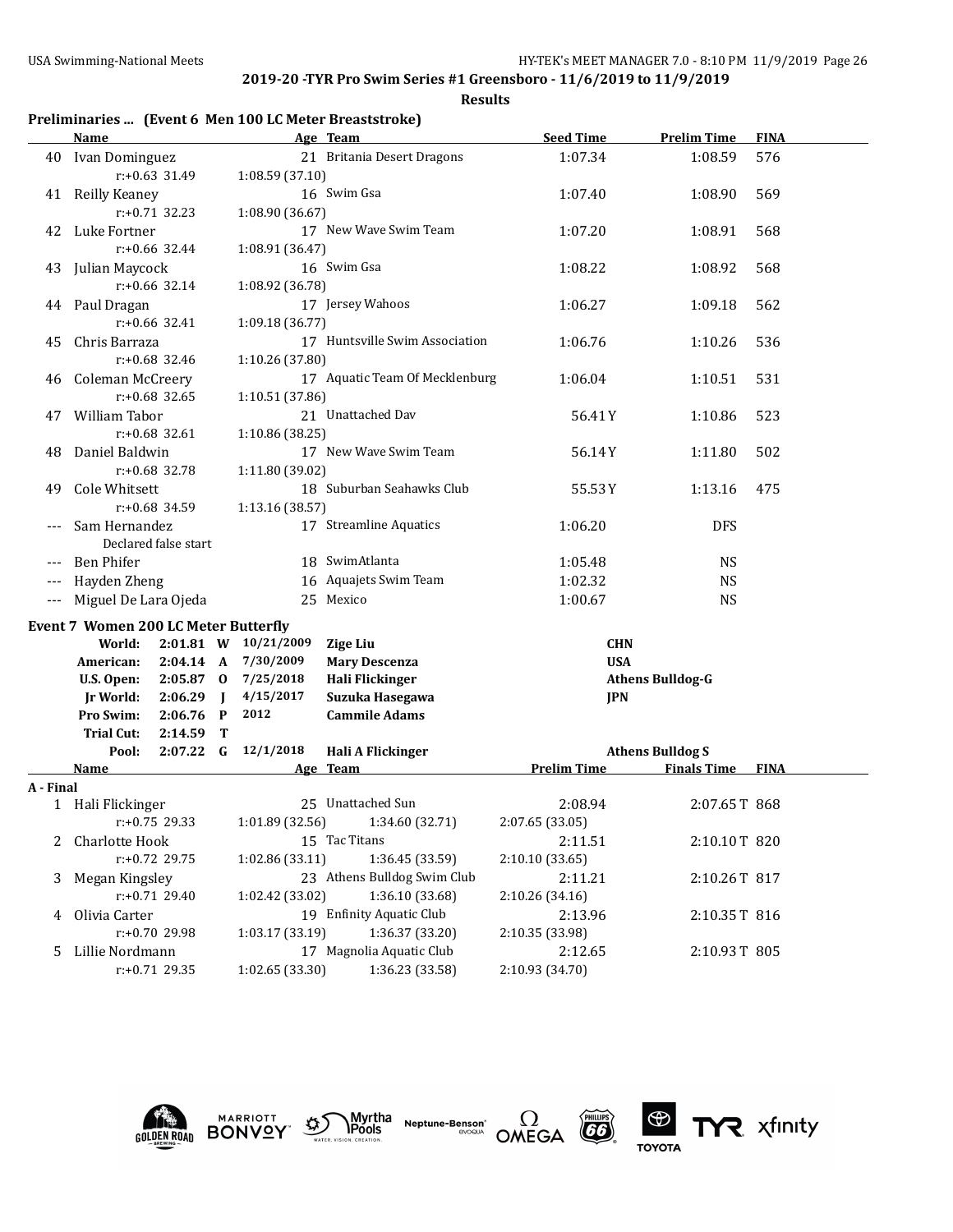**Results**

|  |  | Preliminaries  (Event 6 Men 100 LC Meter Breaststroke) |  |
|--|--|--------------------------------------------------------|--|
|--|--|--------------------------------------------------------|--|

|                      | <b>Name</b>                                 |                      |                |                      | Age Team                       | <b>Seed Time</b>   | <b>Prelim Time</b>      | <b>FINA</b> |
|----------------------|---------------------------------------------|----------------------|----------------|----------------------|--------------------------------|--------------------|-------------------------|-------------|
|                      | 40 Ivan Dominguez                           |                      |                |                      | 21 Britania Desert Dragons     | 1:07.34            | 1:08.59                 | 576         |
|                      |                                             | $r: +0.63$ 31.49     |                | 1:08.59(37.10)       |                                |                    |                         |             |
| 41                   | Reilly Keaney                               |                      |                |                      | 16 Swim Gsa                    | 1:07.40            | 1:08.90                 | 569         |
|                      |                                             | $r: +0.71$ 32.23     |                | 1:08.90 (36.67)      |                                |                    |                         |             |
| 42                   | Luke Fortner                                |                      |                |                      | 17 New Wave Swim Team          | 1:07.20            | 1:08.91                 | 568         |
|                      |                                             | $r: +0.66$ 32.44     |                | 1:08.91 (36.47)      |                                |                    |                         |             |
| 43                   | Julian Maycock                              |                      |                |                      | 16 Swim Gsa                    | 1:08.22            | 1:08.92                 | 568         |
|                      |                                             | r:+0.66 32.14        |                | 1:08.92 (36.78)      |                                |                    |                         |             |
| 44                   | Paul Dragan                                 |                      |                |                      | 17 Jersey Wahoos               | 1:06.27            | 1:09.18                 | 562         |
|                      |                                             | r:+0.66 32.41        |                | 1:09.18 (36.77)      |                                |                    |                         |             |
| 45                   | Chris Barraza                               |                      |                |                      | 17 Huntsville Swim Association | 1:06.76            | 1:10.26                 | 536         |
|                      |                                             | r:+0.68 32.46        |                | 1:10.26 (37.80)      |                                |                    |                         |             |
| 46                   | Coleman McCreery                            |                      |                |                      | 17 Aquatic Team Of Mecklenburg | 1:06.04            | 1:10.51                 | 531         |
|                      |                                             | $r: +0.68$ 32.65     |                | 1:10.51 (37.86)      |                                |                    |                         |             |
| 47                   | William Tabor                               |                      |                |                      | 21 Unattached Dav              | 56.41Y             | 1:10.86                 | 523         |
|                      |                                             | $r: +0.68$ 32.61     |                | 1:10.86 (38.25)      |                                |                    |                         |             |
| 48                   | Daniel Baldwin                              |                      |                |                      | 17 New Wave Swim Team          | 56.14Y             | 1:11.80                 | 502         |
|                      |                                             | r:+0.68 32.78        |                | 1:11.80 (39.02)      |                                |                    |                         |             |
| 49                   | Cole Whitsett                               |                      |                |                      | 18 Suburban Seahawks Club      | 55.53Y             | 1:13.16                 | 475         |
|                      |                                             | $r: +0.68$ 34.59     |                | 1:13.16 (38.57)      |                                |                    |                         |             |
|                      | Sam Hernandez                               |                      |                |                      | 17 Streamline Aquatics         | 1:06.20            | <b>DFS</b>              |             |
|                      |                                             | Declared false start |                |                      |                                |                    |                         |             |
| ---                  | <b>Ben Phifer</b>                           |                      |                |                      | 18 SwimAtlanta                 | 1:05.48            | <b>NS</b>               |             |
|                      | Hayden Zheng                                |                      |                |                      | 16 Aquajets Swim Team          | 1:02.32            | <b>NS</b>               |             |
| $\scriptstyle\cdots$ | Miguel De Lara Ojeda                        |                      |                |                      | 25 Mexico                      | 1:00.67            | <b>NS</b>               |             |
|                      | <b>Event 7 Women 200 LC Meter Butterfly</b> |                      |                |                      |                                |                    |                         |             |
|                      | World:                                      |                      |                | 2:01.81 W 10/21/2009 | <b>Zige Liu</b>                | <b>CHN</b>         |                         |             |
|                      | American:                                   | 2:04.14 A            |                | 7/30/2009            | <b>Mary Descenza</b>           | <b>USA</b>         |                         |             |
|                      | U.S. Open:                                  | $2:05.87$ 0          |                | 7/25/2018            | Hali Flickinger                |                    | <b>Athens Bulldog-G</b> |             |
|                      | Jr World:                                   | 2:06.29              | $\blacksquare$ | 4/15/2017            | Suzuka Hasegawa                | <b>JPN</b>         |                         |             |
|                      | Pro Swim:                                   | 2:06.76              | $\mathbf{P}$   | 2012                 | <b>Cammile Adams</b>           |                    |                         |             |
|                      | <b>Trial Cut:</b>                           | 2:14.59              | Т              |                      |                                |                    |                         |             |
|                      | Pool:                                       | $2:07.22$ G          |                | 12/1/2018            | Hali A Flickinger              |                    | <b>Athens Bulldog S</b> |             |
|                      | Name                                        |                      |                |                      | Age Team                       | <b>Prelim Time</b> | <b>Finals Time</b>      | <b>FINA</b> |
| A - Final            |                                             |                      |                |                      |                                |                    |                         |             |
|                      | 1 Hali Flickinger                           |                      |                |                      | 25 Unattached Sun              | 2:08.94            | 2:07.65T 868            |             |
|                      |                                             | $r: +0.75$ 29.33     |                | 1:01.89 (32.56)      | 1:34.60 (32.71)                | 2:07.65 (33.05)    |                         |             |
|                      | 2 Charlotte Hook                            |                      |                |                      | 15 Tac Titans                  | 2:11.51            | 2:10.10T 820            |             |
|                      |                                             | r:+0.72 29.75        |                | 1:02.86 (33.11)      | 1:36.45 (33.59)                | 2:10.10 (33.65)    |                         |             |
| 3                    | Megan Kingsley                              |                      |                |                      | 23 Athens Bulldog Swim Club    | 2:11.21            | 2:10.26T 817            |             |
|                      |                                             | r:+0.71 29.40        |                | 1:02.42 (33.02)      | 1:36.10 (33.68)                | 2:10.26 (34.16)    |                         |             |
| 4                    | Olivia Carter                               |                      |                |                      | 19 Enfinity Aquatic Club       | 2:13.96            | 2:10.35T 816            |             |
|                      |                                             | r:+0.70 29.98        |                | 1:03.17 (33.19)      | 1:36.37 (33.20)                | 2:10.35 (33.98)    |                         |             |
| 5                    | Lillie Nordmann                             |                      |                |                      | 17 Magnolia Aquatic Club       | 2:12.65            | 2:10.93T 805            |             |
|                      |                                             | r:+0.71 29.35        |                | 1:02.65 (33.30)      | 1:36.23 (33.58)                | 2:10.93 (34.70)    |                         |             |









TYR xfinity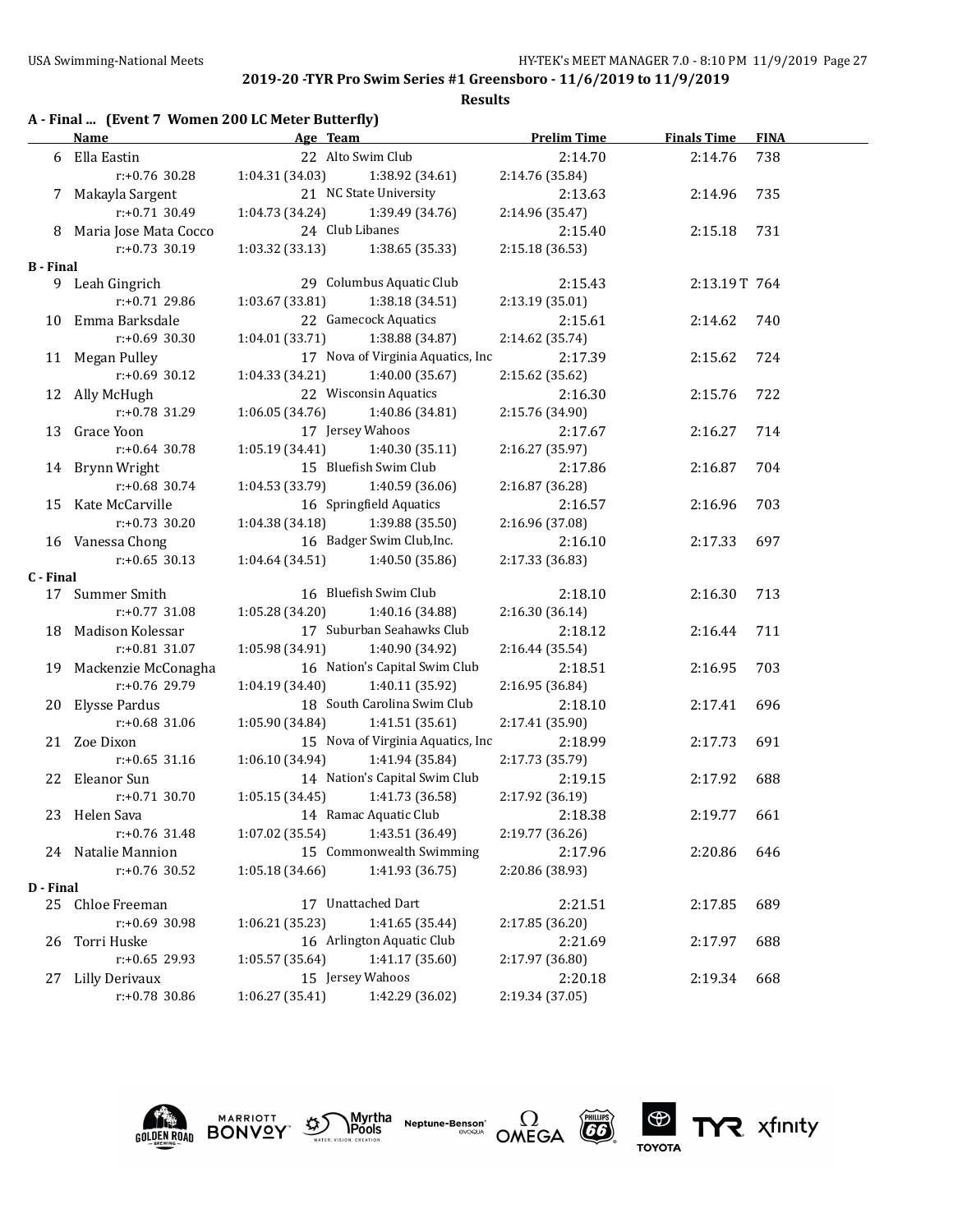|  | A - Final  (Event 7 Women 200 LC Meter Butterfly) |
|--|---------------------------------------------------|
|  |                                                   |

|                  | <b>Name</b>             | <b>Example 2</b> Age Team |                                     | <b>Prelim Time</b> | <b>Finals Time</b> | <b>FINA</b> |
|------------------|-------------------------|---------------------------|-------------------------------------|--------------------|--------------------|-------------|
|                  | 6 Ella Eastin           |                           | 22 Alto Swim Club                   | 2:14.70            | 2:14.76            | 738         |
|                  | r:+0.76 30.28           |                           | $1:04.31(34.03)$ $1:38.92(34.61)$   | 2:14.76 (35.84)    |                    |             |
| 7                | Makayla Sargent         |                           | 21 NC State University              | 2:13.63            | 2:14.96            | 735         |
|                  | $r: +0.71$ 30.49        |                           | $1:04.73(34.24)$ $1:39.49(34.76)$   | 2:14.96 (35.47)    |                    |             |
|                  | 8 Maria Jose Mata Cocco |                           | 24 Club Libanes                     | 2:15.40            | 2:15.18            | 731         |
|                  | $r: +0.73$ 30.19        |                           | $1:03.32$ (33.13) $1:38.65$ (35.33) | 2:15.18 (36.53)    |                    |             |
| <b>B</b> - Final |                         |                           |                                     |                    |                    |             |
|                  | 9 Leah Gingrich         |                           | 29 Columbus Aquatic Club            | 2:15.43            | 2:13.19T 764       |             |
|                  | $r: +0.71$ 29.86        | 1:03.67(33.81)            | 1:38.18 (34.51)                     | 2:13.19 (35.01)    |                    |             |
|                  | 10 Emma Barksdale       |                           | 22 Gamecock Aquatics                | 2:15.61            | 2:14.62            | 740         |
|                  | $r: +0.69$ 30.30        | 1:04.01(33.71)            | 1:38.88 (34.87)                     | 2:14.62 (35.74)    |                    |             |
|                  | 11 Megan Pulley         |                           | 17 Nova of Virginia Aquatics, Inc   | 2:17.39            | 2:15.62            | 724         |
|                  | $r: +0.69$ 30.12        | 1:04.33 (34.21)           | 1:40.00 (35.67)                     | 2:15.62 (35.62)    |                    |             |
|                  | 12 Ally McHugh          |                           | 22 Wisconsin Aquatics               | 2:16.30            | 2:15.76            | 722         |
|                  | $r: +0.78$ 31.29        | 1:06.05(34.76)            | 1:40.86 (34.81)                     | 2:15.76 (34.90)    |                    |             |
|                  | 13 Grace Yoon           |                           | 17 Jersey Wahoos                    | 2:17.67            | 2:16.27            | 714         |
|                  | r:+0.64 30.78           |                           | $1:05.19(34.41)$ $1:40.30(35.11)$   | 2:16.27 (35.97)    |                    |             |
|                  | 14 Brynn Wright         |                           | 15 Bluefish Swim Club               | 2:17.86            | 2:16.87            | 704         |
|                  | $r: +0.68$ 30.74        | 1:04.53 (33.79)           | 1:40.59 (36.06)                     | 2:16.87 (36.28)    |                    |             |
|                  | 15 Kate McCarville      |                           | 16 Springfield Aquatics             | 2:16.57            | 2:16.96            | 703         |
|                  | $r: +0.73$ 30.20        | 1:04.38 (34.18)           | 1:39.88 (35.50)                     | 2:16.96 (37.08)    |                    |             |
|                  | 16 Vanessa Chong        |                           | 16 Badger Swim Club, Inc.           | 2:16.10            | 2:17.33            | 697         |
|                  | $r: +0.65$ 30.13        |                           | $1:04.64(34.51)$ $1:40.50(35.86)$   | 2:17.33 (36.83)    |                    |             |
| C - Final        |                         |                           |                                     |                    |                    |             |
|                  | 17 Summer Smith         |                           | 16 Bluefish Swim Club               | 2:18.10            | 2:16.30            | 713         |
|                  | $r: +0.77$ 31.08        | 1:05.28 (34.20)           | 1:40.16 (34.88)                     | 2:16.30 (36.14)    |                    |             |
|                  | 18 Madison Kolessar     |                           | 17 Suburban Seahawks Club           | 2:18.12            | 2:16.44            | 711         |
|                  | $r: +0.81$ 31.07        | 1:05.98 (34.91)           | 1:40.90 (34.92)                     | 2:16.44 (35.54)    |                    |             |
| 19               | Mackenzie McConagha     |                           | 16 Nation's Capital Swim Club       | 2:18.51            | 2:16.95            | 703         |
|                  | $r: +0.76$ 29.79        | 1:04.19(34.40)            | 1:40.11 (35.92)                     | 2:16.95 (36.84)    |                    |             |
| 20               | <b>Elysse Pardus</b>    |                           | 18 South Carolina Swim Club         | 2:18.10            | 2:17.41            | 696         |
|                  | $r: +0.68$ 31.06        | 1:05.90 (34.84)           | 1:41.51 (35.61)                     | 2:17.41 (35.90)    |                    |             |
|                  | 21 Zoe Dixon            |                           | 15 Nova of Virginia Aquatics, Inc   | 2:18.99            | 2:17.73            | 691         |
|                  | $r: +0.65$ 31.16        | 1:06.10 (34.94)           | 1:41.94 (35.84)                     | 2:17.73 (35.79)    |                    |             |
|                  | 22 Eleanor Sun          |                           | 14 Nation's Capital Swim Club       | 2:19.15            | 2:17.92            | 688         |
|                  | $r: +0.71$ 30.70        | 1:05.15(34.45)            | 1:41.73 (36.58)                     | 2:17.92 (36.19)    |                    |             |
|                  | 23 Helen Sava           |                           | 14 Ramac Aquatic Club               | 2:18.38            | 2:19.77            | 661         |
|                  | $r: +0.76$ 31.48        |                           | $1:07.02$ (35.54) $1:43.51$ (36.49) | 2:19.77 (36.26)    |                    |             |
|                  | 24 Natalie Mannion      |                           | 15 Commonwealth Swimming            | 2:17.96            | 2:20.86            | 646         |
|                  | r:+0.76 30.52           | 1:05.18 (34.66)           | 1:41.93 (36.75)                     | 2:20.86 (38.93)    |                    |             |
| D - Final        |                         |                           |                                     |                    |                    |             |
|                  | 25 Chloe Freeman        |                           | 17 Unattached Dart                  | 2:21.51            | 2:17.85            | 689         |
|                  | r:+0.69 30.98           | 1:06.21 (35.23)           | 1:41.65 (35.44)                     | 2:17.85 (36.20)    |                    |             |
| 26               | Torri Huske             |                           | 16 Arlington Aquatic Club           | 2:21.69            | 2:17.97            | 688         |
|                  | $r: +0.65$ 29.93        | 1:05.57 (35.64)           | 1:41.17 (35.60)                     | 2:17.97 (36.80)    |                    |             |
| 27               | <b>Lilly Derivaux</b>   |                           | 15 Jersey Wahoos                    | 2:20.18            | 2:19.34            | 668         |
|                  | r:+0.78 30.86           | 1:06.27 (35.41)           | 1:42.29 (36.02)                     | 2:19.34 (37.05)    |                    |             |











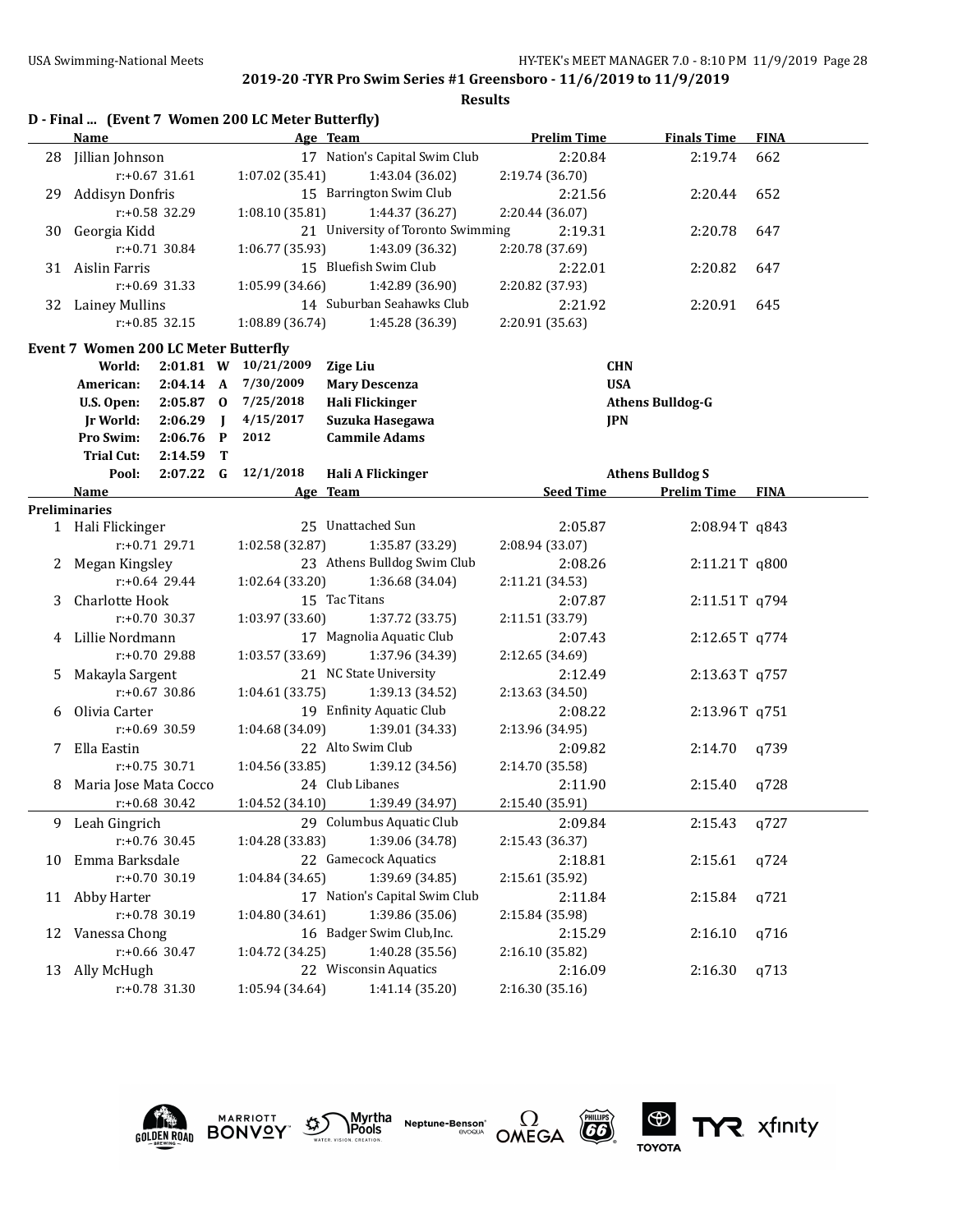**Results**

|    |                                                   |                  |                                               | D - Final  (Event 7 Women 200 LC Meter Butterfly) |                                   |                         |                         |             |  |
|----|---------------------------------------------------|------------------|-----------------------------------------------|---------------------------------------------------|-----------------------------------|-------------------------|-------------------------|-------------|--|
|    | <b>Name</b>                                       |                  |                                               |                                                   | Age Team                          | <b>Prelim Time</b>      | <b>Finals Time</b>      | <b>FINA</b> |  |
|    | 28 Jillian Johnson                                |                  |                                               |                                                   | 17 Nation's Capital Swim Club     | 2:20.84                 | 2:19.74                 | 662         |  |
|    |                                                   | $r: +0.67$ 31.61 |                                               | 1:07.02 (35.41)                                   | 1:43.04 (36.02)                   | 2:19.74 (36.70)         |                         |             |  |
| 29 | Addisyn Donfris                                   |                  |                                               |                                                   | 15 Barrington Swim Club           | 2:21.56                 | 2:20.44                 | 652         |  |
|    |                                                   | r:+0.58 32.29    |                                               | 1:08.10 (35.81)                                   | 1:44.37 (36.27)                   | 2:20.44 (36.07)         |                         |             |  |
| 30 | Georgia Kidd                                      |                  |                                               |                                                   | 21 University of Toronto Swimming | 2:19.31                 | 2:20.78                 | 647         |  |
|    |                                                   | r:+0.71 30.84    |                                               | 1:06.77 (35.93)                                   | 1:43.09 (36.32)                   | 2:20.78 (37.69)         |                         |             |  |
|    | 31 Aislin Farris                                  |                  |                                               |                                                   | 15 Bluefish Swim Club             | 2:22.01                 | 2:20.82                 | 647         |  |
|    |                                                   | $r: +0.69$ 31.33 |                                               | 1:05.99 (34.66)                                   | 1:42.89 (36.90)                   | 2:20.82 (37.93)         |                         |             |  |
|    | 32 Lainey Mullins                                 |                  |                                               |                                                   | 14 Suburban Seahawks Club         | 2:21.92                 | 2:20.91                 | 645         |  |
|    |                                                   | $r: +0.85$ 32.15 |                                               | 1:08.89 (36.74)                                   | 1:45.28 (36.39)                   | 2:20.91 (35.63)         |                         |             |  |
|    | <b>Event 7 Women 200 LC Meter Butterfly</b>       |                  |                                               |                                                   |                                   |                         |                         |             |  |
|    | World:                                            |                  |                                               | 2:01.81 W 10/21/2009                              | <b>Zige Liu</b>                   | <b>CHN</b>              |                         |             |  |
|    | American:                                         | 2:04.14 A        |                                               | 7/30/2009                                         | <b>Mary Descenza</b>              | <b>USA</b>              |                         |             |  |
|    | $2:05.87$ 0<br>U.S. Open:<br>2:06.29<br>Ir World: |                  |                                               | 7/25/2018                                         | <b>Hali Flickinger</b>            |                         | <b>Athens Bulldog-G</b> |             |  |
|    |                                                   |                  | $\blacksquare$                                | 4/15/2017                                         | Suzuka Hasegawa                   | <b>JPN</b>              |                         |             |  |
|    | Pro Swim:                                         | 2:06.76          | $\mathbf{P}$                                  | 2012                                              | <b>Cammile Adams</b>              |                         |                         |             |  |
|    | <b>Trial Cut:</b>                                 | 2:14.59          | т                                             |                                                   |                                   |                         |                         |             |  |
|    | Pool:                                             |                  | 12/1/2018<br>$2:07.22$ G<br>Hali A Flickinger |                                                   |                                   | <b>Athens Bulldog S</b> |                         |             |  |
|    | Name                                              |                  |                                               |                                                   | Age Team                          | <b>Seed Time</b>        | <b>Prelim Time FINA</b> |             |  |
|    | Preliminaries                                     |                  |                                               |                                                   |                                   |                         |                         |             |  |
|    | 1 Hali Flickinger                                 |                  |                                               |                                                   | 25 Unattached Sun                 | 2:05.87                 | 2:08.94T q843           |             |  |
|    |                                                   | r:+0.71 29.71    |                                               | 1:02.58 (32.87)                                   | 1:35.87 (33.29)                   | 2:08.94 (33.07)         |                         |             |  |
|    | 2 Megan Kingsley                                  |                  |                                               |                                                   | 23 Athens Bulldog Swim Club       | 2:08.26                 | 2:11.21T q800           |             |  |
|    |                                                   | $r: +0.64$ 29.44 |                                               | 1:02.64 (33.20)                                   | 1:36.68 (34.04)                   | 2:11.21 (34.53)         |                         |             |  |
| 3  | Charlotte Hook                                    |                  |                                               |                                                   | 15 Tac Titans                     | 2:07.87                 | 2:11.51T q794           |             |  |
|    |                                                   | $r: +0.70$ 30.37 |                                               | 1:03.97 (33.60)                                   | 1:37.72 (33.75)                   | 2:11.51 (33.79)         |                         |             |  |
| 4  | Lillie Nordmann                                   |                  |                                               |                                                   | 17 Magnolia Aquatic Club          | 2:07.43                 | 2:12.65T q774           |             |  |
|    |                                                   | r:+0.70 29.88    |                                               | 1:03.57 (33.69)                                   | 1:37.96 (34.39)                   | 2:12.65 (34.69)         |                         |             |  |
| 5. | Makayla Sargent                                   |                  |                                               |                                                   | 21 NC State University            | 2:12.49                 | 2:13.63T q757           |             |  |
|    |                                                   | $r: +0.67$ 30.86 |                                               | 1:04.61 (33.75)                                   | 1:39.13 (34.52)                   | 2:13.63 (34.50)         |                         |             |  |
| 6  | Olivia Carter                                     |                  |                                               |                                                   | 19 Enfinity Aquatic Club          | 2:08.22                 | 2:13.96T q751           |             |  |
|    |                                                   | $r: +0.69$ 30.59 |                                               | 1:04.68 (34.09)                                   | 1:39.01 (34.33)                   | 2:13.96 (34.95)         |                         |             |  |
| 7  | Ella Eastin                                       |                  |                                               |                                                   | 22 Alto Swim Club                 | 2:09.82                 | 2:14.70                 | q739        |  |
|    |                                                   | $r: +0.75$ 30.71 |                                               | 1:04.56 (33.85)                                   | 1:39.12 (34.56)                   | 2:14.70 (35.58)         |                         |             |  |
| 8  | Maria Jose Mata Cocco                             |                  |                                               |                                                   | 24 Club Libanes                   | 2:11.90                 | 2:15.40                 | q728        |  |
|    |                                                   | $r: +0.68$ 30.42 |                                               |                                                   | $1:04.52(34.10)$ $1:39.49(34.97)$ | 2:15.40 (35.91)         |                         |             |  |
| 9. | Leah Gingrich                                     |                  |                                               |                                                   | 29 Columbus Aquatic Club          | 2:09.84                 | 2:15.43                 | q727        |  |
|    |                                                   | r:+0.76 30.45    |                                               | 1:04.28 (33.83)                                   | 1:39.06 (34.78)                   | 2:15.43 (36.37)         |                         |             |  |
| 10 | Emma Barksdale                                    |                  |                                               |                                                   | 22 Gamecock Aquatics              | 2:18.81                 | 2:15.61                 | q724        |  |
|    |                                                   | r:+0.70 30.19    |                                               | 1:04.84 (34.65)                                   | 1:39.69 (34.85)                   | 2:15.61 (35.92)         |                         |             |  |
|    | 11 Abby Harter                                    |                  |                                               |                                                   | 17 Nation's Capital Swim Club     | 2:11.84                 | 2:15.84                 | q721        |  |
|    |                                                   | r:+0.78 30.19    |                                               | 1:04.80 (34.61)                                   | 1:39.86 (35.06)                   | 2:15.84 (35.98)         |                         |             |  |
| 12 | Vanessa Chong                                     |                  |                                               |                                                   | 16 Badger Swim Club, Inc.         | 2:15.29                 | 2:16.10                 | q716        |  |
|    |                                                   | $r: +0.66$ 30.47 |                                               | 1:04.72 (34.25)                                   | 1:40.28 (35.56)                   | 2:16.10 (35.82)         |                         |             |  |
|    | 13 Ally McHugh                                    |                  |                                               |                                                   | 22 Wisconsin Aquatics             | 2:16.09                 | 2:16.30                 | q713        |  |
|    |                                                   | r:+0.78 31.30    |                                               | 1:05.94 (34.64)                                   | 1:41.14 (35.20)                   | 2:16.30 (35.16)         |                         |             |  |











TYR xfinity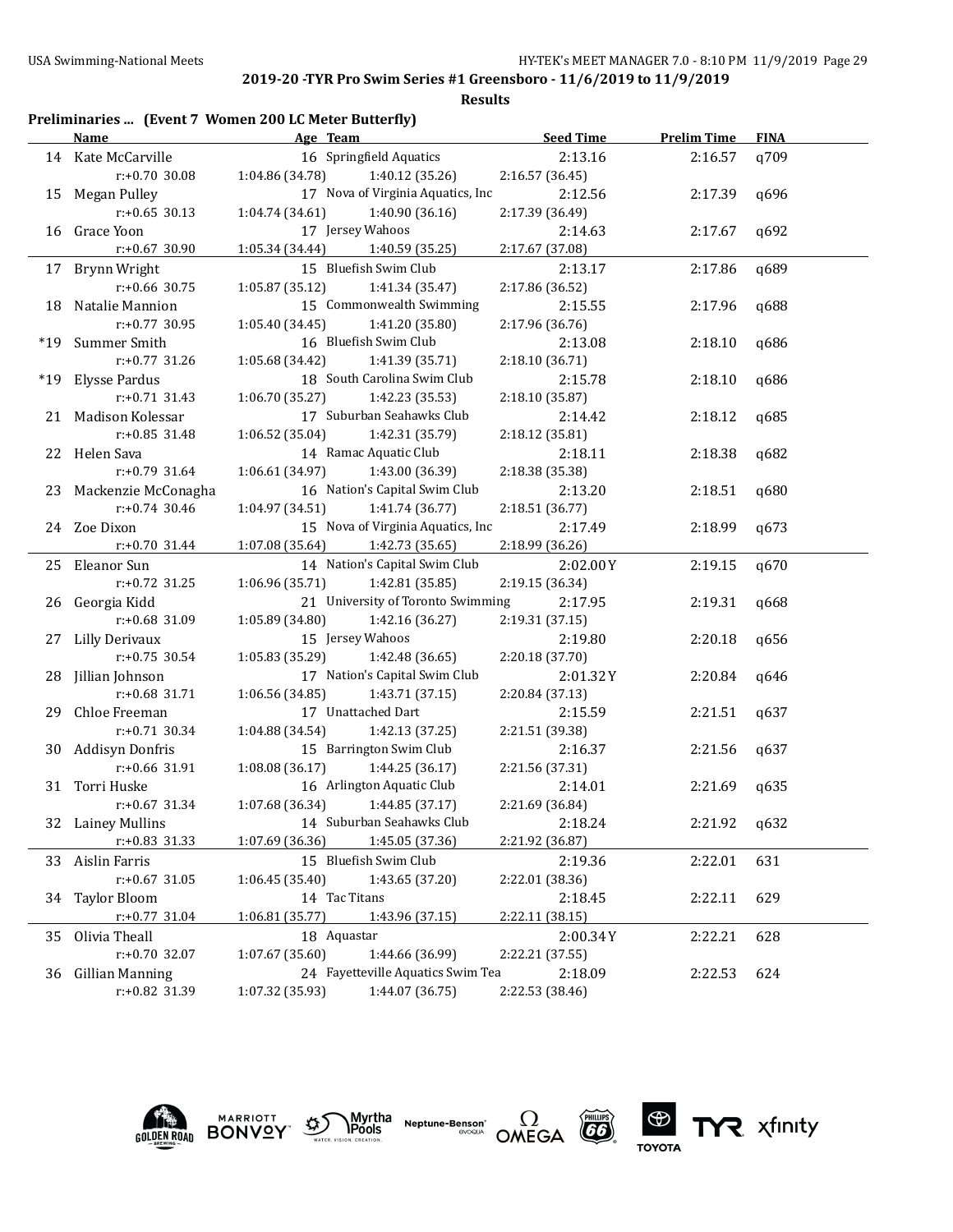|     |                        | Preliminaries  (Event 7 Women 200 LC Meter Butterfly) |                  |                    |             |
|-----|------------------------|-------------------------------------------------------|------------------|--------------------|-------------|
|     | Name                   | Age Team                                              | <b>Seed Time</b> | <b>Prelim Time</b> | <b>FINA</b> |
|     | 14 Kate McCarville     | 16 Springfield Aquatics                               | 2:13.16          | 2:16.57            | q709        |
|     | r:+0.70 30.08          | 1:04.86 (34.78)<br>1:40.12 (35.26)                    | 2:16.57 (36.45)  |                    |             |
|     | 15 Megan Pulley        | 17 Nova of Virginia Aquatics, Inc                     | 2:12.56          | 2:17.39            | q696        |
|     | $r: +0.65$ 30.13       | 1:04.74 (34.61)<br>1:40.90(36.16)                     | 2:17.39 (36.49)  |                    |             |
| 16  | Grace Yoon             | 17 Jersey Wahoos                                      | 2:14.63          | 2:17.67            | q692        |
|     | r:+0.67 30.90          | 1:05.34 (34.44)<br>1:40.59 (35.25)                    | 2:17.67 (37.08)  |                    |             |
|     | 17 Brynn Wright        | 15 Bluefish Swim Club                                 | 2:13.17          | 2:17.86            | q689        |
|     | $r: +0.66$ 30.75       | 1:05.87 (35.12)<br>1:41.34 (35.47)                    | 2:17.86 (36.52)  |                    |             |
| 18  | Natalie Mannion        | 15 Commonwealth Swimming                              | 2:15.55          | 2:17.96            | q688        |
|     | $r: +0.77$ 30.95       | 1:05.40 (34.45)<br>1:41.20 (35.80)                    | 2:17.96 (36.76)  |                    |             |
| *19 | Summer Smith           | 16 Bluefish Swim Club                                 | 2:13.08          | 2:18.10            | q686        |
|     | r:+0.77 31.26          | 1:05.68 (34.42)<br>1:41.39 (35.71)                    | 2:18.10 (36.71)  |                    |             |
| *19 | Elysse Pardus          | 18 South Carolina Swim Club                           | 2:15.78          | 2:18.10            | q686        |
|     | $r: +0.71$ 31.43       | 1:06.70 (35.27)<br>1:42.23 (35.53)                    | 2:18.10 (35.87)  |                    |             |
|     | 21 Madison Kolessar    | 17 Suburban Seahawks Club                             | 2:14.42          | 2:18.12            | q685        |
|     | $r: +0.85$ 31.48       | 1:06.52 (35.04)<br>1:42.31 (35.79)                    | 2:18.12 (35.81)  |                    |             |
|     | 22 Helen Sava          | 14 Ramac Aquatic Club                                 | 2:18.11          | 2:18.38            | q682        |
|     | $r: +0.79$ 31.64       | 1:43.00 (36.39)<br>1:06.61 (34.97)                    | 2:18.38 (35.38)  |                    |             |
|     | 23 Mackenzie McConagha | 16 Nation's Capital Swim Club                         | 2:13.20          | 2:18.51            | q680        |
|     | $r: +0.74$ 30.46       | 1:04.97 (34.51)<br>1:41.74 (36.77)                    | 2:18.51 (36.77)  |                    |             |
|     | 24 Zoe Dixon           | 15 Nova of Virginia Aquatics, Inc                     | 2:17.49          | 2:18.99            | a673        |
|     | $r: +0.70$ 31.44       | 1:07.08 (35.64)<br>1:42.73 (35.65)                    | 2:18.99 (36.26)  |                    |             |
|     | 25 Eleanor Sun         | 14 Nation's Capital Swim Club                         | 2:02.00Y         | 2:19.15            | q670        |
|     | r:+0.72 31.25          | 1:06.96 (35.71)<br>1:42.81 (35.85)                    | 2:19.15 (36.34)  |                    |             |
| 26  | Georgia Kidd           | 21 University of Toronto Swimming                     | 2:17.95          | 2:19.31            | q668        |
|     | r:+0.68 31.09          | 1:05.89 (34.80)<br>1:42.16 (36.27)                    | 2:19.31 (37.15)  |                    |             |
| 27  | <b>Lilly Derivaux</b>  | 15 Jersey Wahoos                                      | 2:19.80          | 2:20.18            | q656        |
|     | $r: +0.75$ 30.54       | 1:05.83 (35.29)<br>1:42.48 (36.65)                    | 2:20.18 (37.70)  |                    |             |
| 28  | Jillian Johnson        | 17 Nation's Capital Swim Club                         | 2:01.32Y         | 2:20.84            | q646        |
|     | $r: +0.68$ 31.71       | 1:06.56 (34.85)<br>1:43.71 (37.15)                    | 2:20.84 (37.13)  |                    |             |
| 29  | Chloe Freeman          | 17 Unattached Dart                                    | 2:15.59          | 2:21.51            | q637        |
|     | $r: +0.71$ 30.34       | 1:42.13 (37.25)<br>1:04.88 (34.54)                    | 2:21.51 (39.38)  |                    |             |
| 30  | <b>Addisyn Donfris</b> | 15 Barrington Swim Club                               | 2:16.37          | 2:21.56            | q637        |
|     | r:+0.66 31.91          | 1:08.08(36.17)<br>1:44.25 (36.17)                     | 2:21.56 (37.31)  |                    |             |
| 31  | Torri Huske            | 16 Arlington Aquatic Club                             | 2:14.01          | 2:21.69            | q635        |
|     | $r: +0.67$ 31.34       | 1:07.68 (36.34)<br>1:44.85 (37.17)                    | 2:21.69 (36.84)  |                    |             |
|     | 32 Lainey Mullins      | 14 Suburban Seahawks Club                             | 2:18.24          | 2:21.92            | q632        |
|     | $r: +0.83$ 31.33       | 1:07.69 (36.36)<br>1:45.05 (37.36)                    | 2:21.92 (36.87)  |                    |             |
|     | 33 Aislin Farris       | 15 Bluefish Swim Club                                 | 2:19.36          | 2:22.01            | 631         |
|     | $r: +0.67$ 31.05       | 1:06.45 (35.40)<br>1:43.65 (37.20)                    | 2:22.01 (38.36)  |                    |             |
| 34  | <b>Taylor Bloom</b>    | 14 Tac Titans                                         | 2:18.45          | 2:22.11            | 629         |
|     | $r: +0.77$ 31.04       | 1:06.81 (35.77)<br>1:43.96 (37.15)                    | 2:22.11 (38.15)  |                    |             |
| 35  | Olivia Theall          | 18 Aquastar                                           | 2:00.34Y         | 2:22.21            | 628         |
|     | r:+0.70 32.07          | 1:07.67(35.60)<br>1:44.66 (36.99)                     | 2:22.21 (37.55)  |                    |             |
|     | 36 Gillian Manning     | 24 Fayetteville Aquatics Swim Tea                     | 2:18.09          | 2:22.53            | 624         |
|     | r:+0.82 31.39          | 1:07.32 (35.93)<br>1:44.07 (36.75)                    | 2:22.53 (38.46)  |                    |             |









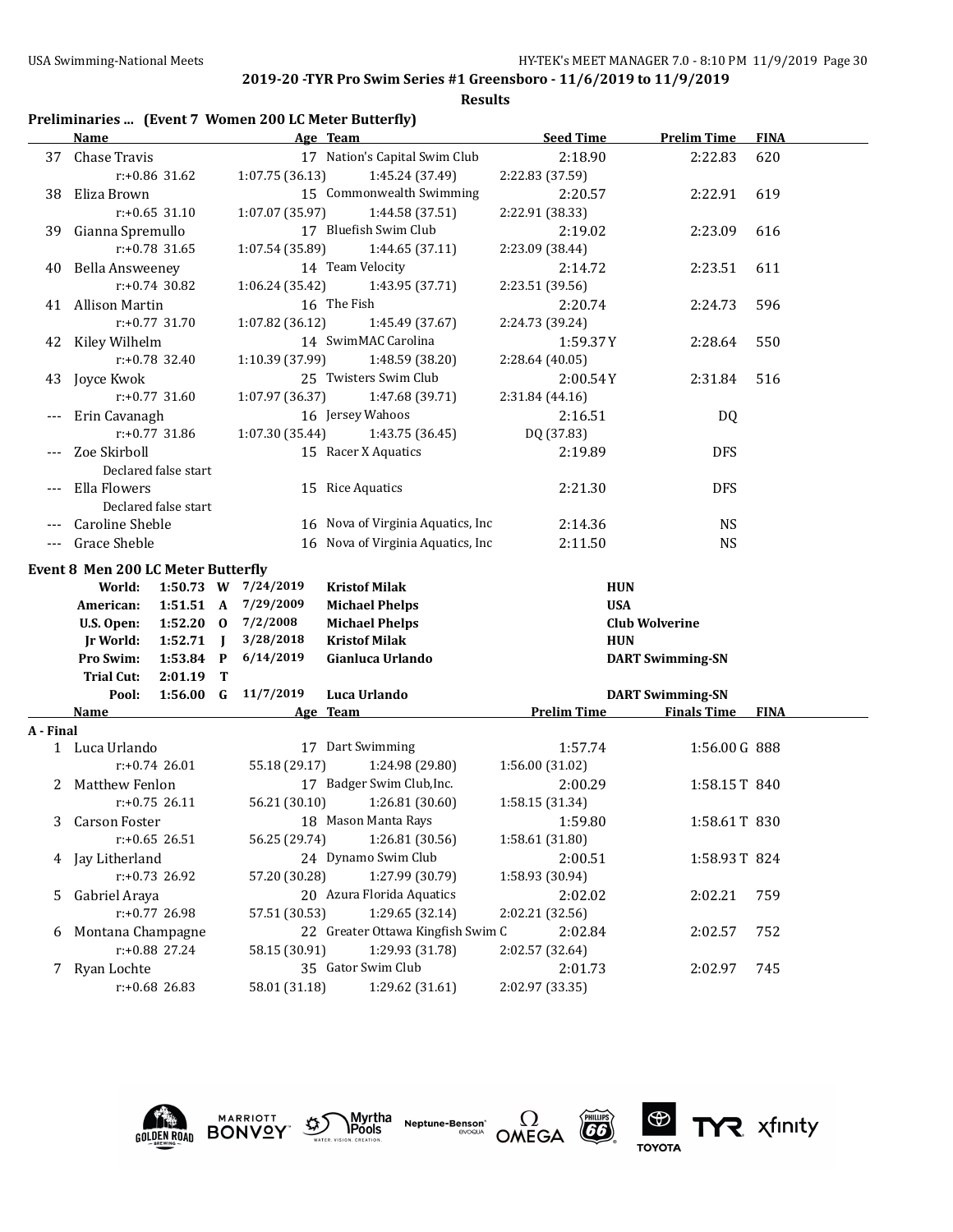**Results**

| Preliminaries  (Event 7 Women 200 LC Meter Butterfly) |  |  |  |  |  |  |
|-------------------------------------------------------|--|--|--|--|--|--|
|-------------------------------------------------------|--|--|--|--|--|--|

|           | Name                                            | Age Team            |                                          | <b>Seed Time</b>   | <b>Prelim Time</b>                                 | <b>FINA</b> |
|-----------|-------------------------------------------------|---------------------|------------------------------------------|--------------------|----------------------------------------------------|-------------|
|           | 37 Chase Travis                                 |                     | 17 Nation's Capital Swim Club            | 2:18.90            | 2:22.83                                            | 620         |
|           | r:+0.86 31.62                                   | 1:07.75 (36.13)     | 1:45.24 (37.49)                          | 2:22.83 (37.59)    |                                                    |             |
| 38        | Eliza Brown                                     |                     | 15 Commonwealth Swimming                 | 2:20.57            | 2:22.91                                            | 619         |
|           | $r: +0.65$ 31.10                                | 1:07.07 (35.97)     | 1:44.58 (37.51)                          | 2:22.91 (38.33)    |                                                    |             |
| 39        | Gianna Spremullo                                |                     | 17 Bluefish Swim Club                    | 2:19.02            | 2:23.09                                            | 616         |
|           | $r: +0.78$ 31.65                                | 1:07.54 (35.89)     | 1:44.65 (37.11)                          | 2:23.09 (38.44)    |                                                    |             |
| 40        | <b>Bella Answeeney</b>                          |                     | 14 Team Velocity                         | 2:14.72            | 2:23.51                                            | 611         |
|           | $r: +0.74$ 30.82                                | 1:06.24 (35.42)     | 1:43.95 (37.71)                          | 2:23.51 (39.56)    |                                                    |             |
|           | 41 Allison Martin                               | 16 The Fish         |                                          | 2:20.74            | 2:24.73                                            | 596         |
|           | $r: +0.77$ 31.70                                | 1:07.82 (36.12)     | 1:45.49 (37.67)                          | 2:24.73 (39.24)    |                                                    |             |
|           | 42 Kiley Wilhelm                                |                     | 14 SwimMAC Carolina                      | 1:59.37Y           | 2:28.64                                            | 550         |
|           | r:+0.78 32.40                                   | 1:10.39 (37.99)     | 1:48.59 (38.20)                          | 2:28.64 (40.05)    |                                                    |             |
| 43        | Joyce Kwok                                      |                     | 25 Twisters Swim Club                    | 2:00.54Y           | 2:31.84                                            | 516         |
|           | $r: +0.77$ 31.60                                | 1:07.97 (36.37)     | 1:47.68 (39.71)                          | 2:31.84 (44.16)    |                                                    |             |
| $---$     | Erin Cavanagh                                   |                     | 16 Jersey Wahoos                         | 2:16.51            | DQ                                                 |             |
|           | $r: +0.77$ 31.86                                | 1:07.30 (35.44)     | 1:43.75 (36.45)                          | DQ (37.83)         |                                                    |             |
|           | Zoe Skirboll                                    |                     | 15 Racer X Aquatics                      | 2:19.89            | <b>DFS</b>                                         |             |
|           | Declared false start                            |                     |                                          |                    |                                                    |             |
|           | Ella Flowers                                    | 15 Rice Aquatics    |                                          | 2:21.30            | <b>DFS</b>                                         |             |
|           | Declared false start                            |                     |                                          |                    |                                                    |             |
| $---$     | Caroline Sheble                                 |                     | 16 Nova of Virginia Aquatics, Inc.       | 2:14.36            | <b>NS</b>                                          |             |
| $---$     | Grace Sheble                                    |                     | 16 Nova of Virginia Aquatics, Inc        | 2:11.50            | <b>NS</b>                                          |             |
|           |                                                 |                     |                                          |                    |                                                    |             |
|           | <b>Event 8 Men 200 LC Meter Butterfly</b>       |                     |                                          |                    |                                                    |             |
|           | World:                                          | 1:50.73 W 7/24/2019 | <b>Kristof Milak</b>                     | <b>HUN</b>         |                                                    |             |
|           | American:                                       | 1:51.51 A 7/29/2009 | <b>Michael Phelps</b>                    | <b>USA</b>         |                                                    |             |
|           | $1:52.20$ 0<br>U.S. Open:                       | 7/2/2008            | <b>Michael Phelps</b>                    |                    | <b>Club Wolverine</b>                              |             |
|           | $1:52.71$ J<br><b>Jr World:</b><br>Pro Swim:    | 3/28/2018           | <b>Kristof Milak</b><br>Gianluca Urlando | <b>HUN</b>         |                                                    |             |
|           | $1:53.84$ P<br><b>Trial Cut:</b><br>$2:01.19$ T | 6/14/2019           |                                          |                    | <b>DART Swimming-SN</b>                            |             |
|           |                                                 | 1:56.00 G 11/7/2019 | Luca Urlando                             |                    |                                                    |             |
|           | Pool:<br>Name                                   | Age Team            |                                          | <b>Prelim Time</b> | <b>DART Swimming-SN</b><br><b>Finals Time FINA</b> |             |
| A - Final |                                                 |                     |                                          |                    |                                                    |             |
|           | 1 Luca Urlando                                  |                     | 17 Dart Swimming                         | 1:57.74            | 1:56.00 G 888                                      |             |
|           | $r: +0.74$ 26.01                                | 55.18 (29.17)       | 1:24.98 (29.80)                          | 1:56.00 (31.02)    |                                                    |             |
| 2         | <b>Matthew Fenlon</b>                           |                     | 17 Badger Swim Club, Inc.                | 2:00.29            | 1:58.15T 840                                       |             |
|           | $r: +0.75$ 26.11                                | 56.21 (30.10)       | 1:26.81 (30.60)                          | 1:58.15 (31.34)    |                                                    |             |
|           | 3 Carson Foster                                 |                     | 18 Mason Manta Rays                      | 1:59.80            | 1:58.61T 830                                       |             |
|           | $r: +0.65$ 26.51                                | 56.25 (29.74)       | 1:26.81 (30.56)                          | 1:58.61 (31.80)    |                                                    |             |
|           | 4 Jay Litherland                                |                     | 24 Dynamo Swim Club                      | 2:00.51            | 1:58.93T 824                                       |             |
|           | r:+0.73 26.92                                   | 57.20 (30.28)       | 1:27.99 (30.79)                          | 1:58.93 (30.94)    |                                                    |             |
| 5         | Gabriel Araya                                   |                     | 20 Azura Florida Aquatics                | 2:02.02            | 2:02.21                                            | 759         |
|           | r:+0.77 26.98                                   | 57.51 (30.53)       | 1:29.65 (32.14)                          | 2:02.21 (32.56)    |                                                    |             |
|           | Montana Champagne                               |                     | 22 Greater Ottawa Kingfish Swim C        | 2:02.84            | 2:02.57                                            | 752         |
| 6         | r:+0.88 27.24                                   | 58.15 (30.91)       | 1:29.93 (31.78)                          | 2:02.57 (32.64)    |                                                    |             |
|           |                                                 |                     | 35 Gator Swim Club                       | 2:01.73            | 2:02.97                                            | 745         |
|           | 7 Ryan Lochte<br>r:+0.68 26.83                  | 58.01 (31.18)       | 1:29.62 (31.61)                          | 2:02.97 (33.35)    |                                                    |             |
|           |                                                 |                     |                                          |                    |                                                    |             |











TYR xfinity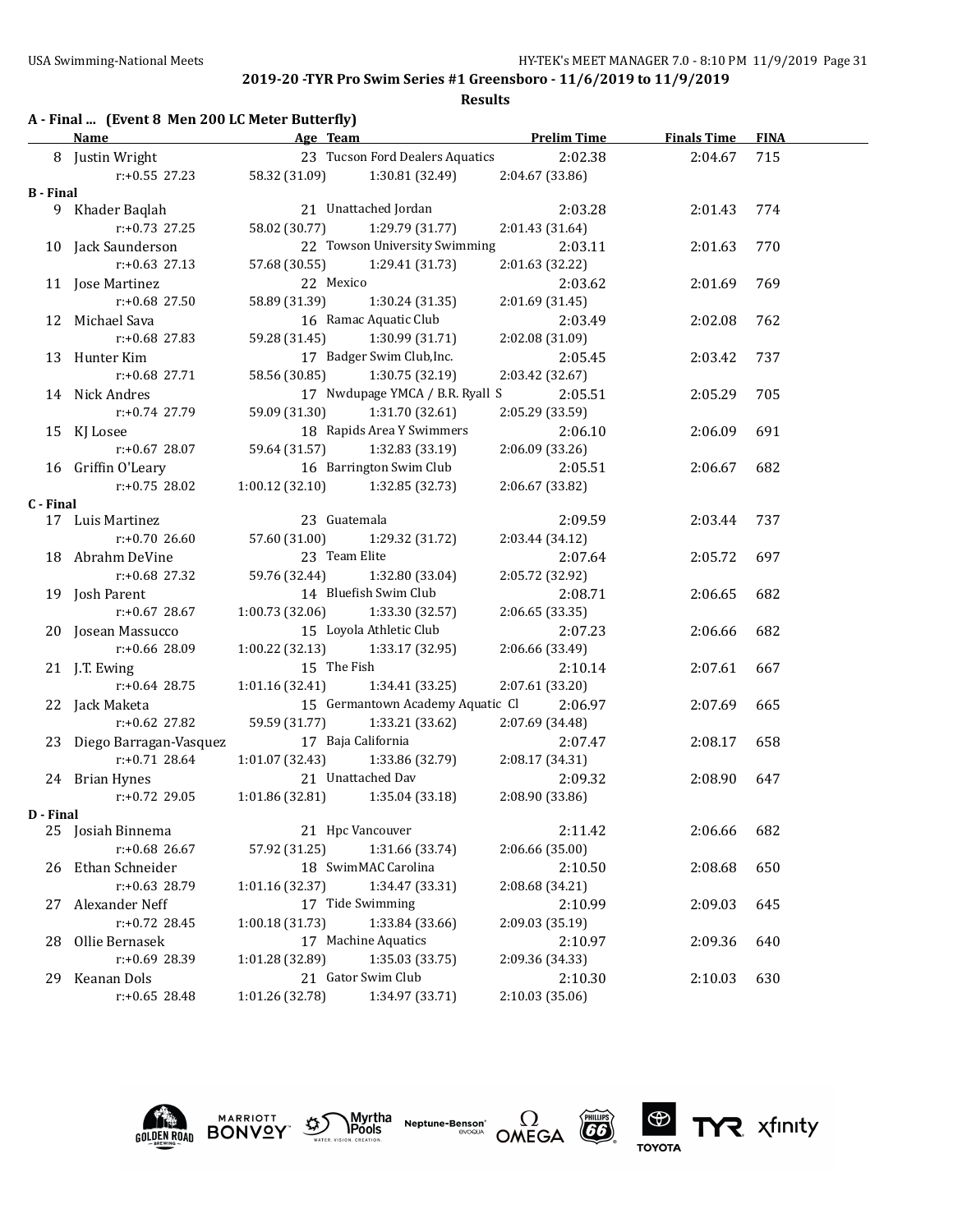|  |  |  |  | A - Final  (Event 8 Men 200 LC Meter Butterfly) |
|--|--|--|--|-------------------------------------------------|
|--|--|--|--|-------------------------------------------------|

|                  | <b>Example 2016</b> Age Team<br><b>Name</b>  |                 |                                               | <b>Example 2 Finals Time</b> Prelim Time Finals Time |         | <b>FINA</b> |
|------------------|----------------------------------------------|-----------------|-----------------------------------------------|------------------------------------------------------|---------|-------------|
|                  | 8 Justin Wright                              |                 | 23 Tucson Ford Dealers Aquatics               | 2:02.38                                              | 2:04.67 | 715         |
|                  | r:+0.55 27.23                                |                 | 58.32 (31.09) 1:30.81 (32.49) 2:04.67 (33.86) |                                                      |         |             |
| <b>B</b> - Final |                                              |                 |                                               |                                                      |         |             |
|                  | 9 Khader Baqlah                              |                 | 21 Unattached Jordan                          | 2:03.28                                              | 2:01.43 | 774         |
|                  | $r: +0.73$ 27.25                             |                 | 58.02 (30.77) 1:29.79 (31.77)                 | 2:01.43 (31.64)                                      |         |             |
|                  | 10 Jack Saunderson                           |                 | 22 Towson University Swimming                 | 2:03.11                                              | 2:01.63 | 770         |
|                  | $r: +0.63$ 27.13                             |                 | 57.68 (30.55) 1:29.41 (31.73)                 | 2:01.63 (32.22)                                      |         |             |
|                  | 11 Jose Martinez                             |                 | 22 Mexico                                     | 2:03.62                                              | 2:01.69 | 769         |
|                  | r:+0.68 27.50                                | 58.89 (31.39)   | 1:30.24 (31.35)                               | 2:01.69 (31.45)                                      |         |             |
|                  | 12 Michael Sava                              |                 | 16 Ramac Aquatic Club                         | 2:03.49                                              | 2:02.08 | 762         |
|                  | $r: +0.68$ 27.83                             |                 | 59.28 (31.45) 1:30.99 (31.71)                 | 2:02.08 (31.09)                                      |         |             |
|                  | 13 Hunter Kim                                |                 | 17 Badger Swim Club, Inc.                     | 2:05.45                                              | 2:03.42 | 737         |
|                  | $r: +0.68$ 27.71                             | 58.56 (30.85)   | 1:30.75 (32.19)                               | 2:03.42 (32.67)                                      |         |             |
|                  | 14 Nick Andres                               |                 | 17 Nwdupage YMCA / B.R. Ryall S               | 2:05.51                                              | 2:05.29 | 705         |
|                  | r:+0.74 27.79                                | 59.09 (31.30)   | 1:31.70 (32.61)                               | 2:05.29 (33.59)                                      |         |             |
|                  | 15 KJ Losee                                  |                 | 18 Rapids Area Y Swimmers                     | 2:06.10                                              | 2:06.09 | 691         |
|                  | $r: +0.67$ 28.07                             |                 | 59.64 (31.57) 1:32.83 (33.19)                 | 2:06.09 (33.26)                                      |         |             |
|                  | 16 Griffin O'Leary                           |                 | 16 Barrington Swim Club                       | 2:05.51                                              | 2:06.67 | 682         |
|                  | $r: +0.75$ 28.02                             |                 | $1:00.12$ (32.10) $1:32.85$ (32.73)           | 2:06.67 (33.82)                                      |         |             |
| C - Final        |                                              |                 |                                               |                                                      |         |             |
|                  | 17 Luis Martinez                             |                 | 23 Guatemala                                  | 2:09.59                                              | 2:03.44 | 737         |
|                  | r:+0.70 26.60                                |                 | 57.60 (31.00) 1:29.32 (31.72)                 | 2:03.44 (34.12)                                      |         |             |
|                  | 18 Abrahm DeVine                             |                 | 23 Team Elite                                 | 2:07.64                                              | 2:05.72 | 697         |
|                  | $r: +0.68$ 27.32                             |                 | 59.76 (32.44) 1:32.80 (33.04)                 | 2:05.72 (32.92)                                      |         |             |
|                  | 19 Josh Parent                               |                 | 14 Bluefish Swim Club                         | 2:08.71                                              | 2:06.65 | 682         |
|                  | r:+0.67 28.67                                |                 | $1:00.73$ (32.06) $1:33.30$ (32.57)           | 2:06.65 (33.35)                                      |         |             |
|                  | 20 Josean Massucco                           |                 | 15 Loyola Athletic Club                       | 2:07.23                                              | 2:06.66 | 682         |
|                  | r:+0.66 28.09                                |                 | $1:00.22$ (32.13) $1:33.17$ (32.95)           | 2:06.66 (33.49)                                      |         |             |
|                  | 21 J.T. Ewing                                | 15 The Fish     |                                               | 2:10.14                                              | 2:07.61 | 667         |
|                  | $r: +0.64$ 28.75                             |                 | $1:01.16(32.41)$ $1:34.41(33.25)$             | 2:07.61 (33.20)                                      |         |             |
|                  | 22 Jack Maketa                               |                 | 15 Germantown Academy Aquatic Cl 2:06.97      |                                                      | 2:07.69 | 665         |
|                  | r:+0.62 27.82                                |                 | 59.59 (31.77) 1:33.21 (33.62)                 | 2:07.69 (34.48)                                      |         |             |
|                  | 23 Diego Barragan-Vasquez 17 Baja California |                 |                                               | 2:07.47                                              | 2:08.17 | 658         |
|                  | $r: +0.71$ 28.64                             |                 | $1:01.07(32.43)$ $1:33.86(32.79)$             | 2:08.17 (34.31)                                      |         |             |
|                  | 24 Brian Hynes                               |                 | 21 Unattached Dav                             | 2:09.32                                              | 2:08.90 | 647         |
|                  | $r: +0.72$ 29.05                             |                 | $1:01.86(32.81)$ $1:35.04(33.18)$             | 2:08.90 (33.86)                                      |         |             |
| D - Final        |                                              |                 |                                               |                                                      |         |             |
| 25               | Josiah Binnema                               |                 | 21 Hpc Vancouver                              | 2:11.42                                              | 2:06.66 | 682         |
|                  | r:+0.68 26.67                                | 57.92 (31.25)   | 1:31.66 (33.74)                               | 2:06.66 (35.00)                                      |         |             |
| 26               | Ethan Schneider                              |                 | 18 SwimMAC Carolina                           | 2:10.50                                              | 2:08.68 | 650         |
|                  | $r: +0.63$ 28.79                             | 1:01.16(32.37)  | 1:34.47 (33.31)                               | 2:08.68 (34.21)                                      |         |             |
| 27               | Alexander Neff                               |                 | 17 Tide Swimming                              | 2:10.99                                              | 2:09.03 | 645         |
|                  | $r: +0.72$ 28.45                             | 1:00.18(31.73)  | 1:33.84 (33.66)                               | 2:09.03 (35.19)                                      |         |             |
| 28               | Ollie Bernasek                               |                 | 17 Machine Aquatics                           | 2:10.97                                              | 2:09.36 | 640         |
|                  | r:+0.69 28.39                                | 1:01.28 (32.89) | 1:35.03 (33.75)                               | 2:09.36 (34.33)                                      |         |             |
| 29               | Keanan Dols                                  |                 | 21 Gator Swim Club                            | 2:10.30                                              | 2:10.03 | 630         |
|                  | $r: +0.65$ 28.48                             | 1:01.26 (32.78) | 1:34.97 (33.71)                               | 2:10.03 (35.06)                                      |         |             |









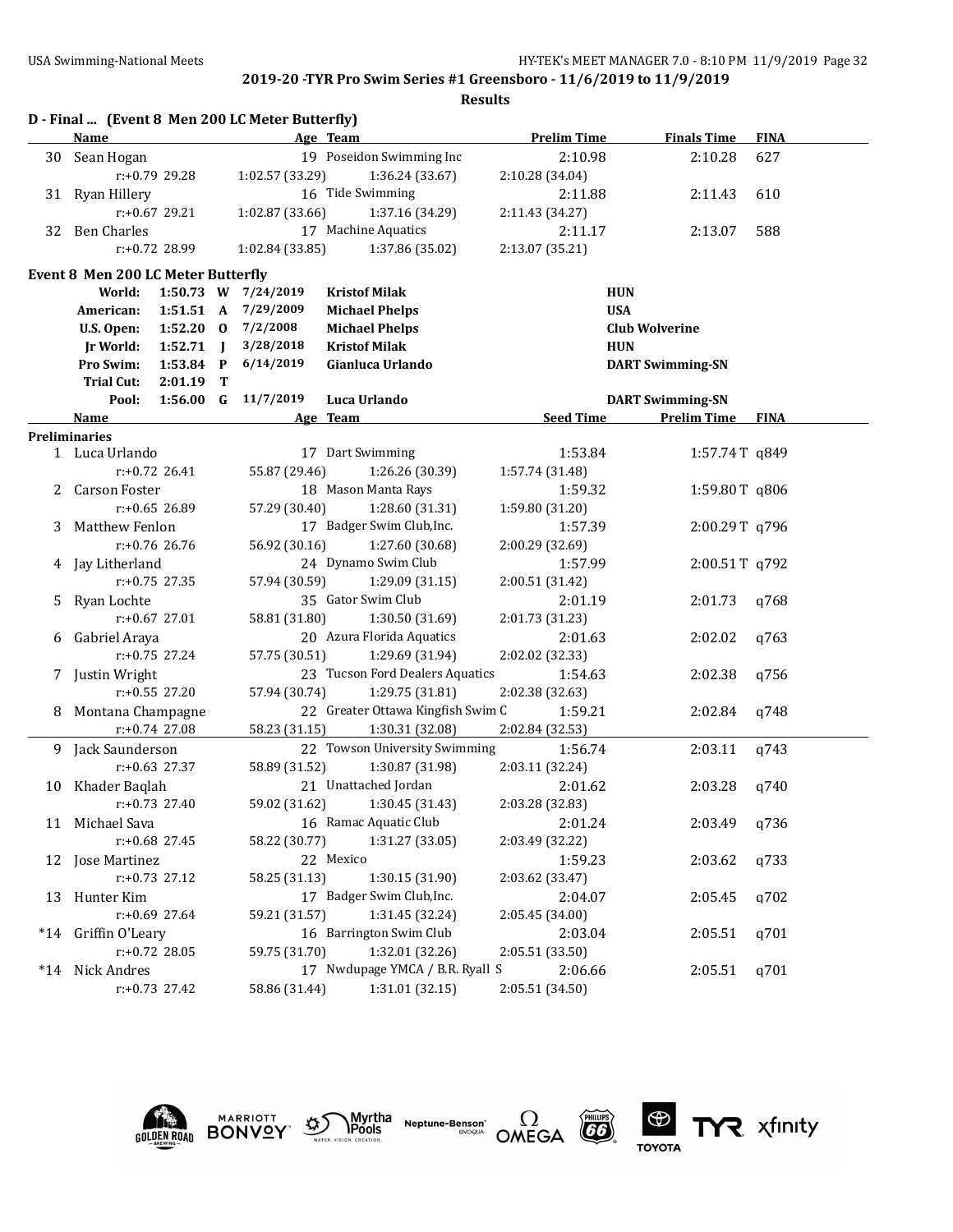**Results**

|    |                                    |                  |   | D - Final  (Event 8 Men 200 LC Meter Butterfly) |                                   |                    |                         |             |
|----|------------------------------------|------------------|---|-------------------------------------------------|-----------------------------------|--------------------|-------------------------|-------------|
|    | <b>Name</b>                        |                  |   |                                                 | Age Team                          | <b>Prelim Time</b> | <b>Finals Time</b>      | <b>FINA</b> |
| 30 | Sean Hogan                         |                  |   |                                                 | 19 Poseidon Swimming Inc          | 2:10.98            | 2:10.28                 | 627         |
|    |                                    | $r: +0.79$ 29.28 |   | 1:02.57 (33.29)                                 | 1:36.24 (33.67)                   | 2:10.28 (34.04)    |                         |             |
|    | 31 Ryan Hillery                    |                  |   |                                                 | 16 Tide Swimming                  | 2:11.88            | 2:11.43                 | 610         |
|    |                                    | $r: +0.67$ 29.21 |   | 1:02.87 (33.66)                                 | 1:37.16 (34.29)                   | 2:11.43 (34.27)    |                         |             |
|    | 32 Ben Charles                     |                  |   |                                                 | 17 Machine Aquatics               | 2:11.17            | 2:13.07                 | 588         |
|    |                                    | r:+0.72 28.99    |   | 1:02.84 (33.85)                                 | 1:37.86 (35.02)                   | 2:13.07 (35.21)    |                         |             |
|    | Event 8 Men 200 LC Meter Butterfly |                  |   |                                                 |                                   |                    |                         |             |
|    | World:                             |                  |   | 1:50.73 W 7/24/2019                             | <b>Kristof Milak</b>              | <b>HUN</b>         |                         |             |
|    | American:                          | 1:51.51 A        |   | 7/29/2009                                       | <b>Michael Phelps</b>             | <b>USA</b>         |                         |             |
|    | U.S. Open:                         | $1:52.20$ 0      |   | 7/2/2008                                        | <b>Michael Phelps</b>             |                    | <b>Club Wolverine</b>   |             |
|    | Jr World:                          | $1:52.71$ J      |   | 3/28/2018                                       | <b>Kristof Milak</b>              | <b>HUN</b>         |                         |             |
|    | Pro Swim:                          | 1:53.84 P        |   | 6/14/2019                                       | Gianluca Urlando                  |                    | <b>DART Swimming-SN</b> |             |
|    | <b>Trial Cut:</b>                  | 2:01.19          | т |                                                 |                                   |                    |                         |             |
|    | Pool:                              | $1:56.00$ G      |   | 11/7/2019                                       | Luca Urlando                      |                    | <b>DART Swimming-SN</b> |             |
|    | Name                               |                  |   |                                                 | Age Team                          | <b>Seed Time</b>   | <b>Prelim Time</b>      | <b>FINA</b> |
|    | <b>Preliminaries</b>               |                  |   |                                                 |                                   |                    |                         |             |
|    | 1 Luca Urlando                     |                  |   |                                                 | 17 Dart Swimming                  | 1:53.84            | 1:57.74T q849           |             |
|    |                                    | $r: +0.72$ 26.41 |   | 55.87 (29.46)                                   | 1:26.26 (30.39)                   | 1:57.74 (31.48)    |                         |             |
| 2  | <b>Carson Foster</b>               |                  |   |                                                 | 18 Mason Manta Rays               | 1:59.32            | 1:59.80T q806           |             |
|    |                                    | $r: +0.65$ 26.89 |   | 57.29 (30.40)                                   | 1:28.60 (31.31)                   | 1:59.80 (31.20)    |                         |             |
| 3  | <b>Matthew Fenlon</b>              |                  |   |                                                 | 17 Badger Swim Club, Inc.         | 1:57.39            | 2:00.29T q796           |             |
|    |                                    | $r: +0.76$ 26.76 |   | 56.92 (30.16)                                   | 1:27.60 (30.68)                   | 2:00.29 (32.69)    |                         |             |
|    | 4 Jay Litherland                   |                  |   |                                                 | 24 Dynamo Swim Club               | 1:57.99            | 2:00.51T q792           |             |
|    |                                    | r:+0.75 27.35    |   | 57.94 (30.59)                                   | 1:29.09 (31.15)                   | 2:00.51 (31.42)    |                         |             |
| 5. | Ryan Lochte                        |                  |   |                                                 | 35 Gator Swim Club                | 2:01.19            | 2:01.73                 | q768        |
|    |                                    | $r: +0.67$ 27.01 |   | 58.81 (31.80)                                   | 1:30.50 (31.69)                   | 2:01.73 (31.23)    |                         |             |
|    | 6 Gabriel Araya                    |                  |   |                                                 | 20 Azura Florida Aquatics         | 2:01.63            | 2:02.02                 | q763        |
|    |                                    | $r: +0.75$ 27.24 |   | 57.75 (30.51)                                   | 1:29.69 (31.94)                   | 2:02.02 (32.33)    |                         |             |
|    | 7 Justin Wright                    |                  |   |                                                 | 23 Tucson Ford Dealers Aquatics   | 1:54.63            | 2:02.38                 | q756        |
|    |                                    | $r: +0.55$ 27.20 |   | 57.94 (30.74)                                   | 1:29.75 (31.81)                   | 2:02.38 (32.63)    |                         |             |
| 8  | Montana Champagne                  |                  |   |                                                 | 22 Greater Ottawa Kingfish Swim C | 1:59.21            | 2:02.84                 | q748        |
|    |                                    | r:+0.74 27.08    |   | 58.23 (31.15)                                   | 1:30.31 (32.08)                   | 2:02.84 (32.53)    |                         |             |
|    | 9 Jack Saunderson                  |                  |   |                                                 | 22 Towson University Swimming     | 1:56.74            | 2:03.11                 | q743        |
|    |                                    | $r: +0.63$ 27.37 |   | 58.89 (31.52)                                   | 1:30.87 (31.98)                   | 2:03.11 (32.24)    |                         |             |
|    | 10 Khader Baqlah                   |                  |   |                                                 | 21 Unattached Jordan              | 2:01.62            | 2:03.28                 | g740        |
|    |                                    | r:+0.73 27.40    |   | 59.02 (31.62)                                   | 1:30.45 (31.43)                   | 2:03.28 (32.83)    |                         |             |
|    | 11 Michael Sava                    |                  |   |                                                 | 16 Ramac Aquatic Club             | 2:01.24            | 2:03.49                 | q736        |
|    |                                    | $r+0.68$ 27.45   |   | 58.22 (30.77)                                   | 1:31.27 (33.05)                   | 2:03.49 (32.22)    |                         |             |
|    | 12 Jose Martinez                   |                  |   |                                                 | 22 Mexico                         | 1:59.23            | 2:03.62                 | q733        |
|    |                                    | $r: +0.73$ 27.12 |   | 58.25 (31.13)                                   | 1:30.15 (31.90)                   | 2:03.62 (33.47)    |                         |             |
|    | 13 Hunter Kim                      |                  |   |                                                 | 17 Badger Swim Club, Inc.         | 2:04.07            | 2:05.45                 | q702        |
|    |                                    | $r: +0.69$ 27.64 |   | 59.21 (31.57)                                   | 1:31.45 (32.24)                   | 2:05.45 (34.00)    |                         |             |
|    | *14 Griffin O'Leary                |                  |   |                                                 | 16 Barrington Swim Club           | 2:03.04            | 2:05.51                 | q701        |
|    |                                    | $r: +0.72$ 28.05 |   | 59.75 (31.70)                                   | 1:32.01 (32.26)                   | 2:05.51 (33.50)    |                         |             |
|    | *14 Nick Andres                    |                  |   |                                                 | 17 Nwdupage YMCA / B.R. Ryall S   | 2:06.66            | 2:05.51                 | q701        |
|    |                                    | $r.+0.73$ 27.42  |   | 58.86 (31.44)                                   | 1:31.01 (32.15)                   | 2:05.51 (34.50)    |                         |             |





**Neptune-Benson\***<br>evoaua



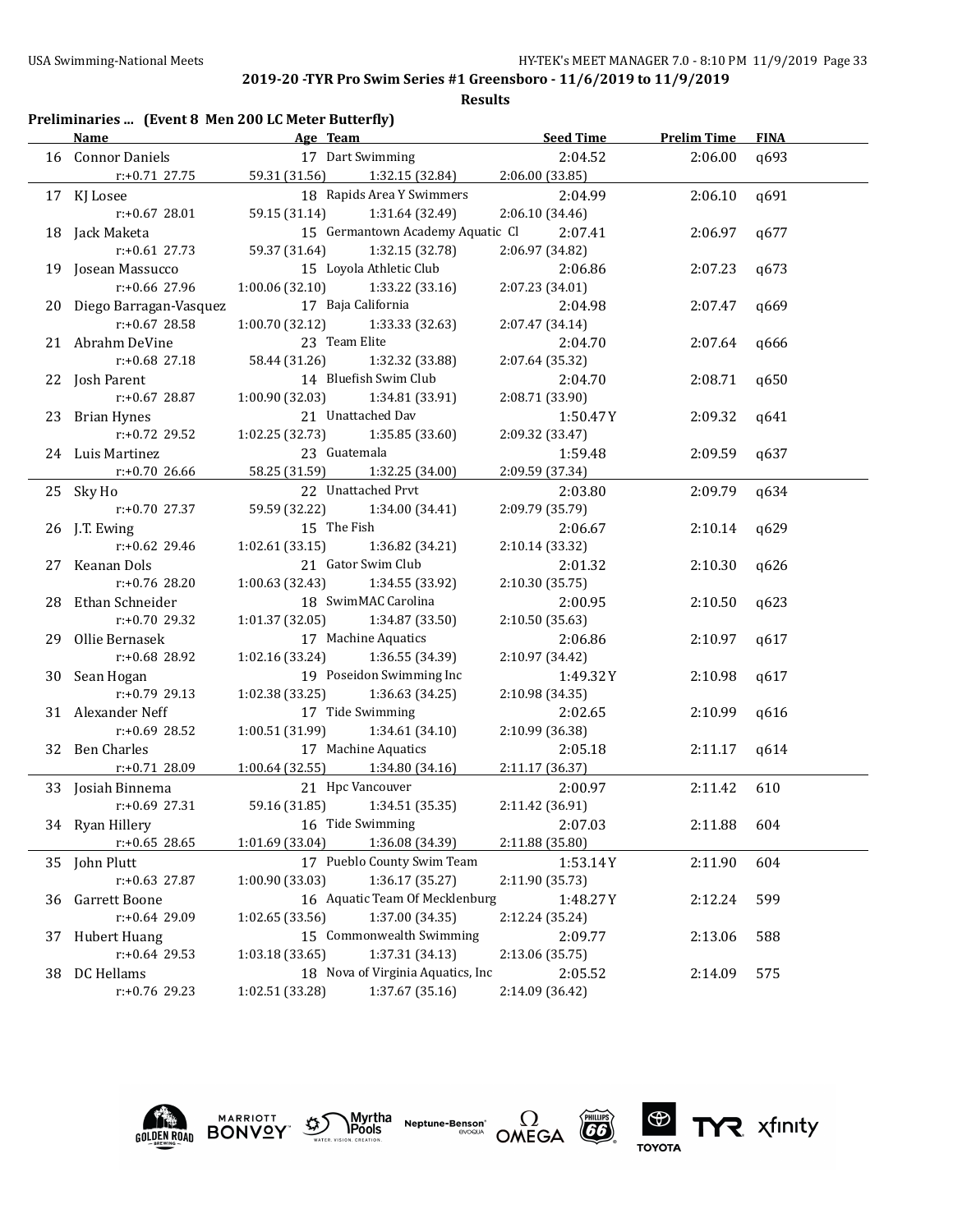| Preliminaries  (Event 8 Men 200 LC Meter Butterfly) |  |  |  |
|-----------------------------------------------------|--|--|--|
|-----------------------------------------------------|--|--|--|

|    | Name                      | Age Team                            |                                          | <b>Seed Time</b> | <b>Prelim Time</b> | <b>FINA</b> |
|----|---------------------------|-------------------------------------|------------------------------------------|------------------|--------------------|-------------|
|    | 16 Connor Daniels         | 17 Dart Swimming                    |                                          | 2:04.52          | 2:06.00            | q693        |
|    | r:+0.71 27.75             | 59.31 (31.56) 1:32.15 (32.84)       |                                          | 2:06.00(33.85)   |                    |             |
|    | 17 KJ Losee               |                                     | 18 Rapids Area Y Swimmers                | 2:04.99          | 2:06.10            | q691        |
|    | $r: +0.67$ 28.01          | 59.15 (31.14)                       | 1:31.64 (32.49)                          | 2:06.10 (34.46)  |                    |             |
|    | 18 Jack Maketa            |                                     | 15 Germantown Academy Aquatic Cl 2:07.41 |                  | 2:06.97            | q677        |
|    | $r: +0.61$ 27.73          | 59.37 (31.64)                       | 1:32.15 (32.78)                          | 2:06.97 (34.82)  |                    |             |
|    | 19 Josean Massucco        | 15 Loyola Athletic Club             |                                          | 2:06.86          | 2:07.23            | q673        |
|    | $r: +0.66$ 27.96          | $1:00.06$ (32.10) $1:33.22$ (33.16) |                                          | 2:07.23 (34.01)  |                    |             |
|    | 20 Diego Barragan-Vasquez | 17 Baja California                  |                                          | 2:04.98          | 2:07.47            | q669        |
|    | $r: +0.67$ 28.58          | $1:00.70(32.12)$ $1:33.33(32.63)$   |                                          | 2:07.47(34.14)   |                    |             |
|    | 21 Abrahm DeVine          | 23 Team Elite                       |                                          | 2:04.70          | 2:07.64            | q666        |
|    | $r: +0.68$ 27.18          | 58.44 (31.26) 1:32.32 (33.88)       |                                          | 2:07.64 (35.32)  |                    |             |
|    | 22 Josh Parent            | 14 Bluefish Swim Club               |                                          | 2:04.70          | 2:08.71            | q650        |
|    | $r: +0.67$ 28.87          | $1:00.90(32.03)$ $1:34.81(33.91)$   |                                          | 2:08.71 (33.90)  |                    |             |
|    | 23 Brian Hynes            | 21 Unattached Dav                   |                                          | 1:50.47 Y        | 2:09.32            | q641        |
|    | $r: +0.72$ 29.52          | $1:02.25(32.73)$ $1:35.85(33.60)$   |                                          | 2:09.32 (33.47)  |                    |             |
|    | 24 Luis Martinez          | 23 Guatemala                        |                                          | 1:59.48          | 2:09.59            | q637        |
|    | $r: +0.70$ 26.66          | 58.25 (31.59) 1:32.25 (34.00)       |                                          | 2:09.59 (37.34)  |                    |             |
|    | 25 Sky Ho                 | 22 Unattached Prvt                  |                                          | 2:03.80          | 2:09.79            | q634        |
|    | r:+0.70 27.37             | 59.59 (32.22) 1:34.00 (34.41)       |                                          | 2:09.79 (35.79)  |                    |             |
|    | 26 J.T. Ewing             | 15 The Fish                         |                                          | 2:06.67          | 2:10.14            | q629        |
|    | $r: +0.62$ 29.46          | $1:02.61(33.15)$ $1:36.82(34.21)$   |                                          | 2:10.14 (33.32)  |                    |             |
|    | 27 Keanan Dols            | 21 Gator Swim Club                  |                                          | 2:01.32          | 2:10.30            | q626        |
|    | $r: +0.76$ 28.20          | $1:00.63$ (32.43) $1:34.55$ (33.92) |                                          | 2:10.30 (35.75)  |                    |             |
|    | 28 Ethan Schneider        | 18 SwimMAC Carolina                 |                                          | 2:00.95          | 2:10.50            | q623        |
|    | $r: +0.70$ 29.32          | $1:01.37(32.05)$ $1:34.87(33.50)$   |                                          | 2:10.50 (35.63)  |                    |             |
|    | 29 Ollie Bernasek         | 17 Machine Aquatics                 |                                          | 2:06.86          | 2:10.97            | q617        |
|    | r:+0.68 28.92             | $1:02.16(33.24)$ $1:36.55(34.39)$   |                                          | 2:10.97 (34.42)  |                    |             |
|    | 30 Sean Hogan             |                                     | 19 Poseidon Swimming Inc                 | 1:49.32 Y        | 2:10.98            | q617        |
|    | $r: +0.79$ 29.13          | $1:02.38(33.25)$ $1:36.63(34.25)$   |                                          | 2:10.98 (34.35)  |                    |             |
|    | 31 Alexander Neff         | 17 Tide Swimming                    |                                          | 2:02.65          | 2:10.99            | q616        |
|    | r:+0.69 28.52             | $1:00.51(31.99)$ $1:34.61(34.10)$   |                                          | 2:10.99 (36.38)  |                    |             |
|    | 32 Ben Charles            | 17 Machine Aquatics                 |                                          | 2:05.18          | 2:11.17            | q614        |
|    | $r: +0.71$ 28.09          | $1:00.64$ (32.55) $1:34.80$ (34.16) |                                          | 2:11.17 (36.37)  |                    |             |
|    | 33 Josiah Binnema         | 21 Hpc Vancouver                    |                                          | 2:00.97          | 2:11.42            | 610         |
|    | r:+0.69 27.31             | 59.16 (31.85) 1:34.51 (35.35)       |                                          | 2:11.42 (36.91)  |                    |             |
|    | 34 Ryan Hillery           | 16 Tide Swimming                    |                                          | 2:07.03          | 2:11.88            | 604         |
|    | $r: +0.65$ 28.65          | 1:01.69 (33.04)                     | 1:36.08 (34.39)                          | 2:11.88 (35.80)  |                    |             |
|    | 35 John Plutt             |                                     | 17 Pueblo County Swim Team               | 1:53.14Y         | 2:11.90            | 604         |
|    | $r: +0.63$ 27.87          | 1:00.90 (33.03)                     | 1:36.17 (35.27)                          | 2:11.90 (35.73)  |                    |             |
| 36 | Garrett Boone             |                                     | 16 Aquatic Team Of Mecklenburg           | 1:48.27Y         | 2:12.24            | 599         |
|    | r:+0.64 29.09             | 1:02.65 (33.56)                     | 1:37.00 (34.35)                          | 2:12.24 (35.24)  |                    |             |
| 37 | <b>Hubert Huang</b>       |                                     | 15 Commonwealth Swimming                 | 2:09.77          | 2:13.06            | 588         |
|    | r:+0.64 29.53             | 1:03.18 (33.65)                     | 1:37.31 (34.13)                          | 2:13.06 (35.75)  |                    |             |
| 38 | DC Hellams                |                                     | 18 Nova of Virginia Aquatics, Inc        | 2:05.52          | 2:14.09            | 575         |
|    | r:+0.76 29.23             | 1:02.51 (33.28)                     | 1:37.67 (35.16)                          | 2:14.09 (36.42)  |                    |             |









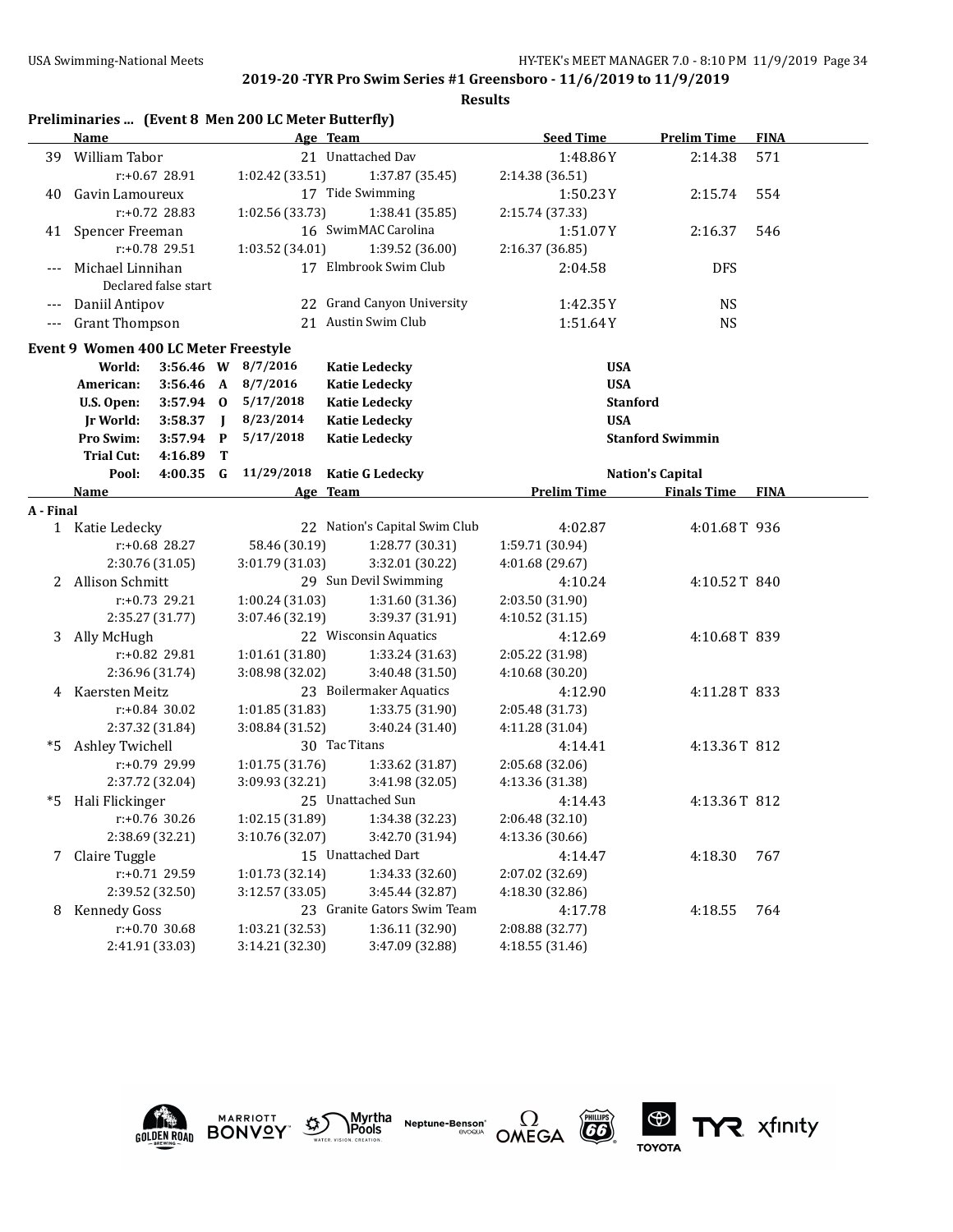|           |                                      |                      |                | Preliminaries  (Event 8 Men 200 LC Meter Butterfly) |                                              |                          |                         |             |
|-----------|--------------------------------------|----------------------|----------------|-----------------------------------------------------|----------------------------------------------|--------------------------|-------------------------|-------------|
|           | Name                                 |                      |                |                                                     | Age Team                                     | <b>Seed Time</b>         | <b>Prelim Time</b>      | <b>FINA</b> |
|           | 39 William Tabor                     |                      |                |                                                     | 21 Unattached Dav                            | 1:48.86Y                 | 2:14.38                 | 571         |
|           |                                      | r:+0.67 28.91        |                | 1:02.42 (33.51)                                     | 1:37.87 (35.45)                              | 2:14.38 (36.51)          |                         |             |
| 40        | Gavin Lamoureux                      |                      |                |                                                     | 17 Tide Swimming                             | 1:50.23Y                 | 2:15.74                 | 554         |
|           |                                      | r:+0.72 28.83        |                | 1:02.56 (33.73)                                     | 1:38.41 (35.85)                              | 2:15.74 (37.33)          |                         |             |
|           | 41 Spencer Freeman                   |                      |                |                                                     | 16 SwimMAC Carolina                          | 1:51.07Y                 | 2:16.37                 | 546         |
|           |                                      | r:+0.78 29.51        |                | 1:03.52 (34.01)                                     | 1:39.52 (36.00)                              | 2:16.37 (36.85)          |                         |             |
|           | Michael Linnihan                     |                      |                |                                                     | 17 Elmbrook Swim Club                        | 2:04.58                  | <b>DFS</b>              |             |
|           |                                      | Declared false start |                |                                                     |                                              |                          |                         |             |
|           | Daniil Antipov                       |                      |                |                                                     | 22 Grand Canyon University                   | 1:42.35Y                 | <b>NS</b>               |             |
| $---$     | <b>Grant Thompson</b>                |                      |                |                                                     | 21 Austin Swim Club                          | 1:51.64Y                 | <b>NS</b>               |             |
|           |                                      |                      |                |                                                     |                                              |                          |                         |             |
|           | Event 9 Women 400 LC Meter Freestyle |                      |                |                                                     |                                              |                          |                         |             |
|           | World:<br>American:                  | $3:56.46$ A          |                | 3:56.46 W 8/7/2016<br>8/7/2016                      | <b>Katie Ledecky</b>                         | <b>USA</b><br><b>USA</b> |                         |             |
|           | U.S. Open:                           | $3:57.94$ 0          |                | 5/17/2018                                           | <b>Katie Ledecky</b><br><b>Katie Ledecky</b> | <b>Stanford</b>          |                         |             |
|           | <b>Jr World:</b>                     | 3:58.37              | $\blacksquare$ | 8/23/2014                                           | <b>Katie Ledecky</b>                         | <b>USA</b>               |                         |             |
|           | Pro Swim:                            | 3:57.94              | $\mathbf{P}$   | 5/17/2018                                           | <b>Katie Ledecky</b>                         |                          | <b>Stanford Swimmin</b> |             |
|           | <b>Trial Cut:</b>                    | 4:16.89              | T              |                                                     |                                              |                          |                         |             |
|           | Pool:                                | 4:00.35              | G              | 11/29/2018                                          | <b>Katie G Ledecky</b>                       |                          | <b>Nation's Capital</b> |             |
|           | Name                                 |                      |                |                                                     | Age Team                                     | <b>Prelim Time</b>       | <b>Finals Time</b>      | <b>FINA</b> |
| A - Final |                                      |                      |                |                                                     |                                              |                          |                         |             |
|           | 1 Katie Ledecky                      |                      |                |                                                     | 22 Nation's Capital Swim Club                | 4:02.87                  | 4:01.68T 936            |             |
|           |                                      | r:+0.68 28.27        |                | 58.46 (30.19)                                       | 1:28.77 (30.31)                              | 1:59.71 (30.94)          |                         |             |
|           |                                      | 2:30.76 (31.05)      |                | 3:01.79 (31.03)                                     | 3:32.01 (30.22)                              | 4:01.68 (29.67)          |                         |             |
| 2         | Allison Schmitt                      |                      |                |                                                     | 29 Sun Devil Swimming                        | 4:10.24                  | 4:10.52T 840            |             |
|           |                                      | $r: +0.73$ 29.21     |                | 1:00.24 (31.03)                                     | 1:31.60 (31.36)                              | 2:03.50 (31.90)          |                         |             |
|           |                                      | 2:35.27 (31.77)      |                | 3:39.37 (31.91)<br>3:07.46 (32.19)                  |                                              | 4:10.52 (31.15)          |                         |             |
| 3         | Ally McHugh                          |                      |                |                                                     | 22 Wisconsin Aquatics                        | 4:12.69                  | 4:10.68T 839            |             |
|           |                                      | r:+0.82 29.81        |                | 1:01.61 (31.80)                                     | 1:33.24 (31.63)                              | 2:05.22 (31.98)          |                         |             |
|           |                                      | 2:36.96 (31.74)      |                | 3:08.98 (32.02)                                     | 3:40.48 (31.50)                              | 4:10.68 (30.20)          |                         |             |
| 4         | Kaersten Meitz                       |                      |                |                                                     | 23 Boilermaker Aquatics                      | 4:12.90                  | 4:11.28T 833            |             |
|           |                                      | r:+0.84 30.02        |                | 1:01.85 (31.83)                                     | 1:33.75 (31.90)                              | 2:05.48 (31.73)          |                         |             |
|           |                                      | 2:37.32 (31.84)      |                | 3:08.84 (31.52)                                     | 3:40.24 (31.40)                              | 4:11.28 (31.04)          |                         |             |
| *5        | Ashley Twichell                      |                      |                |                                                     | 30 Tac Titans                                | 4:14.41                  | 4:13.36T 812            |             |
|           |                                      | r:+0.79 29.99        |                | 1:01.75 (31.76)                                     | 1:33.62 (31.87)                              | 2:05.68 (32.06)          |                         |             |
|           |                                      | 2:37.72 (32.04)      |                | 3:09.93 (32.21)                                     | 3:41.98 (32.05)                              | 4:13.36 (31.38)          |                         |             |
| *5        | Hali Flickinger                      |                      |                |                                                     | 25 Unattached Sun                            | 4:14.43                  | 4:13.36T 812            |             |
|           |                                      | r:+0.76 30.26        |                | 1:02.15 (31.89)<br>1:34.38 (32.23)                  |                                              | 2:06.48 (32.10)          |                         |             |
|           |                                      | 2:38.69 (32.21)      |                | 3:10.76 (32.07)                                     | 3:42.70 (31.94)                              | 4:13.36 (30.66)          |                         |             |
| 7         | Claire Tuggle                        |                      |                |                                                     | 15 Unattached Dart                           | 4:14.47                  | 4:18.30                 | 767         |
|           |                                      | r:+0.71 29.59        |                | 1:01.73 (32.14)                                     | 1:34.33 (32.60)                              | 2:07.02 (32.69)          |                         |             |
|           |                                      | 2:39.52 (32.50)      |                | 3:12.57 (33.05)                                     | 3:45.44 (32.87)                              | 4:18.30 (32.86)          |                         |             |
| 8         | <b>Kennedy Goss</b>                  |                      |                |                                                     | 23 Granite Gators Swim Team                  | 4:17.78                  | 4:18.55                 | 764         |
|           |                                      | $r: +0.70$ 30.68     |                | 1:03.21 (32.53)                                     | 1:36.11 (32.90)                              | 2:08.88 (32.77)          |                         |             |
|           |                                      | 2:41.91 (33.03)      |                | 3:14.21 (32.30)                                     | 3:47.09 (32.88)                              | 4:18.55 (31.46)          |                         |             |











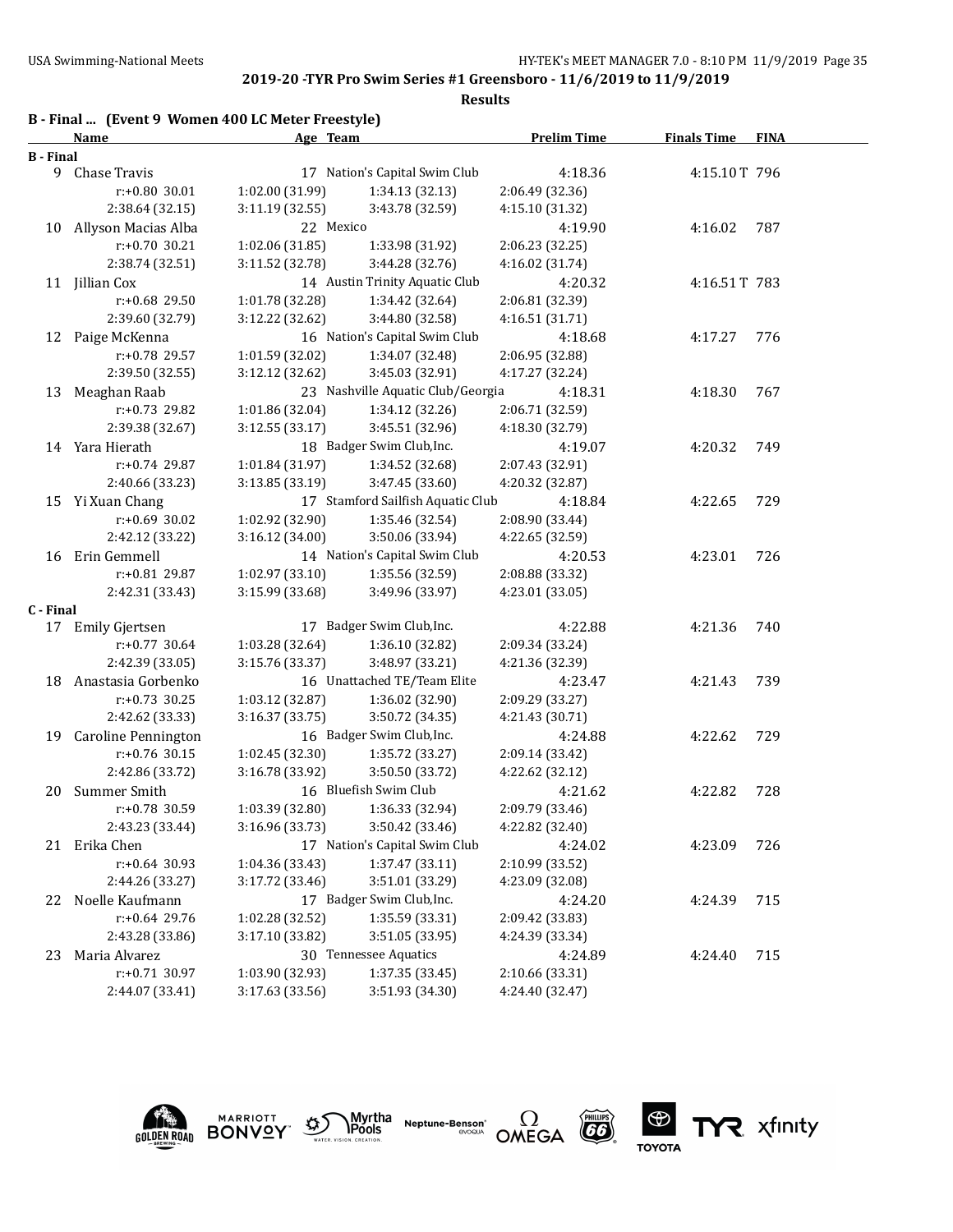**Results**

|           | B - Final  (Event 9 Women 400 LC Meter Freestyle) |                 |                                   |                    |                    |             |
|-----------|---------------------------------------------------|-----------------|-----------------------------------|--------------------|--------------------|-------------|
|           | Name                                              | Age Team        |                                   | <b>Prelim Time</b> | <b>Finals Time</b> | <b>FINA</b> |
| B - Final |                                                   |                 |                                   |                    |                    |             |
|           | 9 Chase Travis                                    |                 | 17 Nation's Capital Swim Club     | 4:18.36            | 4:15.10T 796       |             |
|           | r:+0.80 30.01                                     | 1:02.00 (31.99) | 1:34.13 (32.13)                   | 2:06.49 (32.36)    |                    |             |
|           | 2:38.64 (32.15)                                   | 3:11.19 (32.55) | 3:43.78 (32.59)                   | 4:15.10 (31.32)    |                    |             |
| 10        | Allyson Macias Alba                               | 22 Mexico       |                                   | 4:19.90            | 4:16.02            | 787         |
|           | r:+0.70 30.21                                     | 1:02.06 (31.85) | 1:33.98 (31.92)                   | 2:06.23 (32.25)    |                    |             |
|           | 2:38.74 (32.51)                                   | 3:11.52 (32.78) | 3:44.28 (32.76)                   | 4:16.02 (31.74)    |                    |             |
|           | 11 Jillian Cox                                    |                 | 14 Austin Trinity Aquatic Club    | 4:20.32            | 4:16.51T 783       |             |
|           | r:+0.68 29.50                                     | 1:01.78 (32.28) | 1:34.42 (32.64)                   | 2:06.81 (32.39)    |                    |             |
|           | 2:39.60 (32.79)                                   | 3:12.22 (32.62) | 3:44.80 (32.58)                   | 4:16.51 (31.71)    |                    |             |
|           | 12 Paige McKenna                                  |                 | 16 Nation's Capital Swim Club     | 4:18.68            | 4:17.27            | 776         |
|           | r:+0.78 29.57                                     | 1:01.59 (32.02) | 1:34.07 (32.48)                   | 2:06.95 (32.88)    |                    |             |
|           | 2:39.50 (32.55)                                   | 3:12.12 (32.62) | 3:45.03 (32.91)                   | 4:17.27 (32.24)    |                    |             |
| 13        | Meaghan Raab                                      |                 | 23 Nashville Aquatic Club/Georgia | 4:18.31            | 4:18.30            | 767         |
|           | r:+0.73 29.82                                     | 1:01.86 (32.04) | 1:34.12 (32.26)                   | 2:06.71 (32.59)    |                    |             |
|           | 2:39.38 (32.67)                                   | 3:12.55 (33.17) | 3:45.51 (32.96)                   | 4:18.30 (32.79)    |                    |             |
|           | 14 Yara Hierath                                   |                 | 18 Badger Swim Club, Inc.         | 4:19.07            | 4:20.32            | 749         |
|           | $r: +0.74$ 29.87                                  | 1:01.84 (31.97) | 1:34.52 (32.68)                   | 2:07.43 (32.91)    |                    |             |
|           | 2:40.66 (33.23)                                   | 3:13.85 (33.19) | 3:47.45 (33.60)                   | 4:20.32 (32.87)    |                    |             |
|           | 15 Yi Xuan Chang                                  |                 | 17 Stamford Sailfish Aquatic Club | 4:18.84            | 4:22.65            | 729         |
|           | $r: +0.69$ 30.02                                  | 1:02.92 (32.90) | 1:35.46 (32.54)                   | 2:08.90 (33.44)    |                    |             |
|           | 2:42.12 (33.22)                                   | 3:16.12 (34.00) | 3:50.06 (33.94)                   | 4:22.65 (32.59)    |                    |             |
| 16        | Erin Gemmell                                      |                 | 14 Nation's Capital Swim Club     | 4:20.53            | 4:23.01            | 726         |
|           | r:+0.81 29.87                                     | 1:02.97 (33.10) | 1:35.56 (32.59)                   | 2:08.88 (33.32)    |                    |             |
|           | 2:42.31 (33.43)                                   | 3:15.99 (33.68) | 3:49.96 (33.97)                   | 4:23.01 (33.05)    |                    |             |
| C - Final |                                                   |                 |                                   |                    |                    |             |
|           | 17 Emily Gjertsen                                 |                 | 17 Badger Swim Club, Inc.         | 4:22.88            | 4:21.36            | 740         |
|           | r:+0.77 30.64                                     | 1:03.28 (32.64) | 1:36.10 (32.82)                   | 2:09.34 (33.24)    |                    |             |
|           | 2:42.39 (33.05)                                   | 3:15.76 (33.37) | 3:48.97 (33.21)                   | 4:21.36 (32.39)    |                    |             |
| 18        | Anastasia Gorbenko                                |                 | 16 Unattached TE/Team Elite       | 4:23.47            | 4:21.43            | 739         |
|           | $r: +0.73$ 30.25                                  | 1:03.12 (32.87) | 1:36.02 (32.90)                   | 2:09.29 (33.27)    |                    |             |
|           | 2:42.62 (33.33)                                   | 3:16.37 (33.75) | 3:50.72 (34.35)                   | 4:21.43 (30.71)    |                    |             |
| 19        | <b>Caroline Pennington</b>                        |                 | 16 Badger Swim Club, Inc.         | 4:24.88            | 4:22.62            | 729         |
|           | r:+0.76 30.15                                     | 1:02.45 (32.30) | 1:35.72 (33.27)                   | 2:09.14 (33.42)    |                    |             |
|           | 2:42.86 (33.72)                                   | 3:16.78 (33.92) | 3:50.50 (33.72)                   | 4:22.62 (32.12)    |                    |             |
| 20        | Summer Smith                                      |                 | 16 Bluefish Swim Club             | 4:21.62            | 4:22.82            | 728         |
|           | r:+0.78 30.59                                     | 1:03.39 (32.80) | 1:36.33 (32.94)                   | 2:09.79 (33.46)    |                    |             |
|           | 2:43.23 (33.44)                                   | 3:16.96 (33.73) | 3:50.42 (33.46)                   | 4:22.82 (32.40)    |                    |             |
| 21        | Erika Chen                                        |                 | 17 Nation's Capital Swim Club     | 4:24.02            | 4:23.09            | 726         |
|           | $r: +0.64$ 30.93                                  | 1:04.36 (33.43) | 1:37.47 (33.11)                   | 2:10.99 (33.52)    |                    |             |
|           | 2:44.26 (33.27)                                   | 3:17.72 (33.46) | 3:51.01 (33.29)                   | 4:23.09 (32.08)    |                    |             |
| 22        | Noelle Kaufmann                                   |                 | 17 Badger Swim Club, Inc.         | 4:24.20            | 4:24.39            | 715         |
|           | r:+0.64 29.76                                     | 1:02.28 (32.52) | 1:35.59 (33.31)                   | 2:09.42 (33.83)    |                    |             |
|           | 2:43.28 (33.86)                                   | 3:17.10 (33.82) | 3:51.05 (33.95)                   | 4:24.39 (33.34)    |                    |             |
| 23        | Maria Alvarez                                     |                 | 30 Tennessee Aquatics             | 4:24.89            | 4:24.40            | 715         |
|           | $r: +0.71$ 30.97                                  | 1:03.90 (32.93) | 1:37.35 (33.45)                   | 2:10.66 (33.31)    |                    |             |
|           | 2:44.07 (33.41)                                   | 3:17.63 (33.56) | 3:51.93 (34.30)                   | 4:24.40 (32.47)    |                    |             |



**MARRIOTT** 







TYR xfinity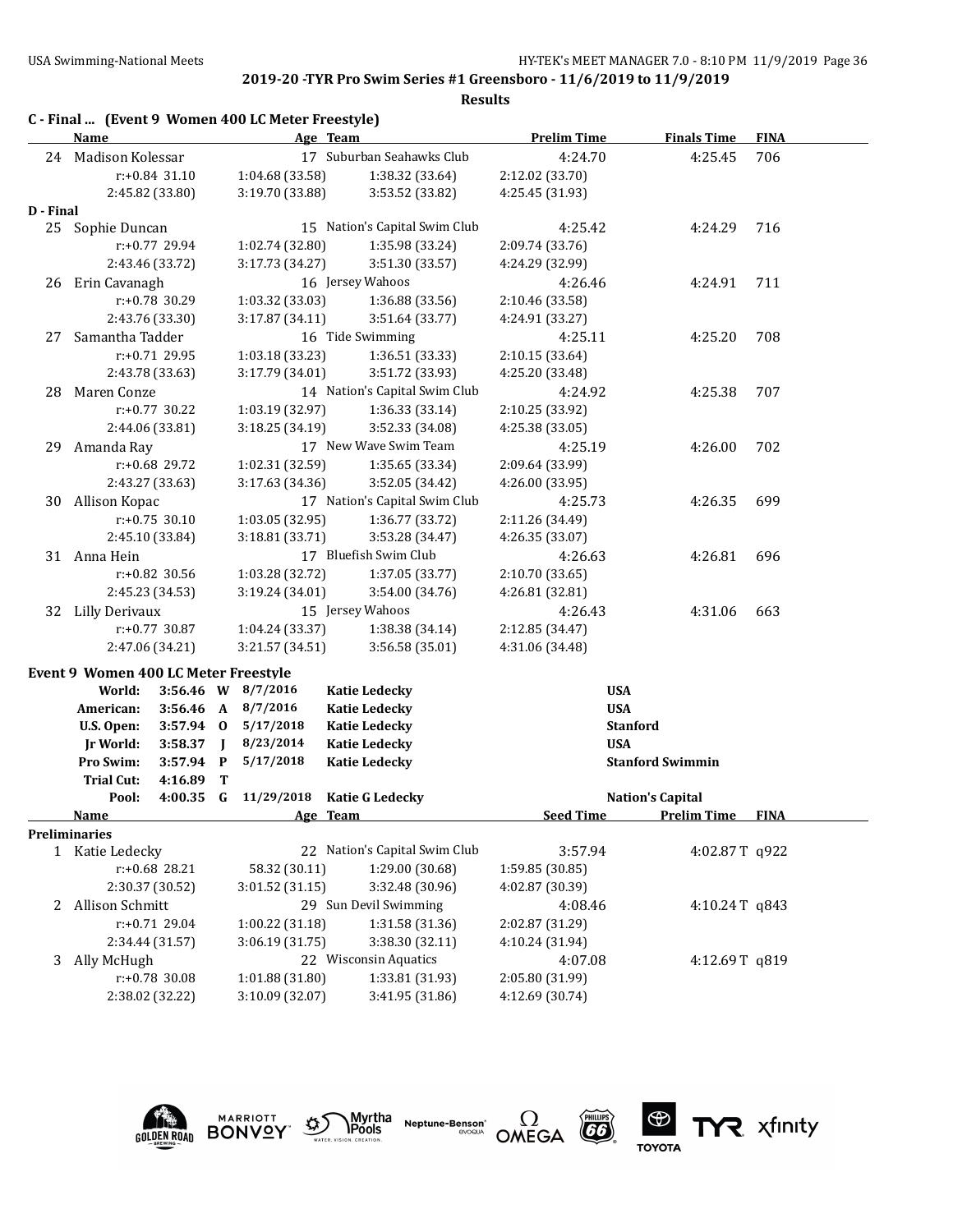|           |                                      |                                                     |              | C - Final  (Event 9 Women 400 LC Meter Freestyle) |                               |                    |                         |             |
|-----------|--------------------------------------|-----------------------------------------------------|--------------|---------------------------------------------------|-------------------------------|--------------------|-------------------------|-------------|
|           | <b>Name</b>                          |                                                     |              |                                                   | Age Team                      | <b>Prelim Time</b> | <b>Finals Time</b>      | <b>FINA</b> |
| 24        | Madison Kolessar                     |                                                     |              |                                                   | 17 Suburban Seahawks Club     | 4:24.70            | 4:25.45                 | 706         |
|           |                                      | r:+0.84 31.10                                       |              | 1:04.68 (33.58)                                   | 1:38.32 (33.64)               | 2:12.02 (33.70)    |                         |             |
|           |                                      | 2:45.82 (33.80)                                     |              | 3:19.70 (33.88)                                   | 3:53.52 (33.82)               | 4:25.45 (31.93)    |                         |             |
| D - Final |                                      |                                                     |              |                                                   |                               |                    |                         |             |
|           | 25 Sophie Duncan                     |                                                     |              |                                                   | 15 Nation's Capital Swim Club | 4:25.42            | 4:24.29                 | 716         |
|           |                                      | r:+0.77 29.94                                       |              | 1:02.74 (32.80)                                   | 1:35.98 (33.24)               | 2:09.74 (33.76)    |                         |             |
|           |                                      | 2:43.46 (33.72)                                     |              | 3:17.73 (34.27)                                   | 3:51.30 (33.57)               | 4:24.29 (32.99)    |                         |             |
| 26        | Erin Cavanagh                        |                                                     |              |                                                   | 16 Jersey Wahoos              | 4:26.46            | 4:24.91                 | 711         |
|           |                                      | $r: +0.78$ 30.29                                    |              | 1:03.32 (33.03)                                   | 1:36.88 (33.56)               | 2:10.46 (33.58)    |                         |             |
|           |                                      | 2:43.76 (33.30)                                     |              | 3:17.87(34.11)                                    | 3:51.64 (33.77)               | 4:24.91 (33.27)    |                         |             |
| 27        | Samantha Tadder                      |                                                     |              |                                                   | 16 Tide Swimming              | 4:25.11            | 4:25.20                 | 708         |
|           |                                      | $r: +0.71$ 29.95                                    |              | 1:03.18 (33.23)                                   | 1:36.51 (33.33)               | 2:10.15 (33.64)    |                         |             |
|           |                                      | 2:43.78 (33.63)                                     |              | 3:17.79 (34.01)                                   | 3:51.72 (33.93)               | 4:25.20 (33.48)    |                         |             |
| 28        | Maren Conze                          |                                                     |              |                                                   | 14 Nation's Capital Swim Club | 4:24.92            | 4:25.38                 | 707         |
|           |                                      | $r: +0.77$ 30.22                                    |              | 1:03.19 (32.97)                                   | 1:36.33 (33.14)               | 2:10.25 (33.92)    |                         |             |
|           |                                      | 2:44.06 (33.81)                                     |              | 3:18.25 (34.19)                                   | 3:52.33 (34.08)               | 4:25.38 (33.05)    |                         |             |
| 29        | Amanda Ray                           |                                                     |              |                                                   | 17 New Wave Swim Team         | 4:25.19            | 4:26.00                 | 702         |
|           |                                      | r:+0.68 29.72                                       |              | 1:02.31 (32.59)                                   | 1:35.65 (33.34)               | 2:09.64 (33.99)    |                         |             |
|           |                                      | 2:43.27 (33.63)                                     |              | 3:17.63 (34.36)                                   | 3:52.05 (34.42)               | 4:26.00 (33.95)    |                         |             |
| 30        | Allison Kopac                        |                                                     |              |                                                   | 17 Nation's Capital Swim Club | 4:25.73            | 4:26.35                 | 699         |
|           |                                      | $r: +0.75$ 30.10                                    |              | 1:03.05 (32.95)                                   | 1:36.77 (33.72)               | 2:11.26 (34.49)    |                         |             |
|           |                                      | 2:45.10 (33.84)                                     |              | 3:18.81 (33.71)                                   | 3:53.28 (34.47)               | 4:26.35 (33.07)    |                         |             |
|           | 31 Anna Hein                         |                                                     |              |                                                   | 17 Bluefish Swim Club         | 4:26.63            | 4:26.81                 | 696         |
|           |                                      | r:+0.82 30.56                                       |              | 1:03.28 (32.72)                                   | 1:37.05 (33.77)               | 2:10.70 (33.65)    |                         |             |
|           |                                      | 2:45.23 (34.53)                                     |              | 3:19.24 (34.01)                                   | 3:54.00 (34.76)               | 4:26.81 (32.81)    |                         |             |
| 32        | Lilly Derivaux                       |                                                     |              |                                                   | 15 Jersey Wahoos              | 4:26.43            | 4:31.06                 | 663         |
|           |                                      | r:+0.77 30.87<br>1:04.24 (33.37)<br>1:38.38 (34.14) |              |                                                   | 2:12.85 (34.47)               |                    |                         |             |
|           |                                      | 2:47.06 (34.21)                                     |              | 3:21.57 (34.51)                                   | 3:56.58 (35.01)               | 4:31.06 (34.48)    |                         |             |
|           | Event 9 Women 400 LC Meter Freestyle |                                                     |              |                                                   |                               |                    |                         |             |
|           | World:                               |                                                     |              | 3:56.46 W 8/7/2016                                | <b>Katie Ledecky</b>          |                    | <b>USA</b>              |             |
|           | American:                            | $3:56.46$ A                                         |              | 8/7/2016                                          | <b>Katie Ledecky</b>          |                    | <b>USA</b>              |             |
|           | U.S. Open:                           | 3:57.94 0                                           |              | 5/17/2018                                         | <b>Katie Ledecky</b>          |                    | <b>Stanford</b>         |             |
|           | Jr World:                            | 3:58.37                                             | $\mathbf{I}$ | 8/23/2014                                         | <b>Katie Ledecky</b>          |                    | <b>USA</b>              |             |
|           | Pro Swim:                            | 3:57.94                                             | $\mathbf{P}$ | 5/17/2018                                         | <b>Katie Ledecky</b>          |                    | <b>Stanford Swimmin</b> |             |
|           | <b>Trial Cut:</b>                    | 4:16.89                                             | Т            |                                                   |                               |                    |                         |             |
|           | Pool:                                | 4:00.35                                             | G            | 11/29/2018                                        | <b>Katie G Ledecky</b>        |                    | <b>Nation's Capital</b> |             |
|           | <b>Name</b>                          |                                                     |              |                                                   | Age Team                      | <b>Seed Time</b>   | <b>Prelim Time</b>      | <b>FINA</b> |
|           | <b>Preliminaries</b>                 |                                                     |              |                                                   |                               |                    |                         |             |
|           | 1 Katie Ledecky                      |                                                     |              |                                                   | 22 Nation's Capital Swim Club | 3:57.94            | 4:02.87T q922           |             |
|           |                                      | r:+0.68 28.21                                       |              | 58.32 (30.11)                                     | 1:29.00 (30.68)               | 1:59.85 (30.85)    |                         |             |
|           |                                      | 2:30.37 (30.52)                                     |              | 3:01.52 (31.15)                                   | 3:32.48 (30.96)               | 4:02.87 (30.39)    |                         |             |
| 2         | Allison Schmitt                      |                                                     |              |                                                   | 29 Sun Devil Swimming         | 4:08.46            | 4:10.24T $q843$         |             |
|           |                                      | r:+0.71 29.04                                       |              | 1:00.22 (31.18)                                   | 1:31.58 (31.36)               | 2:02.87 (31.29)    |                         |             |
|           |                                      | 2:34.44 (31.57)                                     |              | 3:06.19 (31.75)                                   | 3:38.30 (32.11)               | 4:10.24 (31.94)    |                         |             |
| 3         | Ally McHugh                          |                                                     |              |                                                   | 22 Wisconsin Aquatics         | 4:07.08            | 4:12.69T q819           |             |
|           |                                      | r:+0.78 30.08                                       |              | 1:01.88 (31.80)                                   | 1:33.81 (31.93)               | 2:05.80 (31.99)    |                         |             |
|           | 2:38.02 (32.22)                      |                                                     |              | 3:10.09 (32.07)                                   | 3:41.95 (31.86)               | 4:12.69 (30.74)    |                         |             |









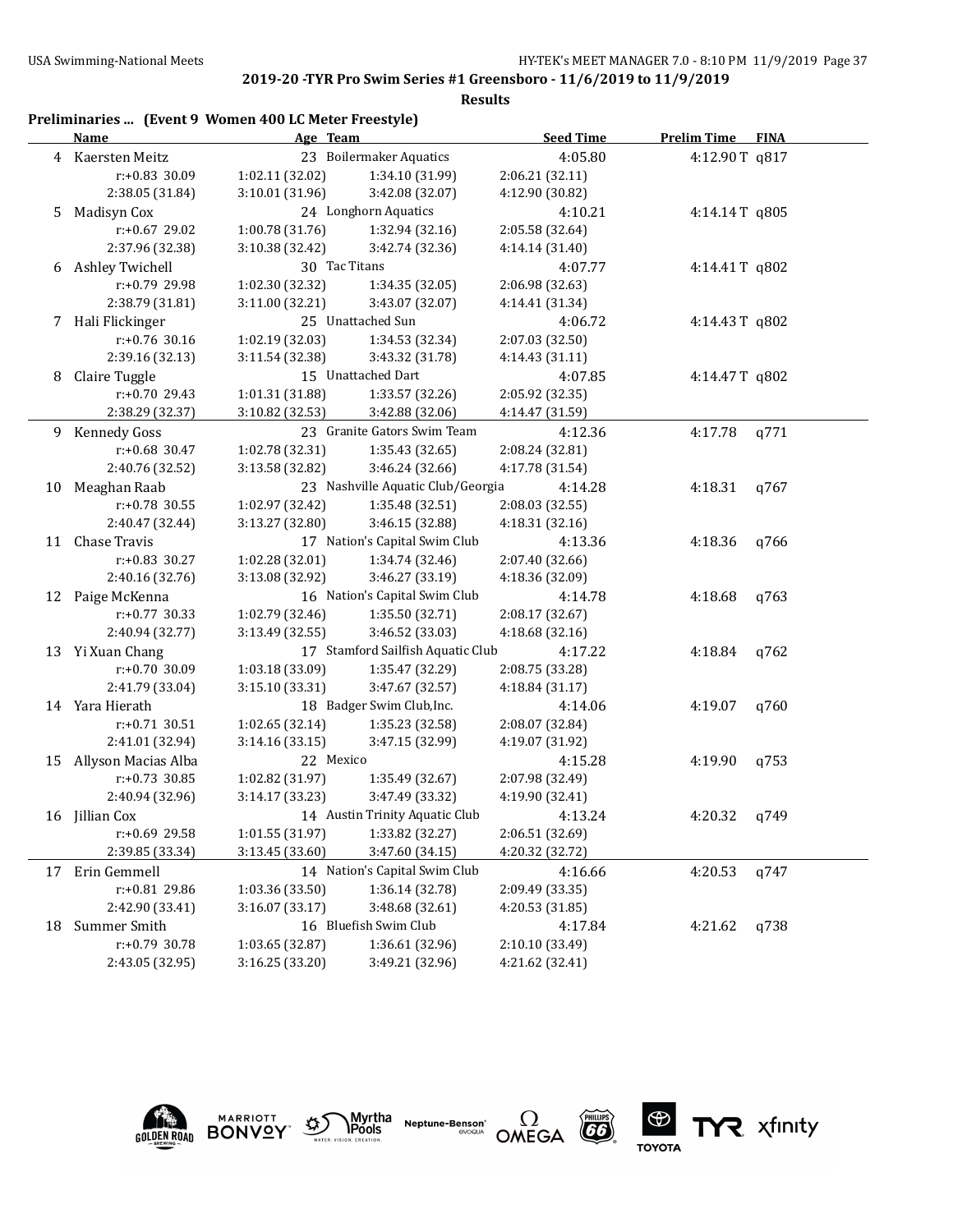|    | Preliminaries  (Event 9 Women 400 LC Meter Freestyle)<br>Name | Age Team        |                                   | <b>Seed Time</b> | <b>Prelim Time FINA</b> |      |
|----|---------------------------------------------------------------|-----------------|-----------------------------------|------------------|-------------------------|------|
|    | 4 Kaersten Meitz                                              |                 | 23 Boilermaker Aquatics           | 4:05.80          | 4:12.90T q817           |      |
|    | r:+0.83 30.09                                                 | 1:02.11 (32.02) | 1:34.10 (31.99)                   | 2:06.21 (32.11)  |                         |      |
|    | 2:38.05 (31.84)                                               | 3:10.01 (31.96) | 3:42.08 (32.07)                   | 4:12.90 (30.82)  |                         |      |
| 5  | Madisyn Cox                                                   |                 | 24 Longhorn Aquatics              | 4:10.21          | 4:14.14T q805           |      |
|    | r:+0.67 29.02                                                 | 1:00.78 (31.76) | 1:32.94 (32.16)                   | 2:05.58 (32.64)  |                         |      |
|    | 2:37.96 (32.38)                                               | 3:10.38 (32.42) | 3:42.74 (32.36)                   | 4:14.14 (31.40)  |                         |      |
|    | 6 Ashley Twichell                                             | 30 Tac Titans   |                                   | 4:07.77          | 4:14.41T q802           |      |
|    | r:+0.79 29.98                                                 | 1:02.30 (32.32) | 1:34.35 (32.05)                   | 2:06.98 (32.63)  |                         |      |
|    | 2:38.79 (31.81)                                               | 3:11.00 (32.21) | 3:43.07 (32.07)                   | 4:14.41 (31.34)  |                         |      |
|    | 7 Hali Flickinger                                             |                 | 25 Unattached Sun                 | 4:06.72          | 4:14.43T q802           |      |
|    | r:+0.76 30.16                                                 | 1:02.19 (32.03) | 1:34.53 (32.34)                   | 2:07.03 (32.50)  |                         |      |
|    | 2:39.16 (32.13)                                               | 3:11.54 (32.38) | 3:43.32 (31.78)                   | 4:14.43 (31.11)  |                         |      |
| 8  | Claire Tuggle                                                 |                 | 15 Unattached Dart                | 4:07.85          | 4:14.47T q802           |      |
|    | r:+0.70 29.43                                                 | 1:01.31 (31.88) | 1:33.57 (32.26)                   | 2:05.92 (32.35)  |                         |      |
|    | 2:38.29 (32.37)                                               | 3:10.82 (32.53) | 3:42.88 (32.06)                   | 4:14.47 (31.59)  |                         |      |
|    | 9 Kennedy Goss                                                |                 | 23 Granite Gators Swim Team       | 4:12.36          | 4:17.78                 | q771 |
|    | r:+0.68 30.47                                                 | 1:02.78 (32.31) | 1:35.43 (32.65)                   | 2:08.24 (32.81)  |                         |      |
|    | 2:40.76 (32.52)                                               | 3:13.58 (32.82) | 3:46.24 (32.66)                   | 4:17.78 (31.54)  |                         |      |
| 10 | Meaghan Raab                                                  |                 | 23 Nashville Aquatic Club/Georgia | 4:14.28          | 4:18.31                 | q767 |
|    | $r: +0.78$ 30.55                                              | 1:02.97 (32.42) | 1:35.48 (32.51)                   | 2:08.03 (32.55)  |                         |      |
|    | 2:40.47 (32.44)                                               | 3:13.27 (32.80) | 3:46.15 (32.88)                   | 4:18.31 (32.16)  |                         |      |
| 11 | Chase Travis                                                  |                 | 17 Nation's Capital Swim Club     | 4:13.36          | 4:18.36                 | q766 |
|    | r:+0.83 30.27                                                 | 1:02.28 (32.01) | 1:34.74 (32.46)                   | 2:07.40 (32.66)  |                         |      |
|    | 2:40.16 (32.76)                                               | 3:13.08 (32.92) | 3:46.27 (33.19)                   | 4:18.36 (32.09)  |                         |      |
| 12 | Paige McKenna                                                 |                 | 16 Nation's Capital Swim Club     | 4:14.78          | 4:18.68                 | q763 |
|    | $r: +0.77$ 30.33                                              | 1:02.79 (32.46) | 1:35.50 (32.71)                   | 2:08.17 (32.67)  |                         |      |
|    | 2:40.94 (32.77)                                               | 3:13.49 (32.55) | 3:46.52 (33.03)                   | 4:18.68 (32.16)  |                         |      |
|    | 13 Yi Xuan Chang                                              |                 | 17 Stamford Sailfish Aquatic Club | 4:17.22          | 4:18.84                 | q762 |
|    | r:+0.70 30.09                                                 | 1:03.18 (33.09) | 1:35.47 (32.29)                   | 2:08.75 (33.28)  |                         |      |
|    | 2:41.79 (33.04)                                               | 3:15.10 (33.31) | 3:47.67 (32.57)                   | 4:18.84 (31.17)  |                         |      |
|    | 14 Yara Hierath                                               |                 | 18 Badger Swim Club, Inc.         | 4:14.06          | 4:19.07                 | q760 |
|    | $r: +0.71$ 30.51                                              | 1:02.65 (32.14) | 1:35.23 (32.58)                   | 2:08.07 (32.84)  |                         |      |
|    | 2:41.01 (32.94)                                               | 3:14.16 (33.15) | 3:47.15 (32.99)                   | 4:19.07 (31.92)  |                         |      |
| 15 | Allyson Macias Alba                                           | 22 Mexico       |                                   | 4:15.28          | 4:19.90                 | q753 |
|    | $r: +0.73$ 30.85                                              | 1:02.82 (31.97) | 1:35.49 (32.67)                   | 2:07.98 (32.49)  |                         |      |
|    | 2:40.94 (32.96)                                               | 3:14.17 (33.23) | 3:47.49 (33.32)                   | 4:19.90 (32.41)  |                         |      |
|    |                                                               |                 | 14 Austin Trinity Aquatic Club    | 4:13.24          | 4:20.32                 |      |
|    | 16 Jillian Cox<br>r:+0.69 29.58                               | 1:01.55 (31.97) | 1:33.82 (32.27)                   | 2:06.51 (32.69)  |                         | q749 |
|    | 2:39.85 (33.34)                                               | 3:13.45 (33.60) | 3:47.60 (34.15)                   | 4:20.32 (32.72)  |                         |      |
|    |                                                               |                 |                                   |                  |                         |      |
|    | 17 Erin Gemmell                                               |                 | 14 Nation's Capital Swim Club     | 4:16.66          | 4:20.53                 | q747 |
|    | r:+0.81 29.86                                                 | 1:03.36 (33.50) | 1:36.14 (32.78)                   | 2:09.49 (33.35)  |                         |      |
|    | 2:42.90 (33.41)                                               | 3:16.07 (33.17) | 3:48.68 (32.61)                   | 4:20.53 (31.85)  |                         |      |
| 18 | Summer Smith                                                  |                 | 16 Bluefish Swim Club             | 4:17.84          | 4:21.62                 | q738 |
|    | r:+0.79 30.78                                                 | 1:03.65 (32.87) | 1:36.61 (32.96)                   | 2:10.10 (33.49)  |                         |      |
|    | 2:43.05 (32.95)                                               | 3:16.25 (33.20) | 3:49.21 (32.96)                   | 4:21.62 (32.41)  |                         |      |











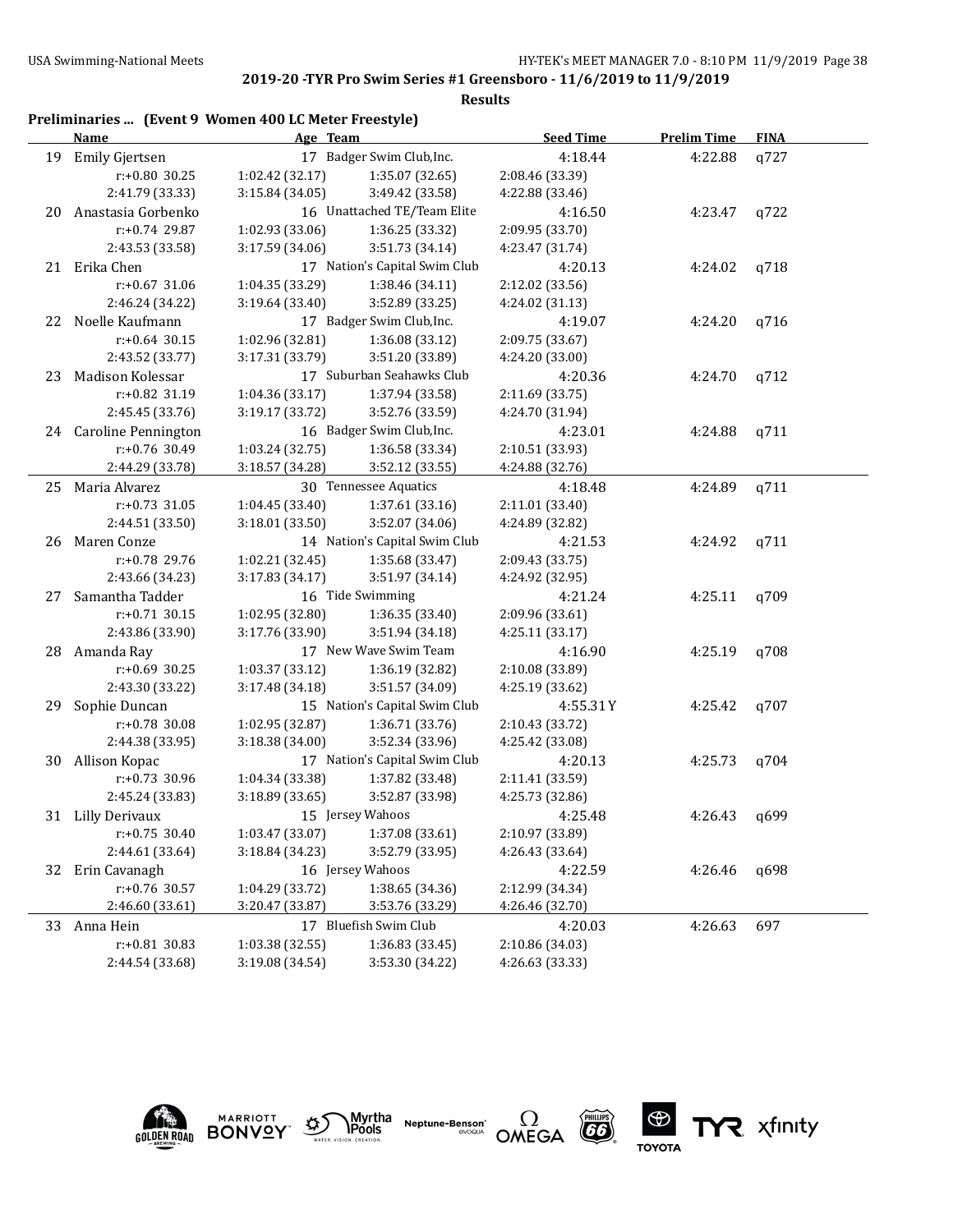#### **Results**

|    | Preliminaries  (Event 9 Women 400 LC Meter Freestyle)<br>Name | Age Team         |                               | <b>Seed Time</b> | <b>Prelim Time</b> | <b>FINA</b> |
|----|---------------------------------------------------------------|------------------|-------------------------------|------------------|--------------------|-------------|
| 19 | Emily Gjertsen                                                |                  | 17 Badger Swim Club, Inc.     | 4:18.44          | 4:22.88            | q727        |
|    | $r: +0.80$ 30.25                                              | 1:02.42 (32.17)  | 1:35.07 (32.65)               | 2:08.46 (33.39)  |                    |             |
|    | 2:41.79 (33.33)                                               | 3:15.84 (34.05)  | 3:49.42 (33.58)               | 4:22.88 (33.46)  |                    |             |
| 20 | Anastasia Gorbenko                                            |                  | 16 Unattached TE/Team Elite   | 4:16.50          | 4:23.47            | q722        |
|    | $r: +0.74$ 29.87                                              | 1:02.93 (33.06)  | 1:36.25 (33.32)               | 2:09.95 (33.70)  |                    |             |
|    | 2:43.53 (33.58)                                               | 3:17.59 (34.06)  | 3:51.73 (34.14)               | 4:23.47 (31.74)  |                    |             |
|    | 21 Erika Chen                                                 |                  | 17 Nation's Capital Swim Club | 4:20.13          | 4:24.02            | q718        |
|    | $r: +0.67$ 31.06                                              | 1:04.35 (33.29)  | 1:38.46 (34.11)               | 2:12.02 (33.56)  |                    |             |
|    | 2:46.24 (34.22)                                               | 3:19.64 (33.40)  | 3:52.89 (33.25)               | 4:24.02 (31.13)  |                    |             |
| 22 | Noelle Kaufmann                                               |                  | 17 Badger Swim Club, Inc.     | 4:19.07          | 4:24.20            | q716        |
|    | $r: +0.64$ 30.15                                              | 1:02.96 (32.81)  | 1:36.08 (33.12)               | 2:09.75 (33.67)  |                    |             |
|    | 2:43.52 (33.77)                                               | 3:17.31 (33.79)  | 3:51.20 (33.89)               | 4:24.20 (33.00)  |                    |             |
| 23 | Madison Kolessar                                              |                  | 17 Suburban Seahawks Club     | 4:20.36          | 4:24.70            | q712        |
|    | r:+0.82 31.19                                                 | 1:04.36 (33.17)  | 1:37.94 (33.58)               | 2:11.69 (33.75)  |                    |             |
|    | 2:45.45 (33.76)                                               | 3:19.17 (33.72)  | 3:52.76 (33.59)               | 4:24.70 (31.94)  |                    |             |
|    | 24 Caroline Pennington                                        |                  | 16 Badger Swim Club, Inc.     | 4:23.01          | 4:24.88            | q711        |
|    | r:+0.76 30.49                                                 | 1:03.24 (32.75)  | 1:36.58 (33.34)               | 2:10.51 (33.93)  |                    |             |
|    | 2:44.29 (33.78)                                               | 3:18.57 (34.28)  | 3:52.12 (33.55)               | 4:24.88 (32.76)  |                    |             |
| 25 | Maria Alvarez                                                 |                  | 30 Tennessee Aquatics         | 4:18.48          | 4:24.89            | q711        |
|    | $r: +0.73$ 31.05                                              | 1:04.45 (33.40)  | 1:37.61 (33.16)               | 2:11.01 (33.40)  |                    |             |
|    | 2:44.51 (33.50)                                               | 3:18.01 (33.50)  | 3:52.07 (34.06)               | 4:24.89 (32.82)  |                    |             |
| 26 | Maren Conze                                                   |                  | 14 Nation's Capital Swim Club | 4:21.53          | 4:24.92            | q711        |
|    | r:+0.78 29.76                                                 | 1:02.21 (32.45)  | 1:35.68 (33.47)               | 2:09.43 (33.75)  |                    |             |
|    | 2:43.66 (34.23)                                               | 3:17.83 (34.17)  | 3:51.97 (34.14)               | 4:24.92 (32.95)  |                    |             |
| 27 | Samantha Tadder                                               | 16 Tide Swimming |                               | 4:21.24          | 4:25.11            | q709        |
|    | $r: +0.71$ 30.15                                              | 1:02.95 (32.80)  | 1:36.35 (33.40)               | 2:09.96 (33.61)  |                    |             |
|    | 2:43.86 (33.90)                                               | 3:17.76 (33.90)  | 3:51.94 (34.18)               | 4:25.11 (33.17)  |                    |             |
| 28 | Amanda Ray                                                    |                  | 17 New Wave Swim Team         | 4:16.90          | 4:25.19            | q708        |
|    | $r: +0.69$ 30.25                                              | 1:03.37 (33.12)  | 1:36.19 (32.82)               | 2:10.08 (33.89)  |                    |             |
|    | 2:43.30 (33.22)                                               | 3:17.48 (34.18)  | 3:51.57 (34.09)               | 4:25.19 (33.62)  |                    |             |
| 29 | Sophie Duncan                                                 |                  | 15 Nation's Capital Swim Club | 4:55.31Y         | 4:25.42            | q707        |
|    | r:+0.78 30.08                                                 | 1:02.95 (32.87)  | 1:36.71 (33.76)               | 2:10.43 (33.72)  |                    |             |
|    | 2:44.38 (33.95)                                               | 3:18.38 (34.00)  | 3:52.34 (33.96)               | 4:25.42 (33.08)  |                    |             |
| 30 | Allison Kopac                                                 |                  | 17 Nation's Capital Swim Club | 4:20.13          | 4:25.73            | q704        |
|    | r:+0.73 30.96                                                 | 1:04.34 (33.38)  | 1:37.82 (33.48)               | 2:11.41 (33.59)  |                    |             |
|    | 2:45.24 (33.83)                                               | 3:18.89 (33.65)  | 3:52.87 (33.98)               | 4:25.73 (32.86)  |                    |             |
|    | 31 Lilly Derivaux                                             |                  | 15 Jersey Wahoos              | 4:25.48          | 4:26.43            | q699        |
|    | $r: +0.75$ 30.40                                              | 1:03.47 (33.07)  | 1:37.08 (33.61)               | 2:10.97 (33.89)  |                    |             |
|    | 2:44.61 (33.64)                                               | 3:18.84 (34.23)  | 3:52.79 (33.95)               | 4:26.43 (33.64)  |                    |             |
| 32 | Erin Cavanagh                                                 |                  | 16 Jersey Wahoos              | 4:22.59          | 4:26.46            | q698        |
|    | r:+0.76 30.57                                                 | 1:04.29 (33.72)  | 1:38.65 (34.36)               | 2:12.99 (34.34)  |                    |             |
|    | 2:46.60 (33.61)                                               | 3:20.47 (33.87)  | 3:53.76 (33.29)               | 4:26.46 (32.70)  |                    |             |
| 33 | Anna Hein                                                     |                  | 17 Bluefish Swim Club         | 4:20.03          | 4:26.63            | 697         |
|    | r:+0.81 30.83                                                 | 1:03.38 (32.55)  | 1:36.83 (33.45)               | 2:10.86 (34.03)  |                    |             |
|    | 2:44.54 (33.68)                                               | 3:19.08 (34.54)  | 3:53.30 (34.22)               | 4:26.63 (33.33)  |                    |             |





Myrtha<br>Pools **Neptune-Benson**\*<br>evoqua



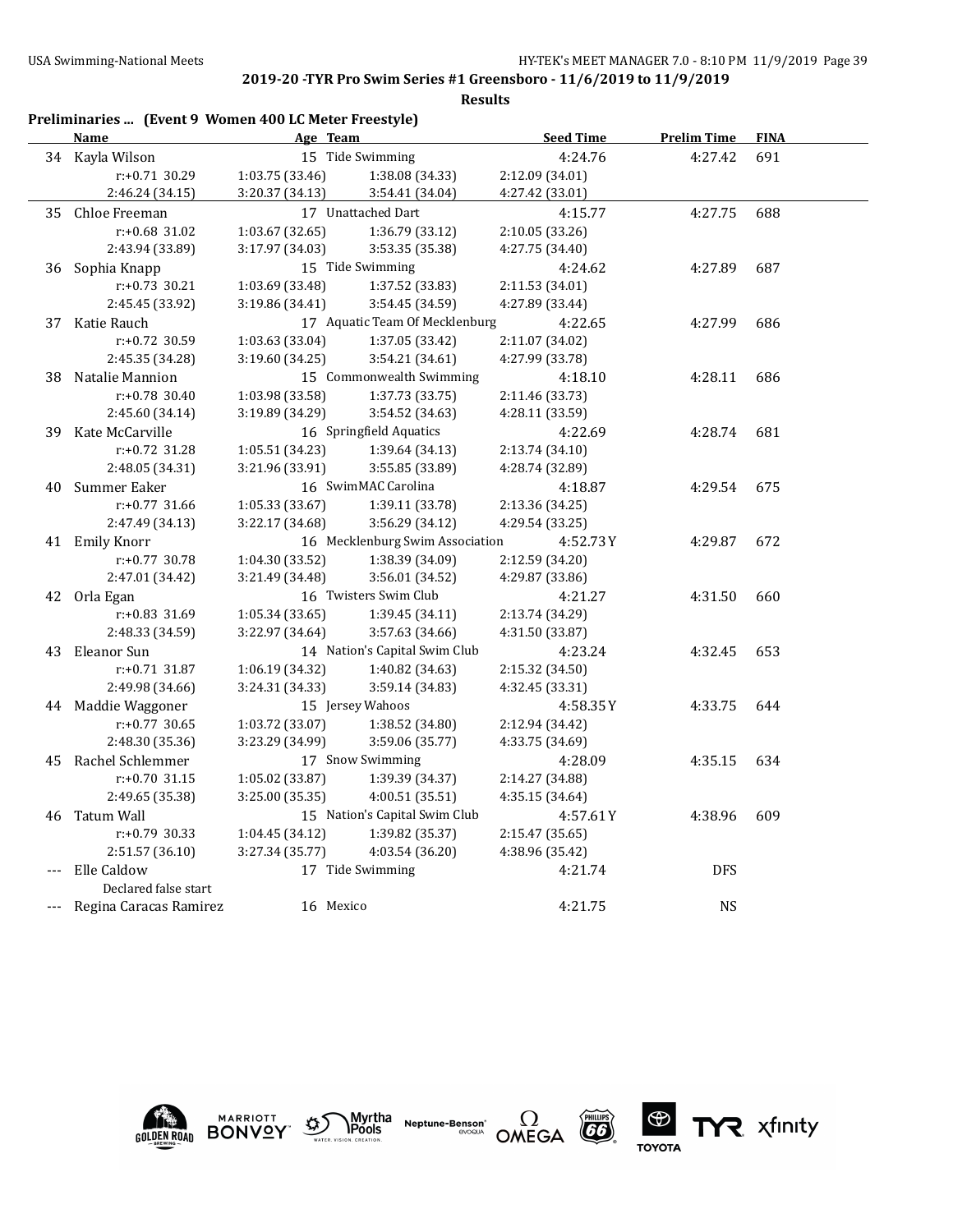|     | Preliminaries  (Event 9 Women 400 LC Meter Freestyle) |                 |                                 |                  |                    |             |
|-----|-------------------------------------------------------|-----------------|---------------------------------|------------------|--------------------|-------------|
|     | Name                                                  | Age Team        |                                 | <b>Seed Time</b> | <b>Prelim Time</b> | <b>FINA</b> |
|     | 34 Kayla Wilson                                       |                 | 15 Tide Swimming                | 4:24.76          | 4:27.42            | 691         |
|     | r:+0.71 30.29                                         | 1:03.75 (33.46) | 1:38.08 (34.33)                 | 2:12.09 (34.01)  |                    |             |
|     | 2:46.24 (34.15)                                       | 3:20.37 (34.13) | 3:54.41 (34.04)                 | 4:27.42 (33.01)  |                    |             |
| 35  | Chloe Freeman                                         |                 | 17 Unattached Dart              | 4:15.77          | 4:27.75            | 688         |
|     | $r: +0.68$ 31.02                                      | 1:03.67 (32.65) | 1:36.79 (33.12)                 | 2:10.05 (33.26)  |                    |             |
|     | 2:43.94 (33.89)                                       | 3:17.97 (34.03) | 3:53.35 (35.38)                 | 4:27.75 (34.40)  |                    |             |
| 36  | Sophia Knapp                                          |                 | 15 Tide Swimming                | 4:24.62          | 4:27.89            | 687         |
|     | $r: +0.73$ 30.21                                      | 1:03.69 (33.48) | 1:37.52 (33.83)                 | 2:11.53 (34.01)  |                    |             |
|     | 2:45.45 (33.92)                                       | 3:19.86 (34.41) | 3:54.45 (34.59)                 | 4:27.89 (33.44)  |                    |             |
|     | 37 Katie Rauch                                        |                 | 17 Aquatic Team Of Mecklenburg  | 4:22.65          | 4:27.99            | 686         |
|     | $r: +0.72$ 30.59                                      | 1:03.63 (33.04) | 1:37.05 (33.42)                 | 2:11.07 (34.02)  |                    |             |
|     | 2:45.35 (34.28)                                       | 3:19.60 (34.25) | 3:54.21 (34.61)                 | 4:27.99 (33.78)  |                    |             |
| 38  | Natalie Mannion                                       |                 | 15 Commonwealth Swimming        | 4:18.10          | 4:28.11            | 686         |
|     | $r: +0.78$ 30.40                                      | 1:03.98 (33.58) | 1:37.73 (33.75)                 | 2:11.46 (33.73)  |                    |             |
|     | 2:45.60 (34.14)                                       | 3:19.89 (34.29) | 3:54.52 (34.63)                 | 4:28.11 (33.59)  |                    |             |
| 39  | Kate McCarville                                       |                 | 16 Springfield Aquatics         | 4:22.69          | 4:28.74            | 681         |
|     | r:+0.72 31.28                                         | 1:05.51 (34.23) | 1:39.64 (34.13)                 | 2:13.74 (34.10)  |                    |             |
|     | 2:48.05 (34.31)                                       | 3:21.96 (33.91) | 3:55.85 (33.89)                 | 4:28.74 (32.89)  |                    |             |
| 40  | Summer Eaker                                          |                 | 16 SwimMAC Carolina             | 4:18.87          | 4:29.54            | 675         |
|     | $r: +0.77$ 31.66                                      | 1:05.33 (33.67) | 1:39.11 (33.78)                 | 2:13.36 (34.25)  |                    |             |
|     | 2:47.49 (34.13)                                       | 3:22.17 (34.68) | 3:56.29 (34.12)                 | 4:29.54 (33.25)  |                    |             |
|     | 41 Emily Knorr                                        |                 | 16 Mecklenburg Swim Association | 4:52.73 Y        | 4:29.87            | 672         |
|     | $r: +0.77$ 30.78                                      | 1:04.30 (33.52) | 1:38.39 (34.09)                 | 2:12.59 (34.20)  |                    |             |
|     | 2:47.01 (34.42)                                       | 3:21.49 (34.48) | 3:56.01 (34.52)                 | 4:29.87 (33.86)  |                    |             |
|     | 42 Orla Egan                                          |                 | 16 Twisters Swim Club           | 4:21.27          | 4:31.50            | 660         |
|     | r:+0.83 31.69                                         | 1:05.34(33.65)  | 1:39.45 (34.11)                 | 2:13.74 (34.29)  |                    |             |
|     | 2:48.33 (34.59)                                       | 3:22.97 (34.64) | 3:57.63 (34.66)                 | 4:31.50 (33.87)  |                    |             |
| 43  | Eleanor Sun                                           |                 | 14 Nation's Capital Swim Club   | 4:23.24          | 4:32.45            | 653         |
|     | $r: +0.71$ 31.87                                      | 1:06.19 (34.32) | 1:40.82 (34.63)                 | 2:15.32 (34.50)  |                    |             |
|     | 2:49.98 (34.66)                                       | 3:24.31 (34.33) | 3:59.14 (34.83)                 | 4:32.45 (33.31)  |                    |             |
|     | 44 Maddie Waggoner                                    |                 | 15 Jersey Wahoos                | 4:58.35Y         | 4:33.75            | 644         |
|     | $r: +0.77$ 30.65                                      | 1:03.72 (33.07) | 1:38.52 (34.80)                 | 2:12.94 (34.42)  |                    |             |
|     | 2:48.30 (35.36)                                       | 3:23.29 (34.99) | 3:59.06 (35.77)                 | 4:33.75 (34.69)  |                    |             |
| 45  | Rachel Schlemmer                                      |                 | 17 Snow Swimming                | 4:28.09          | 4:35.15            | 634         |
|     | $r: +0.70$ 31.15                                      | 1:05.02 (33.87) | 1:39.39 (34.37)                 | 2:14.27 (34.88)  |                    |             |
|     | 2:49.65 (35.38)                                       | 3:25.00 (35.35) | 4:00.51 (35.51)                 | 4:35.15 (34.64)  |                    |             |
| 46  | Tatum Wall                                            |                 | 15 Nation's Capital Swim Club   | 4:57.61Y         | 4:38.96            | 609         |
|     | r:+0.79 30.33                                         | 1:04.45 (34.12) | 1:39.82 (35.37)                 | 2:15.47 (35.65)  |                    |             |
|     | 2:51.57 (36.10)                                       | 3:27.34 (35.77) | 4:03.54 (36.20)                 | 4:38.96 (35.42)  |                    |             |
| --- | Elle Caldow                                           |                 | 17 Tide Swimming                | 4:21.74          | <b>DFS</b>         |             |
|     | Declared false start                                  |                 |                                 |                  |                    |             |
|     | Regina Caracas Ramirez                                | 16 Mexico       |                                 | 4:21.75          | NS                 |             |











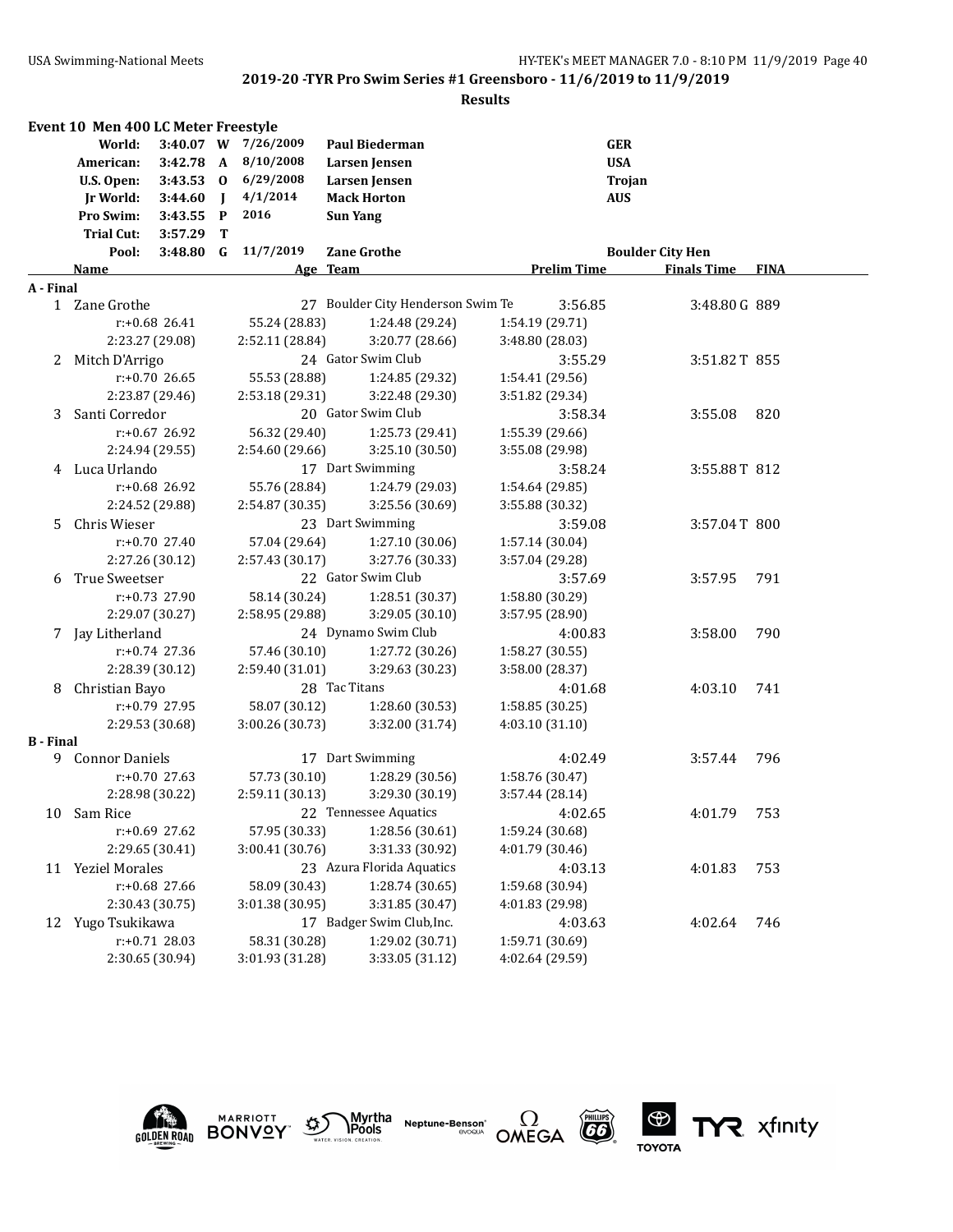#### **Results**

|                  | Event 10 Men 400 LC Meter Freestyle |                  |              |                     |                                   |                    |                         |             |
|------------------|-------------------------------------|------------------|--------------|---------------------|-----------------------------------|--------------------|-------------------------|-------------|
|                  | World:                              |                  |              | 3:40.07 W 7/26/2009 | <b>Paul Biederman</b>             |                    | <b>GER</b>              |             |
|                  | American:                           | $3:42.78$ A      |              | 8/10/2008           | Larsen Jensen                     | <b>USA</b>         |                         |             |
|                  | U.S. Open:                          | 3:43.53 0        |              | 6/29/2008           | Larsen Jensen                     |                    | Trojan                  |             |
|                  | Jr World:                           | 3:44.60          | $\mathbf{I}$ | 4/1/2014            | <b>Mack Horton</b>                | <b>AUS</b>         |                         |             |
|                  | Pro Swim:                           | 3:43.55          | $\mathbf P$  | 2016                | <b>Sun Yang</b>                   |                    |                         |             |
|                  | <b>Trial Cut:</b>                   | 3:57.29          | т            |                     |                                   |                    |                         |             |
|                  | Pool:                               | $3:48.80$ G      |              | 11/7/2019           | <b>Zane Grothe</b>                |                    | <b>Boulder City Hen</b> |             |
|                  | <u>Name</u>                         |                  |              |                     | Age Team                          | <b>Prelim Time</b> | <b>Finals Time</b>      | <b>FINA</b> |
| A - Final        |                                     |                  |              |                     |                                   |                    |                         |             |
|                  | 1 Zane Grothe                       |                  |              |                     | 27 Boulder City Henderson Swim Te | 3:56.85            | 3:48.80 G 889           |             |
|                  |                                     | $r: +0.68$ 26.41 |              | 55.24 (28.83)       | 1:24.48 (29.24)                   | 1:54.19 (29.71)    |                         |             |
|                  |                                     | 2:23.27 (29.08)  |              | 2:52.11 (28.84)     | 3:20.77 (28.66)                   | 3:48.80 (28.03)    |                         |             |
| 2                | Mitch D'Arrigo                      |                  |              |                     | 24 Gator Swim Club                | 3:55.29            | 3:51.82T 855            |             |
|                  |                                     | $r: +0.70$ 26.65 |              | 55.53 (28.88)       | 1:24.85 (29.32)                   | 1:54.41 (29.56)    |                         |             |
|                  |                                     | 2:23.87 (29.46)  |              | 2:53.18 (29.31)     | 3:22.48 (29.30)                   | 3:51.82 (29.34)    |                         |             |
| 3                | Santi Corredor                      |                  |              |                     | 20 Gator Swim Club                | 3:58.34            | 3:55.08                 | 820         |
|                  |                                     | $r: +0.67$ 26.92 |              | 56.32 (29.40)       | 1:25.73 (29.41)                   | 1:55.39 (29.66)    |                         |             |
|                  |                                     | 2:24.94 (29.55)  |              | 2:54.60 (29.66)     | 3:25.10 (30.50)                   | 3:55.08 (29.98)    |                         |             |
|                  | 4 Luca Urlando                      |                  |              |                     | 17 Dart Swimming                  | 3:58.24            | 3:55.88T 812            |             |
|                  |                                     | r:+0.68 26.92    |              | 55.76 (28.84)       | 1:24.79 (29.03)                   | 1:54.64 (29.85)    |                         |             |
|                  |                                     | 2:24.52 (29.88)  |              | 2:54.87 (30.35)     | 3:25.56 (30.69)                   | 3:55.88 (30.32)    |                         |             |
| 5.               | Chris Wieser                        |                  |              |                     | 23 Dart Swimming                  | 3:59.08            | 3:57.04T 800            |             |
|                  |                                     | r:+0.70 27.40    |              | 57.04 (29.64)       | 1:27.10 (30.06)                   | 1:57.14 (30.04)    |                         |             |
|                  |                                     | 2:27.26 (30.12)  |              | 2:57.43 (30.17)     | 3:27.76 (30.33)                   | 3:57.04 (29.28)    |                         |             |
| 6                | True Sweetser                       |                  |              |                     | 22 Gator Swim Club                | 3:57.69            | 3:57.95                 | 791         |
|                  |                                     | r:+0.73 27.90    |              | 58.14 (30.24)       | 1:28.51 (30.37)                   | 1:58.80 (30.29)    |                         |             |
|                  |                                     | 2:29.07 (30.27)  |              | 2:58.95 (29.88)     | 3:29.05 (30.10)                   | 3:57.95 (28.90)    |                         |             |
|                  | 7 Jay Litherland                    |                  |              |                     | 24 Dynamo Swim Club               | 4:00.83            | 3:58.00                 | 790         |
|                  |                                     | r:+0.74 27.36    |              | 57.46 (30.10)       | 1:27.72 (30.26)                   | 1:58.27 (30.55)    |                         |             |
|                  |                                     | 2:28.39 (30.12)  |              | 2:59.40 (31.01)     | 3:29.63 (30.23)                   | 3:58.00 (28.37)    |                         |             |
| 8                | Christian Bayo                      |                  |              |                     | 28 Tac Titans                     | 4:01.68            | 4:03.10                 | 741         |
|                  |                                     | r:+0.79 27.95    |              | 58.07 (30.12)       | 1:28.60 (30.53)                   | 1:58.85 (30.25)    |                         |             |
|                  |                                     | 2:29.53 (30.68)  |              | 3:00.26 (30.73)     | 3:32.00 (31.74)                   | 4:03.10 (31.10)    |                         |             |
| <b>B</b> - Final |                                     |                  |              |                     |                                   |                    |                         |             |
| 9                | <b>Connor Daniels</b>               |                  |              |                     | 17 Dart Swimming                  | 4:02.49            | 3:57.44                 | 796         |
|                  |                                     | $r: +0.70$ 27.63 |              | 57.73 (30.10)       | 1:28.29 (30.56)                   | 1:58.76 (30.47)    |                         |             |
|                  |                                     | 2:28.98 (30.22)  |              | 2:59.11 (30.13)     | 3:29.30 (30.19)                   | 3:57.44(28.14)     |                         |             |
|                  | 10 Sam Rice                         |                  |              |                     | 22 Tennessee Aquatics             | 4:02.65            | 4:01.79                 | 753         |
|                  |                                     | r:+0.69 27.62    |              | 57.95 (30.33)       | 1:28.56 (30.61)                   | 1:59.24 (30.68)    |                         |             |
|                  |                                     | 2:29.65 (30.41)  |              | 3:00.41 (30.76)     | 3:31.33 (30.92)                   | 4:01.79 (30.46)    |                         |             |
|                  | 11 Yeziel Morales                   |                  |              |                     | 23 Azura Florida Aquatics         | 4:03.13            | 4:01.83                 | 753         |
|                  |                                     | r:+0.68 27.66    |              | 58.09 (30.43)       | 1:28.74 (30.65)                   | 1:59.68 (30.94)    |                         |             |
|                  |                                     | 2:30.43 (30.75)  |              | 3:01.38 (30.95)     | 3:31.85 (30.47)                   | 4:01.83 (29.98)    |                         |             |
| 12               | Yugo Tsukikawa                      |                  |              |                     | 17 Badger Swim Club, Inc.         | 4:03.63            | 4:02.64                 | 746         |
|                  |                                     | $r: +0.71$ 28.03 |              | 58.31 (30.28)       | 1:29.02 (30.71)                   | 1:59.71 (30.69)    |                         |             |
|                  |                                     | 2:30.65 (30.94)  |              | 3:01.93 (31.28)     | 3:33.05 (31.12)                   | 4:02.64 (29.59)    |                         |             |
|                  |                                     |                  |              |                     |                                   |                    |                         |             |





**MARRIOTT** 

 $\sum_{\text{water, vision, creation}} \text{Myrtha}$ 

**Neptune-Benson\***<br>evoqua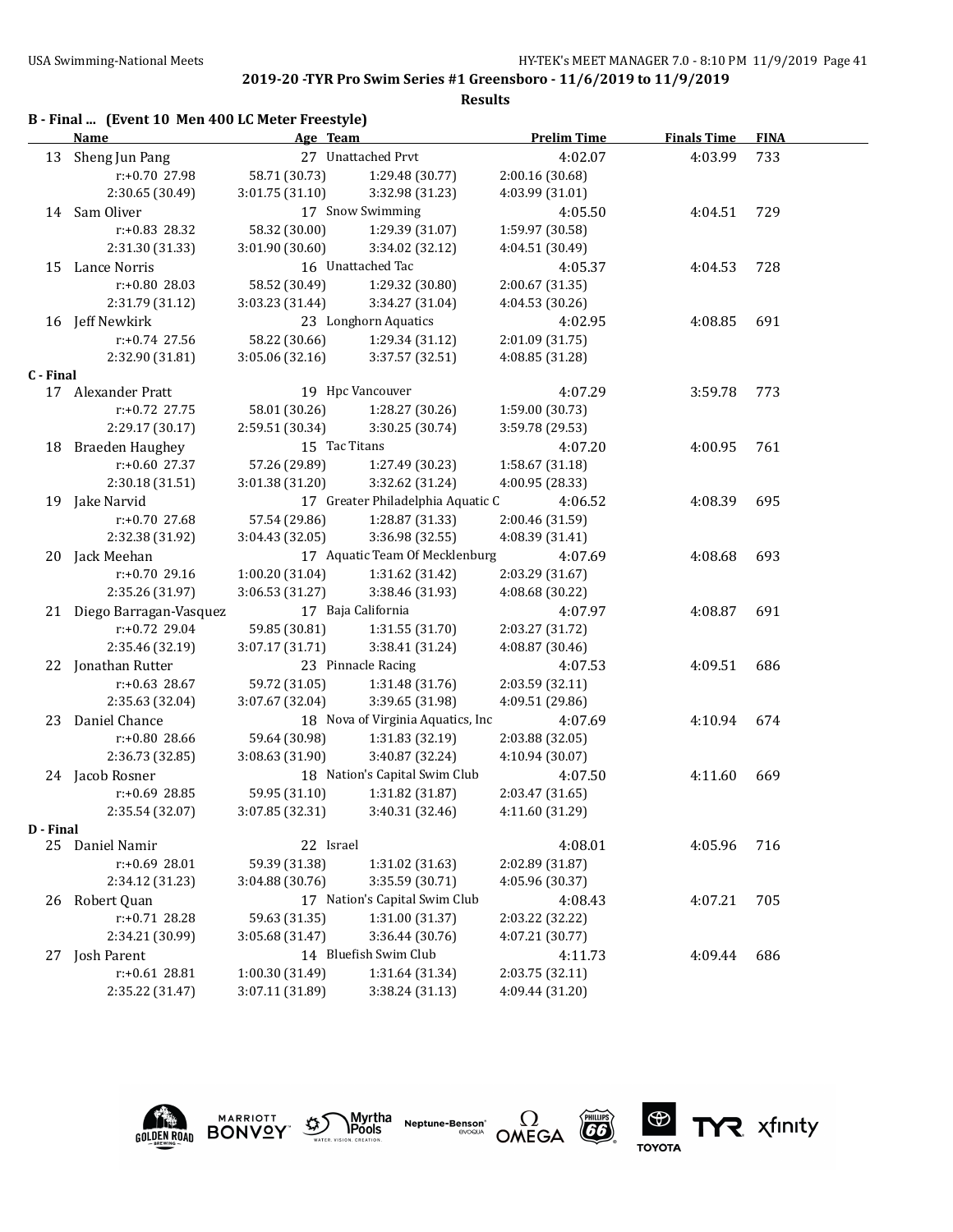## **2019-20 -TYR Pro Swim Series #1 Greensboro - 11/6/2019 to 11/9/2019**

#### **Results**

|           | B - Final  (Event 10 Men 400 LC Meter Freestyle)<br>Name | Age Team          |                      | <b>Prelim Time</b> | <b>Finals Time</b> | <b>FIN</b> |
|-----------|----------------------------------------------------------|-------------------|----------------------|--------------------|--------------------|------------|
| 13        | Sheng Jun Pang                                           | 27                | Unattached Prvt      | 4:02.07            | 4:03.99            | 733        |
|           | $r: +0.70$ 27.98                                         | 58.71 (30.73)     | 1:29.48 (30.77)      | 2:00.16 (30.68)    |                    |            |
|           | 2:30.65 (30.49)                                          | 3:01.75(31.10)    | 3:32.98 (31.23)      | 4:03.99 (31.01)    |                    |            |
| 14        | Sam Oliver                                               |                   | 17 Snow Swimming     | 4:05.50            | 4:04.51            | 729        |
|           | $r: +0.83$ 28.32                                         | 58.32 (30.00)     | 1:29.39 (31.07)      | 1:59.97 (30.58)    |                    |            |
|           | 2:31.30 (31.33)                                          | 3:01.90(30.60)    | 3:34.02 (32.12)      | 4:04.51 (30.49)    |                    |            |
| 15        | Lance Norris                                             | 16 Unattached Tac |                      | 4:05.37            | 4:04.53            | 728        |
|           | $r: +0.80$ 28.03                                         | 58.52 (30.49)     | 1:29.32 (30.80)      | 2:00.67 (31.35)    |                    |            |
|           | 2:31.79 (31.12)                                          | 3:03.23(31.44)    | 3:34.27 (31.04)      | 4:04.53(30.26)     |                    |            |
| 16        | Jeff Newkirk                                             |                   | 23 Longhorn Aquatics | 4:02.95            | 4:08.85            | 691        |
|           | $r: +0.74$ 27.56                                         | 58.22 (30.66)     | 1:29.34 (31.12)      | 2:01.09 (31.75)    |                    |            |
|           | 2:32.90 (31.81)                                          | 3:05.06(32.16)    | 3:37.57 (32.51)      | 4:08.85 (31.28)    |                    |            |
| C - Final |                                                          |                   |                      |                    |                    |            |
| 17        | Alexander Pratt                                          | 19                | Hpc Vancouver        | 4:07.29            | 3:59.78            | 773        |
|           | $r: +0.72$ 27.75                                         | 58.01 (30.26)     | 1:28.27 (30.26)      | 1:59.00 (30.73)    |                    |            |

|    | $r: +0.72$ 27.75       | 58.01 (30.26)   | 1:28.27 (30.26)                    | 1:59.00 (30.73) |         |     |
|----|------------------------|-----------------|------------------------------------|-----------------|---------|-----|
|    | 2:29.17 (30.17)        | 2:59.51 (30.34) | 3:30.25(30.74)                     | 3:59.78 (29.53) |         |     |
| 18 | Braeden Haughey        |                 | 15 Tac Titans                      | 4:07.20         | 4:00.95 | 761 |
|    | $r: +0.60$ 27.37       | 57.26 (29.89)   | 1:27.49(30.23)                     | 1:58.67 (31.18) |         |     |
|    | 2:30.18(31.51)         | 3:01.38(31.20)  | 3:32.62 (31.24)                    | 4:00.95 (28.33) |         |     |
| 19 | Jake Narvid            |                 | 17 Greater Philadelphia Aquatic C  | 4:06.52         | 4:08.39 | 695 |
|    | $r: +0.70$ 27.68       | 57.54 (29.86)   | 1:28.87 (31.33)                    | 2:00.46 (31.59) |         |     |
|    | 2:32.38 (31.92)        | 3:04.43(32.05)  | 3:36.98(32.55)                     | 4:08.39 (31.41) |         |     |
|    | 20 Jack Meehan         |                 | 17 Aquatic Team Of Mecklenburg     | 4:07.69         | 4:08.68 | 693 |
|    | $r: +0.70$ 29.16       | 1:00.20(31.04)  | 1:31.62 (31.42)                    | 2:03.29(31.67)  |         |     |
|    | 2:35.26 (31.97)        | 3:06.53(31.27)  | 3:38.46 (31.93)                    | 4:08.68 (30.22) |         |     |
| 21 | Diego Barragan-Vasquez |                 | 17 Baja California                 | 4:07.97         | 4:08.87 | 691 |
|    | $r: +0.72$ 29.04       | 59.85 (30.81)   | 1:31.55(31.70)                     | 2:03.27 (31.72) |         |     |
|    | 2:35.46 (32.19)        | 3:07.17(31.71)  | 3:38.41 (31.24)                    | 4:08.87 (30.46) |         |     |
| 22 | Jonathan Rutter        |                 | 23 Pinnacle Racing                 | 4:07.53         | 4:09.51 | 686 |
|    | $r: +0.63$ 28.67       | 59.72 (31.05)   | 1:31.48(31.76)                     | 2:03.59(32.11)  |         |     |
|    | 2:35.63 (32.04)        | 3:07.67(32.04)  | 3:39.65 (31.98)                    | 4:09.51 (29.86) |         |     |
| 23 | Daniel Chance          |                 | 18 Nova of Virginia Aquatics, Inc. | 4:07.69         | 4:10.94 | 674 |
|    | $r: +0.8028.66$        | 59.64 (30.98)   | 1:31.83 (32.19)                    | 2:03.88 (32.05) |         |     |

### 2:36.73 (32.85) 3:08.63 (31.90) 3:40.87 (32.24) 4:10.94 (30.07) 24 Jacob Rosner 18 Nation's Capital Swim Club 4:07.50 4:11.60 669 r:+0.69 28.85 59.95 (31.10) 1:31.82 (31.87) 2:03.47 (31.65) 2:35.54 (32.07) 3:07.85 (32.31) 3:40.31 (32.46) 4:11.60 (31.29)

#### **D - Final**



**MARRIOTT** 

| 25 | Daniel Namir     | 22 Israel       |                               | 4:08.01         | 4:05.96 | 716 |
|----|------------------|-----------------|-------------------------------|-----------------|---------|-----|
|    | $r: +0.69$ 28.01 | 59.39 (31.38)   | 1:31.02 (31.63)               | 2:02.89 (31.87) |         |     |
|    | 2:34.12 (31.23)  | 3:04.88(30.76)  | 3:35.59 (30.71)               | 4:05.96 (30.37) |         |     |
| 26 | Robert Ouan      |                 | 17 Nation's Capital Swim Club | 4:08.43         | 4:07.21 | 705 |
|    | $r: +0.71$ 28.28 | 59.63 (31.35)   | 1:31.00 (31.37)               | 2:03.22 (32.22) |         |     |
|    | 2:34.21 (30.99)  | 3:05.68(31.47)  | 3:36.44 (30.76)               | 4:07.21 (30.77) |         |     |
| 27 | Josh Parent      |                 | 14 Bluefish Swim Club         | 4:11.73         | 4:09.44 | 686 |
|    | $r: +0.61$ 28.81 | 1:00.30(31.49)  | 1:31.64 (31.34)               | 2:03.75(32.11)  |         |     |
|    | 2:35.22 (31.47)  | 3:07.11 (31.89) | 3:38.24(31.13)                | 4:09.44 (31.20) |         |     |
|    |                  |                 |                               |                 |         |     |

Myrtha

**Pools** 

Neptune-Benson

₩,

r:+0.80 28.66 59.64 (30.98) 1:31.83 (32.19) 2:03.88 (32.05)





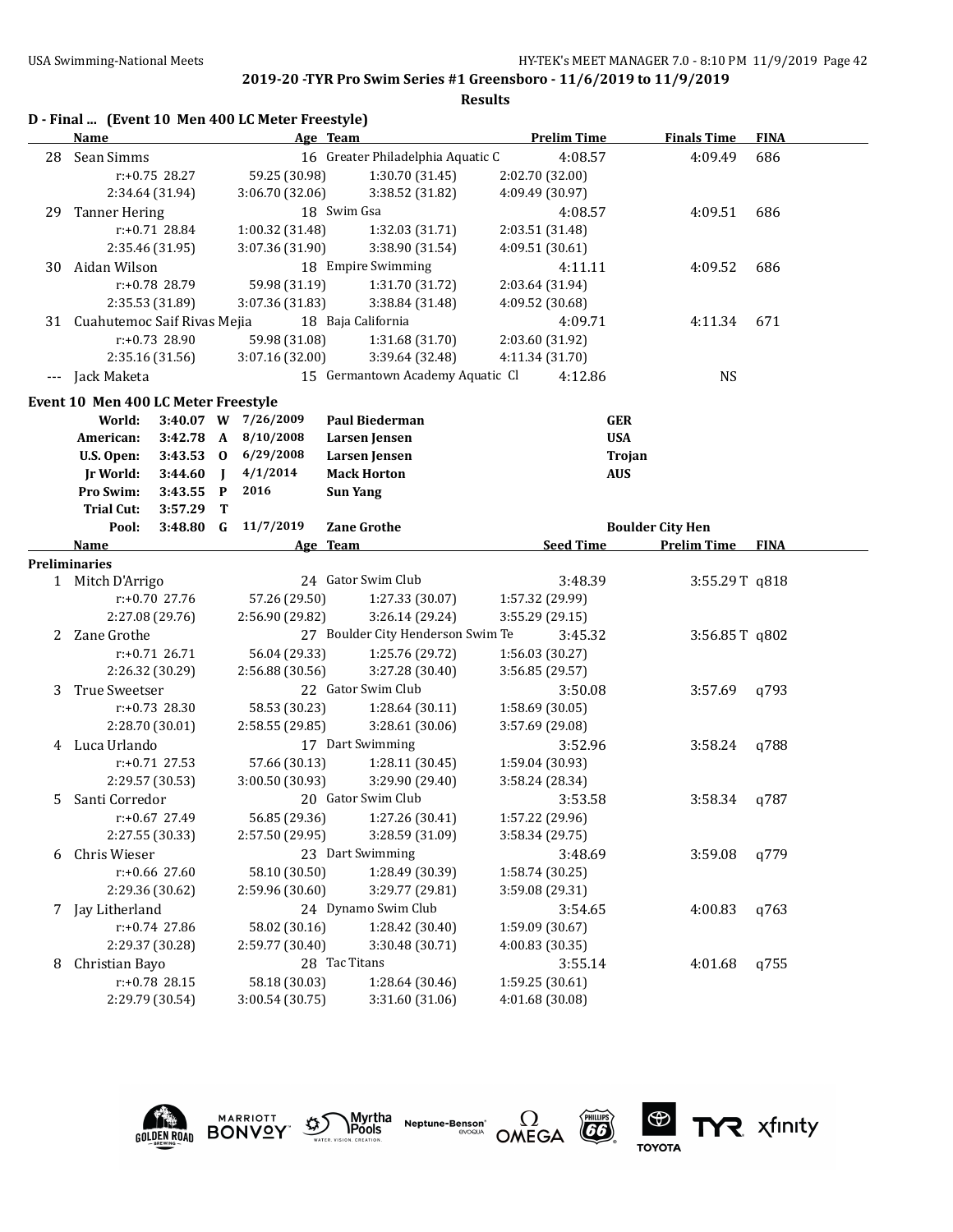### **Results**

|                          |                                     |                  |             | D - Final  (Event 10 Men 400 LC Meter Freestyle) |                                   |                 |                    |                         |             |
|--------------------------|-------------------------------------|------------------|-------------|--------------------------------------------------|-----------------------------------|-----------------|--------------------|-------------------------|-------------|
|                          | Name                                |                  |             |                                                  | Age Team                          |                 | <b>Prelim Time</b> | <b>Finals Time</b>      | <b>FINA</b> |
| 28                       | Sean Simms                          |                  |             |                                                  | 16 Greater Philadelphia Aquatic C |                 | 4:08.57            | 4:09.49                 | 686         |
|                          |                                     | $r: +0.75$ 28.27 |             | 59.25 (30.98)                                    | 1:30.70 (31.45)                   | 2:02.70 (32.00) |                    |                         |             |
|                          |                                     | 2:34.64 (31.94)  |             | 3:06.70 (32.06)                                  | 3:38.52 (31.82)                   | 4:09.49 (30.97) |                    |                         |             |
| 29                       | <b>Tanner Hering</b>                |                  |             |                                                  | 18 Swim Gsa                       |                 | 4:08.57            | 4:09.51                 | 686         |
|                          |                                     | $r: +0.71$ 28.84 |             | 1:00.32 (31.48)                                  | 1:32.03 (31.71)                   | 2:03.51 (31.48) |                    |                         |             |
|                          |                                     | 2:35.46 (31.95)  |             | 3:07.36 (31.90)                                  | 3:38.90 (31.54)                   | 4:09.51 (30.61) |                    |                         |             |
| 30                       | Aidan Wilson                        |                  |             |                                                  | 18 Empire Swimming                |                 | 4:11.11            | 4:09.52                 | 686         |
|                          |                                     | r:+0.78 28.79    |             | 59.98 (31.19)                                    | 1:31.70 (31.72)                   | 2:03.64 (31.94) |                    |                         |             |
|                          |                                     | 2:35.53 (31.89)  |             | 3:07.36 (31.83)                                  | 3:38.84 (31.48)                   | 4:09.52 (30.68) |                    |                         |             |
|                          | 31 Cuahutemoc Saif Rivas Mejia      |                  |             |                                                  | 18 Baja California                |                 | 4:09.71            | 4:11.34                 | 671         |
|                          |                                     | r:+0.73 28.90    |             | 59.98 (31.08)                                    | 1:31.68 (31.70)                   | 2:03.60 (31.92) |                    |                         |             |
|                          |                                     | 2:35.16 (31.56)  |             | 3:07.16 (32.00)                                  | 3:39.64 (32.48)                   | 4:11.34 (31.70) |                    |                         |             |
| $\hspace{0.05cm} \ldots$ | Jack Maketa                         |                  |             |                                                  | 15 Germantown Academy Aquatic Cl  |                 | 4:12.86            | <b>NS</b>               |             |
|                          | Event 10 Men 400 LC Meter Freestyle |                  |             |                                                  |                                   |                 |                    |                         |             |
|                          | World:                              |                  |             | 3:40.07 W 7/26/2009                              | <b>Paul Biederman</b>             |                 |                    | <b>GER</b>              |             |
|                          | American:                           | 3:42.78          | A           | 8/10/2008                                        | Larsen Jensen                     |                 |                    | <b>USA</b>              |             |
|                          | U.S. Open:                          | $3:43.53$ 0      |             | 6/29/2008                                        | Larsen Jensen                     |                 |                    | Trojan                  |             |
|                          | <b>Jr World:</b>                    | 3:44.60          | $\mathbf I$ | 4/1/2014                                         | <b>Mack Horton</b>                |                 |                    | <b>AUS</b>              |             |
|                          | Pro Swim:                           | 3:43.55          | P           | 2016                                             | <b>Sun Yang</b>                   |                 |                    |                         |             |
|                          | <b>Trial Cut:</b>                   | 3:57.29          | T           |                                                  |                                   |                 |                    |                         |             |
|                          | Pool:                               | 3:48.80          | - G         | 11/7/2019                                        | <b>Zane Grothe</b>                |                 |                    | <b>Boulder City Hen</b> |             |
|                          | <b>Name</b>                         |                  |             |                                                  | Age Team                          |                 | <b>Seed Time</b>   | <b>Prelim Time FINA</b> |             |
|                          | <b>Preliminaries</b>                |                  |             |                                                  |                                   |                 |                    |                         |             |
|                          | 1 Mitch D'Arrigo                    |                  |             |                                                  | 24 Gator Swim Club                |                 | 3:48.39            | 3:55.29T q818           |             |
|                          |                                     | $r: +0.70$ 27.76 |             | 57.26 (29.50)                                    | 1:27.33 (30.07)                   | 1:57.32 (29.99) |                    |                         |             |
|                          |                                     | 2:27.08 (29.76)  |             | 2:56.90 (29.82)                                  | 3:26.14 (29.24)                   | 3:55.29 (29.15) |                    |                         |             |
|                          | 2 Zane Grothe                       |                  |             |                                                  | 27 Boulder City Henderson Swim Te |                 | 3:45.32            | 3:56.85T q802           |             |
|                          |                                     | $r: +0.71$ 26.71 |             | 56.04 (29.33)                                    | 1:25.76 (29.72)                   | 1:56.03 (30.27) |                    |                         |             |
|                          |                                     | 2:26.32 (30.29)  |             | 2:56.88 (30.56)                                  | 3:27.28 (30.40)                   | 3:56.85 (29.57) |                    |                         |             |
| 3                        | True Sweetser                       |                  |             |                                                  | 22 Gator Swim Club                |                 | 3:50.08            | 3:57.69                 | q793        |
|                          |                                     | $r: +0.73$ 28.30 |             | 58.53 (30.23)                                    | 1:28.64 (30.11)                   | 1:58.69 (30.05) |                    |                         |             |
|                          |                                     | 2:28.70 (30.01)  |             | 2:58.55 (29.85)                                  | 3:28.61 (30.06)                   | 3:57.69 (29.08) |                    |                         |             |
| 4                        | Luca Urlando                        |                  |             |                                                  | 17 Dart Swimming                  |                 | 3:52.96            | 3:58.24                 | q788        |
|                          |                                     | $r: +0.71$ 27.53 |             | 57.66 (30.13)                                    | 1:28.11 (30.45)                   | 1:59.04 (30.93) |                    |                         |             |
|                          |                                     | 2:29.57 (30.53)  |             | 3:00.50 (30.93)                                  | 3:29.90 (29.40)                   | 3:58.24 (28.34) |                    |                         |             |
| 5.                       | Santi Corredor                      |                  |             |                                                  | 20 Gator Swim Club                |                 | 3:53.58            | 3:58.34                 | q787        |
|                          |                                     | r:+0.67 27.49    |             | 56.85 (29.36)                                    | 1:27.26 (30.41)                   | 1:57.22 (29.96) |                    |                         |             |
|                          |                                     | 2:27.55 (30.33)  |             | 2:57.50 (29.95)                                  | 3:28.59 (31.09)                   | 3:58.34 (29.75) |                    |                         |             |
| 6                        | Chris Wieser                        |                  |             |                                                  | 23 Dart Swimming                  |                 | 3:48.69            | 3:59.08                 | q779        |
|                          |                                     | r:+0.66 27.60    |             | 58.10 (30.50)                                    | 1:28.49 (30.39)                   | 1:58.74 (30.25) |                    |                         |             |
|                          |                                     | 2:29.36 (30.62)  |             | 2:59.96 (30.60)                                  | 3:29.77 (29.81)                   | 3:59.08 (29.31) |                    |                         |             |
| 7                        | Jay Litherland                      |                  |             |                                                  | 24 Dynamo Swim Club               |                 | 3:54.65            | 4:00.83                 | q763        |
|                          |                                     | r:+0.74 27.86    |             | 58.02 (30.16)                                    | 1:28.42 (30.40)                   | 1:59.09 (30.67) |                    |                         |             |
|                          |                                     | 2:29.37 (30.28)  |             | 2:59.77 (30.40)                                  | 3:30.48 (30.71)                   | 4:00.83 (30.35) |                    |                         |             |
| 8                        | Christian Bayo                      |                  |             |                                                  | 28 Tac Titans                     |                 | 3:55.14            | 4:01.68                 | q755        |
|                          |                                     | r:+0.78 28.15    |             | 58.18 (30.03)                                    | 1:28.64 (30.46)                   | 1:59.25 (30.61) |                    |                         |             |
|                          |                                     | 2:29.79 (30.54)  |             | 3:00.54 (30.75)                                  | 3:31.60 (31.06)                   | 4:01.68 (30.08) |                    |                         |             |
|                          |                                     |                  |             |                                                  |                                   |                 |                    |                         |             |



**MARRIOTT** 







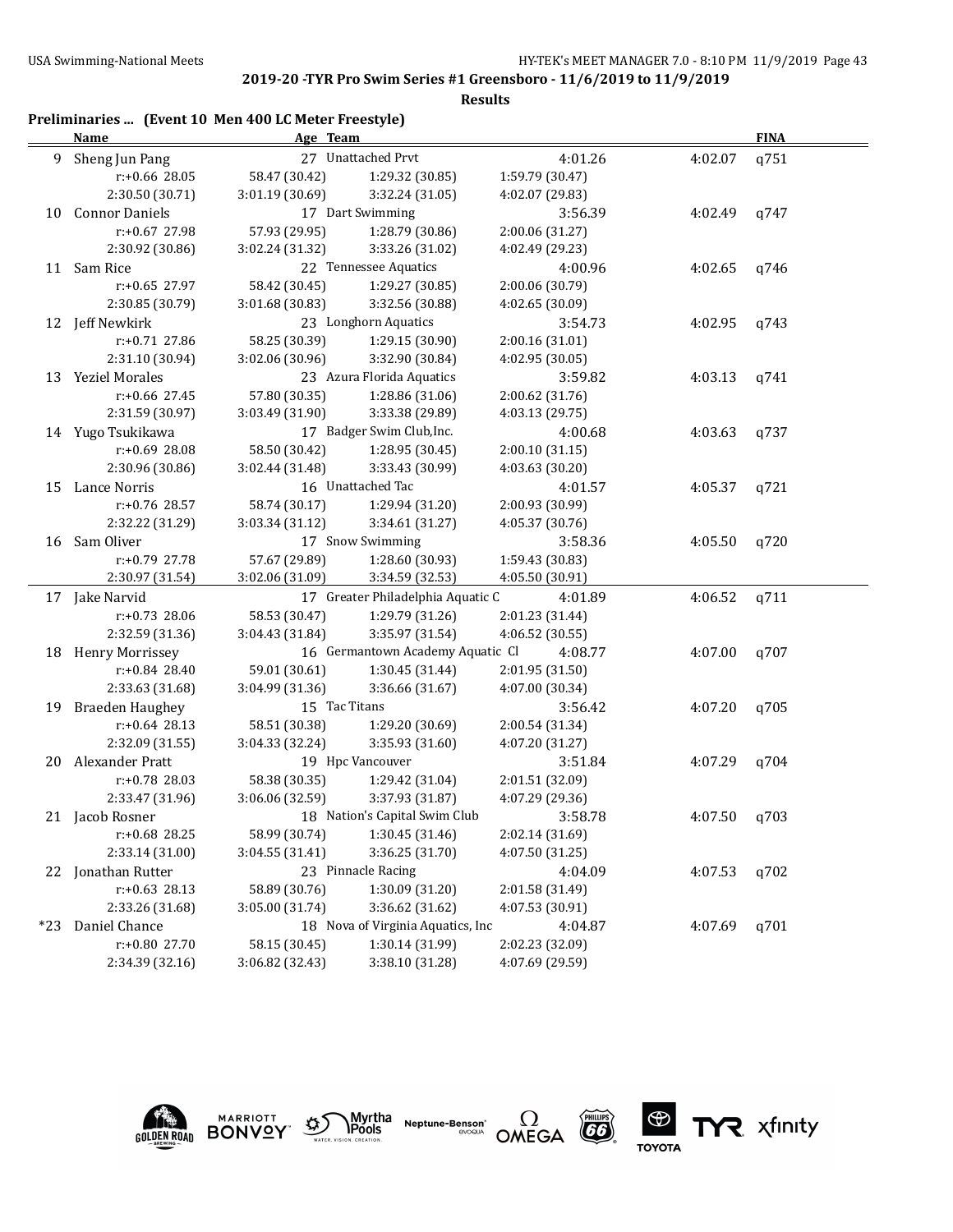TYR xfinity

### **2019-20 -TYR Pro Swim Series #1 Greensboro - 11/6/2019 to 11/9/2019**

#### **Results**

## **Preliminaries ... (Event 10 Men 400 LC Meter Freestyle)**

|     | <b>Name</b>            | Age Team        |                                   |                 |         | <b>FINA</b> |  |
|-----|------------------------|-----------------|-----------------------------------|-----------------|---------|-------------|--|
| 9   | Sheng Jun Pang         |                 | 27 Unattached Prvt                | 4:01.26         | 4:02.07 | q751        |  |
|     | r:+0.66 28.05          | 58.47 (30.42)   | 1:29.32 (30.85)                   | 1:59.79 (30.47) |         |             |  |
|     | 2:30.50 (30.71)        | 3:01.19 (30.69) | 3:32.24 (31.05)                   | 4:02.07 (29.83) |         |             |  |
| 10  | <b>Connor Daniels</b>  |                 | 17 Dart Swimming                  | 3:56.39         | 4:02.49 | q747        |  |
|     | $r: +0.67$ 27.98       | 57.93 (29.95)   | 1:28.79 (30.86)                   | 2:00.06 (31.27) |         |             |  |
|     | 2:30.92 (30.86)        | 3:02.24 (31.32) | 3:33.26 (31.02)                   | 4:02.49 (29.23) |         |             |  |
| 11  | Sam Rice               |                 | 22 Tennessee Aquatics             | 4:00.96         | 4:02.65 | q746        |  |
|     | $r: +0.65$ 27.97       | 58.42 (30.45)   | 1:29.27 (30.85)                   | 2:00.06 (30.79) |         |             |  |
|     | 2:30.85 (30.79)        | 3:01.68 (30.83) | 3:32.56 (30.88)                   | 4:02.65 (30.09) |         |             |  |
|     | 12 Jeff Newkirk        |                 | 23 Longhorn Aquatics              | 3:54.73         | 4:02.95 | q743        |  |
|     | r:+0.71 27.86          | 58.25 (30.39)   | 1:29.15 (30.90)                   | 2:00.16 (31.01) |         |             |  |
|     | 2:31.10 (30.94)        | 3:02.06 (30.96) | 3:32.90 (30.84)                   | 4:02.95 (30.05) |         |             |  |
| 13  | <b>Yeziel Morales</b>  |                 | 23 Azura Florida Aquatics         | 3:59.82         | 4:03.13 | q741        |  |
|     | $r: +0.66$ 27.45       | 57.80 (30.35)   | 1:28.86 (31.06)                   | 2:00.62 (31.76) |         |             |  |
|     | 2:31.59 (30.97)        | 3:03.49 (31.90) | 3:33.38 (29.89)                   | 4:03.13 (29.75) |         |             |  |
|     | 14 Yugo Tsukikawa      |                 | 17 Badger Swim Club, Inc.         | 4:00.68         | 4:03.63 | q737        |  |
|     | $r: +0.69$ 28.08       | 58.50 (30.42)   | 1:28.95 (30.45)                   | 2:00.10 (31.15) |         |             |  |
|     | 2:30.96 (30.86)        | 3:02.44 (31.48) | 3:33.43 (30.99)                   | 4:03.63 (30.20) |         |             |  |
| 15  | Lance Norris           |                 | 16 Unattached Tac                 | 4:01.57         | 4:05.37 | q721        |  |
|     | r:+0.76 28.57          | 58.74 (30.17)   | 1:29.94 (31.20)                   | 2:00.93 (30.99) |         |             |  |
|     | 2:32.22 (31.29)        | 3:03.34 (31.12) | 3:34.61 (31.27)                   | 4:05.37 (30.76) |         |             |  |
| 16  | Sam Oliver             |                 | 17 Snow Swimming                  | 3:58.36         | 4:05.50 | q720        |  |
|     | r:+0.79 27.78          | 57.67 (29.89)   | 1:28.60 (30.93)                   | 1:59.43 (30.83) |         |             |  |
|     | 2:30.97 (31.54)        | 3:02.06 (31.09) | 3:34.59 (32.53)                   | 4:05.50 (30.91) |         |             |  |
|     | 17 Jake Narvid         |                 | 17 Greater Philadelphia Aquatic C | 4:01.89         | 4:06.52 | q711        |  |
|     | r:+0.73 28.06          | 58.53 (30.47)   | 1:29.79 (31.26)                   | 2:01.23 (31.44) |         |             |  |
|     | 2:32.59 (31.36)        | 3:04.43 (31.84) | 3:35.97 (31.54)                   | 4:06.52 (30.55) |         |             |  |
|     | 18 Henry Morrissey     |                 | 16 Germantown Academy Aquatic Cl  | 4:08.77         | 4:07.00 | q707        |  |
|     | $r: +0.84$ 28.40       | 59.01 (30.61)   | 1:30.45 (31.44)                   | 2:01.95 (31.50) |         |             |  |
|     | 2:33.63 (31.68)        | 3:04.99 (31.36) | 3:36.66 (31.67)                   | 4:07.00 (30.34) |         |             |  |
| 19  | <b>Braeden Haughey</b> | 15 Tac Titans   |                                   | 3:56.42         | 4:07.20 | q705        |  |
|     | $r: +0.64$ 28.13       | 58.51 (30.38)   | 1:29.20 (30.69)                   | 2:00.54 (31.34) |         |             |  |
|     | 2:32.09 (31.55)        | 3:04.33 (32.24) | 3:35.93 (31.60)                   | 4:07.20 (31.27) |         |             |  |
| 20  | Alexander Pratt        |                 | 19 Hpc Vancouver                  | 3:51.84         | 4:07.29 | q704        |  |
|     | r:+0.78 28.03          | 58.38 (30.35)   | 1:29.42 (31.04)                   | 2:01.51 (32.09) |         |             |  |
|     | 2:33.47 (31.96)        | 3:06.06 (32.59) | 3:37.93 (31.87)                   | 4:07.29 (29.36) |         |             |  |
|     | 21 Jacob Rosner        |                 | 18 Nation's Capital Swim Club     | 3:58.78         | 4:07.50 | q703        |  |
|     | r:+0.68 28.25          | 58.99 (30.74)   | 1:30.45 (31.46)                   | 2:02.14 (31.69) |         |             |  |
|     | 2:33.14 (31.00)        | 3:04.55 (31.41) | 3:36.25 (31.70)                   | 4:07.50 (31.25) |         |             |  |
| 22  | Jonathan Rutter        |                 | 23 Pinnacle Racing                | 4:04.09         | 4:07.53 | q702        |  |
|     | $r: +0.63$ 28.13       | 58.89 (30.76)   | 1:30.09 (31.20)                   | 2:01.58 (31.49) |         |             |  |
|     | 2:33.26 (31.68)        | 3:05.00 (31.74) | 3:36.62 (31.62)                   | 4:07.53 (30.91) |         |             |  |
| *23 | Daniel Chance          |                 | 18 Nova of Virginia Aquatics, Inc | 4:04.87         | 4:07.69 | q701        |  |
|     | r:+0.80 27.70          | 58.15 (30.45)   | 1:30.14 (31.99)                   | 2:02.23 (32.09) |         |             |  |
|     | 2:34.39 (32.16)        | 3:06.82 (32.43) | 3:38.10 (31.28)                   | 4:07.69 (29.59) |         |             |  |



**MARRIOTT** 





**ES** 

**TOYOTA**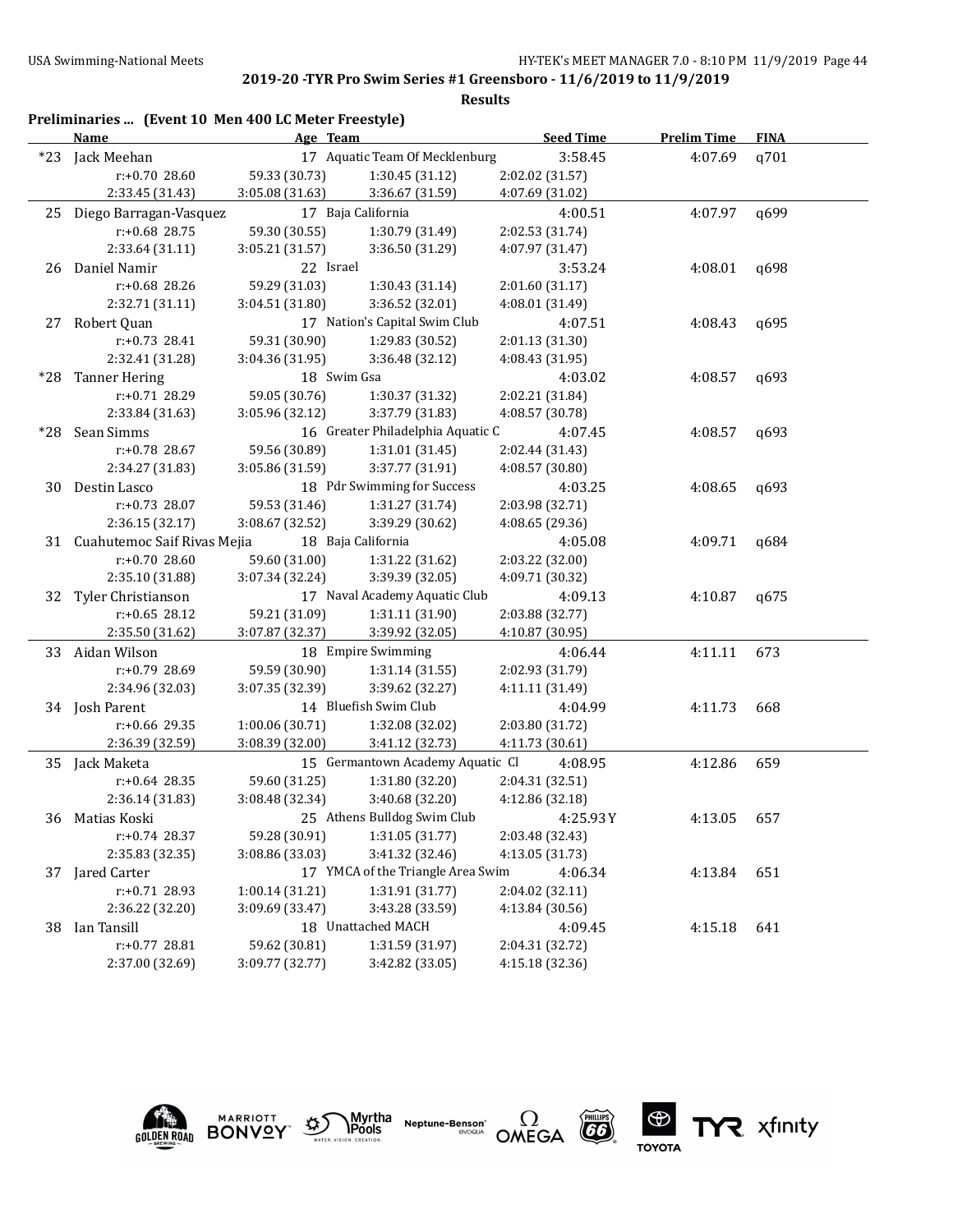|    | Preliminaries  (Event 10 Men 400 LC Meter Freestyle)<br>Name | Age Team                       |                                   | <b>Seed Time</b>           | <b>Prelim Time</b> | <b>FINA</b> |
|----|--------------------------------------------------------------|--------------------------------|-----------------------------------|----------------------------|--------------------|-------------|
|    | *23 Jack Meehan                                              | 17 Aquatic Team Of Mecklenburg |                                   | 3:58.45                    | 4:07.69            | q701        |
|    | r:+0.70 28.60                                                | 59.33 (30.73)                  | 1:30.45 (31.12)                   | 2:02.02 (31.57)            |                    |             |
|    | 2:33.45 (31.43)                                              | 3:05.08 (31.63)                | 3:36.67 (31.59)                   | 4:07.69 (31.02)            |                    |             |
| 25 | Diego Barragan-Vasquez                                       |                                | 17 Baja California                | 4:00.51                    | 4:07.97            | q699        |
|    | $r: +0.68$ 28.75                                             | 59.30 (30.55)                  | 1:30.79 (31.49)                   | 2:02.53 (31.74)            |                    |             |
|    | 2:33.64 (31.11)                                              | 3:05.21 (31.57)                | 3:36.50 (31.29)                   | 4:07.97 (31.47)            |                    |             |
|    | 26 Daniel Namir                                              | 22 Israel                      |                                   | 3:53.24                    | 4:08.01            | q698        |
|    | r:+0.68 28.26                                                | 59.29 (31.03)                  | 1:30.43 (31.14)                   | 2:01.60 (31.17)            |                    |             |
|    |                                                              |                                | 3:36.52 (32.01)                   |                            |                    |             |
|    | 2:32.71 (31.11)                                              | 3:04.51 (31.80)                | 17 Nation's Capital Swim Club     | 4:08.01 (31.49)<br>4:07.51 |                    |             |
|    | 27 Robert Quan                                               |                                |                                   |                            | 4:08.43            | q695        |
|    | r:+0.73 28.41                                                | 59.31 (30.90)                  | 1:29.83 (30.52)                   | 2:01.13 (31.30)            |                    |             |
|    | 2:32.41 (31.28)                                              | 3:04.36 (31.95)                | 3:36.48 (32.12)                   | 4:08.43 (31.95)            |                    |             |
|    | *28 Tanner Hering                                            | 18 Swim Gsa                    |                                   | 4:03.02                    | 4:08.57            | q693        |
|    | r:+0.71 28.29                                                | 59.05 (30.76)                  | 1:30.37 (31.32)                   | 2:02.21 (31.84)            |                    |             |
|    | 2:33.84 (31.63)                                              | 3:05.96 (32.12)                | 3:37.79 (31.83)                   | 4:08.57 (30.78)            |                    |             |
|    | *28 Sean Simms                                               |                                | 16 Greater Philadelphia Aquatic C | 4:07.45                    | 4:08.57            | q693        |
|    | r:+0.78 28.67                                                | 59.56 (30.89)                  | 1:31.01 (31.45)                   | 2:02.44 (31.43)            |                    |             |
|    | 2:34.27 (31.83)                                              | 3:05.86 (31.59)                | 3:37.77 (31.91)                   | 4:08.57 (30.80)            |                    |             |
| 30 | Destin Lasco                                                 |                                | 18 Pdr Swimming for Success       | 4:03.25                    | 4:08.65            | q693        |
|    | $r: +0.73$ 28.07                                             | 59.53 (31.46)                  | 1:31.27 (31.74)                   | 2:03.98 (32.71)            |                    |             |
|    | 2:36.15 (32.17)                                              | 3:08.67 (32.52)                | 3:39.29 (30.62)                   | 4:08.65 (29.36)            |                    |             |
|    | 31 Cuahutemoc Saif Rivas Mejia                               |                                | 18 Baja California                | 4:05.08                    | 4:09.71            | q684        |
|    | r:+0.70 28.60                                                | 59.60 (31.00)                  | 1:31.22 (31.62)                   | 2:03.22 (32.00)            |                    |             |
|    | 2:35.10 (31.88)                                              | 3:07.34 (32.24)                | 3:39.39 (32.05)                   | 4:09.71 (30.32)            |                    |             |
| 32 | Tyler Christianson                                           |                                | 17 Naval Academy Aquatic Club     | 4:09.13                    | 4:10.87            | q675        |
|    | $r: +0.65$ 28.12                                             | 59.21 (31.09)                  | 1:31.11 (31.90)                   | 2:03.88 (32.77)            |                    |             |
|    | 2:35.50 (31.62)                                              | 3:07.87 (32.37)                | 3:39.92 (32.05)                   | 4:10.87 (30.95)            |                    |             |
| 33 | Aidan Wilson                                                 |                                | 18 Empire Swimming                | 4:06.44                    | 4:11.11            | 673         |
|    | r:+0.79 28.69                                                | 59.59 (30.90)                  | 1:31.14 (31.55)                   | 2:02.93 (31.79)            |                    |             |
|    | 2:34.96 (32.03)                                              | 3:07.35 (32.39)                | 3:39.62 (32.27)                   | 4:11.11 (31.49)            |                    |             |
|    | 34 Josh Parent                                               |                                | 14 Bluefish Swim Club             | 4:04.99                    | 4:11.73            | 668         |
|    | $r: +0.66$ 29.35                                             | 1:00.06 (30.71)                | 1:32.08 (32.02)                   | 2:03.80 (31.72)            |                    |             |
|    | 2:36.39 (32.59)                                              | 3:08.39 (32.00)                | 3:41.12 (32.73)                   | 4:11.73 (30.61)            |                    |             |
|    | 35 Jack Maketa                                               |                                | 15 Germantown Academy Aquatic Cl  | 4:08.95                    | 4:12.86            | 659         |
|    | $r: +0.64$ 28.35                                             | 59.60 (31.25)                  | 1:31.80 (32.20)                   | 2:04.31 (32.51)            |                    |             |
|    | 2:36.14 (31.83)                                              | 3:08.48 (32.34)                | 3:40.68 (32.20)                   | 4:12.86 (32.18)            |                    |             |
| 36 | Matias Koski                                                 |                                | 25 Athens Bulldog Swim Club       | 4:25.93Y                   | 4:13.05            | 657         |
|    | $r: +0.74$ 28.37                                             | 59.28 (30.91)                  | 1:31.05 (31.77)                   | 2:03.48 (32.43)            |                    |             |
|    | 2:35.83 (32.35)                                              | 3:08.86 (33.03)                | 3:41.32 (32.46)                   | 4:13.05 (31.73)            |                    |             |
| 37 | Jared Carter                                                 |                                | 17 YMCA of the Triangle Area Swim | 4:06.34                    | 4:13.84            | 651         |
|    | r:+0.71 28.93                                                | 1:00.14(31.21)                 | 1:31.91 (31.77)                   | 2:04.02 (32.11)            |                    |             |
|    | 2:36.22 (32.20)                                              | 3:09.69 (33.47)                | 3:43.28 (33.59)                   | 4:13.84 (30.56)            |                    |             |
| 38 | Ian Tansill                                                  |                                | 18 Unattached MACH                | 4:09.45                    | 4:15.18            | 641         |
|    | r:+0.77 28.81                                                | 59.62 (30.81)                  | 1:31.59 (31.97)                   | 2:04.31 (32.72)            |                    |             |
|    | 2:37.00 (32.69)                                              | 3:09.77 (32.77)                | 3:42.82 (33.05)                   | 4:15.18 (32.36)            |                    |             |
|    |                                                              |                                |                                   |                            |                    |             |



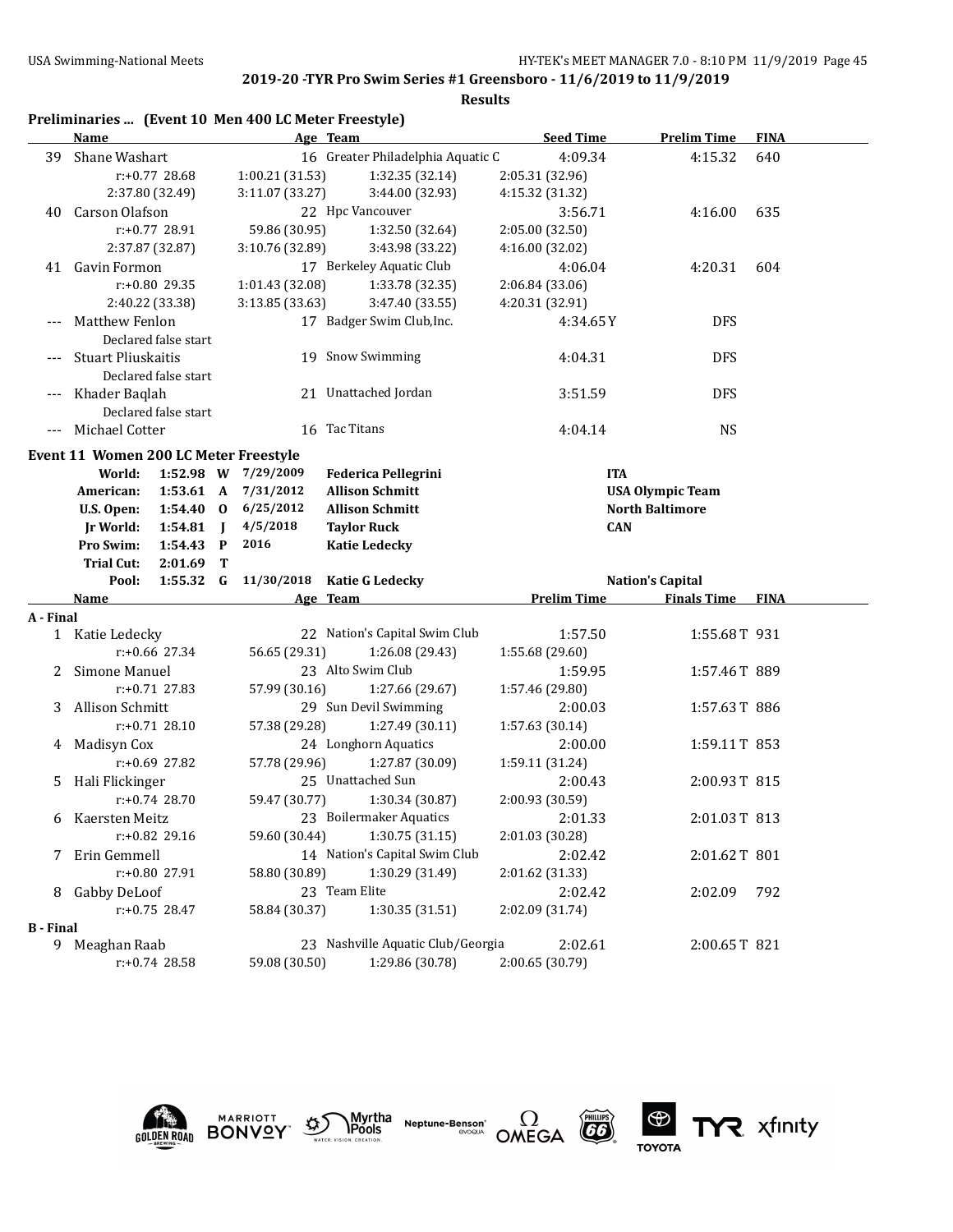|                  | Preliminaries  (Event 10 Men 400 LC Meter Freestyle)                                                                                                            |                                                                                     |                                                                                                                              |                            |                                                   |             |
|------------------|-----------------------------------------------------------------------------------------------------------------------------------------------------------------|-------------------------------------------------------------------------------------|------------------------------------------------------------------------------------------------------------------------------|----------------------------|---------------------------------------------------|-------------|
|                  | Name                                                                                                                                                            |                                                                                     | Age Team                                                                                                                     | <b>Seed Time</b>           | <b>Prelim Time</b>                                | <b>FINA</b> |
| 39               | Shane Washart                                                                                                                                                   |                                                                                     | 16 Greater Philadelphia Aquatic C                                                                                            | 4:09.34                    | 4:15.32                                           | 640         |
|                  | $r: +0.77$ 28.68                                                                                                                                                | 1:00.21 (31.53)                                                                     | 1:32.35 (32.14)                                                                                                              | 2:05.31 (32.96)            |                                                   |             |
|                  | 2:37.80 (32.49)                                                                                                                                                 | 3:11.07 (33.27)                                                                     | 3:44.00 (32.93)                                                                                                              | 4:15.32 (31.32)            |                                                   |             |
| 40               | Carson Olafson                                                                                                                                                  |                                                                                     | 22 Hpc Vancouver                                                                                                             | 3:56.71                    | 4:16.00                                           | 635         |
|                  | $r: +0.77$ 28.91                                                                                                                                                | 59.86 (30.95)                                                                       | 1:32.50 (32.64)                                                                                                              | 2:05.00 (32.50)            |                                                   |             |
|                  | 2:37.87 (32.87)                                                                                                                                                 | 3:10.76 (32.89)                                                                     | 3:43.98 (33.22)                                                                                                              | 4:16.00 (32.02)            |                                                   |             |
| 41               | Gavin Formon                                                                                                                                                    |                                                                                     | 17 Berkeley Aquatic Club                                                                                                     | 4:06.04                    | 4:20.31                                           | 604         |
|                  | r:+0.80 29.35                                                                                                                                                   | 1:01.43 (32.08)                                                                     | 1:33.78 (32.35)                                                                                                              | 2:06.84 (33.06)            |                                                   |             |
|                  | 2:40.22 (33.38)                                                                                                                                                 | 3:13.85 (33.63)                                                                     | 3:47.40 (33.55)                                                                                                              | 4:20.31 (32.91)            |                                                   |             |
|                  | --- Matthew Fenlon<br>Declared false start                                                                                                                      |                                                                                     | 17 Badger Swim Club, Inc.                                                                                                    | 4:34.65Y                   | <b>DFS</b>                                        |             |
|                  | <b>Stuart Pliuskaitis</b><br>Declared false start                                                                                                               |                                                                                     | 19 Snow Swimming                                                                                                             | 4:04.31                    | <b>DFS</b>                                        |             |
|                  | Khader Baqlah<br>Declared false start                                                                                                                           |                                                                                     | 21 Unattached Jordan                                                                                                         | 3:51.59                    | <b>DFS</b>                                        |             |
|                  | --- Michael Cotter                                                                                                                                              |                                                                                     | 16 Tac Titans                                                                                                                | 4:04.14                    | <b>NS</b>                                         |             |
|                  | Event 11 Women 200 LC Meter Freestyle<br>World:<br>American:<br>$1:53.61 \; A$<br>$1:54.40$ 0<br>U.S. Open:<br>Jr World:<br>1:54.81<br>Pro Swim:<br>$1:54.43$ P | 1:52.98 W 7/29/2009<br>7/31/2012<br>6/25/2012<br>4/5/2018<br>$\blacksquare$<br>2016 | <b>Federica Pellegrini</b><br><b>Allison Schmitt</b><br><b>Allison Schmitt</b><br><b>Taylor Ruck</b><br><b>Katie Ledecky</b> | <b>ITA</b><br><b>CAN</b>   | <b>USA Olympic Team</b><br><b>North Baltimore</b> |             |
|                  | <b>Trial Cut:</b><br>2:01.69                                                                                                                                    | Т                                                                                   |                                                                                                                              |                            |                                                   |             |
|                  | $1:55.32$ G<br>Pool:                                                                                                                                            | 11/30/2018                                                                          | <b>Katie G Ledecky</b>                                                                                                       |                            | <b>Nation's Capital</b>                           |             |
| A - Final        | Name                                                                                                                                                            |                                                                                     | Age Team                                                                                                                     | <b>Prelim Time</b>         | <b>Finals Time</b>                                | <b>FINA</b> |
|                  | 1 Katie Ledecky                                                                                                                                                 |                                                                                     | 22 Nation's Capital Swim Club                                                                                                | 1:57.50                    | 1:55.68T 931                                      |             |
|                  | $r: +0.66$ 27.34                                                                                                                                                | 56.65 (29.31)                                                                       | 1:26.08 (29.43)                                                                                                              | 1:55.68 (29.60)            |                                                   |             |
| 2                | Simone Manuel                                                                                                                                                   |                                                                                     | 23 Alto Swim Club                                                                                                            | 1:59.95                    | 1:57.46T 889                                      |             |
|                  | $r: +0.71$ 27.83                                                                                                                                                | 57.99 (30.16)                                                                       | 1:27.66 (29.67)                                                                                                              | 1:57.46 (29.80)            |                                                   |             |
| 3                | Allison Schmitt                                                                                                                                                 |                                                                                     | 29 Sun Devil Swimming                                                                                                        | 2:00.03                    | 1:57.63T 886                                      |             |
|                  | $r: +0.71$ 28.10                                                                                                                                                | 57.38 (29.28)                                                                       | 1:27.49 (30.11)                                                                                                              | 1:57.63 (30.14)            |                                                   |             |
|                  | 4 Madisyn Cox                                                                                                                                                   |                                                                                     | 24 Longhorn Aquatics                                                                                                         | 2:00.00                    | 1:59.11T 853                                      |             |
|                  |                                                                                                                                                                 |                                                                                     |                                                                                                                              |                            |                                                   |             |
| 5.               |                                                                                                                                                                 |                                                                                     |                                                                                                                              |                            |                                                   |             |
|                  | $r: +0.69$ 27.82                                                                                                                                                | 57.78 (29.96)                                                                       | 1:27.87 (30.09)                                                                                                              | 1:59.11 (31.24)            |                                                   |             |
|                  | Hali Flickinger                                                                                                                                                 |                                                                                     | 25 Unattached Sun                                                                                                            | 2:00.43                    | 2:00.93T 815                                      |             |
|                  | $r: +0.74$ 28.70                                                                                                                                                | 59.47 (30.77)                                                                       | 1:30.34 (30.87)                                                                                                              | 2:00.93 (30.59)            |                                                   |             |
| 6                | Kaersten Meitz                                                                                                                                                  |                                                                                     | 23 Boilermaker Aquatics                                                                                                      | 2:01.33                    | 2:01.03T 813                                      |             |
|                  | r:+0.82 29.16                                                                                                                                                   | 59.60 (30.44)                                                                       | 1:30.75 (31.15)                                                                                                              | 2:01.03 (30.28)            |                                                   |             |
| 7                | Erin Gemmell<br>r:+0.80 27.91                                                                                                                                   |                                                                                     | 14 Nation's Capital Swim Club                                                                                                | 2:02.42                    | 2:01.62T 801                                      |             |
| 8                | Gabby DeLoof                                                                                                                                                    | 58.80 (30.89)                                                                       | 1:30.29 (31.49)<br>23 Team Elite                                                                                             | 2:01.62 (31.33)<br>2:02.42 | 2:02.09                                           | 792         |
|                  | $r: +0.75$ 28.47                                                                                                                                                | 58.84 (30.37)                                                                       | 1:30.35 (31.51)                                                                                                              | 2:02.09 (31.74)            |                                                   |             |
| <b>B</b> - Final |                                                                                                                                                                 |                                                                                     |                                                                                                                              |                            |                                                   |             |
| 9                | Meaghan Raab<br>r:+0.74 28.58                                                                                                                                   | 59.08 (30.50)                                                                       | 23 Nashville Aquatic Club/Georgia<br>1:29.86 (30.78)                                                                         | 2:02.61<br>2:00.65 (30.79) | 2:00.65T 821                                      |             |











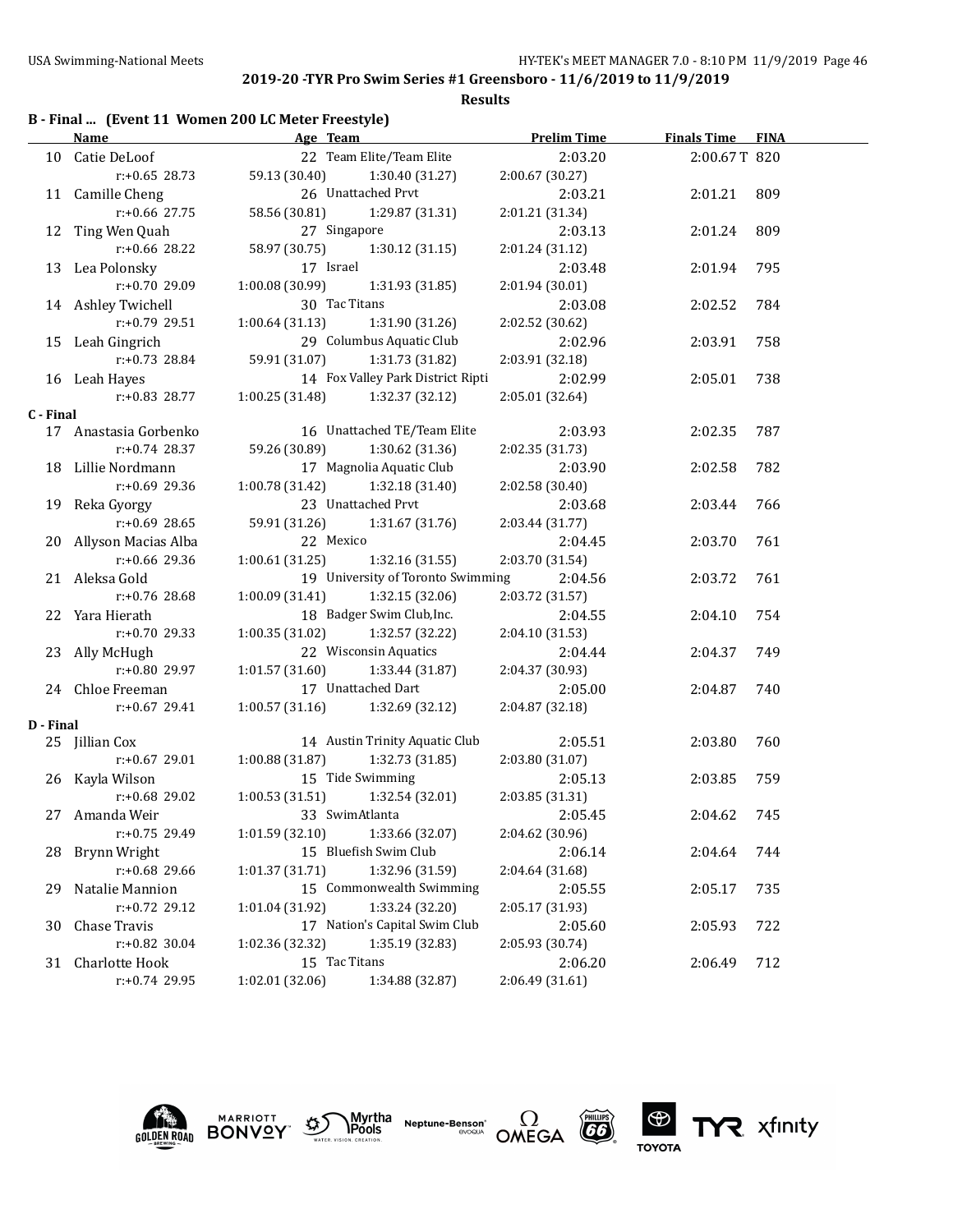|  |  | B - Final  (Event 11 Women 200 LC Meter Freestyle) |  |
|--|--|----------------------------------------------------|--|
|--|--|----------------------------------------------------|--|

|           | <b>Name</b>            | <b>Example 2</b> Age Team         |                                   | <b>Prelim Time</b> | <b>Finals Time</b> | <b>FINA</b> |
|-----------|------------------------|-----------------------------------|-----------------------------------|--------------------|--------------------|-------------|
|           | 10 Catie DeLoof        |                                   | 22 Team Elite/Team Elite          | 2:03.20            | 2:00.67T 820       |             |
|           | $r: +0.65$ 28.73       |                                   | 59.13 (30.40) 1:30.40 (31.27)     | 2:00.67(30.27)     |                    |             |
|           | 11 Camille Cheng       |                                   | 26 Unattached Prvt                | 2:03.21            | 2:01.21            | 809         |
|           | $r$ :+0.66 27.75       |                                   | 58.56 (30.81) 1:29.87 (31.31)     | 2:01.21 (31.34)    |                    |             |
|           | 12 Ting Wen Quah       | 27 Singapore                      |                                   | 2:03.13            | 2:01.24            | 809         |
|           | $r: +0.66$ 28.22       |                                   | 58.97 (30.75) 1:30.12 (31.15)     | 2:01.24(31.12)     |                    |             |
|           | 13 Lea Polonsky        | 17 Israel                         |                                   | 2:03.48            | 2:01.94            | 795         |
|           | r:+0.70 29.09          | 1:00.08(30.99)                    | 1:31.93 (31.85)                   | 2:01.94(30.01)     |                    |             |
|           | 14 Ashley Twichell     | 30 Tac Titans                     |                                   | 2:03.08            | 2:02.52            | 784         |
|           | $r: +0.79$ 29.51       |                                   | $1:00.64(31.13)$ $1:31.90(31.26)$ | 2:02.52 (30.62)    |                    |             |
|           | 15 Leah Gingrich       |                                   | 29 Columbus Aquatic Club          | 2:02.96            | 2:03.91            | 758         |
|           | r:+0.73 28.84          | 59.91 (31.07) 1:31.73 (31.82)     |                                   | 2:03.91 (32.18)    |                    |             |
|           | 16 Leah Hayes          |                                   | 14 Fox Valley Park District Ripti | 2:02.99            | 2:05.01            | 738         |
|           | r:+0.83 28.77          | 1:00.25 (31.48) 1:32.37 (32.12)   |                                   | 2:05.01 (32.64)    |                    |             |
| C - Final |                        |                                   |                                   |                    |                    |             |
|           | 17 Anastasia Gorbenko  |                                   | 16 Unattached TE/Team Elite       | 2:03.93            | 2:02.35            | 787         |
|           | r:+0.74 28.37          |                                   | 59.26 (30.89) 1:30.62 (31.36)     | 2:02.35 (31.73)    |                    |             |
|           | 18 Lillie Nordmann     | 17 Magnolia Aquatic Club          |                                   | 2:03.90            | 2:02.58            | 782         |
|           | $r: +0.69$ 29.36       | $1:00.78(31.42)$ $1:32.18(31.40)$ |                                   | 2:02.58 (30.40)    |                    |             |
|           | 19 Reka Gyorgy         |                                   | 23 Unattached Prvt                | 2:03.68            | 2:03.44            | 766         |
|           | r:+0.69 28.65          |                                   | 59.91 (31.26) 1:31.67 (31.76)     | 2:03.44 (31.77)    |                    |             |
|           | 20 Allyson Macias Alba | 22 Mexico                         |                                   | 2:04.45            | 2:03.70            | 761         |
|           | r:+0.66 29.36          | $1:00.61(31.25)$ $1:32.16(31.55)$ |                                   | 2:03.70 (31.54)    |                    |             |
|           | 21 Aleksa Gold         |                                   | 19 University of Toronto Swimming | 2:04.56            | 2:03.72            | 761         |
|           | r:+0.76 28.68          | $1:00.09(31.41)$ $1:32.15(32.06)$ |                                   | 2:03.72 (31.57)    |                    |             |
|           | 22 Yara Hierath        |                                   | 18 Badger Swim Club, Inc.         | 2:04.55            | 2:04.10            | 754         |
|           | r:+0.70 29.33          | 1:00.35 (31.02)                   | 1:32.57 (32.22)                   | 2:04.10 (31.53)    |                    |             |
|           | 23 Ally McHugh         |                                   | 22 Wisconsin Aquatics             | 2:04.44            | 2:04.37            | 749         |
|           | r:+0.80 29.97          | 1:01.57 (31.60)                   | 1:33.44 (31.87)                   | 2:04.37 (30.93)    |                    |             |
|           | 24 Chloe Freeman       |                                   | 17 Unattached Dart                | 2:05.00            | 2:04.87            | 740         |
|           | r:+0.67 29.41          |                                   | $1:00.57(31.16)$ $1:32.69(32.12)$ | 2:04.87 (32.18)    |                    |             |
| D - Final |                        |                                   |                                   |                    |                    |             |
|           | 25 Jillian Cox         |                                   | 14 Austin Trinity Aquatic Club    | 2:05.51            | 2:03.80            | 760         |
|           | r:+0.67 29.01          | 1:00.88(31.87)                    | 1:32.73 (31.85)                   | 2:03.80 (31.07)    |                    |             |
|           | 26 Kayla Wilson        |                                   | 15 Tide Swimming                  | 2:05.13            | 2:03.85            | 759         |
|           |                        | $r: +0.68$ 29.02 1:00.53 (31.51)  | $1:32.54(32.01)$ $2:03.85(31.31)$ |                    |                    |             |
|           | 27 Amanda Weir         | 33 SwimAtlanta                    |                                   | 2:05.45            | 2:04.62            | 745         |
|           | r:+0.75 29.49          |                                   | $1:01.59(32.10)$ $1:33.66(32.07)$ | 2:04.62 (30.96)    |                    |             |
| 28        | Brynn Wright           |                                   | 15 Bluefish Swim Club             | 2:06.14            | 2:04.64            | 744         |
|           | r:+0.68 29.66          | 1:01.37(31.71)                    | 1:32.96 (31.59)                   | 2:04.64 (31.68)    |                    |             |
| 29        | Natalie Mannion        |                                   | 15 Commonwealth Swimming          | 2:05.55            | 2:05.17            | 735         |
|           | r:+0.72 29.12          | 1:01.04 (31.92)                   | 1:33.24 (32.20)                   | 2:05.17 (31.93)    |                    |             |
| 30        | Chase Travis           |                                   | 17 Nation's Capital Swim Club     | 2:05.60            | 2:05.93            | 722         |
|           | r:+0.82 30.04          | 1:02.36 (32.32)                   | 1:35.19 (32.83)                   | 2:05.93 (30.74)    |                    |             |
|           | 31 Charlotte Hook      | 15 Tac Titans                     |                                   | 2:06.20            | 2:06.49            | 712         |
|           | r:+0.74 29.95          | 1:02.01 (32.06)                   | 1:34.88 (32.87)                   | 2:06.49 (31.61)    |                    |             |











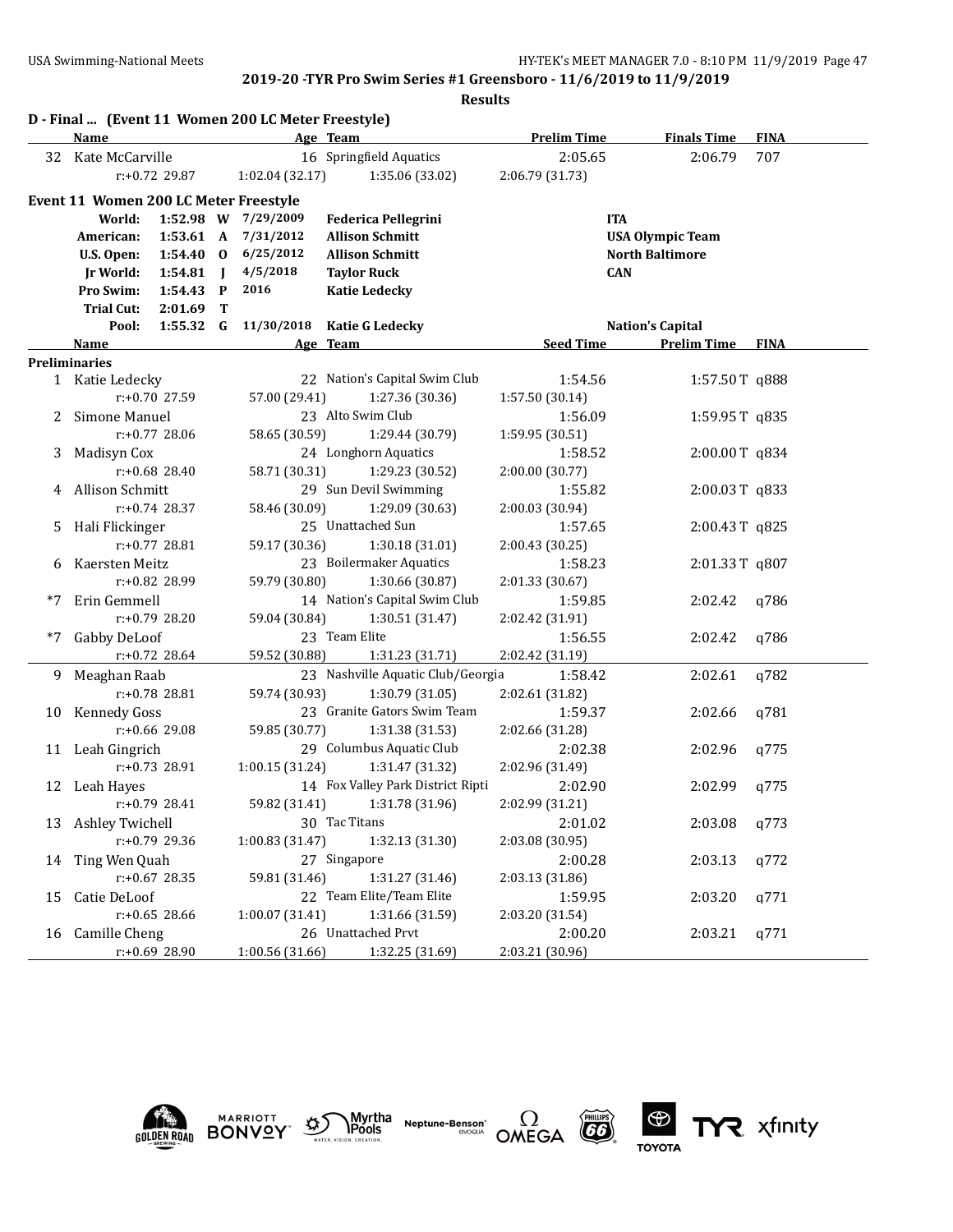**Results**

|      |                                              |                  |              | D - Final  (Event 11 Women 200 LC Meter Freestyle) |                                   |                    |                         |             |
|------|----------------------------------------------|------------------|--------------|----------------------------------------------------|-----------------------------------|--------------------|-------------------------|-------------|
|      | Name                                         |                  |              |                                                    | Age Team                          | <b>Prelim Time</b> | <b>Finals Time</b>      | <b>FINA</b> |
|      | 32 Kate McCarville                           |                  |              |                                                    | 16 Springfield Aquatics           | 2:05.65            | 2:06.79                 | 707         |
|      |                                              | $r: +0.72$ 29.87 |              | 1:02.04 (32.17)                                    | 1:35.06 (33.02)                   | 2:06.79 (31.73)    |                         |             |
|      | <b>Event 11 Women 200 LC Meter Freestyle</b> |                  |              |                                                    |                                   |                    |                         |             |
|      | World:                                       |                  |              | 1:52.98 W 7/29/2009                                | <b>Federica Pellegrini</b>        | <b>ITA</b>         |                         |             |
|      | American:                                    | 1:53.61 A        |              | 7/31/2012                                          | <b>Allison Schmitt</b>            |                    | <b>USA Olympic Team</b> |             |
|      | U.S. Open:                                   | $1:54.40$ 0      |              | 6/25/2012                                          | <b>Allison Schmitt</b>            |                    | <b>North Baltimore</b>  |             |
|      | Jr World:                                    | 1:54.81          | $\mathbf{I}$ | 4/5/2018                                           | <b>Taylor Ruck</b>                | <b>CAN</b>         |                         |             |
|      | Pro Swim:                                    | $1:54.43$ P      |              | 2016                                               | <b>Katie Ledecky</b>              |                    |                         |             |
|      | <b>Trial Cut:</b>                            | 2:01.69          | т            |                                                    |                                   |                    |                         |             |
|      | Pool:                                        | $1:55.32$ G      |              | 11/30/2018                                         | <b>Katie G Ledecky</b>            |                    | <b>Nation's Capital</b> |             |
|      | Name                                         |                  |              |                                                    | Age Team                          | <b>Seed Time</b>   | <b>Prelim Time FINA</b> |             |
|      | <b>Preliminaries</b>                         |                  |              |                                                    |                                   |                    |                         |             |
|      | 1 Katie Ledecky                              |                  |              |                                                    | 22 Nation's Capital Swim Club     | 1:54.56            | 1:57.50T q888           |             |
|      |                                              | r:+0.70 27.59    |              | 57.00 (29.41)                                      | 1:27.36 (30.36)                   | 1:57.50 (30.14)    |                         |             |
|      | Simone Manuel                                |                  |              |                                                    | 23 Alto Swim Club                 | 1:56.09            | 1:59.95 T q835          |             |
|      |                                              | $r: +0.77$ 28.06 |              | 58.65 (30.59)                                      | 1:29.44 (30.79)                   | 1:59.95 (30.51)    |                         |             |
| 3    | Madisyn Cox                                  |                  |              |                                                    | 24 Longhorn Aquatics              | 1:58.52            | 2:00.00T q834           |             |
|      |                                              | r:+0.68 28.40    |              | 58.71 (30.31)                                      | 1:29.23 (30.52)                   | 2:00.00 (30.77)    |                         |             |
|      | 4 Allison Schmitt                            |                  |              |                                                    | 29 Sun Devil Swimming             | 1:55.82            | 2:00.03T q833           |             |
|      |                                              | $r: +0.74$ 28.37 |              | 58.46 (30.09)                                      | 1:29.09 (30.63)                   | 2:00.03 (30.94)    |                         |             |
| 5    | Hali Flickinger                              |                  |              |                                                    | 25 Unattached Sun                 | 1:57.65            | 2:00.43T q825           |             |
|      |                                              | $r: +0.77$ 28.81 |              | 59.17 (30.36)                                      | 1:30.18 (31.01)                   | 2:00.43 (30.25)    |                         |             |
| 6    | Kaersten Meitz                               |                  |              |                                                    | 23 Boilermaker Aquatics           | 1:58.23            | 2:01.33T q807           |             |
|      |                                              | r:+0.82 28.99    |              | 59.79 (30.80)                                      | 1:30.66 (30.87)                   | 2:01.33 (30.67)    |                         |             |
|      | *7 Erin Gemmell                              |                  |              |                                                    | 14 Nation's Capital Swim Club     | 1:59.85            | 2:02.42                 | q786        |
|      |                                              | $r: +0.79$ 28.20 |              | 59.04 (30.84)                                      | 1:30.51 (31.47)                   | 2:02.42 (31.91)    |                         |             |
| $*7$ | Gabby DeLoof                                 |                  |              |                                                    | 23 Team Elite                     | 1:56.55            | 2:02.42                 | q786        |
|      |                                              | r:+0.72 28.64    |              | 59.52 (30.88)                                      | 1:31.23 (31.71)                   | 2:02.42 (31.19)    |                         |             |
| 9.   | Meaghan Raab                                 |                  |              |                                                    | 23 Nashville Aquatic Club/Georgia | 1:58.42            | 2:02.61                 | q782        |
|      |                                              | r:+0.78 28.81    |              | 59.74 (30.93)                                      | 1:30.79 (31.05)                   | 2:02.61 (31.82)    |                         |             |
|      | 10 Kennedy Goss                              |                  |              |                                                    | 23 Granite Gators Swim Team       | 1:59.37            | 2:02.66                 | q781        |
|      |                                              | r:+0.66 29.08    |              | 59.85 (30.77)                                      | 1:31.38(31.53)                    | 2:02.66 (31.28)    |                         |             |
|      | 11 Leah Gingrich                             |                  |              |                                                    | 29 Columbus Aquatic Club          | 2:02.38            | 2:02.96                 | a775        |
|      |                                              | r:+0.73 28.91    |              | 1:00.15 (31.24)                                    | 1:31.47 (31.32)                   | 2:02.96 (31.49)    |                         |             |
|      | 12 Leah Hayes                                |                  |              |                                                    | 14 Fox Valley Park District Ripti | 2:02.90            | 2:02.99                 | q775        |
|      |                                              | r:+0.79 28.41    |              |                                                    | 59.82 (31.41) 1:31.78 (31.96)     | 2:02.99 (31.21)    |                         |             |
|      | 13 Ashley Twichell                           |                  |              |                                                    | 30 Tac Titans                     | 2:01.02            | 2:03.08                 | q773        |
|      |                                              | r:+0.79 29.36    |              | 1:00.83 (31.47)                                    | 1:32.13 (31.30)                   | 2:03.08 (30.95)    |                         |             |
| 14   | Ting Wen Quah                                |                  |              |                                                    | 27 Singapore                      | 2:00.28            | 2:03.13                 | q772        |
|      |                                              | $r: +0.67$ 28.35 |              | 59.81 (31.46)                                      | 1:31.27 (31.46)                   | 2:03.13 (31.86)    |                         |             |
| 15   | Catie DeLoof                                 |                  |              |                                                    | 22 Team Elite/Team Elite          | 1:59.95            | 2:03.20                 | q771        |
|      |                                              | $r: +0.65$ 28.66 |              | 1:00.07 (31.41)                                    | 1:31.66 (31.59)                   | 2:03.20 (31.54)    |                         |             |
|      | 16 Camille Cheng                             |                  |              |                                                    | 26 Unattached Prvt                | 2:00.20            | 2:03.21                 | q771        |
|      |                                              | r:+0.69 28.90    |              | 1:00.56 (31.66)                                    | 1:32.25 (31.69)                   | 2:03.21 (30.96)    |                         |             |





**Neptune-Benson\***<br>evoqua





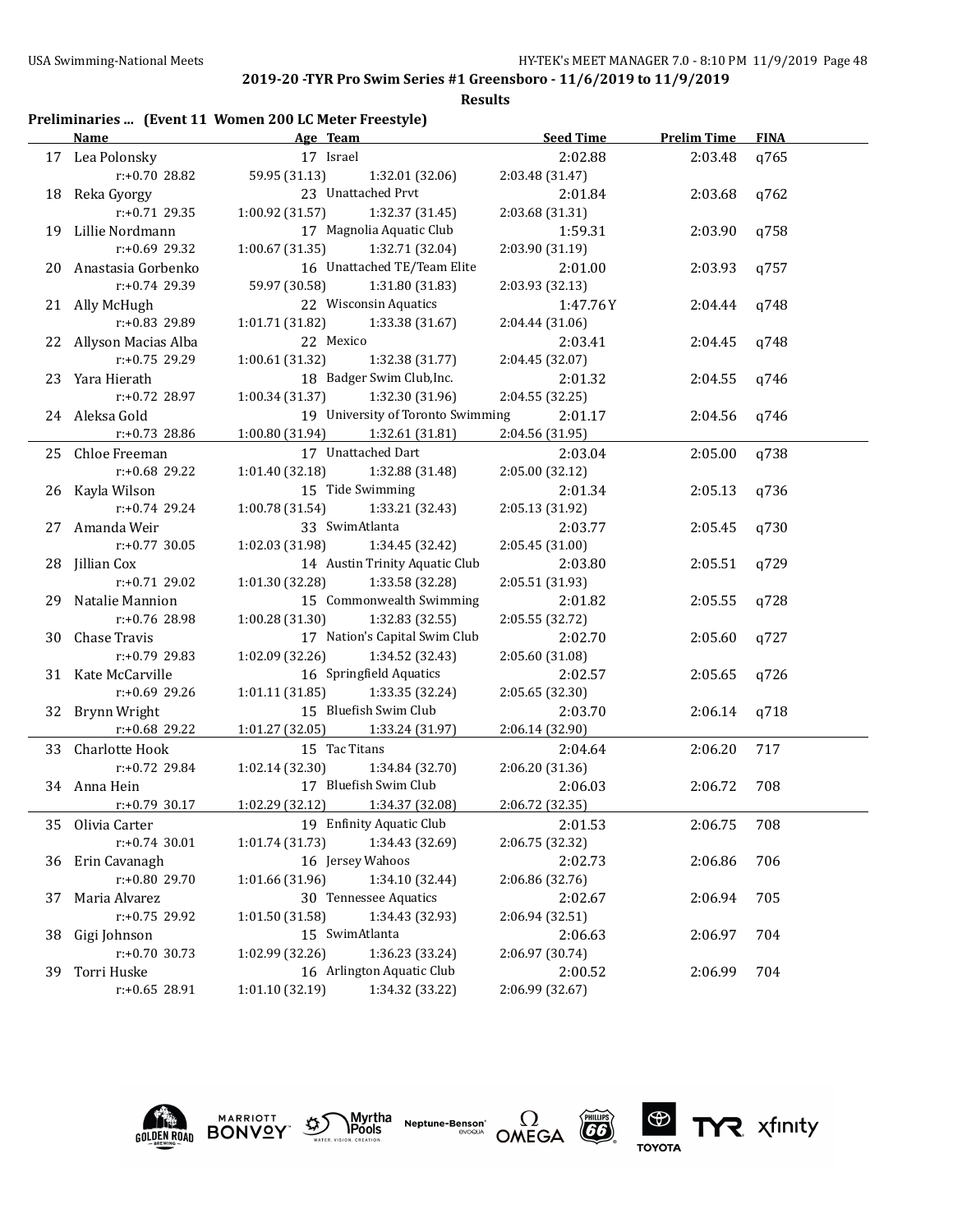#### **Results**

## **Preliminaries ... (Event 11 Women 200 LC Meter Freestyle)**

|    | <b>Name</b>            | Age Team                                |                                   | <b>Seed Time</b> | <b>Prelim Time</b> | <b>FINA</b> |  |
|----|------------------------|-----------------------------------------|-----------------------------------|------------------|--------------------|-------------|--|
|    | 17 Lea Polonsky        | 17 Israel                               |                                   | 2:02.88          | 2:03.48            | q765        |  |
|    | r:+0.70 28.82          | 59.95 (31.13)                           | 1:32.01 (32.06)                   | 2:03.48 (31.47)  |                    |             |  |
|    | 18 Reka Gyorgy         |                                         | 23 Unattached Prvt                | 2:01.84          | 2:03.68            | q762        |  |
|    | $r: +0.71$ 29.35       | 1:00.92 (31.57)                         | 1:32.37 (31.45)                   | 2:03.68 (31.31)  |                    |             |  |
|    | 19 Lillie Nordmann     |                                         | 17 Magnolia Aquatic Club          | 1:59.31          | 2:03.90            | q758        |  |
|    | $r: +0.69$ 29.32       | 1:00.67 (31.35)                         | 1:32.71 (32.04)                   | 2:03.90 (31.19)  |                    |             |  |
|    | 20 Anastasia Gorbenko  |                                         | 16 Unattached TE/Team Elite       | 2:01.00          | 2:03.93            | q757        |  |
|    | r:+0.74 29.39          | 59.97 (30.58)                           | 1:31.80 (31.83)                   | 2:03.93 (32.13)  |                    |             |  |
|    | 21 Ally McHugh         |                                         | 22 Wisconsin Aquatics             | 1:47.76Y         | 2:04.44            | q748        |  |
|    | r:+0.83 29.89          | 1:01.71 (31.82)                         | 1:33.38 (31.67)                   | 2:04.44 (31.06)  |                    |             |  |
|    | 22 Allyson Macias Alba | 22 Mexico                               |                                   | 2:03.41          | 2:04.45            | q748        |  |
|    | $r: +0.75$ 29.29       | 1:00.61(31.32)                          | 1:32.38 (31.77)                   | 2:04.45 (32.07)  |                    |             |  |
|    | 23 Yara Hierath        |                                         | 18 Badger Swim Club, Inc.         | 2:01.32          | 2:04.55            | q746        |  |
|    | $r: +0.72$ 28.97       | 1:00.34(31.37)                          | 1:32.30 (31.96)                   | 2:04.55 (32.25)  |                    |             |  |
|    | 24 Aleksa Gold         |                                         | 19 University of Toronto Swimming | 2:01.17          | 2:04.56            | q746        |  |
|    | $r: +0.73$ 28.86       | 1:00.80 (31.94) 1:32.61 (31.81)         |                                   | 2:04.56 (31.95)  |                    |             |  |
|    | 25 Chloe Freeman       |                                         | 17 Unattached Dart                | 2:03.04          | 2:05.00            | q738        |  |
|    | $r: +0.68$ 29.22       | 1:01.40 (32.18)                         | 1:32.88 (31.48)                   | 2:05.00 (32.12)  |                    |             |  |
|    | 26 Kayla Wilson        |                                         | 15 Tide Swimming                  | 2:01.34          | 2:05.13            | q736        |  |
|    | $r: +0.74$ 29.24       | 1:00.78(31.54)                          | 1:33.21 (32.43)                   | 2:05.13 (31.92)  |                    |             |  |
|    | 27 Amanda Weir         | 33 SwimAtlanta                          |                                   | 2:03.77          | 2:05.45            | q730        |  |
|    | $r: +0.77$ 30.05       | 1:02.03(31.98)                          | 1:34.45 (32.42)                   | 2:05.45 (31.00)  |                    |             |  |
|    | 28 Jillian Cox         |                                         | 14 Austin Trinity Aquatic Club    | 2:03.80          | 2:05.51            | q729        |  |
|    | $r: +0.71$ 29.02       | 1:01.30(32.28)                          | 1:33.58 (32.28)                   | 2:05.51 (31.93)  |                    |             |  |
|    | 29 Natalie Mannion     |                                         | 15 Commonwealth Swimming          | 2:01.82          | 2:05.55            | q728        |  |
|    | r:+0.76 28.98          | $1:00.28(31.30)$ $1:32.83(32.55)$       |                                   | 2:05.55 (32.72)  |                    |             |  |
|    | 30 Chase Travis        |                                         | 17 Nation's Capital Swim Club     | 2:02.70          | 2:05.60            | q727        |  |
|    | $r: +0.79$ 29.83       | 1:02.09(32.26)                          | 1:34.52 (32.43)                   | 2:05.60 (31.08)  |                    |             |  |
|    | 31 Kate McCarville     |                                         | 16 Springfield Aquatics           | 2:02.57          | 2:05.65            | q726        |  |
|    | r:+0.69 29.26          | $1:01.11$ $(31.85)$ $1:33.35$ $(32.24)$ |                                   | 2:05.65 (32.30)  |                    |             |  |
|    | 32 Brynn Wright        |                                         | 15 Bluefish Swim Club             | 2:03.70          | 2:06.14            | q718        |  |
|    | r:+0.68 29.22          | $1:01.27$ (32.05) $1:33.24$ (31.97)     |                                   | 2:06.14 (32.90)  |                    |             |  |
|    | 33 Charlotte Hook      | 15 Tac Titans                           |                                   | 2:04.64          | 2:06.20            | 717         |  |
|    | r:+0.72 29.84          | 1:02.14 (32.30)                         | 1:34.84 (32.70)                   | 2:06.20 (31.36)  |                    |             |  |
|    | 34 Anna Hein           |                                         | 17 Bluefish Swim Club             | 2:06.03          | 2:06.72            | 708         |  |
|    | r:+0.79 30.17          | 1:02.29 (32.12) 1:34.37 (32.08)         |                                   | 2:06.72 (32.35)  |                    |             |  |
|    | 35 Olivia Carter       |                                         | 19 Enfinity Aquatic Club          | 2:01.53          | 2:06.75            | 708         |  |
|    | $r: +0.74$ 30.01       | 1:01.74 (31.73)                         | 1:34.43 (32.69)                   | 2:06.75 (32.32)  |                    |             |  |
| 36 | Erin Cavanagh          |                                         | 16 Jersey Wahoos                  | 2:02.73          | 2:06.86            | 706         |  |
|    | r:+0.80 29.70          | 1:01.66 (31.96)                         | 1:34.10 (32.44)                   | 2:06.86 (32.76)  |                    |             |  |
| 37 | Maria Alvarez          |                                         | 30 Tennessee Aquatics             | 2:02.67          | 2:06.94            | 705         |  |
|    | r:+0.75 29.92          | 1:01.50 (31.58)                         | 1:34.43 (32.93)                   | 2:06.94 (32.51)  |                    |             |  |
| 38 | Gigi Johnson           | 15 SwimAtlanta                          |                                   | 2:06.63          | 2:06.97            | 704         |  |
|    | $r: +0.70$ 30.73       | 1:02.99 (32.26)                         | 1:36.23 (33.24)                   | 2:06.97 (30.74)  |                    |             |  |
| 39 | Torri Huske            |                                         | 16 Arlington Aquatic Club         | 2:00.52          | 2:06.99            | 704         |  |
|    | r:+0.65 28.91          | 1:01.10 (32.19)                         | 1:34.32 (33.22)                   | 2:06.99 (32.67)  |                    |             |  |



**MARRIOTT** 





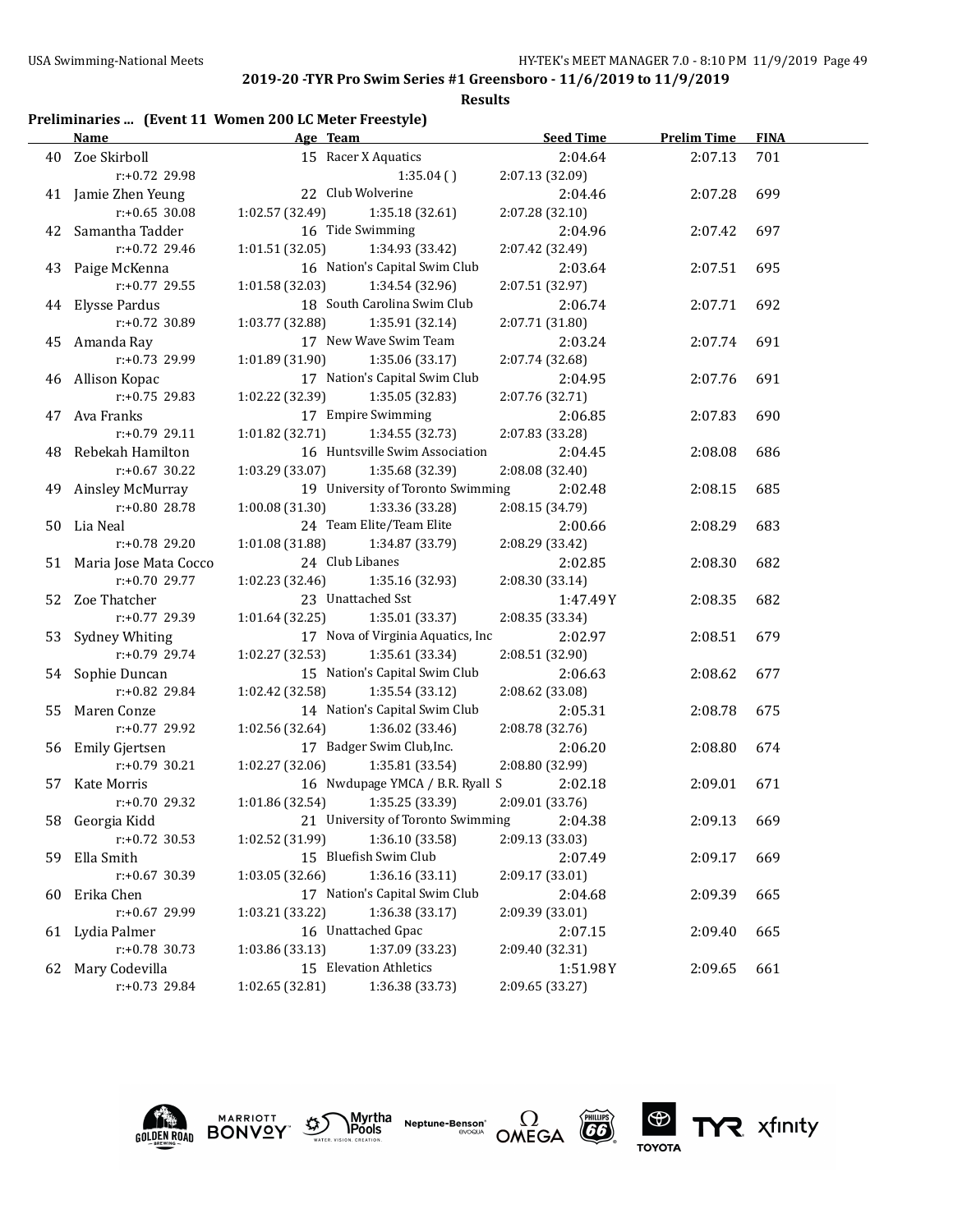**Results**

## **Preliminaries ... (Event 11 Women 200 LC Meter Freestyle)**

|    | Name                     | Age Team                           | <b>Seed Time</b> | <b>Prelim Time</b> | <b>FINA</b> |
|----|--------------------------|------------------------------------|------------------|--------------------|-------------|
|    | 40 Zoe Skirboll          | 15 Racer X Aquatics                | 2:04.64          | 2:07.13            | 701         |
|    | r:+0.72 29.98            | 1:35.04(                           | 2:07.13 (32.09)  |                    |             |
|    | 41 Jamie Zhen Yeung      | 22 Club Wolverine                  | 2:04.46          | 2:07.28            | 699         |
|    | $r: +0.65$ 30.08         | 1:02.57 (32.49)<br>1:35.18(32.61)  | 2:07.28 (32.10)  |                    |             |
|    | 42 Samantha Tadder       | 16 Tide Swimming                   | 2:04.96          | 2:07.42            | 697         |
|    | $r: +0.72$ 29.46         | 1:01.51(32.05)<br>1:34.93 (33.42)  | 2:07.42 (32.49)  |                    |             |
|    | 43 Paige McKenna         | 16 Nation's Capital Swim Club      | 2:03.64          | 2:07.51            | 695         |
|    | $r: +0.77$ 29.55         | 1:01.58(32.03)<br>1:34.54 (32.96)  | 2:07.51 (32.97)  |                    |             |
|    | 44 Elysse Pardus         | 18 South Carolina Swim Club        | 2:06.74          | 2:07.71            | 692         |
|    | $r: +0.72$ 30.89         | 1:03.77 (32.88)<br>1:35.91 (32.14) | 2:07.71 (31.80)  |                    |             |
|    | 45 Amanda Ray            | 17 New Wave Swim Team              | 2:03.24          | 2:07.74            | 691         |
|    | $r: +0.73$ 29.99         | 1:01.89 (31.90)<br>1:35.06 (33.17) | 2:07.74 (32.68)  |                    |             |
|    | 46 Allison Kopac         | 17 Nation's Capital Swim Club      | 2:04.95          | 2:07.76            | 691         |
|    | $r: +0.75$ 29.83         | 1:02.22 (32.39)<br>1:35.05 (32.83) | 2:07.76 (32.71)  |                    |             |
|    | 47 Ava Franks            | 17 Empire Swimming                 | 2:06.85          | 2:07.83            | 690         |
|    | $r: +0.79$ 29.11         | 1:01.82 (32.71)<br>1:34.55 (32.73) | 2:07.83 (33.28)  |                    |             |
|    | 48 Rebekah Hamilton      | 16 Huntsville Swim Association     | 2:04.45          | 2:08.08            | 686         |
|    | r:+0.67 30.22            | 1:03.29(33.07)<br>1:35.68 (32.39)  | 2:08.08 (32.40)  |                    |             |
|    | 49 Ainsley McMurray      | 19 University of Toronto Swimming  | 2:02.48          | 2:08.15            | 685         |
|    | r:+0.80 28.78            | 1:00.08 (31.30)<br>1:33.36 (33.28) | 2:08.15 (34.79)  |                    |             |
|    | 50 Lia Neal              | 24 Team Elite/Team Elite           | 2:00.66          | 2:08.29            | 683         |
|    | $r: +0.78$ 29.20         | 1:34.87 (33.79)<br>1:01.08(31.88)  | 2:08.29 (33.42)  |                    |             |
|    | 51 Maria Jose Mata Cocco | 24 Club Libanes                    | 2:02.85          | 2:08.30            | 682         |
|    | $r: +0.70$ 29.77         | 1:02.23 (32.46)<br>1:35.16 (32.93) | 2:08.30 (33.14)  |                    |             |
|    | 52 Zoe Thatcher          | 23 Unattached Sst                  | 1:47.49 Y        | 2:08.35            | 682         |
|    | $r+0.77$ 29.39           | 1:01.64(32.25)<br>1:35.01 (33.37)  | 2:08.35 (33.34)  |                    |             |
|    | 53 Sydney Whiting        | 17 Nova of Virginia Aquatics, Inc  | 2:02.97          | 2:08.51            | 679         |
|    | $r: +0.79$ 29.74         | 1:02.27 (32.53)<br>1:35.61 (33.34) | 2:08.51 (32.90)  |                    |             |
|    | 54 Sophie Duncan         | 15 Nation's Capital Swim Club      | 2:06.63          | 2:08.62            | 677         |
|    | r:+0.82 29.84            | 1:02.42 (32.58)<br>1:35.54 (33.12) | 2:08.62 (33.08)  |                    |             |
|    | 55 Maren Conze           | 14 Nation's Capital Swim Club      | 2:05.31          | 2:08.78            | 675         |
|    | r:+0.77 29.92            | 1:02.56 (32.64)<br>1:36.02 (33.46) | 2:08.78 (32.76)  |                    |             |
|    | 56 Emily Gjertsen        | 17 Badger Swim Club, Inc.          | 2:06.20          | 2:08.80            | 674         |
|    | $r: +0.79$ 30.21         | 1:02.27 (32.06)<br>1:35.81 (33.54) | 2:08.80 (32.99)  |                    |             |
|    | 57 Kate Morris           | 16 Nwdupage YMCA / B.R. Ryall S    | 2:02.18          | 2:09.01            | 671         |
|    | r:+0.70 29.32            | 1:01.86 (32.54)<br>1:35.25 (33.39) | 2:09.01 (33.76)  |                    |             |
|    | 58 Georgia Kidd          | 21 University of Toronto Swimming  | 2:04.38          | 2:09.13            | 669         |
|    | $r: +0.72$ 30.53         | 1:02.52 (31.99)<br>1:36.10 (33.58) | 2:09.13 (33.03)  |                    |             |
| 59 | Ella Smith               | 15 Bluefish Swim Club              | 2:07.49          | 2:09.17            | 669         |
|    | r:+0.67 30.39            | 1:03.05 (32.66)<br>1:36.16 (33.11) | 2:09.17 (33.01)  |                    |             |
| 60 | Erika Chen               | 17 Nation's Capital Swim Club      | 2:04.68          | 2:09.39            | 665         |
|    | r:+0.67 29.99            | 1:03.21 (33.22)<br>1:36.38 (33.17) | 2:09.39 (33.01)  |                    |             |
| 61 | Lydia Palmer             | 16 Unattached Gpac                 | 2:07.15          | 2:09.40            | 665         |
|    | $r: +0.78$ 30.73         | 1:37.09 (33.23)<br>1:03.86 (33.13) | 2:09.40 (32.31)  |                    |             |
| 62 | Mary Codevilla           | 15 Elevation Athletics             | 1:51.98Y         | 2:09.65            | 661         |
|    | r:+0.73 29.84            | 1:02.65 (32.81)<br>1:36.38 (33.73) | 2:09.65 (33.27)  |                    |             |





Myrtha<br>Pools **Neptune-Benson\***<br>evoqua





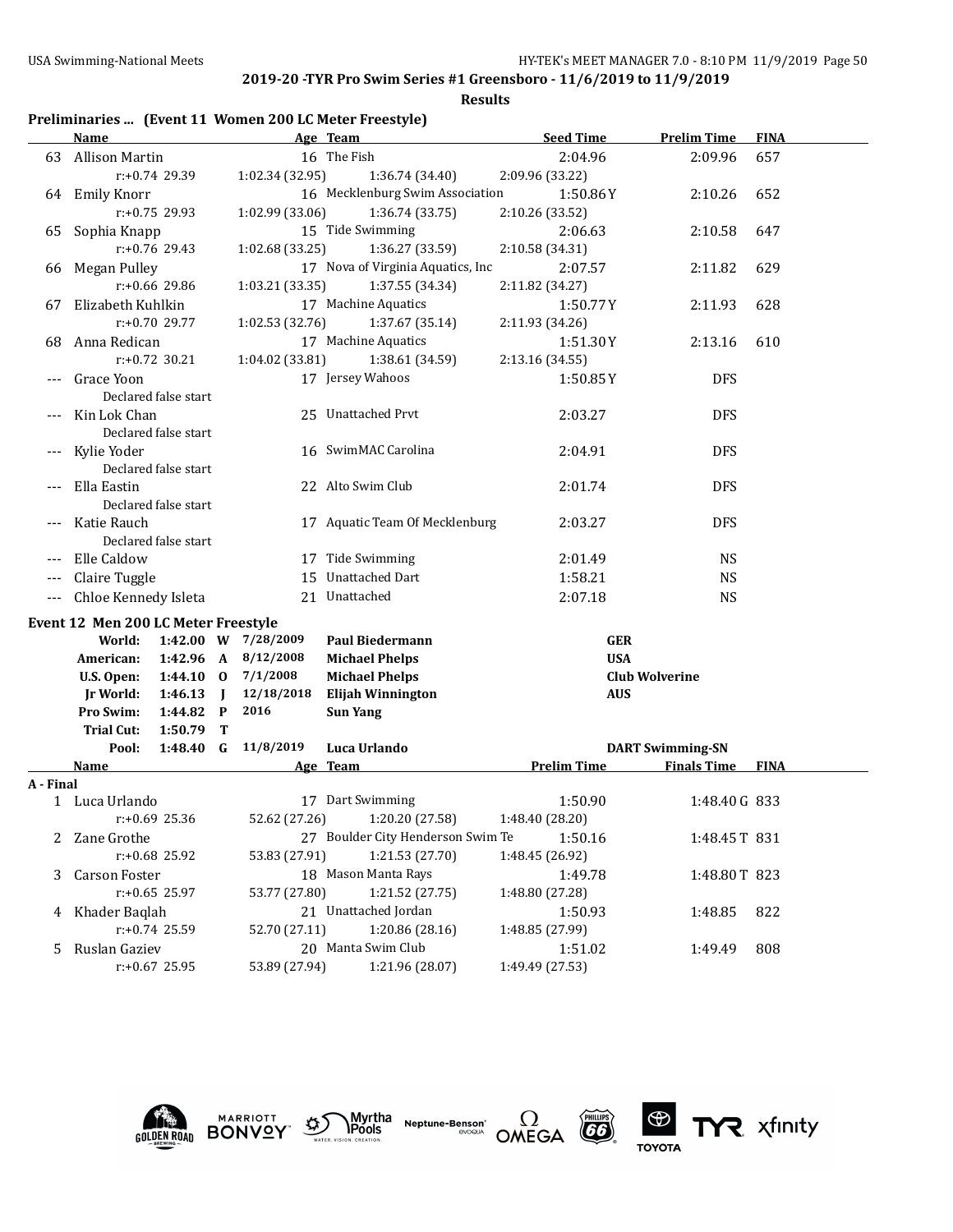**Results**

## **Preliminaries ... (Event 11 Women 200 LC Meter Freestyle)**

|           | <b>Name</b>                         |                      |                |                     | Age Team                          | <b>Seed Time</b>   | <b>Prelim Time</b>                            | <b>FINA</b> |
|-----------|-------------------------------------|----------------------|----------------|---------------------|-----------------------------------|--------------------|-----------------------------------------------|-------------|
| 63        | Allison Martin                      |                      |                |                     | 16 The Fish                       | 2:04.96            | 2:09.96                                       | 657         |
|           |                                     | $r: +0.74$ 29.39     |                | 1:02.34 (32.95)     | 1:36.74 (34.40)                   | 2:09.96 (33.22)    |                                               |             |
|           | 64 Emily Knorr                      |                      |                |                     | 16 Mecklenburg Swim Association   | 1:50.86Y           | 2:10.26                                       | 652         |
|           |                                     | $r: +0.75$ 29.93     |                | 1:02.99 (33.06)     | 1:36.74 (33.75)                   | 2:10.26 (33.52)    |                                               |             |
| 65        | Sophia Knapp                        |                      |                |                     | 15 Tide Swimming                  | 2:06.63            | 2:10.58                                       | 647         |
|           |                                     | $r: +0.76$ 29.43     |                | 1:02.68 (33.25)     | 1:36.27 (33.59)                   | 2:10.58 (34.31)    |                                               |             |
| 66        | Megan Pulley                        |                      |                |                     | 17 Nova of Virginia Aquatics, Inc | 2:07.57            | 2:11.82                                       | 629         |
|           |                                     | r:+0.66 29.86        |                | 1:03.21 (33.35)     | 1:37.55 (34.34)                   | 2:11.82 (34.27)    |                                               |             |
| 67        | Elizabeth Kuhlkin                   |                      |                |                     | 17 Machine Aquatics               | 1:50.77Y           | 2:11.93                                       | 628         |
|           |                                     | $r: +0.70$ 29.77     |                | 1:02.53 (32.76)     | 1:37.67 (35.14)                   | 2:11.93 (34.26)    |                                               |             |
| 68        | Anna Redican                        |                      |                |                     | 17 Machine Aquatics               | 1:51.30Y           | 2:13.16                                       | 610         |
|           |                                     | $r: +0.72$ 30.21     |                | 1:04.02 (33.81)     | 1:38.61 (34.59)                   | 2:13.16 (34.55)    |                                               |             |
|           | Grace Yoon                          |                      |                |                     | 17 Jersey Wahoos                  | 1:50.85Y           | <b>DFS</b>                                    |             |
|           |                                     | Declared false start |                |                     |                                   |                    |                                               |             |
|           | Kin Lok Chan                        |                      |                |                     | 25 Unattached Prvt                | 2:03.27            | <b>DFS</b>                                    |             |
|           |                                     | Declared false start |                |                     |                                   |                    |                                               |             |
|           | Kylie Yoder                         |                      |                |                     | 16 SwimMAC Carolina               | 2:04.91            | <b>DFS</b>                                    |             |
|           |                                     | Declared false start |                |                     |                                   |                    |                                               |             |
|           | Ella Eastin                         |                      |                |                     | 22 Alto Swim Club                 | 2:01.74            | <b>DFS</b>                                    |             |
|           |                                     | Declared false start |                |                     |                                   |                    |                                               |             |
|           | Katie Rauch                         |                      |                |                     | 17 Aquatic Team Of Mecklenburg    | 2:03.27            | <b>DFS</b>                                    |             |
|           |                                     | Declared false start |                |                     |                                   |                    |                                               |             |
|           | Elle Caldow                         |                      |                |                     | 17 Tide Swimming                  | 2:01.49            | <b>NS</b>                                     |             |
| ---       | Claire Tuggle                       |                      |                | 15                  | <b>Unattached Dart</b>            | 1:58.21            | <b>NS</b>                                     |             |
| $---$     | Chloe Kennedy Isleta                |                      |                |                     | 21 Unattached                     | 2:07.18            | <b>NS</b>                                     |             |
|           | Event 12 Men 200 LC Meter Freestyle |                      |                |                     |                                   |                    |                                               |             |
|           | World:                              |                      |                | 1:42.00 W 7/28/2009 | <b>Paul Biedermann</b>            |                    | <b>GER</b>                                    |             |
|           | American:                           |                      |                | 1:42.96 A 8/12/2008 | <b>Michael Phelps</b>             |                    | <b>USA</b>                                    |             |
|           | U.S. Open:                          | $1:44.10$ 0          |                | 7/1/2008            | <b>Michael Phelps</b>             |                    | <b>Club Wolverine</b>                         |             |
|           | <b>Jr World:</b>                    | 1:46.13              | $\blacksquare$ | 12/18/2018          | <b>Elijah Winnington</b>          |                    | <b>AUS</b>                                    |             |
|           | Pro Swim:                           | 1:44.82 P            |                | 2016                | <b>Sun Yang</b>                   |                    |                                               |             |
|           | <b>Trial Cut:</b>                   | 1:50.79              | $\mathbf{T}$   |                     | Luca Urlando                      |                    |                                               |             |
|           | Pool:<br>Name                       | $1:48.40$ G          |                | 11/8/2019           | Age Team                          | <b>Prelim Time</b> | <b>DART Swimming-SN</b><br><b>Finals Time</b> | <b>FINA</b> |
| A - Final |                                     |                      |                |                     |                                   |                    |                                               |             |
|           | 1 Luca Urlando                      |                      |                |                     | 17 Dart Swimming                  | 1:50.90            | 1:48.40G 833                                  |             |
|           |                                     | $r: +0.69$ 25.36     |                | 52.62 (27.26)       | 1:20.20 (27.58)                   | 1:48.40 (28.20)    |                                               |             |
|           | 2 Zane Grothe                       |                      |                |                     | 27 Boulder City Henderson Swim Te | 1:50.16            | 1:48.45T 831                                  |             |
|           |                                     | r:+0.68 25.92        |                | 53.83 (27.91)       | 1:21.53 (27.70)                   | 1:48.45 (26.92)    |                                               |             |
| 3         | <b>Carson Foster</b>                |                      |                |                     | 18 Mason Manta Rays               | 1:49.78            | 1:48.80T 823                                  |             |
|           |                                     | r:+0.65 25.97        |                | 53.77 (27.80)       | 1:21.52 (27.75)                   | 1:48.80 (27.28)    |                                               |             |
| 4         | Khader Baqlah                       |                      |                |                     | 21 Unattached Jordan              | 1:50.93            | 1:48.85                                       | 822         |
|           |                                     | $r: +0.74$ 25.59     |                | 52.70 (27.11)       | 1:20.86 (28.16)                   | 1:48.85 (27.99)    |                                               |             |
| 5         | Ruslan Gaziev                       |                      |                |                     | 20 Manta Swim Club                | 1:51.02            | 1:49.49                                       | 808         |
|           |                                     | r:+0.67 25.95        |                | 53.89 (27.94)       | 1:21.96 (28.07)                   | 1:49.49 (27.53)    |                                               |             |





Myrtha<br>Pools **Neptune-Benson\***<br>evoqua





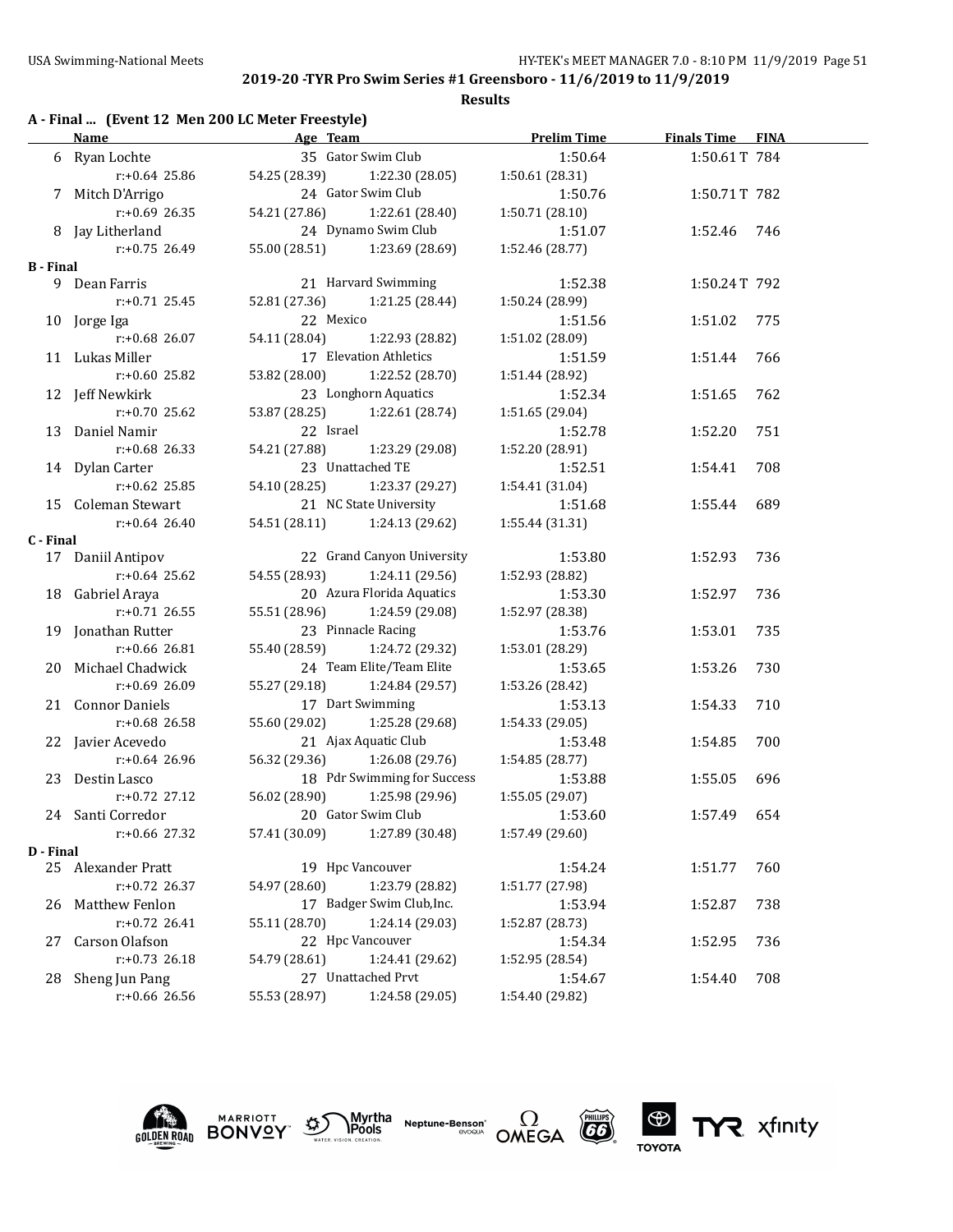#### **Results**

# **A - Final ... (Event 12 Men 200 LC Meter Freestyle)**

|                  | <b>Name</b>         | Age Team               |                               | <b>Prelim Time</b> | <b>Finals Time FINA</b> |     |
|------------------|---------------------|------------------------|-------------------------------|--------------------|-------------------------|-----|
|                  | 6 Ryan Lochte       |                        | 35 Gator Swim Club            | 1:50.64            | 1:50.61T 784            |     |
|                  | $r: +0.64$ 25.86    |                        | 54.25 (28.39) 1:22.30 (28.05) | 1:50.61 (28.31)    |                         |     |
|                  | 7 Mitch D'Arrigo    |                        | 24 Gator Swim Club            | 1:50.76            | 1:50.71T 782            |     |
|                  | $r: +0.69$ 26.35    | 54.21 (27.86)          | 1:22.61 (28.40)               | 1:50.71 (28.10)    |                         |     |
|                  | 8 Jay Litherland    |                        | 24 Dynamo Swim Club           | 1:51.07            | 1:52.46 746             |     |
|                  | r:+0.75 26.49       |                        | 55.00 (28.51) 1:23.69 (28.69) | 1:52.46 (28.77)    |                         |     |
| <b>B</b> - Final |                     |                        |                               |                    |                         |     |
|                  | 9 Dean Farris       |                        | 21 Harvard Swimming           | 1:52.38            | 1:50.24T 792            |     |
|                  | $r: +0.71$ 25.45    |                        | 52.81 (27.36) 1:21.25 (28.44) | 1:50.24 (28.99)    |                         |     |
|                  | 10 Jorge Iga        | 22 Mexico              |                               | 1:51.56            | 1:51.02                 | 775 |
|                  | $r: +0.68$ 26.07    | 54.11 (28.04)          | 1:22.93 (28.82)               | 1:51.02 (28.09)    |                         |     |
|                  | 11 Lukas Miller     |                        | 17 Elevation Athletics        | 1:51.59            | 1:51.44                 | 766 |
|                  | $r+0.60$ 25.82      |                        | 53.82 (28.00) 1:22.52 (28.70) | 1:51.44 (28.92)    |                         |     |
|                  | 12 Jeff Newkirk     |                        | 23 Longhorn Aquatics          | 1:52.34            | 1:51.65                 | 762 |
|                  | $r: +0.70$ 25.62    |                        | 53.87 (28.25) 1:22.61 (28.74) | 1:51.65 (29.04)    |                         |     |
|                  | 13 Daniel Namir     | 22 Israel              |                               | 1:52.78            | 1:52.20                 | 751 |
|                  | $r: +0.68$ 26.33    |                        | 54.21 (27.88) 1:23.29 (29.08) | 1:52.20 (28.91)    |                         |     |
|                  | 14 Dylan Carter     |                        | 23 Unattached TE              | 1:52.51            | 1:54.41                 | 708 |
|                  | $r: +0.62$ 25.85    |                        | 54.10 (28.25) 1:23.37 (29.27) | 1:54.41 (31.04)    |                         |     |
|                  | 15 Coleman Stewart  | 21 NC State University |                               | 1:51.68            | 1:55.44                 | 689 |
|                  | $r: +0.64$ 26.40    |                        | 54.51 (28.11) 1:24.13 (29.62) | 1:55.44 (31.31)    |                         |     |
| C - Final        |                     |                        |                               |                    |                         |     |
|                  | 17 Daniil Antipov   |                        | 22 Grand Canyon University    | 1:53.80            | 1:52.93                 | 736 |
|                  | $r: +0.64$ 25.62    |                        | 54.55 (28.93) 1:24.11 (29.56) | 1:52.93 (28.82)    |                         |     |
|                  | 18 Gabriel Araya    |                        | 20 Azura Florida Aquatics     | 1:53.30            | 1:52.97                 | 736 |
|                  | $r: +0.71$ 26.55    |                        | 55.51 (28.96) 1:24.59 (29.08) | 1:52.97 (28.38)    |                         |     |
|                  | 19 Jonathan Rutter  |                        | 23 Pinnacle Racing            | 1:53.76            | 1:53.01                 | 735 |
|                  | $r: +0.66$ 26.81    |                        | 55.40 (28.59) 1:24.72 (29.32) | 1:53.01 (28.29)    |                         |     |
|                  | 20 Michael Chadwick |                        | 24 Team Elite/Team Elite      | 1:53.65            | 1:53.26                 | 730 |
|                  | r:+0.69 26.09       |                        | 55.27 (29.18) 1:24.84 (29.57) | 1:53.26 (28.42)    |                         |     |
|                  | 21 Connor Daniels   |                        | 17 Dart Swimming              | 1:53.13            | 1:54.33                 | 710 |
|                  | $r+0.68$ 26.58      |                        | 55.60 (29.02) 1:25.28 (29.68) | 1:54.33 (29.05)    |                         |     |
|                  | 22 Javier Acevedo   |                        | 21 Ajax Aquatic Club          | 1:53.48            | 1:54.85                 | 700 |
|                  | r:+0.64 26.96       |                        | 56.32 (29.36) 1:26.08 (29.76) | 1:54.85 (28.77)    |                         |     |
|                  | 23 Destin Lasco     |                        | 18 Pdr Swimming for Success   | 1:53.88            | 1:55.05                 | 696 |
|                  | $r: +0.72$ 27.12    | 56.02 (28.90)          | 1:25.98 (29.96)               | 1:55.05 (29.07)    |                         |     |
|                  | 24 Santi Corredor   |                        | 20 Gator Swim Club            | 1:53.60            | 1:57.49                 | 654 |
|                  | r:+0.66 27.32       | 57.41 (30.09)          | 1:27.89 (30.48)               | 1:57.49 (29.60)    |                         |     |
| D - Final        |                     |                        |                               |                    |                         |     |
|                  | 25 Alexander Pratt  |                        | 19 Hpc Vancouver              | 1:54.24            | 1:51.77                 | 760 |
|                  | $r: +0.72$ 26.37    | 54.97 (28.60)          | 1:23.79 (28.82)               | 1:51.77 (27.98)    |                         |     |
| 26               | Matthew Fenlon      |                        | 17 Badger Swim Club, Inc.     | 1:53.94            | 1:52.87                 | 738 |
|                  | $r: +0.72$ 26.41    | 55.11 (28.70)          | 1:24.14 (29.03)               | 1:52.87 (28.73)    |                         |     |
| 27               | Carson Olafson      |                        | 22 Hpc Vancouver              | 1:54.34            | 1:52.95                 | 736 |
|                  | $r: +0.73$ 26.18    | 54.79 (28.61)          | 1:24.41 (29.62)               | 1:52.95 (28.54)    |                         |     |
| 28               | Sheng Jun Pang      |                        | 27 Unattached Prvt            | 1:54.67            | 1:54.40                 | 708 |
|                  | r:+0.66 26.56       | 55.53 (28.97)          | 1:24.58 (29.05)               | 1:54.40 (29.82)    |                         |     |











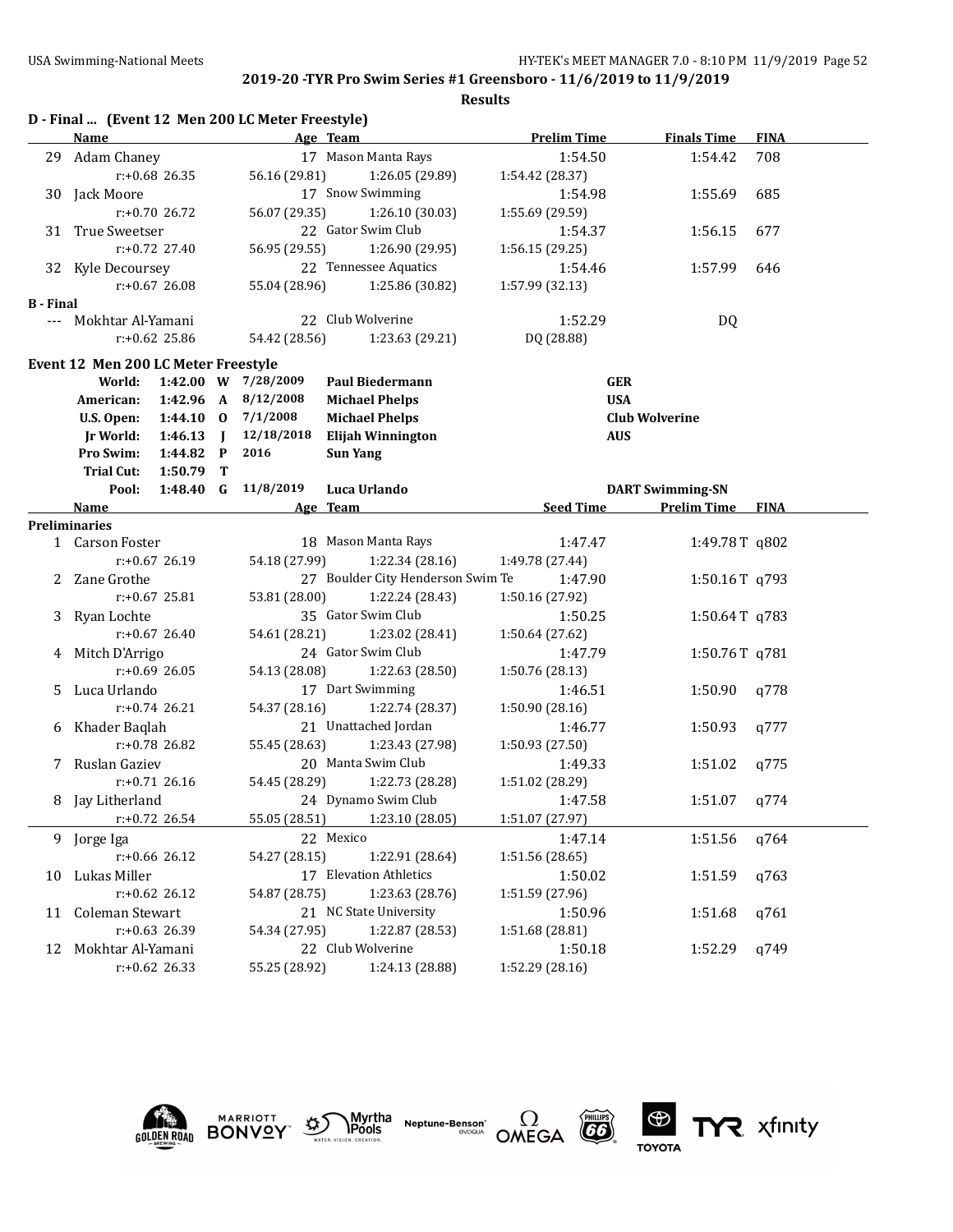|                  |                                     |                  |                | D - Final  (Event 12 Men 200 LC Meter Freestyle) |                                   |                    |                         |             |
|------------------|-------------------------------------|------------------|----------------|--------------------------------------------------|-----------------------------------|--------------------|-------------------------|-------------|
|                  | <b>Name</b>                         |                  |                |                                                  | Age Team                          | <b>Prelim Time</b> | <b>Finals Time</b>      | <b>FINA</b> |
| 29.              | Adam Chaney                         |                  |                |                                                  | 17 Mason Manta Rays               | 1:54.50            | 1:54.42                 | 708         |
|                  |                                     | $r: +0.68$ 26.35 |                | 56.16 (29.81)                                    | 1:26.05 (29.89)                   | 1:54.42 (28.37)    |                         |             |
|                  | 30 Jack Moore                       |                  |                |                                                  | 17 Snow Swimming                  | 1:54.98            | 1:55.69                 | 685         |
|                  |                                     | $r: +0.70$ 26.72 |                | 56.07 (29.35)                                    | 1:26.10 (30.03)                   | 1:55.69 (29.59)    |                         |             |
|                  | 31 True Sweetser                    |                  |                |                                                  | 22 Gator Swim Club                | 1:54.37            | 1:56.15                 | 677         |
|                  |                                     | $r: +0.72$ 27.40 |                | 56.95 (29.55)                                    | 1:26.90 (29.95)                   | 1:56.15 (29.25)    |                         |             |
|                  | 32 Kyle Decoursey                   |                  |                |                                                  | 22 Tennessee Aquatics             | 1:54.46            | 1:57.99                 | 646         |
|                  |                                     | $r: +0.67$ 26.08 |                | 55.04 (28.96)                                    | 1:25.86 (30.82)                   | 1:57.99 (32.13)    |                         |             |
| <b>B</b> - Final |                                     |                  |                |                                                  |                                   |                    |                         |             |
|                  | --- Mokhtar Al-Yamani               |                  |                |                                                  | 22 Club Wolverine                 | 1:52.29            | DQ                      |             |
|                  |                                     | $r: +0.62$ 25.86 |                | 54.42 (28.56)                                    | 1:23.63 (29.21)                   | DQ (28.88)         |                         |             |
|                  | Event 12 Men 200 LC Meter Freestyle |                  |                |                                                  |                                   |                    |                         |             |
|                  | World:                              |                  |                | 1:42.00 W 7/28/2009                              | <b>Paul Biedermann</b>            | <b>GER</b>         |                         |             |
|                  | American:                           | 1:42.96 A        |                | 8/12/2008                                        | <b>Michael Phelps</b>             | <b>USA</b>         |                         |             |
|                  | U.S. Open:                          | $1:44.10$ 0      |                | 7/1/2008                                         | <b>Michael Phelps</b>             |                    | <b>Club Wolverine</b>   |             |
|                  | <b>Jr World:</b>                    | 1:46.13          | $\blacksquare$ | 12/18/2018                                       | <b>Elijah Winnington</b>          | <b>AUS</b>         |                         |             |
|                  | Pro Swim:                           | 1:44.82          | $\mathbf{P}$   | 2016                                             | <b>Sun Yang</b>                   |                    |                         |             |
|                  | <b>Trial Cut:</b>                   | 1:50.79          | т              |                                                  |                                   |                    |                         |             |
|                  | Pool:                               | $1:48.40$ G      |                | 11/8/2019                                        | Luca Urlando                      |                    | <b>DART Swimming-SN</b> |             |
|                  | Name                                |                  |                |                                                  | Age Team                          | <b>Seed Time</b>   | <b>Prelim Time</b>      | <b>FINA</b> |
|                  | <b>Preliminaries</b>                |                  |                |                                                  |                                   |                    |                         |             |
|                  | 1 Carson Foster                     |                  |                |                                                  | 18 Mason Manta Rays               | 1:47.47            | 1:49.78T q802           |             |
|                  |                                     | $r: +0.67$ 26.19 |                | 54.18 (27.99)                                    | 1:22.34(28.16)                    | 1:49.78 (27.44)    |                         |             |
|                  | 2 Zane Grothe                       |                  |                |                                                  | 27 Boulder City Henderson Swim Te | 1:47.90            | 1:50.16T q793           |             |
|                  |                                     | $r: +0.67$ 25.81 |                | 53.81 (28.00)                                    | 1:22.24 (28.43)                   | 1:50.16 (27.92)    |                         |             |
| 3                | Ryan Lochte                         |                  |                |                                                  | 35 Gator Swim Club                | 1:50.25            | 1:50.64T q783           |             |
|                  |                                     | $r: +0.67$ 26.40 |                | 54.61 (28.21)                                    | 1:23.02 (28.41)                   | 1:50.64 (27.62)    |                         |             |
|                  | 4 Mitch D'Arrigo                    |                  |                |                                                  | 24 Gator Swim Club                | 1:47.79            | 1:50.76T q781           |             |
|                  |                                     | $r: +0.69$ 26.05 |                | 54.13 (28.08)                                    | 1:22.63 (28.50)                   | 1:50.76 (28.13)    |                         |             |
| 5.               | Luca Urlando                        |                  |                |                                                  | 17 Dart Swimming                  | 1:46.51            | 1:50.90                 | q778        |
|                  |                                     | $r: +0.74$ 26.21 |                | 54.37 (28.16)                                    | 1:22.74 (28.37)                   | 1:50.90 (28.16)    |                         |             |
|                  | 6 Khader Baqlah                     |                  |                |                                                  | 21 Unattached Jordan              | 1:46.77            | 1:50.93                 | q777        |
|                  |                                     | r:+0.78 26.82    |                | 55.45 (28.63)                                    | 1:23.43 (27.98)                   | 1:50.93 (27.50)    |                         |             |
|                  | 7 Ruslan Gaziev                     |                  |                |                                                  | 20 Manta Swim Club                | 1:49.33            | 1:51.02                 | a775        |
|                  |                                     | $r: +0.71$ 26.16 |                | 54.45 (28.29)                                    | 1:22.73 (28.28)                   | 1:51.02 (28.29)    |                         |             |
| 8                | Jay Litherland                      |                  |                |                                                  | 24 Dynamo Swim Club               | 1:47.58            | 1:51.07                 | q774        |
|                  |                                     | r:+0.72 26.54    |                | 55.05 (28.51)                                    | 1:23.10 (28.05)                   | 1:51.07 (27.97)    |                         |             |
|                  | 9 Jorge Iga                         |                  |                |                                                  | 22 Mexico                         | 1:47.14            | 1:51.56                 | q764        |
|                  |                                     | r:+0.66 26.12    |                | 54.27 (28.15)                                    | 1:22.91 (28.64)                   | 1:51.56 (28.65)    |                         |             |
| 10               | Lukas Miller                        |                  |                |                                                  | 17 Elevation Athletics            | 1:50.02            | 1:51.59                 | q763        |
|                  |                                     | $r: +0.62$ 26.12 |                | 54.87 (28.75)                                    | 1:23.63 (28.76)                   | 1:51.59 (27.96)    |                         |             |
| 11               | Coleman Stewart                     |                  |                |                                                  | 21 NC State University            | 1:50.96            | 1:51.68                 | q761        |
|                  |                                     | r:+0.63 26.39    |                | 54.34 (27.95)                                    | 1:22.87 (28.53)                   | 1:51.68 (28.81)    |                         |             |
| 12               | Mokhtar Al-Yamani                   |                  |                |                                                  | 22 Club Wolverine                 | 1:50.18            | 1:52.29                 | q749        |
|                  |                                     | $r: +0.62$ 26.33 |                | 55.25 (28.92)                                    | 1:24.13 (28.88)                   | 1:52.29 (28.16)    |                         |             |
|                  |                                     |                  |                |                                                  |                                   |                    |                         |             |











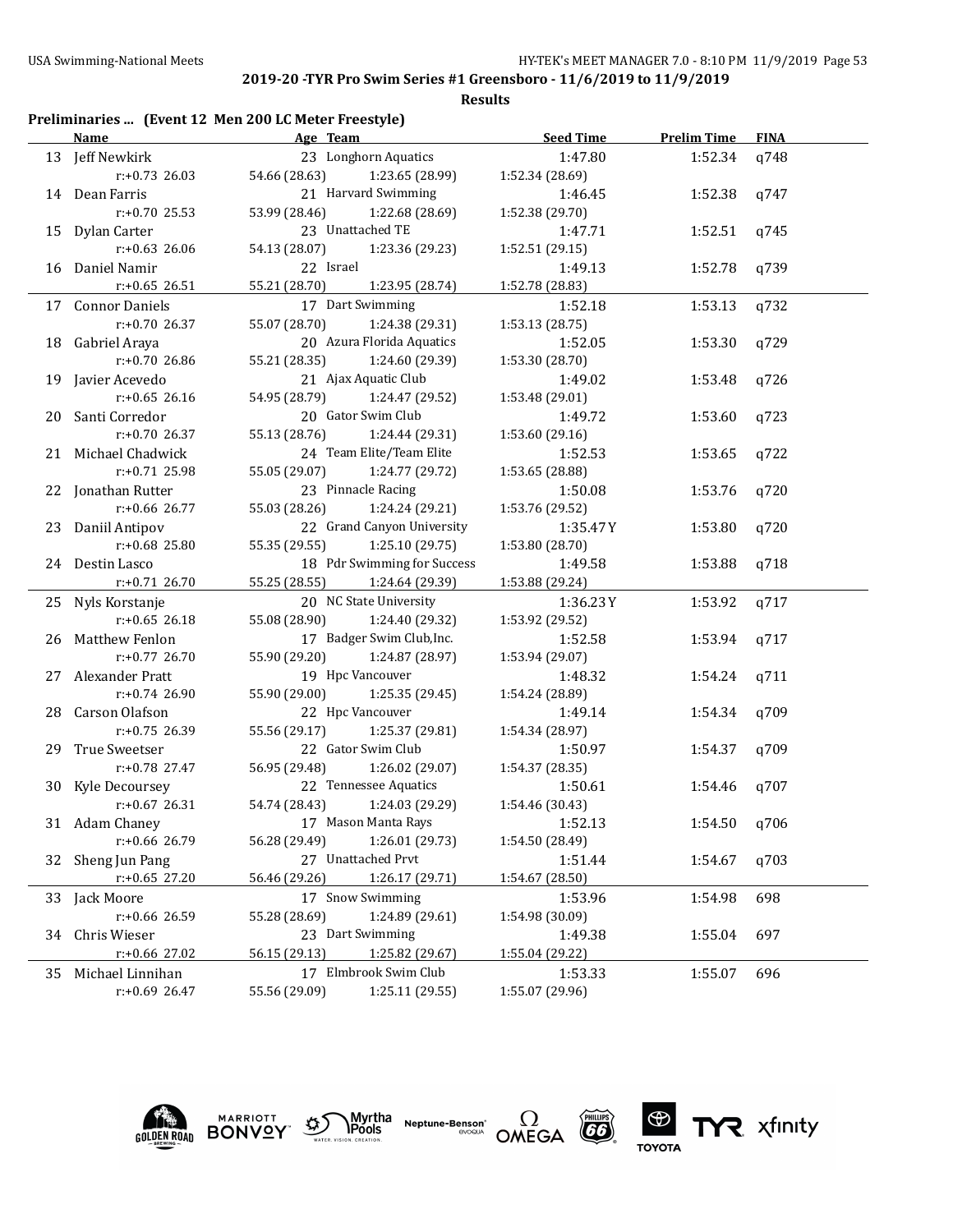|  |  | Preliminaries  (Event 12 Men 200 LC Meter Freestyle) |  |
|--|--|------------------------------------------------------|--|
|--|--|------------------------------------------------------|--|

|    | Name                | Age Team                      |                               | <b>Seed Time</b> | <b>Prelim Time</b> | <b>FINA</b> |
|----|---------------------|-------------------------------|-------------------------------|------------------|--------------------|-------------|
|    | 13 Jeff Newkirk     |                               | 23 Longhorn Aquatics          | 1:47.80          | 1:52.34            | q748        |
|    | $r: +0.73$ 26.03    |                               | 54.66 (28.63) 1:23.65 (28.99) | 1:52.34 (28.69)  |                    |             |
|    | 14 Dean Farris      |                               | 21 Harvard Swimming           | 1:46.45          | 1:52.38            | q747        |
|    | $r: +0.70$ 25.53    | 53.99 (28.46)                 | 1:22.68 (28.69)               | 1:52.38 (29.70)  |                    |             |
|    | 15 Dylan Carter     |                               | 23 Unattached TE              | 1:47.71          | 1:52.51            | q745        |
|    | $r: +0.63$ 26.06    | 54.13 (28.07)                 | 1:23.36 (29.23)               | 1:52.51 (29.15)  |                    |             |
|    | 16 Daniel Namir     | 22 Israel                     |                               | 1:49.13          | 1:52.78            | q739        |
|    | r:+0.65 26.51       | 55.21 (28.70)                 | 1:23.95 (28.74)               | 1:52.78 (28.83)  |                    |             |
|    | 17 Connor Daniels   |                               | 17 Dart Swimming              | 1:52.18          | 1:53.13            | q732        |
|    | $r: +0.70$ 26.37    | 55.07 (28.70)                 | 1:24.38 (29.31)               | 1:53.13 (28.75)  |                    |             |
|    | 18 Gabriel Araya    |                               | 20 Azura Florida Aquatics     | 1:52.05          | 1:53.30            | q729        |
|    | $r: +0.7026.86$     | 55.21 (28.35)                 | 1:24.60 (29.39)               | 1:53.30 (28.70)  |                    |             |
|    | 19 Javier Acevedo   |                               | 21 Ajax Aquatic Club          | 1:49.02          | 1:53.48            | q726        |
|    | $r: +0.65$ 26.16    | 54.95 (28.79) 1:24.47 (29.52) |                               | 1:53.48 (29.01)  |                    |             |
|    | 20 Santi Corredor   |                               | 20 Gator Swim Club            | 1:49.72          | 1:53.60            | q723        |
|    | $r: +0.70$ 26.37    | 55.13 (28.76)                 | 1:24.44 (29.31)               | 1:53.60 (29.16)  |                    |             |
|    | 21 Michael Chadwick |                               | 24 Team Elite/Team Elite      | 1:52.53          | 1:53.65            | q722        |
|    | $r: +0.71$ 25.98    | 55.05 (29.07) 1:24.77 (29.72) |                               | 1:53.65 (28.88)  |                    |             |
|    | 22 Jonathan Rutter  |                               | 23 Pinnacle Racing            | 1:50.08          | 1:53.76            | q720        |
|    | $r: +0.66$ 26.77    | 55.03 (28.26)                 | 1:24.24 (29.21)               | 1:53.76 (29.52)  |                    |             |
|    | 23 Daniil Antipov   |                               | 22 Grand Canyon University    | 1:35.47 Y        | 1:53.80            | q720        |
|    | $r: +0.68$ 25.80    | 55.35 (29.55)                 | 1:25.10 (29.75)               | 1:53.80 (28.70)  |                    |             |
|    | 24 Destin Lasco     |                               | 18 Pdr Swimming for Success   | 1:49.58          | 1:53.88            | q718        |
|    | $r: +0.71$ 26.70    | 55.25 (28.55)                 | 1:24.64 (29.39)               | 1:53.88 (29.24)  |                    |             |
|    | 25 Nyls Korstanje   |                               | 20 NC State University        | 1:36.23 Y        | 1:53.92            | q717        |
|    | $r: +0.65$ 26.18    | 55.08 (28.90)                 | 1:24.40 (29.32)               | 1:53.92 (29.52)  |                    |             |
|    | 26 Matthew Fenlon   |                               | 17 Badger Swim Club, Inc.     | 1:52.58          | 1:53.94            | q717        |
|    | $r: +0.77$ 26.70    | 55.90 (29.20)                 | 1:24.87 (28.97)               | 1:53.94 (29.07)  |                    |             |
|    | 27 Alexander Pratt  |                               | 19 Hpc Vancouver              | 1:48.32          | 1:54.24            | q711        |
|    | $r: +0.74$ 26.90    | 55.90 (29.00) 1:25.35 (29.45) |                               | 1:54.24 (28.89)  |                    |             |
|    | 28 Carson Olafson   |                               | 22 Hpc Vancouver              | 1:49.14          | 1:54.34            | q709        |
|    | $r: +0.75$ 26.39    | 55.56 (29.17) 1:25.37 (29.81) |                               | 1:54.34 (28.97)  |                    |             |
|    | 29 True Sweetser    |                               | 22 Gator Swim Club            | 1:50.97          | 1:54.37            | q709        |
|    | $r: +0.78$ 27.47    | 56.95 (29.48)                 | 1:26.02 (29.07)               | 1:54.37 (28.35)  |                    |             |
|    | 30 Kyle Decoursey   |                               | 22 Tennessee Aquatics         | 1:50.61          | 1:54.46            | a707        |
|    | $r: +0.67$ 26.31    | 54.74 (28.43)                 | 1:24.03 (29.29)               | 1:54.46 (30.43)  |                    |             |
|    | 31 Adam Chaney      |                               | 17 Mason Manta Rays           | 1:52.13          | 1:54.50            | q706        |
|    | r:+0.66 26.79       | 56.28 (29.49)                 | 1:26.01 (29.73)               | 1:54.50 (28.49)  |                    |             |
|    | 32 Sheng Jun Pang   |                               | 27 Unattached Prvt            | 1:51.44          | 1:54.67            | q703        |
|    | $r: +0.65$ 27.20    | 56.46 (29.26)                 | 1:26.17 (29.71)               | 1:54.67 (28.50)  |                    |             |
| 33 | Jack Moore          |                               | 17 Snow Swimming              | 1:53.96          | 1:54.98            | 698         |
|    | r:+0.66 26.59       | 55.28 (28.69)                 | 1:24.89 (29.61)               | 1:54.98 (30.09)  |                    |             |
| 34 | Chris Wieser        |                               | 23 Dart Swimming              | 1:49.38          | 1:55.04            | 697         |
|    | r:+0.66 27.02       | 56.15 (29.13)                 | 1:25.82 (29.67)               | 1:55.04 (29.22)  |                    |             |
| 35 | Michael Linnihan    |                               | 17 Elmbrook Swim Club         | 1:53.33          | 1:55.07            | 696         |
|    | r:+0.69 26.47       | 55.56 (29.09)                 | 1:25.11 (29.55)               | 1:55.07 (29.96)  |                    |             |









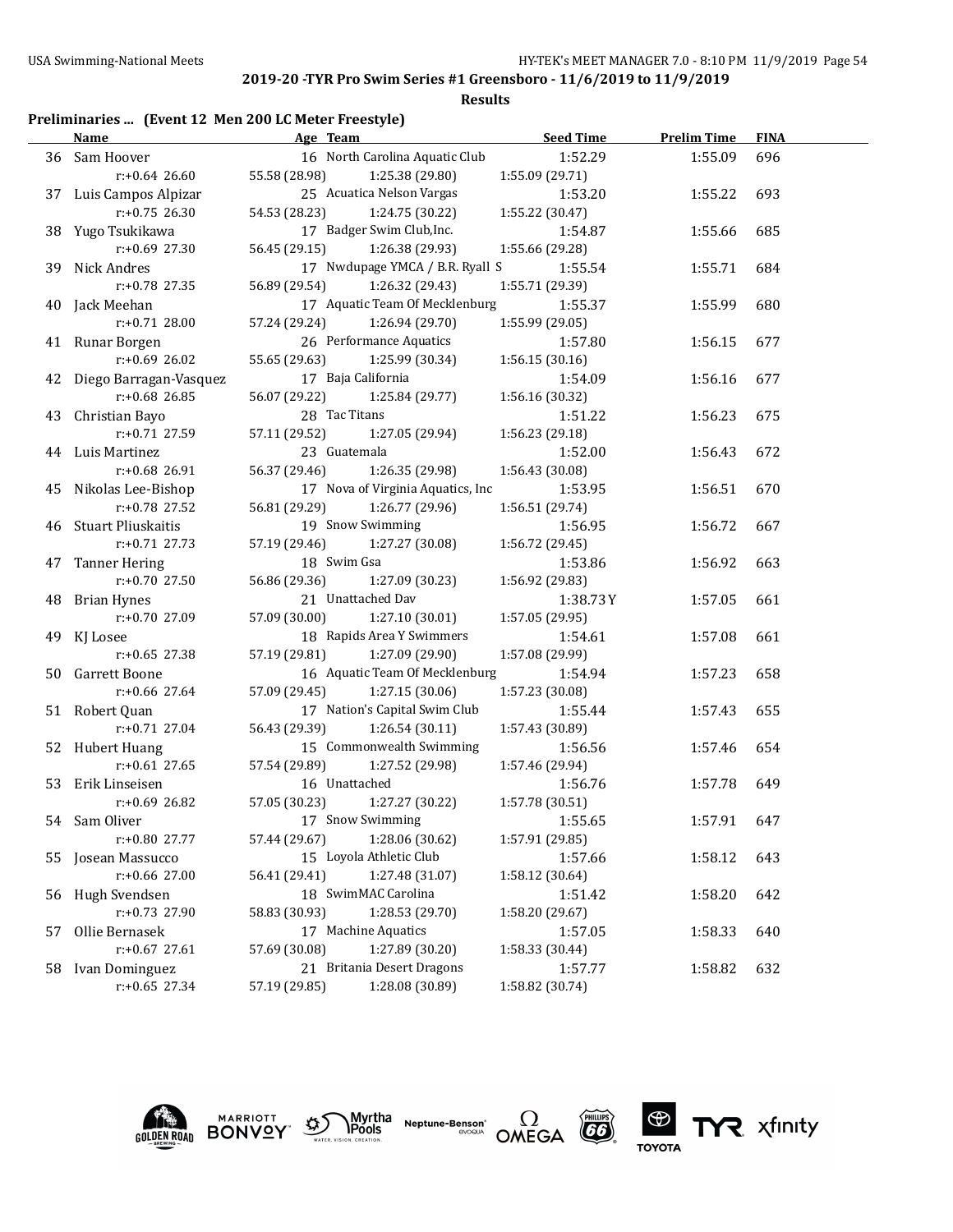### **Results**

# **Preliminaries ... (Event 12 Men 200 LC Meter Freestyle)**

|    | Name                                 | Age Team                                                    | <b>Seed Time</b>           | <b>Prelim Time</b> | <b>FINA</b> |
|----|--------------------------------------|-------------------------------------------------------------|----------------------------|--------------------|-------------|
|    | 36 Sam Hoover                        | 16 North Carolina Aquatic Club                              | 1:52.29                    | 1:55.09            | 696         |
|    | $r: +0.64$ 26.60                     | 55.58 (28.98)<br>1:25.38 (29.80)                            | 1:55.09 (29.71)            |                    |             |
|    | 37 Luis Campos Alpizar               | 25 Acuatica Nelson Vargas                                   | 1:53.20                    | 1:55.22            | 693         |
|    | $r: +0.75$ 26.30                     | 54.53 (28.23)<br>1:24.75 (30.22)                            | 1:55.22 (30.47)            |                    |             |
|    | 38 Yugo Tsukikawa                    | 17 Badger Swim Club, Inc.                                   | 1:54.87                    | 1:55.66            | 685         |
|    | $r: +0.69$ 27.30                     | 56.45 (29.15)<br>1:26.38 (29.93)                            | 1:55.66 (29.28)            |                    |             |
|    | 39 Nick Andres                       | 17 Nwdupage YMCA / B.R. Ryall S                             | 1:55.54                    | 1:55.71            | 684         |
|    | $r: +0.78$ 27.35                     | 56.89 (29.54)<br>1:26.32 (29.43)                            | 1:55.71 (29.39)            |                    |             |
|    | 40 Jack Meehan                       | 17 Aquatic Team Of Mecklenburg                              | 1:55.37                    | 1:55.99            | 680         |
|    | $r: +0.71$ 28.00                     | 57.24 (29.24)<br>1:26.94 (29.70)                            | 1:55.99 (29.05)            |                    |             |
|    | 41 Runar Borgen                      | 26 Performance Aquatics                                     | 1:57.80                    | 1:56.15            | 677         |
|    | $r: +0.69$ 26.02                     | 55.65 (29.63)<br>1:25.99 (30.34)                            | 1:56.15(30.16)             |                    |             |
|    | 42 Diego Barragan-Vasquez            | 17 Baja California                                          | 1:54.09                    | 1:56.16            | 677         |
|    | $r: +0.68$ 26.85                     | 56.07 (29.22)<br>1:25.84 (29.77)                            | 1:56.16 (30.32)            |                    |             |
|    | 43 Christian Bayo                    | 28 Tac Titans                                               | 1:51.22                    | 1:56.23            | 675         |
|    | $r: +0.71$ 27.59                     | 57.11 (29.52)<br>1:27.05 (29.94)                            | 1:56.23 (29.18)            |                    |             |
|    | 44 Luis Martinez                     | 23 Guatemala                                                | 1:52.00                    | 1:56.43            | 672         |
|    | $r: +0.68$ 26.91                     | 56.37 (29.46)<br>1:26.35 (29.98)                            | 1:56.43 (30.08)            |                    |             |
|    | 45 Nikolas Lee-Bishop                | 17 Nova of Virginia Aquatics, Inc                           | 1:53.95                    | 1:56.51            | 670         |
|    | $r: +0.78$ 27.52                     | 56.81 (29.29)<br>1:26.77 (29.96)                            | 1:56.51 (29.74)            |                    |             |
|    | 46 Stuart Pliuskaitis                | 19 Snow Swimming                                            | 1:56.95                    | 1:56.72            | 667         |
|    | $r: +0.71$ 27.73                     | 57.19 (29.46)<br>1:27.27 (30.08)                            | 1:56.72 (29.45)            |                    |             |
|    | 47 Tanner Hering                     | 18 Swim Gsa                                                 | 1:53.86                    | 1:56.92            | 663         |
|    | $r: +0.70$ 27.50                     | 56.86 (29.36)<br>1:27.09 (30.23)                            | 1:56.92 (29.83)            |                    |             |
|    | 48 Brian Hynes                       | 21 Unattached Dav                                           | 1:38.73Y                   | 1:57.05            | 661         |
|    | $r: +0.70$ 27.09                     | 57.09 (30.00)<br>1:27.10 (30.01)                            | 1:57.05 (29.95)            |                    |             |
|    | 49 KJ Losee                          | 18 Rapids Area Y Swimmers                                   | 1:54.61                    | 1:57.08            | 661         |
|    | $r: +0.65$ 27.38                     | 57.19 (29.81)<br>1:27.09 (29.90)                            | 1:57.08 (29.99)            |                    |             |
|    | 50 Garrett Boone<br>$r: +0.66$ 27.64 | 16 Aquatic Team Of Mecklenburg                              | 1:54.94                    | 1:57.23            | 658         |
|    |                                      | 57.09 (29.45)<br>1:27.15 (30.06)                            | 1:57.23 (30.08)            |                    |             |
|    | 51 Robert Quan<br>$r: +0.71$ 27.04   | 17 Nation's Capital Swim Club                               | 1:55.44                    | 1:57.43            | 655         |
|    |                                      | 56.43 (29.39)<br>1:26.54(30.11)<br>15 Commonwealth Swimming | 1:57.43 (30.89)            |                    |             |
|    | 52 Hubert Huang<br>$r: +0.61$ 27.65  | 57.54 (29.89)<br>1:27.52 (29.98)                            | 1:56.56<br>1:57.46 (29.94) | 1:57.46            | 654         |
|    | 53 Erik Linseisen                    | 16 Unattached                                               | 1:56.76                    | 1:57.78            | 649         |
|    | $r: +0.69$ 26.82                     | 57.05 (30.23)<br>1:27.27 (30.22)                            | 1:57.78 (30.51)            |                    |             |
|    | 54 Sam Oliver                        | 17 Snow Swimming                                            | 1:55.65                    | 1:57.91            | 647         |
|    | r:+0.80 27.77                        | 1:28.06 (30.62)<br>57.44 (29.67)                            | 1:57.91 (29.85)            |                    |             |
|    | 55 Josean Massucco                   | 15 Loyola Athletic Club                                     | 1:57.66                    | 1:58.12            | 643         |
|    | r:+0.66 27.00                        | 56.41 (29.41)<br>1:27.48 (31.07)                            | 1:58.12 (30.64)            |                    |             |
| 56 | Hugh Svendsen                        | 18 SwimMAC Carolina                                         | 1:51.42                    | 1:58.20            | 642         |
|    | r:+0.73 27.90                        | 58.83 (30.93)<br>1:28.53 (29.70)                            | 1:58.20 (29.67)            |                    |             |
| 57 | Ollie Bernasek                       | 17 Machine Aquatics                                         | 1:57.05                    | 1:58.33            | 640         |
|    | $r$ :+0.67 27.61                     | 1:27.89 (30.20)<br>57.69 (30.08)                            | 1:58.33 (30.44)            |                    |             |
| 58 | Ivan Dominguez                       | 21 Britania Desert Dragons                                  | 1:57.77                    | 1:58.82            | 632         |
|    | $r: +0.65$ 27.34                     | 57.19 (29.85)<br>1:28.08 (30.89)                            | 1:58.82 (30.74)            |                    |             |
|    |                                      |                                                             |                            |                    |             |





Myrtha<br>Pools **Neptune-Benson\***<br>evoqua





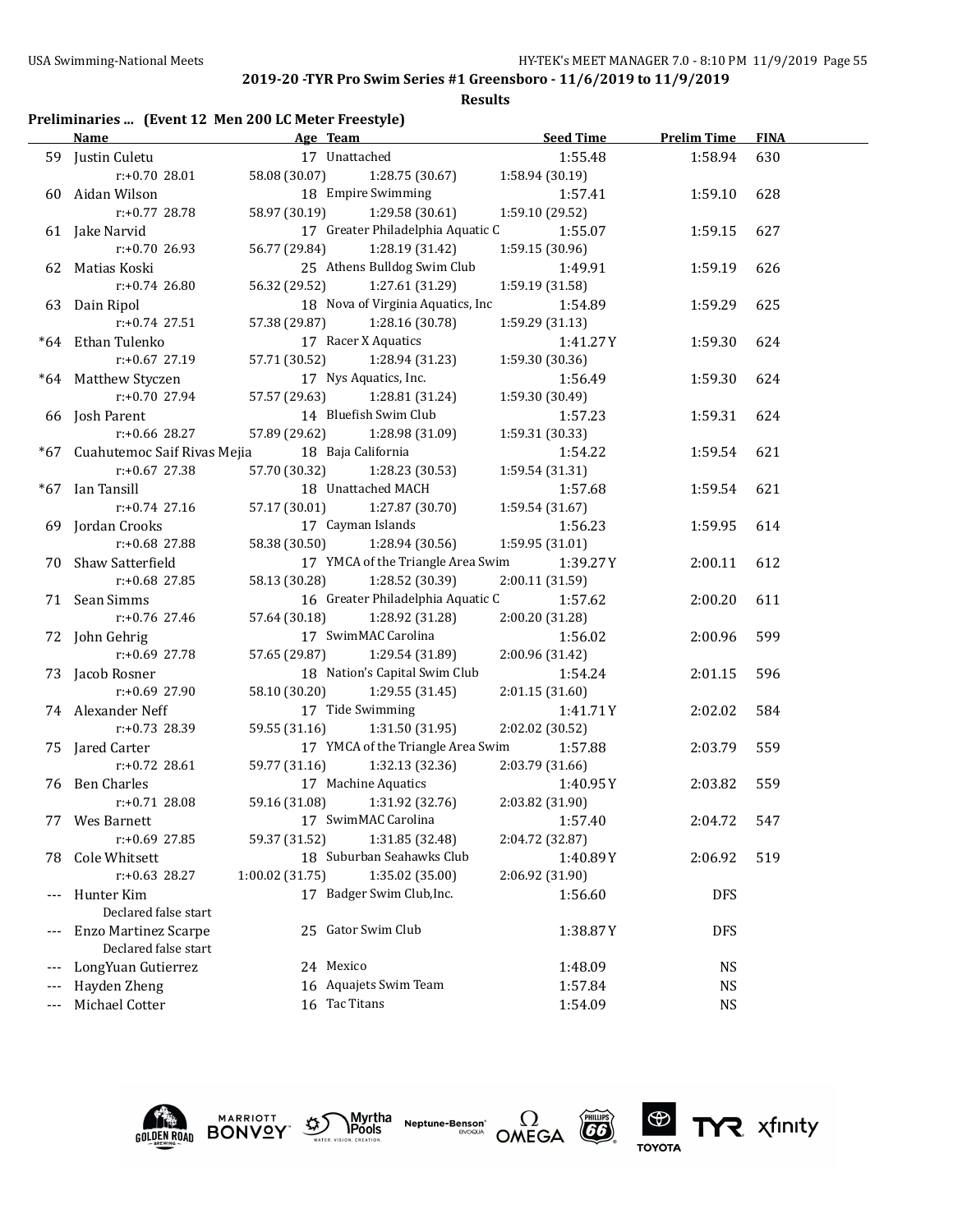**Results**

## **Preliminaries ... (Event 12 Men 200 LC Meter Freestyle)**

|       | <b>Name</b>                     | Age Team and the state of the state of the state of the state of the state of the state of the state of the state of the state of the state of the state of the state of the state of the state of the state of the state of t | <b>Seed Time</b>            | <b>Prelim Time</b> | <b>FINA</b> |
|-------|---------------------------------|--------------------------------------------------------------------------------------------------------------------------------------------------------------------------------------------------------------------------------|-----------------------------|--------------------|-------------|
|       | 59 Justin Culetu                | 17 Unattached                                                                                                                                                                                                                  | 1:55.48                     | 1:58.94            | 630         |
|       | $r: +0.70$ 28.01                | 58.08 (30.07)<br>1:28.75 (30.67)                                                                                                                                                                                               | 1:58.94 (30.19)             |                    |             |
|       | 60 Aidan Wilson                 | 18 Empire Swimming                                                                                                                                                                                                             | 1:57.41                     | 1:59.10            | 628         |
|       | $r: +0.77$ 28.78                | 58.97 (30.19)<br>1:29.58 (30.61)                                                                                                                                                                                               | 1:59.10 (29.52)             |                    |             |
|       | 61 Jake Narvid                  | 17 Greater Philadelphia Aquatic C                                                                                                                                                                                              | 1:55.07                     | 1:59.15            | 627         |
|       | $r: +0.70$ 26.93                | 56.77 (29.84)<br>1:28.19 (31.42)                                                                                                                                                                                               | 1:59.15 (30.96)             |                    |             |
|       | 62 Matias Koski                 | 25 Athens Bulldog Swim Club                                                                                                                                                                                                    | 1:49.91                     | 1:59.19            | 626         |
|       | $r: +0.74$ 26.80                | 56.32 (29.52)<br>1:27.61 (31.29)                                                                                                                                                                                               | 1:59.19 (31.58)             |                    |             |
|       | 63 Dain Ripol                   | 18 Nova of Virginia Aquatics, Inc                                                                                                                                                                                              | 1:54.89                     | 1:59.29            | 625         |
|       | $r: +0.74$ 27.51                | 57.38 (29.87)<br>1:28.16 (30.78)                                                                                                                                                                                               | 1:59.29 (31.13)             |                    |             |
|       | *64 Ethan Tulenko               | 17 Racer X Aquatics                                                                                                                                                                                                            | 1:41.27Y                    | 1:59.30            | 624         |
|       | $r: +0.67$ 27.19                | 57.71 (30.52) 1:28.94 (31.23)                                                                                                                                                                                                  | 1:59.30 (30.36)             |                    |             |
|       | *64 Matthew Styczen             | 17 Nys Aquatics, Inc.                                                                                                                                                                                                          | 1:56.49                     | 1:59.30            | 624         |
|       | $r: +0.70$ 27.94                | 57.57 (29.63) 1:28.81 (31.24)                                                                                                                                                                                                  | 1:59.30 (30.49)             |                    |             |
|       | 66 Josh Parent                  | 14 Bluefish Swim Club                                                                                                                                                                                                          | 1:57.23                     | 1:59.31            | 624         |
|       | r:+0.66 28.27                   | 57.89 (29.62) 1:28.98 (31.09)                                                                                                                                                                                                  | 1:59.31 (30.33)             |                    |             |
|       | *67 Cuahutemoc Saif Rivas Mejia | 18 Baja California                                                                                                                                                                                                             | 1:54.22                     | 1:59.54            | 621         |
|       | $r: +0.67$ 27.38                | 57.70 (30.32) 1:28.23 (30.53)                                                                                                                                                                                                  | 1:59.54 (31.31)             |                    |             |
|       | *67 Ian Tansill                 | 18 Unattached MACH                                                                                                                                                                                                             | 1:57.68                     | 1:59.54            | 621         |
|       | $r: +0.74$ 27.16                | 57.17 (30.01)<br>1:27.87 (30.70)                                                                                                                                                                                               | 1:59.54 (31.67)             |                    |             |
|       | 69 Jordan Crooks                | 17 Cayman Islands                                                                                                                                                                                                              | 1:56.23                     | 1:59.95            | 614         |
|       | r:+0.68 27.88                   | 58.38 (30.50) 1:28.94 (30.56)                                                                                                                                                                                                  | 1:59.95 (31.01)             |                    |             |
|       | 70 Shaw Satterfield             | 17 YMCA of the Triangle Area Swim                                                                                                                                                                                              | 1:39.27 Y                   | 2:00.11            | 612         |
|       | r:+0.68 27.85                   | 58.13 (30.28)<br>1:28.52 (30.39)                                                                                                                                                                                               | 2:00.11 (31.59)             |                    |             |
|       | 71 Sean Simms                   | 16 Greater Philadelphia Aquatic C                                                                                                                                                                                              | 1:57.62                     | 2:00.20            | 611         |
|       | r:+0.76 27.46                   | 57.64 (30.18)<br>1:28.92 (31.28)                                                                                                                                                                                               | 2:00.20 (31.28)             |                    |             |
|       | 72 John Gehrig                  | 17 SwimMAC Carolina                                                                                                                                                                                                            | 1:56.02                     | 2:00.96            | 599         |
|       | r:+0.69 27.78                   | 57.65 (29.87) 1:29.54 (31.89)                                                                                                                                                                                                  | 2:00.96 (31.42)             |                    |             |
|       | 73 Jacob Rosner                 | 18 Nation's Capital Swim Club                                                                                                                                                                                                  | 1:54.24                     | 2:01.15            | 596         |
|       | $r: +0.69$ 27.90                | 58.10 (30.20) 1:29.55 (31.45)                                                                                                                                                                                                  | 2:01.15 (31.60)             |                    |             |
|       | 74 Alexander Neff               | 17 Tide Swimming                                                                                                                                                                                                               | 1:41.71 Y                   | 2:02.02            | 584         |
|       | r:+0.73 28.39                   | 59.55 (31.16) 1:31.50 (31.95)                                                                                                                                                                                                  | 2:02.02 (30.52)             |                    |             |
|       | 75 Jared Carter                 | 17 YMCA of the Triangle Area Swim                                                                                                                                                                                              | 1:57.88                     | 2:03.79            | 559         |
|       | $r: +0.72$ 28.61                | 59.77 (31.16) 1:32.13 (32.36)<br>17 Machine Aquatics                                                                                                                                                                           | 2:03.79 (31.66)             |                    |             |
|       | 76 Ben Charles                  |                                                                                                                                                                                                                                | 1:40.95 Y                   | 2:03.82            | 559         |
|       | $r: +0.71$ 28.08                | 59.16 (31.08) 1:31.92 (32.76)<br>17 SwimMAC Carolina                                                                                                                                                                           | 2:03.82 (31.90)             |                    | 547         |
|       | 77 Wes Barnett<br>r:+0.69 27.85 |                                                                                                                                                                                                                                | 1:57.40<br>2:04.72 (32.87)  | 2:04.72            |             |
|       | Cole Whitsett                   | 59.37 (31.52)<br>1:31.85 (32.48)<br>18 Suburban Seahawks Club                                                                                                                                                                  |                             |                    | 519         |
| 78    | r:+0.63 28.27                   | 1:00.02(31.75)<br>1:35.02 (35.00)                                                                                                                                                                                              | 1:40.89Y<br>2:06.92 (31.90) | 2:06.92            |             |
|       | Hunter Kim                      | 17 Badger Swim Club, Inc.                                                                                                                                                                                                      | 1:56.60                     |                    |             |
| $---$ | Declared false start            |                                                                                                                                                                                                                                |                             | DFS                |             |
| $---$ | <b>Enzo Martinez Scarpe</b>     | 25 Gator Swim Club                                                                                                                                                                                                             | 1:38.87Y                    | <b>DFS</b>         |             |
|       | Declared false start            |                                                                                                                                                                                                                                |                             |                    |             |
| $---$ | LongYuan Gutierrez              | 24 Mexico                                                                                                                                                                                                                      | 1:48.09                     | NS                 |             |
|       | Hayden Zheng                    | 16 Aquajets Swim Team                                                                                                                                                                                                          | 1:57.84                     | <b>NS</b>          |             |
| $---$ | Michael Cotter                  | 16 Tac Titans                                                                                                                                                                                                                  | 1:54.09                     | <b>NS</b>          |             |
|       |                                 |                                                                                                                                                                                                                                |                             |                    |             |











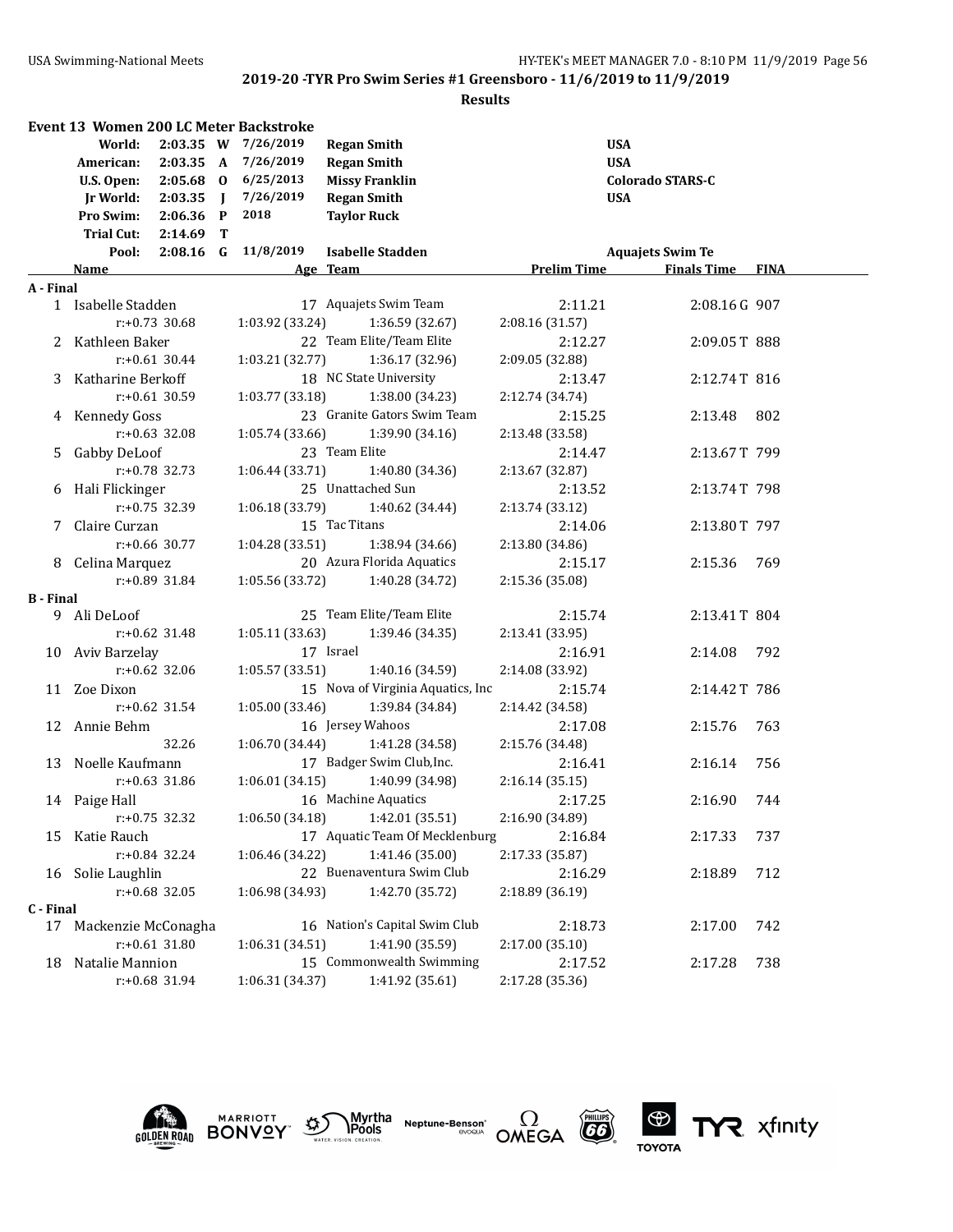|                  | <b>Event 13 Women 200 LC Meter Backstroke</b><br>World:<br>2:03.35 A<br>American:<br>$2:05.68$ 0<br>U.S. Open:<br>Ir World:<br>$2:03.35$ J<br>Pro Swim:<br>$2:06.36$ P<br>Trial Cut: 2:14.69<br>T | 2:03.35 W 7/26/2019<br>7/26/2019<br>6/25/2013<br>7/26/2019<br>2018 | <b>Regan Smith</b><br><b>Regan Smith</b><br><b>Missy Franklin</b><br><b>Regan Smith</b><br><b>Taylor Ruck</b> | <b>USA</b><br><b>USA</b><br><b>USA</b> | <b>Colorado STARS-C</b> |       |
|------------------|---------------------------------------------------------------------------------------------------------------------------------------------------------------------------------------------------|--------------------------------------------------------------------|---------------------------------------------------------------------------------------------------------------|----------------------------------------|-------------------------|-------|
|                  | Pool:                                                                                                                                                                                             | 2:08.16 G 11/8/2019                                                | <b>Isabelle Stadden</b>                                                                                       |                                        | <b>Aquajets Swim Te</b> |       |
|                  | Name                                                                                                                                                                                              |                                                                    | Age Team                                                                                                      | <b>Prelim Time</b>                     | <b>Finals Time FINA</b> |       |
| A - Final        |                                                                                                                                                                                                   |                                                                    |                                                                                                               |                                        |                         |       |
|                  | 1 Isabelle Stadden<br>$r: +0.73$ 30.68                                                                                                                                                            | 1:03.92 (33.24)                                                    | 17 Aquajets Swim Team<br>1:36.59 (32.67)                                                                      | 2:11.21<br>2:08.16 (31.57)             | 2:08.16G 907            |       |
|                  |                                                                                                                                                                                                   |                                                                    | 22 Team Elite/Team Elite                                                                                      |                                        |                         |       |
|                  | 2 Kathleen Baker<br>$r: +0.61$ 30.44                                                                                                                                                              | 1:03.21(32.77)                                                     | 1:36.17 (32.96)                                                                                               | 2:12.27<br>2:09.05 (32.88)             | 2:09.05T 888            |       |
|                  | 3 Katharine Berkoff                                                                                                                                                                               |                                                                    | 18 NC State University                                                                                        | 2:13.47                                | 2:12.74T 816            |       |
|                  | $r: +0.61$ 30.59                                                                                                                                                                                  | 1:03.77(33.18)                                                     | 1:38.00 (34.23)                                                                                               | 2:12.74 (34.74)                        |                         |       |
|                  | 4 Kennedy Goss                                                                                                                                                                                    |                                                                    | 23 Granite Gators Swim Team                                                                                   | 2:15.25                                | 2:13.48                 | 802   |
|                  | $r: +0.63$ 32.08                                                                                                                                                                                  | 1:05.74(33.66)                                                     | 1:39.90 (34.16)                                                                                               | 2:13.48 (33.58)                        |                         |       |
|                  | 5 Gabby DeLoof                                                                                                                                                                                    |                                                                    | 23 Team Elite                                                                                                 | 2:14.47                                | 2:13.67T 799            |       |
|                  | $r: +0.78$ 32.73                                                                                                                                                                                  | 1:06.44(33.71)                                                     | 1:40.80 (34.36)                                                                                               | 2:13.67 (32.87)                        |                         |       |
|                  | 6 Hali Flickinger                                                                                                                                                                                 |                                                                    | 25 Unattached Sun                                                                                             | 2:13.52                                | 2:13.74T 798            |       |
|                  | $r: +0.75$ 32.39                                                                                                                                                                                  | 1:06.18(33.79)                                                     | 1:40.62 (34.44)                                                                                               | 2:13.74 (33.12)                        |                         |       |
|                  | 7 Claire Curzan                                                                                                                                                                                   |                                                                    | 15 Tac Titans                                                                                                 | 2:14.06                                | 2:13.80T 797            |       |
|                  | $r: +0.66$ 30.77                                                                                                                                                                                  | 1:04.28(33.51)                                                     | 1:38.94 (34.66)                                                                                               | 2:13.80 (34.86)                        |                         |       |
|                  | 8 Celina Marquez                                                                                                                                                                                  |                                                                    | 20 Azura Florida Aquatics                                                                                     | 2:15.17                                | 2:15.36                 | - 769 |
|                  | $r: +0.89$ 31.84                                                                                                                                                                                  | 1:05.56 (33.72)                                                    | 1:40.28 (34.72)                                                                                               | 2:15.36 (35.08)                        |                         |       |
| <b>B</b> - Final |                                                                                                                                                                                                   |                                                                    |                                                                                                               |                                        |                         |       |
| 9.               | Ali DeLoof                                                                                                                                                                                        |                                                                    | 25 Team Elite/Team Elite                                                                                      | 2:15.74                                | 2:13.41T 804            |       |
|                  | $r: +0.62$ 31.48                                                                                                                                                                                  | 1:05.11 (33.63)                                                    | 1:39.46 (34.35)                                                                                               | 2:13.41 (33.95)                        |                         |       |
|                  | 10 Aviv Barzelay                                                                                                                                                                                  |                                                                    | 17 Israel                                                                                                     | 2:16.91                                | 2:14.08                 | 792   |
|                  | $r: +0.62$ 32.06                                                                                                                                                                                  | 1:05.57 (33.51)                                                    | 1:40.16 (34.59)                                                                                               | 2:14.08 (33.92)                        |                         |       |
|                  | 11 Zoe Dixon                                                                                                                                                                                      |                                                                    | 15 Nova of Virginia Aquatics, Inc.                                                                            | 2:15.74                                | 2:14.42T 786            |       |
|                  | $r: +0.62$ 31.54                                                                                                                                                                                  | 1:05.00 (33.46)                                                    | 1:39.84 (34.84)                                                                                               | 2:14.42 (34.58)                        |                         |       |
|                  | 12 Annie Behm                                                                                                                                                                                     |                                                                    | 16 Jersey Wahoos                                                                                              | 2:17.08                                | 2:15.76                 | 763   |
|                  | 32.26                                                                                                                                                                                             | 1:06.70 (34.44)                                                    | 1:41.28 (34.58)                                                                                               | 2:15.76 (34.48)                        |                         |       |
|                  | 13 Noelle Kaufmann                                                                                                                                                                                |                                                                    | 17 Badger Swim Club, Inc.                                                                                     | 2:16.41                                | 2:16.14                 | 756   |
|                  | $r: +0.63$ 31.86                                                                                                                                                                                  | 1:06.01(34.15)                                                     | 1:40.99 (34.98)                                                                                               | 2:16.14 (35.15)                        |                         |       |
|                  | 14 Paige Hall                                                                                                                                                                                     |                                                                    | 16 Machine Aquatics                                                                                           | 2:17.25                                | 2:16.90                 | 744   |
|                  | $r: +0.75$ 32.32                                                                                                                                                                                  | 1:06.50 (34.18)                                                    | 1:42.01 (35.51)                                                                                               | 2:16.90 (34.89)                        |                         |       |
| 15               | Katie Rauch                                                                                                                                                                                       |                                                                    | 17 Aquatic Team Of Mecklenburg                                                                                | 2:16.84                                | 2:17.33                 | 737   |
|                  | $r: +0.84$ 32.24                                                                                                                                                                                  | 1:06.46 (34.22)                                                    | 1:41.46 (35.00)                                                                                               | 2:17.33 (35.87)                        |                         |       |
| 16               | Solie Laughlin                                                                                                                                                                                    |                                                                    | 22 Buenaventura Swim Club                                                                                     | 2:16.29                                | 2:18.89                 | 712   |
|                  | $r: +0.68$ 32.05                                                                                                                                                                                  | 1:06.98 (34.93)                                                    | 1:42.70 (35.72)                                                                                               | 2:18.89 (36.19)                        |                         |       |
| C - Final        |                                                                                                                                                                                                   |                                                                    |                                                                                                               |                                        |                         |       |
| 17               | Mackenzie McConagha                                                                                                                                                                               |                                                                    | 16 Nation's Capital Swim Club                                                                                 | 2:18.73                                | 2:17.00                 | 742   |
|                  | $r: +0.61$ 31.80                                                                                                                                                                                  | 1:06.31 (34.51)                                                    | 1:41.90 (35.59)                                                                                               | 2:17.00(35.10)                         |                         |       |
| 18               | Natalie Mannion                                                                                                                                                                                   |                                                                    | 15 Commonwealth Swimming                                                                                      | 2:17.52                                | 2:17.28                 | 738   |
|                  | r:+0.68 31.94                                                                                                                                                                                     | 1:06.31 (34.37)                                                    | 1:41.92 (35.61)                                                                                               | 2:17.28 (35.36)                        |                         |       |











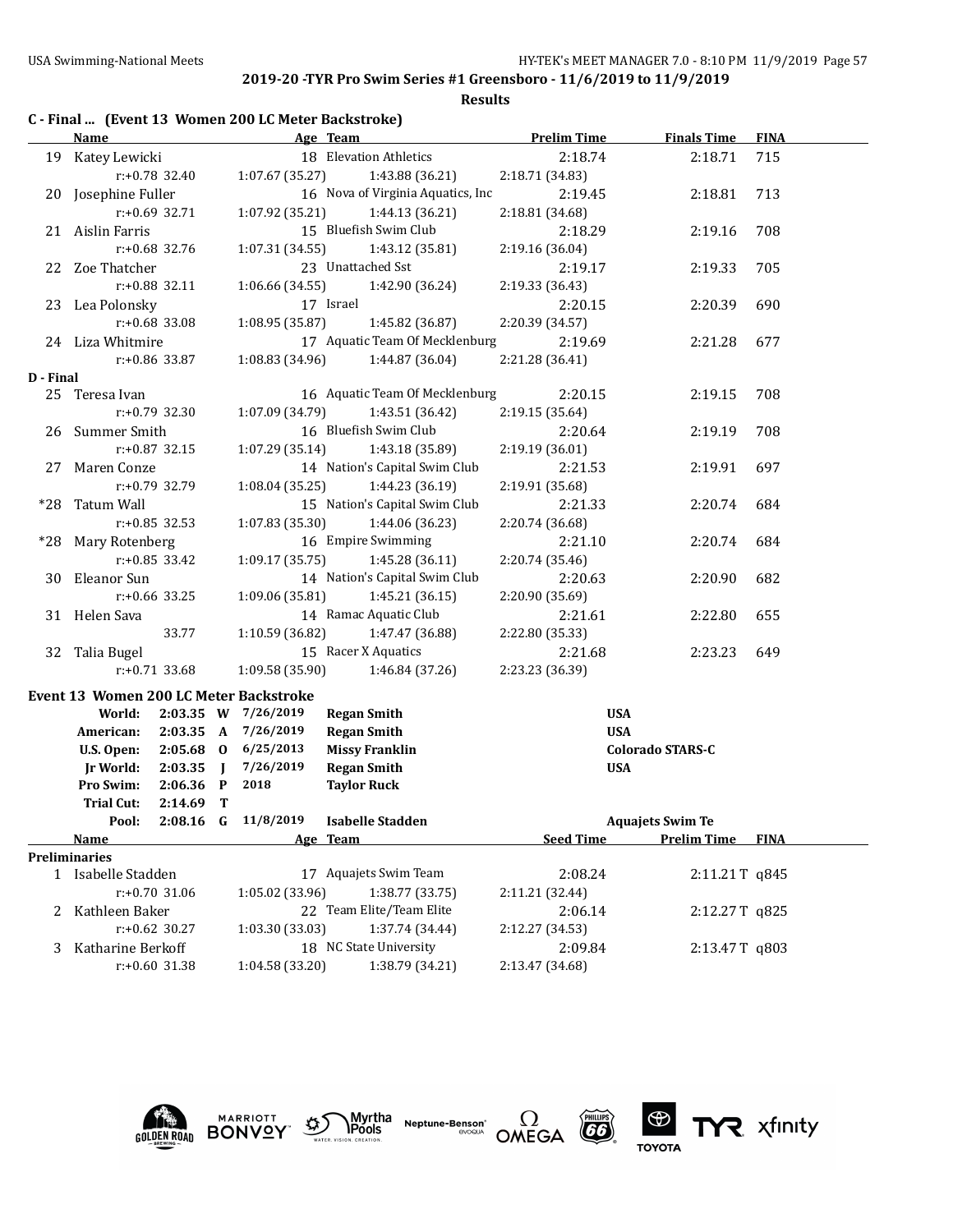|           |                      |                  |                | C - Final  (Event 13 Women 200 LC Meter Backstroke) |           |                                   |                    |                         |               |
|-----------|----------------------|------------------|----------------|-----------------------------------------------------|-----------|-----------------------------------|--------------------|-------------------------|---------------|
|           | Name                 |                  |                |                                                     | Age Team  |                                   | <b>Prelim Time</b> | <b>Finals Time</b>      | <b>FINA</b>   |
|           | 19 Katey Lewicki     |                  |                |                                                     |           | 18 Elevation Athletics            | 2:18.74            | 2:18.71                 | 715           |
|           |                      | r:+0.78 32.40    |                | 1:07.67(35.27)                                      |           | 1:43.88 (36.21)                   | 2:18.71 (34.83)    |                         |               |
|           | 20 Josephine Fuller  |                  |                |                                                     |           | 16 Nova of Virginia Aquatics, Inc | 2:19.45            | 2:18.81                 | 713           |
|           |                      | $r: +0.69$ 32.71 |                | 1:07.92(35.21)                                      |           | 1:44.13 (36.21)                   | 2:18.81 (34.68)    |                         |               |
|           | 21 Aislin Farris     |                  |                |                                                     |           | 15 Bluefish Swim Club             | 2:18.29            | 2:19.16                 | 708           |
|           |                      | $r: +0.68$ 32.76 |                | 1:07.31 (34.55)                                     |           | 1:43.12 (35.81)                   | 2:19.16 (36.04)    |                         |               |
|           | 22 Zoe Thatcher      |                  |                |                                                     |           | 23 Unattached Sst                 | 2:19.17            | 2:19.33                 | 705           |
|           |                      | $r: +0.88$ 32.11 |                | 1:06.66(34.55)                                      |           | 1:42.90 (36.24)                   | 2:19.33 (36.43)    |                         |               |
|           | 23 Lea Polonsky      |                  |                |                                                     | 17 Israel |                                   | 2:20.15            | 2:20.39                 | 690           |
|           |                      | $r: +0.68$ 33.08 |                | 1:08.95 (35.87)                                     |           | 1:45.82 (36.87)                   | 2:20.39 (34.57)    |                         |               |
|           | 24 Liza Whitmire     |                  |                |                                                     |           | 17 Aquatic Team Of Mecklenburg    | 2:19.69            | 2:21.28                 | 677           |
|           |                      | r:+0.86 33.87    |                | 1:08.83 (34.96)                                     |           | 1:44.87 (36.04)                   | 2:21.28 (36.41)    |                         |               |
| D - Final |                      |                  |                |                                                     |           |                                   |                    |                         |               |
|           | 25 Teresa Ivan       |                  |                |                                                     |           | 16 Aquatic Team Of Mecklenburg    | 2:20.15            | 2:19.15                 | 708           |
|           |                      | $r: +0.79$ 32.30 |                | 1:07.09(34.79)                                      |           | 1:43.51 (36.42)                   | 2:19.15 (35.64)    |                         |               |
|           | 26 Summer Smith      |                  |                |                                                     |           | 16 Bluefish Swim Club             | 2:20.64            | 2:19.19                 | 708           |
|           |                      | $r: +0.87$ 32.15 |                | 1:07.29(35.14)                                      |           | 1:43.18 (35.89)                   | 2:19.19 (36.01)    |                         |               |
|           | 27 Maren Conze       |                  |                |                                                     |           | 14 Nation's Capital Swim Club     | 2:21.53            | 2:19.91                 | 697           |
|           |                      | r:+0.79 32.79    |                | 1:08.04(35.25)                                      |           | 1:44.23 (36.19)                   | 2:19.91 (35.68)    |                         |               |
|           | *28 Tatum Wall       |                  |                |                                                     |           | 15 Nation's Capital Swim Club     | 2:21.33            | 2:20.74                 | 684           |
|           |                      | $r: +0.85$ 32.53 |                | 1:07.83(35.30)                                      |           | 1:44.06 (36.23)                   | 2:20.74 (36.68)    |                         |               |
|           | *28 Mary Rotenberg   |                  |                |                                                     |           | 16 Empire Swimming                | 2:21.10            | 2:20.74                 | 684           |
|           |                      | $r: +0.85$ 33.42 |                | 1:09.17(35.75)                                      |           | 1:45.28 (36.11)                   | 2:20.74 (35.46)    |                         |               |
|           | 30 Eleanor Sun       |                  |                |                                                     |           | 14 Nation's Capital Swim Club     | 2:20.63            | 2:20.90                 | 682           |
|           |                      | $r: +0.66$ 33.25 |                | 1:09.06(35.81)                                      |           | 1:45.21(36.15)                    | 2:20.90 (35.69)    |                         |               |
|           | 31 Helen Sava        |                  |                |                                                     |           | 14 Ramac Aquatic Club             | 2:21.61            | 2:22.80                 | 655           |
|           |                      | 33.77            |                | 1:10.59(36.82)                                      |           | 1:47.47 (36.88)                   | 2:22.80 (35.33)    |                         |               |
|           | 32 Talia Bugel       |                  |                |                                                     |           | 15 Racer X Aquatics               | 2:21.68            | 2:23.23                 | 649           |
|           |                      | $r: +0.71$ 33.68 |                | 1:09.58(35.90)                                      |           | 1:46.84 (37.26)                   | 2:23.23 (36.39)    |                         |               |
|           |                      |                  |                | Event 13 Women 200 LC Meter Backstroke              |           |                                   |                    |                         |               |
|           | World:               |                  |                | 2:03.35 W 7/26/2019                                 |           | <b>Regan Smith</b>                |                    | <b>USA</b>              |               |
|           | American:            | 2:03.35 A        |                | 7/26/2019                                           |           | <b>Regan Smith</b>                |                    | <b>USA</b>              |               |
|           | U.S. Open:           |                  |                | 2:05.68 0 6/25/2013                                 |           | <b>Missy Franklin</b>             |                    | Colorado STARS-C        |               |
|           | <b>Jr World:</b>     | 2:03.35          | $\blacksquare$ | 7/26/2019                                           |           | <b>Regan Smith</b>                |                    | <b>USA</b>              |               |
|           | Pro Swim:            | $2:06.36$ P      |                | 2018                                                |           | <b>Taylor Ruck</b>                |                    |                         |               |
|           | Trial Cut:           | $2:14.69$ T      |                |                                                     |           |                                   |                    |                         |               |
|           | Pool:                | $2:08.16$ G      |                | 11/8/2019                                           |           | <b>Isabelle Stadden</b>           |                    | <b>Aquajets Swim Te</b> |               |
|           | <b>Name</b>          |                  |                |                                                     | Age Team  |                                   | <b>Seed Time</b>   | <b>Prelim Time</b>      | <b>FINA</b>   |
|           | <b>Preliminaries</b> |                  |                |                                                     |           |                                   |                    |                         |               |
|           | 1 Isabelle Stadden   |                  |                |                                                     |           | 17 Aquajets Swim Team             | 2:08.24            |                         | 2:11.21T q845 |
|           |                      | r:+0.70 31.06    |                | 1:05.02 (33.96)                                     |           | 1:38.77 (33.75)                   | 2:11.21 (32.44)    |                         |               |
|           | 2 Kathleen Baker     |                  |                |                                                     |           | 22 Team Elite/Team Elite          | 2:06.14            |                         | 2:12.27T q825 |
|           |                      | $r: +0.62$ 30.27 |                | 1:03.30 (33.03)                                     |           | 1:37.74 (34.44)                   | 2:12.27 (34.53)    |                         |               |
| 3         | Katharine Berkoff    |                  |                |                                                     |           | 18 NC State University            | 2:09.84            |                         | 2:13.47T q803 |
|           |                      | r:+0.60 31.38    |                | 1:04.58 (33.20)                                     |           | 1:38.79 (34.21)                   | 2:13.47 (34.68)    |                         |               |









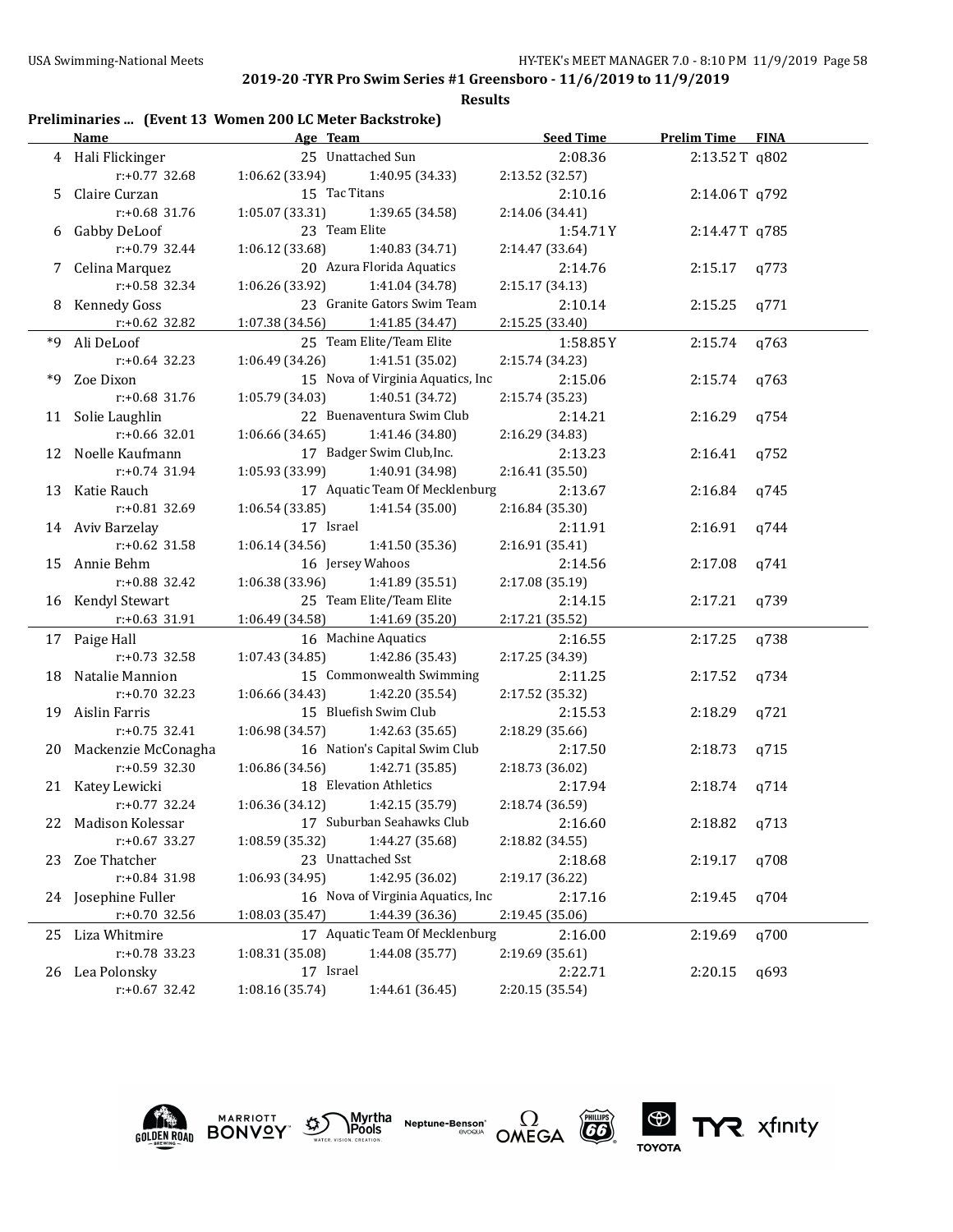**Results**

# **Preliminaries ... (Event 13 Women 200 LC Meter Backstroke)**

|    | <b>Name</b>            | Age Team                           | <b>Seed Time</b> | <b>Prelim Time FINA</b> |      |
|----|------------------------|------------------------------------|------------------|-------------------------|------|
|    | 4 Hali Flickinger      | 25 Unattached Sun                  | 2:08.36          | 2:13.52T q802           |      |
|    | $r: +0.77$ 32.68       | 1:06.62 (33.94)<br>1:40.95 (34.33) | 2:13.52 (32.57)  |                         |      |
|    | 5 Claire Curzan        | 15 Tac Titans                      | 2:10.16          | 2:14.06T q792           |      |
|    | r:+0.68 31.76          | 1:05.07(33.31)<br>1:39.65 (34.58)  | 2:14.06 (34.41)  |                         |      |
|    | 6 Gabby DeLoof         | 23 Team Elite                      | 1:54.71Y         | 2:14.47T q785           |      |
|    | $r: +0.79$ 32.44       | 1:06.12(33.68)<br>1:40.83 (34.71)  | 2:14.47 (33.64)  |                         |      |
|    | 7 Celina Marquez       | 20 Azura Florida Aquatics          | 2:14.76          | 2:15.17                 | q773 |
|    | r:+0.58 32.34          | 1:06.26(33.92)<br>1:41.04 (34.78)  | 2:15.17 (34.13)  |                         |      |
|    | 8 Kennedy Goss         | 23 Granite Gators Swim Team        | 2:10.14          | 2:15.25                 | q771 |
|    | r:+0.62 32.82          | 1:07.38 (34.56)<br>1:41.85 (34.47) | 2:15.25 (33.40)  |                         |      |
|    | *9 Ali DeLoof          | 25 Team Elite/Team Elite           | 1:58.85 Y        | 2:15.74                 | q763 |
|    | $r: +0.64$ 32.23       | 1:06.49(34.26)<br>1:41.51 (35.02)  | 2:15.74 (34.23)  |                         |      |
| *9 | Zoe Dixon              | 15 Nova of Virginia Aquatics, Inc  | 2:15.06          | 2:15.74                 | q763 |
|    | r:+0.68 31.76          | 1:05.79(34.03)<br>1:40.51 (34.72)  | 2:15.74 (35.23)  |                         |      |
|    | 11 Solie Laughlin      | 22 Buenaventura Swim Club          | 2:14.21          | 2:16.29                 | q754 |
|    | r:+0.66 32.01          | 1:06.66(34.65)<br>1:41.46 (34.80)  | 2:16.29 (34.83)  |                         |      |
|    | 12 Noelle Kaufmann     | 17 Badger Swim Club, Inc.          | 2:13.23          | 2:16.41                 | q752 |
|    | $r.+0.74$ 31.94        | 1:05.93 (33.99)<br>1:40.91 (34.98) | 2:16.41 (35.50)  |                         |      |
|    | 13 Katie Rauch         | 17 Aquatic Team Of Mecklenburg     | 2:13.67          | 2:16.84                 | q745 |
|    | r:+0.81 32.69          | 1:06.54 (33.85)<br>1:41.54 (35.00) | 2:16.84 (35.30)  |                         |      |
|    | 14 Aviv Barzelay       | 17 Israel                          | 2:11.91          | 2:16.91                 | q744 |
|    | $r: +0.62$ 31.58       | 1:06.14(34.56)<br>1:41.50 (35.36)  | 2:16.91 (35.41)  |                         |      |
|    | 15 Annie Behm          | 16 Jersey Wahoos                   | 2:14.56          | 2:17.08                 | q741 |
|    | r:+0.88 32.42          | 1:06.38(33.96)<br>1:41.89 (35.51)  | 2:17.08 (35.19)  |                         |      |
|    | 16 Kendyl Stewart      | 25 Team Elite/Team Elite           | 2:14.15          | 2:17.21                 | q739 |
|    | $r: +0.63$ 31.91       | 1:06.49 (34.58)<br>1:41.69 (35.20) | 2:17.21 (35.52)  |                         |      |
|    | 17 Paige Hall          | 16 Machine Aquatics                | 2:16.55          | 2:17.25                 | q738 |
|    | $r: +0.73$ 32.58       | 1:07.43(34.85)<br>1:42.86 (35.43)  | 2:17.25 (34.39)  |                         |      |
|    | 18 Natalie Mannion     | 15 Commonwealth Swimming           | 2:11.25          | 2:17.52                 | q734 |
|    | $r: +0.70$ 32.23       | 1:06.66(34.43)<br>1:42.20 (35.54)  | 2:17.52 (35.32)  |                         |      |
|    | 19 Aislin Farris       | 15 Bluefish Swim Club              | 2:15.53          | 2:18.29                 | q721 |
|    | $r: +0.75$ 32.41       | 1:06.98(34.57)<br>1:42.63 (35.65)  | 2:18.29 (35.66)  |                         |      |
|    | 20 Mackenzie McConagha | 16 Nation's Capital Swim Club      | 2:17.50          | 2:18.73                 | q715 |
|    | $r: +0.59$ 32.30       | 1:42.71 (35.85)<br>1:06.86 (34.56) | 2:18.73 (36.02)  |                         |      |
|    | 21 Katey Lewicki       | 18 Elevation Athletics             | 2:17.94          | 2:18.74                 | q714 |
|    | $r: +0.77$ 32.24       | 1:06.36(34.12)<br>1:42.15 (35.79)  | 2:18.74 (36.59)  |                         |      |
|    | 22 Madison Kolessar    | 17 Suburban Seahawks Club          | 2:16.60          | 2:18.82                 | q713 |
|    | $r: +0.67$ 33.27       | 1:08.59 (35.32)<br>1:44.27 (35.68) | 2:18.82 (34.55)  |                         |      |
|    | 23 Zoe Thatcher        | 23 Unattached Sst                  | 2:18.68          | 2:19.17                 | q708 |
|    | r:+0.84 31.98          | 1:06.93 (34.95)<br>1:42.95 (36.02) | 2:19.17 (36.22)  |                         |      |
|    | 24 Josephine Fuller    | 16 Nova of Virginia Aquatics, Inc  | 2:17.16          | 2:19.45                 | q704 |
|    | r:+0.70 32.56          | 1:44.39 (36.36)<br>1:08.03 (35.47) | 2:19.45 (35.06)  |                         |      |
| 25 | Liza Whitmire          | 17 Aquatic Team Of Mecklenburg     | 2:16.00          | 2:19.69                 | q700 |
|    | r:+0.78 33.23          | 1:08.31 (35.08)<br>1:44.08 (35.77) | 2:19.69 (35.61)  |                         |      |
|    | 26 Lea Polonsky        | 17 Israel                          | 2:22.71          | 2:20.15                 | q693 |
|    | $r: +0.67$ 32.42       | 1:08.16 (35.74)<br>1:44.61 (36.45) | 2:20.15 (35.54)  |                         |      |





**Neptune-Benson\***<br>evoqua



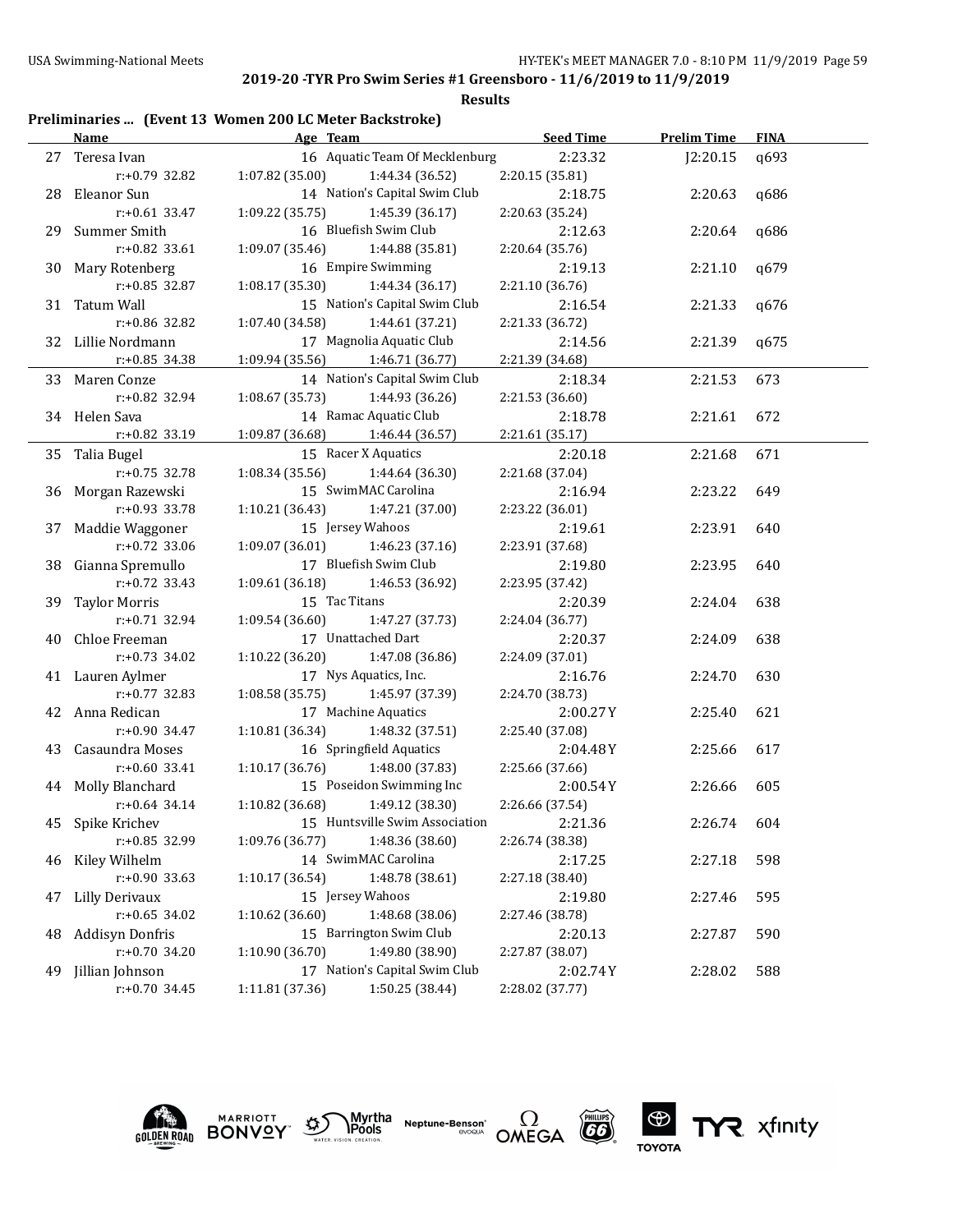**Results**

## **Preliminaries ... (Event 13 Women 200 LC Meter Backstroke)**

|    | <b>Name</b>            |                                     | Age Team and the state of the state of the state of the state of the state of the state of the state of the state of the state of the state of the state of the state of the state of the state of the state of the state of t | <b>Seed Time</b> | <b>Prelim Time</b> | <b>FINA</b> |
|----|------------------------|-------------------------------------|--------------------------------------------------------------------------------------------------------------------------------------------------------------------------------------------------------------------------------|------------------|--------------------|-------------|
|    | 27 Teresa Ivan         |                                     | 16 Aquatic Team Of Mecklenburg                                                                                                                                                                                                 | 2:23.32          | J2:20.15           | q693        |
|    | r:+0.79 32.82          | 1:07.82 (35.00)                     | 1:44.34 (36.52)                                                                                                                                                                                                                | 2:20.15 (35.81)  |                    |             |
|    | 28 Eleanor Sun         |                                     | 14 Nation's Capital Swim Club                                                                                                                                                                                                  | 2:18.75          | 2:20.63            | q686        |
|    | $r: +0.61$ 33.47       | 1:09.22 (35.75)                     | 1:45.39 (36.17)                                                                                                                                                                                                                | 2:20.63 (35.24)  |                    |             |
|    | 29 Summer Smith        |                                     | 16 Bluefish Swim Club                                                                                                                                                                                                          | 2:12.63          | 2:20.64            | q686        |
|    | $r: +0.82$ 33.61       | 1:09.07(35.46)                      | 1:44.88 (35.81)                                                                                                                                                                                                                | 2:20.64 (35.76)  |                    |             |
|    | 30 Mary Rotenberg      |                                     | 16 Empire Swimming                                                                                                                                                                                                             | 2:19.13          | 2:21.10            | q679        |
|    | $r: +0.85$ 32.87       | 1:08.17 (35.30)                     | 1:44.34 (36.17)                                                                                                                                                                                                                | 2:21.10 (36.76)  |                    |             |
|    | 31 Tatum Wall          |                                     | 15 Nation's Capital Swim Club                                                                                                                                                                                                  | 2:16.54          | 2:21.33            | q676        |
|    | r:+0.86 32.82          | 1:07.40(34.58)                      | 1:44.61 (37.21)                                                                                                                                                                                                                | 2:21.33 (36.72)  |                    |             |
|    | 32 Lillie Nordmann     |                                     | 17 Magnolia Aquatic Club                                                                                                                                                                                                       | 2:14.56          | 2:21.39            | q675        |
|    | $r: +0.85$ 34.38       | 1:09.94 (35.56) 1:46.71 (36.77)     |                                                                                                                                                                                                                                | 2:21.39 (34.68)  |                    |             |
|    | 33 Maren Conze         |                                     | 14 Nation's Capital Swim Club                                                                                                                                                                                                  | 2:18.34          | 2:21.53            | 673         |
|    | r:+0.82 32.94          | 1:08.67(35.73)                      | 1:44.93 (36.26)                                                                                                                                                                                                                | 2:21.53 (36.60)  |                    |             |
|    | 34 Helen Sava          |                                     | 14 Ramac Aquatic Club                                                                                                                                                                                                          | 2:18.78          | 2:21.61            | 672         |
|    | r:+0.82 33.19          | 1:09.87 (36.68) 1:46.44 (36.57)     |                                                                                                                                                                                                                                | 2:21.61 (35.17)  |                    |             |
|    | 35 Talia Bugel         |                                     | 15 Racer X Aquatics                                                                                                                                                                                                            | 2:20.18          | 2:21.68            | 671         |
|    | r:+0.75 32.78          | 1:08.34 (35.56)                     | 1:44.64 (36.30)                                                                                                                                                                                                                | 2:21.68 (37.04)  |                    |             |
|    | 36 Morgan Razewski     |                                     | 15 SwimMAC Carolina                                                                                                                                                                                                            | 2:16.94          | 2:23.22            | 649         |
|    | $r: +0.93$ 33.78       | 1:10.21(36.43)                      | 1:47.21 (37.00)                                                                                                                                                                                                                | 2:23.22 (36.01)  |                    |             |
|    | 37 Maddie Waggoner     | 15 Jersey Wahoos                    |                                                                                                                                                                                                                                | 2:19.61          | 2:23.91            | 640         |
|    | $r: +0.72$ 33.06       | 1:09.07(36.01)                      | 1:46.23 (37.16)                                                                                                                                                                                                                | 2:23.91 (37.68)  |                    |             |
|    | 38 Gianna Spremullo    |                                     | 17 Bluefish Swim Club                                                                                                                                                                                                          | 2:19.80          | 2:23.95            | 640         |
|    | $r: +0.72$ 33.43       | 1:09.61(36.18)                      | 1:46.53 (36.92)                                                                                                                                                                                                                | 2:23.95 (37.42)  |                    |             |
|    | 39 Taylor Morris       | 15 Tac Titans                       |                                                                                                                                                                                                                                | 2:20.39          | 2:24.04            | 638         |
|    | $r: +0.71$ 32.94       | 1:09.54(36.60)                      | 1:47.27 (37.73)                                                                                                                                                                                                                | 2:24.04 (36.77)  |                    |             |
|    | 40 Chloe Freeman       |                                     | 17 Unattached Dart                                                                                                                                                                                                             | 2:20.37          | 2:24.09            | 638         |
|    | $r: +0.73$ 34.02       | 1:10.22(36.20)                      | 1:47.08 (36.86)                                                                                                                                                                                                                | 2:24.09 (37.01)  |                    |             |
|    | 41 Lauren Aylmer       |                                     | 17 Nys Aquatics, Inc.                                                                                                                                                                                                          | 2:16.76          | 2:24.70            | 630         |
|    | $r: +0.77$ 32.83       | $1:08.58(35.75)$ $1:45.97(37.39)$   |                                                                                                                                                                                                                                | 2:24.70 (38.73)  |                    |             |
|    | 42 Anna Redican        |                                     | 17 Machine Aquatics                                                                                                                                                                                                            | 2:00.27Y         | 2:25.40            | 621         |
|    | $r: +0.90$ 34.47       | 1:10.81(36.34)                      | 1:48.32 (37.51)                                                                                                                                                                                                                | 2:25.40 (37.08)  |                    |             |
|    | 43 Casaundra Moses     |                                     | 16 Springfield Aquatics                                                                                                                                                                                                        | 2:04.48Y         | 2:25.66            | 617         |
|    | $r: +0.60$ 33.41       | $1:10.17$ (36.76) $1:48.00$ (37.83) |                                                                                                                                                                                                                                | 2:25.66 (37.66)  |                    |             |
|    | 44 Molly Blanchard     |                                     | 15 Poseidon Swimming Inc                                                                                                                                                                                                       | 2:00.54Y         | 2:26.66            | 605         |
|    | $r: +0.64$ 34.14       | 1:10.82 (36.68)                     | 1:49.12 (38.30)                                                                                                                                                                                                                | 2:26.66 (37.54)  |                    |             |
|    | 45 Spike Krichev       |                                     | 15 Huntsville Swim Association                                                                                                                                                                                                 | 2:21.36          | 2:26.74            | 604         |
|    | r:+0.85 32.99          | 1:09.76 (36.77)                     | 1:48.36 (38.60)                                                                                                                                                                                                                | 2:26.74 (38.38)  |                    |             |
|    | 46 Kiley Wilhelm       |                                     | 14 SwimMAC Carolina                                                                                                                                                                                                            | 2:17.25          | 2:27.18            | 598         |
|    | r:+0.90 33.63          | 1:10.17 (36.54)                     | 1:48.78 (38.61)                                                                                                                                                                                                                | 2:27.18 (38.40)  |                    |             |
| 47 | <b>Lilly Derivaux</b>  | 15 Jersey Wahoos                    |                                                                                                                                                                                                                                | 2:19.80          | 2:27.46            | 595         |
|    | r:+0.65 34.02          | 1:10.62(36.60)                      | 1:48.68 (38.06)                                                                                                                                                                                                                | 2:27.46 (38.78)  |                    |             |
| 48 | <b>Addisyn Donfris</b> |                                     | 15 Barrington Swim Club                                                                                                                                                                                                        | 2:20.13          | 2:27.87            | 590         |
|    | r:+0.70 34.20          | 1:10.90 (36.70)                     | 1:49.80 (38.90)                                                                                                                                                                                                                | 2:27.87 (38.07)  |                    |             |
| 49 | Jillian Johnson        |                                     | 17 Nation's Capital Swim Club                                                                                                                                                                                                  | 2:02.74Y         | 2:28.02            | 588         |
|    | $r: +0.70$ 34.45       | 1:11.81 (37.36)                     | 1:50.25 (38.44)                                                                                                                                                                                                                | 2:28.02 (37.77)  |                    |             |





Myrtha<br>Pools **Neptune-Benson\***<br>evoqua





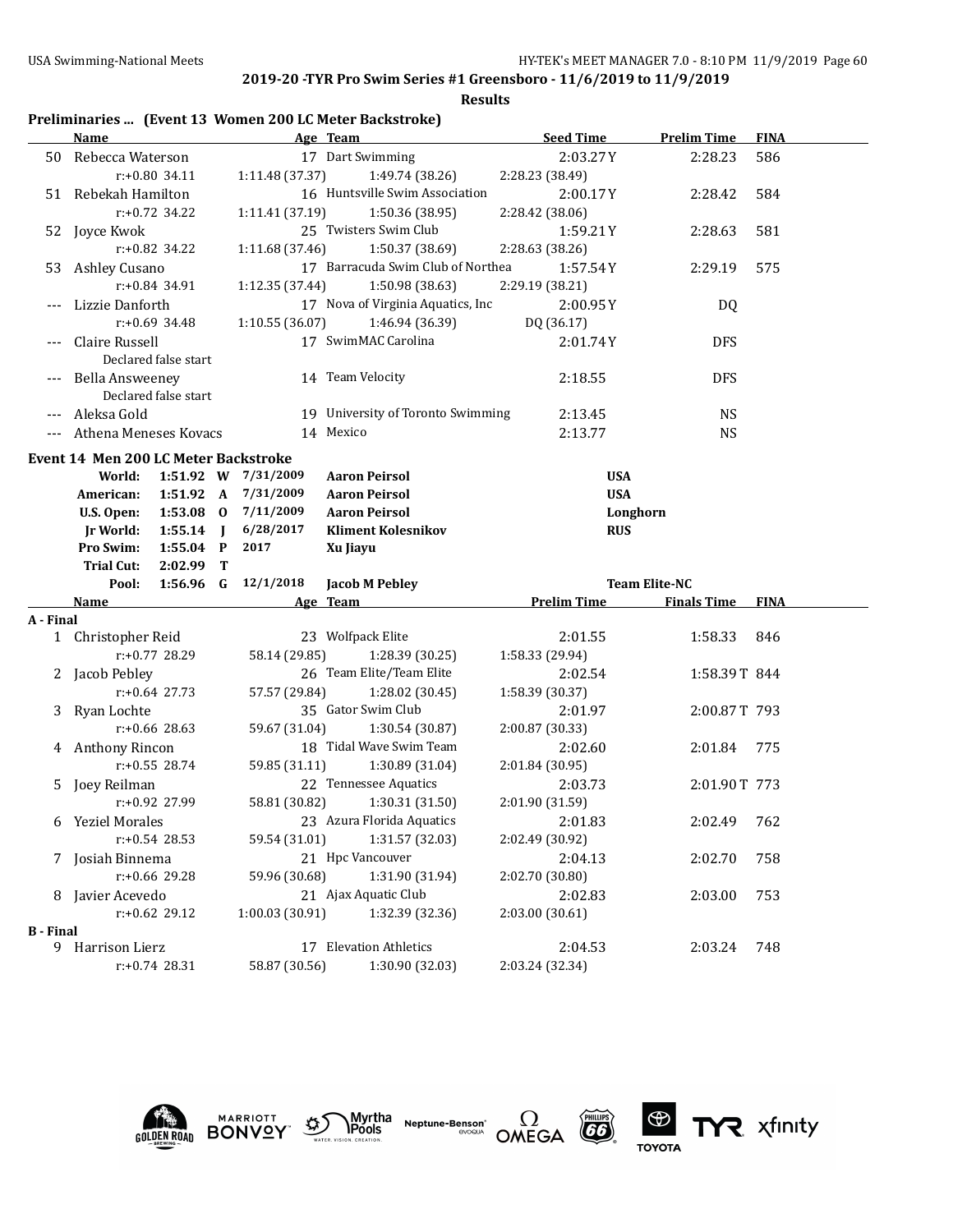**Results**

## **Preliminaries ... (Event 13 Women 200 LC Meter Backstroke)**

|                  | Name                   |                                                                                                                                                                                                                                                                                                                                                                                                                                                                                                                                                                                                                                                                                                                                                                                                                                                                                                                                                                                                                                                                                                                                                                                                                                                                                                                                                                                                                                                                                                                                                                                                                                                                                                                                                                                                  |                |                 | Age Team                       | <b>Seed Time</b> | <b>Prelim Time</b> | <b>FINA</b> |  |
|------------------|------------------------|--------------------------------------------------------------------------------------------------------------------------------------------------------------------------------------------------------------------------------------------------------------------------------------------------------------------------------------------------------------------------------------------------------------------------------------------------------------------------------------------------------------------------------------------------------------------------------------------------------------------------------------------------------------------------------------------------------------------------------------------------------------------------------------------------------------------------------------------------------------------------------------------------------------------------------------------------------------------------------------------------------------------------------------------------------------------------------------------------------------------------------------------------------------------------------------------------------------------------------------------------------------------------------------------------------------------------------------------------------------------------------------------------------------------------------------------------------------------------------------------------------------------------------------------------------------------------------------------------------------------------------------------------------------------------------------------------------------------------------------------------------------------------------------------------|----------------|-----------------|--------------------------------|------------------|--------------------|-------------|--|
|                  | 50 Rebecca Waterson    |                                                                                                                                                                                                                                                                                                                                                                                                                                                                                                                                                                                                                                                                                                                                                                                                                                                                                                                                                                                                                                                                                                                                                                                                                                                                                                                                                                                                                                                                                                                                                                                                                                                                                                                                                                                                  |                |                 | 17 Dart Swimming               | 2:03.27Y         | 2:28.23            | 586         |  |
|                  |                        | r:+0.80 34.11                                                                                                                                                                                                                                                                                                                                                                                                                                                                                                                                                                                                                                                                                                                                                                                                                                                                                                                                                                                                                                                                                                                                                                                                                                                                                                                                                                                                                                                                                                                                                                                                                                                                                                                                                                                    |                | 1:11.48 (37.37) | 1:49.74 (38.26)                | 2:28.23 (38.49)  |                    |             |  |
|                  | 51 Rebekah Hamilton    |                                                                                                                                                                                                                                                                                                                                                                                                                                                                                                                                                                                                                                                                                                                                                                                                                                                                                                                                                                                                                                                                                                                                                                                                                                                                                                                                                                                                                                                                                                                                                                                                                                                                                                                                                                                                  |                |                 | 16 Huntsville Swim Association | 2:00.17Y         | 2:28.42            | 584         |  |
|                  |                        |                                                                                                                                                                                                                                                                                                                                                                                                                                                                                                                                                                                                                                                                                                                                                                                                                                                                                                                                                                                                                                                                                                                                                                                                                                                                                                                                                                                                                                                                                                                                                                                                                                                                                                                                                                                                  |                |                 | 1:50.36 (38.95)                | 2:28.42 (38.06)  |                    |             |  |
|                  | 52 Joyce Kwok          |                                                                                                                                                                                                                                                                                                                                                                                                                                                                                                                                                                                                                                                                                                                                                                                                                                                                                                                                                                                                                                                                                                                                                                                                                                                                                                                                                                                                                                                                                                                                                                                                                                                                                                                                                                                                  |                |                 |                                | 1:59.21Y         | 2:28.63            | 581         |  |
|                  |                        |                                                                                                                                                                                                                                                                                                                                                                                                                                                                                                                                                                                                                                                                                                                                                                                                                                                                                                                                                                                                                                                                                                                                                                                                                                                                                                                                                                                                                                                                                                                                                                                                                                                                                                                                                                                                  |                |                 | 1:50.37 (38.69)                | 2:28.63 (38.26)  |                    |             |  |
| 53               | Ashley Cusano          |                                                                                                                                                                                                                                                                                                                                                                                                                                                                                                                                                                                                                                                                                                                                                                                                                                                                                                                                                                                                                                                                                                                                                                                                                                                                                                                                                                                                                                                                                                                                                                                                                                                                                                                                                                                                  |                |                 |                                | 1:57.54Y         | 2:29.19            | 575         |  |
|                  |                        |                                                                                                                                                                                                                                                                                                                                                                                                                                                                                                                                                                                                                                                                                                                                                                                                                                                                                                                                                                                                                                                                                                                                                                                                                                                                                                                                                                                                                                                                                                                                                                                                                                                                                                                                                                                                  |                |                 | 1:50.98 (38.63)                | 2:29.19 (38.21)  |                    |             |  |
|                  | Lizzie Danforth        |                                                                                                                                                                                                                                                                                                                                                                                                                                                                                                                                                                                                                                                                                                                                                                                                                                                                                                                                                                                                                                                                                                                                                                                                                                                                                                                                                                                                                                                                                                                                                                                                                                                                                                                                                                                                  |                |                 |                                | 2:00.95Y         | DQ                 |             |  |
|                  |                        |                                                                                                                                                                                                                                                                                                                                                                                                                                                                                                                                                                                                                                                                                                                                                                                                                                                                                                                                                                                                                                                                                                                                                                                                                                                                                                                                                                                                                                                                                                                                                                                                                                                                                                                                                                                                  |                |                 | 1:46.94 (36.39)                | DQ (36.17)       |                    |             |  |
|                  | Claire Russell         |                                                                                                                                                                                                                                                                                                                                                                                                                                                                                                                                                                                                                                                                                                                                                                                                                                                                                                                                                                                                                                                                                                                                                                                                                                                                                                                                                                                                                                                                                                                                                                                                                                                                                                                                                                                                  |                |                 |                                | 2:01.74Y         | <b>DFS</b>         |             |  |
|                  |                        |                                                                                                                                                                                                                                                                                                                                                                                                                                                                                                                                                                                                                                                                                                                                                                                                                                                                                                                                                                                                                                                                                                                                                                                                                                                                                                                                                                                                                                                                                                                                                                                                                                                                                                                                                                                                  |                |                 |                                |                  |                    |             |  |
|                  | <b>Bella Answeeney</b> |                                                                                                                                                                                                                                                                                                                                                                                                                                                                                                                                                                                                                                                                                                                                                                                                                                                                                                                                                                                                                                                                                                                                                                                                                                                                                                                                                                                                                                                                                                                                                                                                                                                                                                                                                                                                  |                |                 |                                | 2:18.55          | <b>DFS</b>         |             |  |
|                  |                        |                                                                                                                                                                                                                                                                                                                                                                                                                                                                                                                                                                                                                                                                                                                                                                                                                                                                                                                                                                                                                                                                                                                                                                                                                                                                                                                                                                                                                                                                                                                                                                                                                                                                                                                                                                                                  |                |                 |                                |                  |                    |             |  |
| ---              | Aleksa Gold            |                                                                                                                                                                                                                                                                                                                                                                                                                                                                                                                                                                                                                                                                                                                                                                                                                                                                                                                                                                                                                                                                                                                                                                                                                                                                                                                                                                                                                                                                                                                                                                                                                                                                                                                                                                                                  |                |                 |                                | 2:13.45          |                    |             |  |
| $---$            |                        |                                                                                                                                                                                                                                                                                                                                                                                                                                                                                                                                                                                                                                                                                                                                                                                                                                                                                                                                                                                                                                                                                                                                                                                                                                                                                                                                                                                                                                                                                                                                                                                                                                                                                                                                                                                                  |                |                 |                                | 2:13.77          | <b>NS</b>          |             |  |
|                  |                        |                                                                                                                                                                                                                                                                                                                                                                                                                                                                                                                                                                                                                                                                                                                                                                                                                                                                                                                                                                                                                                                                                                                                                                                                                                                                                                                                                                                                                                                                                                                                                                                                                                                                                                                                                                                                  |                |                 |                                |                  |                    |             |  |
|                  | World:                 |                                                                                                                                                                                                                                                                                                                                                                                                                                                                                                                                                                                                                                                                                                                                                                                                                                                                                                                                                                                                                                                                                                                                                                                                                                                                                                                                                                                                                                                                                                                                                                                                                                                                                                                                                                                                  |                |                 | <b>Aaron Peirsol</b>           | <b>USA</b>       |                    |             |  |
|                  | American:              |                                                                                                                                                                                                                                                                                                                                                                                                                                                                                                                                                                                                                                                                                                                                                                                                                                                                                                                                                                                                                                                                                                                                                                                                                                                                                                                                                                                                                                                                                                                                                                                                                                                                                                                                                                                                  |                | 7/31/2009       | <b>Aaron Peirsol</b>           | <b>USA</b>       |                    |             |  |
|                  | U.S. Open:             |                                                                                                                                                                                                                                                                                                                                                                                                                                                                                                                                                                                                                                                                                                                                                                                                                                                                                                                                                                                                                                                                                                                                                                                                                                                                                                                                                                                                                                                                                                                                                                                                                                                                                                                                                                                                  |                | 7/11/2009       | <b>Aaron Peirsol</b>           |                  |                    |             |  |
|                  | <b>Jr World:</b>       | 1:55.14                                                                                                                                                                                                                                                                                                                                                                                                                                                                                                                                                                                                                                                                                                                                                                                                                                                                                                                                                                                                                                                                                                                                                                                                                                                                                                                                                                                                                                                                                                                                                                                                                                                                                                                                                                                          | $\blacksquare$ | 6/28/2017       | <b>Kliment Kolesnikov</b>      | <b>RUS</b>       |                    |             |  |
|                  | Pro Swim:              |                                                                                                                                                                                                                                                                                                                                                                                                                                                                                                                                                                                                                                                                                                                                                                                                                                                                                                                                                                                                                                                                                                                                                                                                                                                                                                                                                                                                                                                                                                                                                                                                                                                                                                                                                                                                  |                | 2017            | Xu Jiayu                       |                  |                    |             |  |
|                  | <b>Trial Cut:</b>      |                                                                                                                                                                                                                                                                                                                                                                                                                                                                                                                                                                                                                                                                                                                                                                                                                                                                                                                                                                                                                                                                                                                                                                                                                                                                                                                                                                                                                                                                                                                                                                                                                                                                                                                                                                                                  |                |                 |                                |                  |                    |             |  |
|                  | Pool:                  |                                                                                                                                                                                                                                                                                                                                                                                                                                                                                                                                                                                                                                                                                                                                                                                                                                                                                                                                                                                                                                                                                                                                                                                                                                                                                                                                                                                                                                                                                                                                                                                                                                                                                                                                                                                                  |                | Jacob M Pebley  |                                |                  |                    |             |  |
|                  | Name                   |                                                                                                                                                                                                                                                                                                                                                                                                                                                                                                                                                                                                                                                                                                                                                                                                                                                                                                                                                                                                                                                                                                                                                                                                                                                                                                                                                                                                                                                                                                                                                                                                                                                                                                                                                                                                  |                |                 |                                |                  |                    |             |  |
| A - Final        |                        |                                                                                                                                                                                                                                                                                                                                                                                                                                                                                                                                                                                                                                                                                                                                                                                                                                                                                                                                                                                                                                                                                                                                                                                                                                                                                                                                                                                                                                                                                                                                                                                                                                                                                                                                                                                                  |                |                 |                                |                  |                    |             |  |
|                  | 1 Christopher Reid     |                                                                                                                                                                                                                                                                                                                                                                                                                                                                                                                                                                                                                                                                                                                                                                                                                                                                                                                                                                                                                                                                                                                                                                                                                                                                                                                                                                                                                                                                                                                                                                                                                                                                                                                                                                                                  |                |                 |                                |                  |                    |             |  |
|                  |                        |                                                                                                                                                                                                                                                                                                                                                                                                                                                                                                                                                                                                                                                                                                                                                                                                                                                                                                                                                                                                                                                                                                                                                                                                                                                                                                                                                                                                                                                                                                                                                                                                                                                                                                                                                                                                  |                |                 |                                |                  |                    |             |  |
|                  | 2 Jacob Pebley         |                                                                                                                                                                                                                                                                                                                                                                                                                                                                                                                                                                                                                                                                                                                                                                                                                                                                                                                                                                                                                                                                                                                                                                                                                                                                                                                                                                                                                                                                                                                                                                                                                                                                                                                                                                                                  |                |                 |                                |                  |                    |             |  |
|                  |                        |                                                                                                                                                                                                                                                                                                                                                                                                                                                                                                                                                                                                                                                                                                                                                                                                                                                                                                                                                                                                                                                                                                                                                                                                                                                                                                                                                                                                                                                                                                                                                                                                                                                                                                                                                                                                  |                |                 |                                |                  |                    |             |  |
| 3                | Ryan Lochte            |                                                                                                                                                                                                                                                                                                                                                                                                                                                                                                                                                                                                                                                                                                                                                                                                                                                                                                                                                                                                                                                                                                                                                                                                                                                                                                                                                                                                                                                                                                                                                                                                                                                                                                                                                                                                  |                |                 |                                |                  |                    |             |  |
|                  |                        |                                                                                                                                                                                                                                                                                                                                                                                                                                                                                                                                                                                                                                                                                                                                                                                                                                                                                                                                                                                                                                                                                                                                                                                                                                                                                                                                                                                                                                                                                                                                                                                                                                                                                                                                                                                                  |                |                 |                                |                  |                    |             |  |
|                  | 4 Anthony Rincon       |                                                                                                                                                                                                                                                                                                                                                                                                                                                                                                                                                                                                                                                                                                                                                                                                                                                                                                                                                                                                                                                                                                                                                                                                                                                                                                                                                                                                                                                                                                                                                                                                                                                                                                                                                                                                  |                |                 |                                |                  |                    |             |  |
|                  |                        |                                                                                                                                                                                                                                                                                                                                                                                                                                                                                                                                                                                                                                                                                                                                                                                                                                                                                                                                                                                                                                                                                                                                                                                                                                                                                                                                                                                                                                                                                                                                                                                                                                                                                                                                                                                                  |                |                 |                                |                  |                    |             |  |
| 5                | Joey Reilman           |                                                                                                                                                                                                                                                                                                                                                                                                                                                                                                                                                                                                                                                                                                                                                                                                                                                                                                                                                                                                                                                                                                                                                                                                                                                                                                                                                                                                                                                                                                                                                                                                                                                                                                                                                                                                  |                |                 |                                |                  |                    |             |  |
|                  |                        |                                                                                                                                                                                                                                                                                                                                                                                                                                                                                                                                                                                                                                                                                                                                                                                                                                                                                                                                                                                                                                                                                                                                                                                                                                                                                                                                                                                                                                                                                                                                                                                                                                                                                                                                                                                                  |                |                 |                                |                  |                    |             |  |
|                  |                        |                                                                                                                                                                                                                                                                                                                                                                                                                                                                                                                                                                                                                                                                                                                                                                                                                                                                                                                                                                                                                                                                                                                                                                                                                                                                                                                                                                                                                                                                                                                                                                                                                                                                                                                                                                                                  |                |                 |                                |                  |                    |             |  |
|                  | 6 Yeziel Morales       |                                                                                                                                                                                                                                                                                                                                                                                                                                                                                                                                                                                                                                                                                                                                                                                                                                                                                                                                                                                                                                                                                                                                                                                                                                                                                                                                                                                                                                                                                                                                                                                                                                                                                                                                                                                                  |                |                 |                                |                  |                    |             |  |
|                  |                        |                                                                                                                                                                                                                                                                                                                                                                                                                                                                                                                                                                                                                                                                                                                                                                                                                                                                                                                                                                                                                                                                                                                                                                                                                                                                                                                                                                                                                                                                                                                                                                                                                                                                                                                                                                                                  |                |                 | 1:31.57 (32.03)                | 2:02.49 (30.92)  |                    |             |  |
|                  | 7 Josiah Binnema       |                                                                                                                                                                                                                                                                                                                                                                                                                                                                                                                                                                                                                                                                                                                                                                                                                                                                                                                                                                                                                                                                                                                                                                                                                                                                                                                                                                                                                                                                                                                                                                                                                                                                                                                                                                                                  |                |                 |                                | 2:04.13          | 2:02.70            | 758         |  |
|                  |                        |                                                                                                                                                                                                                                                                                                                                                                                                                                                                                                                                                                                                                                                                                                                                                                                                                                                                                                                                                                                                                                                                                                                                                                                                                                                                                                                                                                                                                                                                                                                                                                                                                                                                                                                                                                                                  |                |                 | 1:31.90 (31.94)                | 2:02.70 (30.80)  |                    |             |  |
|                  | 8 Javier Acevedo       | r:+0.72 34.22<br>1:11.41 (37.19)<br>25 Twisters Swim Club<br>r:+0.82 34.22<br>1:11.68 (37.46)<br>17 Barracuda Swim Club of Northea<br>$r: +0.84$ 34.91<br>1:12.35 (37.44)<br>17 Nova of Virginia Aquatics, Inc<br>$r: +0.69$ 34.48<br>1:10.55 (36.07)<br>17 SwimMAC Carolina<br>Declared false start<br>14 Team Velocity<br>Declared false start<br>19 University of Toronto Swimming<br><b>NS</b><br>Athena Meneses Kovacs<br>14 Mexico<br><b>Event 14 Men 200 LC Meter Backstroke</b><br>1:51.92 W 7/31/2009<br>1:51.92 A<br>$1:53.08$ 0<br>Longhorn<br>$1:55.04$ P<br>$2:02.99$ T<br>12/1/2018<br>1:56.96 G<br><b>Team Elite-NC</b><br><b>Prelim Time</b><br><b>Finals Time</b><br><b>FINA</b><br>Age Team<br>23 Wolfpack Elite<br>2:01.55<br>1:58.33<br>846<br>$r: +0.77$ 28.29<br>58.14 (29.85)<br>1:28.39 (30.25)<br>1:58.33 (29.94)<br>26 Team Elite/Team Elite<br>2:02.54<br>1:58.39T 844<br>$r: +0.64$ 27.73<br>57.57 (29.84)<br>1:28.02 (30.45)<br>1:58.39 (30.37)<br>35 Gator Swim Club<br>2:00.87T 793<br>2:01.97<br>$r: +0.66$ 28.63<br>59.67 (31.04)<br>1:30.54 (30.87)<br>2:00.87 (30.33)<br>18 Tidal Wave Swim Team<br>2:01.84<br>775<br>2:02.60<br>$r: +0.55$ 28.74<br>59.85 (31.11)<br>1:30.89 (31.04)<br>2:01.84 (30.95)<br>22 Tennessee Aquatics<br>2:01.90T 773<br>2:03.73<br>$r: +0.92$ 27.99<br>58.81 (30.82)<br>1:30.31 (31.50)<br>2:01.90 (31.59)<br>23 Azura Florida Aquatics<br>2:01.83<br>2:02.49<br>762<br>$r: +0.54$ 28.53<br>59.54 (31.01)<br>21 Hpc Vancouver<br>r:+0.66 29.28<br>59.96 (30.68)<br>21 Ajax Aquatic Club<br>2:02.83<br>2:03.00<br>753<br>r:+0.62 29.12<br>1:00.03 (30.91)<br>1:32.39 (32.36)<br>2:03.00 (30.61)<br>17 Elevation Athletics<br>2:04.53<br>748<br>2:03.24<br>$r: +0.74$ 28.31<br>58.87 (30.56)<br>1:30.90 (32.03)<br>2:03.24 (32.34) |                |                 |                                |                  |                    |             |  |
|                  |                        |                                                                                                                                                                                                                                                                                                                                                                                                                                                                                                                                                                                                                                                                                                                                                                                                                                                                                                                                                                                                                                                                                                                                                                                                                                                                                                                                                                                                                                                                                                                                                                                                                                                                                                                                                                                                  |                |                 |                                |                  |                    |             |  |
| <b>B</b> - Final | 9 Harrison Lierz       |                                                                                                                                                                                                                                                                                                                                                                                                                                                                                                                                                                                                                                                                                                                                                                                                                                                                                                                                                                                                                                                                                                                                                                                                                                                                                                                                                                                                                                                                                                                                                                                                                                                                                                                                                                                                  |                |                 |                                |                  |                    |             |  |











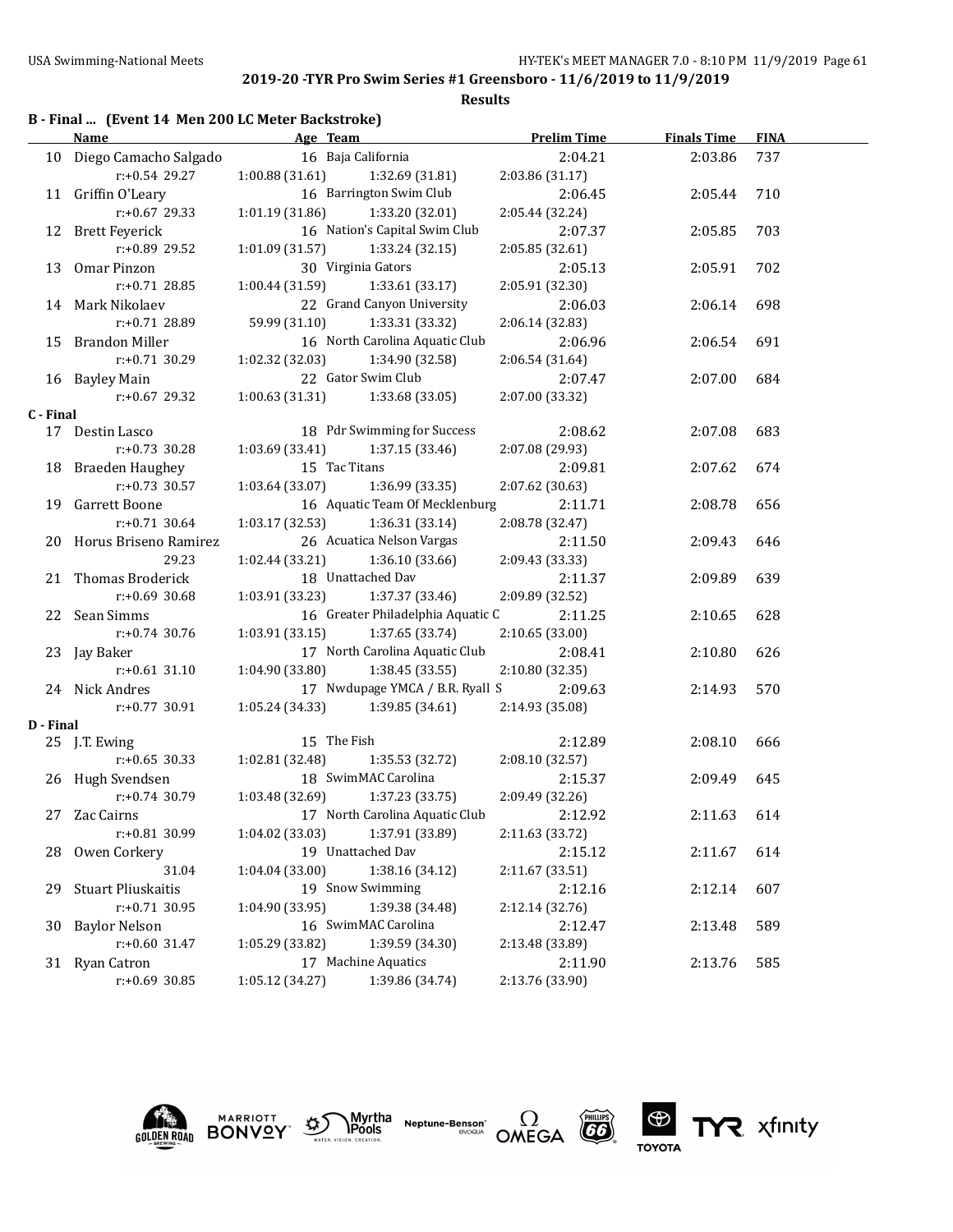|           | <b>Name</b>                      | <b>Example 2</b> Age Team               |                                                       | <b>Prelim Time</b> | <b>Finals Time</b> | <b>FINA</b> |  |
|-----------|----------------------------------|-----------------------------------------|-------------------------------------------------------|--------------------|--------------------|-------------|--|
|           | 10 Diego Camacho Salgado         |                                         | 16 Baja California                                    | 2:04.21            | 2:03.86            | 737         |  |
|           | $r: +0.54$ 29.27                 |                                         | $1:00.88(31.61)$ $1:32.69(31.81)$                     | 2:03.86(31.17)     |                    |             |  |
|           | 11 Griffin O'Leary               |                                         | 16 Barrington Swim Club                               | 2:06.45            | 2:05.44            | 710         |  |
|           | r:+0.67 29.33                    | $1:01.19$ (31.86) $1:33.20$ (32.01)     |                                                       | 2:05.44 (32.24)    |                    |             |  |
|           | 12 Brett Feyerick                |                                         | 16 Nation's Capital Swim Club                         | 2:07.37            | 2:05.85            | 703         |  |
|           | $r: +0.89$ 29.52                 | $1:01.09$ (31.57) $1:33.24$ (32.15)     |                                                       | 2:05.85(32.61)     |                    |             |  |
|           | 13 Omar Pinzon                   | 30 Virginia Gators                      |                                                       | 2:05.13            | 2:05.91            | 702         |  |
|           | $r: +0.71$ 28.85                 |                                         | $1:00.44(31.59)$ $1:33.61(33.17)$                     | 2:05.91 (32.30)    |                    |             |  |
|           | 14 Mark Nikolaev                 |                                         | 22 Grand Canyon University                            | 2:06.03            | 2:06.14            | 698         |  |
|           | r:+0.71 28.89                    | 59.99 (31.10) 1:33.31 (33.32)           |                                                       | 2:06.14 (32.83)    |                    |             |  |
|           | 15 Brandon Miller                |                                         | 16 North Carolina Aquatic Club                        | 2:06.96            | 2:06.54            | 691         |  |
|           | $r: +0.71$ 30.29                 | $1:02.32$ $(32.03)$ $1:34.90$ $(32.58)$ |                                                       | 2:06.54 (31.64)    |                    |             |  |
|           | 16 Bayley Main                   |                                         | 22 Gator Swim Club                                    | 2:07.47            | 2:07.00            | 684         |  |
|           | $r: +0.67$ 29.32                 |                                         | $1:00.63(31.31)$ $1:33.68(33.05)$                     | 2:07.00 (33.32)    |                    |             |  |
| C - Final |                                  |                                         |                                                       |                    |                    |             |  |
|           | 17 Destin Lasco                  |                                         | 18 Pdr Swimming for Success                           | 2:08.62            | 2:07.08            | 683         |  |
|           | $r: +0.73$ 30.28                 |                                         | $1:03.69$ (33.41) $1:37.15$ (33.46)                   | 2:07.08 (29.93)    |                    |             |  |
|           | 18 Braeden Haughey               | 15 Tac Titans                           |                                                       | 2:09.81            | 2:07.62            | 674         |  |
|           | $r: +0.73$ 30.57                 |                                         | $1:03.64(33.07)$ $1:36.99(33.35)$                     | 2:07.62 (30.63)    |                    |             |  |
|           | 19 Garrett Boone                 |                                         | 16 Aquatic Team Of Mecklenburg                        | 2:11.71            | 2:08.78            | 656         |  |
|           | $r: +0.71$ 30.64                 |                                         | $1:03.17(32.53)$ $1:36.31(33.14)$                     | 2:08.78 (32.47)    |                    |             |  |
|           | 20 Horus Briseno Ramirez         |                                         | 26 Acuatica Nelson Vargas                             | 2:11.50            | 2:09.43            | 646         |  |
|           | 29.23                            | 1:02.44 (33.21)                         | 1:36.10(33.66)                                        | 2:09.43 (33.33)    |                    |             |  |
|           | 21 Thomas Broderick              | 18 Unattached Dav                       |                                                       | 2:11.37            | 2:09.89            | 639         |  |
|           | $r: +0.69$ 30.68                 |                                         | $1:03.91(33.23)$ $1:37.37(33.46)$                     | 2:09.89 (32.52)    |                    |             |  |
|           | 22 Sean Simms                    |                                         | 16 Greater Philadelphia Aquatic C                     | 2:11.25            | 2:10.65            | 628         |  |
|           | $r: +0.74$ 30.76                 | 1:03.91 (33.15)                         | 1:37.65 (33.74)                                       | 2:10.65 (33.00)    |                    |             |  |
|           | 23 Jay Baker                     |                                         | 17 North Carolina Aquatic Club                        | 2:08.41            | 2:10.80            | 626         |  |
|           | $r: +0.61$ 31.10                 | 1:04.90(33.80)                          | 1:38.45 (33.55)                                       | 2:10.80 (32.35)    |                    |             |  |
|           | 24 Nick Andres                   |                                         | 17 Nwdupage YMCA / B.R. Ryall S                       | 2:09.63            | 2:14.93            | 570         |  |
|           | r:+0.77 30.91                    |                                         | $1:05.24(34.33)$ $1:39.85(34.61)$                     | 2:14.93 (35.08)    |                    |             |  |
| D - Final |                                  |                                         |                                                       |                    |                    |             |  |
|           | 25 J.T. Ewing                    | 15 The Fish                             |                                                       | 2:12.89            | 2:08.10            | 666         |  |
|           | $r: +0.65$ 30.33                 | 1:02.81 (32.48)                         | 1:35.53 (32.72)                                       | 2:08.10 (32.57)    |                    |             |  |
|           | 26 Hugh Svendsen                 |                                         | 18 SwimMAC Carolina                                   | 2:15.37            | 2:09.49            | 645         |  |
|           | $r: +0.74$ 30.79 1:03.48 (32.69) |                                         | 1:37.23 (33.75)                                       | 2:09.49 (32.26)    |                    |             |  |
|           | 27 Zac Cairns                    |                                         | 17 North Carolina Aquatic Club                        | 2:12.92            | 2:11.63            | 614         |  |
|           | r:+0.81 30.99                    |                                         | $1:04.02$ (33.03) $1:37.91$ (33.89) $2:11.63$ (33.72) |                    |                    |             |  |
|           | 28 Owen Corkery                  |                                         | 19 Unattached Dav                                     | 2:15.12            | 2:11.67            | 614         |  |
|           | 31.04                            | 1:04.04(33.00)                          | 1:38.16 (34.12)                                       | 2:11.67 (33.51)    |                    |             |  |
| 29        | <b>Stuart Pliuskaitis</b>        |                                         | 19 Snow Swimming                                      | 2:12.16            | 2:12.14            | 607         |  |
|           | $r: +0.71$ 30.95                 | 1:04.90 (33.95)                         | 1:39.38 (34.48)                                       | 2:12.14 (32.76)    |                    |             |  |
| 30        | <b>Baylor Nelson</b>             |                                         | 16 SwimMAC Carolina                                   | 2:12.47            | 2:13.48            | 589         |  |
|           | r:+0.60 31.47                    | 1:05.29 (33.82)                         | 1:39.59 (34.30)                                       | 2:13.48 (33.89)    |                    |             |  |
|           | 31 Ryan Catron                   |                                         | 17 Machine Aquatics                                   | 2:11.90            | 2:13.76            | 585         |  |
|           | r:+0.69 30.85                    | 1:05.12 (34.27)                         | 1:39.86 (34.74)                                       | 2:13.76 (33.90)    |                    |             |  |











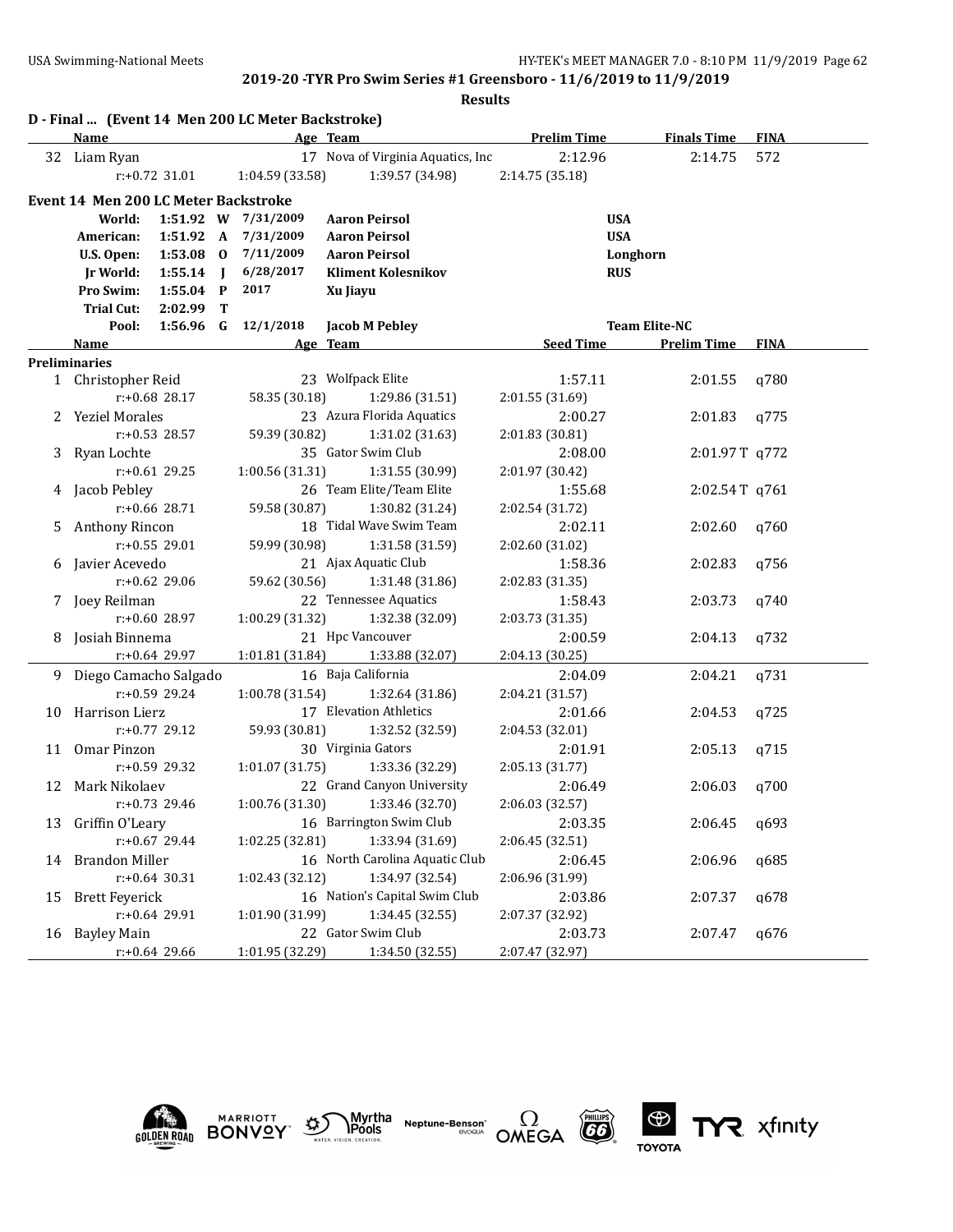|    |                                             |                  |                | D - Final  (Event 14 Men 200 LC Meter Backstroke) |                                   |                    |                      |             |
|----|---------------------------------------------|------------------|----------------|---------------------------------------------------|-----------------------------------|--------------------|----------------------|-------------|
|    | <b>Name</b>                                 |                  |                |                                                   | Age Team                          | <b>Prelim Time</b> | <b>Finals Time</b>   | <b>FINA</b> |
|    | 32 Liam Ryan                                |                  |                |                                                   | 17 Nova of Virginia Aquatics, Inc | 2:12.96            | 2:14.75              | 572         |
|    |                                             | $r: +0.72$ 31.01 |                | 1:04.59 (33.58)                                   | 1:39.57 (34.98)                   | 2:14.75 (35.18)    |                      |             |
|    | <b>Event 14 Men 200 LC Meter Backstroke</b> |                  |                |                                                   |                                   |                    |                      |             |
|    | World:                                      |                  |                | 1:51.92 W 7/31/2009                               | <b>Aaron Peirsol</b>              | <b>USA</b>         |                      |             |
|    | American:                                   | 1:51.92 A        |                | 7/31/2009                                         | <b>Aaron Peirsol</b>              | <b>USA</b>         |                      |             |
|    | U.S. Open:                                  | 1:53.08 0        |                | 7/11/2009                                         | <b>Aaron Peirsol</b>              |                    | Longhorn             |             |
|    | <b>Jr World:</b>                            | 1:55.14          | $\blacksquare$ | 6/28/2017                                         | <b>Kliment Kolesnikov</b>         | <b>RUS</b>         |                      |             |
|    | Pro Swim:                                   | $1:55.04$ P      |                | 2017                                              | Xu Jiayu                          |                    |                      |             |
|    | <b>Trial Cut:</b>                           | 2:02.99          | T              |                                                   |                                   |                    |                      |             |
|    | Pool:                                       | $1:56.96$ G      |                | 12/1/2018                                         | <b>Jacob M Pebley</b>             |                    | <b>Team Elite-NC</b> |             |
|    | Name                                        |                  |                |                                                   | Age Team                          | <b>Seed Time</b>   | <b>Prelim Time</b>   | <b>FINA</b> |
|    | <b>Preliminaries</b>                        |                  |                |                                                   |                                   |                    |                      |             |
|    | 1 Christopher Reid                          |                  |                |                                                   | 23 Wolfpack Elite                 | 1:57.11            | 2:01.55              | q780        |
|    |                                             | $r: +0.68$ 28.17 |                | 58.35 (30.18)                                     | 1:29.86 (31.51)                   | 2:01.55 (31.69)    |                      |             |
|    | <b>Yeziel Morales</b>                       |                  |                |                                                   | 23 Azura Florida Aquatics         | 2:00.27            | 2:01.83              | q775        |
|    |                                             | $r: +0.53$ 28.57 |                | 59.39 (30.82)                                     | 1:31.02 (31.63)                   | 2:01.83 (30.81)    |                      |             |
|    | 3 Ryan Lochte                               |                  |                |                                                   | 35 Gator Swim Club                | 2:08.00            | 2:01.97T q772        |             |
|    |                                             | $r: +0.61$ 29.25 |                | 1:00.56(31.31)                                    | 1:31.55 (30.99)                   | 2:01.97 (30.42)    |                      |             |
| 4  | Jacob Pebley                                |                  |                |                                                   | 26 Team Elite/Team Elite          | 1:55.68            | 2:02.54T q761        |             |
|    |                                             | $r: +0.66$ 28.71 |                | 59.58 (30.87)                                     | 1:30.82 (31.24)                   | 2:02.54 (31.72)    |                      |             |
| 5  | Anthony Rincon                              |                  |                |                                                   | 18 Tidal Wave Swim Team           | 2:02.11            | 2:02.60              | q760        |
|    |                                             | $r: +0.55$ 29.01 |                | 59.99 (30.98)                                     | 1:31.58 (31.59)                   | 2:02.60 (31.02)    |                      |             |
| 6  | Javier Acevedo                              |                  |                |                                                   | 21 Ajax Aquatic Club              | 1:58.36            | 2:02.83              | q756        |
|    |                                             | r:+0.62 29.06    |                | 59.62 (30.56)                                     | 1:31.48 (31.86)                   | 2:02.83 (31.35)    |                      |             |
|    | 7 Joey Reilman                              |                  |                |                                                   | 22 Tennessee Aquatics             | 1:58.43            | 2:03.73              | q740        |
|    |                                             | $r: +0.60$ 28.97 |                | 1:00.29 (31.32)                                   | 1:32.38 (32.09)                   | 2:03.73 (31.35)    |                      |             |
| 8  | Josiah Binnema                              |                  |                |                                                   | 21 Hpc Vancouver                  | 2:00.59            | 2:04.13              | q732        |
|    |                                             | r:+0.64 29.97    |                | 1:01.81 (31.84)                                   | 1:33.88 (32.07)                   | 2:04.13 (30.25)    |                      |             |
|    | 9 Diego Camacho Salgado                     |                  |                |                                                   | 16 Baja California                | 2:04.09            | 2:04.21              | q731        |
|    |                                             | r:+0.59 29.24    |                | 1:00.78 (31.54)                                   | 1:32.64 (31.86)                   | 2:04.21 (31.57)    |                      |             |
| 10 | Harrison Lierz                              |                  |                |                                                   | 17 Elevation Athletics            | 2:01.66            | 2:04.53              | a725        |
|    |                                             | $r: +0.77$ 29.12 |                | 59.93 (30.81)                                     | 1:32.52 (32.59)                   | 2:04.53 (32.01)    |                      |             |
| 11 | Omar Pinzon                                 |                  |                |                                                   | 30 Virginia Gators                | 2:01.91            | 2:05.13              | q715        |
|    |                                             | $r: +0.59$ 29.32 |                | 1:01.07 (31.75)                                   | 1:33.36 (32.29)                   | 2:05.13(31.77)     |                      |             |
| 12 | Mark Nikolaev                               |                  |                |                                                   | 22 Grand Canyon University        | 2:06.49            | 2:06.03              | q700        |
|    |                                             | $r: +0.73$ 29.46 |                |                                                   | 1:00.76 (31.30) 1:33.46 (32.70)   | 2:06.03 (32.57)    |                      |             |
|    | 13 Griffin O'Leary                          |                  |                |                                                   | 16 Barrington Swim Club           | 2:03.35            | 2:06.45              | q693        |
|    |                                             | r:+0.67 29.44    |                | 1:02.25 (32.81)                                   | 1:33.94 (31.69)                   | 2:06.45 (32.51)    |                      |             |
| 14 | <b>Brandon Miller</b>                       |                  |                |                                                   | 16 North Carolina Aquatic Club    | 2:06.45            | 2:06.96              | q685        |
|    |                                             | $r: +0.64$ 30.31 |                | 1:02.43 (32.12)                                   | 1:34.97 (32.54)                   | 2:06.96 (31.99)    |                      |             |
| 15 | <b>Brett Feyerick</b>                       |                  |                |                                                   | 16 Nation's Capital Swim Club     | 2:03.86            | 2:07.37              | q678        |
|    |                                             | r:+0.64 29.91    |                | 1:01.90 (31.99)                                   | 1:34.45 (32.55)                   | 2:07.37 (32.92)    |                      |             |
|    | 16 Bayley Main                              |                  |                |                                                   | 22 Gator Swim Club                | 2:03.73            | 2:07.47              | q676        |
|    |                                             | r:+0.64 29.66    |                | 1:01.95 (32.29)                                   | 1:34.50 (32.55)                   | 2:07.47 (32.97)    |                      |             |









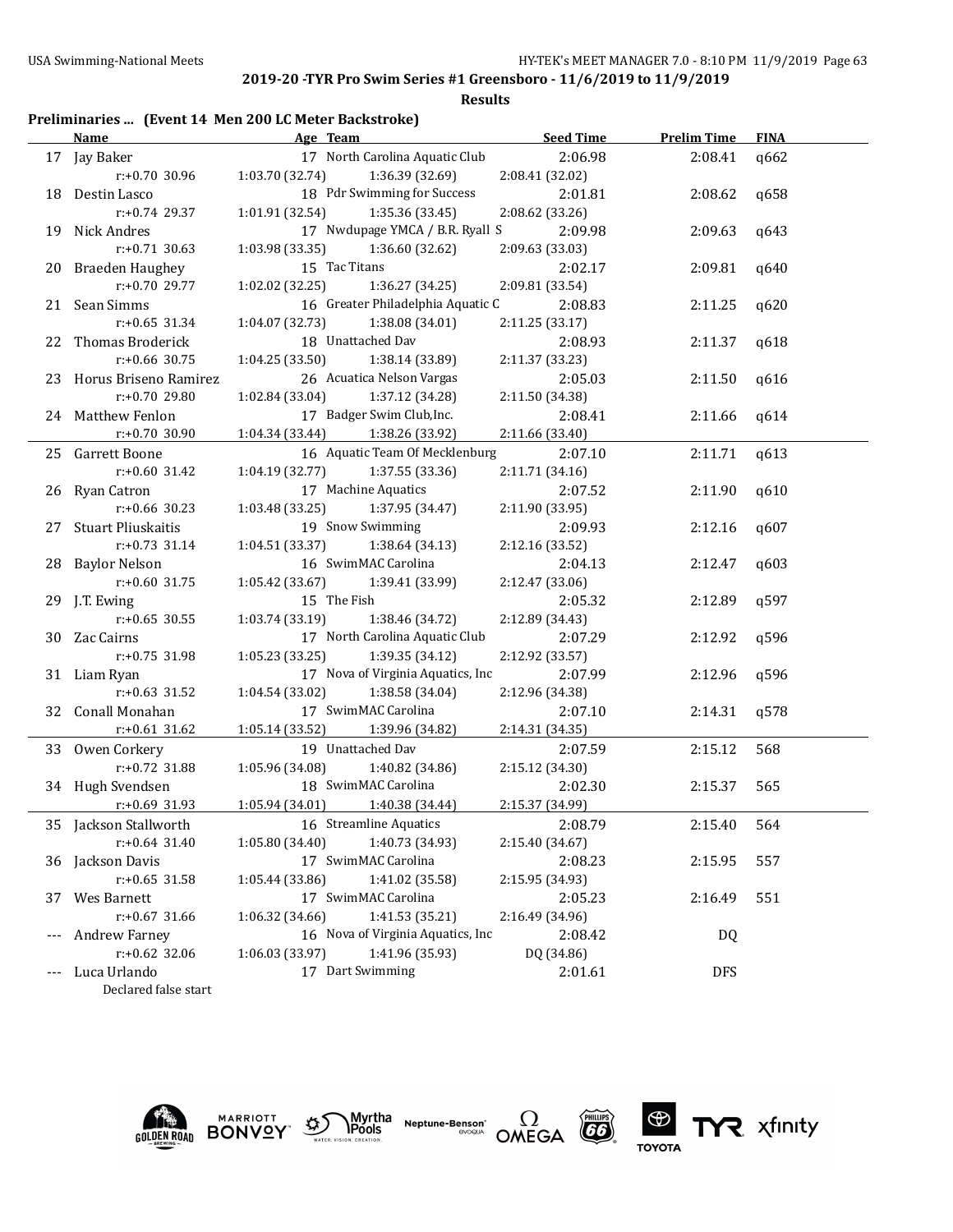### **Results**

## **Preliminaries ... (Event 14 Men 200 LC Meter Backstroke)**

|       | <b>Name</b>              | Age Team and the Team and the Team and the Team and the Team and the Team and the Team and the Team and the Te | <b>Seed Time</b> | <b>Prelim Time</b> | <b>FINA</b> |
|-------|--------------------------|----------------------------------------------------------------------------------------------------------------|------------------|--------------------|-------------|
|       | 17 Jay Baker             | 17 North Carolina Aquatic Club                                                                                 | 2:06.98          | 2:08.41            | q662        |
|       | $r: +0.70$ 30.96         | 1:03.70 (32.74)<br>1:36.39 (32.69)                                                                             | 2:08.41 (32.02)  |                    |             |
|       | 18 Destin Lasco          | 18 Pdr Swimming for Success                                                                                    | 2:01.81          | 2:08.62            | q658        |
|       | r:+0.74 29.37            | 1:01.91 (32.54)<br>1:35.36 (33.45)                                                                             | 2:08.62 (33.26)  |                    |             |
|       | 19 Nick Andres           | 17 Nwdupage YMCA / B.R. Ryall S                                                                                | 2:09.98          | 2:09.63            | q643        |
|       | $r: +0.71$ 30.63         | 1:03.98(33.35)<br>1:36.60 (32.62)                                                                              | 2:09.63 (33.03)  |                    |             |
|       | 20 Braeden Haughey       | 15 Tac Titans                                                                                                  | 2:02.17          | 2:09.81            | q640        |
|       | r:+0.70 29.77            | 1:02.02(32.25)<br>1:36.27(34.25)                                                                               | 2:09.81 (33.54)  |                    |             |
|       | 21 Sean Simms            | 16 Greater Philadelphia Aquatic C                                                                              | 2:08.83          | 2:11.25            | q620        |
|       | $r: +0.65$ 31.34         | 1:04.07 (32.73)<br>1:38.08 (34.01)                                                                             | 2:11.25 (33.17)  |                    |             |
|       | 22 Thomas Broderick      | 18 Unattached Dav                                                                                              | 2:08.93          | 2:11.37            | q618        |
|       | $r: +0.66$ 30.75         | 1:04.25(33.50)<br>1:38.14 (33.89)                                                                              | 2:11.37 (33.23)  |                    |             |
|       | 23 Horus Briseno Ramirez | 26 Acuatica Nelson Vargas                                                                                      | 2:05.03          | 2:11.50            | q616        |
|       | $r: +0.70$ 29.80         | 1:02.84(33.04)<br>1:37.12 (34.28)                                                                              | 2:11.50 (34.38)  |                    |             |
|       | 24 Matthew Fenlon        | 17 Badger Swim Club, Inc.                                                                                      | 2:08.41          | 2:11.66            | q614        |
|       | $r+0.70$ 30.90           | 1:04.34 (33.44) 1:38.26 (33.92)                                                                                | 2:11.66 (33.40)  |                    |             |
|       | 25 Garrett Boone         | 16 Aquatic Team Of Mecklenburg                                                                                 | 2:07.10          | 2:11.71            | q613        |
|       | $r: +0.60$ 31.42         | 1:04.19 (32.77)<br>1:37.55 (33.36)                                                                             | 2:11.71 (34.16)  |                    |             |
|       | 26 Ryan Catron           | 17 Machine Aquatics                                                                                            | 2:07.52          | 2:11.90            | q610        |
|       | r:+0.66 30.23            | 1:03.48(33.25)<br>1:37.95 (34.47)                                                                              | 2:11.90(33.95)   |                    |             |
|       | 27 Stuart Pliuskaitis    | 19 Snow Swimming                                                                                               | 2:09.93          | 2:12.16            | q607        |
|       | $r: +0.73$ 31.14         | 1:04.51(33.37)<br>1:38.64 (34.13)                                                                              | 2:12.16 (33.52)  |                    |             |
|       | 28 Baylor Nelson         | 16 SwimMAC Carolina                                                                                            | 2:04.13          | 2:12.47            | q603        |
|       | $r: +0.60$ 31.75         | 1:05.42(33.67)<br>1:39.41 (33.99)                                                                              | 2:12.47 (33.06)  |                    |             |
|       | 29 J.T. Ewing            | 15 The Fish                                                                                                    | 2:05.32          | 2:12.89            | q597        |
|       | $r: +0.65$ 30.55         | 1:03.74(33.19)<br>1:38.46 (34.72)                                                                              | 2:12.89 (34.43)  |                    |             |
|       | 30 Zac Cairns            | 17 North Carolina Aquatic Club                                                                                 | 2:07.29          | 2:12.92            | q596        |
|       | $r: +0.75$ 31.98         | 1:05.23(33.25)<br>1:39.35 (34.12)                                                                              | 2:12.92 (33.57)  |                    |             |
|       | 31 Liam Ryan             | 17 Nova of Virginia Aquatics, Inc                                                                              | 2:07.99          | 2:12.96            | q596        |
|       | $r: +0.63$ 31.52         | 1:04.54(33.02)<br>1:38.58 (34.04)                                                                              | 2:12.96 (34.38)  |                    |             |
|       | 32 Conall Monahan        | 17 SwimMAC Carolina                                                                                            | 2:07.10          | 2:14.31            | q578        |
|       | $r: +0.61$ 31.62         | 1:05.14 (33.52) 1:39.96 (34.82)                                                                                | 2:14.31 (34.35)  |                    |             |
|       | 33 Owen Corkery          | 19 Unattached Dav                                                                                              | 2:07.59          | 2:15.12            | 568         |
|       | r:+0.72 31.88            | 1:05.96(34.08)<br>1:40.82 (34.86)                                                                              | 2:15.12 (34.30)  |                    |             |
|       | 34 Hugh Svendsen         | 18 SwimMAC Carolina                                                                                            | 2:02.30          | 2:15.37            | 565         |
|       | $r: +0.69$ 31.93         | 1:05.94 (34.01) 1:40.38 (34.44)                                                                                | 2:15.37 (34.99)  |                    |             |
|       | 35 Jackson Stallworth    | 16 Streamline Aquatics                                                                                         | 2:08.79          | 2:15.40            | 564         |
|       | $r: +0.64$ 31.40         | 1:40.73 (34.93)<br>1:05.80 (34.40)                                                                             | 2:15.40 (34.67)  |                    |             |
|       | 36 Jackson Davis         | 17 SwimMAC Carolina                                                                                            | 2:08.23          | 2:15.95            | 557         |
|       | $r: +0.65$ 31.58         | 1:41.02 (35.58)<br>1:05.44 (33.86)                                                                             | 2:15.95 (34.93)  |                    |             |
| 37    | Wes Barnett              | 17 SwimMAC Carolina                                                                                            | 2:05.23          | 2:16.49            | 551         |
|       | $r: +0.67$ 31.66         | 1:41.53 (35.21)<br>1:06.32 (34.66)                                                                             | 2:16.49 (34.96)  |                    |             |
|       | <b>Andrew Farney</b>     | 16 Nova of Virginia Aquatics, Inc                                                                              | 2:08.42          | DQ                 |             |
|       | r:+0.62 32.06            | 1:06.03 (33.97)<br>1:41.96 (35.93)                                                                             | DQ (34.86)       |                    |             |
| $---$ | Luca Urlando             | 17 Dart Swimming                                                                                               | 2:01.61          | <b>DFS</b>         |             |

Declared false start











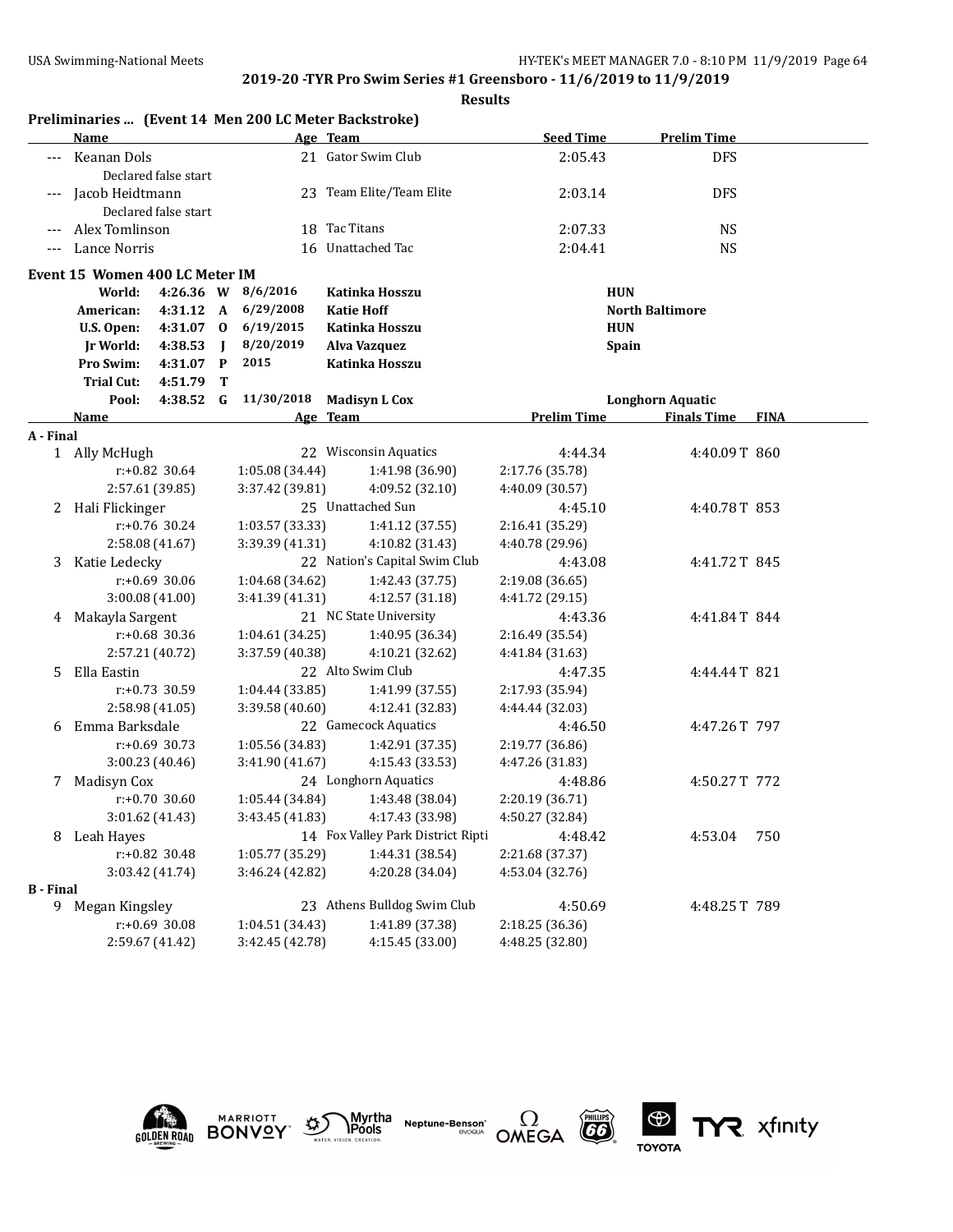|                  |                                |                      |                |                                    | Preliminaries  (Event 14 Men 200 LC Meter Backstroke) |                                    |                         |             |
|------------------|--------------------------------|----------------------|----------------|------------------------------------|-------------------------------------------------------|------------------------------------|-------------------------|-------------|
|                  | Name                           |                      |                |                                    | Age Team                                              | <b>Seed Time</b>                   | <b>Prelim Time</b>      |             |
|                  | <b>Keanan Dols</b>             | Declared false start |                |                                    | 21 Gator Swim Club                                    | 2:05.43                            | <b>DFS</b>              |             |
|                  | Jacob Heidtmann                |                      |                |                                    | 23 Team Elite/Team Elite                              | 2:03.14                            | <b>DFS</b>              |             |
|                  |                                | Declared false start |                |                                    |                                                       |                                    |                         |             |
|                  | Alex Tomlinson                 |                      |                |                                    | 18 Tac Titans                                         | 2:07.33                            | <b>NS</b>               |             |
| $---$            | Lance Norris                   |                      |                |                                    | 16 Unattached Tac                                     | 2:04.41                            | <b>NS</b>               |             |
|                  | Event 15 Women 400 LC Meter IM |                      |                |                                    |                                                       |                                    |                         |             |
|                  | World:                         |                      |                | 4:26.36 W 8/6/2016                 | Katinka Hosszu                                        | <b>HUN</b>                         |                         |             |
|                  | American:                      | 4:31.12 A            |                | 6/29/2008                          | <b>Katie Hoff</b>                                     |                                    | <b>North Baltimore</b>  |             |
|                  | U.S. Open:                     | 4:31.07 0            |                | 6/19/2015                          | Katinka Hosszu                                        | <b>HUN</b>                         |                         |             |
|                  | <b>Jr World:</b>               | 4:38.53              | $\blacksquare$ | 8/20/2019                          | Alva Vazquez                                          | <b>Spain</b>                       |                         |             |
|                  | Pro Swim:                      | 4:31.07              | $\mathbf{P}$   | 2015                               | Katinka Hosszu                                        |                                    |                         |             |
|                  | <b>Trial Cut:</b>              | 4:51.79              | T              |                                    |                                                       |                                    |                         |             |
|                  | Pool:                          | 4:38.52              | G              | 11/30/2018                         | <b>Madisyn L Cox</b>                                  |                                    | <b>Longhorn Aquatic</b> |             |
|                  | Name                           |                      |                |                                    | Age Team                                              | <b>Prelim Time</b>                 | <b>Finals Time</b>      | <b>FINA</b> |
| A - Final        |                                |                      |                |                                    |                                                       |                                    |                         |             |
|                  | 1 Ally McHugh                  |                      |                |                                    | 22 Wisconsin Aquatics                                 | 4:44.34                            | 4:40.09T 860            |             |
|                  |                                | $r: +0.82$ 30.64     |                | 1:05.08 (34.44)                    | 1:41.98 (36.90)                                       | 2:17.76 (35.78)                    |                         |             |
|                  |                                | 2:57.61 (39.85)      |                | 3:37.42 (39.81)                    | 4:09.52 (32.10)                                       | 4:40.09 (30.57)                    |                         |             |
|                  | 2 Hali Flickinger              |                      |                |                                    | 25 Unattached Sun                                     | 4:45.10                            | 4:40.78T 853            |             |
|                  |                                | $r: +0.76$ 30.24     |                | 1:03.57 (33.33)                    | 1:41.12 (37.55)                                       | 2:16.41 (35.29)                    |                         |             |
|                  |                                | 2:58.08 (41.67)      |                | 3:39.39 (41.31)                    | 4:10.82 (31.43)                                       | 4:40.78 (29.96)                    |                         |             |
| 3                | Katie Ledecky                  |                      |                |                                    | 22 Nation's Capital Swim Club                         | 4:43.08                            | 4:41.72T 845            |             |
|                  |                                | $r: +0.69$ 30.06     |                | 1:04.68 (34.62)                    | 1:42.43 (37.75)                                       | 2:19.08 (36.65)                    |                         |             |
|                  |                                | 3:00.08(41.00)       |                | 3:41.39 (41.31)                    | 4:12.57 (31.18)                                       | 4:41.72 (29.15)                    |                         |             |
| 4                | Makayla Sargent                | $r: +0.68$ 30.36     |                |                                    | 21 NC State University                                | 4:43.36                            | 4:41.84T 844            |             |
|                  |                                | 2:57.21 (40.72)      |                | 1:04.61 (34.25)<br>3:37.59 (40.38) | 1:40.95 (36.34)<br>4:10.21 (32.62)                    | 2:16.49 (35.54)<br>4:41.84 (31.63) |                         |             |
| 5                | Ella Eastin                    |                      |                |                                    | 22 Alto Swim Club                                     | 4:47.35                            | 4:44.44T 821            |             |
|                  |                                | $r: +0.73$ 30.59     |                | 1:04.44 (33.85)                    | 1:41.99 (37.55)                                       | 2:17.93 (35.94)                    |                         |             |
|                  |                                | 2:58.98 (41.05)      |                | 3:39.58 (40.60)                    | 4:12.41 (32.83)                                       | 4:44.44 (32.03)                    |                         |             |
| 6                | Emma Barksdale                 |                      |                |                                    | 22 Gamecock Aquatics                                  | 4:46.50                            | 4:47.26T 797            |             |
|                  |                                | $r: +0.69$ 30.73     |                | 1:05.56 (34.83)                    | 1:42.91 (37.35)                                       | 2:19.77 (36.86)                    |                         |             |
|                  |                                | 3:00.23 (40.46)      |                | 3:41.90 (41.67)                    | 4:15.43 (33.53)                                       | 4:47.26 (31.83)                    |                         |             |
| 7                | Madisyn Cox                    |                      |                |                                    | 24 Longhorn Aquatics                                  | 4:48.86                            | 4:50.27T 772            |             |
|                  |                                | $r: +0.70$ 30.60     |                | 1:05.44 (34.84)                    | 1:43.48 (38.04)                                       | 2:20.19 (36.71)                    |                         |             |
|                  |                                | 3:01.62 (41.43)      |                | 3:43.45 (41.83)                    | 4:17.43 (33.98)                                       | 4:50.27 (32.84)                    |                         |             |
| 8                | Leah Hayes                     |                      |                |                                    | 14 Fox Valley Park District Ripti                     | 4:48.42                            | 4:53.04                 | 750         |
|                  |                                | r:+0.82 30.48        |                | 1:05.77 (35.29)                    | 1:44.31 (38.54)                                       | 2:21.68 (37.37)                    |                         |             |
|                  |                                | 3:03.42 (41.74)      |                | 3:46.24 (42.82)                    | 4:20.28 (34.04)                                       | 4:53.04 (32.76)                    |                         |             |
| <b>B</b> - Final |                                |                      |                |                                    |                                                       |                                    |                         |             |
| 9                | Megan Kingsley                 |                      |                |                                    | 23 Athens Bulldog Swim Club                           | 4:50.69                            | 4:48.25T 789            |             |
|                  |                                | r:+0.69 30.08        |                | 1:04.51 (34.43)                    | 1:41.89 (37.38)                                       | 2:18.25 (36.36)                    |                         |             |
|                  |                                | 2:59.67 (41.42)      |                | 3:42.45 (42.78)                    | 4:15.45 (33.00)                                       | 4:48.25 (32.80)                    |                         |             |











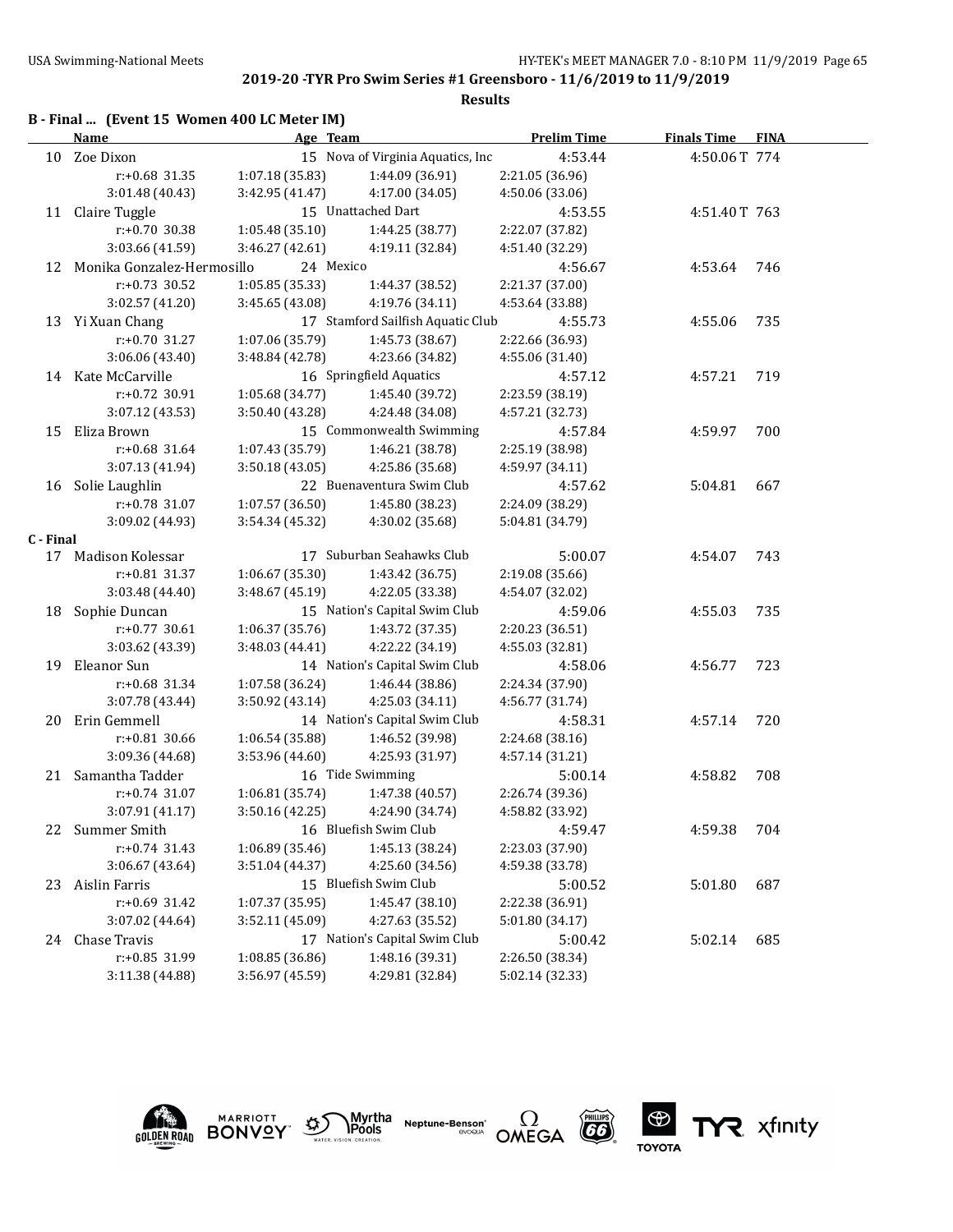**Results**

| <b>Finals Time</b><br><b>FINA</b> |
|-----------------------------------|
| 4:50.06T 774                      |
|                                   |
|                                   |
| 4:51.40T 763                      |
|                                   |
|                                   |
| 4:53.64<br>746                    |
|                                   |
|                                   |
| 4:55.06<br>735                    |
|                                   |
|                                   |
| 4:57.21<br>719                    |
|                                   |
|                                   |
| 700<br>4:59.97                    |
|                                   |
|                                   |
| 5:04.81<br>667                    |
|                                   |
|                                   |
|                                   |
| 4:54.07<br>743                    |
|                                   |
|                                   |
| 4:55.03<br>735                    |
|                                   |
|                                   |
| 723<br>4:56.77                    |
|                                   |
|                                   |
| 720<br>4:57.14                    |
|                                   |
|                                   |
| 708<br>4:58.82                    |
|                                   |
|                                   |
| 704<br>4:59.38                    |
|                                   |
|                                   |
| 687<br>5:01.80                    |
|                                   |
|                                   |
| 685<br>5:02.14                    |
|                                   |
|                                   |
|                                   |



**MARRIOTT** 







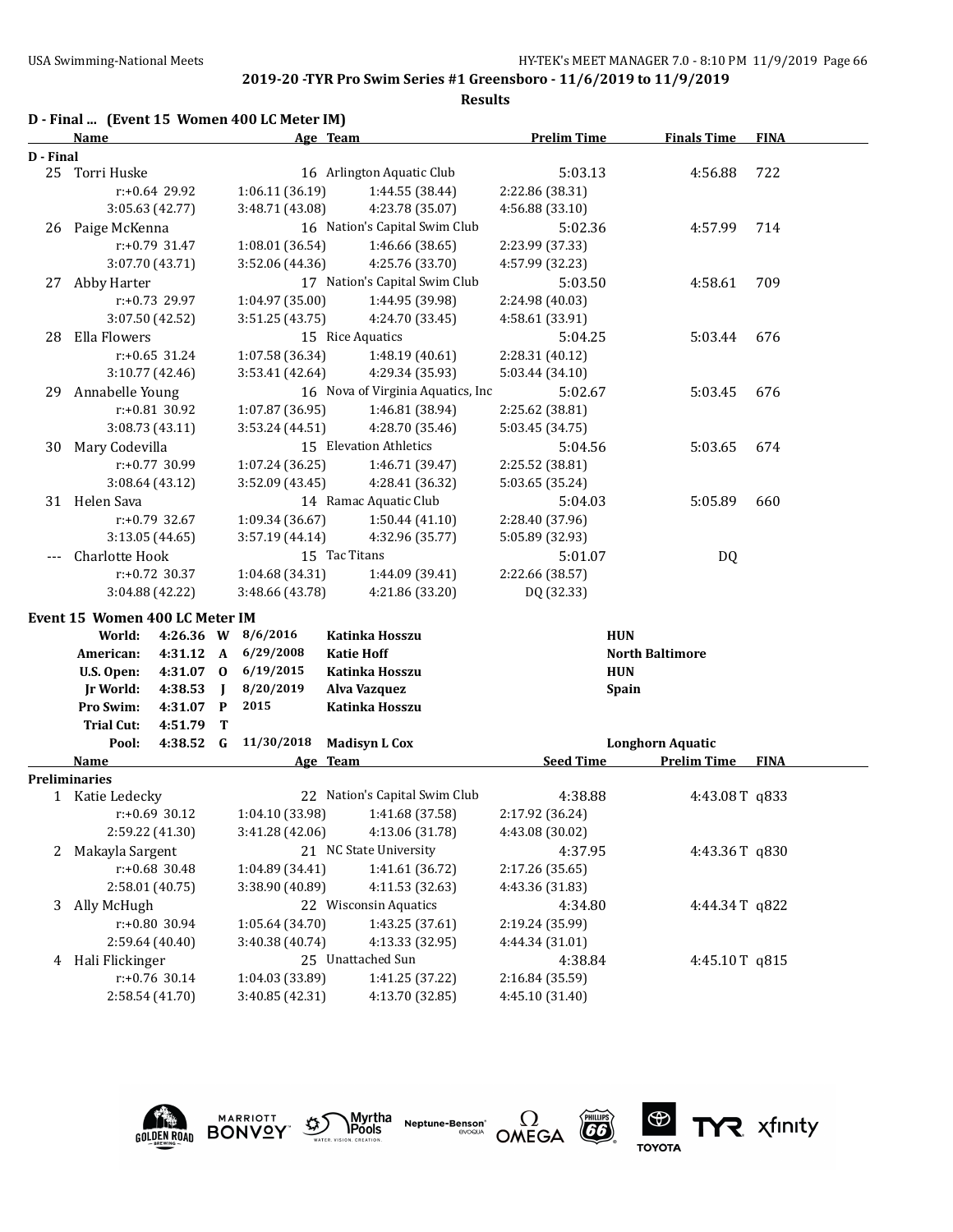### **2019-20 -TYR Pro Swim Series #1 Greensboro - 11/6/2019 to 11/9/2019**

|           |                                |                  |             |                                             | <b>Results</b>                    |                    |                         |             |
|-----------|--------------------------------|------------------|-------------|---------------------------------------------|-----------------------------------|--------------------|-------------------------|-------------|
|           | Name                           |                  |             | D - Final  (Event 15 Women 400 LC Meter IM) | Age Team                          | <b>Prelim Time</b> | <b>Finals Time</b>      | <b>FINA</b> |
| D - Final |                                |                  |             |                                             |                                   |                    |                         |             |
|           | 25 Torri Huske                 |                  |             |                                             | 16 Arlington Aquatic Club         | 5:03.13            | 4:56.88                 | 722         |
|           |                                | $r: +0.64$ 29.92 |             | 1:06.11 (36.19)                             | 1:44.55 (38.44)                   | 2:22.86 (38.31)    |                         |             |
|           |                                | 3:05.63 (42.77)  |             | 3:48.71 (43.08)                             | 4:23.78 (35.07)                   | 4:56.88 (33.10)    |                         |             |
| 26        | Paige McKenna                  |                  |             |                                             | 16 Nation's Capital Swim Club     | 5:02.36            | 4:57.99                 | 714         |
|           |                                | $r: +0.79$ 31.47 |             | 1:08.01 (36.54)                             | 1:46.66 (38.65)                   | 2:23.99 (37.33)    |                         |             |
|           |                                | 3:07.70 (43.71)  |             | 3:52.06 (44.36)                             | 4:25.76 (33.70)                   | 4:57.99 (32.23)    |                         |             |
| 27        | Abby Harter                    |                  |             |                                             | 17 Nation's Capital Swim Club     | 5:03.50            | 4:58.61                 | 709         |
|           |                                | $r: +0.73$ 29.97 |             | 1:04.97 (35.00)                             | 1:44.95 (39.98)                   | 2:24.98 (40.03)    |                         |             |
|           |                                | 3:07.50 (42.52)  |             | 3:51.25(43.75)                              | 4:24.70 (33.45)                   | 4:58.61 (33.91)    |                         |             |
| 28        | Ella Flowers                   |                  |             |                                             | 15 Rice Aquatics                  | 5:04.25            | 5:03.44                 | 676         |
|           |                                | $r: +0.65$ 31.24 |             | 1:07.58 (36.34)                             | 1:48.19 (40.61)                   | 2:28.31 (40.12)    |                         |             |
|           |                                | 3:10.77 (42.46)  |             | 3:53.41 (42.64)                             | 4:29.34 (35.93)                   | 5:03.44 (34.10)    |                         |             |
| 29        | Annabelle Young                |                  |             |                                             | 16 Nova of Virginia Aquatics, Inc | 5:02.67            | 5:03.45                 | 676         |
|           |                                | r:+0.81 30.92    |             | 1:07.87 (36.95)                             | 1:46.81 (38.94)                   | 2:25.62 (38.81)    |                         |             |
|           |                                | 3:08.73 (43.11)  |             | 3:53.24 (44.51)                             | 4:28.70 (35.46)                   | 5:03.45 (34.75)    |                         |             |
| 30        | Mary Codevilla                 |                  |             |                                             | 15 Elevation Athletics            | 5:04.56            | 5:03.65                 | 674         |
|           |                                | r:+0.77 30.99    |             | 1:07.24(36.25)                              | 1:46.71 (39.47)                   | 2:25.52 (38.81)    |                         |             |
|           |                                | 3:08.64 (43.12)  |             | 3:52.09 (43.45)                             | 4:28.41 (36.32)                   | 5:03.65 (35.24)    |                         |             |
|           | 31 Helen Sava                  |                  |             |                                             | 14 Ramac Aquatic Club             |                    |                         |             |
|           |                                | $r: +0.79$ 32.67 |             |                                             |                                   | 5:04.03            | 5:05.89                 | 660         |
|           |                                |                  |             | 1:09.34 (36.67)                             | 1:50.44(41.10)                    | 2:28.40 (37.96)    |                         |             |
|           |                                | 3:13.05(44.65)   |             | 3:57.19 (44.14)                             | 4:32.96 (35.77)                   | 5:05.89 (32.93)    |                         |             |
|           | Charlotte Hook                 |                  |             |                                             | 15 Tac Titans                     | 5:01.07            | <b>DQ</b>               |             |
|           |                                | $r: +0.72$ 30.37 |             | 1:04.68 (34.31)                             | 1:44.09 (39.41)                   | 2:22.66 (38.57)    |                         |             |
|           |                                | 3:04.88 (42.22)  |             | 3:48.66 (43.78)                             | 4:21.86 (33.20)                   | DQ (32.33)         |                         |             |
|           | Event 15 Women 400 LC Meter IM |                  |             |                                             |                                   |                    |                         |             |
|           | World:                         | 4:26.36 W        |             | 8/6/2016                                    | Katinka Hosszu                    |                    | <b>HUN</b>              |             |
|           | American:                      | 4:31.12          | A           | 6/29/2008                                   | <b>Katie Hoff</b>                 |                    | <b>North Baltimore</b>  |             |
|           | U.S. Open:                     | 4:31.07          | $\bf{0}$    | 6/19/2015                                   | Katinka Hosszu                    |                    | <b>HUN</b>              |             |
|           | Jr World:                      | 4:38.53          | $\mathbf I$ | 8/20/2019                                   | Alva Vazquez                      |                    | <b>Spain</b>            |             |
|           | Pro Swim:                      | 4:31.07          | P           | 2015                                        | Katinka Hosszu                    |                    |                         |             |
|           | <b>Trial Cut:</b>              | 4:51.79          | T           |                                             |                                   |                    |                         |             |
|           | Pool:                          | 4:38.52          | G           | 11/30/2018                                  | <b>Madisyn L Cox</b>              |                    | <b>Longhorn Aquatic</b> |             |
|           | <b>Name</b>                    |                  |             |                                             | Age Team                          | <b>Seed Time</b>   | <b>Prelim Time</b>      | <b>FINA</b> |
|           | <b>Preliminaries</b>           |                  |             |                                             |                                   |                    |                         |             |
|           | 1 Katie Ledecky                |                  |             |                                             | 22 Nation's Capital Swim Club     | 4:38.88            | 4:43.08T q833           |             |
|           |                                | $r: +0.69$ 30.12 |             | 1:04.10 (33.98)                             | 1:41.68 (37.58)                   | 2:17.92 (36.24)    |                         |             |
|           |                                | 2:59.22 (41.30)  |             | 3:41.28 (42.06)                             | 4:13.06 (31.78)                   | 4:43.08 (30.02)    |                         |             |
| 2         | Makayla Sargent                |                  |             |                                             | 21 NC State University            | 4:37.95            | 4:43.36T q830           |             |
|           |                                | $r: +0.68$ 30.48 |             | 1:04.89 (34.41)                             | 1:41.61 (36.72)                   | 2:17.26 (35.65)    |                         |             |
|           |                                | 2:58.01 (40.75)  |             | 3:38.90 (40.89)                             | 4:11.53 (32.63)                   | 4:43.36 (31.83)    |                         |             |
| 3         | Ally McHugh                    |                  |             |                                             | 22 Wisconsin Aquatics             | 4:34.80            | 4:44.34T q822           |             |
|           |                                | r:+0.80 30.94    |             | 1:05.64 (34.70)                             | 1:43.25 (37.61)                   | 2:19.24 (35.99)    |                         |             |
|           |                                | 2:59.64 (40.40)  |             | 3:40.38 (40.74)                             | 4:13.33 (32.95)                   | 4:44.34 (31.01)    |                         |             |
| 4         | Hali Flickinger                |                  |             |                                             | 25 Unattached Sun                 | 4:38.84            | 4:45.10T q815           |             |
|           |                                | r:+0.76 30.14    |             | 1:04.03 (33.89)                             | 1:41.25 (37.22)                   | 2:16.84 (35.59)    |                         |             |
|           |                                | 2:58.54 (41.70)  |             | 3:40.85 (42.31)                             | 4:13.70 (32.85)                   | 4:45.10 (31.40)    |                         |             |
|           |                                |                  |             |                                             |                                   |                    |                         |             |











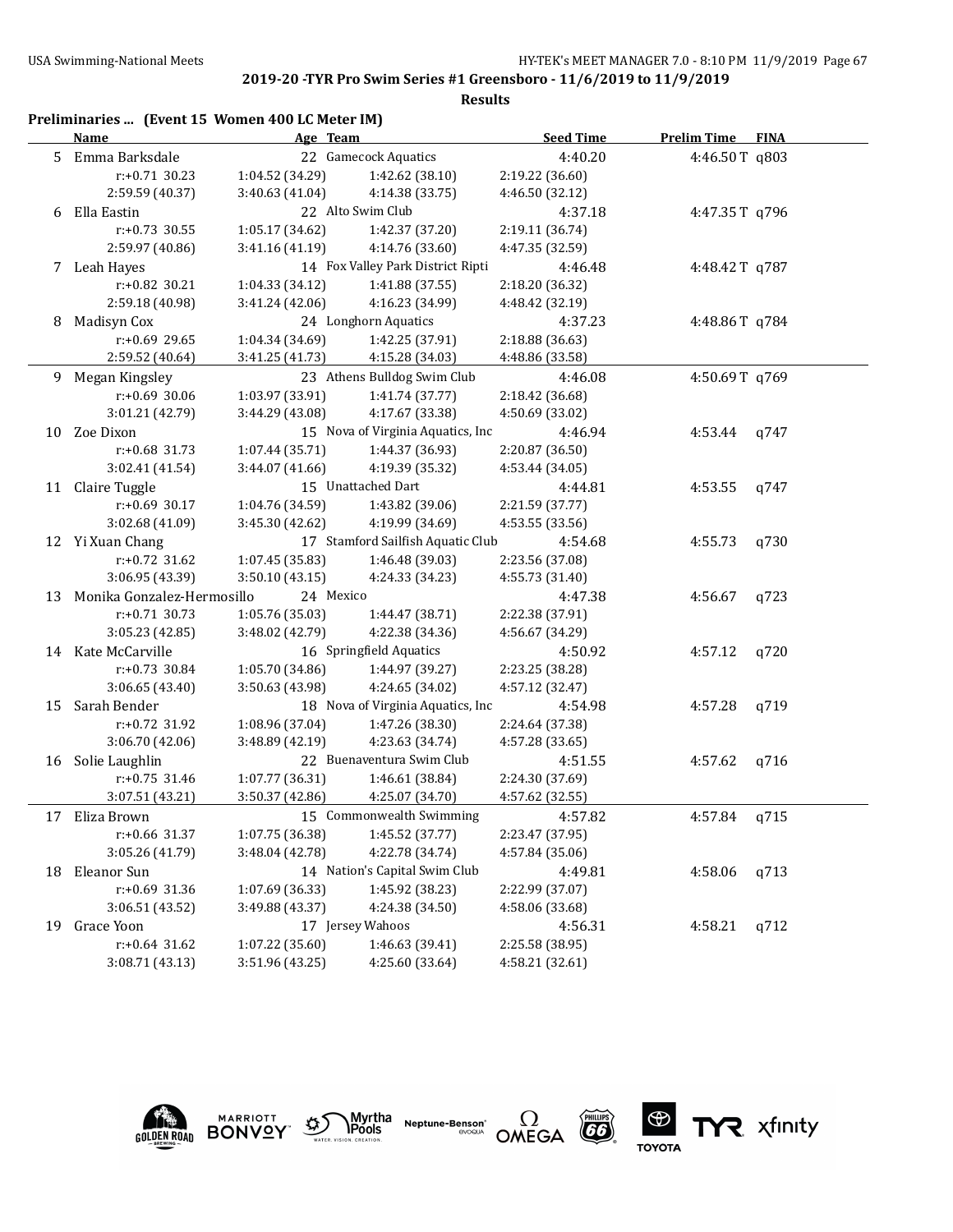### **Results**

|    | Preliminaries  (Event 15 Women 400 LC Meter IM)<br><b>Name</b> | Age Team        |                                   | <b>Seed Time</b> | <b>Prelim Time FINA</b> |      |
|----|----------------------------------------------------------------|-----------------|-----------------------------------|------------------|-------------------------|------|
| 5  | Emma Barksdale                                                 |                 | 22 Gamecock Aquatics              | 4:40.20          | 4:46.50T q803           |      |
|    | $r: +0.71$ 30.23                                               | 1:04.52 (34.29) | 1:42.62 (38.10)                   | 2:19.22 (36.60)  |                         |      |
|    | 2:59.59 (40.37)                                                | 3:40.63 (41.04) | 4:14.38 (33.75)                   | 4:46.50 (32.12)  |                         |      |
| 6  | Ella Eastin                                                    |                 | 22 Alto Swim Club                 | 4:37.18          | 4:47.35T q796           |      |
|    | $r: +0.73$ 30.55                                               | 1:05.17 (34.62) | 1:42.37 (37.20)                   | 2:19.11 (36.74)  |                         |      |
|    | 2:59.97 (40.86)                                                | 3:41.16 (41.19) | 4:14.76 (33.60)                   | 4:47.35 (32.59)  |                         |      |
|    | 7 Leah Hayes                                                   |                 | 14 Fox Valley Park District Ripti | 4:46.48          | 4:48.42T q787           |      |
|    | r:+0.82 30.21                                                  | 1:04.33(34.12)  | 1:41.88 (37.55)                   | 2:18.20 (36.32)  |                         |      |
|    | 2:59.18 (40.98)                                                | 3:41.24 (42.06) | 4:16.23 (34.99)                   | 4:48.42 (32.19)  |                         |      |
| 8  | Madisyn Cox                                                    |                 | 24 Longhorn Aquatics              | 4:37.23          | 4:48.86T q784           |      |
|    | r:+0.69 29.65                                                  | 1:04.34 (34.69) | 1:42.25 (37.91)                   | 2:18.88 (36.63)  |                         |      |
|    | 2:59.52 (40.64)                                                | 3:41.25 (41.73) | 4:15.28 (34.03)                   | 4:48.86 (33.58)  |                         |      |
|    | 9 Megan Kingsley                                               |                 | 23 Athens Bulldog Swim Club       | 4:46.08          | 4:50.69T q769           |      |
|    | r:+0.69 30.06                                                  | 1:03.97 (33.91) | 1:41.74 (37.77)                   | 2:18.42 (36.68)  |                         |      |
|    | 3:01.21 (42.79)                                                | 3:44.29 (43.08) | 4:17.67 (33.38)                   | 4:50.69 (33.02)  |                         |      |
|    | 10 Zoe Dixon                                                   |                 | 15 Nova of Virginia Aquatics, Inc | 4:46.94          | 4:53.44                 | q747 |
|    | r:+0.68 31.73                                                  | 1:07.44 (35.71) | 1:44.37 (36.93)                   | 2:20.87 (36.50)  |                         |      |
|    | 3:02.41 (41.54)                                                | 3:44.07 (41.66) | 4:19.39 (35.32)                   | 4:53.44 (34.05)  |                         |      |
|    | 11 Claire Tuggle                                               |                 | 15 Unattached Dart                | 4:44.81          | 4:53.55                 | q747 |
|    | $r: +0.69$ 30.17                                               | 1:04.76 (34.59) | 1:43.82 (39.06)                   | 2:21.59 (37.77)  |                         |      |
|    | 3:02.68 (41.09)                                                | 3:45.30 (42.62) | 4:19.99 (34.69)                   | 4:53.55 (33.56)  |                         |      |
|    | 12 Yi Xuan Chang                                               |                 | 17 Stamford Sailfish Aquatic Club | 4:54.68          | 4:55.73                 | q730 |
|    | $r: +0.72$ 31.62                                               | 1:07.45(35.83)  | 1:46.48 (39.03)                   | 2:23.56 (37.08)  |                         |      |
|    | 3:06.95 (43.39)                                                | 3:50.10(43.15)  | 4:24.33 (34.23)                   | 4:55.73 (31.40)  |                         |      |
| 13 | Monika Gonzalez-Hermosillo                                     | 24 Mexico       |                                   | 4:47.38          | 4:56.67                 | q723 |
|    | $r: +0.71$ 30.73                                               | 1:05.76 (35.03) | 1:44.47 (38.71)                   | 2:22.38 (37.91)  |                         |      |
|    | 3:05.23 (42.85)                                                | 3:48.02 (42.79) | 4:22.38 (34.36)                   | 4:56.67 (34.29)  |                         |      |
|    | 14 Kate McCarville                                             |                 | 16 Springfield Aquatics           | 4:50.92          | 4:57.12                 | q720 |
|    | r:+0.73 30.84                                                  | 1:05.70 (34.86) | 1:44.97 (39.27)                   | 2:23.25 (38.28)  |                         |      |
|    | 3:06.65 (43.40)                                                | 3:50.63 (43.98) | 4:24.65 (34.02)                   | 4:57.12 (32.47)  |                         |      |
| 15 | Sarah Bender                                                   |                 | 18 Nova of Virginia Aquatics, Inc | 4:54.98          | 4:57.28                 | q719 |
|    | r:+0.72 31.92                                                  | 1:08.96 (37.04) | 1:47.26 (38.30)                   | 2:24.64 (37.38)  |                         |      |
|    | 3:06.70 (42.06)                                                | 3:48.89 (42.19) | 4:23.63 (34.74)                   | 4:57.28 (33.65)  |                         |      |
|    | 16 Solie Laughlin                                              |                 | 22 Buenaventura Swim Club         | 4:51.55          | 4:57.62                 | q716 |
|    | $r: +0.75$ 31.46                                               | 1:07.77 (36.31) | 1:46.61 (38.84)                   | 2:24.30 (37.69)  |                         |      |
|    | 3:07.51 (43.21)                                                | 3:50.37 (42.86) | 4:25.07 (34.70)                   | 4:57.62 (32.55)  |                         |      |
| 17 | Eliza Brown                                                    |                 | 15 Commonwealth Swimming          | 4:57.82          | 4:57.84                 | q715 |
|    | r:+0.66 31.37                                                  | 1:07.75 (36.38) | 1:45.52 (37.77)                   | 2:23.47 (37.95)  |                         |      |
|    | 3:05.26 (41.79)                                                | 3:48.04 (42.78) | 4:22.78 (34.74)                   | 4:57.84 (35.06)  |                         |      |
| 18 | Eleanor Sun                                                    |                 | 14 Nation's Capital Swim Club     | 4:49.81          | 4:58.06                 | q713 |
|    | r:+0.69 31.36                                                  | 1:07.69 (36.33) | 1:45.92 (38.23)                   | 2:22.99 (37.07)  |                         |      |
|    | 3:06.51 (43.52)                                                | 3:49.88 (43.37) | 4:24.38 (34.50)                   | 4:58.06 (33.68)  |                         |      |
| 19 | Grace Yoon                                                     |                 | 17 Jersey Wahoos                  | 4:56.31          | 4:58.21                 | q712 |
|    | $r: +0.64$ 31.62                                               | 1:07.22 (35.60) | 1:46.63 (39.41)                   | 2:25.58 (38.95)  |                         |      |
|    | 3:08.71 (43.13)                                                | 3:51.96 (43.25) | 4:25.60 (33.64)                   | 4:58.21 (32.61)  |                         |      |



**MARRIOTT** 







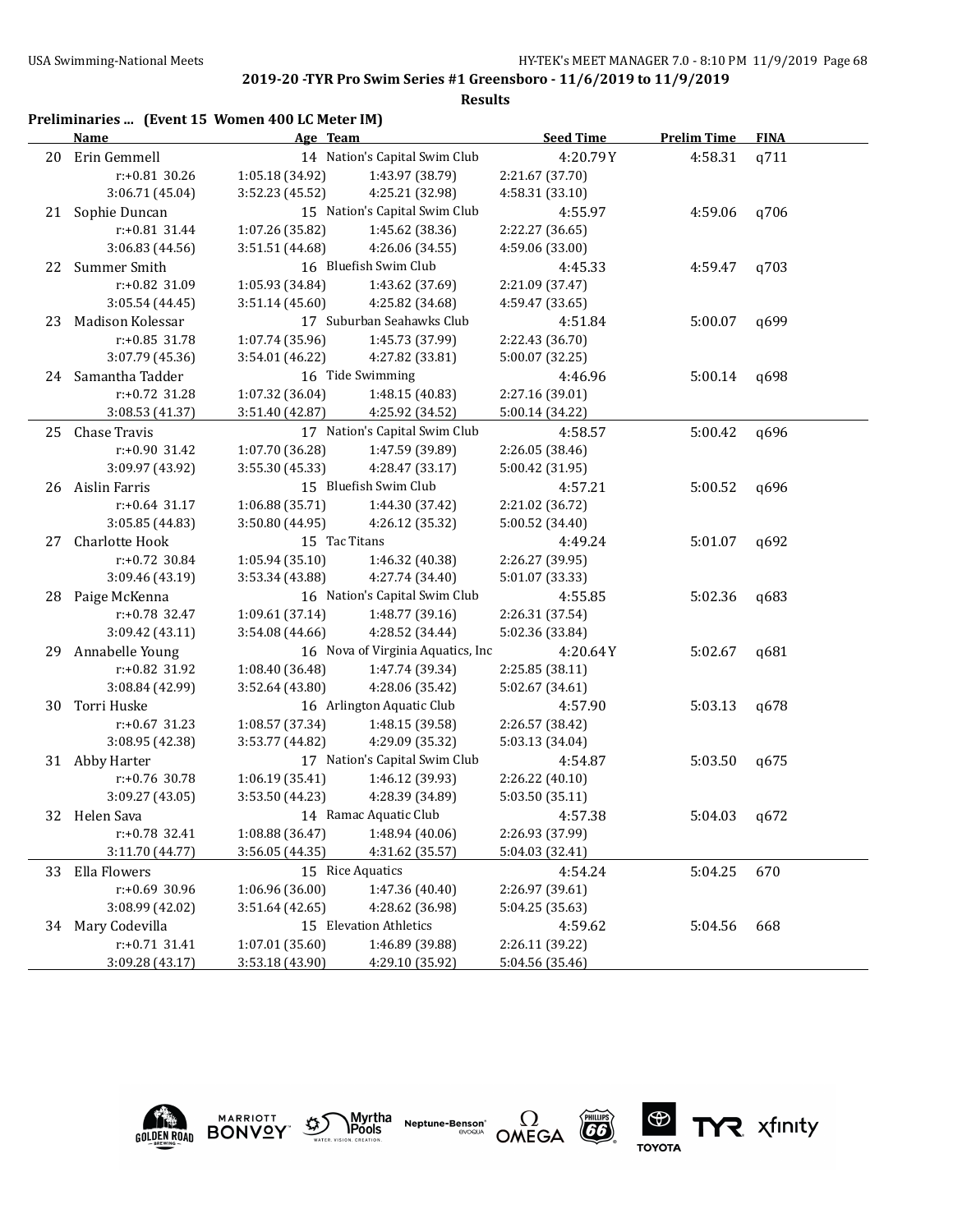### **Results**

|    | Preliminaries  (Event 15 Women 400 LC Meter IM)<br><b>Name</b> | Age Team                      |                                   | <b>Seed Time</b> | <b>Prelim Time</b> | <b>FINA</b> |
|----|----------------------------------------------------------------|-------------------------------|-----------------------------------|------------------|--------------------|-------------|
| 20 | Erin Gemmell                                                   |                               | 14 Nation's Capital Swim Club     | 4:20.79Y         | 4:58.31            | q711        |
|    | $r: +0.81$ 30.26                                               | 1:05.18 (34.92)               | 1:43.97 (38.79)                   | 2:21.67 (37.70)  |                    |             |
|    | 3:06.71 (45.04)                                                | 3:52.23 (45.52)               | 4:25.21 (32.98)                   | 4:58.31 (33.10)  |                    |             |
| 21 | Sophie Duncan                                                  |                               | 15 Nation's Capital Swim Club     | 4:55.97          | 4:59.06            | q706        |
|    | r:+0.81 31.44                                                  | 1:07.26 (35.82)               | 1:45.62 (38.36)                   | 2:22.27 (36.65)  |                    |             |
|    | 3:06.83 (44.56)                                                | 3:51.51 (44.68)               | 4:26.06 (34.55)                   | 4:59.06 (33.00)  |                    |             |
| 22 | Summer Smith                                                   |                               | 16 Bluefish Swim Club             | 4:45.33          | 4:59.47            | q703        |
|    | r:+0.82 31.09                                                  | 1:05.93 (34.84)               | 1:43.62 (37.69)                   | 2:21.09 (37.47)  |                    |             |
|    | 3:05.54 (44.45)                                                | 3:51.14(45.60)                | 4:25.82 (34.68)                   | 4:59.47 (33.65)  |                    |             |
| 23 | Madison Kolessar                                               |                               | 17 Suburban Seahawks Club         | 4:51.84          | 5:00.07            | q699        |
|    | $r: +0.85$ 31.78                                               | 1:07.74 (35.96)               | 1:45.73 (37.99)                   | 2:22.43 (36.70)  |                    |             |
|    | 3:07.79 (45.36)                                                | 3:54.01 (46.22)               | 4:27.82 (33.81)                   | 5:00.07 (32.25)  |                    |             |
|    | 24 Samantha Tadder                                             |                               | 16 Tide Swimming                  | 4:46.96          | 5:00.14            | q698        |
|    | r:+0.72 31.28                                                  | 1:07.32 (36.04)               | 1:48.15 (40.83)                   | 2:27.16 (39.01)  |                    |             |
|    | 3:08.53 (41.37)                                                | 3:51.40 (42.87)               | 4:25.92 (34.52)                   | 5:00.14 (34.22)  |                    |             |
|    | 25 Chase Travis                                                | 17 Nation's Capital Swim Club | 4:58.57                           | 5:00.42          | q696               |             |
|    | r:+0.90 31.42                                                  | 1:07.70 (36.28)               | 1:47.59 (39.89)                   | 2:26.05 (38.46)  |                    |             |
|    | 3:09.97 (43.92)                                                | 3:55.30 (45.33)               | 4:28.47 (33.17)                   | 5:00.42 (31.95)  |                    |             |
|    | 26 Aislin Farris                                               |                               | 15 Bluefish Swim Club             | 4:57.21          | 5:00.52            | q696        |
|    | $r: +0.64$ 31.17                                               | 1:06.88 (35.71)               | 1:44.30 (37.42)                   | 2:21.02 (36.72)  |                    |             |
|    | 3:05.85 (44.83)                                                | 3:50.80(44.95)                | 4:26.12 (35.32)                   | 5:00.52 (34.40)  |                    |             |
| 27 | Charlotte Hook                                                 | 15 Tac Titans                 |                                   | 4:49.24          | 5:01.07            | q692        |
|    | $r: +0.72$ 30.84                                               | 1:05.94(35.10)                | 1:46.32 (40.38)                   | 2:26.27 (39.95)  |                    |             |
|    | 3:09.46 (43.19)                                                | 3:53.34 (43.88)               | 4:27.74 (34.40)                   | 5:01.07 (33.33)  |                    |             |
| 28 | Paige McKenna                                                  |                               | 16 Nation's Capital Swim Club     | 4:55.85          | 5:02.36            | q683        |
|    | r:+0.78 32.47                                                  | 1:09.61 (37.14)               | 1:48.77 (39.16)                   | 2:26.31 (37.54)  |                    |             |
|    | 3:09.42 (43.11)                                                | 3:54.08 (44.66)               | 4:28.52 (34.44)                   | 5:02.36 (33.84)  |                    |             |
| 29 | Annabelle Young                                                |                               | 16 Nova of Virginia Aquatics, Inc | 4:20.64Y         | 5:02.67            | q681        |
|    | r:+0.82 31.92                                                  | 1:08.40 (36.48)               | 1:47.74 (39.34)                   | 2:25.85 (38.11)  |                    |             |
|    | 3:08.84 (42.99)                                                | 3:52.64 (43.80)               | 4:28.06 (35.42)                   | 5:02.67 (34.61)  |                    |             |
| 30 | Torri Huske                                                    |                               | 16 Arlington Aquatic Club         | 4:57.90          | 5:03.13            | q678        |
|    | $r: +0.67$ 31.23                                               | 1:08.57 (37.34)               | 1:48.15 (39.58)                   | 2:26.57 (38.42)  |                    |             |
|    | 3:08.95 (42.38)                                                | 3:53.77 (44.82)               | 4:29.09 (35.32)                   | 5:03.13 (34.04)  |                    |             |
|    | 31 Abby Harter                                                 |                               | 17 Nation's Capital Swim Club     | 4:54.87          | 5:03.50            | q675        |
|    | r:+0.76 30.78                                                  | 1:06.19(35.41)                | 1:46.12 (39.93)                   | 2:26.22 (40.10)  |                    |             |
|    | 3:09.27 (43.05)                                                | 3:53.50 (44.23)               | 4:28.39 (34.89)                   | 5:03.50 (35.11)  |                    |             |
|    | 32 Helen Sava                                                  |                               | 14 Ramac Aquatic Club             | 4:57.38          | 5:04.03            | q672        |
|    | r:+0.78 32.41                                                  | 1:08.88 (36.47)               | 1:48.94 (40.06)                   | 2:26.93 (37.99)  |                    |             |
|    | 3:11.70 (44.77)                                                | 3:56.05 (44.35)               | 4:31.62 (35.57)                   | 5:04.03 (32.41)  |                    |             |
|    | 33 Ella Flowers                                                |                               | 15 Rice Aquatics                  | 4:54.24          | 5:04.25            | 670         |
|    | r:+0.69 30.96                                                  | 1:06.96 (36.00)               | 1:47.36 (40.40)                   | 2:26.97 (39.61)  |                    |             |
|    | 3:08.99 (42.02)                                                | 3:51.64 (42.65)               | 4:28.62 (36.98)                   | 5:04.25 (35.63)  |                    |             |
| 34 | Mary Codevilla                                                 |                               | 15 Elevation Athletics            | 4:59.62          | 5:04.56            | 668         |
|    | $r: +0.71$ 31.41                                               | 1:07.01 (35.60)               | 1:46.89 (39.88)                   | 2:26.11 (39.22)  |                    |             |
|    | 3:09.28 (43.17)                                                | 3:53.18 (43.90)               | 4:29.10 (35.92)                   | 5:04.56 (35.46)  |                    |             |





**Neptune-Benson\***<br>evoqua





TYR xfinity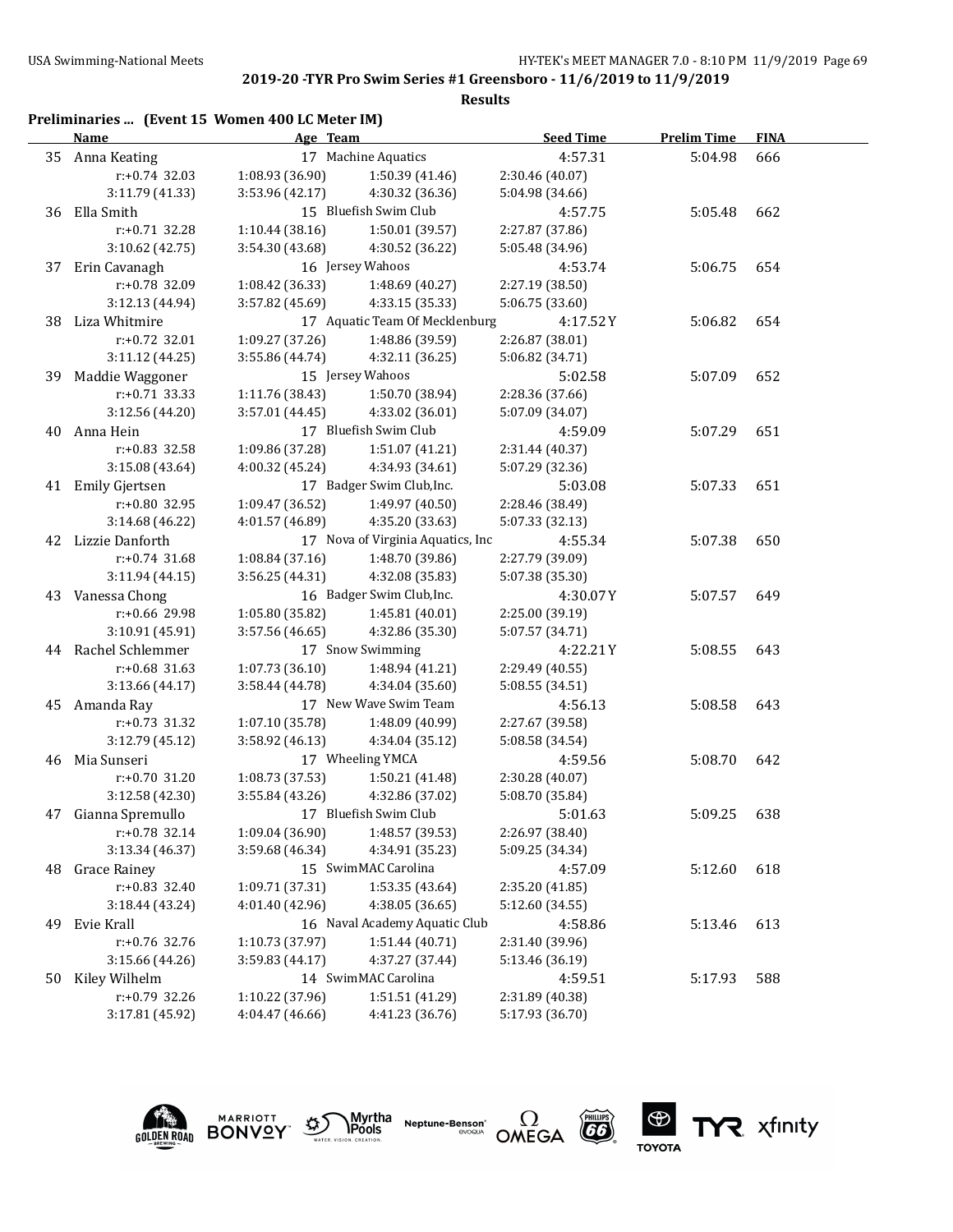|    |                                                 |                                    |                                        | 2019-20 -TYR Pro Swim Series #1 Greensboro - 11/6/2019 to 11/9/2019<br><b>Results</b> |                    |             |
|----|-------------------------------------------------|------------------------------------|----------------------------------------|---------------------------------------------------------------------------------------|--------------------|-------------|
|    | Preliminaries  (Event 15 Women 400 LC Meter IM) |                                    |                                        |                                                                                       |                    |             |
|    | Name                                            | Age Team                           |                                        | <b>Seed Time</b>                                                                      | <b>Prelim Time</b> | <b>FINA</b> |
|    | 35 Anna Keating                                 |                                    | 17 Machine Aquatics                    | 4:57.31                                                                               | 5:04.98            | 666         |
|    | $r: +0.74$ 32.03                                | 1:08.93 (36.90)                    | 1:50.39 (41.46)                        | 2:30.46 (40.07)                                                                       |                    |             |
|    | 3:11.79 (41.33)                                 | 3:53.96 (42.17)                    | 4:30.32 (36.36)                        | 5:04.98 (34.66)                                                                       |                    |             |
|    | 36 Ella Smith                                   |                                    | 15 Bluefish Swim Club                  | 4:57.75                                                                               | 5:05.48            | 662         |
|    | $r: +0.71$ 32.28                                | 1:10.44(38.16)                     | 1:50.01 (39.57)                        | 2:27.87 (37.86)                                                                       |                    |             |
|    | 3:10.62 (42.75)                                 | 3:54.30 (43.68)                    | 4:30.52 (36.22)                        | 5:05.48 (34.96)                                                                       |                    |             |
| 37 | Erin Cavanagh                                   |                                    | 16 Jersey Wahoos                       | 4:53.74                                                                               | 5:06.75            | 654         |
|    | r:+0.78 32.09                                   | 1:08.42 (36.33)                    | 1:48.69 (40.27)                        | 2:27.19 (38.50)                                                                       |                    |             |
|    | 3:12.13 (44.94)                                 | 3:57.82 (45.69)                    | 4:33.15 (35.33)                        | 5:06.75 (33.60)                                                                       |                    |             |
|    | 38 Liza Whitmire                                |                                    | 17 Aquatic Team Of Mecklenburg         | 4:17.52Y                                                                              | 5:06.82            | 654         |
|    | r:+0.72 32.01                                   | 1:09.27 (37.26)                    | 1:48.86 (39.59)                        | 2:26.87 (38.01)                                                                       |                    |             |
|    | 3:11.12 (44.25)                                 | 3:55.86 (44.74)                    | 4:32.11 (36.25)                        | 5:06.82 (34.71)                                                                       |                    |             |
| 39 | Maddie Waggoner                                 |                                    | 15 Jersey Wahoos                       | 5:02.58                                                                               | 5:07.09            | 652         |
|    | $r: +0.71$ 33.33                                | 1:11.76 (38.43)                    | 1:50.70 (38.94)                        | 2:28.36 (37.66)                                                                       |                    |             |
|    | 3:12.56 (44.20)                                 | 3:57.01(44.45)                     | 4:33.02 (36.01)                        | 5:07.09 (34.07)                                                                       |                    |             |
|    | 40 Anna Hein                                    |                                    | 17 Bluefish Swim Club                  | 4:59.09                                                                               | 5:07.29            | 651         |
|    | r:+0.83 32.58                                   | 1:09.86 (37.28)                    | 1:51.07 (41.21)                        | 2:31.44 (40.37)                                                                       |                    |             |
|    | 3:15.08(43.64)                                  | 4:00.32 (45.24)                    | 4:34.93 (34.61)                        | 5:07.29 (32.36)                                                                       |                    |             |
|    | 41 Emily Gjertsen                               |                                    | 17 Badger Swim Club, Inc.              | 5:03.08                                                                               | 5:07.33            | 651         |
|    | r:+0.80 32.95                                   | 1:09.47 (36.52)                    | 1:49.97 (40.50)                        |                                                                                       |                    |             |
|    | 3:14.68 (46.22)                                 | 4:01.57 (46.89)                    | 4:35.20 (33.63)                        | 2:28.46 (38.49)<br>5:07.33 (32.13)                                                    |                    |             |
|    | 42 Lizzie Danforth                              |                                    | 17 Nova of Virginia Aquatics, Inc      | 4:55.34                                                                               | 5:07.38            | 650         |
|    | $r: +0.74$ 31.68                                | 1:08.84 (37.16)                    | 1:48.70 (39.86)                        | 2:27.79 (39.09)                                                                       |                    |             |
|    | 3:11.94 (44.15)                                 | 3:56.25 (44.31)                    | 4:32.08 (35.83)                        | 5:07.38 (35.30)                                                                       |                    |             |
|    | 43 Vanessa Chong                                |                                    | 16 Badger Swim Club, Inc.              | 4:30.07Y                                                                              | 5:07.57            | 649         |
|    | r:+0.66 29.98                                   | 1:05.80 (35.82)                    | 1:45.81 (40.01)                        | 2:25.00 (39.19)                                                                       |                    |             |
|    | 3:10.91 (45.91)                                 | 3:57.56 (46.65)                    | 4:32.86 (35.30)                        | 5:07.57 (34.71)                                                                       |                    |             |
|    | 44 Rachel Schlemmer                             |                                    | 17 Snow Swimming                       | 4:22.21Y                                                                              | 5:08.55            | 643         |
|    | $r: +0.68$ 31.63                                | 1:07.73(36.10)                     | 1:48.94 (41.21)                        | 2:29.49 (40.55)                                                                       |                    |             |
|    | 3:13.66 (44.17)                                 | 3:58.44 (44.78)                    | 4:34.04 (35.60)                        | 5:08.55 (34.51)                                                                       |                    |             |
|    | 45 Amanda Ray                                   |                                    | 17 New Wave Swim Team                  | 4:56.13                                                                               | 5:08.58            | 643         |
|    | r:+0.73 31.32                                   | 1:07.10 (35.78)                    | 1:48.09 (40.99)                        | 2:27.67 (39.58)                                                                       |                    |             |
|    | 3:12.79 (45.12)                                 | 3:58.92(46.13)                     | 4:34.04 (35.12)                        | 5:08.58 (34.54)                                                                       |                    |             |
|    | 46 Mia Sunseri                                  | 17 Wheeling YMCA                   |                                        |                                                                                       |                    |             |
|    |                                                 |                                    | 1:50.21 (41.48)                        | 4:59.56                                                                               | 5:08.70 642        |             |
|    | r:+0.70 31.20<br>3:12.58 (42.30)                | 1:08.73 (37.53)<br>3:55.84 (43.26) | 4:32.86 (37.02)                        | 2:30.28 (40.07)                                                                       |                    |             |
|    | Gianna Spremullo                                |                                    | 17 Bluefish Swim Club                  | 5:08.70 (35.84)                                                                       |                    |             |
| 47 | r:+0.78 32.14                                   |                                    | 1:48.57 (39.53)                        | 5:01.63                                                                               | 5:09.25            | 638         |
|    |                                                 | 1:09.04 (36.90)                    |                                        | 2:26.97 (38.40)                                                                       |                    |             |
|    | 3:13.34 (46.37)                                 | 3:59.68 (46.34)                    | 4:34.91 (35.23)<br>15 SwimMAC Carolina | 5:09.25 (34.34)                                                                       |                    |             |
| 48 | <b>Grace Rainey</b>                             |                                    |                                        | 4:57.09                                                                               | 5:12.60            | 618         |
|    | $r: +0.83$ 32.40                                | 1:09.71 (37.31)                    | 1:53.35 (43.64)                        | 2:35.20 (41.85)                                                                       |                    |             |
|    | 3:18.44 (43.24)                                 | 4:01.40 (42.96)                    | 4:38.05 (36.65)                        | 5:12.60 (34.55)                                                                       |                    |             |
| 49 | Evie Krall<br>r:+0.76 32.76                     |                                    | 16 Naval Academy Aquatic Club          | 4:58.86                                                                               | 5:13.46            | 613         |
|    | 3:15.66 (44.26)                                 | 1:10.73 (37.97)<br>3:59.83 (44.17) | 1:51.44 (40.71)<br>4:37.27 (37.44)     | 2:31.40 (39.96)<br>5:13.46 (36.19)                                                    |                    |             |
|    |                                                 |                                    |                                        |                                                                                       |                    |             |

50 Kiley Wilhelm 14 SwimMAC Carolina 4:59.51 5:17.93 588 r:+0.79 32.26 1:10.22 (37.96) 1:51.51 (41.29) 2:31.89 (40.38) 3:17.81 (45.92) 4:04.47 (46.66) 4:41.23 (36.76) 5:17.93 (36.70)



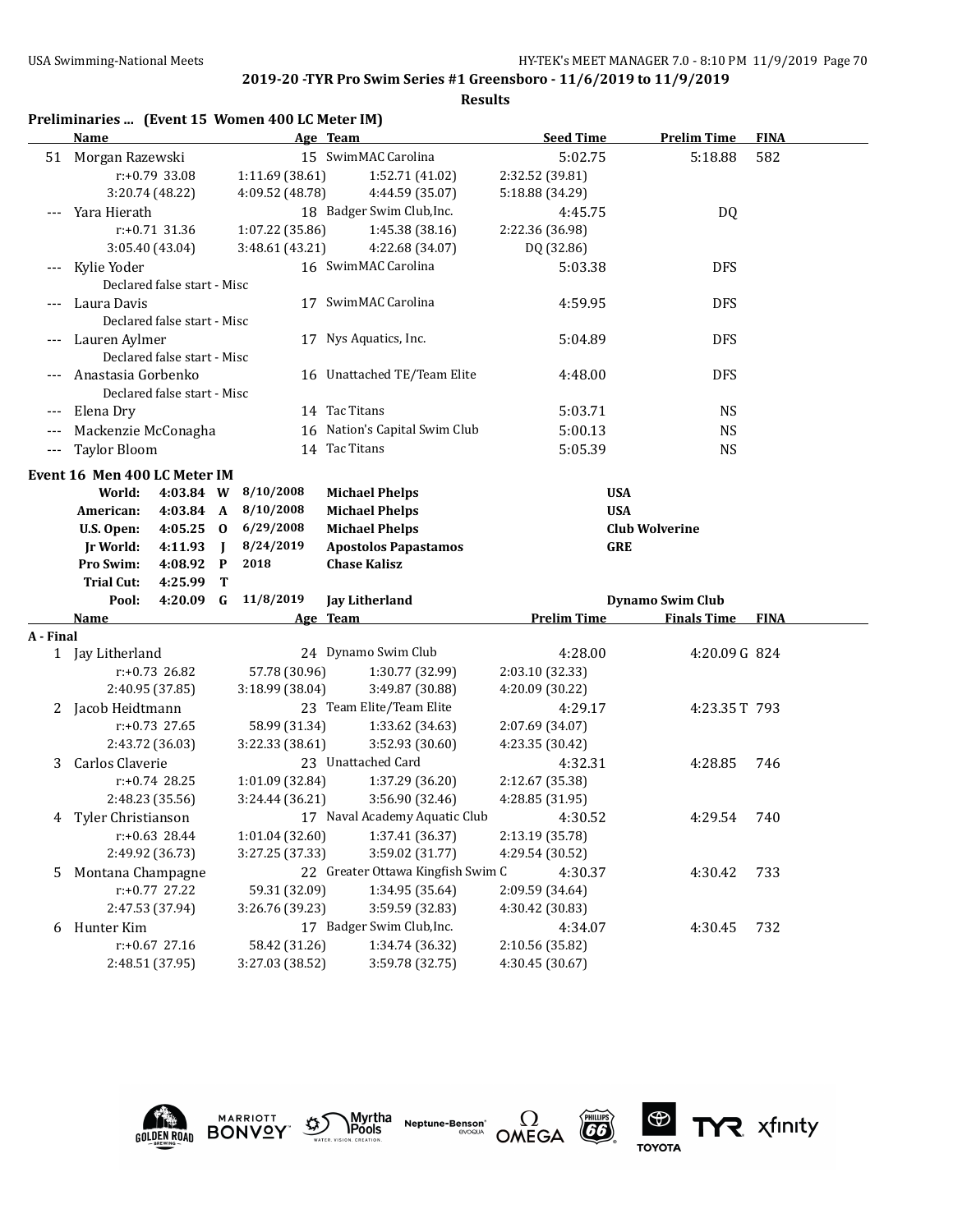|           | Preliminaries  (Event 15 Women 400 LC Meter IM) |                             |                |                             |                                   |                         |                       |             |
|-----------|-------------------------------------------------|-----------------------------|----------------|-----------------------------|-----------------------------------|-------------------------|-----------------------|-------------|
|           | <b>Name</b>                                     |                             |                |                             | Age Team                          | <b>Seed Time</b>        | <b>Prelim Time</b>    | <b>FINA</b> |
|           | 51 Morgan Razewski                              |                             |                |                             | 15 SwimMAC Carolina               | 5:02.75                 | 5:18.88               | 582         |
|           | r:+0.79 33.08                                   |                             |                | 1:11.69 (38.61)             | 1:52.71 (41.02)                   | 2:32.52 (39.81)         |                       |             |
|           | 3:20.74 (48.22)                                 |                             |                | 4:09.52 (48.78)             | 4:44.59 (35.07)                   | 5:18.88 (34.29)         |                       |             |
|           | --- Yara Hierath                                |                             |                |                             | 18 Badger Swim Club, Inc.         | 4:45.75                 | DQ                    |             |
|           | $r: +0.71$ 31.36                                |                             |                | 1:07.22 (35.86)             | 1:45.38 (38.16)                   | 2:22.36 (36.98)         |                       |             |
|           | 3:05.40 (43.04)                                 |                             |                | 3:48.61 (43.21)             | 4:22.68 (34.07)                   | DQ (32.86)              |                       |             |
|           | --- Kylie Yoder                                 |                             |                |                             | 16 SwimMAC Carolina               | 5:03.38                 | <b>DFS</b>            |             |
|           | Declared false start - Misc                     |                             |                |                             |                                   |                         |                       |             |
|           | Laura Davis                                     |                             |                |                             | 17 SwimMAC Carolina               | 4:59.95                 | <b>DFS</b>            |             |
|           |                                                 | Declared false start - Misc |                |                             |                                   |                         |                       |             |
|           | --- Lauren Aylmer                               |                             |                |                             | 17 Nys Aquatics, Inc.             | 5:04.89                 | <b>DFS</b>            |             |
|           | Declared false start - Misc                     |                             |                |                             |                                   |                         |                       |             |
|           | Anastasia Gorbenko                              |                             |                |                             | 16 Unattached TE/Team Elite       | 4:48.00                 | <b>DFS</b>            |             |
|           | Declared false start - Misc                     |                             |                |                             |                                   |                         |                       |             |
|           | Elena Dry                                       |                             |                |                             | 14 Tac Titans                     | 5:03.71                 | <b>NS</b>             |             |
|           | Mackenzie McConagha                             |                             |                |                             | 16 Nation's Capital Swim Club     | 5:00.13                 | <b>NS</b>             |             |
| $---$     | <b>Taylor Bloom</b>                             |                             |                |                             | 14 Tac Titans                     | 5:05.39                 | <b>NS</b>             |             |
|           | Event 16 Men 400 LC Meter IM                    |                             |                |                             |                                   |                         |                       |             |
|           | World:                                          | 4:03.84 W                   |                | 8/10/2008                   | <b>Michael Phelps</b>             |                         | <b>USA</b>            |             |
|           | American:                                       | $4:03.84$ A                 |                | 8/10/2008                   | <b>Michael Phelps</b>             |                         | <b>USA</b>            |             |
|           | U.S. Open:                                      | $4:05.25$ 0                 |                | 6/29/2008                   | <b>Michael Phelps</b>             |                         | <b>Club Wolverine</b> |             |
|           | Ir World:                                       | 4:11.93                     | $\blacksquare$ | 8/24/2019                   | <b>Apostolos Papastamos</b>       |                         | <b>GRE</b>            |             |
|           | Pro Swim:                                       | 4:08.92 P                   |                | 2018                        | <b>Chase Kalisz</b>               |                         |                       |             |
|           | <b>Trial Cut:</b>                               | 4:25.99                     | T              |                             |                                   |                         |                       |             |
|           | Pool:                                           | $4:20.09$ G                 |                | 11/8/2019<br>Jay Litherland |                                   | <b>Dynamo Swim Club</b> |                       |             |
|           | Name                                            |                             |                |                             | Age Team                          | <b>Prelim Time</b>      | <b>Finals Time</b>    | <b>FINA</b> |
| A - Final |                                                 |                             |                |                             |                                   |                         |                       |             |
|           | 1 Jay Litherland                                |                             |                |                             | 24 Dynamo Swim Club               | 4:28.00                 | 4:20.09G 824          |             |
|           | $r: +0.73$ 26.82                                |                             |                | 57.78 (30.96)               | 1:30.77 (32.99)                   | 2:03.10 (32.33)         |                       |             |
|           | 2:40.95 (37.85)                                 |                             |                | 3:18.99 (38.04)             | 3:49.87 (30.88)                   | 4:20.09 (30.22)         |                       |             |
|           | 2 Jacob Heidtmann                               |                             |                |                             | 23 Team Elite/Team Elite          | 4:29.17                 | 4:23.35T 793          |             |
|           | $r: +0.73$ 27.65                                |                             |                | 58.99 (31.34)               | 1:33.62 (34.63)                   | 2:07.69 (34.07)         |                       |             |
|           | 2:43.72 (36.03)                                 |                             |                | 3:22.33 (38.61)             | 3:52.93 (30.60)                   | 4:23.35 (30.42)         |                       |             |
| 3         | Carlos Claverie                                 |                             |                |                             | 23 Unattached Card                | 4:32.31                 | 4:28.85               | 746         |
|           | $r: +0.74$ 28.25                                |                             |                | 1:01.09 (32.84)             | 1:37.29 (36.20)                   | 2:12.67 (35.38)         |                       |             |
|           | 2:48.23 (35.56)                                 |                             |                | 3:24.44 (36.21)             | 3:56.90 (32.46)                   | 4:28.85 (31.95)         |                       |             |
| 4         | Tyler Christianson                              |                             |                |                             | 17 Naval Academy Aquatic Club     | 4:30.52                 | 4:29.54               | 740         |
|           | $r: +0.63$ 28.44                                |                             |                | 1:01.04 (32.60)             | 1:37.41 (36.37)                   | 2:13.19 (35.78)         |                       |             |
|           | 2:49.92 (36.73)                                 |                             |                | 3:27.25 (37.33)             | 3:59.02 (31.77)                   | 4:29.54 (30.52)         |                       |             |
| 5         | Montana Champagne                               |                             |                |                             | 22 Greater Ottawa Kingfish Swim C | 4:30.37                 | 4:30.42               | 733         |
|           | r:+0.77 27.22                                   |                             |                | 59.31 (32.09)               | 1:34.95 (35.64)                   | 2:09.59 (34.64)         |                       |             |
|           | 2:47.53 (37.94)                                 |                             |                | 3:26.76 (39.23)             | 3:59.59 (32.83)                   | 4:30.42 (30.83)         |                       |             |
| 6         | Hunter Kim                                      |                             |                |                             | 17 Badger Swim Club, Inc.         | 4:34.07                 | 4:30.45               | 732         |
|           | $r: +0.67$ 27.16                                |                             |                | 58.42 (31.26)               | 1:34.74 (36.32)                   | 2:10.56 (35.82)         |                       |             |
|           | 2:48.51 (37.95)                                 |                             |                | 3:27.03 (38.52)             | 3:59.78 (32.75)                   | 4:30.45 (30.67)         |                       |             |











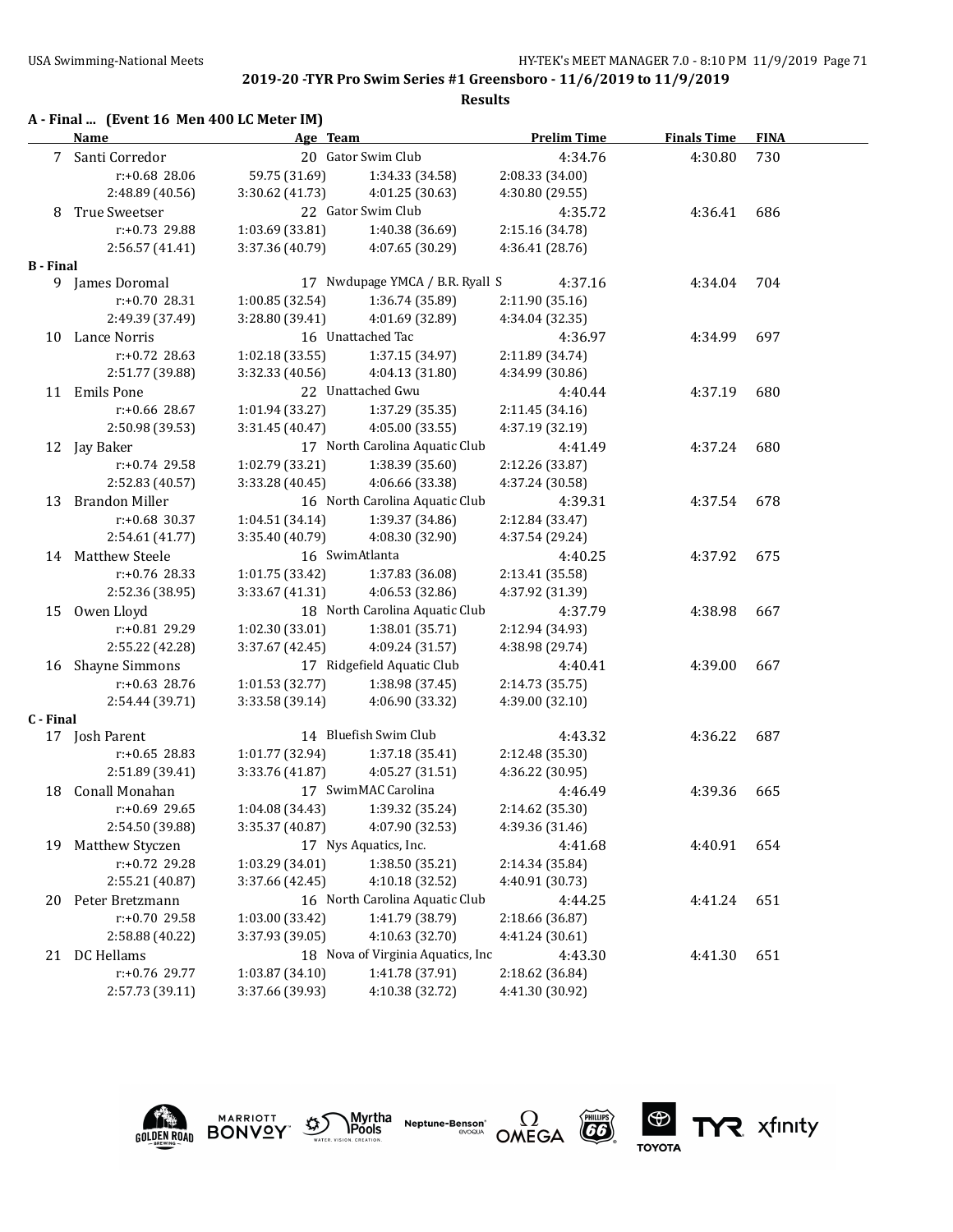|                  | A - Final  (Event 16 Men 400 LC Meter IM)<br><b>Name</b> | Age Team        |                                   | <b>Prelim Time</b> | <b>Finals Time</b> | <b>FINA</b> |
|------------------|----------------------------------------------------------|-----------------|-----------------------------------|--------------------|--------------------|-------------|
|                  | 7 Santi Corredor                                         |                 | 20 Gator Swim Club                | 4:34.76            | 4:30.80            | 730         |
|                  | $r: +0.68$ 28.06                                         | 59.75 (31.69)   | 1:34.33 (34.58)                   | 2:08.33 (34.00)    |                    |             |
|                  | 2:48.89 (40.56)                                          | 3:30.62 (41.73) | 4:01.25 (30.63)                   | 4:30.80 (29.55)    |                    |             |
| 8                | True Sweetser                                            |                 | 22 Gator Swim Club                | 4:35.72            | 4:36.41            | 686         |
|                  | $r: +0.73$ 29.88                                         | 1:03.69 (33.81) | 1:40.38 (36.69)                   | 2:15.16 (34.78)    |                    |             |
|                  | 2:56.57 (41.41)                                          | 3:37.36 (40.79) | 4:07.65 (30.29)                   | 4:36.41 (28.76)    |                    |             |
| <b>B</b> - Final |                                                          |                 |                                   |                    |                    |             |
|                  | 9 James Doromal                                          |                 | 17 Nwdupage YMCA / B.R. Ryall S   | 4:37.16            | 4:34.04            | 704         |
|                  | $r: +0.7028.31$                                          | 1:00.85(32.54)  | 1:36.74 (35.89)                   | 2:11.90 (35.16)    |                    |             |
|                  | 2:49.39 (37.49)                                          | 3:28.80 (39.41) | 4:01.69 (32.89)                   | 4:34.04 (32.35)    |                    |             |
| 10               | Lance Norris                                             |                 | 16 Unattached Tac                 | 4:36.97            | 4:34.99            | 697         |
|                  | $r: +0.72$ 28.63                                         | 1:02.18 (33.55) | 1:37.15 (34.97)                   | 2:11.89 (34.74)    |                    |             |
|                  | 2:51.77 (39.88)                                          | 3:32.33 (40.56) | 4:04.13 (31.80)                   | 4:34.99 (30.86)    |                    |             |
| 11               | <b>Emils Pone</b>                                        |                 | 22 Unattached Gwu                 | 4:40.44            | 4:37.19            | 680         |
|                  | $r: +0.66$ 28.67                                         | 1:01.94 (33.27) | 1:37.29 (35.35)                   | 2:11.45(34.16)     |                    |             |
|                  | 2:50.98 (39.53)                                          | 3:31.45 (40.47) | 4:05.00 (33.55)                   | 4:37.19 (32.19)    |                    |             |
|                  | 12 Jay Baker                                             |                 | 17 North Carolina Aquatic Club    | 4:41.49            | 4:37.24            | 680         |
|                  | $r: +0.74$ 29.58                                         | 1:02.79 (33.21) | 1:38.39 (35.60)                   | 2:12.26 (33.87)    |                    |             |
|                  | 2:52.83 (40.57)                                          | 3:33.28 (40.45) | 4:06.66 (33.38)                   | 4:37.24 (30.58)    |                    |             |
| 13               | <b>Brandon Miller</b>                                    |                 | 16 North Carolina Aquatic Club    | 4:39.31            | 4:37.54            | 678         |
|                  | $r: +0.68$ 30.37                                         | 1:04.51 (34.14) | 1:39.37 (34.86)                   | 2:12.84 (33.47)    |                    |             |
|                  | 2:54.61 (41.77)                                          | 3:35.40 (40.79) | 4:08.30 (32.90)                   | 4:37.54 (29.24)    |                    |             |
| 14               | <b>Matthew Steele</b>                                    |                 | 16 SwimAtlanta                    | 4:40.25            | 4:37.92            | 675         |
|                  | $r: +0.76$ 28.33                                         | 1:01.75 (33.42) | 1:37.83 (36.08)                   | 2:13.41 (35.58)    |                    |             |
|                  | 2:52.36 (38.95)                                          | 3:33.67 (41.31) | 4:06.53 (32.86)                   | 4:37.92 (31.39)    |                    |             |
| 15               | Owen Lloyd                                               |                 | 18 North Carolina Aquatic Club    | 4:37.79            | 4:38.98            | 667         |
|                  | r:+0.81 29.29                                            | 1:02.30 (33.01) | 1:38.01 (35.71)                   | 2:12.94 (34.93)    |                    |             |
|                  | 2:55.22 (42.28)                                          | 3:37.67 (42.45) | 4:09.24 (31.57)                   | 4:38.98 (29.74)    |                    |             |
| 16               | <b>Shayne Simmons</b>                                    |                 | 17 Ridgefield Aquatic Club        | 4:40.41            | 4:39.00            | 667         |
|                  | $r: +0.63$ 28.76                                         | 1:01.53 (32.77) | 1:38.98 (37.45)                   | 2:14.73 (35.75)    |                    |             |
|                  | 2:54.44 (39.71)                                          | 3:33.58 (39.14) | 4:06.90 (33.32)                   | 4:39.00 (32.10)    |                    |             |
| C - Final        |                                                          |                 |                                   |                    |                    |             |
|                  | 17 Josh Parent                                           |                 | 14 Bluefish Swim Club             | 4:43.32            | 4:36.22            | 687         |
|                  | $r: +0.65$ 28.83                                         | 1:01.77 (32.94) | 1:37.18 (35.41)                   | 2:12.48 (35.30)    |                    |             |
|                  | 2:51.89 (39.41)                                          | 3:33.76 (41.87) | 4:05.27 (31.51)                   | 4:36.22 (30.95)    |                    |             |
|                  | 18 Conall Monahan                                        |                 | 17 SwimMAC Carolina               | 4:46.49            | 4:39.36            | 665         |
|                  |                                                          | 1:04.08 (34.43) | 1:39.32 (35.24)                   | 2:14.62 (35.30)    |                    |             |
|                  | r:+0.69 29.65                                            | 3:35.37 (40.87) | 4:07.90 (32.53)                   | 4:39.36 (31.46)    |                    |             |
|                  | 2:54.50 (39.88)                                          |                 | 17 Nys Aquatics, Inc.             |                    |                    |             |
| 19               | Matthew Styczen                                          |                 |                                   | 4:41.68            | 4:40.91            | 654         |
|                  | r:+0.72 29.28                                            | 1:03.29 (34.01) | 1:38.50 (35.21)                   | 2:14.34 (35.84)    |                    |             |
|                  | 2:55.21 (40.87)                                          | 3:37.66 (42.45) | 4:10.18 (32.52)                   | 4:40.91 (30.73)    |                    |             |
| 20               | Peter Bretzmann                                          |                 | 16 North Carolina Aquatic Club    | 4:44.25            | 4:41.24            | 651         |
|                  | r:+0.70 29.58                                            | 1:03.00 (33.42) | 1:41.79 (38.79)                   | 2:18.66 (36.87)    |                    |             |
|                  | 2:58.88 (40.22)                                          | 3:37.93 (39.05) | 4:10.63 (32.70)                   | 4:41.24 (30.61)    |                    |             |
|                  | 21 DC Hellams                                            |                 | 18 Nova of Virginia Aquatics, Inc | 4:43.30            | 4:41.30            | 651         |
|                  | r:+0.76 29.77                                            | 1:03.87 (34.10) | 1:41.78 (37.91)                   | 2:18.62 (36.84)    |                    |             |
|                  | 2:57.73 (39.11)                                          | 3:37.66 (39.93) | 4:10.38 (32.72)                   | 4:41.30 (30.92)    |                    |             |











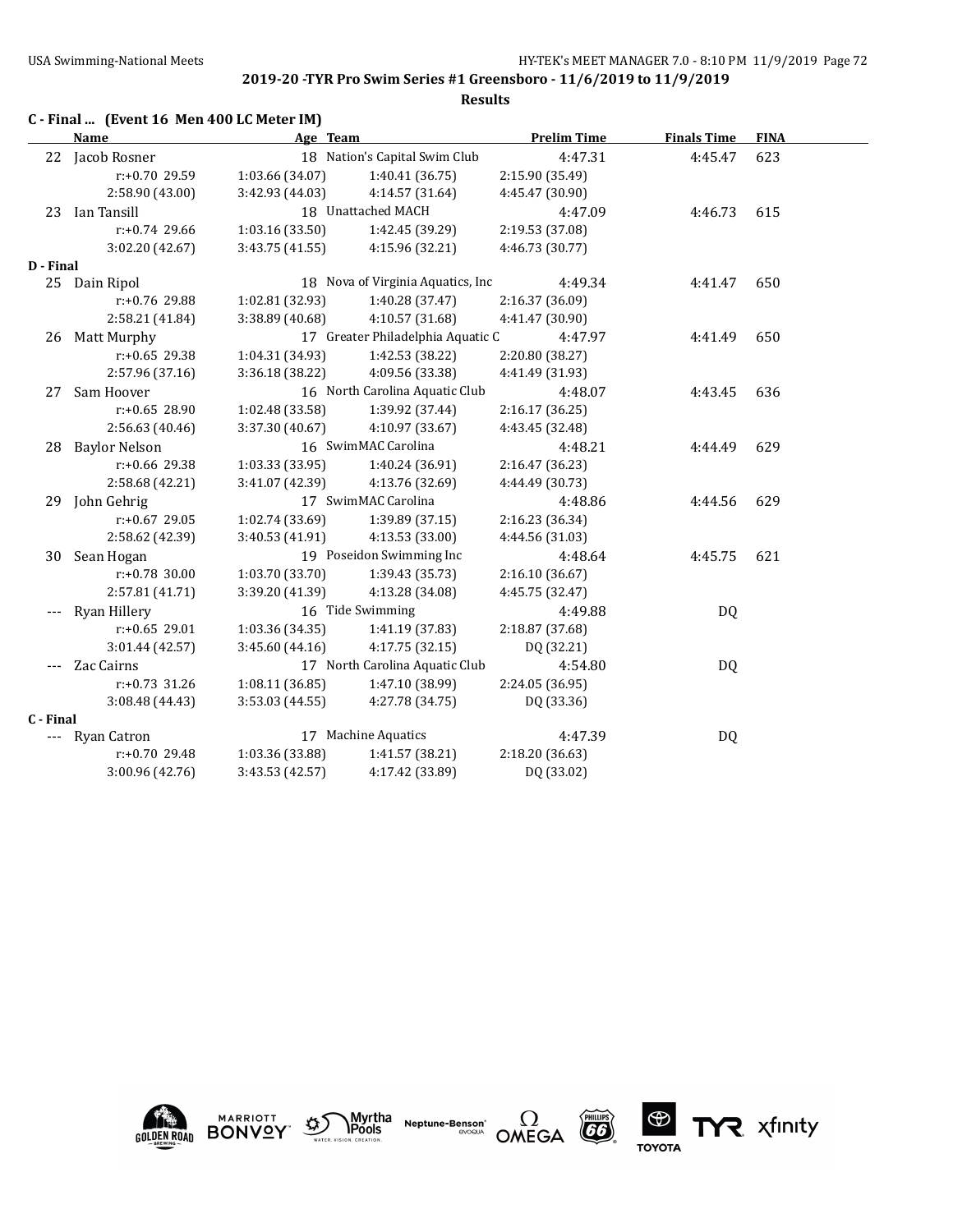|           | C - Final  (Event 16 Men 400 LC Meter IM) |                     |                                   |                    |                    |             |
|-----------|-------------------------------------------|---------------------|-----------------------------------|--------------------|--------------------|-------------|
|           | <b>Name</b>                               | Age Team            |                                   | <b>Prelim Time</b> | <b>Finals Time</b> | <b>FINA</b> |
| 22        | Jacob Rosner                              |                     | 18 Nation's Capital Swim Club     | 4:47.31            | 4:45.47            | 623         |
|           | $r: +0.70$ 29.59                          | 1:03.66 (34.07)     | 1:40.41 (36.75)                   | 2:15.90 (35.49)    |                    |             |
|           | 2:58.90 (43.00)                           | 3:42.93 (44.03)     | 4:14.57 (31.64)                   | 4:45.47 (30.90)    |                    |             |
| 23        | Ian Tansill                               |                     | 18 Unattached MACH                | 4:47.09            | 4:46.73            | 615         |
|           | $r: +0.74$ 29.66                          | 1:03.16(33.50)      | 1:42.45 (39.29)                   | 2:19.53 (37.08)    |                    |             |
|           | 3:02.20 (42.67)                           | 3:43.75 (41.55)     | 4:15.96 (32.21)                   | 4:46.73 (30.77)    |                    |             |
| D - Final |                                           |                     |                                   |                    |                    |             |
|           | 25 Dain Ripol                             |                     | 18 Nova of Virginia Aquatics, Inc | 4:49.34            | 4:41.47            | 650         |
|           | r:+0.76 29.88                             | 1:02.81 (32.93)     | 1:40.28 (37.47)                   | 2:16.37 (36.09)    |                    |             |
|           | 2:58.21 (41.84)                           | 3:38.89 (40.68)     | 4:10.57 (31.68)                   | 4:41.47 (30.90)    |                    |             |
| 26        | Matt Murphy                               |                     | 17 Greater Philadelphia Aquatic C | 4:47.97            | 4:41.49            | 650         |
|           | $r: +0.65$ 29.38                          | 1:04.31 (34.93)     | 1:42.53 (38.22)                   | 2:20.80 (38.27)    |                    |             |
|           | 2:57.96 (37.16)                           | 3:36.18 (38.22)     | 4:09.56 (33.38)                   | 4:41.49 (31.93)    |                    |             |
| 27        | Sam Hoover                                |                     | 16 North Carolina Aquatic Club    | 4:48.07            | 4:43.45            | 636         |
|           | $r: +0.65$ 28.90                          | 1:02.48 (33.58)     | 1:39.92 (37.44)                   | 2:16.17 (36.25)    |                    |             |
|           | 2:56.63 (40.46)                           | 3:37.30 (40.67)     | 4:10.97 (33.67)                   | 4:43.45 (32.48)    |                    |             |
| 28        | <b>Baylor Nelson</b>                      |                     | 16 SwimMAC Carolina               | 4:48.21            | 4:44.49            | 629         |
|           | r:+0.66 29.38                             | 1:03.33 (33.95)     | 1:40.24 (36.91)                   | 2:16.47 (36.23)    |                    |             |
|           | 2:58.68 (42.21)                           | 3:41.07 (42.39)     | 4:13.76 (32.69)                   | 4:44.49 (30.73)    |                    |             |
| 29        | John Gehrig                               |                     | 17 SwimMAC Carolina               | 4:48.86            | 4:44.56            | 629         |
|           | $r: +0.67$ 29.05                          | 1:02.74 (33.69)     | 1:39.89 (37.15)                   | 2:16.23 (36.34)    |                    |             |
|           | 2:58.62 (42.39)                           | 3:40.53 (41.91)     | 4:13.53 (33.00)                   | 4:44.56 (31.03)    |                    |             |
| 30        | Sean Hogan                                |                     | 19 Poseidon Swimming Inc          | 4:48.64            | 4:45.75            | 621         |
|           | $r: +0.78$ 30.00                          | 1:03.70 (33.70)     | 1:39.43 (35.73)                   | 2:16.10 (36.67)    |                    |             |
|           | 2:57.81 (41.71)                           | 3:39.20 (41.39)     | 4:13.28 (34.08)                   | 4:45.75 (32.47)    |                    |             |
| $---$     | <b>Ryan Hillery</b>                       |                     | 16 Tide Swimming                  | 4:49.88            | DQ                 |             |
|           | $r: +0.65$ 29.01                          | 1:03.36 (34.35)     | 1:41.19 (37.83)                   | 2:18.87 (37.68)    |                    |             |
|           | 3:01.44 (42.57)                           | 3:45.60 (44.16)     | 4:17.75 (32.15)                   | DQ (32.21)         |                    |             |
|           | Zac Cairns                                |                     | 17 North Carolina Aquatic Club    | 4:54.80            | DQ                 |             |
|           | $r: +0.73$ 31.26                          | 1:08.11 (36.85)     | 1:47.10 (38.99)                   | 2:24.05 (36.95)    |                    |             |
|           | 3:08.48 (44.43)                           | 3:53.03 (44.55)     | 4:27.78 (34.75)                   | DQ (33.36)         |                    |             |
| C - Final |                                           |                     |                                   |                    |                    |             |
|           | Ryan Catron                               | 17 Machine Aquatics |                                   | 4:47.39            | DQ                 |             |
|           | $r: +0.70$ 29.48                          | 1:03.36 (33.88)     | 1:41.57 (38.21)                   | 2:18.20 (36.63)    |                    |             |
|           | 3:00.96 (42.76)                           | 3:43.53 (42.57)     | 4:17.42 (33.89)                   | DQ (33.02)         |                    |             |









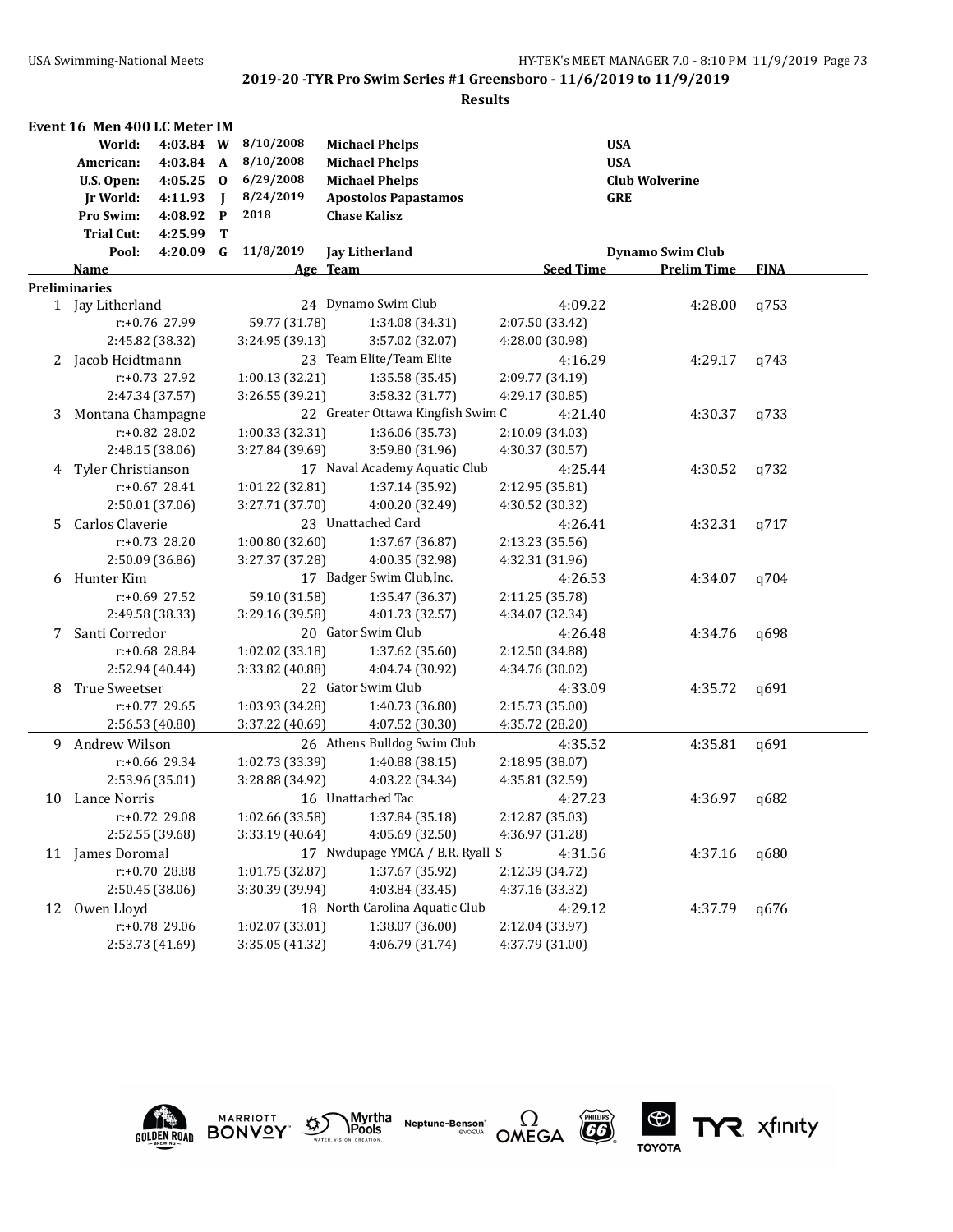|    | Event 16 Men 400 LC Meter IM |                  |                |                 |                                   |                  |                         |             |
|----|------------------------------|------------------|----------------|-----------------|-----------------------------------|------------------|-------------------------|-------------|
|    | World:                       | 4:03.84 W        |                | 8/10/2008       | <b>Michael Phelps</b>             | <b>USA</b>       |                         |             |
|    | American:                    | 4:03.84 A        |                | 8/10/2008       | <b>Michael Phelps</b>             | <b>USA</b>       |                         |             |
|    | U.S. Open:                   | $4:05.25$ 0      |                | 6/29/2008       | <b>Michael Phelps</b>             |                  | <b>Club Wolverine</b>   |             |
|    | Jr World:                    | 4:11.93          | $\blacksquare$ | 8/24/2019       | <b>Apostolos Papastamos</b>       | <b>GRE</b>       |                         |             |
|    | Pro Swim:                    | 4:08.92          | $\mathbf P$    | 2018            | <b>Chase Kalisz</b>               |                  |                         |             |
|    | <b>Trial Cut:</b>            | 4:25.99          | T              |                 |                                   |                  |                         |             |
|    | Pool:                        | 4:20.09 G        |                | 11/8/2019       | <b>Jay Litherland</b>             |                  | <b>Dynamo Swim Club</b> |             |
|    | <u>Name</u>                  |                  |                |                 | Age Team                          | <b>Seed Time</b> | <b>Prelim Time</b>      | <b>FINA</b> |
|    | <b>Preliminaries</b>         |                  |                |                 |                                   |                  |                         |             |
|    | 1 Jay Litherland             |                  |                |                 | 24 Dynamo Swim Club               | 4:09.22          | 4:28.00                 | q753        |
|    |                              | r:+0.76 27.99    |                | 59.77 (31.78)   | 1:34.08 (34.31)                   | 2:07.50 (33.42)  |                         |             |
|    | 2:45.82 (38.32)              |                  |                | 3:24.95 (39.13) | 3:57.02 (32.07)                   | 4:28.00 (30.98)  |                         |             |
|    | 2 Jacob Heidtmann            |                  |                |                 | 23 Team Elite/Team Elite          | 4:16.29          | 4:29.17                 | q743        |
|    |                              | r:+0.73 27.92    |                | 1:00.13 (32.21) | 1:35.58 (35.45)                   | 2:09.77 (34.19)  |                         |             |
|    |                              | 2:47.34 (37.57)  |                | 3:26.55 (39.21) | 3:58.32 (31.77)                   | 4:29.17 (30.85)  |                         |             |
| 3  | Montana Champagne            |                  |                |                 | 22 Greater Ottawa Kingfish Swim C | 4:21.40          | 4:30.37                 | q733        |
|    |                              | r:+0.82 28.02    |                | 1:00.33 (32.31) | 1:36.06 (35.73)                   | 2:10.09 (34.03)  |                         |             |
|    | 2:48.15 (38.06)              |                  |                | 3:27.84 (39.69) | 3:59.80 (31.96)                   | 4:30.37 (30.57)  |                         |             |
| 4  | Tyler Christianson           |                  |                |                 | 17 Naval Academy Aquatic Club     | 4:25.44          | 4:30.52                 | a732        |
|    |                              | $r: +0.67$ 28.41 |                | 1:01.22 (32.81) | 1:37.14 (35.92)                   | 2:12.95 (35.81)  |                         |             |
|    | 2:50.01 (37.06)              |                  |                | 3:27.71 (37.70) | 4:00.20 (32.49)                   | 4:30.52 (30.32)  |                         |             |
| 5. | Carlos Claverie              |                  |                |                 | 23 Unattached Card                | 4:26.41          | 4:32.31                 | q717        |
|    |                              | $r: +0.73$ 28.20 |                | 1:00.80 (32.60) | 1:37.67 (36.87)                   | 2:13.23 (35.56)  |                         |             |
|    | 2:50.09 (36.86)              |                  |                | 3:27.37 (37.28) | 4:00.35 (32.98)                   | 4:32.31 (31.96)  |                         |             |
| 6  | Hunter Kim                   |                  |                |                 | 17 Badger Swim Club, Inc.         | 4:26.53          | 4:34.07                 | q704        |
|    |                              | r:+0.69 27.52    |                | 59.10 (31.58)   | 1:35.47 (36.37)                   | 2:11.25 (35.78)  |                         |             |
|    | 2:49.58 (38.33)              |                  |                | 3:29.16 (39.58) | 4:01.73 (32.57)                   | 4:34.07 (32.34)  |                         |             |
| 7  | Santi Corredor               |                  |                |                 | 20 Gator Swim Club                | 4:26.48          | 4:34.76                 | q698        |
|    |                              | r:+0.68 28.84    |                | 1:02.02 (33.18) | 1:37.62 (35.60)                   | 2:12.50 (34.88)  |                         |             |
|    | 2:52.94 (40.44)              |                  |                | 3:33.82 (40.88) | 4:04.74 (30.92)                   | 4:34.76 (30.02)  |                         |             |
| 8  | True Sweetser                |                  |                |                 | 22 Gator Swim Club                | 4:33.09          | 4:35.72                 | q691        |
|    |                              | r:+0.77 29.65    |                | 1:03.93 (34.28) | 1:40.73 (36.80)                   | 2:15.73 (35.00)  |                         |             |
|    | 2:56.53 (40.80)              |                  |                | 3:37.22 (40.69) | 4:07.52 (30.30)                   | 4:35.72 (28.20)  |                         |             |
| 9  | Andrew Wilson                |                  |                |                 | 26 Athens Bulldog Swim Club       | 4:35.52          | 4:35.81                 | q691        |
|    |                              | $r: +0.66$ 29.34 |                | 1:02.73 (33.39) | 1:40.88 (38.15)                   | 2:18.95 (38.07)  |                         |             |
|    | 2:53.96 (35.01)              |                  |                | 3:28.88 (34.92) | 4:03.22 (34.34)                   | 4:35.81 (32.59)  |                         |             |
| 10 | Lance Norris                 |                  |                |                 | 16 Unattached Tac                 | 4:27.23          | 4:36.97                 | q682        |
|    |                              | r:+0.72 29.08    |                | 1:02.66 (33.58) | 1:37.84 (35.18)                   | 2:12.87 (35.03)  |                         |             |
|    | 2:52.55 (39.68)              |                  |                | 3:33.19 (40.64) | 4:05.69 (32.50)                   | 4:36.97 (31.28)  |                         |             |
|    | 11 James Doromal             |                  |                |                 | 17 Nwdupage YMCA / B.R. Ryall S   | 4:31.56          | 4:37.16                 | q680        |
|    |                              | r:+0.70 28.88    |                | 1:01.75 (32.87) | 1:37.67 (35.92)                   | 2:12.39 (34.72)  |                         |             |
|    | 2:50.45 (38.06)              |                  |                | 3:30.39 (39.94) | 4:03.84 (33.45)                   | 4:37.16 (33.32)  |                         |             |
| 12 | Owen Lloyd                   |                  |                |                 | 18 North Carolina Aquatic Club    | 4:29.12          | 4:37.79                 | q676        |
|    |                              | r:+0.78 29.06    |                | 1:02.07 (33.01) | 1:38.07 (36.00)                   | 2:12.04 (33.97)  |                         |             |
|    | 2:53.73 (41.69)              |                  |                | 3:35.05 (41.32) | 4:06.79 (31.74)                   | 4:37.79 (31.00)  |                         |             |









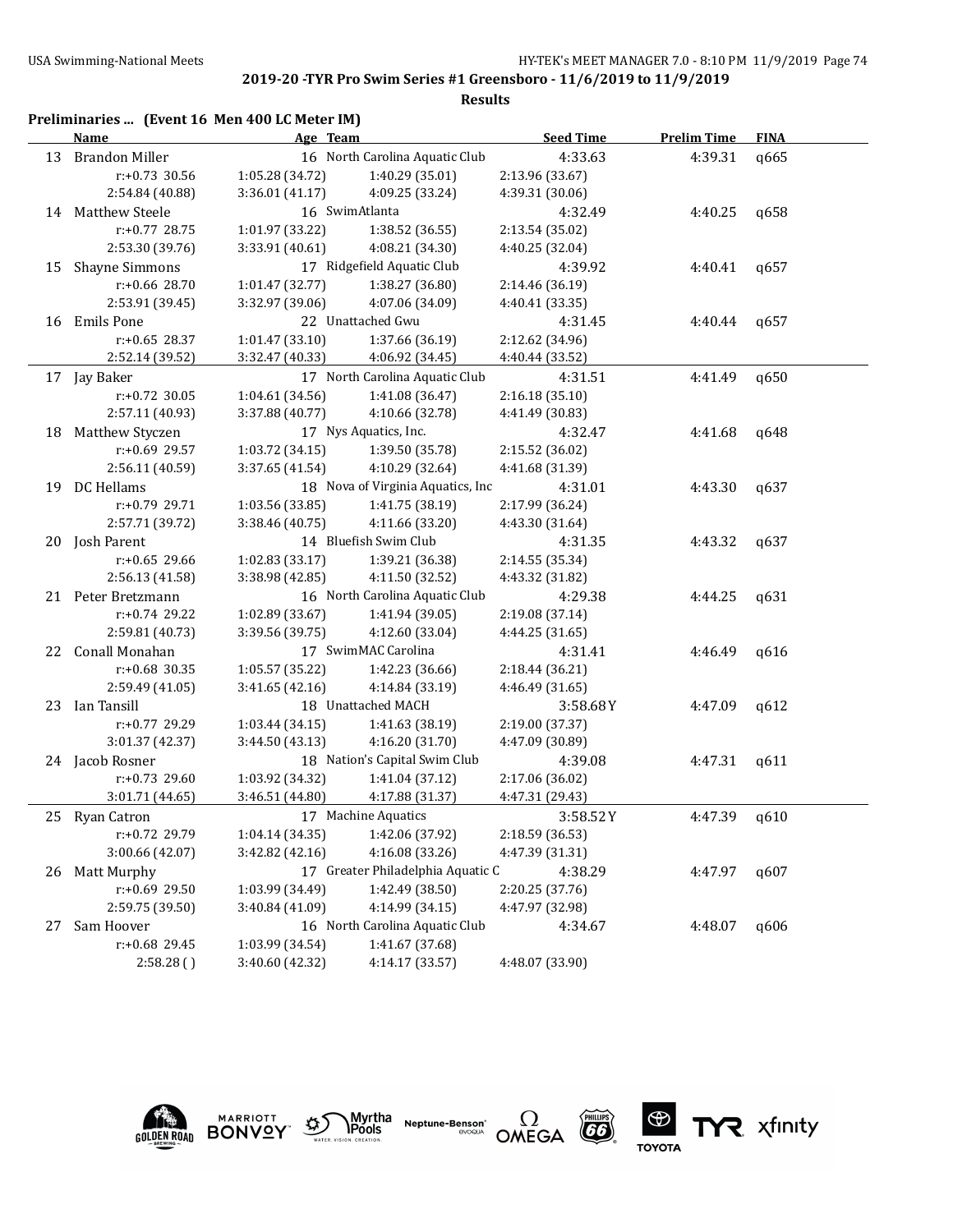|    | Preliminaries  (Event 16 Men 400 LC Meter IM) |                 |                                   |                  |                    |             |
|----|-----------------------------------------------|-----------------|-----------------------------------|------------------|--------------------|-------------|
|    | Name                                          | Age Team        |                                   | <b>Seed Time</b> | <b>Prelim Time</b> | <b>FINA</b> |
| 13 | <b>Brandon Miller</b>                         |                 | 16 North Carolina Aquatic Club    | 4:33.63          | 4:39.31            | q665        |
|    | $r: +0.73$ 30.56                              | 1:05.28 (34.72) | 1:40.29 (35.01)                   | 2:13.96 (33.67)  |                    |             |
|    | 2:54.84 (40.88)                               | 3:36.01 (41.17) | 4:09.25 (33.24)                   | 4:39.31 (30.06)  |                    |             |
|    | 14 Matthew Steele                             |                 | 16 SwimAtlanta                    | 4:32.49          | 4:40.25            | q658        |
|    | $r: +0.77$ 28.75                              | 1:01.97 (33.22) | 1:38.52 (36.55)                   | 2:13.54 (35.02)  |                    |             |
|    | 2:53.30 (39.76)                               | 3:33.91 (40.61) | 4:08.21 (34.30)                   | 4:40.25 (32.04)  |                    |             |
| 15 | <b>Shayne Simmons</b>                         |                 | 17 Ridgefield Aquatic Club        | 4:39.92          | 4:40.41            | q657        |
|    | r:+0.66 28.70                                 | 1:01.47(32.77)  | 1:38.27 (36.80)                   | 2:14.46 (36.19)  |                    |             |
|    | 2:53.91 (39.45)                               | 3:32.97 (39.06) | 4:07.06 (34.09)                   | 4:40.41 (33.35)  |                    |             |
|    | 16 Emils Pone                                 |                 | 22 Unattached Gwu                 | 4:31.45          | 4:40.44            | q657        |
|    | $r: +0.65$ 28.37                              | 1:01.47(33.10)  | 1:37.66 (36.19)                   | 2:12.62 (34.96)  |                    |             |
|    | 2:52.14 (39.52)                               | 3:32.47 (40.33) | 4:06.92 (34.45)                   | 4:40.44 (33.52)  |                    |             |
|    | 17 Jay Baker                                  |                 | 17 North Carolina Aquatic Club    | 4:31.51          | 4:41.49            | q650        |
|    | $r: +0.72$ 30.05                              | 1:04.61 (34.56) | 1:41.08 (36.47)                   | 2:16.18 (35.10)  |                    |             |
|    | 2:57.11 (40.93)                               | 3:37.88 (40.77) | 4:10.66 (32.78)                   | 4:41.49 (30.83)  |                    |             |
| 18 | Matthew Styczen                               |                 | 17 Nys Aquatics, Inc.             | 4:32.47          | 4:41.68            | q648        |
|    | r:+0.69 29.57                                 | 1:03.72 (34.15) | 1:39.50 (35.78)                   | 2:15.52 (36.02)  |                    |             |
|    | 2:56.11 (40.59)                               | 3:37.65 (41.54) | 4:10.29 (32.64)                   | 4:41.68 (31.39)  |                    |             |
|    | 19 DC Hellams                                 |                 | 18 Nova of Virginia Aquatics, Inc | 4:31.01          | 4:43.30            | q637        |
|    | r:+0.79 29.71                                 | 1:03.56 (33.85) | 1:41.75 (38.19)                   | 2:17.99 (36.24)  |                    |             |
|    | 2:57.71 (39.72)                               | 3:38.46 (40.75) | 4:11.66 (33.20)                   | 4:43.30 (31.64)  |                    |             |
|    | 20 Josh Parent                                |                 | 14 Bluefish Swim Club             | 4:31.35          | 4:43.32            | q637        |
|    | $r: +0.65$ 29.66                              | 1:02.83(33.17)  | 1:39.21 (36.38)                   | 2:14.55 (35.34)  |                    |             |
|    | 2:56.13 (41.58)                               | 3:38.98 (42.85) | 4:11.50 (32.52)                   | 4:43.32 (31.82)  |                    |             |
|    | 21 Peter Bretzmann                            |                 | 16 North Carolina Aquatic Club    | 4:29.38          | 4:44.25            | q631        |
|    | $r: +0.74$ 29.22                              | 1:02.89 (33.67) | 1:41.94 (39.05)                   | 2:19.08 (37.14)  |                    |             |
|    | 2:59.81 (40.73)                               | 3:39.56 (39.75) | 4:12.60 (33.04)                   | 4:44.25 (31.65)  |                    |             |
| 22 | Conall Monahan                                |                 | 17 SwimMAC Carolina               | 4:31.41          | 4:46.49            | q616        |
|    | $r: +0.68$ 30.35                              | 1:05.57 (35.22) | 1:42.23 (36.66)                   | 2:18.44 (36.21)  |                    |             |
|    | 2:59.49 (41.05)                               | 3:41.65 (42.16) | 4:14.84 (33.19)                   | 4:46.49 (31.65)  |                    |             |
| 23 | Ian Tansill                                   |                 | 18 Unattached MACH                | 3:58.68Y         | 4:47.09            | q612        |
|    | r:+0.77 29.29                                 | 1:03.44(34.15)  | 1:41.63 (38.19)                   | 2:19.00 (37.37)  |                    |             |
|    | 3:01.37 (42.37)                               | 3:44.50 (43.13) | 4:16.20 (31.70)                   | 4:47.09 (30.89)  |                    |             |
|    | 24 Jacob Rosner                               |                 | 18 Nation's Capital Swim Club     | 4:39.08          | 4:47.31            | q611        |
|    | r:+0.73 29.60                                 | 1:03.92 (34.32) | 1:41.04 (37.12)                   | 2:17.06 (36.02)  |                    |             |
|    | 3:01.71 (44.65)                               | 3:46.51 (44.80) | 4:17.88 (31.37)                   | 4:47.31 (29.43)  |                    |             |
|    | 25 Ryan Catron                                |                 | 17 Machine Aquatics               | 3:58.52Y         | 4:47.39            | q610        |
|    | r:+0.72 29.79                                 | 1:04.14(34.35)  | 1:42.06 (37.92)                   | 2:18.59 (36.53)  |                    |             |
|    | 3:00.66 (42.07)                               | 3:42.82 (42.16) | 4:16.08 (33.26)                   | 4:47.39 (31.31)  |                    |             |
| 26 | Matt Murphy                                   |                 | 17 Greater Philadelphia Aquatic C | 4:38.29          | 4:47.97            | q607        |
|    | r:+0.69 29.50                                 | 1:03.99 (34.49) | 1:42.49 (38.50)                   | 2:20.25 (37.76)  |                    |             |
|    | 2:59.75 (39.50)                               | 3:40.84 (41.09) | 4:14.99 (34.15)                   | 4:47.97 (32.98)  |                    |             |
| 27 | Sam Hoover                                    |                 | 16 North Carolina Aquatic Club    | 4:34.67          | 4:48.07            | q606        |
|    | r:+0.68 29.45                                 | 1:03.99 (34.54) | 1:41.67 (37.68)                   |                  |                    |             |
|    | 2:58.28()                                     | 3:40.60 (42.32) | 4:14.17 (33.57)                   | 4:48.07 (33.90)  |                    |             |











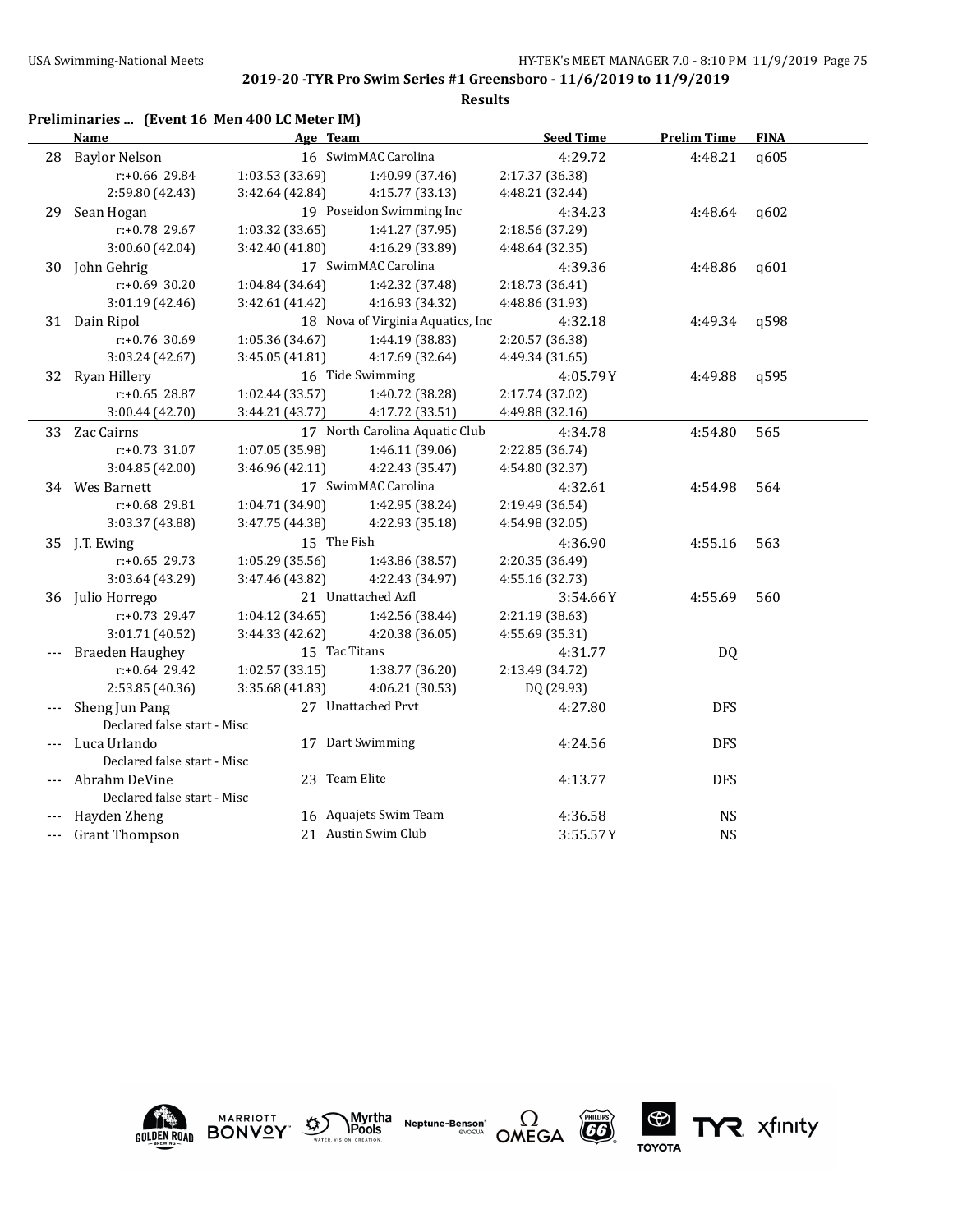### **Results**

|    | Preliminaries  (Event 16 Men 400 LC Meter IM) |                 |                                   |                  |                    |             |
|----|-----------------------------------------------|-----------------|-----------------------------------|------------------|--------------------|-------------|
|    | <b>Name</b>                                   | Age Team        |                                   | <b>Seed Time</b> | <b>Prelim Time</b> | <b>FINA</b> |
|    | 28 Baylor Nelson                              |                 | 16 SwimMAC Carolina               | 4:29.72          | 4:48.21            | q605        |
|    | r:+0.66 29.84                                 | 1:03.53(33.69)  | 1:40.99 (37.46)                   | 2:17.37 (36.38)  |                    |             |
|    | 2:59.80 (42.43)                               | 3:42.64(42.84)  | 4:15.77 (33.13)                   | 4:48.21 (32.44)  |                    |             |
| 29 | Sean Hogan                                    |                 | 19 Poseidon Swimming Inc          | 4:34.23          | 4:48.64            | q602        |
|    | r:+0.78 29.67                                 | 1:03.32 (33.65) | 1:41.27 (37.95)                   | 2:18.56 (37.29)  |                    |             |
|    | 3:00.60 (42.04)                               | 3:42.40(41.80)  | 4:16.29 (33.89)                   | 4:48.64 (32.35)  |                    |             |
|    | 30 John Gehrig                                |                 | 17 SwimMAC Carolina               | 4:39.36          | 4:48.86            | q601        |
|    | $r: +0.69$ 30.20                              | 1:04.84(34.64)  | 1:42.32 (37.48)                   | 2:18.73 (36.41)  |                    |             |
|    | 3:01.19 (42.46)                               | 3:42.61 (41.42) | 4:16.93 (34.32)                   | 4:48.86 (31.93)  |                    |             |
|    | 31 Dain Ripol                                 |                 | 18 Nova of Virginia Aquatics, Inc | 4:32.18          | 4:49.34            | a598        |
|    | $r: +0.76$ 30.69                              | 1:05.36 (34.67) | 1:44.19 (38.83)                   | 2:20.57 (36.38)  |                    |             |
|    | 3:03.24 (42.67)                               | 3:45.05(41.81)  | 4:17.69 (32.64)                   | 4:49.34 (31.65)  |                    |             |
|    | 32 Ryan Hillery                               |                 | 16 Tide Swimming                  | 4:05.79Y         | 4:49.88            | q595        |
|    | r:+0.65 28.87                                 | 1:02.44 (33.57) | 1:40.72 (38.28)                   | 2:17.74 (37.02)  |                    |             |
|    | 3:00.44 (42.70)                               | 3:44.21 (43.77) | 4:17.72 (33.51)                   | 4:49.88 (32.16)  |                    |             |
|    | 33 Zac Cairns                                 |                 | 17 North Carolina Aquatic Club    | 4:34.78          | 4:54.80            | 565         |
|    | $r: +0.73$ 31.07                              | 1:07.05(35.98)  | 1:46.11(39.06)                    | 2:22.85 (36.74)  |                    |             |
|    | 3:04.85 (42.00)                               | 3:46.96 (42.11) | 4:22.43 (35.47)                   | 4:54.80 (32.37)  |                    |             |
|    | 34 Wes Barnett                                |                 | 17 SwimMAC Carolina               | 4:32.61          | 4:54.98            | 564         |
|    | r:+0.68 29.81                                 | 1:04.71 (34.90) | 1:42.95 (38.24)                   | 2:19.49 (36.54)  |                    |             |
|    | 3:03.37 (43.88)                               | 3:47.75 (44.38) | 4:22.93 (35.18)                   | 4:54.98 (32.05)  |                    |             |
|    | 35 J.T. Ewing                                 | 15 The Fish     |                                   | 4:36.90          | 4:55.16            | 563         |
|    | $r: +0.65$ 29.73                              | 1:05.29(35.56)  | 1:43.86 (38.57)                   | 2:20.35 (36.49)  |                    |             |
|    | 3:03.64 (43.29)                               | 3:47.46 (43.82) | 4:22.43 (34.97)                   | 4:55.16 (32.73)  |                    |             |
|    | 36 Julio Horrego                              |                 | 21 Unattached Azfl                | 3:54.66Y         | 4:55.69            | 560         |
|    | $r: +0.73$ 29.47                              | 1:04.12 (34.65) | 1:42.56 (38.44)                   | 2:21.19 (38.63)  |                    |             |
|    | 3:01.71 (40.52)                               | 3:44.33 (42.62) | 4:20.38(36.05)                    | 4:55.69 (35.31)  |                    |             |
|    | --- Braeden Haughey                           | 15 Tac Titans   |                                   | 4:31.77          | DQ                 |             |
|    | $r: +0.64$ 29.42                              | 1:02.57(33.15)  | 1:38.77 (36.20)                   | 2:13.49 (34.72)  |                    |             |
|    | 2:53.85 (40.36)                               | 3:35.68 (41.83) | 4:06.21 (30.53)                   | DQ (29.93)       |                    |             |
|    | Sheng Jun Pang                                |                 | 27 Unattached Prvt                | 4:27.80          | <b>DFS</b>         |             |
|    | Declared false start - Misc                   |                 |                                   |                  |                    |             |
|    | Luca Urlando                                  |                 | 17 Dart Swimming                  | 4:24.56          | <b>DFS</b>         |             |
|    | Declared false start - Misc                   |                 |                                   |                  |                    |             |
|    | Abrahm DeVine                                 | 23 Team Elite   |                                   | 4:13.77          | <b>DFS</b>         |             |
|    | Declared false start - Misc                   |                 |                                   |                  |                    |             |
|    | --- Hayden Zheng                              |                 | 16 Aquajets Swim Team             | 4:36.58          | <b>NS</b>          |             |
|    | --- Grant Thompson                            |                 | 21 Austin Swim Club               | 3:55.57Y         | <b>NS</b>          |             |





**Example 1**<br>Pools **Neptune-Benson\***<br>evoqua





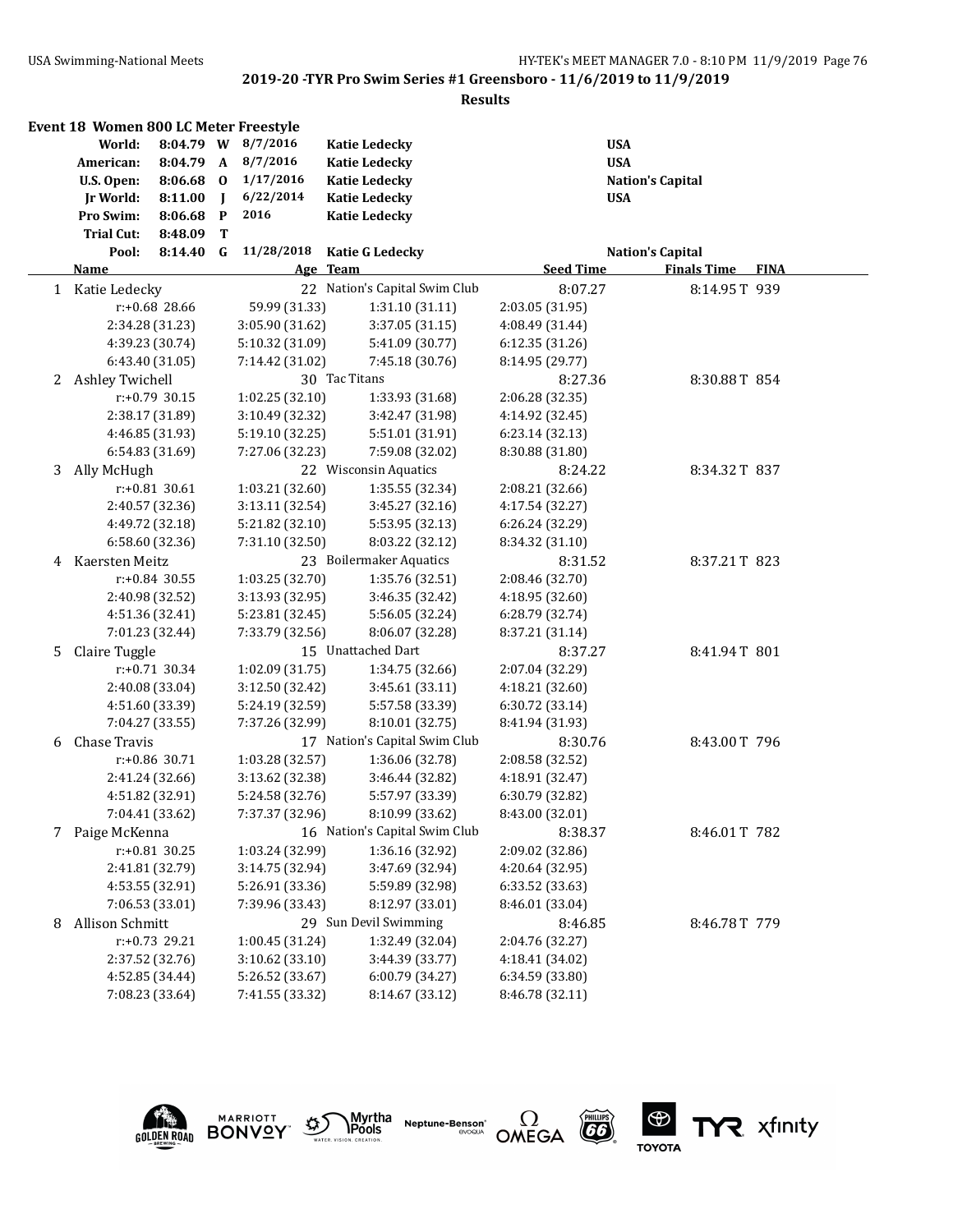#### **Results**

|    | Event 18 Women 800 LC Meter Freestyle |                  |              |                    |                               |                  |                         |             |
|----|---------------------------------------|------------------|--------------|--------------------|-------------------------------|------------------|-------------------------|-------------|
|    | World:                                |                  |              | 8:04.79 W 8/7/2016 | <b>Katie Ledecky</b>          |                  | <b>USA</b>              |             |
|    | American:                             | 8:04.79 A        |              | 8/7/2016           | <b>Katie Ledecky</b>          |                  | <b>USA</b>              |             |
|    | U.S. Open:                            | $8:06.68$ 0      |              | 1/17/2016          | <b>Katie Ledecky</b>          |                  | <b>Nation's Capital</b> |             |
|    | Jr World:                             | 8:11.00          | $\mathbf{I}$ | 6/22/2014          | <b>Katie Ledecky</b>          |                  | <b>USA</b>              |             |
|    | Pro Swim:                             | 8:06.68          | $\mathbf{P}$ | 2016               | <b>Katie Ledecky</b>          |                  |                         |             |
|    | <b>Trial Cut:</b>                     | 8:48.09          | Т            |                    |                               |                  |                         |             |
|    | Pool:                                 | $8:14.40$ G      |              | 11/28/2018         | <b>Katie G Ledecky</b>        |                  | <b>Nation's Capital</b> |             |
|    | <u>Name</u>                           |                  |              |                    | Age Team                      | <b>Seed Time</b> | <b>Finals Time</b>      | <b>FINA</b> |
|    | 1 Katie Ledecky                       |                  |              |                    | 22 Nation's Capital Swim Club | 8:07.27          | 8:14.95T 939            |             |
|    |                                       | $r: +0.68$ 28.66 |              | 59.99 (31.33)      | 1:31.10(31.11)                | 2:03.05 (31.95)  |                         |             |
|    |                                       | 2:34.28 (31.23)  |              | 3:05.90 (31.62)    | 3:37.05 (31.15)               | 4:08.49 (31.44)  |                         |             |
|    |                                       | 4:39.23 (30.74)  |              | 5:10.32 (31.09)    | 5:41.09 (30.77)               | 6:12.35(31.26)   |                         |             |
|    |                                       | 6:43.40 (31.05)  |              | 7:14.42 (31.02)    | 7:45.18 (30.76)               | 8:14.95 (29.77)  |                         |             |
|    | 2 Ashley Twichell                     |                  |              |                    | 30 Tac Titans                 | 8:27.36          | 8:30.88T 854            |             |
|    |                                       | r:+0.79 30.15    |              | 1:02.25 (32.10)    | 1:33.93 (31.68)               | 2:06.28 (32.35)  |                         |             |
|    |                                       | 2:38.17 (31.89)  |              | 3:10.49 (32.32)    | 3:42.47 (31.98)               | 4:14.92 (32.45)  |                         |             |
|    |                                       | 4:46.85 (31.93)  |              | 5:19.10 (32.25)    | 5:51.01 (31.91)               | 6:23.14 (32.13)  |                         |             |
|    |                                       | 6:54.83 (31.69)  |              | 7:27.06 (32.23)    | 7:59.08 (32.02)               | 8:30.88 (31.80)  |                         |             |
| 3  | Ally McHugh                           |                  |              |                    | 22 Wisconsin Aquatics         | 8:24.22          | 8:34.32T 837            |             |
|    |                                       | $r: +0.81$ 30.61 |              | 1:03.21 (32.60)    | 1:35.55 (32.34)               | 2:08.21 (32.66)  |                         |             |
|    |                                       | 2:40.57 (32.36)  |              | 3:13.11 (32.54)    | 3:45.27 (32.16)               | 4:17.54 (32.27)  |                         |             |
|    |                                       | 4:49.72 (32.18)  |              | 5:21.82 (32.10)    | 5:53.95 (32.13)               | 6:26.24 (32.29)  |                         |             |
|    |                                       | 6:58.60 (32.36)  |              | 7:31.10 (32.50)    | 8:03.22 (32.12)               | 8:34.32 (31.10)  |                         |             |
| 4  | Kaersten Meitz                        |                  |              |                    | 23 Boilermaker Aquatics       | 8:31.52          | 8:37.21T 823            |             |
|    |                                       | $r: +0.84$ 30.55 |              | 1:03.25 (32.70)    | 1:35.76 (32.51)               | 2:08.46 (32.70)  |                         |             |
|    |                                       | 2:40.98 (32.52)  |              | 3:13.93 (32.95)    | 3:46.35 (32.42)               | 4:18.95 (32.60)  |                         |             |
|    |                                       | 4:51.36 (32.41)  |              | 5:23.81 (32.45)    | 5:56.05 (32.24)               | 6:28.79 (32.74)  |                         |             |
|    |                                       | 7:01.23 (32.44)  |              | 7:33.79 (32.56)    | 8:06.07 (32.28)               | 8:37.21 (31.14)  |                         |             |
| 5. | Claire Tuggle                         |                  |              |                    | 15 Unattached Dart            | 8:37.27          | 8:41.94T 801            |             |
|    |                                       | r:+0.71 30.34    |              | 1:02.09 (31.75)    | 1:34.75 (32.66)               | 2:07.04 (32.29)  |                         |             |
|    |                                       | 2:40.08 (33.04)  |              | 3:12.50 (32.42)    | 3:45.61 (33.11)               | 4:18.21 (32.60)  |                         |             |
|    |                                       | 4:51.60 (33.39)  |              | 5:24.19 (32.59)    | 5:57.58 (33.39)               | 6:30.72 (33.14)  |                         |             |
|    |                                       | 7:04.27 (33.55)  |              | 7:37.26 (32.99)    | 8:10.01 (32.75)               | 8:41.94 (31.93)  |                         |             |
| 6  | Chase Travis                          |                  |              |                    | 17 Nation's Capital Swim Club | 8:30.76          | 8:43.00T 796            |             |
|    |                                       | r:+0.86 30.71    |              | 1:03.28 (32.57)    | 1:36.06 (32.78)               | 2:08.58 (32.52)  |                         |             |
|    |                                       | 2:41.24 (32.66)  |              | 3:13.62 (32.38)    | 3:46.44 (32.82)               | 4:18.91 (32.47)  |                         |             |
|    |                                       | 4:51.82 (32.91)  |              | 5:24.58 (32.76)    | 5:57.97 (33.39)               | 6:30.79 (32.82)  |                         |             |
|    |                                       | 7:04.41 (33.62)  |              | 7:37.37 (32.96)    | 8:10.99 (33.62)               | 8:43.00 (32.01)  |                         |             |
|    | 7 Paige McKenna                       |                  |              |                    | 16 Nation's Capital Swim Club | 8:38.37          | 8:46.01T 782            |             |
|    |                                       | $r: +0.81$ 30.25 |              | 1:03.24 (32.99)    | 1:36.16 (32.92)               | 2:09.02 (32.86)  |                         |             |
|    |                                       | 2:41.81 (32.79)  |              | 3:14.75 (32.94)    | 3:47.69 (32.94)               | 4:20.64 (32.95)  |                         |             |
|    |                                       | 4:53.55 (32.91)  |              | 5:26.91 (33.36)    | 5:59.89 (32.98)               | 6:33.52 (33.63)  |                         |             |
|    |                                       | 7:06.53 (33.01)  |              | 7:39.96 (33.43)    | 8:12.97 (33.01)               | 8:46.01 (33.04)  |                         |             |
| 8  | Allison Schmitt                       |                  |              |                    | 29 Sun Devil Swimming         | 8:46.85          | 8:46.78T 779            |             |
|    |                                       | r:+0.73 29.21    |              | 1:00.45 (31.24)    | 1:32.49 (32.04)               | 2:04.76 (32.27)  |                         |             |
|    |                                       | 2:37.52 (32.76)  |              | 3:10.62 (33.10)    | 3:44.39 (33.77)               | 4:18.41 (34.02)  |                         |             |
|    |                                       | 4:52.85 (34.44)  |              | 5:26.52 (33.67)    | 6:00.79 (34.27)               | 6:34.59 (33.80)  |                         |             |
|    |                                       | 7:08.23 (33.64)  |              | 7:41.55 (33.32)    | 8:14.67 (33.12)               | 8:46.78 (32.11)  |                         |             |
|    |                                       |                  |              |                    |                               |                  |                         |             |

Myrtha<br>Pools

E)

**Neptune-Benson\***<br>evoqua





**MARRIOTT**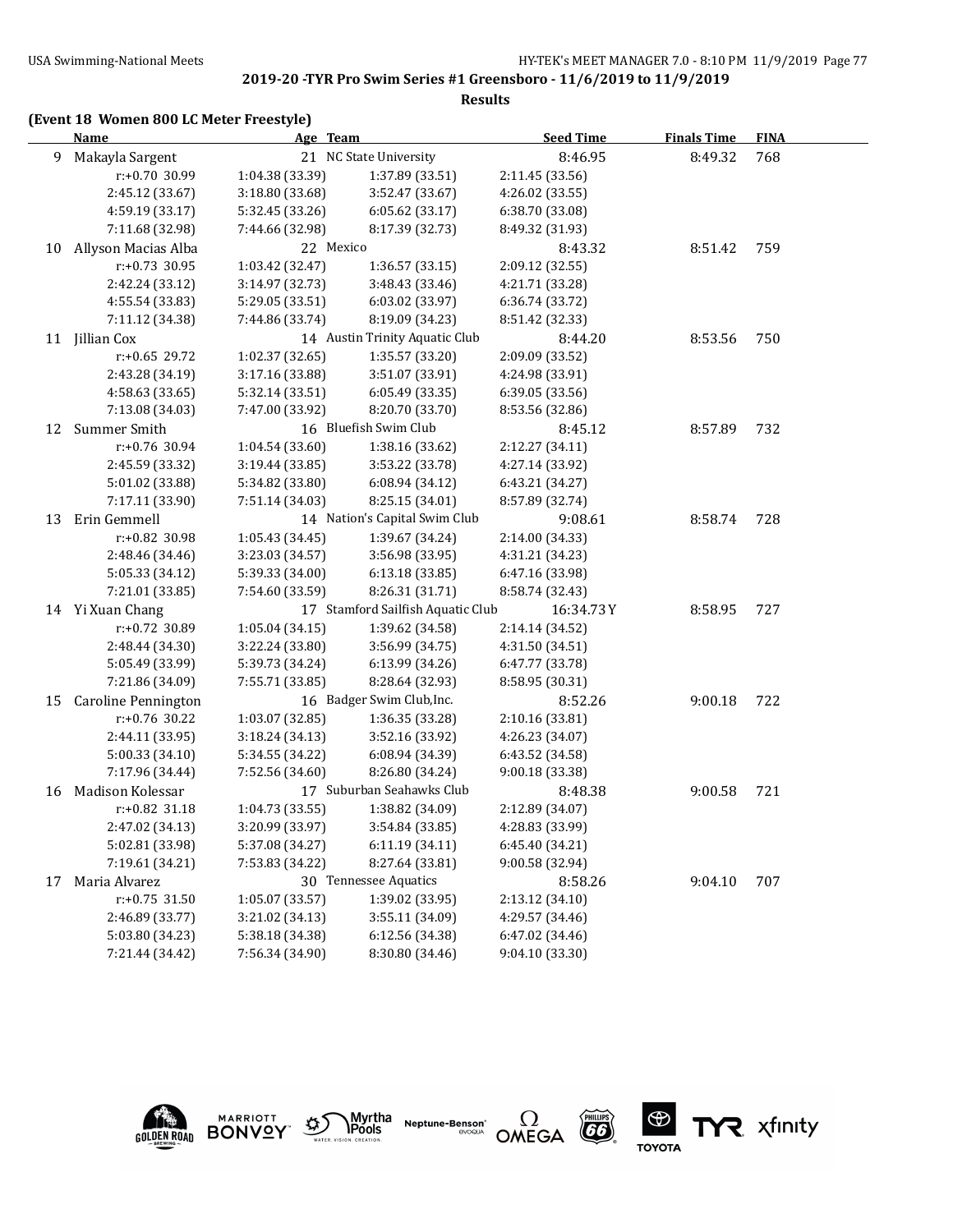#### **Results**

|    | Name                | Age Team        |                                   | <b>Seed Time</b> | <b>Finals Time</b> | <b>FINA</b> |  |
|----|---------------------|-----------------|-----------------------------------|------------------|--------------------|-------------|--|
| 9  | Makayla Sargent     |                 | 21 NC State University            | 8:46.95          | 8:49.32            | 768         |  |
|    | r:+0.70 30.99       | 1:04.38 (33.39) | 1:37.89 (33.51)                   | 2:11.45 (33.56)  |                    |             |  |
|    | 2:45.12 (33.67)     | 3:18.80 (33.68) | 3:52.47 (33.67)                   | 4:26.02 (33.55)  |                    |             |  |
|    | 4:59.19 (33.17)     | 5:32.45 (33.26) | 6:05.62 (33.17)                   | 6:38.70 (33.08)  |                    |             |  |
|    | 7:11.68 (32.98)     | 7:44.66 (32.98) | 8:17.39 (32.73)                   | 8:49.32 (31.93)  |                    |             |  |
| 10 | Allyson Macias Alba | 22 Mexico       |                                   | 8:43.32          | 8:51.42            | 759         |  |
|    | $r: +0.73$ 30.95    | 1:03.42 (32.47) | 1:36.57 (33.15)                   | 2:09.12 (32.55)  |                    |             |  |
|    | 2:42.24 (33.12)     | 3:14.97 (32.73) | 3:48.43 (33.46)                   | 4:21.71 (33.28)  |                    |             |  |
|    | 4:55.54 (33.83)     | 5:29.05 (33.51) | 6:03.02 (33.97)                   | 6:36.74 (33.72)  |                    |             |  |
|    | 7:11.12 (34.38)     | 7:44.86 (33.74) | 8:19.09 (34.23)                   | 8:51.42 (32.33)  |                    |             |  |
|    | 11 Jillian Cox      |                 | 14 Austin Trinity Aquatic Club    | 8:44.20          | 8:53.56            | 750         |  |
|    | r:+0.65 29.72       | 1:02.37 (32.65) | 1:35.57 (33.20)                   | 2:09.09 (33.52)  |                    |             |  |
|    | 2:43.28 (34.19)     | 3:17.16 (33.88) | 3:51.07 (33.91)                   | 4:24.98 (33.91)  |                    |             |  |
|    | 4:58.63 (33.65)     | 5:32.14 (33.51) | 6:05.49 (33.35)                   | 6:39.05 (33.56)  |                    |             |  |
|    | 7:13.08 (34.03)     | 7:47.00 (33.92) | 8:20.70 (33.70)                   | 8:53.56 (32.86)  |                    |             |  |
| 12 | Summer Smith        |                 | 16 Bluefish Swim Club             | 8:45.12          | 8:57.89            | 732         |  |
|    | r:+0.76 30.94       | 1:04.54 (33.60) | 1:38.16 (33.62)                   | 2:12.27 (34.11)  |                    |             |  |
|    | 2:45.59 (33.32)     | 3:19.44 (33.85) | 3:53.22 (33.78)                   | 4:27.14 (33.92)  |                    |             |  |
|    | 5:01.02 (33.88)     | 5:34.82 (33.80) | 6:08.94 (34.12)                   | 6:43.21 (34.27)  |                    |             |  |
|    | 7:17.11 (33.90)     | 7:51.14 (34.03) | 8:25.15 (34.01)                   | 8:57.89 (32.74)  |                    |             |  |
| 13 | Erin Gemmell        |                 | 14 Nation's Capital Swim Club     | 9:08.61          | 8:58.74            | 728         |  |
|    | r:+0.82 30.98       | 1:05.43 (34.45) | 1:39.67 (34.24)                   | 2:14.00 (34.33)  |                    |             |  |
|    | 2:48.46 (34.46)     | 3:23.03 (34.57) | 3:56.98 (33.95)                   | 4:31.21 (34.23)  |                    |             |  |
|    | 5:05.33 (34.12)     | 5:39.33 (34.00) | 6:13.18 (33.85)                   | 6:47.16 (33.98)  |                    |             |  |
|    | 7:21.01 (33.85)     | 7:54.60 (33.59) | 8:26.31 (31.71)                   | 8:58.74 (32.43)  |                    |             |  |
|    | 14 Yi Xuan Chang    |                 | 17 Stamford Sailfish Aquatic Club | 16:34.73Y        | 8:58.95            | 727         |  |
|    | r:+0.72 30.89       | 1:05.04(34.15)  | 1:39.62 (34.58)                   | 2:14.14 (34.52)  |                    |             |  |
|    | 2:48.44 (34.30)     | 3:22.24 (33.80) | 3:56.99 (34.75)                   | 4:31.50 (34.51)  |                    |             |  |
|    | 5:05.49 (33.99)     | 5:39.73 (34.24) | 6:13.99 (34.26)                   | 6:47.77 (33.78)  |                    |             |  |
|    | 7:21.86 (34.09)     | 7:55.71 (33.85) | 8:28.64 (32.93)                   | 8:58.95 (30.31)  |                    |             |  |
| 15 | Caroline Pennington |                 | 16 Badger Swim Club, Inc.         | 8:52.26          | 9:00.18            | 722         |  |
|    | r:+0.76 30.22       | 1:03.07 (32.85) | 1:36.35 (33.28)                   | 2:10.16 (33.81)  |                    |             |  |
|    | 2:44.11 (33.95)     | 3:18.24 (34.13) | 3:52.16 (33.92)                   | 4:26.23 (34.07)  |                    |             |  |
|    | 5:00.33 (34.10)     | 5:34.55 (34.22) | 6:08.94 (34.39)                   | 6:43.52 (34.58)  |                    |             |  |
|    | 7:17.96 (34.44)     | 7:52.56 (34.60) | 8:26.80 (34.24)                   | 9:00.18 (33.38)  |                    |             |  |
| 16 | Madison Kolessar    |                 | 17 Suburban Seahawks Club         | 8:48.38          | 9:00.58            | 721         |  |
|    | $r: +0.82$ 31.18    | 1:04.73 (33.55) | 1:38.82 (34.09)                   | 2:12.89 (34.07)  |                    |             |  |
|    | 2:47.02 (34.13)     | 3:20.99 (33.97) | 3:54.84 (33.85)                   | 4:28.83 (33.99)  |                    |             |  |
|    | 5:02.81 (33.98)     | 5:37.08 (34.27) | 6:11.19 (34.11)                   | 6:45.40 (34.21)  |                    |             |  |
|    | 7:19.61 (34.21)     | 7:53.83 (34.22) | 8:27.64 (33.81)                   | 9:00.58 (32.94)  |                    |             |  |
| 17 | Maria Alvarez       |                 | 30 Tennessee Aquatics             | 8:58.26          | 9:04.10            | 707         |  |
|    | $r: +0.75$ 31.50    | 1:05.07 (33.57) | 1:39.02 (33.95)                   | 2:13.12 (34.10)  |                    |             |  |
|    | 2:46.89 (33.77)     | 3:21.02 (34.13) | 3:55.11 (34.09)                   | 4:29.57 (34.46)  |                    |             |  |
|    | 5:03.80 (34.23)     | 5:38.18 (34.38) | 6:12.56 (34.38)                   | 6:47.02 (34.46)  |                    |             |  |
|    | 7:21.44 (34.42)     | 7:56.34 (34.90) | 8:30.80 (34.46)                   | 9:04.10 (33.30)  |                    |             |  |

 $\sum_{\text{water, vision, creation}} \text{Myrtha}$ 

**MARRIOTT** 

**GOLDEN ROAD BONVOY** 

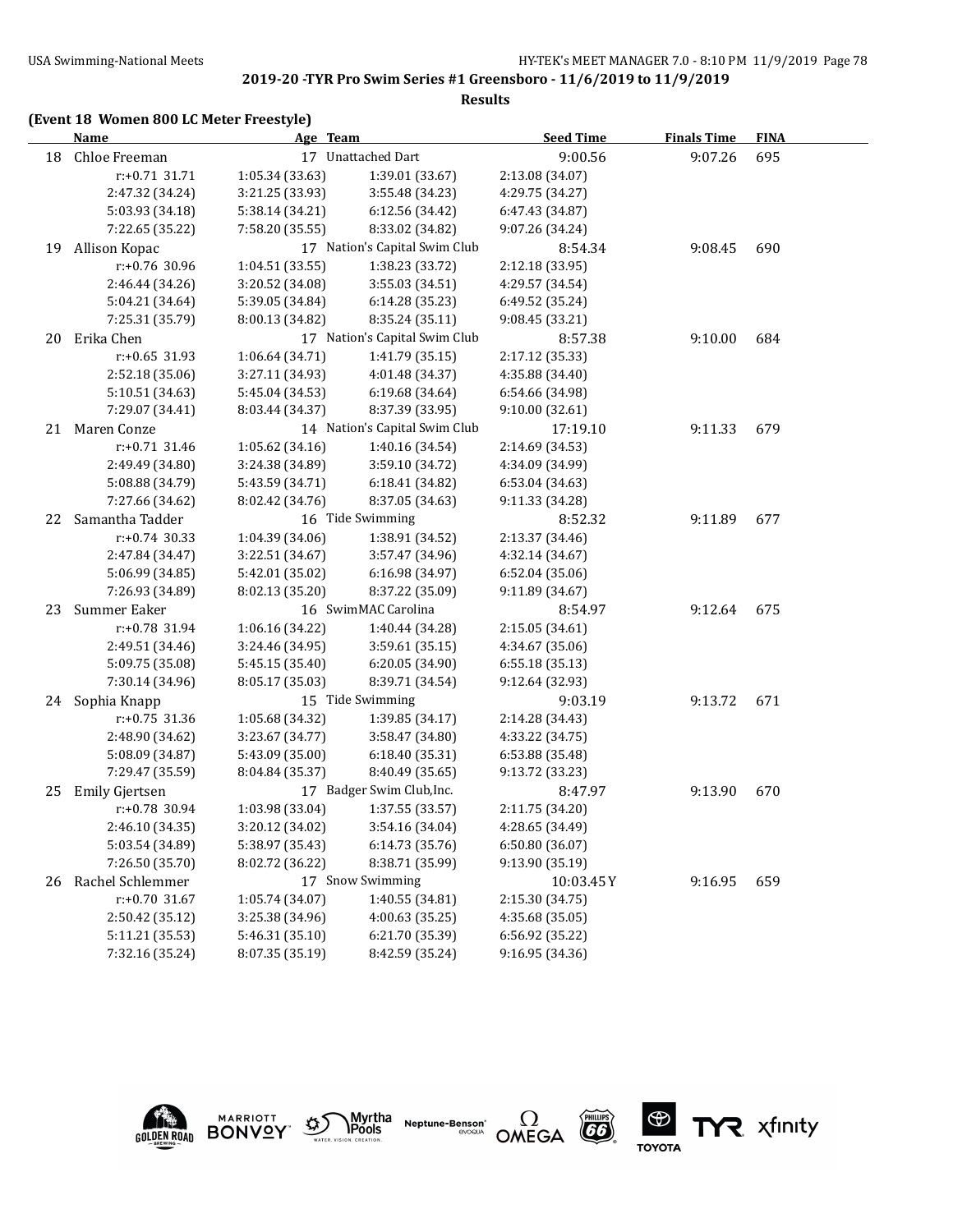#### **Results**

## **(Event 18 Women 800 LC Meter Freestyle)**

|    | <b>Name</b>      | Age Team        |                               | <b>Seed Time</b> | <b>Finals Time</b> | <b>FINA</b> |  |
|----|------------------|-----------------|-------------------------------|------------------|--------------------|-------------|--|
| 18 | Chloe Freeman    |                 | 17 Unattached Dart            | 9:00.56          | 9:07.26            | 695         |  |
|    | $r: +0.71$ 31.71 | 1:05.34 (33.63) | 1:39.01 (33.67)               | 2:13.08 (34.07)  |                    |             |  |
|    | 2:47.32 (34.24)  | 3:21.25 (33.93) | 3:55.48 (34.23)               | 4:29.75 (34.27)  |                    |             |  |
|    | 5:03.93 (34.18)  | 5:38.14 (34.21) | 6:12.56 (34.42)               | 6:47.43 (34.87)  |                    |             |  |
|    | 7:22.65 (35.22)  | 7:58.20 (35.55) | 8:33.02 (34.82)               | 9:07.26 (34.24)  |                    |             |  |
| 19 | Allison Kopac    |                 | 17 Nation's Capital Swim Club | 8:54.34          | 9:08.45            | 690         |  |
|    | r:+0.76 30.96    | 1:04.51 (33.55) | 1:38.23 (33.72)               | 2:12.18 (33.95)  |                    |             |  |
|    | 2:46.44 (34.26)  | 3:20.52 (34.08) | 3:55.03 (34.51)               | 4:29.57 (34.54)  |                    |             |  |
|    | 5:04.21 (34.64)  | 5:39.05 (34.84) | 6:14.28 (35.23)               | 6:49.52 (35.24)  |                    |             |  |
|    | 7:25.31 (35.79)  | 8:00.13 (34.82) | 8:35.24 (35.11)               | 9:08.45 (33.21)  |                    |             |  |
| 20 | Erika Chen       |                 | 17 Nation's Capital Swim Club | 8:57.38          | 9:10.00            | 684         |  |
|    | $r: +0.65$ 31.93 | 1:06.64 (34.71) | 1:41.79 (35.15)               | 2:17.12 (35.33)  |                    |             |  |
|    | 2:52.18 (35.06)  | 3:27.11 (34.93) | 4:01.48 (34.37)               | 4:35.88 (34.40)  |                    |             |  |
|    | 5:10.51 (34.63)  | 5:45.04 (34.53) | 6:19.68 (34.64)               | 6:54.66 (34.98)  |                    |             |  |
|    | 7:29.07 (34.41)  | 8:03.44 (34.37) | 8:37.39 (33.95)               | 9:10.00 (32.61)  |                    |             |  |
| 21 | Maren Conze      |                 | 14 Nation's Capital Swim Club | 17:19.10         | 9:11.33            | 679         |  |
|    | r:+0.71 31.46    | 1:05.62 (34.16) | 1:40.16 (34.54)               | 2:14.69 (34.53)  |                    |             |  |
|    | 2:49.49 (34.80)  | 3:24.38 (34.89) | 3:59.10 (34.72)               | 4:34.09 (34.99)  |                    |             |  |
|    | 5:08.88 (34.79)  | 5:43.59 (34.71) | 6:18.41 (34.82)               | 6:53.04 (34.63)  |                    |             |  |
|    | 7:27.66 (34.62)  | 8:02.42 (34.76) | 8:37.05 (34.63)               | 9:11.33 (34.28)  |                    |             |  |
| 22 | Samantha Tadder  |                 | 16 Tide Swimming              | 8:52.32          | 9:11.89            | 677         |  |
|    | $r: +0.74$ 30.33 | 1:04.39 (34.06) | 1:38.91 (34.52)               | 2:13.37 (34.46)  |                    |             |  |
|    | 2:47.84 (34.47)  | 3:22.51 (34.67) | 3:57.47 (34.96)               | 4:32.14 (34.67)  |                    |             |  |
|    | 5:06.99 (34.85)  | 5:42.01 (35.02) | 6:16.98 (34.97)               | 6:52.04 (35.06)  |                    |             |  |
|    | 7:26.93 (34.89)  | 8:02.13 (35.20) | 8:37.22 (35.09)               | 9:11.89 (34.67)  |                    |             |  |
| 23 | Summer Eaker     |                 | 16 SwimMAC Carolina           | 8:54.97          | 9:12.64            | 675         |  |
|    | r:+0.78 31.94    | 1:06.16 (34.22) | 1:40.44 (34.28)               | 2:15.05 (34.61)  |                    |             |  |
|    | 2:49.51 (34.46)  | 3:24.46 (34.95) | 3:59.61 (35.15)               | 4:34.67 (35.06)  |                    |             |  |
|    | 5:09.75 (35.08)  | 5:45.15 (35.40) | 6:20.05 (34.90)               | 6:55.18 (35.13)  |                    |             |  |
|    | 7:30.14 (34.96)  | 8:05.17 (35.03) | 8:39.71 (34.54)               | 9:12.64 (32.93)  |                    |             |  |
|    | 24 Sophia Knapp  |                 | 15 Tide Swimming              | 9:03.19          | 9:13.72            | 671         |  |
|    | r:+0.75 31.36    | 1:05.68 (34.32) | 1:39.85 (34.17)               | 2:14.28 (34.43)  |                    |             |  |
|    | 2:48.90 (34.62)  | 3:23.67 (34.77) | 3:58.47 (34.80)               | 4:33.22 (34.75)  |                    |             |  |
|    | 5:08.09 (34.87)  | 5:43.09 (35.00) | 6:18.40 (35.31)               | 6:53.88 (35.48)  |                    |             |  |
|    | 7:29.47 (35.59)  | 8:04.84 (35.37) | 8:40.49 (35.65)               | 9:13.72 (33.23)  |                    |             |  |
| 25 | Emily Gjertsen   |                 | 17 Badger Swim Club, Inc.     | 8:47.97          | 9:13.90            | 670         |  |
|    | r:+0.78 30.94    | 1:03.98 (33.04) | 1:37.55 (33.57)               | 2:11.75 (34.20)  |                    |             |  |
|    | 2:46.10 (34.35)  | 3:20.12 (34.02) | 3:54.16 (34.04)               | 4:28.65 (34.49)  |                    |             |  |
|    | 5:03.54 (34.89)  | 5:38.97 (35.43) | 6:14.73 (35.76)               | 6:50.80 (36.07)  |                    |             |  |
|    | 7:26.50 (35.70)  | 8:02.72 (36.22) | 8:38.71 (35.99)               | 9:13.90 (35.19)  |                    |             |  |
| 26 | Rachel Schlemmer |                 | 17 Snow Swimming              | 10:03.45Y        | 9:16.95            | 659         |  |
|    | r:+0.70 31.67    | 1:05.74(34.07)  | 1:40.55 (34.81)               | 2:15.30 (34.75)  |                    |             |  |
|    | 2:50.42 (35.12)  | 3:25.38 (34.96) | 4:00.63 (35.25)               | 4:35.68 (35.05)  |                    |             |  |
|    | 5:11.21 (35.53)  | 5:46.31 (35.10) | 6:21.70 (35.39)               | 6:56.92 (35.22)  |                    |             |  |
|    | 7:32.16 (35.24)  | 8:07.35 (35.19) | 8:42.59 (35.24)               | 9:16.95 (34.36)  |                    |             |  |











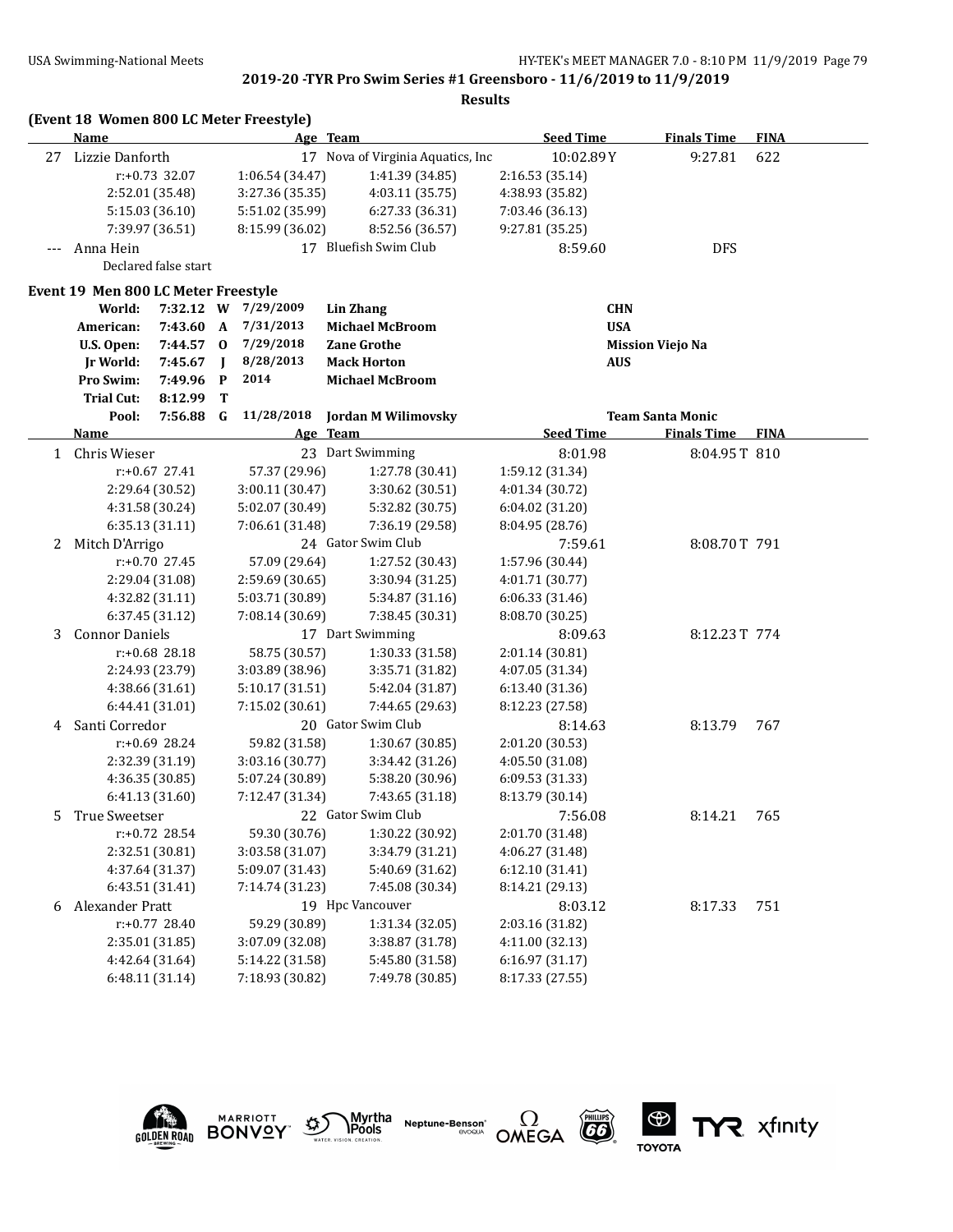|    | (Event 18 Women 800 LC Meter Freestyle) |                      |             |                 |                                   |                  |                         |             |  |
|----|-----------------------------------------|----------------------|-------------|-----------------|-----------------------------------|------------------|-------------------------|-------------|--|
|    | <b>Name</b>                             |                      |             |                 | Age Team                          | <b>Seed Time</b> | <b>Finals Time</b>      | <b>FINA</b> |  |
| 27 | Lizzie Danforth                         |                      |             |                 | 17 Nova of Virginia Aquatics, Inc | 10:02.89Y        | 9:27.81                 | 622         |  |
|    |                                         | $r: +0.73$ 32.07     |             | 1:06.54 (34.47) | 1:41.39 (34.85)                   | 2:16.53 (35.14)  |                         |             |  |
|    |                                         | 2:52.01 (35.48)      |             | 3:27.36 (35.35) | 4:03.11(35.75)                    | 4:38.93 (35.82)  |                         |             |  |
|    |                                         | 5:15.03(36.10)       |             | 5:51.02 (35.99) | 6:27.33 (36.31)                   | 7:03.46 (36.13)  |                         |             |  |
|    |                                         | 7:39.97 (36.51)      |             | 8:15.99 (36.02) | 8:52.56 (36.57)                   | 9:27.81 (35.25)  |                         |             |  |
|    | Anna Hein                               |                      |             |                 | 17 Bluefish Swim Club             | 8:59.60          | <b>DFS</b>              |             |  |
|    |                                         | Declared false start |             |                 |                                   |                  |                         |             |  |
|    | Event 19 Men 800 LC Meter Freestyle     |                      |             |                 |                                   |                  |                         |             |  |
|    | World:                                  | 7:32.12 W            |             | 7/29/2009       | Lin Zhang                         | <b>CHN</b>       |                         |             |  |
|    | American:                               | 7:43.60              | A           | 7/31/2013       | <b>Michael McBroom</b>            | <b>USA</b>       |                         |             |  |
|    | U.S. Open:                              | 7:44.57              | $\bf{0}$    | 7/29/2018       | <b>Zane Grothe</b>                |                  | <b>Mission Viejo Na</b> |             |  |
|    | 7:45.67<br><b>Jr World:</b>             |                      | $\mathbf I$ | 8/28/2013       | <b>Mack Horton</b>                | <b>AUS</b>       |                         |             |  |
|    | Pro Swim:                               | 7:49.96              | P           | 2014            | <b>Michael McBroom</b>            |                  |                         |             |  |
|    | <b>Trial Cut:</b>                       | 8:12.99              | T           |                 |                                   |                  |                         |             |  |
|    | Pool:                                   | 7:56.88              | G           | 11/28/2018      | Jordan M Wilimovsky               |                  | <b>Team Santa Monic</b> |             |  |
|    | <b>Name</b>                             |                      |             |                 | Age Team                          | <b>Seed Time</b> | <b>Finals Time</b>      | <b>FINA</b> |  |
| 1  | Chris Wieser                            |                      |             |                 | 23 Dart Swimming                  | 8:01.98          | 8:04.95T 810            |             |  |
|    |                                         | $r: +0.67$ 27.41     |             | 57.37 (29.96)   | 1:27.78 (30.41)                   | 1:59.12 (31.34)  |                         |             |  |
|    |                                         | 2:29.64 (30.52)      |             | 3:00.11 (30.47) | 3:30.62 (30.51)                   | 4:01.34 (30.72)  |                         |             |  |
|    |                                         | 4:31.58 (30.24)      |             | 5:02.07 (30.49) | 5:32.82 (30.75)                   | 6:04.02 (31.20)  |                         |             |  |
|    |                                         | 6:35.13 (31.11)      |             | 7:06.61 (31.48) | 7:36.19 (29.58)                   | 8:04.95 (28.76)  |                         |             |  |
| 2  | Mitch D'Arrigo                          |                      |             |                 | 24 Gator Swim Club                | 7:59.61          | 8:08.70T 791            |             |  |
|    |                                         | $r: +0.70$ 27.45     |             | 57.09 (29.64)   | 1:27.52 (30.43)                   | 1:57.96 (30.44)  |                         |             |  |
|    |                                         | 2:29.04 (31.08)      |             | 2:59.69 (30.65) | 3:30.94 (31.25)                   | 4:01.71 (30.77)  |                         |             |  |
|    |                                         | 4:32.82 (31.11)      |             | 5:03.71 (30.89) | 5:34.87 (31.16)                   | 6:06.33 (31.46)  |                         |             |  |
|    |                                         | 6:37.45 (31.12)      |             | 7:08.14 (30.69) | 7:38.45 (30.31)                   | 8:08.70 (30.25)  |                         |             |  |
| 3  | <b>Connor Daniels</b>                   |                      |             |                 | 17 Dart Swimming                  | 8:09.63          | 8:12.23T 774            |             |  |
|    |                                         | r:+0.68 28.18        |             | 58.75 (30.57)   | 1:30.33 (31.58)                   | 2:01.14 (30.81)  |                         |             |  |
|    |                                         | 2:24.93 (23.79)      |             | 3:03.89 (38.96) | 3:35.71 (31.82)                   | 4:07.05 (31.34)  |                         |             |  |
|    |                                         | 4:38.66 (31.61)      |             | 5:10.17 (31.51) | 5:42.04 (31.87)                   | 6:13.40 (31.36)  |                         |             |  |
|    |                                         | 6:44.41 (31.01)      |             | 7:15.02 (30.61) | 7:44.65 (29.63)                   | 8:12.23 (27.58)  |                         |             |  |
| 4  | Santi Corredor                          |                      |             |                 | 20 Gator Swim Club                | 8:14.63          | 8:13.79                 | 767         |  |
|    |                                         | $r: +0.69$ 28.24     |             | 59.82 (31.58)   | 1:30.67 (30.85)                   | 2:01.20 (30.53)  |                         |             |  |
|    |                                         | 2:32.39 (31.19)      |             | 3:03.16 (30.77) | 3:34.42 (31.26)                   | 4:05.50 (31.08)  |                         |             |  |
|    |                                         | 4:36.35 (30.85)      |             | 5:07.24 (30.89) | 5:38.20 (30.96)                   | 6:09.53 (31.33)  |                         |             |  |
|    |                                         | 6:41.13 (31.60)      |             | 7:12.47 (31.34) | 7:43.65 (31.18)                   | 8:13.79 (30.14)  |                         |             |  |
| 5  | True Sweetser                           |                      |             |                 | 22 Gator Swim Club                | 7:56.08          | 8:14.21                 | 765         |  |
|    |                                         | r:+0.72 28.54        |             | 59.30 (30.76)   | 1:30.22 (30.92)                   | 2:01.70 (31.48)  |                         |             |  |
|    |                                         | 2:32.51 (30.81)      |             | 3:03.58 (31.07) | 3:34.79 (31.21)                   | 4:06.27 (31.48)  |                         |             |  |
|    |                                         | 4:37.64 (31.37)      |             | 5:09.07 (31.43) | 5:40.69 (31.62)                   | 6:12.10(31.41)   |                         |             |  |
|    |                                         | 6:43.51 (31.41)      |             | 7:14.74 (31.23) | 7:45.08 (30.34)                   | 8:14.21 (29.13)  |                         |             |  |
| 6  | Alexander Pratt                         |                      |             |                 | 19 Hpc Vancouver                  | 8:03.12          | 8:17.33                 | 751         |  |
|    |                                         | r:+0.77 28.40        |             | 59.29 (30.89)   | 1:31.34 (32.05)                   | 2:03.16 (31.82)  |                         |             |  |
|    |                                         | 2:35.01 (31.85)      |             | 3:07.09 (32.08) | 3:38.87 (31.78)                   | 4:11.00 (32.13)  |                         |             |  |
|    |                                         | 4:42.64 (31.64)      |             | 5:14.22 (31.58) | 5:45.80 (31.58)                   | 6:16.97(31.17)   |                         |             |  |
|    |                                         | 6:48.11 (31.14)      |             | 7:18.93 (30.82) | 7:49.78 (30.85)                   | 8:17.33 (27.55)  |                         |             |  |
|    |                                         |                      |             |                 |                                   |                  |                         |             |  |











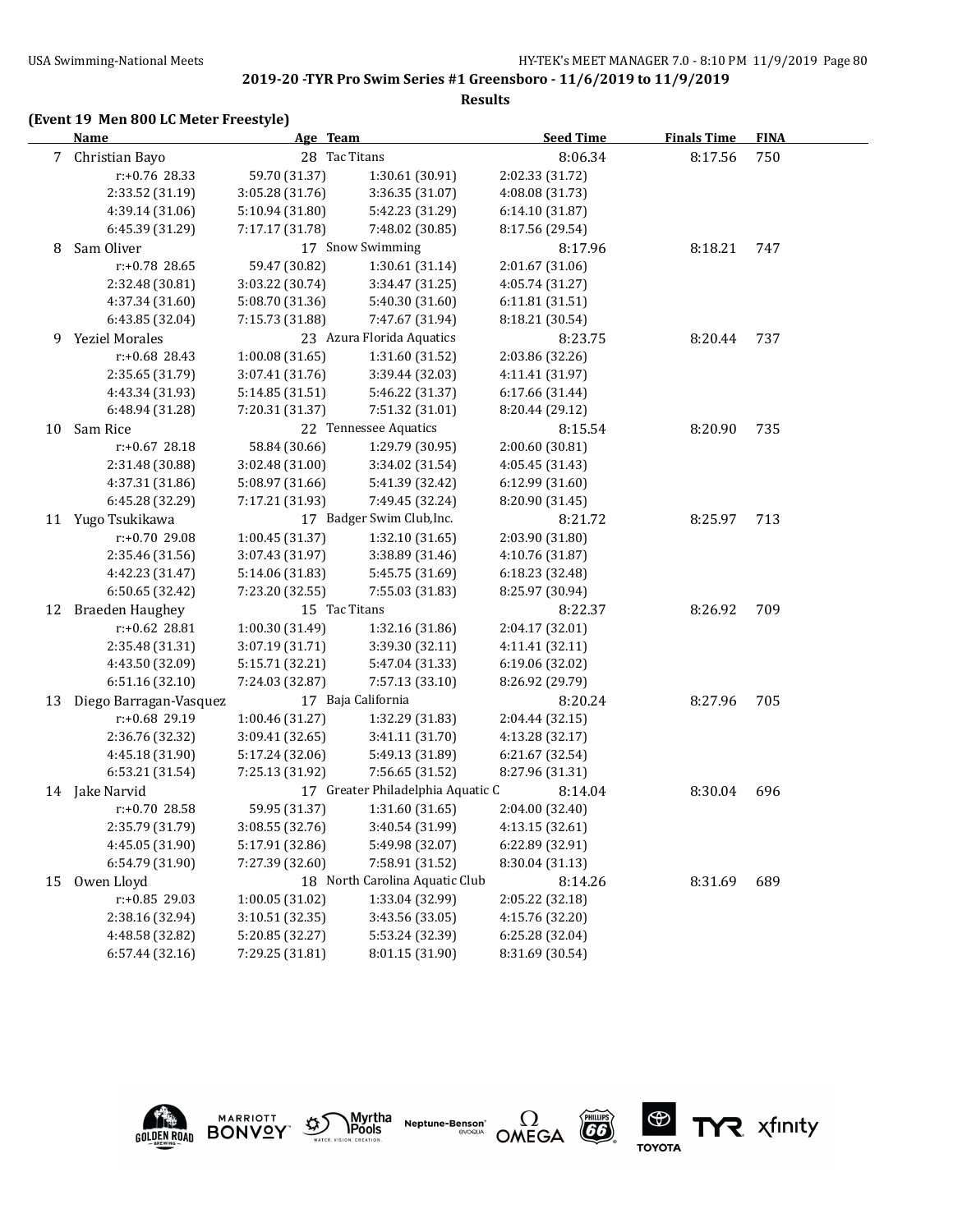### **Results**

## **(Event 19 Men 800 LC Meter Freestyle)**

|             | <b>Name</b>            | Age Team        |                                   | <b>Seed Time</b> | <b>Finals Time</b> | <b>FINA</b> |
|-------------|------------------------|-----------------|-----------------------------------|------------------|--------------------|-------------|
| $7^{\circ}$ | Christian Bayo         | 28 Tac Titans   |                                   | 8:06.34          | 8:17.56            | 750         |
|             | r:+0.76 28.33          | 59.70 (31.37)   | 1:30.61 (30.91)                   | 2:02.33 (31.72)  |                    |             |
|             | 2:33.52 (31.19)        | 3:05.28 (31.76) | 3:36.35 (31.07)                   | 4:08.08 (31.73)  |                    |             |
|             | 4:39.14 (31.06)        | 5:10.94 (31.80) | 5:42.23 (31.29)                   | 6:14.10 (31.87)  |                    |             |
|             | 6:45.39 (31.29)        | 7:17.17 (31.78) | 7:48.02 (30.85)                   | 8:17.56 (29.54)  |                    |             |
| 8           | Sam Oliver             |                 | 17 Snow Swimming                  | 8:17.96          | 8:18.21            | 747         |
|             | r:+0.78 28.65          | 59.47 (30.82)   | 1:30.61 (31.14)                   | 2:01.67 (31.06)  |                    |             |
|             | 2:32.48 (30.81)        | 3:03.22 (30.74) | 3:34.47 (31.25)                   | 4:05.74 (31.27)  |                    |             |
|             | 4:37.34 (31.60)        | 5:08.70 (31.36) | 5:40.30 (31.60)                   | 6:11.81 (31.51)  |                    |             |
|             | 6:43.85 (32.04)        | 7:15.73 (31.88) | 7:47.67 (31.94)                   | 8:18.21 (30.54)  |                    |             |
| 9           | <b>Yeziel Morales</b>  |                 | 23 Azura Florida Aquatics         | 8:23.75          | 8:20.44            | 737         |
|             | r:+0.68 28.43          | 1:00.08(31.65)  | 1:31.60 (31.52)                   | 2:03.86 (32.26)  |                    |             |
|             | 2:35.65 (31.79)        | 3:07.41 (31.76) | 3:39.44 (32.03)                   | 4:11.41 (31.97)  |                    |             |
|             | 4:43.34 (31.93)        | 5:14.85 (31.51) | 5:46.22 (31.37)                   | 6:17.66 (31.44)  |                    |             |
|             | 6:48.94 (31.28)        | 7:20.31 (31.37) | 7:51.32 (31.01)                   | 8:20.44 (29.12)  |                    |             |
| 10          | Sam Rice               |                 | 22 Tennessee Aquatics             | 8:15.54          | 8:20.90            | 735         |
|             | $r: +0.67$ 28.18       | 58.84 (30.66)   | 1:29.79 (30.95)                   | 2:00.60 (30.81)  |                    |             |
|             | 2:31.48 (30.88)        | 3:02.48 (31.00) | 3:34.02 (31.54)                   | 4:05.45 (31.43)  |                    |             |
|             | 4:37.31 (31.86)        | 5:08.97 (31.66) | 5:41.39 (32.42)                   | 6:12.99 (31.60)  |                    |             |
|             | 6:45.28 (32.29)        | 7:17.21 (31.93) | 7:49.45 (32.24)                   | 8:20.90 (31.45)  |                    |             |
|             | 11 Yugo Tsukikawa      |                 | 17 Badger Swim Club, Inc.         | 8:21.72          | 8:25.97            | 713         |
|             | r:+0.70 29.08          | 1:00.45(31.37)  | 1:32.10 (31.65)                   | 2:03.90 (31.80)  |                    |             |
|             | 2:35.46 (31.56)        | 3:07.43 (31.97) | 3:38.89 (31.46)                   | 4:10.76 (31.87)  |                    |             |
|             | 4:42.23 (31.47)        | 5:14.06 (31.83) | 5:45.75 (31.69)                   | 6:18.23 (32.48)  |                    |             |
|             | 6:50.65 (32.42)        | 7:23.20 (32.55) | 7:55.03 (31.83)                   | 8:25.97 (30.94)  |                    |             |
| 12          | <b>Braeden Haughey</b> | 15 Tac Titans   |                                   | 8:22.37          | 8:26.92            | 709         |
|             | r:+0.62 28.81          | 1:00.30 (31.49) | 1:32.16 (31.86)                   | 2:04.17 (32.01)  |                    |             |
|             | 2:35.48 (31.31)        | 3:07.19 (31.71) | 3:39.30 (32.11)                   | 4:11.41 (32.11)  |                    |             |
|             | 4:43.50 (32.09)        | 5:15.71 (32.21) | 5:47.04 (31.33)                   | 6:19.06 (32.02)  |                    |             |
|             | 6:51.16 (32.10)        | 7:24.03 (32.87) | 7:57.13 (33.10)                   | 8:26.92 (29.79)  |                    |             |
| 13          | Diego Barragan-Vasquez |                 | 17 Baja California                | 8:20.24          | 8:27.96            | 705         |
|             | r:+0.68 29.19          | 1:00.46 (31.27) | 1:32.29 (31.83)                   | 2:04.44 (32.15)  |                    |             |
|             | 2:36.76 (32.32)        | 3:09.41 (32.65) | 3:41.11 (31.70)                   | 4:13.28 (32.17)  |                    |             |
|             | 4:45.18 (31.90)        | 5:17.24 (32.06) | 5:49.13 (31.89)                   | 6:21.67 (32.54)  |                    |             |
|             | 6:53.21 (31.54)        | 7:25.13 (31.92) | 7:56.65 (31.52)                   | 8:27.96 (31.31)  |                    |             |
|             | 14 Jake Narvid         |                 | 17 Greater Philadelphia Aquatic C | 8:14.04          | 8:30.04            | 696         |
|             | r:+0.70 28.58          | 59.95 (31.37)   | 1:31.60 (31.65)                   | 2:04.00 (32.40)  |                    |             |
|             | 2:35.79 (31.79)        | 3:08.55 (32.76) | 3:40.54 (31.99)                   | 4:13.15 (32.61)  |                    |             |
|             | 4:45.05 (31.90)        | 5:17.91 (32.86) | 5:49.98 (32.07)                   | 6:22.89 (32.91)  |                    |             |
|             | 6:54.79 (31.90)        | 7:27.39 (32.60) | 7:58.91 (31.52)                   | 8:30.04 (31.13)  |                    |             |
| 15          | Owen Lloyd             |                 | 18 North Carolina Aquatic Club    | 8:14.26          | 8:31.69            | 689         |
|             | r:+0.85 29.03          | 1:00.05 (31.02) | 1:33.04 (32.99)                   | 2:05.22 (32.18)  |                    |             |
|             | 2:38.16 (32.94)        | 3:10.51 (32.35) | 3:43.56 (33.05)                   | 4:15.76 (32.20)  |                    |             |
|             | 4:48.58 (32.82)        | 5:20.85 (32.27) | 5:53.24 (32.39)                   | 6:25.28 (32.04)  |                    |             |
|             | 6:57.44(32.16)         | 7:29.25 (31.81) | 8:01.15 (31.90)                   | 8:31.69 (30.54)  |                    |             |











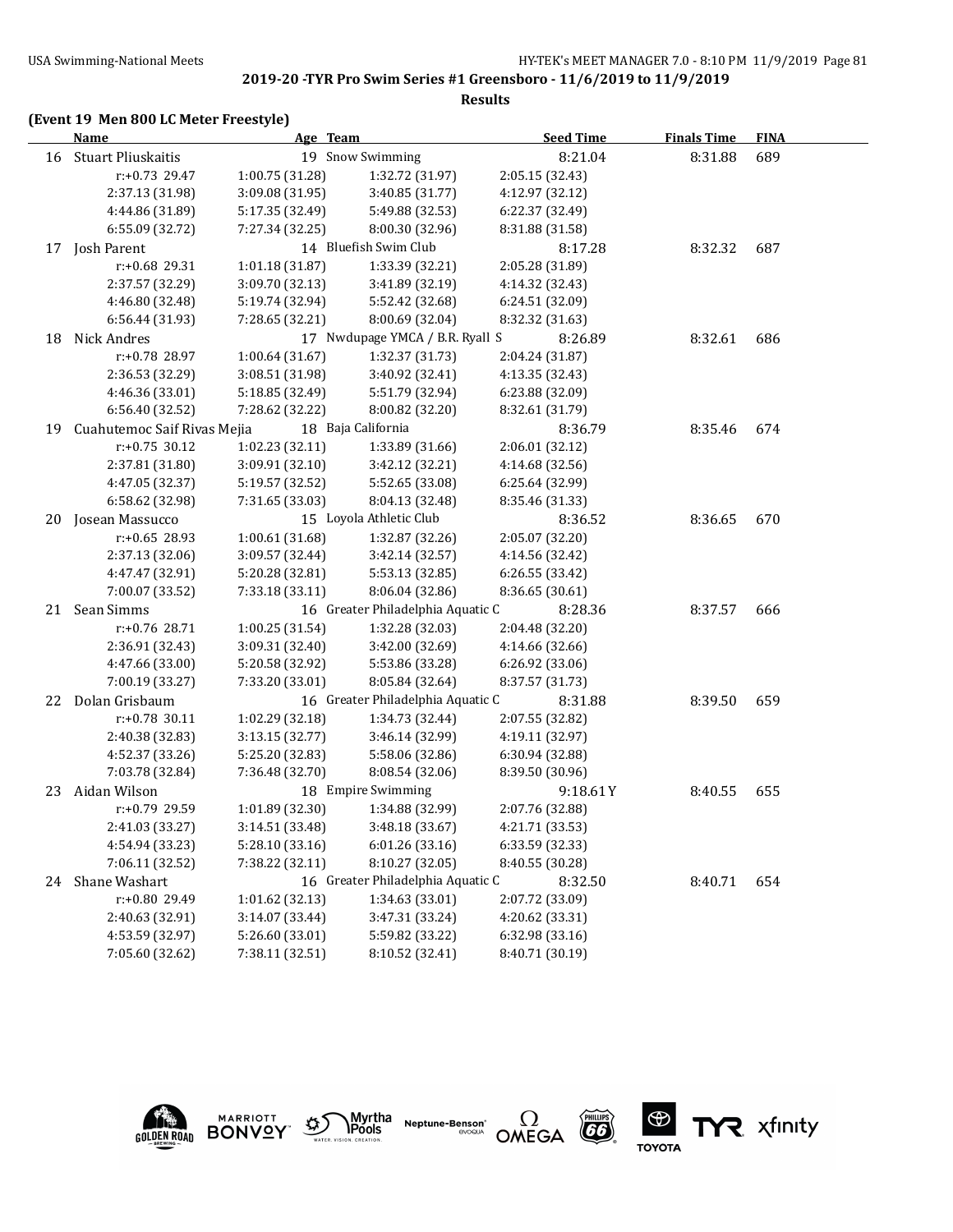#### **Results**

## **(Event 19 Men 800 LC Meter Freestyle)**

|    | <b>Name</b>                 | Age Team        |                                   | <b>Seed Time</b> | <b>Finals Time</b> | <b>FINA</b> |  |
|----|-----------------------------|-----------------|-----------------------------------|------------------|--------------------|-------------|--|
|    | 16 Stuart Pliuskaitis       |                 | 19 Snow Swimming                  | 8:21.04          | 8:31.88            | 689         |  |
|    | r:+0.73 29.47               | 1:00.75 (31.28) | 1:32.72 (31.97)                   | 2:05.15 (32.43)  |                    |             |  |
|    | 2:37.13 (31.98)             | 3:09.08 (31.95) | 3:40.85 (31.77)                   | 4:12.97 (32.12)  |                    |             |  |
|    | 4:44.86 (31.89)             | 5:17.35 (32.49) | 5:49.88 (32.53)                   | 6:22.37 (32.49)  |                    |             |  |
|    | 6:55.09 (32.72)             | 7:27.34 (32.25) | 8:00.30 (32.96)                   | 8:31.88 (31.58)  |                    |             |  |
| 17 | Josh Parent                 |                 | 14 Bluefish Swim Club             | 8:17.28          | 8:32.32            | 687         |  |
|    | r:+0.68 29.31               | 1:01.18 (31.87) | 1:33.39 (32.21)                   | 2:05.28 (31.89)  |                    |             |  |
|    | 2:37.57 (32.29)             | 3:09.70 (32.13) | 3:41.89 (32.19)                   | 4:14.32 (32.43)  |                    |             |  |
|    | 4:46.80 (32.48)             | 5:19.74 (32.94) | 5:52.42 (32.68)                   | 6:24.51 (32.09)  |                    |             |  |
|    | 6:56.44 (31.93)             | 7:28.65 (32.21) | 8:00.69 (32.04)                   | 8:32.32 (31.63)  |                    |             |  |
| 18 | Nick Andres                 |                 | 17 Nwdupage YMCA / B.R. Ryall S   | 8:26.89          | 8:32.61            | 686         |  |
|    | r:+0.78 28.97               | 1:00.64(31.67)  | 1:32.37 (31.73)                   | 2:04.24 (31.87)  |                    |             |  |
|    | 2:36.53 (32.29)             | 3:08.51 (31.98) | 3:40.92 (32.41)                   | 4:13.35 (32.43)  |                    |             |  |
|    | 4:46.36 (33.01)             | 5:18.85 (32.49) | 5:51.79 (32.94)                   | 6:23.88 (32.09)  |                    |             |  |
|    | 6:56.40 (32.52)             | 7:28.62 (32.22) | 8:00.82 (32.20)                   | 8:32.61 (31.79)  |                    |             |  |
| 19 | Cuahutemoc Saif Rivas Mejia |                 | 18 Baja California                | 8:36.79          | 8:35.46            | 674         |  |
|    | r:+0.75 30.12               | 1:02.23 (32.11) | 1:33.89 (31.66)                   | 2:06.01 (32.12)  |                    |             |  |
|    | 2:37.81 (31.80)             | 3:09.91 (32.10) | 3:42.12 (32.21)                   | 4:14.68 (32.56)  |                    |             |  |
|    | 4:47.05 (32.37)             | 5:19.57 (32.52) | 5:52.65 (33.08)                   | 6:25.64 (32.99)  |                    |             |  |
|    | 6:58.62 (32.98)             | 7:31.65 (33.03) | 8:04.13 (32.48)                   | 8:35.46 (31.33)  |                    |             |  |
| 20 | Josean Massucco             |                 | 15 Loyola Athletic Club           | 8:36.52          | 8:36.65            | 670         |  |
|    | $r: +0.65$ 28.93            | 1:00.61 (31.68) | 1:32.87 (32.26)                   | 2:05.07 (32.20)  |                    |             |  |
|    | 2:37.13 (32.06)             | 3:09.57 (32.44) | 3:42.14 (32.57)                   | 4:14.56 (32.42)  |                    |             |  |
|    | 4:47.47 (32.91)             | 5:20.28 (32.81) | 5:53.13 (32.85)                   | 6:26.55 (33.42)  |                    |             |  |
|    | 7:00.07 (33.52)             | 7:33.18 (33.11) | 8:06.04 (32.86)                   | 8:36.65 (30.61)  |                    |             |  |
|    | 21 Sean Simms               |                 | 16 Greater Philadelphia Aquatic C | 8:28.36          | 8:37.57            | 666         |  |
|    | r:+0.76 28.71               | 1:00.25 (31.54) | 1:32.28 (32.03)                   | 2:04.48 (32.20)  |                    |             |  |
|    | 2:36.91 (32.43)             | 3:09.31 (32.40) | 3:42.00 (32.69)                   | 4:14.66 (32.66)  |                    |             |  |
|    | 4:47.66 (33.00)             | 5:20.58 (32.92) | 5:53.86 (33.28)                   | 6:26.92 (33.06)  |                    |             |  |
|    | 7:00.19 (33.27)             | 7:33.20 (33.01) | 8:05.84 (32.64)                   | 8:37.57 (31.73)  |                    |             |  |
| 22 | Dolan Grisbaum              |                 | 16 Greater Philadelphia Aquatic C | 8:31.88          | 8:39.50            | 659         |  |
|    | $r: +0.78$ 30.11            | 1:02.29 (32.18) | 1:34.73 (32.44)                   | 2:07.55 (32.82)  |                    |             |  |
|    | 2:40.38 (32.83)             | 3:13.15 (32.77) | 3:46.14 (32.99)                   | 4:19.11 (32.97)  |                    |             |  |
|    | 4:52.37 (33.26)             | 5:25.20 (32.83) | 5:58.06 (32.86)                   | 6:30.94 (32.88)  |                    |             |  |
|    | 7:03.78 (32.84)             | 7:36.48 (32.70) | 8:08.54 (32.06)                   | 8:39.50 (30.96)  |                    |             |  |
| 23 | Aidan Wilson                |                 | 18 Empire Swimming                | 9:18.61Y         | 8:40.55            | 655         |  |
|    | r:+0.79 29.59               | 1:01.89 (32.30) | 1:34.88 (32.99)                   | 2:07.76 (32.88)  |                    |             |  |
|    | 2:41.03 (33.27)             | 3:14.51 (33.48) | 3:48.18 (33.67)                   | 4:21.71 (33.53)  |                    |             |  |
|    | 4:54.94 (33.23)             | 5:28.10 (33.16) | 6:01.26(33.16)                    | 6:33.59 (32.33)  |                    |             |  |
|    | 7:06.11 (32.52)             | 7:38.22 (32.11) | 8:10.27 (32.05)                   | 8:40.55 (30.28)  |                    |             |  |
| 24 | Shane Washart               |                 | 16 Greater Philadelphia Aquatic C | 8:32.50          | 8:40.71            | 654         |  |
|    | r:+0.80 29.49               | 1:01.62 (32.13) | 1:34.63 (33.01)                   | 2:07.72 (33.09)  |                    |             |  |
|    | 2:40.63 (32.91)             | 3:14.07 (33.44) | 3:47.31 (33.24)                   | 4:20.62 (33.31)  |                    |             |  |
|    | 4:53.59 (32.97)             | 5:26.60 (33.01) | 5:59.82 (33.22)                   | 6:32.98 (33.16)  |                    |             |  |
|    | 7:05.60 (32.62)             | 7:38.11 (32.51) | 8:10.52 (32.41)                   | 8:40.71 (30.19)  |                    |             |  |









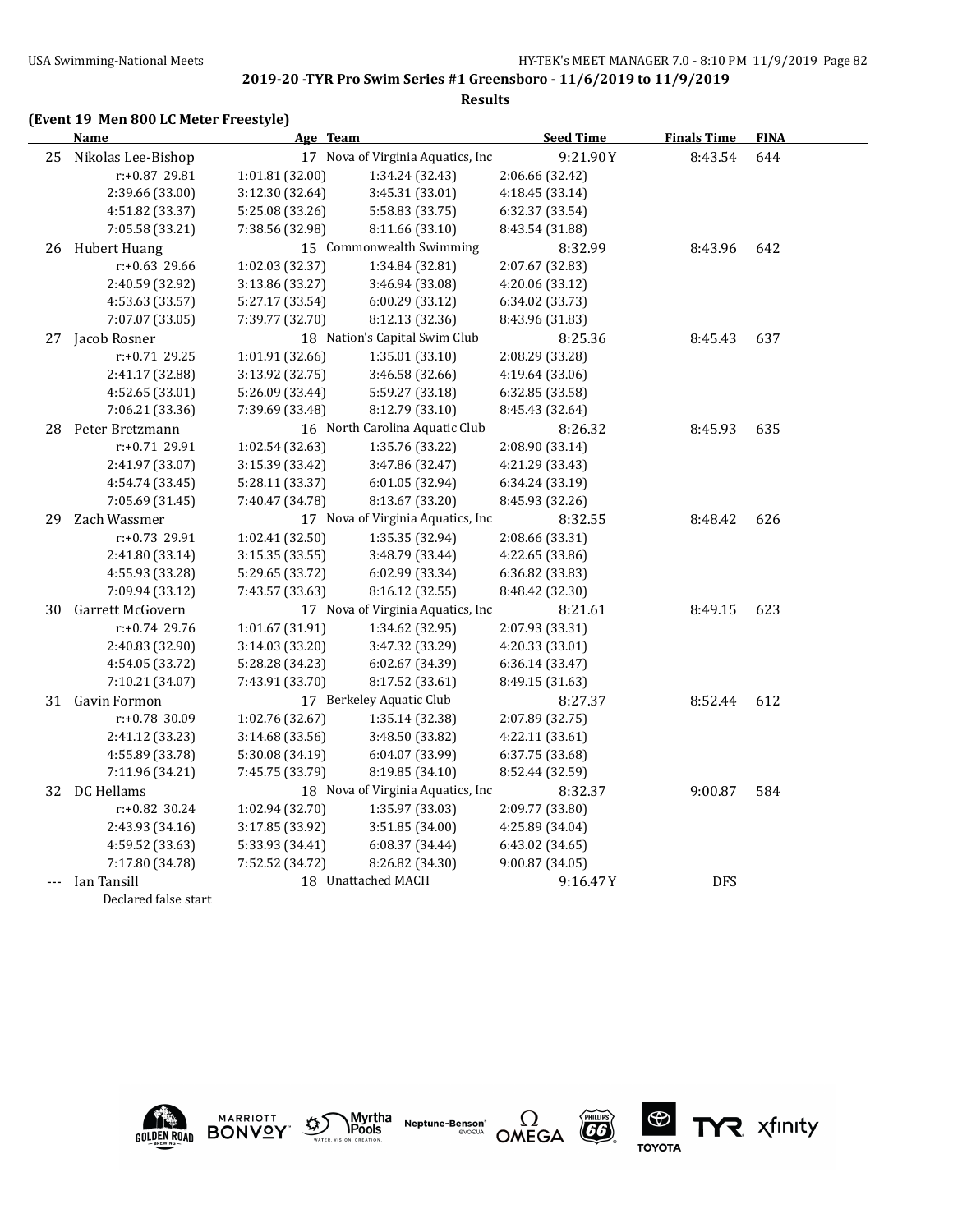#### **(Event 19 Men 800 LC Meter Freestyle)**

**Name Age Team Seed Time Finals Time FINA** 25 Nikolas Lee-Bishop 17 Nova of Virginia Aquatics, Inc 9:21.90Y 8:43.54 644 r:+0.87 29.81 1:01.81 (32.00) 1:34.24 (32.43) 2:06.66 (32.42) 2:39.66 (33.00) 3:12.30 (32.64) 3:45.31 (33.01) 4:18.45 (33.14) 4:51.82 (33.37) 5:25.08 (33.26) 5:58.83 (33.75) 6:32.37 (33.54) 7:05.58 (33.21) 7:38.56 (32.98) 8:11.66 (33.10) 8:43.54 (31.88) 26 Hubert Huang 15 Commonwealth Swimming 8:32.99 8:43.96 642 r:+0.63 29.66 1:02.03 (32.37) 1:34.84 (32.81) 2:07.67 (32.83) 2:40.59 (32.92) 3:13.86 (33.27) 3:46.94 (33.08) 4:20.06 (33.12) 4:53.63 (33.57) 5:27.17 (33.54) 6:00.29 (33.12) 6:34.02 (33.73) 7:07.07 (33.05) 7:39.77 (32.70) 8:12.13 (32.36) 8:43.96 (31.83) 27 Jacob Rosner 18 Nation's Capital Swim Club 8:25.36 8:45.43 637 r:+0.71 29.25 1:01.91 (32.66) 1:35.01 (33.10) 2:08.29 (33.28) 2:41.17 (32.88) 3:13.92 (32.75) 3:46.58 (32.66) 4:19.64 (33.06) 4:52.65 (33.01) 5:26.09 (33.44) 5:59.27 (33.18) 6:32.85 (33.58) 7:06.21 (33.36) 7:39.69 (33.48) 8:12.79 (33.10) 8:45.43 (32.64) 28 Peter Bretzmann 16 North Carolina Aquatic Club 8:26.32 8:45.93 635 r:+0.71 29.91 1:02.54 (32.63) 1:35.76 (33.22) 2:08.90 (33.14) 2:41.97 (33.07) 3:15.39 (33.42) 3:47.86 (32.47) 4:21.29 (33.43) 4:54.74 (33.45) 5:28.11 (33.37) 6:01.05 (32.94) 6:34.24 (33.19) 7:05.69 (31.45) 7:40.47 (34.78) 8:13.67 (33.20) 8:45.93 (32.26) 29 Zach Wassmer 17 Nova of Virginia Aquatics, Inc 8:32.55 8:48.42 626 r:+0.73 29.91 1:02.41 (32.50) 1:35.35 (32.94) 2:08.66 (33.31) 2:41.80 (33.14) 3:15.35 (33.55) 3:48.79 (33.44) 4:22.65 (33.86) 4:55.93 (33.28) 5:29.65 (33.72) 6:02.99 (33.34) 6:36.82 (33.83) 7:09.94 (33.12) 7:43.57 (33.63) 8:16.12 (32.55) 8:48.42 (32.30) 30 Garrett McGovern 17 Nova of Virginia Aquatics, Inc 8:21.61 8:49.15 623 r:+0.74 29.76 1:01.67 (31.91) 1:34.62 (32.95) 2:07.93 (33.31) 2:40.83 (32.90) 3:14.03 (33.20) 3:47.32 (33.29) 4:20.33 (33.01) 4:54.05 (33.72) 5:28.28 (34.23) 6:02.67 (34.39) 6:36.14 (33.47) 7:10.21 (34.07) 7:43.91 (33.70) 8:17.52 (33.61) 8:49.15 (31.63) 31 Gavin Formon 17 Berkeley Aquatic Club 8:27.37 8:52.44 612 r:+0.78 30.09 1:02.76 (32.67) 1:35.14 (32.38) 2:07.89 (32.75) 2:41.12 (33.23) 3:14.68 (33.56) 3:48.50 (33.82) 4:22.11 (33.61) 4:55.89 (33.78) 5:30.08 (34.19) 6:04.07 (33.99) 6:37.75 (33.68) 7:11.96 (34.21) 7:45.75 (33.79) 8:19.85 (34.10) 8:52.44 (32.59) 32 DC Hellams 18 Nova of Virginia Aquatics, Inc 8:32.37 9:00.87 584 r:+0.82 30.24 1:02.94 (32.70) 1:35.97 (33.03) 2:09.77 (33.80) 2:43.93 (34.16) 3:17.85 (33.92) 3:51.85 (34.00) 4:25.89 (34.04) 4:59.52 (33.63) 5:33.93 (34.41) 6:08.37 (34.44) 6:43.02 (34.65) 7:17.80 (34.78) 7:52.52 (34.72) 8:26.82 (34.30) 9:00.87 (34.05) Ian Tansill 18 Unattached MACH 9:16.47Y DFS Declared false start











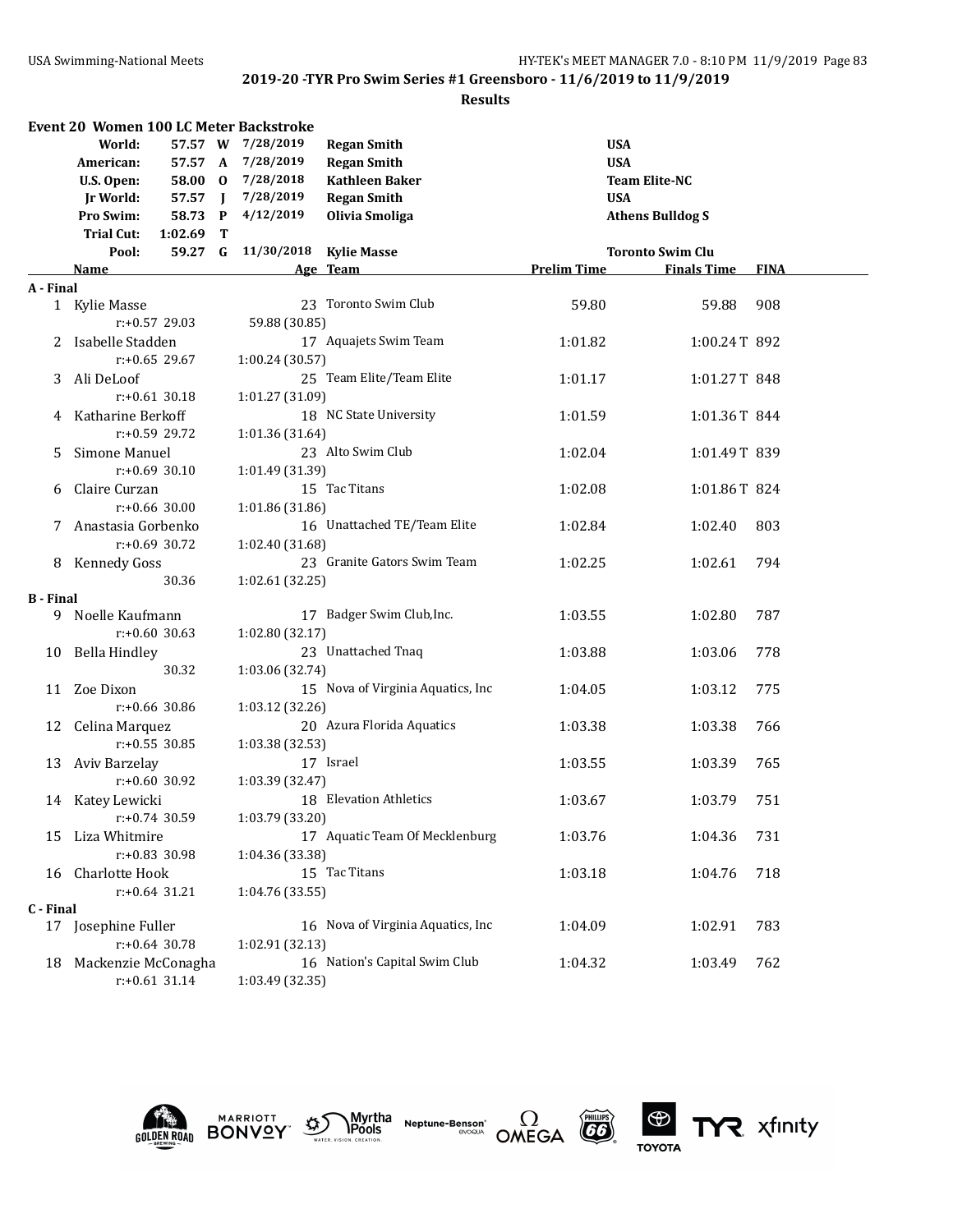#### **Results**

|                  | <b>Event 20 Women 100 LC Meter Backstroke</b> |              |                   |                                   |                      |                         |             |
|------------------|-----------------------------------------------|--------------|-------------------|-----------------------------------|----------------------|-------------------------|-------------|
|                  | World:<br>57.57 W                             |              | 7/28/2019         | <b>Regan Smith</b>                | <b>USA</b>           |                         |             |
|                  | American:                                     |              | 57.57 A 7/28/2019 | <b>Regan Smith</b>                | <b>USA</b>           |                         |             |
|                  | 58.00 0<br>U.S. Open:                         |              | 7/28/2018         | <b>Kathleen Baker</b>             | <b>Team Elite-NC</b> |                         |             |
|                  | Jr World:<br>57.57 J                          |              | 7/28/2019         | <b>Regan Smith</b>                | <b>USA</b>           |                         |             |
|                  | Pro Swim:<br>58.73                            | $\mathbf{P}$ | 4/12/2019         | Olivia Smoliga                    |                      | <b>Athens Bulldog S</b> |             |
|                  | <b>Trial Cut:</b><br>1:02.69                  | T            |                   |                                   |                      |                         |             |
|                  | 59.27 G<br>Pool:                              |              | 11/30/2018        | <b>Kylie Masse</b>                |                      | <b>Toronto Swim Clu</b> |             |
|                  | <b>Name</b>                                   |              |                   | Age Team                          | <b>Prelim Time</b>   | <b>Finals Time</b>      | <b>FINA</b> |
| A - Final        |                                               |              |                   |                                   |                      |                         |             |
|                  | 1 Kylie Masse                                 |              |                   | 23 Toronto Swim Club              | 59.80                | 59.88                   | 908         |
|                  | $r: +0.57$ 29.03                              |              | 59.88 (30.85)     |                                   |                      |                         |             |
| 2                | Isabelle Stadden                              |              |                   | 17 Aquajets Swim Team             | 1:01.82              | 1:00.24T 892            |             |
|                  | $r: +0.65$ 29.67                              |              | 1:00.24 (30.57)   |                                   |                      |                         |             |
| 3.               | Ali DeLoof                                    |              |                   | 25 Team Elite/Team Elite          | 1:01.17              | 1:01.27T 848            |             |
|                  | $r: +0.61$ 30.18                              |              | 1:01.27 (31.09)   |                                   |                      |                         |             |
| 4                | Katharine Berkoff                             |              |                   | 18 NC State University            | 1:01.59              | 1:01.36T 844            |             |
|                  | $r: +0.59$ 29.72                              |              | 1:01.36 (31.64)   |                                   |                      |                         |             |
| 5                | Simone Manuel                                 |              |                   | 23 Alto Swim Club                 | 1:02.04              | 1:01.49T 839            |             |
|                  | $r: +0.69$ 30.10                              |              | 1:01.49 (31.39)   |                                   |                      |                         |             |
| 6                | Claire Curzan                                 |              |                   | 15 Tac Titans                     | 1:02.08              | 1:01.86T 824            |             |
|                  | $r: +0.66$ 30.00                              |              | 1:01.86 (31.86)   |                                   |                      |                         |             |
| 7                | Anastasia Gorbenko                            |              |                   | 16 Unattached TE/Team Elite       | 1:02.84              | 1:02.40                 | 803         |
|                  | $r: +0.69$ 30.72                              |              | 1:02.40 (31.68)   |                                   |                      |                         |             |
| 8                | <b>Kennedy Goss</b>                           |              |                   | 23 Granite Gators Swim Team       | 1:02.25              | 1:02.61                 | 794         |
|                  | 30.36                                         |              | 1:02.61 (32.25)   |                                   |                      |                         |             |
| <b>B</b> - Final |                                               |              |                   |                                   |                      |                         |             |
| 9.               | Noelle Kaufmann                               |              |                   | 17 Badger Swim Club, Inc.         | 1:03.55              | 1:02.80                 | 787         |
|                  | $r: +0.60$ 30.63                              |              | 1:02.80 (32.17)   |                                   |                      |                         |             |
| 10               | Bella Hindley                                 |              |                   | 23 Unattached Tnaq                | 1:03.88              | 1:03.06                 | 778         |
|                  | 30.32                                         |              | 1:03.06 (32.74)   |                                   |                      |                         |             |
|                  | 11 Zoe Dixon                                  |              |                   | 15 Nova of Virginia Aquatics, Inc | 1:04.05              | 1:03.12                 | 775         |
|                  | r:+0.66 30.86                                 |              | 1:03.12 (32.26)   |                                   |                      |                         |             |
|                  | 12 Celina Marquez                             |              |                   | 20 Azura Florida Aquatics         | 1:03.38              | 1:03.38                 | 766         |
|                  | $r: +0.55$ 30.85                              |              | 1:03.38 (32.53)   |                                   |                      |                         |             |
|                  | 13 Aviv Barzelay                              |              |                   | 17 Israel                         | 1:03.55              | 1:03.39                 | 765         |
|                  | $r: +0.60$ 30.92                              |              | 1:03.39 (32.47)   |                                   |                      |                         |             |
|                  | 14 Katey Lewicki                              |              |                   | 18 Elevation Athletics            | 1:03.67              | 1:03.79                 | 751         |
|                  | r:+0.74 30.59                                 |              | 1:03.79 (33.20)   |                                   |                      |                         |             |
|                  | 15 Liza Whitmire                              |              |                   | 17 Aquatic Team Of Mecklenburg    | 1:03.76              | 1:04.36                 | 731         |
|                  | r:+0.83 30.98                                 |              | 1:04.36 (33.38)   |                                   |                      |                         |             |
|                  | 16 Charlotte Hook                             |              |                   | 15 Tac Titans                     | 1:03.18              | 1:04.76                 | 718         |
|                  | $r: +0.64$ 31.21                              |              | 1:04.76 (33.55)   |                                   |                      |                         |             |
| C - Final        |                                               |              |                   |                                   |                      |                         |             |
|                  | 17 Josephine Fuller                           |              |                   | 16 Nova of Virginia Aquatics, Inc | 1:04.09              | 1:02.91                 | 783         |
|                  | $r: +0.64$ 30.78                              |              | 1:02.91 (32.13)   |                                   |                      |                         |             |
|                  | 18 Mackenzie McConagha                        |              |                   | 16 Nation's Capital Swim Club     | 1:04.32              | 1:03.49                 | 762         |
|                  | $r: +0.61$ 31.14                              |              | 1:03.49 (32.35)   |                                   |                      |                         |             |











TYR xfinity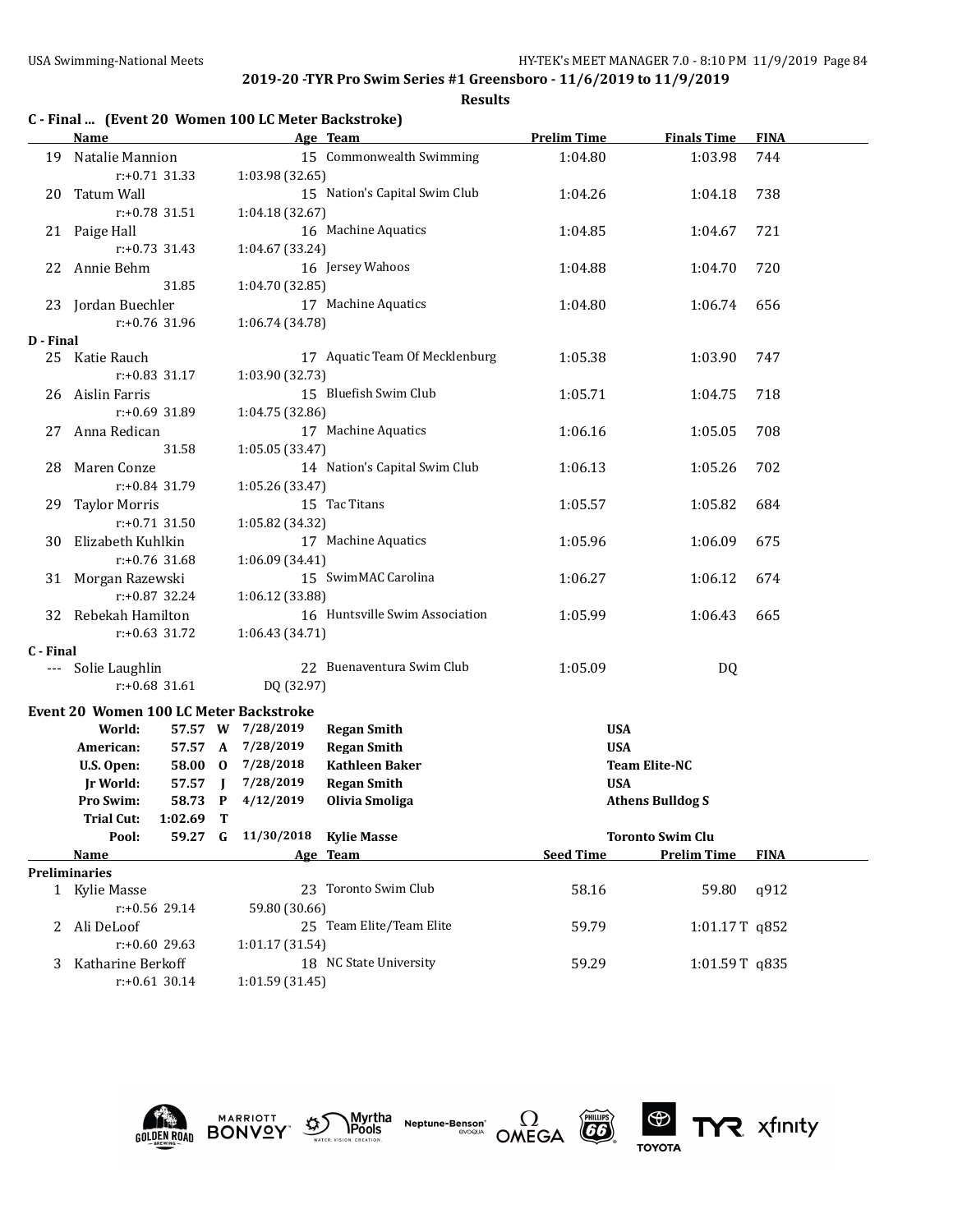|           | C - Final  (Event 20 Women 100 LC Meter Backstroke) |                     |                        |                                |                    |                         |             |
|-----------|-----------------------------------------------------|---------------------|------------------------|--------------------------------|--------------------|-------------------------|-------------|
|           | Name                                                |                     |                        | Age Team                       | <b>Prelim Time</b> | <b>Finals Time</b>      | <b>FINA</b> |
| 19        | Natalie Mannion                                     |                     |                        | 15 Commonwealth Swimming       | 1:04.80            | 1:03.98                 | 744         |
|           | r:+0.71 31.33                                       |                     | 1:03.98 (32.65)        |                                |                    |                         |             |
| 20        | Tatum Wall                                          |                     |                        | 15 Nation's Capital Swim Club  | 1:04.26            | 1:04.18                 | 738         |
|           | r:+0.78 31.51                                       |                     | 1:04.18 (32.67)        |                                |                    |                         |             |
|           | 21 Paige Hall                                       |                     |                        | 16 Machine Aquatics            | 1:04.85            | 1:04.67                 | 721         |
|           | $r: +0.73$ 31.43                                    |                     | 1:04.67 (33.24)        |                                |                    |                         |             |
|           | 22 Annie Behm                                       |                     |                        | 16 Jersey Wahoos               | 1:04.88            | 1:04.70                 | 720         |
|           | 31.85                                               |                     | 1:04.70 (32.85)        |                                |                    |                         |             |
|           | 23 Jordan Buechler                                  |                     |                        | 17 Machine Aquatics            | 1:04.80            | 1:06.74                 | 656         |
|           | $r: +0.76$ 31.96                                    |                     | 1:06.74 (34.78)        |                                |                    |                         |             |
| D - Final |                                                     |                     |                        |                                |                    |                         |             |
|           | 25 Katie Rauch                                      |                     |                        | 17 Aquatic Team Of Mecklenburg | 1:05.38            | 1:03.90                 | 747         |
|           | $r: +0.83$ 31.17                                    |                     | 1:03.90 (32.73)        |                                |                    |                         |             |
| 26        | Aislin Farris                                       |                     |                        | 15 Bluefish Swim Club          | 1:05.71            | 1:04.75                 | 718         |
|           | $r: +0.69$ 31.89                                    |                     | 1:04.75 (32.86)        |                                |                    |                         |             |
|           | 27 Anna Redican                                     |                     |                        | 17 Machine Aquatics            | 1:06.16            | 1:05.05                 | 708         |
|           | 31.58                                               |                     | 1:05.05 (33.47)        |                                |                    |                         |             |
| 28        | Maren Conze                                         |                     |                        | 14 Nation's Capital Swim Club  | 1:06.13            | 1:05.26                 | 702         |
|           | r:+0.84 31.79                                       |                     | 1:05.26 (33.47)        |                                |                    |                         |             |
| 29        | <b>Taylor Morris</b>                                |                     |                        | 15 Tac Titans                  | 1:05.57            | 1:05.82                 | 684         |
|           | $r: +0.71$ 31.50                                    |                     | 1:05.82 (34.32)        |                                |                    |                         |             |
| 30        | Elizabeth Kuhlkin                                   |                     |                        | 17 Machine Aquatics            | 1:05.96            | 1:06.09                 | 675         |
|           | $r: +0.76$ 31.68                                    |                     | 1:06.09 (34.41)        |                                |                    |                         |             |
| 31        | Morgan Razewski                                     |                     |                        | 15 SwimMAC Carolina            | 1:06.27            | 1:06.12                 | 674         |
|           | $r: +0.87$ 32.24                                    |                     | 1:06.12 (33.88)        |                                |                    |                         |             |
| 32        | Rebekah Hamilton                                    |                     |                        | 16 Huntsville Swim Association | 1:05.99            | 1:06.43                 | 665         |
|           | $r: +0.63$ 31.72                                    |                     | 1:06.43 (34.71)        |                                |                    |                         |             |
| C - Final |                                                     |                     |                        |                                |                    |                         |             |
| $---$     | Solie Laughlin                                      |                     |                        | 22 Buenaventura Swim Club      | 1:05.09            | DQ                      |             |
|           | $r: +0.68$ 31.61                                    |                     | DQ (32.97)             |                                |                    |                         |             |
|           |                                                     |                     |                        |                                |                    |                         |             |
|           | Event 20 Women 100 LC Meter Backstroke              |                     | 57.57 W 7/28/2019      |                                | <b>USA</b>         |                         |             |
|           | World:                                              |                     |                        | <b>Regan Smith</b>             | <b>USA</b>         |                         |             |
|           | 57.57 A<br>American:                                |                     | 7/28/2019<br>7/28/2018 | <b>Regan Smith</b>             |                    | <b>Team Elite-NC</b>    |             |
|           | U.S. Open:<br>58.00 0                               |                     |                        | <b>Kathleen Baker</b>          |                    |                         |             |
|           | 57.57<br><b>Jr World:</b>                           | $\blacksquare$<br>P | 7/28/2019<br>4/12/2019 | <b>Regan Smith</b>             | <b>USA</b>         |                         |             |
|           | Pro Swim:<br>58.73<br>1:02.69                       |                     |                        | Olivia Smoliga                 |                    | <b>Athens Bulldog S</b> |             |
|           | <b>Trial Cut:</b><br>Pool:<br>59.27                 | Т<br>G              | 11/30/2018 Kylie Masse |                                |                    | <b>Toronto Swim Clu</b> |             |
|           |                                                     |                     |                        | Age Team                       | <b>Seed Time</b>   | <b>Prelim Time</b>      | <b>FINA</b> |
|           | <u>Name</u><br><b>Preliminaries</b>                 |                     |                        |                                |                    |                         |             |
|           | 1 Kylie Masse                                       |                     |                        | 23 Toronto Swim Club           | 58.16              | 59.80                   | q912        |
|           | r:+0.56 29.14                                       |                     | 59.80 (30.66)          |                                |                    |                         |             |
|           | 2 Ali DeLoof                                        |                     |                        | 25 Team Elite/Team Elite       | 59.79              | 1:01.17T q852           |             |
|           | $r: +0.60$ 29.63                                    |                     | 1:01.17 (31.54)        |                                |                    |                         |             |
|           | Katharine Berkoff                                   |                     |                        | 18 NC State University         |                    |                         |             |
| 3         | $r: +0.61$ 30.14                                    |                     | 1:01.59(31.45)         |                                | 59.29              | 1:01.59T q835           |             |
|           |                                                     |                     |                        |                                |                    |                         |             |











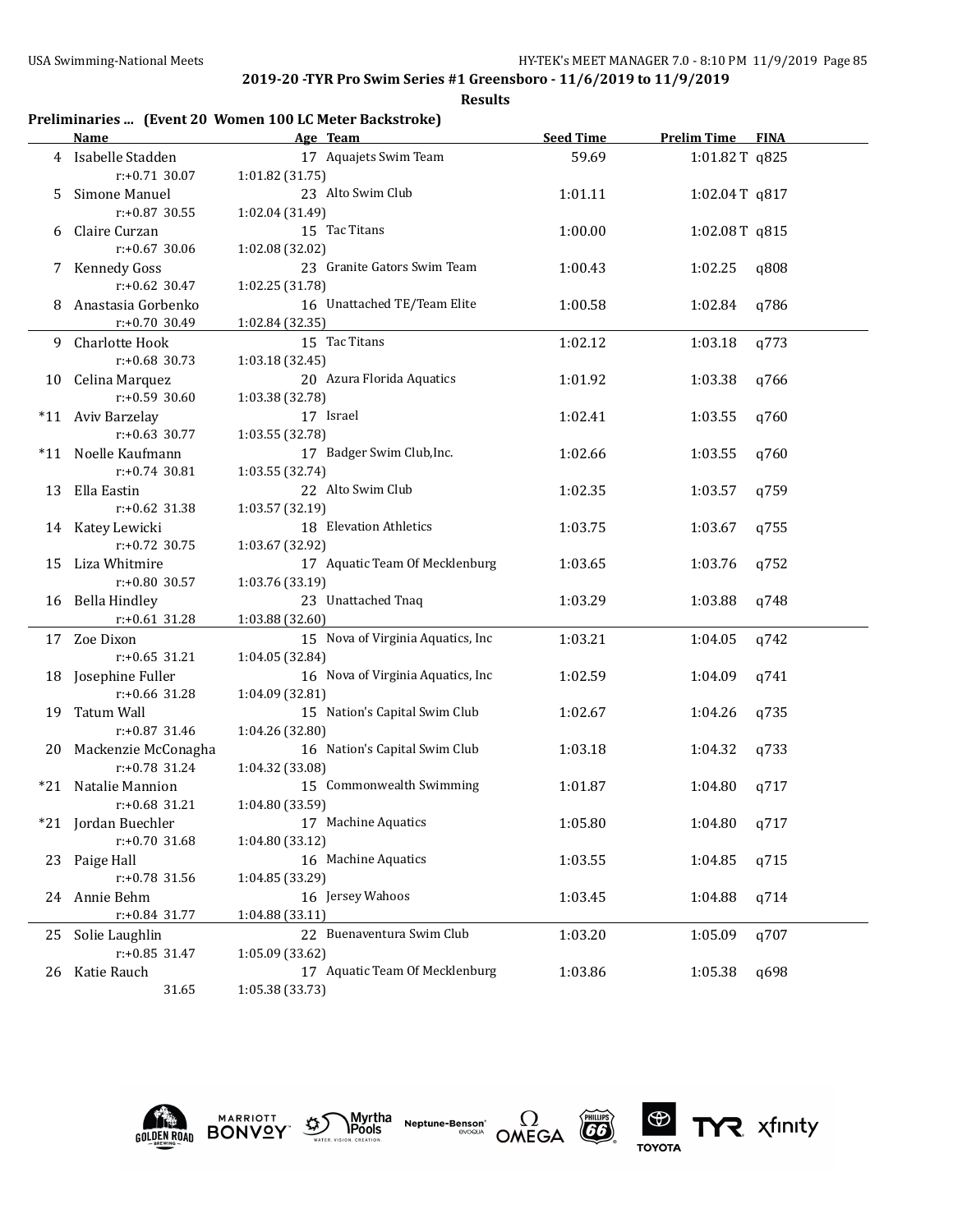**Results**

## **Preliminaries ... (Event 20 Women 100 LC Meter Backstroke)**

|       | <b>Name</b>            | Age Team                          | <b>Seed Time</b> | <b>Prelim Time FINA</b> |      |
|-------|------------------------|-----------------------------------|------------------|-------------------------|------|
|       | 4 Isabelle Stadden     | 17 Aquajets Swim Team             | 59.69            | 1:01.82T q825           |      |
|       | $r: +0.71$ 30.07       | 1:01.82 (31.75)                   |                  |                         |      |
| 5.    | Simone Manuel          | 23 Alto Swim Club                 | 1:01.11          | $1:02.04$ T q817        |      |
|       | r:+0.87 30.55          | 1:02.04 (31.49)                   |                  |                         |      |
| 6     | Claire Curzan          | 15 Tac Titans                     | 1:00.00          | 1:02.08T q815           |      |
|       | $r: +0.67$ 30.06       | 1:02.08 (32.02)                   |                  |                         |      |
| 7     | Kennedy Goss           | 23 Granite Gators Swim Team       | 1:00.43          | 1:02.25                 | q808 |
|       | $r: +0.62$ 30.47       | 1:02.25 (31.78)                   |                  |                         |      |
| 8     | Anastasia Gorbenko     | 16 Unattached TE/Team Elite       | 1:00.58          | 1:02.84                 | q786 |
|       | r:+0.70 30.49          | 1:02.84 (32.35)                   |                  |                         |      |
|       | 9 Charlotte Hook       | 15 Tac Titans                     | 1:02.12          | 1:03.18                 | q773 |
|       | $r: +0.68$ 30.73       | 1:03.18 (32.45)                   |                  |                         |      |
|       | 10 Celina Marquez      | 20 Azura Florida Aquatics         | 1:01.92          | 1:03.38                 | q766 |
|       | $r: +0.59$ 30.60       | 1:03.38 (32.78)                   |                  |                         |      |
|       | *11 Aviv Barzelay      | 17 Israel                         | 1:02.41          | 1:03.55                 | q760 |
|       | $r: +0.63$ 30.77       | 1:03.55 (32.78)                   |                  |                         |      |
| $*11$ | Noelle Kaufmann        | 17 Badger Swim Club, Inc.         | 1:02.66          | 1:03.55                 | q760 |
|       | r:+0.74 30.81          | 1:03.55 (32.74)                   |                  |                         |      |
| 13    | Ella Eastin            | 22 Alto Swim Club                 | 1:02.35          | 1:03.57                 | q759 |
|       | $r: +0.62$ 31.38       | 1:03.57 (32.19)                   |                  |                         |      |
|       | 14 Katey Lewicki       | 18 Elevation Athletics            | 1:03.75          | 1:03.67                 | q755 |
|       | $r: +0.72$ 30.75       | 1:03.67 (32.92)                   |                  |                         |      |
|       | 15 Liza Whitmire       | 17 Aquatic Team Of Mecklenburg    | 1:03.65          | 1:03.76                 | q752 |
|       | r:+0.80 30.57          | 1:03.76 (33.19)                   |                  |                         |      |
|       | 16 Bella Hindley       | 23 Unattached Tnaq                | 1:03.29          | 1:03.88                 | q748 |
|       | $r: +0.61$ 31.28       | 1:03.88 (32.60)                   |                  |                         |      |
|       | 17 Zoe Dixon           | 15 Nova of Virginia Aquatics, Inc | 1:03.21          | 1:04.05                 | q742 |
|       | $r: +0.65$ 31.21       | 1:04.05 (32.84)                   |                  |                         |      |
|       | 18 Josephine Fuller    | 16 Nova of Virginia Aquatics, Inc | 1:02.59          | 1:04.09                 | q741 |
|       | r:+0.66 31.28          | 1:04.09 (32.81)                   |                  |                         |      |
| 19    | Tatum Wall             | 15 Nation's Capital Swim Club     | 1:02.67          | 1:04.26                 | q735 |
|       | $r: +0.87$ 31.46       | 1:04.26 (32.80)                   |                  |                         |      |
|       | 20 Mackenzie McConagha | 16 Nation's Capital Swim Club     | 1:03.18          | 1:04.32                 | q733 |
|       | $r: +0.78$ 31.24       | 1:04.32 (33.08)                   |                  |                         |      |
|       | *21 Natalie Mannion    | 15 Commonwealth Swimming          | 1:01.87          | 1:04.80                 | q717 |
|       | $r: +0.68$ 31.21       | 1:04.80 (33.59)                   |                  |                         |      |
|       | *21 Jordan Buechler    | 17 Machine Aquatics               | 1:05.80          | 1:04.80                 | q717 |
|       | r:+0.70 31.68          | 1:04.80 (33.12)                   |                  |                         |      |
|       | 23 Paige Hall          | 16 Machine Aquatics               | 1:03.55          | 1:04.85                 | q715 |
|       | r:+0.78 31.56          | 1:04.85 (33.29)                   |                  |                         |      |
|       | 24 Annie Behm          | 16 Jersey Wahoos                  | 1:03.45          | 1:04.88                 | q714 |
|       | $r: +0.84$ 31.77       | 1:04.88(33.11)                    |                  |                         |      |
| 25    | Solie Laughlin         | 22 Buenaventura Swim Club         | 1:03.20          | 1:05.09                 | q707 |
|       | $r: +0.85$ 31.47       | 1:05.09 (33.62)                   |                  |                         |      |
|       | 26 Katie Rauch         | 17 Aquatic Team Of Mecklenburg    | 1:03.86          | 1:05.38                 | q698 |
|       | 31.65                  | 1:05.38 (33.73)                   |                  |                         |      |
|       |                        |                                   |                  |                         |      |











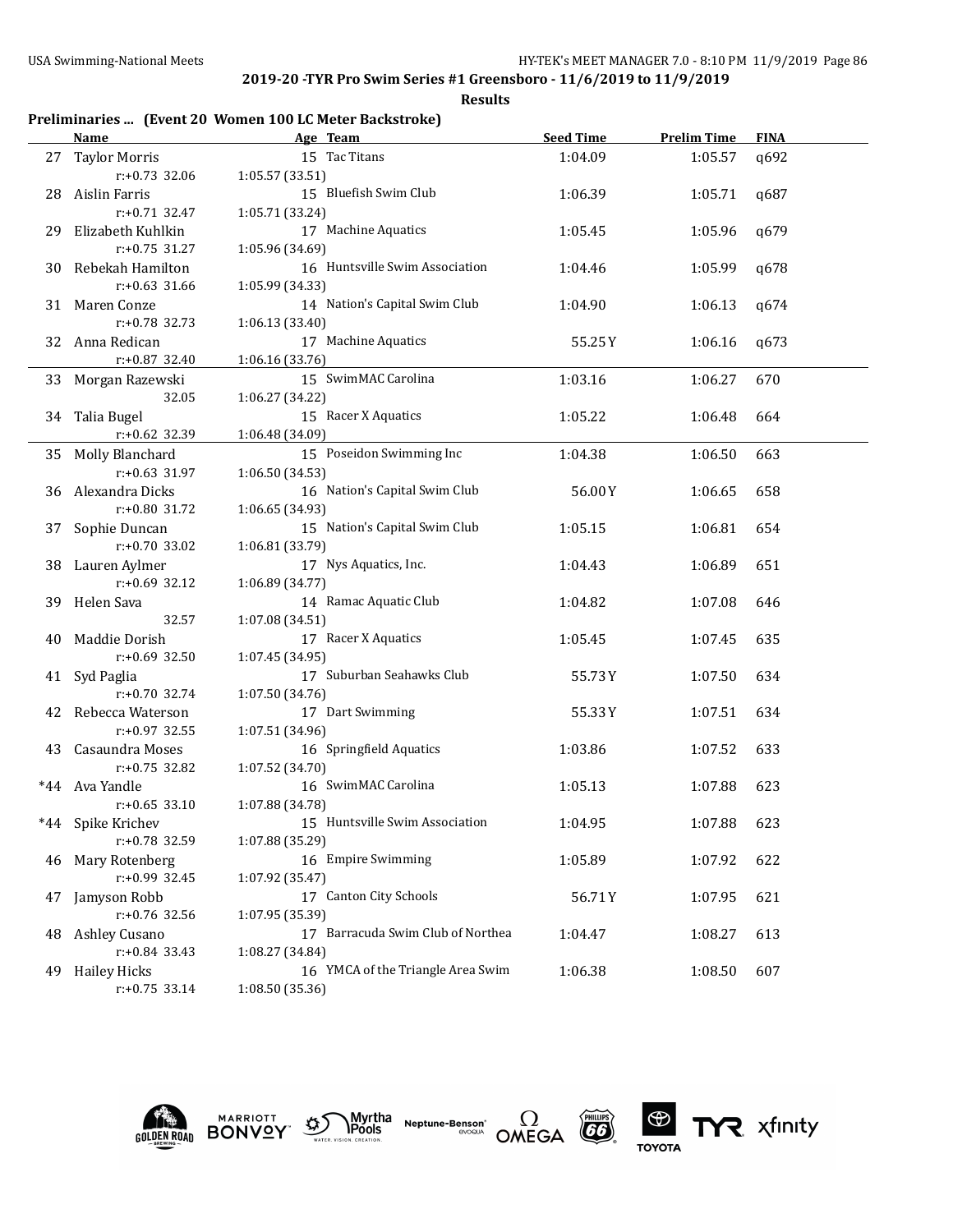**Results**

## **Preliminaries ... (Event 20 Women 100 LC Meter Backstroke)**

|       | Name                                    | Age Team                                     | <b>Seed Time</b> | <b>Prelim Time</b> | <b>FINA</b> |
|-------|-----------------------------------------|----------------------------------------------|------------------|--------------------|-------------|
|       | 27 Taylor Morris                        | 15 Tac Titans                                | 1:04.09          | 1:05.57            | q692        |
|       | $r: +0.73$ 32.06                        | 1:05.57 (33.51)                              |                  |                    |             |
| 28    | Aislin Farris                           | 15 Bluefish Swim Club                        | 1:06.39          | 1:05.71            | q687        |
|       | r:+0.71 32.47                           | 1:05.71 (33.24)                              |                  |                    |             |
| 29    | Elizabeth Kuhlkin                       | 17 Machine Aquatics                          | 1:05.45          | 1:05.96            | q679        |
|       | $r: +0.75$ 31.27                        | 1:05.96 (34.69)                              |                  |                    |             |
| 30    | Rebekah Hamilton                        | 16 Huntsville Swim Association               | 1:04.46          | 1:05.99            | q678        |
|       | $r: +0.63$ 31.66                        | 1:05.99 (34.33)                              |                  |                    |             |
| 31    | Maren Conze                             | 14 Nation's Capital Swim Club                | 1:04.90          | 1:06.13            | q674        |
|       | r:+0.78 32.73                           | 1:06.13(33.40)                               |                  |                    |             |
|       | 32 Anna Redican                         | 17 Machine Aquatics                          | 55.25Y           | 1:06.16            | q673        |
|       | $r: +0.87$ 32.40                        | 1:06.16 (33.76)                              |                  |                    |             |
|       | 33 Morgan Razewski                      | 15 SwimMAC Carolina                          | 1:03.16          | 1:06.27            | 670         |
|       | 32.05                                   | 1:06.27 (34.22)                              |                  |                    |             |
|       | 34 Talia Bugel                          | 15 Racer X Aquatics                          | 1:05.22          | 1:06.48            | 664         |
|       | r:+0.62 32.39                           | 1:06.48 (34.09)                              |                  |                    |             |
|       | 35 Molly Blanchard                      | 15 Poseidon Swimming Inc                     | 1:04.38          | 1:06.50            | 663         |
|       | r:+0.63 31.97                           | 1:06.50 (34.53)                              |                  |                    |             |
|       | 36 Alexandra Dicks                      | 16 Nation's Capital Swim Club                | 56.00Y           | 1:06.65            | 658         |
|       | r:+0.80 31.72                           | 1:06.65 (34.93)                              |                  |                    |             |
|       | 37 Sophie Duncan                        | 15 Nation's Capital Swim Club                | 1:05.15          | 1:06.81            | 654         |
|       | $r: +0.70$ 33.02                        | 1:06.81 (33.79)                              |                  |                    |             |
|       | 38 Lauren Aylmer                        | 17 Nys Aquatics, Inc.                        | 1:04.43          | 1:06.89            | 651         |
|       | $r: +0.69$ 32.12                        | 1:06.89 (34.77)                              |                  |                    |             |
|       | 39 Helen Sava                           | 14 Ramac Aquatic Club                        | 1:04.82          | 1:07.08            | 646         |
|       | 32.57                                   | 1:07.08 (34.51)                              |                  |                    |             |
| 40    | Maddie Dorish                           | 17 Racer X Aquatics                          | 1:05.45          | 1:07.45            | 635         |
|       | r:+0.69 32.50                           | 1:07.45 (34.95)                              |                  |                    |             |
|       | 41 Syd Paglia<br>$r: +0.70$ 32.74       | 17 Suburban Seahawks Club<br>1:07.50 (34.76) | 55.73Y           | 1:07.50            | 634         |
|       |                                         | 17 Dart Swimming                             |                  |                    |             |
|       | 42 Rebecca Waterson<br>$r: +0.97$ 32.55 | 1:07.51 (34.96)                              | 55.33Y           | 1:07.51            | 634         |
|       | 43 Casaundra Moses                      | 16 Springfield Aquatics                      | 1:03.86          | 1:07.52            | 633         |
|       | $r: +0.75$ 32.82                        | 1:07.52 (34.70)                              |                  |                    |             |
| *44   | Ava Yandle                              | 16 SwimMAC Carolina                          | 1:05.13          | 1:07.88            | 623         |
|       | $r: +0.65$ 33.10                        | 1:07.88 (34.78)                              |                  |                    |             |
| $*44$ | Spike Krichev                           | 15 Huntsville Swim Association               | 1:04.95          | 1:07.88            | 623         |
|       | r:+0.78 32.59                           | 1:07.88 (35.29)                              |                  |                    |             |
| 46    | Mary Rotenberg                          | 16 Empire Swimming                           | 1:05.89          | 1:07.92            | 622         |
|       | r:+0.99 32.45                           | 1:07.92 (35.47)                              |                  |                    |             |
| 47    | Jamyson Robb                            | 17 Canton City Schools                       | 56.71Y           | 1:07.95            | 621         |
|       | r:+0.76 32.56                           | 1:07.95 (35.39)                              |                  |                    |             |
| 48    | Ashley Cusano                           | 17 Barracuda Swim Club of Northea            | 1:04.47          | 1:08.27            | 613         |
|       | $r: +0.84$ 33.43                        | 1:08.27 (34.84)                              |                  |                    |             |
| 49    | <b>Hailey Hicks</b>                     | 16 YMCA of the Triangle Area Swim            | 1:06.38          | 1:08.50            | 607         |
|       | $r: +0.75$ 33.14                        | 1:08.50 (35.36)                              |                  |                    |             |
|       |                                         |                                              |                  |                    |             |











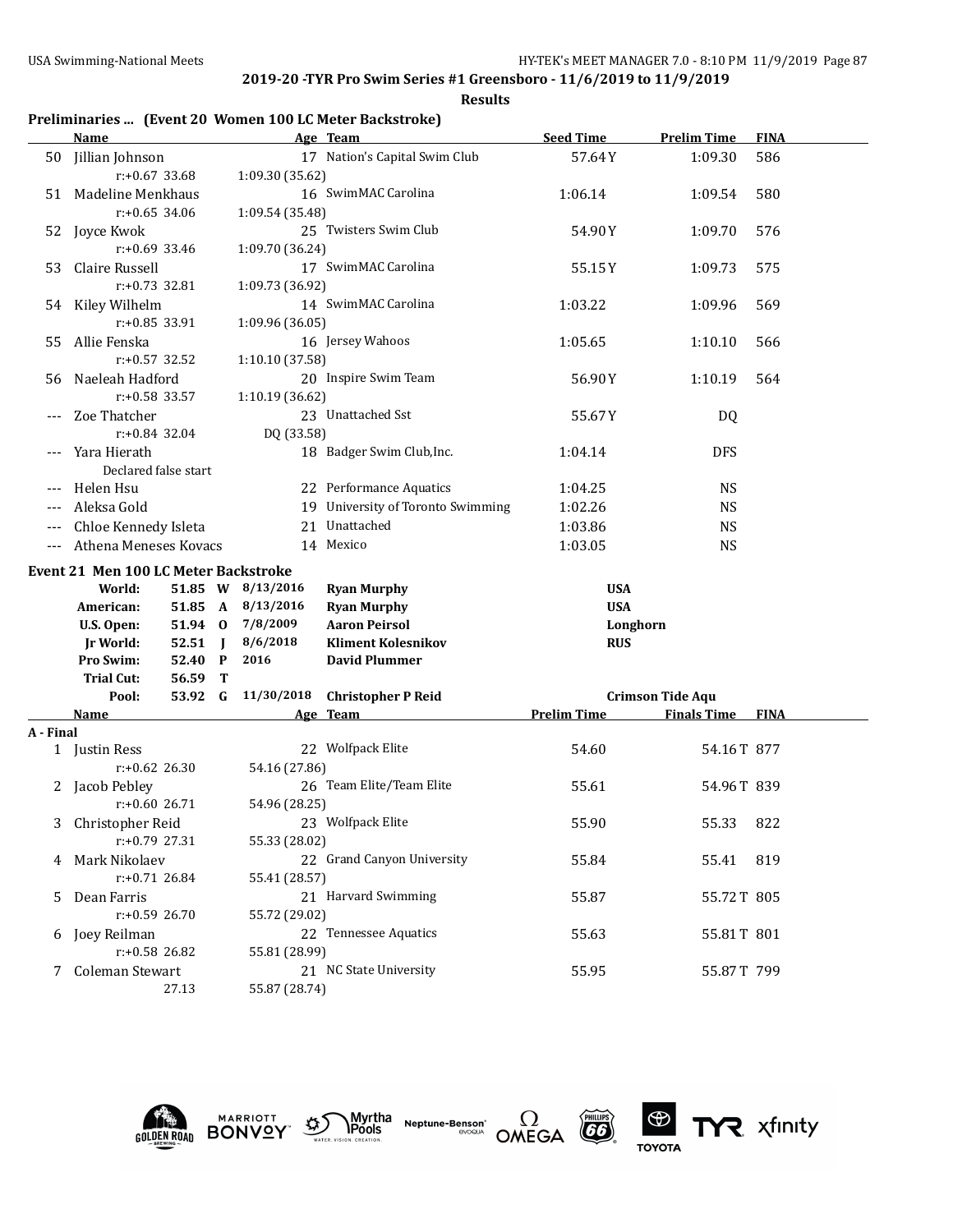**Results**

## **Preliminaries ... (Event 20 Women 100 LC Meter Backstroke)**

|           | <b>Name</b>                          |         |                |                   | Age Team                          | <b>Seed Time</b>   | <b>Prelim Time</b>      | <b>FINA</b> |
|-----------|--------------------------------------|---------|----------------|-------------------|-----------------------------------|--------------------|-------------------------|-------------|
|           | 50 Jillian Johnson                   |         |                |                   | 17 Nation's Capital Swim Club     | 57.64Y             | 1:09.30                 | 586         |
|           | $r: +0.67$ 33.68                     |         |                | 1:09.30 (35.62)   |                                   |                    |                         |             |
|           | 51 Madeline Menkhaus                 |         |                |                   | 16 SwimMAC Carolina               | 1:06.14            | 1:09.54                 | 580         |
|           | $r: +0.65$ 34.06                     |         |                | 1:09.54 (35.48)   |                                   |                    |                         |             |
|           | 52 Joyce Kwok                        |         |                |                   | 25 Twisters Swim Club             | 54.90Y             | 1:09.70                 | 576         |
|           | $r: +0.69$ 33.46                     |         |                | 1:09.70 (36.24)   |                                   |                    |                         |             |
| 53        | Claire Russell                       |         |                |                   | 17 SwimMAC Carolina               | 55.15Y             | 1:09.73                 | 575         |
|           | r:+0.73 32.81                        |         |                | 1:09.73 (36.92)   |                                   |                    |                         |             |
|           | 54 Kiley Wilhelm                     |         |                |                   | 14 SwimMAC Carolina               | 1:03.22            | 1:09.96                 | 569         |
|           | r:+0.85 33.91                        |         |                | 1:09.96 (36.05)   |                                   |                    |                         |             |
| 55        | Allie Fenska                         |         |                |                   | 16 Jersey Wahoos                  | 1:05.65            | 1:10.10                 | 566         |
|           | $r: +0.57$ 32.52                     |         |                | 1:10.10 (37.58)   |                                   |                    |                         |             |
| 56        | Naeleah Hadford                      |         |                |                   | 20 Inspire Swim Team              | 56.90Y             | 1:10.19                 | 564         |
|           | r:+0.58 33.57                        |         |                | 1:10.19 (36.62)   |                                   |                    |                         |             |
|           | Zoe Thatcher                         |         |                |                   | 23 Unattached Sst                 | 55.67Y             | DQ                      |             |
|           | r:+0.84 32.04                        |         |                | DQ (33.58)        |                                   |                    |                         |             |
|           | Yara Hierath                         |         |                |                   | 18 Badger Swim Club, Inc.         | 1:04.14            | <b>DFS</b>              |             |
|           | Declared false start                 |         |                |                   |                                   |                    |                         |             |
| $---$     | Helen Hsu                            |         |                |                   | 22 Performance Aquatics           | 1:04.25            | <b>NS</b>               |             |
|           | Aleksa Gold                          |         |                |                   | 19 University of Toronto Swimming | 1:02.26            | <b>NS</b>               |             |
|           | Chloe Kennedy Isleta                 |         |                |                   | 21 Unattached                     | 1:03.86            | <b>NS</b>               |             |
|           | Athena Meneses Kovacs                |         |                |                   | 14 Mexico                         | 1:03.05            | <b>NS</b>               |             |
|           | Event 21 Men 100 LC Meter Backstroke |         |                |                   |                                   |                    |                         |             |
|           | World:                               |         |                | 51.85 W 8/13/2016 | <b>Ryan Murphy</b>                | <b>USA</b>         |                         |             |
|           | American:                            |         |                | 51.85 A 8/13/2016 | <b>Ryan Murphy</b>                | <b>USA</b>         |                         |             |
|           | U.S. Open:                           | 51.94 0 |                | 7/8/2009          | <b>Aaron Peirsol</b>              | Longhorn           |                         |             |
|           | <b>Jr World:</b>                     | 52.51   | $\blacksquare$ | 8/6/2018          | <b>Kliment Kolesnikov</b>         | <b>RUS</b>         |                         |             |
|           | Pro Swim:                            | 52.40 P |                | 2016              | <b>David Plummer</b>              |                    |                         |             |
|           | <b>Trial Cut:</b>                    | 56.59   | Т              |                   |                                   |                    |                         |             |
|           | Pool:                                | 53.92 G |                | 11/30/2018        | <b>Christopher P Reid</b>         |                    | <b>Crimson Tide Aqu</b> |             |
|           | Name                                 |         |                |                   | Age Team                          | <b>Prelim Time</b> | <b>Finals Time FINA</b> |             |
| A - Final |                                      |         |                |                   |                                   |                    |                         |             |
|           | 1 Justin Ress                        |         |                |                   | 22 Wolfpack Elite                 | 54.60              | 54.16T 877              |             |
|           | $r: +0.62$ 26.30                     |         |                | 54.16 (27.86)     |                                   |                    |                         |             |
|           | 2 Jacob Pebley                       |         |                |                   | 26 Team Elite/Team Elite          | 55.61              | 54.96T 839              |             |
|           | $r: +0.6026.71$                      |         |                | 54.96 (28.25)     |                                   |                    |                         |             |
|           | 3 Christopher Reid                   |         |                |                   | 23 Wolfpack Elite                 | 55.90              | 55.33 822               |             |
|           | $r: +0.79$ 27.31                     |         |                | 55.33 (28.02)     |                                   |                    |                         |             |
|           | Mark Nikolaev                        |         |                |                   | 22 Grand Canyon University        | 55.84              | 55.41                   | 819         |
|           | $r: +0.71$ 26.84                     |         |                | 55.41 (28.57)     |                                   |                    |                         |             |
| 5         | Dean Farris                          |         |                |                   | 21 Harvard Swimming               | 55.87              | 55.72T 805              |             |
|           | $r: +0.59$ 26.70                     |         |                | 55.72 (29.02)     |                                   |                    |                         |             |
| 6         | Joey Reilman                         |         |                |                   | 22 Tennessee Aquatics             | 55.63              | 55.81T 801              |             |
|           | r:+0.58 26.82                        |         |                | 55.81 (28.99)     |                                   |                    |                         |             |
|           | Coleman Stewart                      |         |                |                   | 21 NC State University            | 55.95              | 55.87T 799              |             |
|           |                                      |         |                |                   |                                   |                    |                         |             |











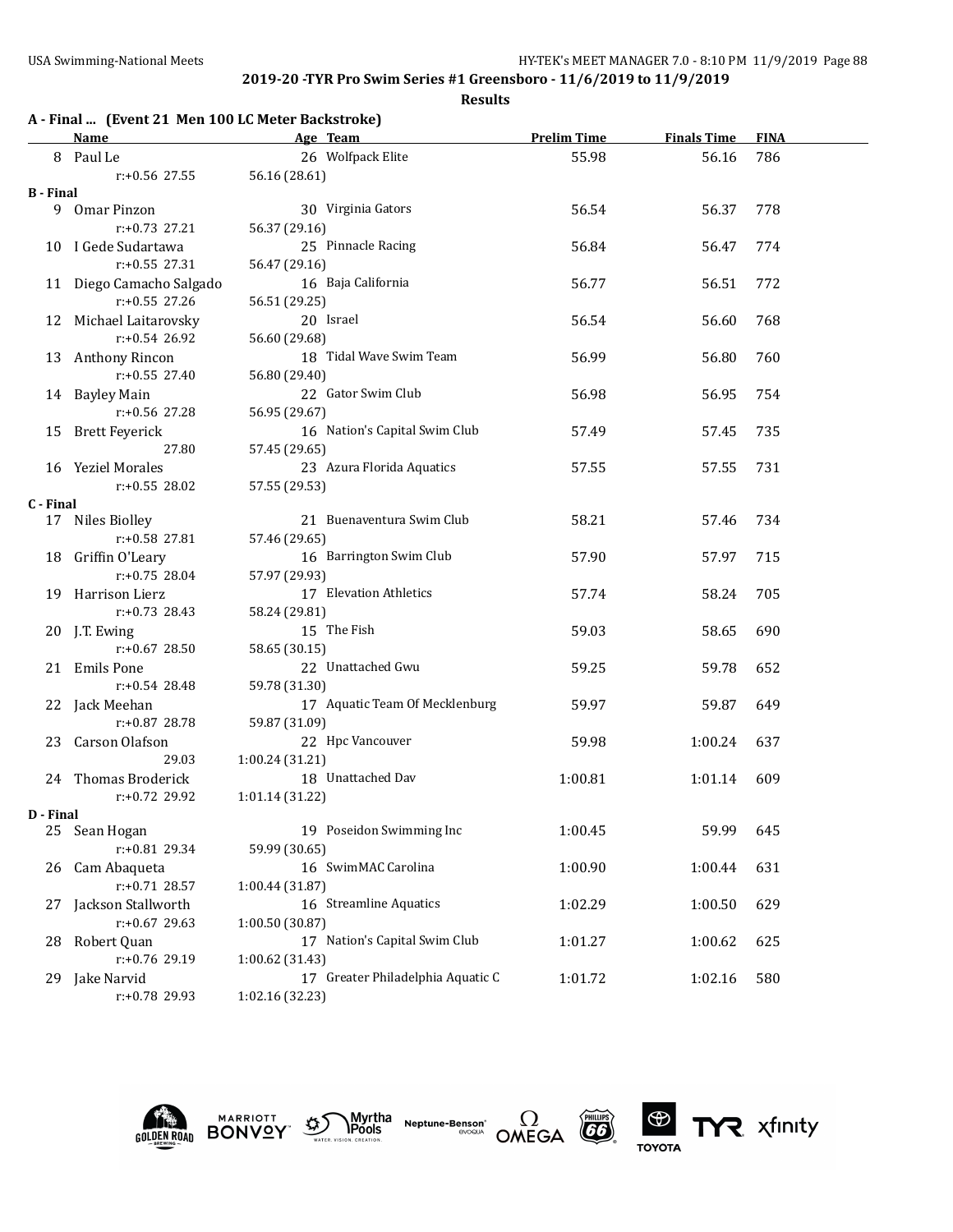| A - Final  (Event 21 Men 100 LC Meter Backstroke) |                          |                 |                                   |                    |                    |             |  |  |  |
|---------------------------------------------------|--------------------------|-----------------|-----------------------------------|--------------------|--------------------|-------------|--|--|--|
|                                                   | Name                     |                 | Age Team                          | <b>Prelim Time</b> | <b>Finals Time</b> | <b>FINA</b> |  |  |  |
|                                                   | 8 Paul Le                |                 | 26 Wolfpack Elite                 | 55.98              | 56.16              | 786         |  |  |  |
|                                                   | $r: +0.56$ 27.55         | 56.16 (28.61)   |                                   |                    |                    |             |  |  |  |
| <b>B</b> - Final                                  |                          |                 |                                   |                    |                    |             |  |  |  |
|                                                   | 9 Omar Pinzon            |                 | 30 Virginia Gators                | 56.54              | 56.37              | 778         |  |  |  |
|                                                   | $r: +0.73$ 27.21         | 56.37 (29.16)   |                                   |                    |                    |             |  |  |  |
|                                                   | 10 I Gede Sudartawa      |                 | 25 Pinnacle Racing                | 56.84              | 56.47              | 774         |  |  |  |
|                                                   | $r: +0.55$ 27.31         | 56.47 (29.16)   |                                   |                    |                    |             |  |  |  |
|                                                   | 11 Diego Camacho Salgado |                 | 16 Baja California                | 56.77              | 56.51              | 772         |  |  |  |
|                                                   | $r: +0.55$ 27.26         | 56.51 (29.25)   |                                   |                    |                    |             |  |  |  |
|                                                   | 12 Michael Laitarovsky   |                 | 20 Israel                         | 56.54              | 56.60              | 768         |  |  |  |
|                                                   | $r: +0.54$ 26.92         | 56.60 (29.68)   |                                   |                    |                    |             |  |  |  |
|                                                   | 13 Anthony Rincon        |                 | 18 Tidal Wave Swim Team           | 56.99              | 56.80              | 760         |  |  |  |
|                                                   | $r: +0.55$ 27.40         | 56.80 (29.40)   |                                   |                    |                    |             |  |  |  |
|                                                   | 14 Bayley Main           |                 | 22 Gator Swim Club                | 56.98              | 56.95              | 754         |  |  |  |
|                                                   | $r: +0.56$ 27.28         | 56.95 (29.67)   |                                   |                    |                    |             |  |  |  |
| 15                                                | <b>Brett Feyerick</b>    |                 | 16 Nation's Capital Swim Club     | 57.49              | 57.45              | 735         |  |  |  |
|                                                   | 27.80                    | 57.45 (29.65)   |                                   |                    |                    |             |  |  |  |
|                                                   | 16 Yeziel Morales        |                 | 23 Azura Florida Aquatics         | 57.55              | 57.55              | 731         |  |  |  |
|                                                   | $r: +0.55$ 28.02         | 57.55 (29.53)   |                                   |                    |                    |             |  |  |  |
| C - Final                                         |                          |                 |                                   |                    |                    |             |  |  |  |
|                                                   | 17 Niles Biolley         |                 | 21 Buenaventura Swim Club         | 58.21              | 57.46              | 734         |  |  |  |
|                                                   | $r: +0.58$ 27.81         | 57.46 (29.65)   |                                   |                    |                    |             |  |  |  |
| 18                                                | Griffin O'Leary          |                 | 16 Barrington Swim Club           | 57.90              | 57.97              | 715         |  |  |  |
|                                                   | $r: +0.75$ 28.04         | 57.97 (29.93)   |                                   |                    |                    |             |  |  |  |
| 19                                                | Harrison Lierz           |                 | 17 Elevation Athletics            | 57.74              | 58.24              | 705         |  |  |  |
|                                                   | $r: +0.73$ 28.43         | 58.24 (29.81)   |                                   |                    |                    |             |  |  |  |
|                                                   | 20 J.T. Ewing            |                 | 15 The Fish                       | 59.03              | 58.65              | 690         |  |  |  |
|                                                   | $r: +0.67$ 28.50         | 58.65 (30.15)   |                                   |                    |                    |             |  |  |  |
|                                                   | 21 Emils Pone            |                 | 22 Unattached Gwu                 | 59.25              | 59.78              | 652         |  |  |  |
|                                                   | $r: +0.54$ 28.48         | 59.78 (31.30)   |                                   |                    |                    |             |  |  |  |
|                                                   | 22 Jack Meehan           |                 | 17 Aquatic Team Of Mecklenburg    | 59.97              | 59.87              | 649         |  |  |  |
|                                                   | $r: +0.87$ 28.78         | 59.87 (31.09)   |                                   |                    |                    |             |  |  |  |
| 23                                                | Carson Olafson           |                 | 22 Hpc Vancouver                  | 59.98              | 1:00.24            | 637         |  |  |  |
|                                                   | 29.03                    | 1:00.24 (31.21) |                                   |                    |                    |             |  |  |  |
| 24                                                | Thomas Broderick         |                 | 18 Unattached Dav                 | 1:00.81            | 1:01.14            | 609         |  |  |  |
|                                                   | r:+0.72 29.92            | 1:01.14 (31.22) |                                   |                    |                    |             |  |  |  |
| D - Final                                         |                          |                 |                                   |                    |                    |             |  |  |  |
|                                                   | 25 Sean Hogan            |                 | 19 Poseidon Swimming Inc          | 1:00.45            | 59.99              | 645         |  |  |  |
|                                                   | r:+0.81 29.34            | 59.99 (30.65)   |                                   |                    |                    |             |  |  |  |
| 26                                                | Cam Abaqueta             |                 | 16 SwimMAC Carolina               | 1:00.90            | 1:00.44            | 631         |  |  |  |
|                                                   | r:+0.71 28.57            | 1:00.44 (31.87) |                                   |                    |                    |             |  |  |  |
| 27                                                | Jackson Stallworth       |                 | 16 Streamline Aquatics            | 1:02.29            | 1:00.50            | 629         |  |  |  |
|                                                   | $r: +0.67$ 29.63         | 1:00.50 (30.87) |                                   |                    |                    |             |  |  |  |
| 28                                                | Robert Quan              |                 | 17 Nation's Capital Swim Club     | 1:01.27            | 1:00.62            | 625         |  |  |  |
|                                                   | r:+0.76 29.19            | 1:00.62 (31.43) |                                   |                    |                    |             |  |  |  |
| 29                                                | Jake Narvid              |                 | 17 Greater Philadelphia Aquatic C | 1:01.72            | 1:02.16            | 580         |  |  |  |
|                                                   | r:+0.78 29.93            | 1:02.16 (32.23) |                                   |                    |                    |             |  |  |  |
|                                                   |                          |                 |                                   |                    |                    |             |  |  |  |











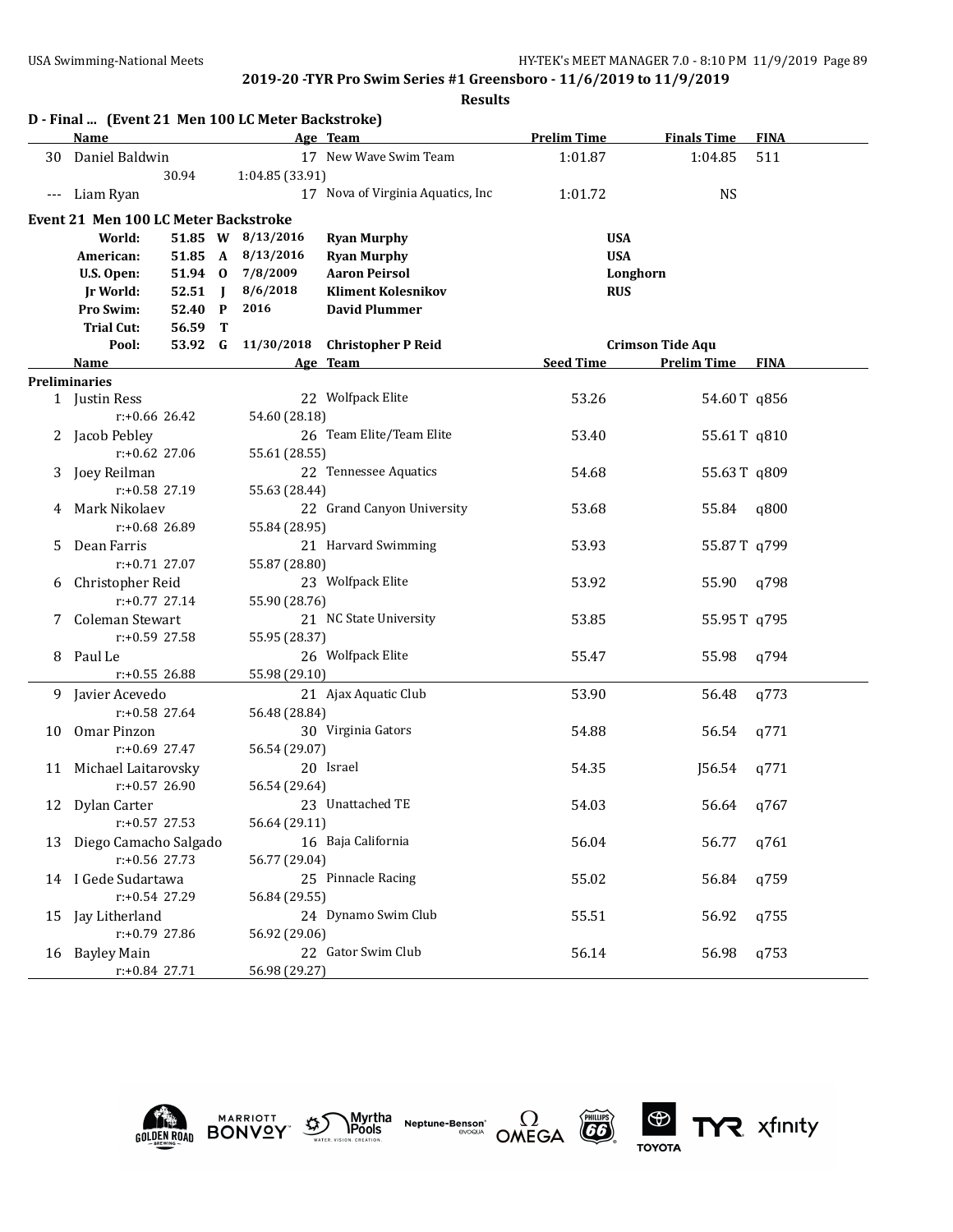|       | D - Final  (Event 21 Men 100 LC Meter Backstroke) |         |                |                    |                                   |                    |                         |             |
|-------|---------------------------------------------------|---------|----------------|--------------------|-----------------------------------|--------------------|-------------------------|-------------|
|       | Name                                              |         |                |                    | Age Team                          | <b>Prelim Time</b> | <b>Finals Time</b>      | <b>FINA</b> |
| 30    | Daniel Baldwin                                    |         |                |                    | 17 New Wave Swim Team             | 1:01.87            | 1:04.85                 | 511         |
|       |                                                   | 30.94   |                | 1:04.85 (33.91)    |                                   |                    |                         |             |
| $---$ | Liam Ryan                                         |         |                |                    | 17 Nova of Virginia Aquatics, Inc | 1:01.72            | <b>NS</b>               |             |
|       | <b>Event 21 Men 100 LC Meter Backstroke</b>       |         |                |                    |                                   |                    |                         |             |
|       | World:                                            |         |                | 51.85 W 8/13/2016  | <b>Ryan Murphy</b>                |                    | <b>USA</b>              |             |
|       | American:                                         |         |                | 51.85 A 8/13/2016  | <b>Ryan Murphy</b>                |                    | <b>USA</b>              |             |
|       | U.S. Open:                                        |         |                | 51.94 0 7/8/2009   | <b>Aaron Peirsol</b>              |                    | Longhorn                |             |
|       | <b>Jr World:</b>                                  | 52.51   | $\blacksquare$ | 8/6/2018           | <b>Kliment Kolesnikov</b>         |                    | <b>RUS</b>              |             |
|       | Pro Swim:                                         | 52.40 P |                | 2016               | <b>David Plummer</b>              |                    |                         |             |
|       | <b>Trial Cut:</b>                                 | 56.59   | T              |                    |                                   |                    |                         |             |
|       | Pool:                                             |         |                | 53.92 G 11/30/2018 | <b>Christopher P Reid</b>         |                    | <b>Crimson Tide Aqu</b> |             |
|       | Name                                              |         |                |                    | Age Team                          | <b>Seed Time</b>   | <b>Prelim Time</b>      | <b>FINA</b> |
|       | <b>Preliminaries</b>                              |         |                |                    |                                   |                    |                         |             |
|       | 1 Justin Ress                                     |         |                |                    | 22 Wolfpack Elite                 | 53.26              | 54.60T q856             |             |
|       | r:+0.66 26.42                                     |         |                | 54.60 (28.18)      |                                   |                    |                         |             |
|       | 2 Jacob Pebley                                    |         |                |                    | 26 Team Elite/Team Elite          | 53.40              | 55.61T q810             |             |
|       | r:+0.62 27.06                                     |         |                | 55.61 (28.55)      |                                   |                    |                         |             |
| 3     | Joey Reilman                                      |         |                |                    | 22 Tennessee Aquatics             | 54.68              | 55.63T q809             |             |
|       | r:+0.58 27.19                                     |         |                | 55.63 (28.44)      |                                   |                    |                         |             |
| 4     | Mark Nikolaev                                     |         |                |                    | 22 Grand Canyon University        | 53.68              | 55.84                   | q800        |
|       | $r: +0.68$ 26.89                                  |         |                | 55.84 (28.95)      |                                   |                    |                         |             |
| 5.    | Dean Farris                                       |         |                |                    | 21 Harvard Swimming               | 53.93              | 55.87T q799             |             |
|       | r:+0.71 27.07                                     |         |                | 55.87 (28.80)      |                                   |                    |                         |             |
|       | Christopher Reid                                  |         |                |                    | 23 Wolfpack Elite                 | 53.92              | 55.90                   | q798        |
|       | $r: +0.77$ 27.14                                  |         |                | 55.90 (28.76)      |                                   |                    |                         |             |
| 7.    | Coleman Stewart                                   |         |                |                    | 21 NC State University            | 53.85              | 55.95 T q795            |             |
|       | r:+0.59 27.58                                     |         |                | 55.95 (28.37)      |                                   |                    |                         |             |
| 8     | Paul Le                                           |         |                |                    | 26 Wolfpack Elite                 | 55.47              | 55.98                   | q794        |
|       | $r: +0.55$ 26.88                                  |         |                | 55.98 (29.10)      |                                   |                    |                         |             |
| 9.    | Javier Acevedo                                    |         |                |                    | 21 Ajax Aquatic Club              | 53.90              | 56.48                   | q773        |
|       | r:+0.58 27.64                                     |         |                | 56.48 (28.84)      |                                   |                    |                         |             |
| 10    | Omar Pinzon                                       |         |                |                    | 30 Virginia Gators                | 54.88              | 56.54                   | q771        |
|       | r:+0.69 27.47                                     |         |                | 56.54 (29.07)      |                                   |                    |                         |             |
|       | 11 Michael Laitarovsky                            |         |                |                    | 20 Israel                         | 54.35              | J56.54                  | q771        |
|       | r:+0.57 26.90                                     |         |                | 56.54 (29.64)      |                                   |                    |                         |             |
|       | 12 Dylan Carter                                   |         |                |                    | 23 Unattached TE                  | 54.03              | 56.64 q767              |             |
|       | r:+0.57 27.53                                     |         |                | 56.64 (29.11)      |                                   |                    |                         |             |
| 13    | Diego Camacho Salgado                             |         |                |                    | 16 Baja California                | 56.04              | 56.77                   | q761        |
|       | r:+0.56 27.73                                     |         |                | 56.77 (29.04)      |                                   |                    |                         |             |
|       | 14 I Gede Sudartawa                               |         |                |                    | 25 Pinnacle Racing                | 55.02              | 56.84                   | q759        |
|       | r:+0.54 27.29                                     |         |                | 56.84 (29.55)      |                                   |                    |                         |             |
| 15    | Jay Litherland                                    |         |                |                    | 24 Dynamo Swim Club               | 55.51              | 56.92                   | q755        |
|       | r:+0.79 27.86                                     |         |                | 56.92 (29.06)      |                                   |                    |                         |             |
|       | 16 Bayley Main                                    |         |                |                    | 22 Gator Swim Club                | 56.14              | 56.98                   | q753        |
|       | r:+0.84 27.71                                     |         |                | 56.98 (29.27)      |                                   |                    |                         |             |









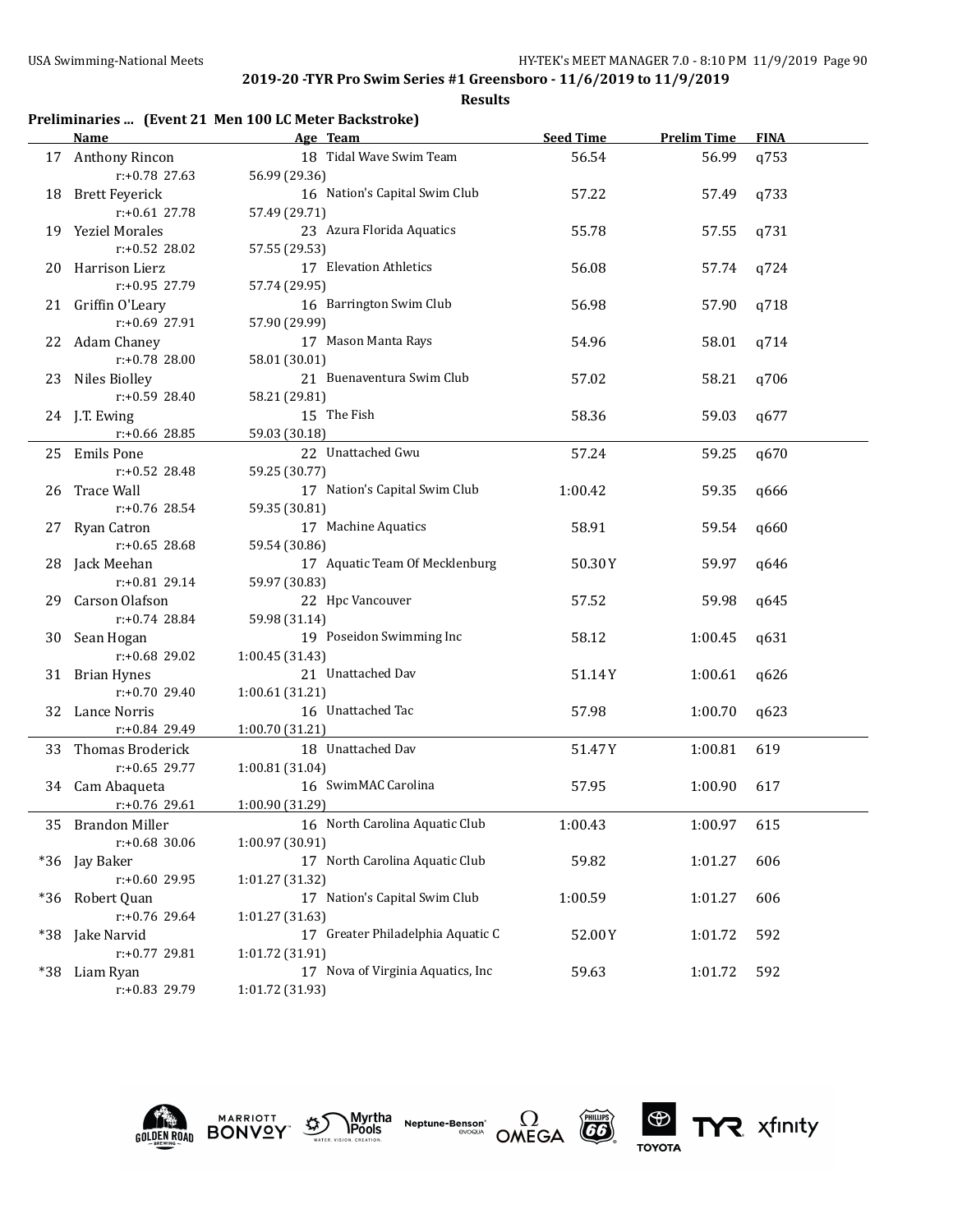#### **Results**

## **Preliminaries ... (Event 21 Men 100 LC Meter Backstroke)**

|       | <b>Name</b>                  | Age Team                                             | <b>Seed Time</b> | <b>Prelim Time</b> | <b>FINA</b> |
|-------|------------------------------|------------------------------------------------------|------------------|--------------------|-------------|
|       | 17 Anthony Rincon            | 18 Tidal Wave Swim Team                              | 56.54            | 56.99              | q753        |
|       | r:+0.78 27.63                | 56.99 (29.36)                                        |                  |                    |             |
| 18    | <b>Brett Feyerick</b>        | 16 Nation's Capital Swim Club                        | 57.22            | 57.49              | q733        |
|       | $r: +0.61$ 27.78             | 57.49 (29.71)                                        |                  |                    |             |
|       | 19 Yeziel Morales            | 23 Azura Florida Aquatics                            | 55.78            | 57.55              | q731        |
|       | $r: +0.52$ 28.02             | 57.55 (29.53)                                        |                  |                    |             |
| 20    | Harrison Lierz               | 17 Elevation Athletics                               | 56.08            | 57.74              | q724        |
|       | r:+0.95 27.79                | 57.74 (29.95)                                        |                  |                    |             |
|       | 21 Griffin O'Leary           | 16 Barrington Swim Club                              | 56.98            | 57.90              | q718        |
|       | $r: +0.69$ 27.91             | 57.90 (29.99)                                        |                  |                    |             |
|       | 22 Adam Chaney               | 17 Mason Manta Rays                                  | 54.96            | 58.01              | q714        |
|       | r:+0.78 28.00                | 58.01 (30.01)                                        |                  |                    |             |
|       | 23 Niles Biolley             | 21 Buenaventura Swim Club                            | 57.02            | 58.21              | q706        |
|       | $r: +0.59$ 28.40             | 58.21 (29.81)                                        |                  |                    |             |
|       | 24 J.T. Ewing                | 15 The Fish                                          | 58.36            | 59.03              | q677        |
|       | r:+0.66 28.85                | 59.03 (30.18)                                        |                  |                    |             |
|       | 25 Emils Pone                | 22 Unattached Gwu                                    | 57.24            | 59.25              | q670        |
|       | $r: +0.52$ 28.48             | 59.25 (30.77)                                        |                  |                    |             |
|       | 26 Trace Wall                | 17 Nation's Capital Swim Club                        | 1:00.42          | 59.35              | q666        |
|       | $r: +0.76$ 28.54             | 59.35 (30.81)                                        |                  |                    |             |
| 27    | Ryan Catron                  | 17 Machine Aquatics                                  | 58.91            | 59.54              | q660        |
|       | $r: +0.65$ 28.68             | 59.54 (30.86)                                        |                  |                    |             |
| 28    | Jack Meehan                  | 17 Aquatic Team Of Mecklenburg                       | 50.30Y           | 59.97              | q646        |
|       | $r: +0.81$ 29.14             | 59.97 (30.83)                                        |                  |                    |             |
| 29    | Carson Olafson               | 22 Hpc Vancouver                                     | 57.52            | 59.98              | q645        |
|       | $r: +0.74$ 28.84             | 59.98 (31.14)                                        |                  |                    |             |
|       | 30 Sean Hogan                | 19 Poseidon Swimming Inc                             | 58.12            | 1:00.45            | q631        |
|       | r:+0.68 29.02                | 1:00.45 (31.43)                                      |                  |                    |             |
|       | 31 Brian Hynes               | 21 Unattached Dav                                    | 51.14Y           | 1:00.61            | q626        |
|       | $r: +0.70$ 29.40             | 1:00.61 (31.21)                                      |                  |                    |             |
|       | 32 Lance Norris              | 16 Unattached Tac                                    | 57.98            | 1:00.70            | q623        |
|       | r:+0.84 29.49                | 1:00.70 (31.21)                                      |                  |                    |             |
|       | 33 Thomas Broderick          | 18 Unattached Dav                                    | 51.47Y           | 1:00.81            | 619         |
|       | $r: +0.65$ 29.77             | 1:00.81 (31.04)                                      |                  |                    |             |
|       | 34 Cam Abaqueta              | 16 SwimMAC Carolina                                  | 57.95            | 1:00.90            | 617         |
|       | $r: +0.76$ 29.61             | 1:00.90 (31.29)                                      |                  |                    |             |
|       | 35 Brandon Miller            | 16 North Carolina Aquatic Club                       | 1:00.43          | 1:00.97            | 615         |
|       | r:+0.68 30.06                | 1:00.97 (30.91)                                      |                  |                    |             |
|       | *36 Jay Baker                | 17 North Carolina Aquatic Club                       | 59.82            | 1:01.27            | 606         |
|       | r:+0.60 29.95                | 1:01.27 (31.32)                                      |                  |                    |             |
|       |                              | 17 Nation's Capital Swim Club                        |                  |                    |             |
| $*36$ | Robert Quan<br>r:+0.76 29.64 | 1:01.27 (31.63)                                      | 1:00.59          | 1:01.27            | 606         |
|       |                              | 17 Greater Philadelphia Aquatic C                    |                  |                    |             |
| *38   | Jake Narvid<br>r:+0.77 29.81 |                                                      | 52.00Y           | 1:01.72            | 592         |
|       |                              | 1:01.72 (31.91)<br>17 Nova of Virginia Aquatics, Inc | 59.63            |                    | 592         |
| *38   | Liam Ryan<br>r:+0.83 29.79   | 1:01.72 (31.93)                                      |                  | 1:01.72            |             |
|       |                              |                                                      |                  |                    |             |









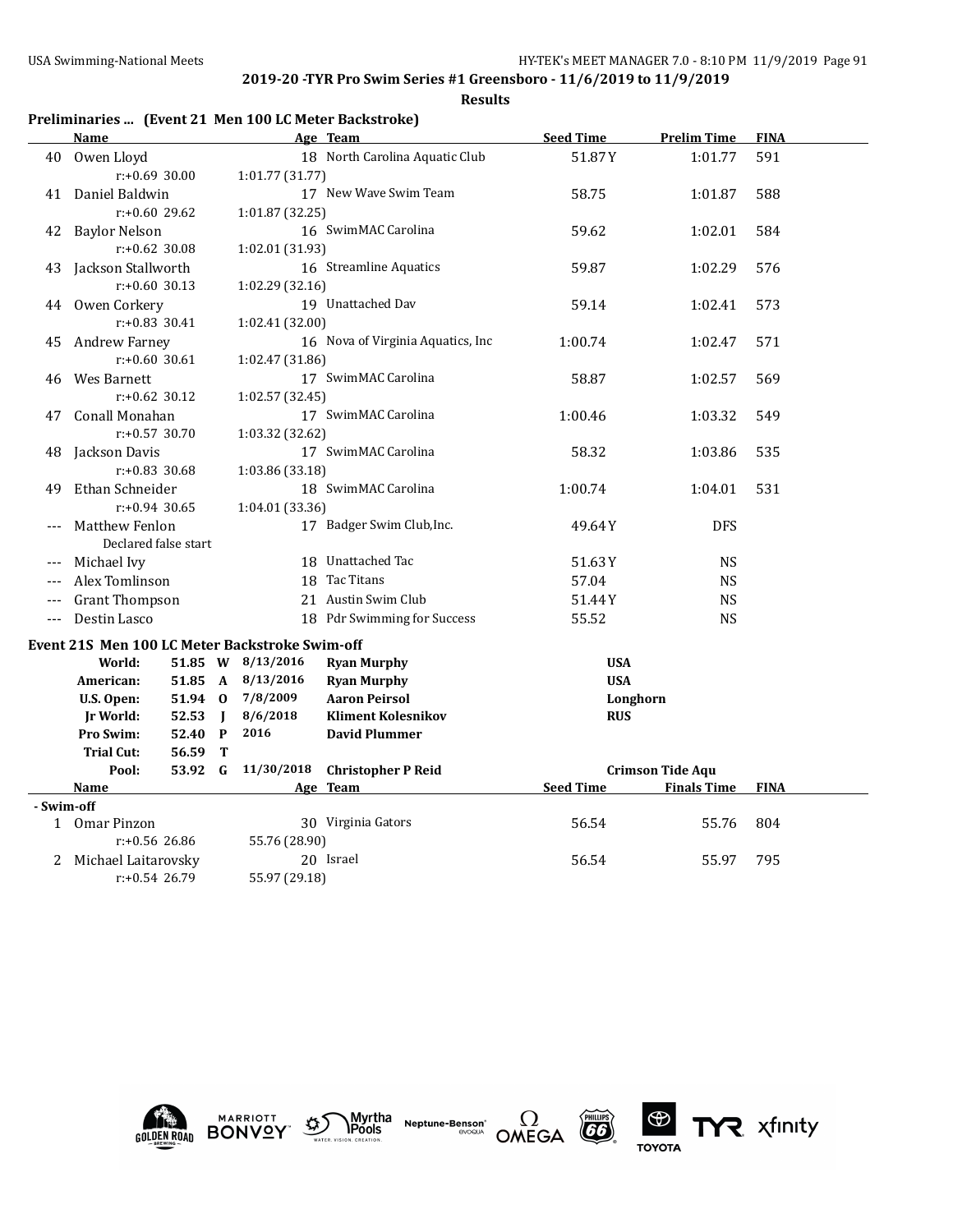|  |  | Preliminaries  (Event 21 Men 100 LC Meter Backstroke) |  |
|--|--|-------------------------------------------------------|--|
|--|--|-------------------------------------------------------|--|

|                                   | Name                                           |         |                     |                           | Age Team                          | <b>Seed Time</b> | <b>Prelim Time</b>      | <b>FINA</b> |
|-----------------------------------|------------------------------------------------|---------|---------------------|---------------------------|-----------------------------------|------------------|-------------------------|-------------|
| 40                                | Owen Lloyd                                     |         |                     |                           | 18 North Carolina Aquatic Club    | 51.87Y           | 1:01.77                 | 591         |
|                                   | $r: +0.69$ 30.00                               |         |                     | 1:01.77 (31.77)           |                                   |                  |                         |             |
| 41                                | Daniel Baldwin                                 |         |                     |                           | 17 New Wave Swim Team             | 58.75            | 1:01.87                 | 588         |
|                                   | $r: +0.60$ 29.62                               |         |                     | 1:01.87 (32.25)           |                                   |                  |                         |             |
| 42                                | <b>Baylor Nelson</b>                           |         |                     |                           | 16 SwimMAC Carolina               | 59.62            | 1:02.01                 | 584         |
|                                   | $r: +0.62$ 30.08                               |         |                     | 1:02.01 (31.93)           |                                   |                  |                         |             |
| 43                                | Jackson Stallworth                             |         |                     |                           | 16 Streamline Aquatics            | 59.87            | 1:02.29                 | 576         |
|                                   | $r: +0.60$ 30.13                               |         |                     | 1:02.29 (32.16)           |                                   |                  |                         |             |
|                                   | 44 Owen Corkery                                |         |                     |                           | 19 Unattached Dav                 | 59.14            | 1:02.41                 | 573         |
|                                   | $r: +0.83$ 30.41                               |         |                     | 1:02.41 (32.00)           |                                   |                  |                         |             |
| 45                                | <b>Andrew Farney</b>                           |         |                     |                           | 16 Nova of Virginia Aquatics, Inc | 1:00.74          | 1:02.47                 | 571         |
|                                   | $r: +0.60$ 30.61                               |         |                     | 1:02.47 (31.86)           |                                   |                  |                         |             |
| 46                                | Wes Barnett                                    |         |                     |                           | 17 SwimMAC Carolina               | 58.87            | 1:02.57                 | 569         |
|                                   | $r: +0.62$ 30.12                               |         |                     | 1:02.57 (32.45)           |                                   |                  |                         |             |
| 47                                | Conall Monahan                                 |         |                     |                           | 17 SwimMAC Carolina               | 1:00.46          | 1:03.32                 | 549         |
|                                   | $r: +0.57$ 30.70                               |         |                     | 1:03.32 (32.62)           |                                   |                  |                         |             |
| 48                                | Jackson Davis                                  |         |                     |                           | 17 SwimMAC Carolina               | 58.32            | 1:03.86                 | 535         |
|                                   | $r: +0.83$ 30.68                               |         |                     | 1:03.86 (33.18)           |                                   |                  |                         |             |
| 49                                | Ethan Schneider                                |         | 18 SwimMAC Carolina | 1:00.74                   | 1:04.01                           | 531              |                         |             |
|                                   | $r: +0.94$ 30.65                               |         | 1:04.01 (33.36)     |                           |                                   |                  |                         |             |
|                                   | Matthew Fenlon                                 |         |                     | 17 Badger Swim Club, Inc. | 49.64 Y                           | <b>DFS</b>       |                         |             |
|                                   | Declared false start                           |         |                     |                           |                                   |                  |                         |             |
| ---                               | Michael Ivy                                    |         |                     |                           | 18 Unattached Tac                 | 51.63Y           | <b>NS</b>               |             |
| $---$                             | Alex Tomlinson                                 |         |                     |                           | 18 Tac Titans                     | 57.04            | <b>NS</b>               |             |
|                                   | <b>Grant Thompson</b>                          |         |                     |                           | 21 Austin Swim Club               | 51.44Y           | <b>NS</b>               |             |
| $---$                             | Destin Lasco                                   |         |                     |                           | 18 Pdr Swimming for Success       | 55.52            | <b>NS</b>               |             |
|                                   | Event 21S Men 100 LC Meter Backstroke Swim-off |         |                     |                           |                                   |                  |                         |             |
|                                   | World:                                         |         |                     | 51.85 W 8/13/2016         | <b>Ryan Murphy</b>                | <b>USA</b>       |                         |             |
|                                   | American:                                      |         |                     | 51.85 A 8/13/2016         | <b>Ryan Murphy</b>                | <b>USA</b>       |                         |             |
|                                   | U.S. Open:                                     |         |                     | 51.94 0 7/8/2009          | <b>Aaron Peirsol</b>              | Longhorn         |                         |             |
|                                   | Jr World:                                      | 52.53   | $\blacksquare$      | 8/6/2018                  | <b>Kliment Kolesnikov</b>         | <b>RUS</b>       |                         |             |
|                                   | Pro Swim:                                      | 52.40 P |                     | 2016                      | <b>David Plummer</b>              |                  |                         |             |
|                                   | <b>Trial Cut:</b>                              | 56.59 T |                     |                           |                                   |                  |                         |             |
|                                   | Pool:                                          | 53.92 G |                     | 11/30/2018                | <b>Christopher P Reid</b>         |                  | <b>Crimson Tide Aqu</b> |             |
|                                   | Name                                           |         |                     |                           | Age Team                          | <b>Seed Time</b> | <b>Finals Time</b>      | <b>FINA</b> |
| - Swim-off                        |                                                |         |                     |                           |                                   |                  |                         |             |
|                                   | 1 Omar Pinzon                                  |         |                     |                           | 30 Virginia Gators                | 56.54            | 55.76                   | 804         |
|                                   | $r: +0.56$ 26.86                               |         |                     | 55.76 (28.90)             |                                   |                  |                         |             |
| 2                                 | Michael Laitarovsky                            |         |                     |                           | 20 Israel                         | 56.54            | 55.97                   | 795         |
| $r: +0.54$ 26.79<br>55.97 (29.18) |                                                |         |                     |                           |                                   |                  |                         |             |











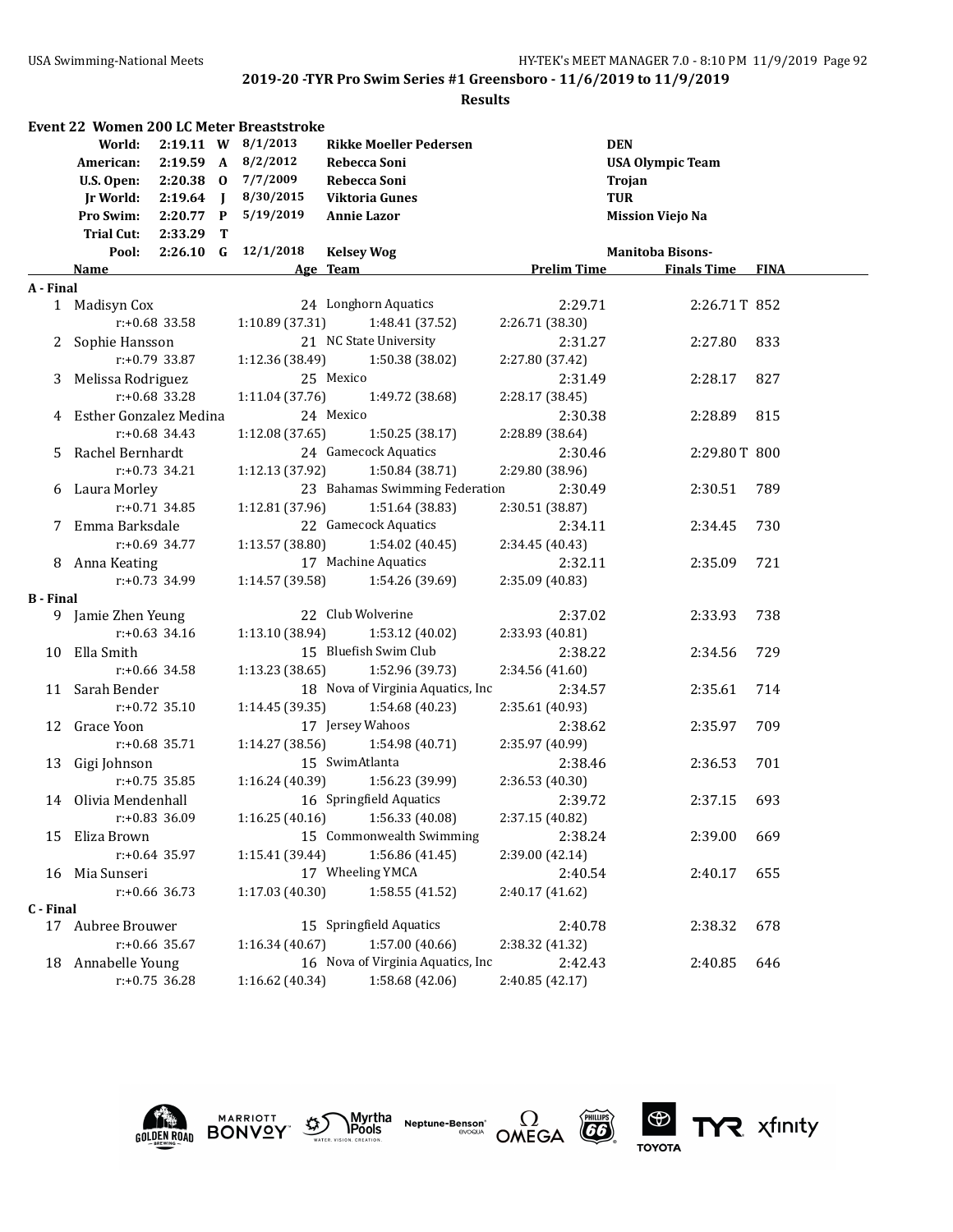#### **Results**

|                  |                          |                  | <b>Event 22 Women 200 LC Meter Breaststroke</b> |                                   |                    |                         |             |
|------------------|--------------------------|------------------|-------------------------------------------------|-----------------------------------|--------------------|-------------------------|-------------|
|                  | World:                   |                  | 2:19.11 W 8/1/2013                              | <b>Rikke Moeller Pedersen</b>     |                    | <b>DEN</b>              |             |
|                  | American:                |                  | 2:19.59 A 8/2/2012                              | Rebecca Soni                      |                    | <b>USA Olympic Team</b> |             |
|                  | U.S. Open:               |                  | 2:20.38 0 7/7/2009                              | Rebecca Soni                      |                    | Trojan                  |             |
|                  | Jr World:                | $2:19.64$ J      | 8/30/2015                                       | <b>Viktoria Gunes</b>             |                    | <b>TUR</b>              |             |
|                  | Pro Swim:                | $2:20.77$ P      | 5/19/2019                                       | <b>Annie Lazor</b>                |                    | <b>Mission Viejo Na</b> |             |
|                  | Trial Cut:               | 2:33.29 T        |                                                 |                                   |                    |                         |             |
|                  | Pool:                    |                  | $2:26.10$ G $12/1/2018$                         | <b>Kelsey Wog</b>                 |                    | <b>Manitoba Bisons-</b> |             |
|                  | Name                     |                  |                                                 | Age Team                          | <b>Prelim Time</b> | <b>Finals Time</b>      | <b>FINA</b> |
| A - Final        |                          |                  |                                                 |                                   |                    |                         |             |
|                  | 1 Madisyn Cox            |                  |                                                 | 24 Longhorn Aquatics              | 2:29.71            | 2:26.71T 852            |             |
|                  |                          | $r: +0.68$ 33.58 | 1:10.89 (37.31)                                 | 1:48.41 (37.52)                   | 2:26.71 (38.30)    |                         |             |
|                  | 2 Sophie Hansson         |                  |                                                 | 21 NC State University            | 2:31.27            | 2:27.80                 | 833         |
|                  |                          | $r: +0.79$ 33.87 | 1:12.36 (38.49)                                 | 1:50.38 (38.02)                   | 2:27.80 (37.42)    |                         |             |
|                  | 3 Melissa Rodriguez      |                  |                                                 | 25 Mexico                         | 2:31.49            | 2:28.17                 | 827         |
|                  |                          | $r: +0.68$ 33.28 | 1:11.04(37.76)                                  | 1:49.72 (38.68)                   | 2:28.17 (38.45)    |                         |             |
|                  | 4 Esther Gonzalez Medina |                  |                                                 | 24 Mexico                         | 2:30.38            | 2:28.89                 | 815         |
|                  |                          | $r: +0.68$ 34.43 | 1:12.08 (37.65)                                 | 1:50.25 (38.17)                   | 2:28.89 (38.64)    |                         |             |
|                  | 5 Rachel Bernhardt       |                  |                                                 | 24 Gamecock Aquatics              | 2:30.46            | 2:29.80T 800            |             |
|                  |                          | $r: +0.73$ 34.21 | 1:12.13 (37.92)                                 | 1:50.84 (38.71)                   | 2:29.80 (38.96)    |                         |             |
|                  | 6 Laura Morley           |                  |                                                 | 23 Bahamas Swimming Federation    | 2:30.49            | 2:30.51                 | 789         |
|                  |                          | $r: +0.71$ 34.85 | 1:12.81 (37.96)                                 | 1:51.64 (38.83)                   | 2:30.51 (38.87)    |                         |             |
|                  | 7 Emma Barksdale         |                  |                                                 | 22 Gamecock Aquatics              | 2:34.11            | 2:34.45                 | 730         |
|                  |                          | $r: +0.69$ 34.77 | 1:13.57 (38.80)                                 | 1:54.02 (40.45)                   | 2:34.45 (40.43)    |                         |             |
|                  | 8 Anna Keating           |                  |                                                 | 17 Machine Aquatics               | 2:32.11            | 2:35.09                 | 721         |
|                  |                          | $r: +0.73$ 34.99 |                                                 | $1:14.57(39.58)$ $1:54.26(39.69)$ | 2:35.09 (40.83)    |                         |             |
| <b>B</b> - Final |                          |                  |                                                 |                                   |                    |                         |             |
|                  | 9 Jamie Zhen Yeung       |                  |                                                 | 22 Club Wolverine                 | 2:37.02            | 2:33.93                 | 738         |
|                  |                          | $r: +0.63$ 34.16 | 1:13.10 (38.94)                                 | 1:53.12 (40.02)                   | 2:33.93 (40.81)    |                         |             |
|                  | 10 Ella Smith            |                  |                                                 | 15 Bluefish Swim Club             | 2:38.22            | 2:34.56                 | 729         |
|                  |                          | $r: +0.66$ 34.58 | 1:13.23 (38.65)                                 | 1:52.96 (39.73)                   | 2:34.56 (41.60)    |                         |             |
|                  | 11 Sarah Bender          |                  |                                                 | 18 Nova of Virginia Aquatics, Inc | 2:34.57            | 2:35.61                 | 714         |
|                  |                          | $r: +0.72$ 35.10 | 1:14.45 (39.35)                                 | 1:54.68 (40.23)                   | 2:35.61 (40.93)    |                         |             |
|                  | 12 Grace Yoon            |                  |                                                 | 17 Jersey Wahoos                  | 2:38.62            | 2:35.97                 | 709         |
|                  |                          | $r: +0.68$ 35.71 | 1:14.27 (38.56)                                 | 1:54.98 (40.71)                   | 2:35.97 (40.99)    |                         |             |
|                  | 13 Gigi Johnson          |                  |                                                 | 15 SwimAtlanta                    | 2:38.46            | 2:36.53                 | 701         |
|                  |                          | $r: +0.75$ 35.85 | 1:16.24 (40.39)                                 | 1:56.23 (39.99)                   | 2:36.53 (40.30)    |                         |             |
|                  | 14 Olivia Mendenhall     |                  |                                                 | 16 Springfield Aquatics           | 2:39.72            | 2:37.15                 | 693         |
|                  |                          | $r.+0.83$ 36.09  | 1:16.25(40.16)                                  | 1:56.33 (40.08)                   | 2:37.15 (40.82)    |                         |             |
| 15               | Eliza Brown              |                  |                                                 | 15 Commonwealth Swimming          | 2:38.24            | 2:39.00                 | 669         |
|                  |                          | $r: +0.64$ 35.97 | 1:15.41 (39.44)                                 | 1:56.86 (41.45)                   | 2:39.00 (42.14)    |                         |             |
|                  | 16 Mia Sunseri           |                  |                                                 | 17 Wheeling YMCA                  | 2:40.54            | 2:40.17                 | 655         |
|                  |                          | $r: +0.66$ 36.73 | 1:17.03 (40.30)                                 | 1:58.55 (41.52)                   | 2:40.17 (41.62)    |                         |             |
| C - Final        |                          |                  |                                                 |                                   |                    |                         |             |
|                  | 17 Aubree Brouwer        |                  |                                                 | 15 Springfield Aquatics           | 2:40.78            | 2:38.32                 | 678         |
|                  |                          | $r: +0.66$ 35.67 | 1:16.34(40.67)                                  | 1:57.00 (40.66)                   | 2:38.32 (41.32)    |                         |             |
|                  | 18 Annabelle Young       |                  |                                                 | 16 Nova of Virginia Aquatics, Inc | 2:42.43            | 2:40.85                 | 646         |
|                  |                          | $r: +0.75$ 36.28 | 1:16.62 (40.34)                                 | 1:58.68 (42.06)                   | 2:40.85 (42.17)    |                         |             |



**MARRIOTT** 







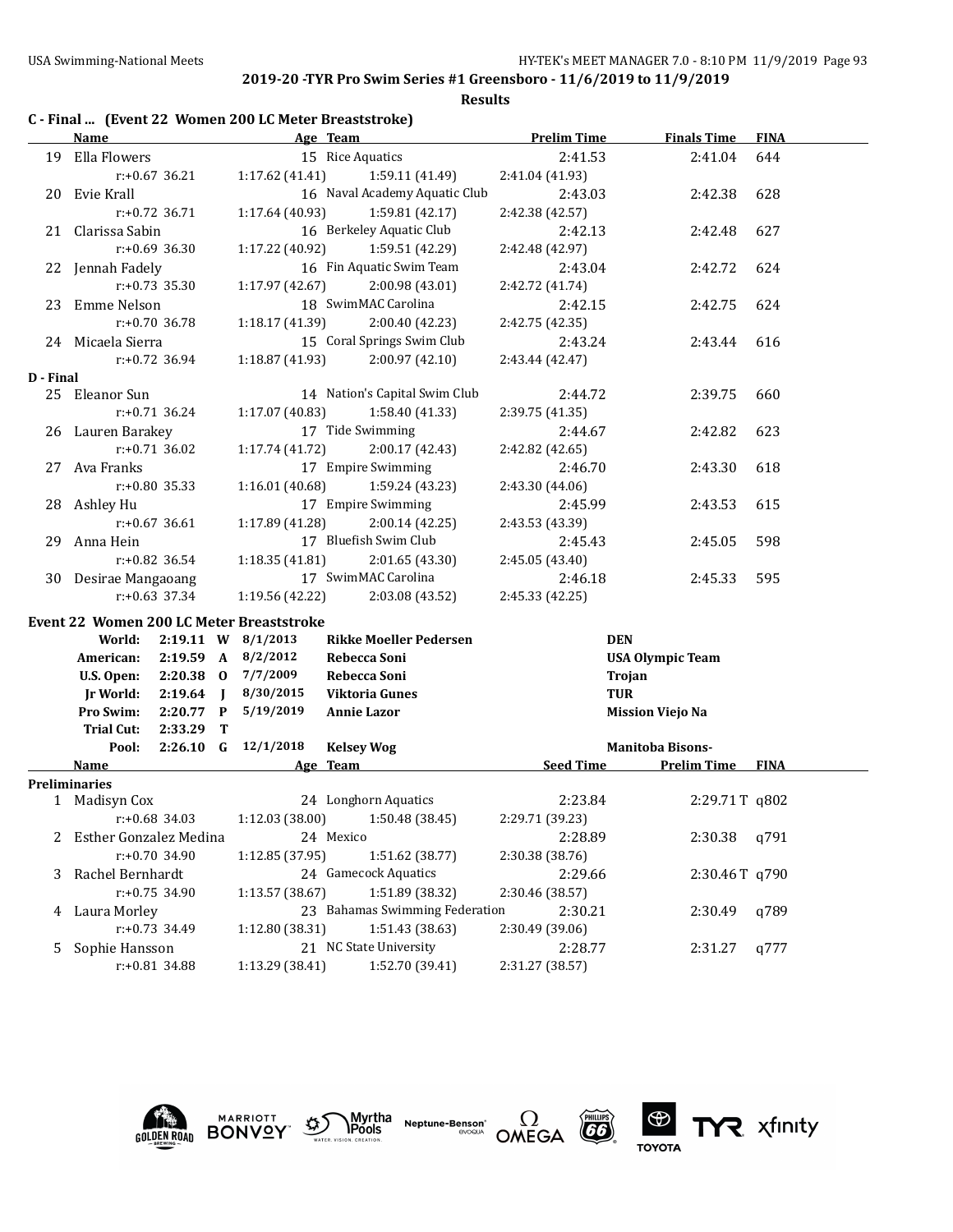#### **Results**

|           | Name                         |                  |  |                                                 | Age Team              |                                | <b>Prelim Time</b> | <b>Finals Time</b>      | <b>FINA</b> |
|-----------|------------------------------|------------------|--|-------------------------------------------------|-----------------------|--------------------------------|--------------------|-------------------------|-------------|
|           | 19 Ella Flowers              |                  |  |                                                 | 15 Rice Aquatics      |                                | 2:41.53            | 2:41.04                 | 644         |
|           | $r: +0.67$ 36.21             |                  |  | 1:17.62(41.41)                                  |                       | 1:59.11(41.49)                 | 2:41.04 (41.93)    |                         |             |
|           | 20 Evie Krall                |                  |  |                                                 |                       | 16 Naval Academy Aquatic Club  | 2:43.03            | 2:42.38                 | 628         |
|           | $r: +0.72$ 36.71             |                  |  | 1:17.64 (40.93)                                 |                       | 1:59.81 (42.17)                | 2:42.38 (42.57)    |                         |             |
|           | 21 Clarissa Sabin            |                  |  |                                                 |                       | 16 Berkeley Aquatic Club       | 2:42.13            | 2:42.48                 | 627         |
|           | $r: +0.69$ 36.30             |                  |  | 1:17.22 (40.92)                                 |                       | 1:59.51 (42.29)                | 2:42.48 (42.97)    |                         |             |
|           | 22 Jennah Fadely             |                  |  |                                                 |                       | 16 Fin Aquatic Swim Team       | 2:43.04            | 2:42.72                 | 624         |
|           | $r: +0.73$ 35.30             |                  |  | 1:17.97 (42.67)                                 |                       | 2:00.98 (43.01)                | 2:42.72 (41.74)    |                         |             |
|           | 23 Emme Nelson               |                  |  |                                                 |                       | 18 SwimMAC Carolina            | 2:42.15            | 2:42.75                 | 624         |
|           | $r: +0.70$ 36.78             |                  |  | 1:18.17 (41.39)                                 |                       | 2:00.40 (42.23)                | 2:42.75 (42.35)    |                         |             |
|           | 24 Micaela Sierra            |                  |  |                                                 |                       | 15 Coral Springs Swim Club     | 2:43.24            | 2:43.44                 | 616         |
|           | $r: +0.72$ 36.94             |                  |  | 1:18.87 (41.93)                                 |                       | 2:00.97(42.10)                 | 2:43.44 (42.47)    |                         |             |
| D - Final |                              |                  |  |                                                 |                       |                                |                    |                         |             |
|           | 25 Eleanor Sun               |                  |  |                                                 |                       | 14 Nation's Capital Swim Club  | 2:44.72            | 2:39.75                 | 660         |
|           |                              | $r: +0.71$ 36.24 |  | 1:17.07(40.83)                                  |                       | 1:58.40 (41.33)                | 2:39.75 (41.35)    |                         |             |
|           | 26 Lauren Barakey            |                  |  |                                                 |                       | 17 Tide Swimming               | 2:44.67            | 2:42.82                 | 623         |
|           | $r: +0.71$ 36.02             |                  |  | 1:17.74(41.72)                                  |                       | 2:00.17(42.43)                 | 2:42.82 (42.65)    |                         |             |
| 27        | Ava Franks                   |                  |  |                                                 |                       | 17 Empire Swimming             | 2:46.70            | 2:43.30                 | 618         |
|           | $r: +0.80$ 35.33             |                  |  | 1:16.01(40.68)                                  | 1:59.24 (43.23)       |                                | 2:43.30 (44.06)    |                         |             |
|           | 28 Ashley Hu                 |                  |  |                                                 | 17 Empire Swimming    |                                | 2:45.99            | 2:43.53                 | 615         |
|           | $r: +0.67$ 36.61             |                  |  | 1:17.89(41.28)                                  | 2:00.14(42.25)        |                                | 2:43.53 (43.39)    |                         |             |
| 29        | Anna Hein                    |                  |  |                                                 | 17 Bluefish Swim Club |                                | 2:45.43            | 2:45.05                 | 598         |
|           | $r: +0.82$ 36.54             |                  |  | 1:18.35(41.81)                                  |                       | 2:01.65 (43.30)                | 2:45.05 (43.40)    |                         |             |
|           | 30 Desirae Mangaoang         |                  |  |                                                 |                       | 17 SwimMAC Carolina            | 2:46.18            | 2:45.33                 | 595         |
|           | $r: +0.63$ 37.34             |                  |  | 1:19.56 (42.22)                                 |                       | 2:03.08 (43.52)                | 2:45.33 (42.25)    |                         |             |
|           |                              |                  |  | <b>Event 22 Women 200 LC Meter Breaststroke</b> |                       |                                |                    |                         |             |
|           | World:                       |                  |  | 2:19.11 W 8/1/2013                              |                       | <b>Rikke Moeller Pedersen</b>  |                    | <b>DEN</b>              |             |
|           | American:                    |                  |  | 2:19.59 A 8/2/2012                              |                       | Rebecca Soni                   |                    | <b>USA Olympic Team</b> |             |
|           | U.S. Open:                   | $2:20.38$ 0      |  | 7/7/2009                                        |                       | Rebecca Soni                   |                    | Trojan                  |             |
|           | Jr World:                    | $2:19.64$ J      |  | 8/30/2015                                       |                       | <b>Viktoria Gunes</b>          |                    | <b>TUR</b>              |             |
|           | Pro Swim:                    | $2:20.77$ P      |  | 5/19/2019                                       | <b>Annie Lazor</b>    |                                |                    | <b>Mission Viejo Na</b> |             |
|           | <b>Trial Cut:</b>            | 2:33.29 T        |  |                                                 |                       |                                |                    |                         |             |
|           | Pool:                        |                  |  | $2:26.10$ G $12/1/2018$                         | <b>Kelsey Wog</b>     |                                |                    | <b>Manitoba Bisons-</b> |             |
|           | Name<br><b>Preliminaries</b> |                  |  |                                                 |                       | Age Team                       | <b>Seed Time</b>   | <b>Prelim Time FINA</b> |             |
|           | 1 Madisyn Cox                |                  |  |                                                 |                       | 24 Longhorn Aquatics           | 2:23.84            | 2:29.71T q802           |             |
|           | $r: +0.68$ 34.03             |                  |  | 1:12.03 (38.00)                                 |                       | 1:50.48 (38.45)                | 2:29.71 (39.23)    |                         |             |
| 2         | Esther Gonzalez Medina       |                  |  | 24 Mexico                                       |                       | 2:28.89                        | 2:30.38            | q791                    |             |
|           | r:+0.70 34.90                |                  |  | 1:12.85 (37.95)<br>1:51.62 (38.77)              |                       | 2:30.38 (38.76)                |                    |                         |             |
|           | 3 Rachel Bernhardt           |                  |  | 24 Gamecock Aquatics                            |                       | 2:29.66                        | 2:30.46T q790      |                         |             |
|           | r:+0.75 34.90                |                  |  | 1:51.89 (38.32)<br>1:13.57 (38.67)              |                       | 2:30.46 (38.57)                |                    |                         |             |
| 4         | Laura Morley                 |                  |  |                                                 |                       | 23 Bahamas Swimming Federation | 2:30.21            | 2:30.49                 | q789        |
|           | r:+0.73 34.49                |                  |  | 1:12.80 (38.31)                                 |                       | 1:51.43 (38.63)                | 2:30.49 (39.06)    |                         |             |
| 5         | Sophie Hansson               |                  |  |                                                 |                       | 21 NC State University         | 2:28.77            | 2:31.27                 | q777        |
|           | r:+0.81 34.88                |                  |  | 1:13.29 (38.41)                                 |                       | 1:52.70 (39.41)                | 2:31.27 (38.57)    |                         |             |
|           |                              |                  |  |                                                 |                       |                                |                    |                         |             |





Myrtha<br>Pools **Neptune-Benson\***<br>evoqua





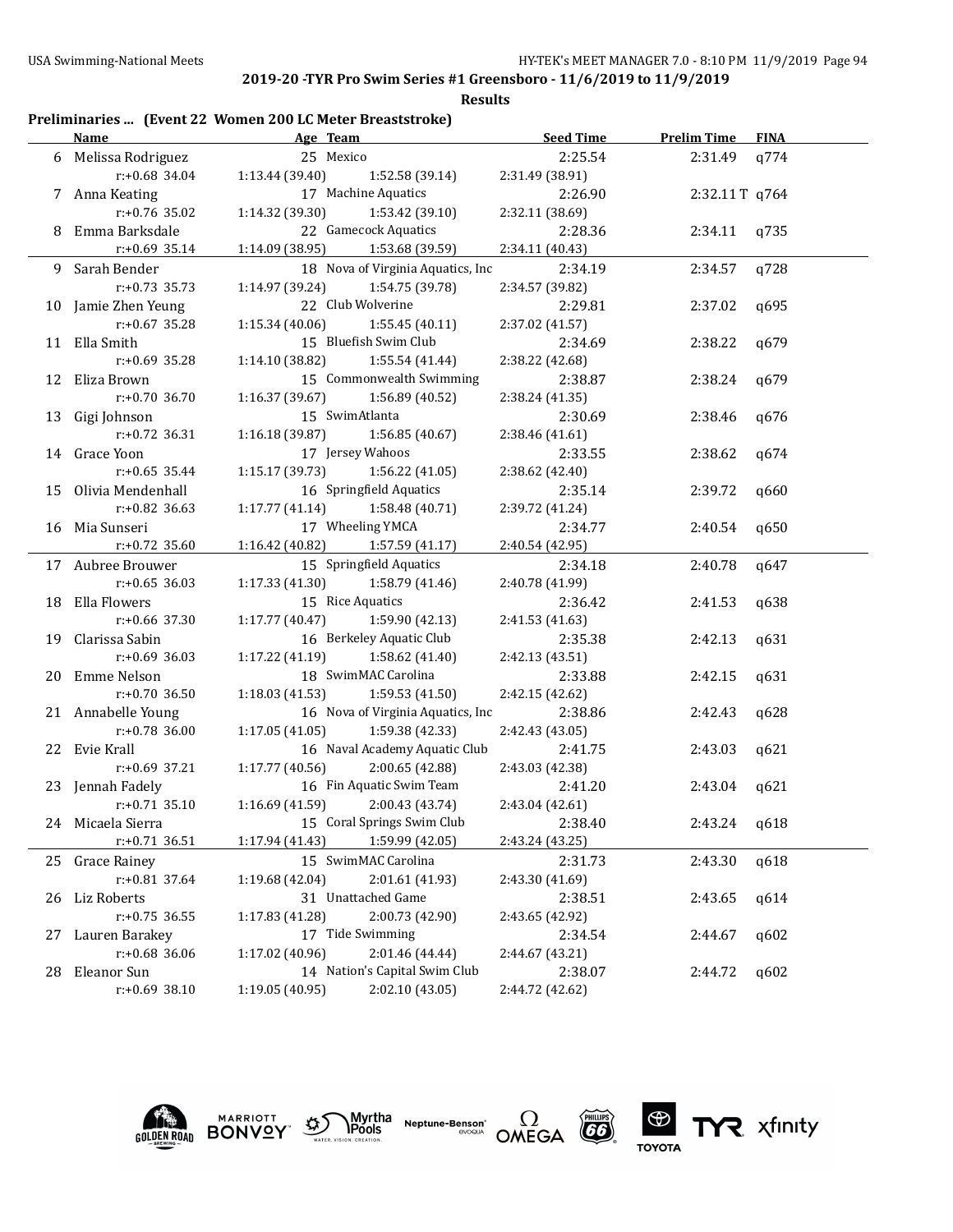**Results**

## **Preliminaries ... (Event 22 Women 200 LC Meter Breaststroke)**

|    | <b>Name</b><br>Age Team |                                     | <b>Seed Time</b>                  | <b>Prelim Time FINA</b> |                |      |
|----|-------------------------|-------------------------------------|-----------------------------------|-------------------------|----------------|------|
|    | 6 Melissa Rodriguez     | 25 Mexico                           |                                   | 2:25.54                 | 2:31.49 q774   |      |
|    | r:+0.68 34.04           | 1:13.44 (39.40)                     | 1:52.58 (39.14)                   | 2:31.49 (38.91)         |                |      |
|    | 7 Anna Keating          |                                     | 17 Machine Aquatics               | 2:26.90                 | 2:32.11T q764  |      |
|    | r:+0.76 35.02           | 1:14.32 (39.30)                     | 1:53.42 (39.10)                   | 2:32.11 (38.69)         |                |      |
|    | 8 Emma Barksdale        |                                     | 22 Gamecock Aquatics              | 2:28.36                 | $2:34.11$ q735 |      |
|    | $r: +0.69$ 35.14        | 1:14.09 (38.95)                     | 1:53.68 (39.59)                   | 2:34.11 (40.43)         |                |      |
|    | 9 Sarah Bender          |                                     | 18 Nova of Virginia Aquatics, Inc | 2:34.19                 | 2:34.57        | q728 |
|    | $r: +0.73$ 35.73        | 1:14.97 (39.24)                     | 1:54.75 (39.78)                   | 2:34.57 (39.82)         |                |      |
|    | 10 Jamie Zhen Yeung     | 22 Club Wolverine                   |                                   | 2:29.81                 | 2:37.02        | q695 |
|    | $r: +0.67$ 35.28        | 1:15.34(40.06)                      | 1:55.45 (40.11)                   | 2:37.02 (41.57)         |                |      |
|    | 11 Ella Smith           |                                     | 15 Bluefish Swim Club             | 2:34.69                 | 2:38.22        | q679 |
|    | $r: +0.69$ 35.28        | 1:14.10 (38.82)                     | 1:55.54 (41.44)                   | 2:38.22 (42.68)         |                |      |
|    | 12 Eliza Brown          |                                     | 15 Commonwealth Swimming          | 2:38.87                 | 2:38.24        | q679 |
|    | $r: +0.70$ 36.70        | 1:16.37(39.67)                      | 1:56.89 (40.52)                   | 2:38.24 (41.35)         |                |      |
|    | 13 Gigi Johnson         | 15 SwimAtlanta                      |                                   | 2:30.69                 | 2:38.46        | q676 |
|    | $r: +0.72$ 36.31        | 1:16.18(39.87)                      | 1:56.85 (40.67)                   | 2:38.46 (41.61)         |                |      |
|    | 14 Grace Yoon           | 17 Jersey Wahoos                    |                                   | 2:33.55                 | 2:38.62        | q674 |
|    | $r: +0.65$ 35.44        | 1:15.17(39.73)                      | 1:56.22(41.05)                    | 2:38.62 (42.40)         |                |      |
|    | 15 Olivia Mendenhall    |                                     | 16 Springfield Aquatics           | 2:35.14                 | 2:39.72        | q660 |
|    | $r: +0.82$ 36.63        | 1:17.77(41.14)                      | 1:58.48 (40.71)                   | 2:39.72 (41.24)         |                |      |
|    | 16 Mia Sunseri          |                                     | 17 Wheeling YMCA                  | 2:34.77                 | 2:40.54        | q650 |
|    | $r: +0.72$ 35.60        | $1:16.42$ (40.82) $1:57.59$ (41.17) |                                   | 2:40.54 (42.95)         |                |      |
|    | 17 Aubree Brouwer       |                                     | 15 Springfield Aquatics           | 2:34.18                 | 2:40.78        | q647 |
|    | $r: +0.65$ 36.03        | 1:17.33(41.30)                      | 1:58.79 (41.46)                   | 2:40.78 (41.99)         |                |      |
|    | 18 Ella Flowers         | 15 Rice Aquatics                    |                                   | 2:36.42                 | 2:41.53        | q638 |
|    | $r: +0.66$ 37.30        | 1:17.77(40.47)                      | 1:59.90 (42.13)                   | 2:41.53 (41.63)         |                |      |
|    | 19 Clarissa Sabin       |                                     | 16 Berkeley Aquatic Club          | 2:35.38                 | 2:42.13        | q631 |
|    | $r: +0.69$ 36.03        | 1:17.22(41.19)                      | 1:58.62 (41.40)                   | 2:42.13 (43.51)         |                |      |
|    | 20 Emme Nelson          |                                     | 18 SwimMAC Carolina               | 2:33.88                 | 2:42.15        | q631 |
|    | $r: +0.70$ 36.50        | 1:18.03(41.53)                      | 1:59.53 (41.50)                   | 2:42.15 (42.62)         |                |      |
|    | 21 Annabelle Young      |                                     | 16 Nova of Virginia Aquatics, Inc | 2:38.86                 | 2:42.43        | q628 |
|    | $r: +0.78$ 36.00        | 1:17.05(41.05)                      | 1:59.38 (42.33)                   | 2:42.43 (43.05)         |                |      |
|    | 22 Evie Krall           |                                     | 16 Naval Academy Aquatic Club     | 2:41.75                 | 2:43.03        | q621 |
|    | $r: +0.69$ 37.21        | 1:17.77(40.56)                      | 2:00.65 (42.88)                   | 2:43.03 (42.38)         |                |      |
|    | 23 Jennah Fadely        |                                     | 16 Fin Aquatic Swim Team          | 2:41.20                 | 2:43.04        | q621 |
|    | $r: +0.71$ 35.10        | 1:16.69 (41.59)                     | 2:00.43 (43.74)                   | 2:43.04 (42.61)         |                |      |
|    | 24 Micaela Sierra       |                                     | 15 Coral Springs Swim Club        | 2:38.40                 | 2:43.24        | q618 |
|    | $r: +0.71$ 36.51        | 1:17.94 (41.43)                     | 1:59.99 (42.05)                   | 2:43.24 (43.25)         |                |      |
| 25 | <b>Grace Rainey</b>     |                                     | 15 SwimMAC Carolina               | 2:31.73                 | 2:43.30        | q618 |
|    | r:+0.81 37.64           | 1:19.68 (42.04)                     | 2:01.61 (41.93)                   | 2:43.30 (41.69)         |                |      |
| 26 | Liz Roberts             |                                     | 31 Unattached Game                | 2:38.51                 | 2:43.65        | q614 |
|    | $r: +0.75$ 36.55        | 1:17.83 (41.28)                     | 2:00.73 (42.90)                   | 2:43.65 (42.92)         |                |      |
| 27 | Lauren Barakey          | 17 Tide Swimming                    |                                   | 2:34.54                 | 2:44.67        | q602 |
|    | $r: +0.68$ 36.06        | 1:17.02 (40.96)                     | 2:01.46 (44.44)                   | 2:44.67 (43.21)         |                |      |
| 28 | Eleanor Sun             |                                     | 14 Nation's Capital Swim Club     | 2:38.07                 | 2:44.72        | q602 |
|    | r:+0.69 38.10           | 1:19.05 (40.95)                     | 2:02.10 (43.05)                   | 2:44.72 (42.62)         |                |      |









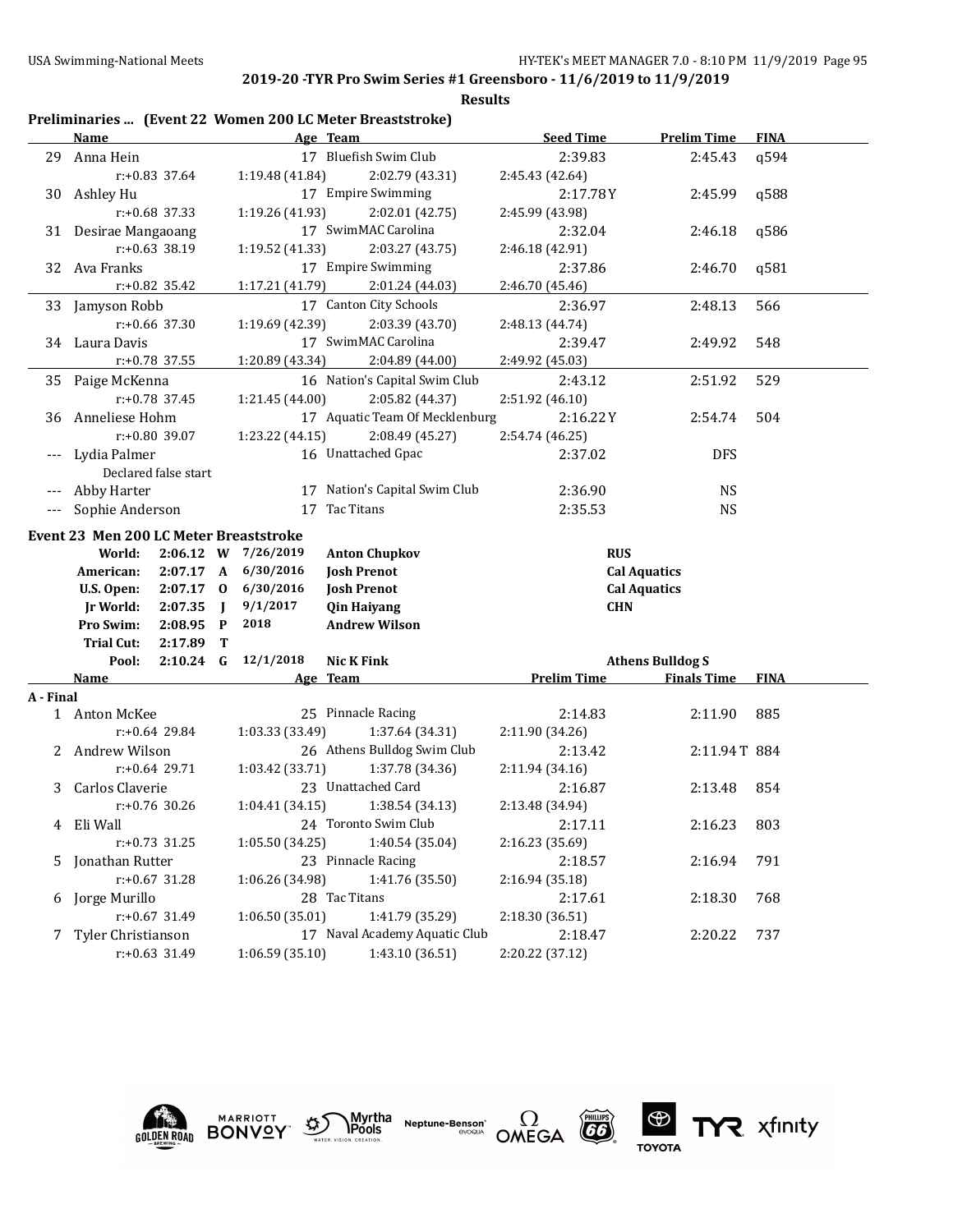|           | Name                                          | Age Team                                    | <b>Seed Time</b>    | <b>Prelim Time</b>      | <b>FINA</b> |
|-----------|-----------------------------------------------|---------------------------------------------|---------------------|-------------------------|-------------|
| 29        | Anna Hein                                     | 17 Bluefish Swim Club                       | 2:39.83             | 2:45.43                 | q594        |
|           | r:+0.83 37.64                                 | 1:19.48 (41.84)<br>2:02.79 (43.31)          | 2:45.43 (42.64)     |                         |             |
| 30        | Ashley Hu                                     | 17 Empire Swimming                          | 2:17.78Y            | 2:45.99                 | q588        |
|           | r:+0.68 37.33                                 | 1:19.26 (41.93)<br>2:02.01 (42.75)          | 2:45.99 (43.98)     |                         |             |
|           | 31 Desirae Mangaoang                          | 17 SwimMAC Carolina                         | 2:32.04             | 2:46.18                 | q586        |
|           | r:+0.63 38.19                                 | 1:19.52 (41.33)<br>2:03.27 (43.75)          | 2:46.18 (42.91)     |                         |             |
|           | 32 Ava Franks                                 | 17 Empire Swimming                          | 2:37.86             | 2:46.70                 | q581        |
|           | $r: +0.82$ 35.42                              | 1:17.21 (41.79)<br>2:01.24 (44.03)          | 2:46.70 (45.46)     |                         |             |
|           | 33 Jamyson Robb                               | 17 Canton City Schools                      | 2:36.97             | 2:48.13                 | 566         |
|           | $r: +0.66$ 37.30                              | 1:19.69 (42.39)<br>2:03.39 (43.70)          | 2:48.13 (44.74)     |                         |             |
|           | 34 Laura Davis                                | 17 SwimMAC Carolina                         | 2:39.47             | 2:49.92                 | 548         |
|           | r:+0.78 37.55                                 | 2:04.89 (44.00)<br>1:20.89 (43.34)          | 2:49.92 (45.03)     |                         |             |
| 35        | Paige McKenna                                 | 16 Nation's Capital Swim Club               | 2:43.12             | 2:51.92                 | 529         |
|           | $r: +0.78$ 37.45                              | 1:21.45 (44.00)<br>2:05.82 (44.37)          | 2:51.92 (46.10)     |                         |             |
| 36        | Anneliese Hohm                                | 17 Aquatic Team Of Mecklenburg              | 2:16.22Y            | 2:54.74                 | 504         |
|           | r:+0.80 39.07                                 | 1:23.22 (44.15)<br>2:08.49 (45.27)          | 2:54.74 (46.25)     |                         |             |
|           | Lydia Palmer                                  | 16 Unattached Gpac                          | 2:37.02             | <b>DFS</b>              |             |
|           | Declared false start                          |                                             |                     |                         |             |
|           | Abby Harter                                   | 17 Nation's Capital Swim Club               | 2:36.90             | <b>NS</b>               |             |
|           | Sophie Anderson                               | Tac Titans<br>17                            | 2:35.53             | <b>NS</b>               |             |
|           | Event 23 Men 200 LC Meter Breaststroke        |                                             |                     |                         |             |
|           | World:                                        | 2:06.12 W 7/26/2019<br><b>Anton Chupkov</b> | <b>RUS</b>          |                         |             |
|           | American:<br>2:07.17 A                        | 6/30/2016<br><b>Josh Prenot</b>             | <b>Cal Aquatics</b> |                         |             |
|           | $2:07.17$ 0<br>U.S. Open:                     | 6/30/2016<br><b>Josh Prenot</b>             | <b>Cal Aquatics</b> |                         |             |
|           | 2:07.35<br><b>Jr World:</b><br>$\blacksquare$ | 9/1/2017<br><b>Qin Haiyang</b>              | <b>CHN</b>          |                         |             |
|           | Pro Swim:<br>$2:08.95$ P                      | 2018<br><b>Andrew Wilson</b>                |                     |                         |             |
|           | <b>Trial Cut:</b><br>2:17.89<br>Т             |                                             |                     |                         |             |
|           | $2:10.24$ G<br>Pool:                          | 12/1/2018<br><b>Nic K Fink</b>              |                     | <b>Athens Bulldog S</b> |             |
|           | Name                                          | Age Team                                    | <b>Prelim Time</b>  | <b>Finals Time</b>      | <b>FINA</b> |
| A - Final |                                               |                                             |                     |                         |             |
|           | 1 Anton McKee                                 | 25 Pinnacle Racing                          | 2:14.83             | 2:11.90                 | 885         |
|           | $r: +0.64$ 29.84                              | 1:37.64 (34.31)<br>1:03.33 (33.49)          | 2:11.90 (34.26)     |                         |             |
| 2.        | Andrew Wilson                                 | 26 Athens Bulldog Swim Club                 | 2:13.42             | 2:11.94T 884            |             |
|           |                                               |                                             |                     |                         |             |
| 3         | $r: +0.64$ 29.71                              | 1:03.42 (33.71)<br>1:37.78 (34.36)          | 2:11.94 (34.16)     |                         |             |
|           | Carlos Claverie                               | 23 Unattached Card                          | 2:16.87             | 2:13.48                 | 854         |
|           | $r: +0.76$ 30.26                              | 1:04.41 (34.15)<br>1:38.54 (34.13)          | 2:13.48 (34.94)     |                         |             |
|           | 4 Eli Wall                                    | 24 Toronto Swim Club                        | 2:17.11             | 2:16.23                 | 803         |
|           | $r: +0.73$ 31.25                              | 1:40.54 (35.04)<br>1:05.50 (34.25)          | 2:16.23 (35.69)     |                         |             |
|           | 5 Jonathan Rutter                             | 23 Pinnacle Racing                          | 2:18.57             | 2:16.94                 | 791         |
|           | $r: +0.67$ 31.28                              | 1:06.26 (34.98)<br>1:41.76 (35.50)          | 2:16.94 (35.18)     |                         |             |
| 6         | Jorge Murillo                                 | 28 Tac Titans                               | 2:17.61             | 2:18.30                 | 768         |
|           | $r: +0.67$ 31.49                              | 1:06.50(35.01)<br>1:41.79 (35.29)           | 2:18.30 (36.51)     |                         |             |
| 7         | Tyler Christianson                            | 17 Naval Academy Aquatic Club               | 2:18.47             | 2:20.22                 | 737         |









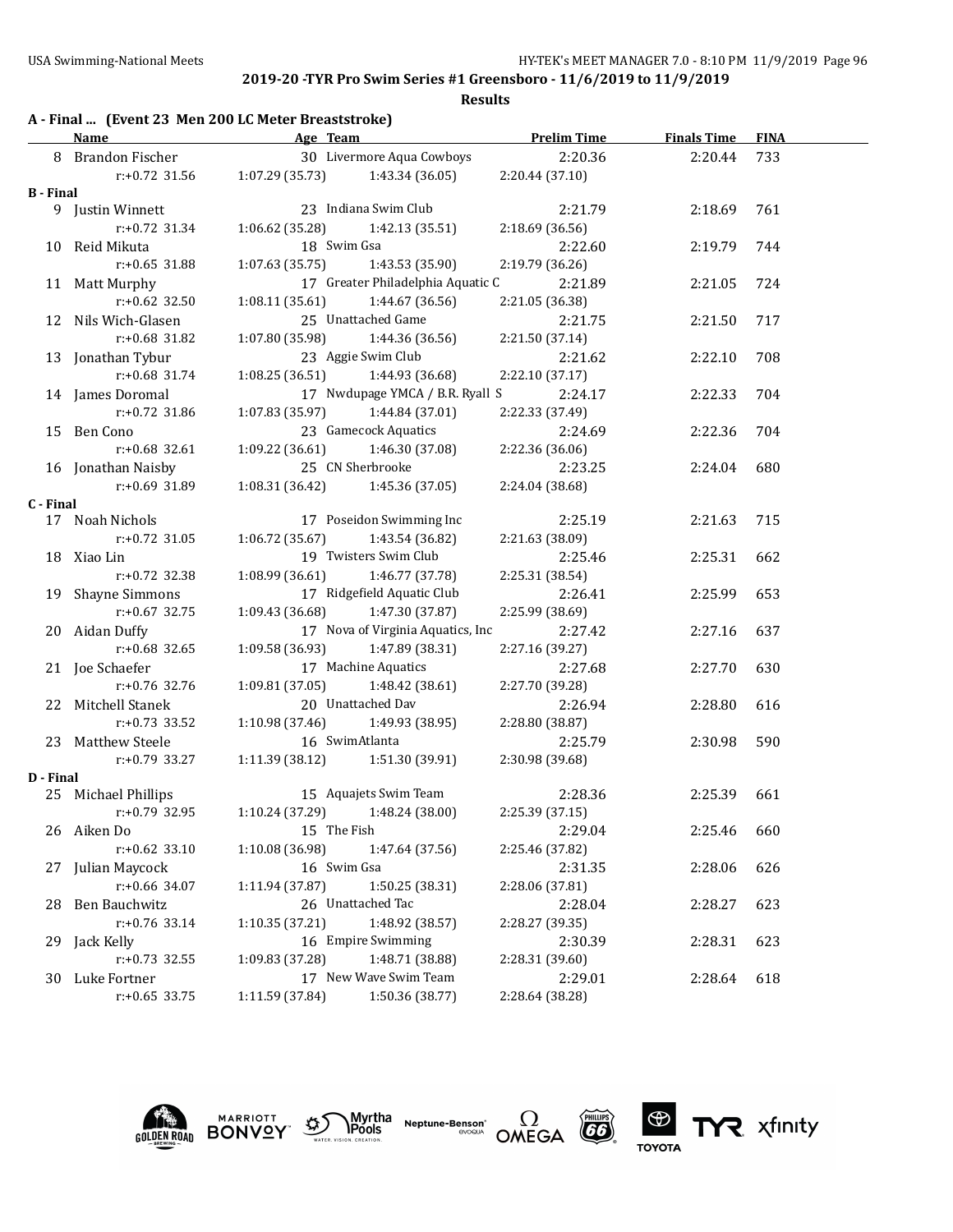|  |  | A - Final  (Event 23 Men 200 LC Meter Breaststroke) |  |
|--|--|-----------------------------------------------------|--|
|--|--|-----------------------------------------------------|--|

|                  | <b>Name</b>         | Age Team                            |                                   | <b>Prelim Time</b> | <b>Finals Time</b> | <b>FINA</b> |
|------------------|---------------------|-------------------------------------|-----------------------------------|--------------------|--------------------|-------------|
|                  | 8 Brandon Fischer   |                                     | 30 Livermore Aqua Cowboys         | 2:20.36            | 2:20.44            | 733         |
|                  | r:+0.72 31.56       | $1:07.29(35.73)$ $1:43.34(36.05)$   |                                   | 2:20.44 (37.10)    |                    |             |
| <b>B</b> - Final |                     |                                     |                                   |                    |                    |             |
|                  | 9 Justin Winnett    |                                     | 23 Indiana Swim Club              | 2:21.79            | 2:18.69            | 761         |
|                  | r:+0.72 31.34       | $1:06.62$ (35.28) $1:42.13$ (35.51) |                                   | 2:18.69 (36.56)    |                    |             |
|                  | 10 Reid Mikuta      | 18 Swim Gsa                         |                                   | 2:22.60            | 2:19.79            | 744         |
|                  | $r: +0.65$ 31.88    | $1:07.63(35.75)$ $1:43.53(35.90)$   |                                   | 2:19.79 (36.26)    |                    |             |
|                  | 11 Matt Murphy      |                                     | 17 Greater Philadelphia Aquatic C | 2:21.89            | 2:21.05            | 724         |
|                  | $r: +0.62$ 32.50    | $1:08.11(35.61)$ $1:44.67(36.56)$   |                                   | 2:21.05 (36.38)    |                    |             |
|                  | 12 Nils Wich-Glasen |                                     | 25 Unattached Game                | 2:21.75            | 2:21.50            | 717         |
|                  | $r: +0.68$ 31.82    | $1:07.80(35.98)$ $1:44.36(36.56)$   |                                   | 2:21.50 (37.14)    |                    |             |
|                  | 13 Jonathan Tybur   |                                     | 23 Aggie Swim Club                | 2:21.62            | 2:22.10            | 708         |
|                  | $r$ :+0.68 31.74    | $1:08.25(36.51)$ $1:44.93(36.68)$   |                                   | 2:22.10 (37.17)    |                    |             |
|                  | 14 James Doromal    |                                     | 17 Nwdupage YMCA / B.R. Ryall S   | 2:24.17            | 2:22.33            | 704         |
|                  | $r: +0.72$ 31.86    | $1:07.83(35.97)$ $1:44.84(37.01)$   |                                   | 2:22.33 (37.49)    |                    |             |
|                  | 15 Ben Cono         |                                     | 23 Gamecock Aquatics              | 2:24.69            | 2:22.36            | 704         |
|                  | $r: +0.68$ 32.61    | $1:09.22(36.61)$ $1:46.30(37.08)$   |                                   | 2:22.36 (36.06)    |                    |             |
|                  | 16 Jonathan Naisby  | 25 CN Sherbrooke                    |                                   | 2:23.25            | 2:24.04            | 680         |
|                  | r:+0.69 31.89       | $1:08.31(36.42)$ $1:45.36(37.05)$   |                                   | 2:24.04 (38.68)    |                    |             |
| C - Final        |                     |                                     |                                   |                    |                    |             |
|                  | 17 Noah Nichols     |                                     | 17 Poseidon Swimming Inc          | 2:25.19            | 2:21.63            | 715         |
|                  | $r: +0.72$ 31.05    | 1:06.72(35.67)                      | 1:43.54 (36.82)                   | 2:21.63 (38.09)    |                    |             |
|                  | 18 Xiao Lin         |                                     | 19 Twisters Swim Club             | 2:25.46            | 2:25.31            | 662         |
|                  | $r: +0.72$ 32.38    | 1:08.99 (36.61)                     | 1:46.77 (37.78)                   | 2:25.31 (38.54)    |                    |             |
|                  | 19 Shayne Simmons   |                                     | 17 Ridgefield Aquatic Club        | 2:26.41            | 2:25.99            | 653         |
|                  | $r: +0.67$ 32.75    | 1:09.43 (36.68)                     | 1:47.30 (37.87)                   | 2:25.99 (38.69)    |                    |             |
|                  | 20 Aidan Duffy      |                                     | 17 Nova of Virginia Aquatics, Inc | 2:27.42            | 2:27.16            | 637         |
|                  | $r: +0.68$ 32.65    | 1:09.58(36.93)                      | 1:47.89 (38.31)                   | 2:27.16 (39.27)    |                    |             |
|                  | 21 Joe Schaefer     |                                     | 17 Machine Aquatics               | 2:27.68            | 2:27.70            | 630         |
|                  | r:+0.76 32.76       | 1:09.81(37.05)                      | 1:48.42 (38.61)                   | 2:27.70 (39.28)    |                    |             |
|                  | 22 Mitchell Stanek  | 20 Unattached Dav                   |                                   | 2:26.94            | 2:28.80            | 616         |
|                  | $r: +0.73$ 33.52    | 1:10.98(37.46)                      | 1:49.93 (38.95)                   | 2:28.80 (38.87)    |                    |             |
|                  | 23 Matthew Steele   | 16 SwimAtlanta                      |                                   | 2:25.79            | 2:30.98            | 590         |
|                  | r:+0.79 33.27       | 1:11.39 (38.12)                     | 1:51.30 (39.91)                   | 2:30.98 (39.68)    |                    |             |
| D - Final        |                     |                                     |                                   |                    |                    |             |
|                  | 25 Michael Phillips |                                     | 15 Aquajets Swim Team             | 2:28.36            | 2:25.39            | 661         |
|                  | $r: +0.79$ 32.95    | $1:10.24(37.29)$ $1:48.24(38.00)$   |                                   | 2:25.39 (37.15)    |                    |             |
|                  | 26 Aiken Do         | 15 The Fish                         |                                   | 2:29.04            | 2:25.46 660        |             |
|                  | $r: +0.62$ 33.10    | 1:10.08(36.98)                      | 1:47.64 (37.56)                   | 2:25.46 (37.82)    |                    |             |
|                  | 27 Julian Maycock   | 16 Swim Gsa                         |                                   | 2:31.35            | 2:28.06            | 626         |
|                  | r:+0.66 34.07       | 1:11.94 (37.87)                     | 1:50.25 (38.31)                   | 2:28.06 (37.81)    |                    |             |
|                  | 28 Ben Bauchwitz    | 26 Unattached Tac                   |                                   | 2:28.04            | 2:28.27            | 623         |
|                  | $r: +0.76$ 33.14    | 1:10.35 (37.21)                     | 1:48.92 (38.57)                   | 2:28.27 (39.35)    |                    |             |
|                  | 29 Jack Kelly       |                                     | 16 Empire Swimming                | 2:30.39            | 2:28.31            | 623         |
|                  | r:+0.73 32.55       | 1:09.83 (37.28)                     | 1:48.71 (38.88)                   | 2:28.31 (39.60)    |                    |             |
|                  | 30 Luke Fortner     |                                     | 17 New Wave Swim Team             | 2:29.01            | 2:28.64            | 618         |
|                  | $r: +0.65$ 33.75    | 1:11.59 (37.84)                     | 1:50.36 (38.77)                   | 2:28.64 (38.28)    |                    |             |









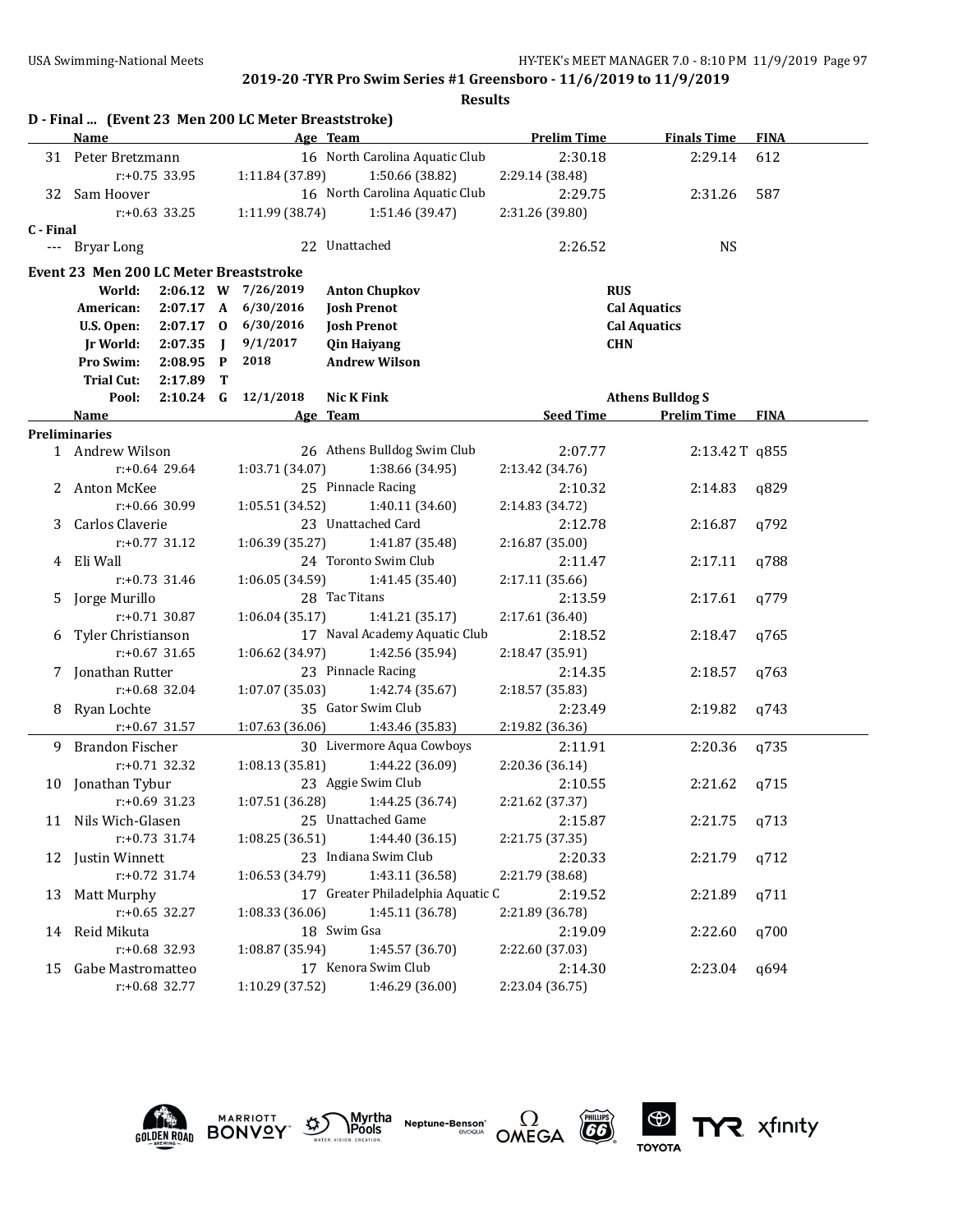|           |                                        |                  |              | D - Final  (Event 23 Men 200 LC Meter Breaststroke) |                                                         |                            |                         |             |
|-----------|----------------------------------------|------------------|--------------|-----------------------------------------------------|---------------------------------------------------------|----------------------------|-------------------------|-------------|
|           | <b>Name</b>                            |                  |              |                                                     | Age Team                                                | <b>Prelim Time</b>         | <b>Finals Time</b>      | <b>FINA</b> |
|           | 31 Peter Bretzmann                     |                  |              |                                                     | 16 North Carolina Aquatic Club                          | 2:30.18                    | 2:29.14                 | 612         |
|           |                                        | $r: +0.75$ 33.95 |              | 1:11.84 (37.89)                                     | 1:50.66 (38.82)                                         | 2:29.14 (38.48)            |                         |             |
|           | 32 Sam Hoover                          |                  |              |                                                     | 16 North Carolina Aquatic Club                          | 2:29.75                    | 2:31.26                 | 587         |
|           |                                        | $r: +0.63$ 33.25 |              | 1:11.99 (38.74)                                     | 1:51.46 (39.47)                                         | 2:31.26 (39.80)            |                         |             |
| C - Final |                                        |                  |              |                                                     |                                                         |                            |                         |             |
|           | --- Bryar Long                         |                  |              |                                                     | 22 Unattached                                           | 2:26.52                    | <b>NS</b>               |             |
|           | Event 23 Men 200 LC Meter Breaststroke |                  |              |                                                     |                                                         |                            |                         |             |
|           | World:                                 |                  |              | 2:06.12 W 7/26/2019                                 | <b>Anton Chupkov</b>                                    | <b>RUS</b>                 |                         |             |
|           | American:                              |                  |              | 2:07.17 A 6/30/2016                                 | <b>Josh Prenot</b>                                      |                            | <b>Cal Aquatics</b>     |             |
|           | U.S. Open:                             |                  |              | 2:07.17 0 6/30/2016                                 | <b>Josh Prenot</b>                                      |                            | <b>Cal Aquatics</b>     |             |
|           | <b>Jr World:</b>                       | 2:07.35          | $\mathbf{I}$ | 9/1/2017                                            | <b>Qin Haiyang</b>                                      | <b>CHN</b>                 |                         |             |
|           | Pro Swim:                              | 2:08.95          | $\mathbf{P}$ | 2018                                                | <b>Andrew Wilson</b>                                    |                            |                         |             |
|           | Trial Cut:                             | 2:17.89          | T            |                                                     |                                                         |                            |                         |             |
|           | Pool:                                  | $2:10.24$ G      |              | 12/1/2018                                           | Nic K Fink                                              |                            | <b>Athens Bulldog S</b> |             |
|           | Name                                   |                  |              |                                                     | Age Team                                                | <b>Seed Time</b>           | Prelim Time FINA        |             |
|           | <b>Preliminaries</b>                   |                  |              |                                                     |                                                         |                            |                         |             |
|           | 1 Andrew Wilson                        |                  |              |                                                     | 26 Athens Bulldog Swim Club                             | 2:07.77                    | 2:13.42T q855           |             |
|           |                                        | $r: +0.64$ 29.64 |              | 1:03.71 (34.07)                                     | 1:38.66 (34.95)                                         | 2:13.42 (34.76)            |                         |             |
|           | 2 Anton McKee                          |                  |              |                                                     | 25 Pinnacle Racing                                      | 2:10.32                    | 2:14.83                 | q829        |
|           |                                        | $r: +0.66$ 30.99 |              | 1:05.51(34.52)                                      | 1:40.11 (34.60)                                         | 2:14.83 (34.72)            |                         |             |
| 3         | Carlos Claverie                        |                  |              |                                                     | 23 Unattached Card                                      | 2:12.78                    | 2:16.87                 | q792        |
|           |                                        | $r: +0.77$ 31.12 |              | 1:06.39 (35.27)                                     | 1:41.87 (35.48)                                         | 2:16.87 (35.00)            |                         |             |
|           | 4 Eli Wall                             |                  |              |                                                     | 24 Toronto Swim Club                                    | 2:11.47                    | 2:17.11                 | q788        |
|           |                                        | $r: +0.73$ 31.46 |              | 1:06.05(34.59)                                      | 1:41.45 (35.40)                                         | 2:17.11 (35.66)            |                         |             |
| 5         | Jorge Murillo                          |                  |              |                                                     | 28 Tac Titans                                           | 2:13.59                    | 2:17.61                 | q779        |
|           |                                        | $r: +0.71$ 30.87 |              | 1:06.04(35.17)                                      | 1:41.21 (35.17)                                         | 2:17.61 (36.40)            |                         |             |
| 6         | Tyler Christianson                     |                  |              |                                                     | 17 Naval Academy Aquatic Club                           | 2:18.52                    | 2:18.47                 | q765        |
|           |                                        | $r: +0.67$ 31.65 |              | 1:06.62 (34.97)                                     | 1:42.56 (35.94)                                         | 2:18.47 (35.91)            |                         |             |
|           | 7 Jonathan Rutter                      |                  |              |                                                     | 23 Pinnacle Racing                                      | 2:14.35                    | 2:18.57                 | q763        |
|           |                                        | r:+0.68 32.04    |              | 1:07.07(35.03)                                      | 1:42.74 (35.67)                                         | 2:18.57 (35.83)            |                         |             |
|           | 8 Ryan Lochte                          |                  |              |                                                     | 35 Gator Swim Club                                      | 2:23.49                    | 2:19.82                 | q743        |
|           |                                        | $r: +0.67$ 31.57 |              | 1:07.63(36.06)                                      | 1:43.46 (35.83)                                         | 2:19.82 (36.36)            |                         |             |
|           | 9 Brandon Fischer                      |                  |              |                                                     | 30 Livermore Aqua Cowboys                               | 2:11.91                    | 2:20.36                 | q735        |
|           |                                        | $r: +0.71$ 32.32 |              | 1:08.13(35.81)                                      | 1:44.22 (36.09)<br>23 Aggie Swim Club                   | 2:20.36 (36.14)            |                         |             |
|           | 10 Jonathan Tybur                      |                  |              |                                                     |                                                         | 2:10.55                    | 2:21.62                 | q715        |
|           | 11 Nils Wich-Glasen                    | $r+0.69$ 31.23   |              |                                                     | $1:07.51(36.28)$ $1:44.25(36.74)$<br>25 Unattached Game | 2:21.62 (37.37)<br>2:15.87 |                         | q713        |
|           |                                        | r:+0.73 31.74    |              | 1:08.25(36.51)                                      | 1:44.40 (36.15)                                         |                            | 2:21.75                 |             |
|           |                                        |                  |              |                                                     | 23 Indiana Swim Club                                    | 2:21.75 (37.35)<br>2:20.33 |                         |             |
| 12        | Justin Winnett                         | r:+0.72 31.74    |              | 1:06.53 (34.79)                                     | 1:43.11 (36.58)                                         | 2:21.79 (38.68)            | 2:21.79                 | q712        |
|           |                                        |                  |              |                                                     | 17 Greater Philadelphia Aquatic C                       | 2:19.52                    |                         |             |
| 13        | Matt Murphy                            | $r: +0.65$ 32.27 |              | 1:08.33 (36.06)                                     | 1:45.11 (36.78)                                         | 2:21.89 (36.78)            | 2:21.89                 | q711        |
|           | Reid Mikuta                            |                  |              |                                                     | 18 Swim Gsa                                             | 2:19.09                    | 2:22.60                 | q700        |
| 14        |                                        | r:+0.68 32.93    |              | 1:08.87 (35.94)                                     | 1:45.57 (36.70)                                         | 2:22.60 (37.03)            |                         |             |
| 15        | Gabe Mastromatteo                      |                  |              |                                                     | 17 Kenora Swim Club                                     | 2:14.30                    | 2:23.04                 | q694        |
|           |                                        | r:+0.68 32.77    |              | 1:10.29 (37.52)                                     | 1:46.29 (36.00)                                         | 2:23.04 (36.75)            |                         |             |
|           |                                        |                  |              |                                                     |                                                         |                            |                         |             |











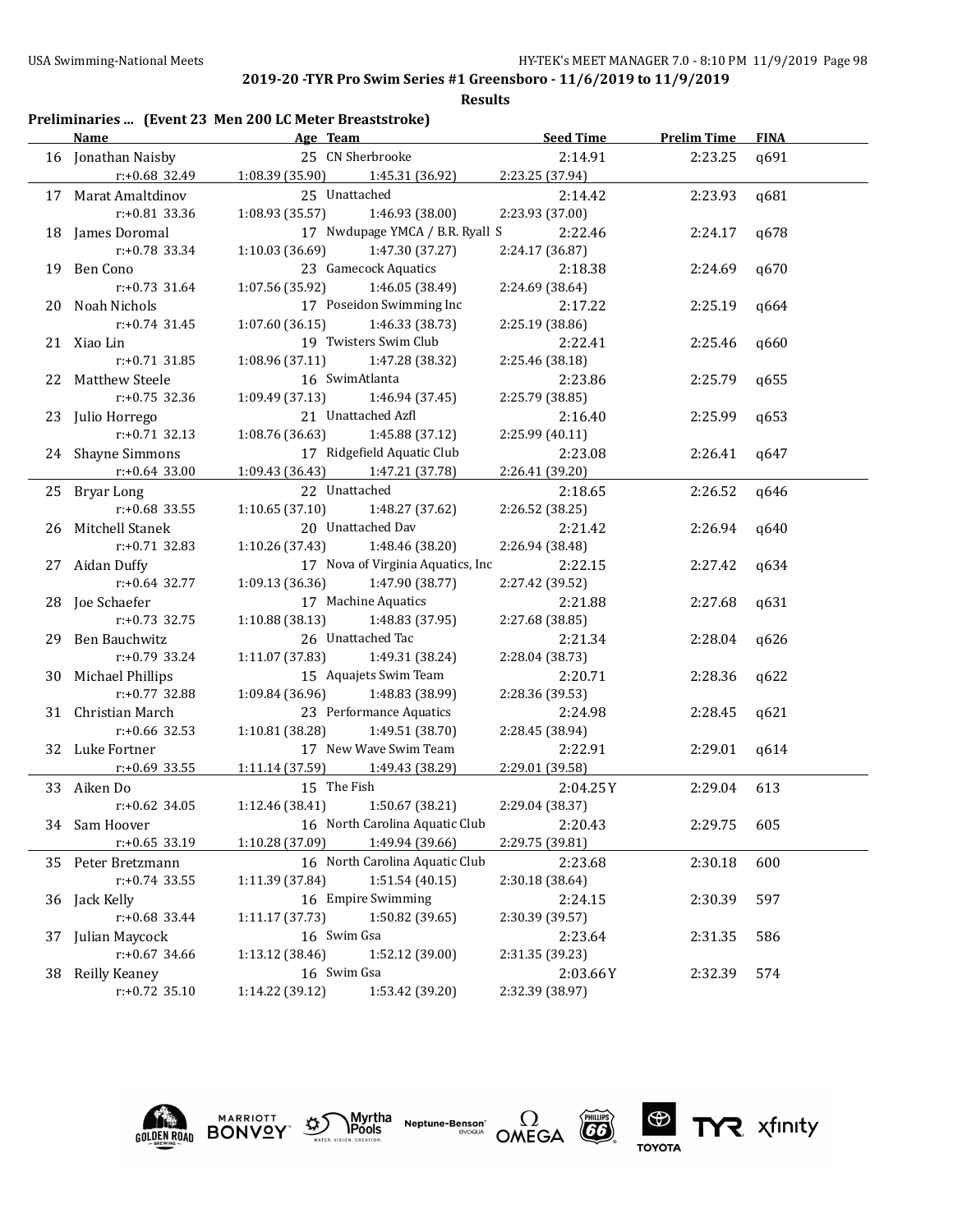**Results**

## **Preliminaries ... (Event 23 Men 200 LC Meter Breaststroke)**

| <b>Name</b>         |                                   | Age Team and the Team and the Team and the Team and the Team and the Team and the Team and the Team and the Te | Seed Time       | <b>Prelim Time</b> | <b>FINA</b> |
|---------------------|-----------------------------------|----------------------------------------------------------------------------------------------------------------|-----------------|--------------------|-------------|
| 16 Jonathan Naisby  |                                   | 25 CN Sherbrooke                                                                                               | 2:14.91         | 2:23.25            | q691        |
| r:+0.68 32.49       | $1:08.39(35.90)$ $1:45.31(36.92)$ |                                                                                                                | 2:23.25 (37.94) |                    |             |
| 17 Marat Amaltdinov | 25 Unattached                     |                                                                                                                | 2:14.42         | 2:23.93            | q681        |
| r:+0.81 33.36       | 1:08.93(35.57)                    | 1:46.93 (38.00)                                                                                                | 2:23.93 (37.00) |                    |             |
| 18 James Doromal    |                                   | 17 Nwdupage YMCA / B.R. Ryall S                                                                                | 2:22.46         | 2:24.17            | q678        |
| $r: +0.78$ 33.34    | 1:10.03 (36.69)                   | 1:47.30 (37.27)                                                                                                | 2:24.17 (36.87) |                    |             |
| 19 Ben Cono         |                                   | 23 Gamecock Aquatics                                                                                           | 2:18.38         | 2:24.69            | q670        |
| $r: +0.73$ 31.64    | 1:07.56 (35.92)                   | 1:46.05 (38.49)                                                                                                | 2:24.69 (38.64) |                    |             |
| 20 Noah Nichols     |                                   | 17 Poseidon Swimming Inc                                                                                       | 2:17.22         | 2:25.19            | q664        |
| $r: +0.74$ 31.45    | 1:07.60(36.15)                    | 1:46.33 (38.73)                                                                                                | 2:25.19 (38.86) |                    |             |
| 21 Xiao Lin         |                                   | 19 Twisters Swim Club                                                                                          | 2:22.41         | 2:25.46            | q660        |
| $r: +0.71$ 31.85    | 1:08.96 (37.11)                   | 1:47.28 (38.32)                                                                                                | 2:25.46 (38.18) |                    |             |
| 22 Matthew Steele   | 16 SwimAtlanta                    |                                                                                                                | 2:23.86         | 2:25.79            | q655        |
| $r: +0.75$ 32.36    | 1:09.49 (37.13)                   | 1:46.94 (37.45)                                                                                                | 2:25.79 (38.85) |                    |             |
| 23 Julio Horrego    |                                   | 21 Unattached Azfl                                                                                             | 2:16.40         | 2:25.99            | q653        |
| $r: +0.71$ 32.13    | 1:08.76 (36.63)                   | 1:45.88 (37.12)                                                                                                | 2:25.99(40.11)  |                    |             |
| 24 Shayne Simmons   |                                   | 17 Ridgefield Aquatic Club                                                                                     | 2:23.08         | 2:26.41            | q647        |
| $r: +0.64$ 33.00    | 1:09.43 (36.43) 1:47.21 (37.78)   |                                                                                                                | 2:26.41 (39.20) |                    |             |
| 25 Bryar Long       | 22 Unattached                     |                                                                                                                | 2:18.65         | 2:26.52            | q646        |
| $r: +0.68$ 33.55    | 1:10.65(37.10)                    | 1:48.27 (37.62)                                                                                                | 2:26.52 (38.25) |                    |             |
| 26 Mitchell Stanek  |                                   | 20 Unattached Dav                                                                                              | 2:21.42         | 2:26.94            | q640        |
| $r: +0.71$ 32.83    | 1:10.26 (37.43)                   | 1:48.46 (38.20)                                                                                                | 2:26.94 (38.48) |                    |             |
| 27 Aidan Duffy      |                                   | 17 Nova of Virginia Aquatics, Inc                                                                              | 2:22.15         | 2:27.42            | q634        |
| $r: +0.64$ 32.77    | 1:09.13 (36.36)                   | 1:47.90 (38.77)                                                                                                | 2:27.42 (39.52) |                    |             |
| 28 Joe Schaefer     |                                   | 17 Machine Aquatics                                                                                            | 2:21.88         | 2:27.68            | q631        |
| $r: +0.73$ 32.75    | $1:10.88(38.13)$ $1:48.83(37.95)$ |                                                                                                                | 2:27.68 (38.85) |                    |             |
| 29 Ben Bauchwitz    |                                   | 26 Unattached Tac                                                                                              | 2:21.34         | 2:28.04            | q626        |
| $r: +0.79$ 33.24    | 1:11.07(37.83)                    | 1:49.31 (38.24)                                                                                                | 2:28.04 (38.73) |                    |             |
| 30 Michael Phillips |                                   | 15 Aquajets Swim Team                                                                                          | 2:20.71         | 2:28.36            | q622        |
| $r: +0.77$ 32.88    | 1:09.84 (36.96) 1:48.83 (38.99)   |                                                                                                                | 2:28.36 (39.53) |                    |             |
| 31 Christian March  |                                   | 23 Performance Aquatics                                                                                        | 2:24.98         | 2:28.45            | q621        |
| $r: +0.66$ 32.53    | 1:10.81(38.28)                    | 1:49.51 (38.70)                                                                                                | 2:28.45 (38.94) |                    |             |
| 32 Luke Fortner     |                                   | 17 New Wave Swim Team                                                                                          | 2:22.91         | 2:29.01            | q614        |
| r:+0.69 33.55       | 1:11.14 (37.59) 1:49.43 (38.29)   |                                                                                                                | 2:29.01 (39.58) |                    |             |
| 33 Aiken Do         | 15 The Fish                       |                                                                                                                | 2:04.25Y        | 2:29.04            | 613         |
| $r: +0.62$ 34.05    | 1:12.46 (38.41) 1:50.67 (38.21)   |                                                                                                                | 2:29.04 (38.37) |                    |             |
| 34 Sam Hoover       |                                   | 16 North Carolina Aquatic Club                                                                                 | 2:20.43         | 2:29.75            | 605         |
| $r: +0.65$ 33.19    | 1:10.28 (37.09) 1:49.94 (39.66)   |                                                                                                                | 2:29.75 (39.81) |                    |             |
| 35 Peter Bretzmann  |                                   | 16 North Carolina Aquatic Club                                                                                 | 2:23.68         | 2:30.18            | 600         |
| $r: +0.74$ 33.55    | 1:11.39 (37.84)                   | 1:51.54(40.15)                                                                                                 | 2:30.18 (38.64) |                    |             |
| 36 Jack Kelly       |                                   | 16 Empire Swimming                                                                                             | 2:24.15         | 2:30.39            | 597         |
| r:+0.68 33.44       | 1:11.17 (37.73)                   | 1:50.82 (39.65)                                                                                                | 2:30.39 (39.57) |                    |             |
| 37 Julian Maycock   | 16 Swim Gsa                       |                                                                                                                | 2:23.64         | 2:31.35            | 586         |
| $r: +0.67$ 34.66    | 1:13.12 (38.46)                   | 1:52.12 (39.00)                                                                                                | 2:31.35 (39.23) |                    |             |
| 38 Reilly Keaney    | 16 Swim Gsa                       |                                                                                                                | 2:03.66Y        | 2:32.39            | 574         |
| $r: +0.72$ 35.10    | 1:14.22 (39.12)                   | 1:53.42 (39.20)                                                                                                | 2:32.39 (38.97) |                    |             |
|                     |                                   |                                                                                                                |                 |                    |             |









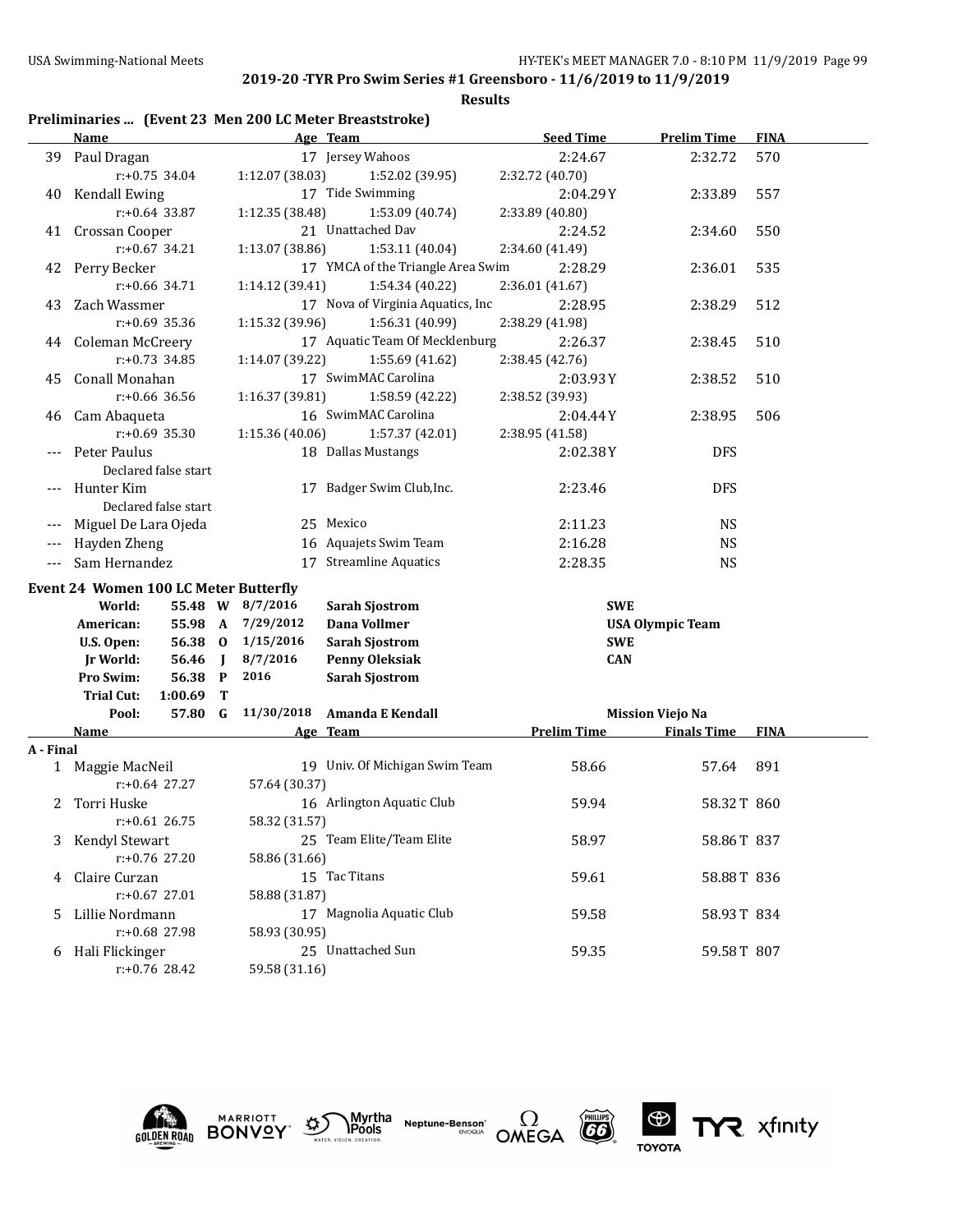**Results**

# **Preliminaries ... (Event 23 Men 200 LC Meter Breaststroke)**

|           | <b>Name</b>                                  | Age Team                                  | <b>Seed Time</b>   | <b>Prelim Time</b>      | <b>FINA</b> |
|-----------|----------------------------------------------|-------------------------------------------|--------------------|-------------------------|-------------|
|           | 39 Paul Dragan                               | 17 Jersey Wahoos                          | 2:24.67            | 2:32.72                 | 570         |
|           | $r: +0.75$ 34.04                             | 1:12.07 (38.03)<br>1:52.02 (39.95)        | 2:32.72 (40.70)    |                         |             |
| 40        | <b>Kendall Ewing</b>                         | 17 Tide Swimming                          | 2:04.29Y           | 2:33.89                 | 557         |
|           | $r: +0.64$ 33.87                             | 1:12.35 (38.48)<br>1:53.09 (40.74)        | 2:33.89 (40.80)    |                         |             |
|           | 41 Crossan Cooper                            | 21 Unattached Dav                         | 2:24.52            | 2:34.60                 | 550         |
|           | $r: +0.67$ 34.21                             | 1:53.11 (40.04)<br>1:13.07 (38.86)        | 2:34.60 (41.49)    |                         |             |
| 42        | Perry Becker                                 | 17 YMCA of the Triangle Area Swim         | 2:28.29            | 2:36.01                 | 535         |
|           | $r: +0.66$ 34.71                             | 1:54.34 (40.22)<br>1:14.12 (39.41)        | 2:36.01 (41.67)    |                         |             |
| 43        | Zach Wassmer                                 | 17 Nova of Virginia Aquatics, Inc         | 2:28.95            | 2:38.29                 | 512         |
|           | r:+0.69 35.36                                | 1:15.32 (39.96)<br>1:56.31 (40.99)        | 2:38.29 (41.98)    |                         |             |
|           | 44 Coleman McCreery                          | 17 Aquatic Team Of Mecklenburg            | 2:26.37            | 2:38.45                 | 510         |
|           | $r: +0.73$ 34.85                             | 1:14.07 (39.22)<br>1:55.69 (41.62)        | 2:38.45 (42.76)    |                         |             |
| 45        | Conall Monahan                               | 17 SwimMAC Carolina                       | 2:03.93Y           | 2:38.52                 | 510         |
|           | r:+0.66 36.56                                | 1:16.37 (39.81)<br>1:58.59 (42.22)        | 2:38.52 (39.93)    |                         |             |
| 46        | Cam Abaqueta                                 | 16 SwimMAC Carolina                       | 2:04.44Y           | 2:38.95                 | 506         |
|           | $r: +0.69$ 35.30                             | 1:15.36 (40.06)<br>1:57.37 (42.01)        | 2:38.95 (41.58)    |                         |             |
|           | Peter Paulus                                 | 18 Dallas Mustangs                        | 2:02.38Y           | <b>DFS</b>              |             |
|           | Declared false start                         |                                           |                    |                         |             |
| $---$     | Hunter Kim                                   | 17 Badger Swim Club, Inc.                 | 2:23.46            | <b>DFS</b>              |             |
|           | Declared false start                         |                                           |                    |                         |             |
|           | Miguel De Lara Ojeda                         | 25 Mexico                                 | 2:11.23            | <b>NS</b>               |             |
| ---       | Hayden Zheng                                 | 16 Aquajets Swim Team                     | 2:16.28            | <b>NS</b>               |             |
| $---$     | Sam Hernandez                                | 17 Streamline Aquatics                    | 2:28.35            | <b>NS</b>               |             |
|           |                                              |                                           |                    |                         |             |
|           | <b>Event 24 Women 100 LC Meter Butterfly</b> |                                           |                    |                         |             |
|           | World:                                       | 55.48 W 8/7/2016<br><b>Sarah Sjostrom</b> | <b>SWE</b>         |                         |             |
|           | 55.98 A<br>American:                         | 7/29/2012<br>Dana Vollmer                 |                    | <b>USA Olympic Team</b> |             |
|           | 56.38 0<br>U.S. Open:                        | <b>Sarah Sjostrom</b><br>1/15/2016        | <b>SWE</b>         |                         |             |
|           | 56.46<br><b>Jr World:</b><br>$\blacksquare$  | 8/7/2016<br><b>Penny Oleksiak</b>         | <b>CAN</b>         |                         |             |
|           | Pro Swim:<br>56.38 P                         | 2016<br><b>Sarah Sjostrom</b>             |                    |                         |             |
|           | <b>Trial Cut:</b><br>1:00.69<br>Т            |                                           |                    |                         |             |
|           | 57.80 G<br>Pool:                             | 11/30/2018<br>Amanda E Kendall            |                    | <b>Mission Viejo Na</b> |             |
| A - Final | <b>Name</b>                                  | Age Team                                  | <b>Prelim Time</b> | <b>Finals Time</b>      | <b>FINA</b> |
|           | 1 Maggie MacNeil                             | 19 Univ. Of Michigan Swim Team            | 58.66              | 57.64                   | 891         |
|           | $r: +0.64$ 27.27                             | 57.64 (30.37)                             |                    |                         |             |
| 2         | Torri Huske                                  | 16 Arlington Aquatic Club                 | 59.94              | 58.32T 860              |             |
|           | $r$ :+0.61 26.75                             | 58.32 (31.57)                             |                    |                         |             |
| 3         | Kendyl Stewart                               | 25 Team Elite/Team Elite                  | 58.97              | 58.86T 837              |             |
|           | r:+0.76 27.20                                | 58.86 (31.66)                             |                    |                         |             |
|           | Claire Curzan                                | 15 Tac Titans                             |                    |                         |             |
| 4         | $r: +0.67$ 27.01                             |                                           | 59.61              | 58.88T 836              |             |
|           |                                              | 58.88 (31.87)<br>17 Magnolia Aquatic Club |                    |                         |             |
| 5         | Lillie Nordmann                              |                                           | 59.58              | 58.93T 834              |             |
|           | r:+0.68 27.98                                | 58.93 (30.95)<br>25 Unattached Sun        |                    |                         |             |
|           | 6 Hali Flickinger<br>r:+0.76 28.42           | 59.58 (31.16)                             | 59.35              | 59.58T 807              |             |
|           |                                              |                                           |                    |                         |             |











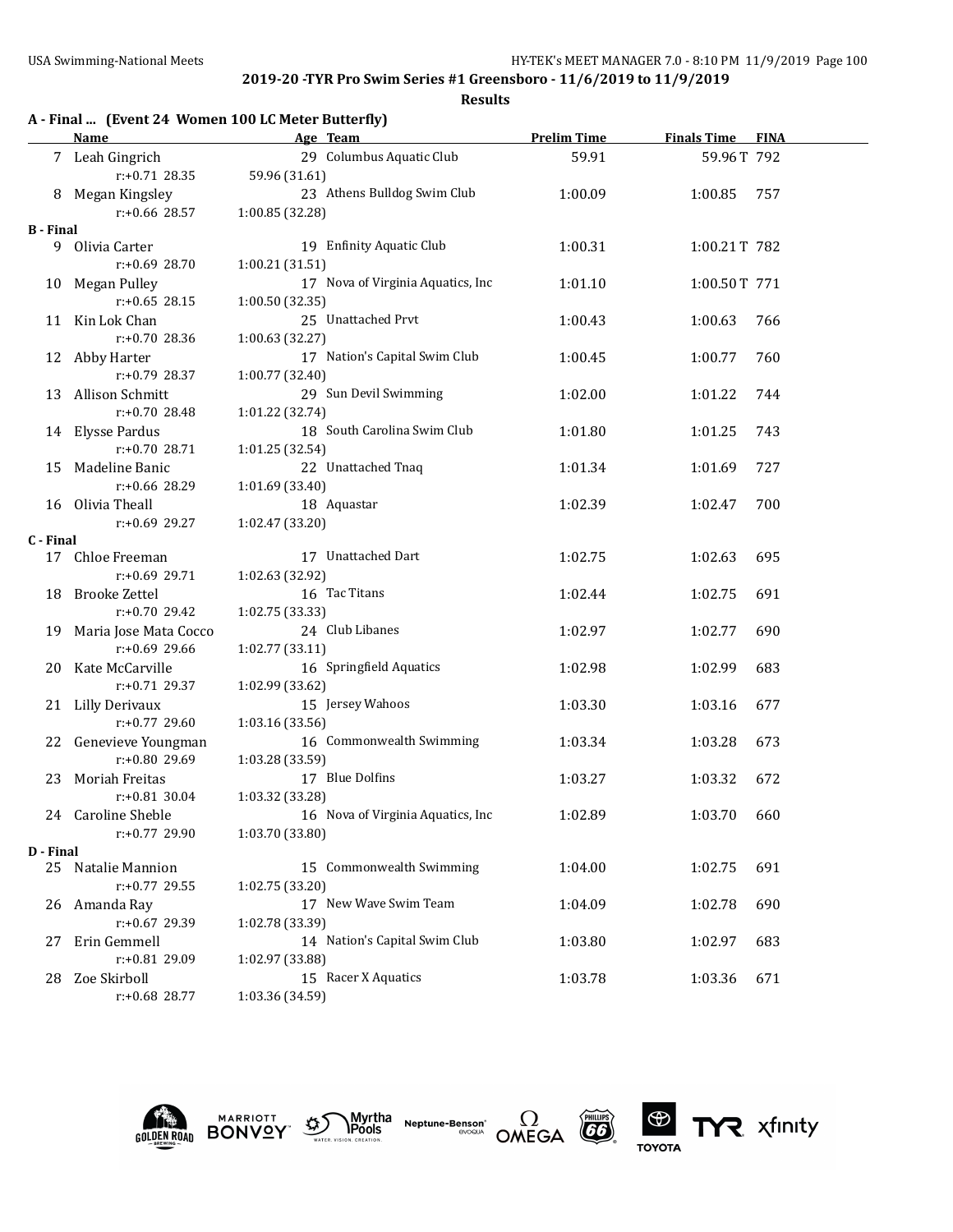|                  | A - Final  (Event 24 Women 100 LC Meter Butterfly) |                                   |                    |                    |             |  |  |  |
|------------------|----------------------------------------------------|-----------------------------------|--------------------|--------------------|-------------|--|--|--|
|                  | <b>Name</b>                                        | Age Team                          | <b>Prelim Time</b> | <b>Finals Time</b> | <b>FINA</b> |  |  |  |
|                  | 7 Leah Gingrich                                    | 29 Columbus Aquatic Club          | 59.91              | 59.96T 792         |             |  |  |  |
|                  | $r: +0.71$ 28.35                                   | 59.96 (31.61)                     |                    |                    |             |  |  |  |
|                  | 8 Megan Kingsley                                   | 23 Athens Bulldog Swim Club       | 1:00.09            | 1:00.85            | 757         |  |  |  |
|                  | r:+0.66 28.57                                      | 1:00.85 (32.28)                   |                    |                    |             |  |  |  |
| <b>B</b> - Final |                                                    |                                   |                    |                    |             |  |  |  |
|                  | 9 Olivia Carter                                    | 19 Enfinity Aquatic Club          | 1:00.31            | 1:00.21T 782       |             |  |  |  |
|                  | $r: +0.69$ 28.70                                   | 1:00.21(31.51)                    |                    |                    |             |  |  |  |
| 10               | Megan Pulley                                       | 17 Nova of Virginia Aquatics, Inc | 1:01.10            | 1:00.50T 771       |             |  |  |  |
|                  | $r: +0.65$ 28.15                                   | 1:00.50 (32.35)                   |                    |                    |             |  |  |  |
| 11               | Kin Lok Chan                                       | 25 Unattached Prvt                | 1:00.43            | 1:00.63            | 766         |  |  |  |
|                  | $r: +0.70$ 28.36                                   | 1:00.63(32.27)                    |                    |                    |             |  |  |  |
|                  | 12 Abby Harter                                     | 17 Nation's Capital Swim Club     | 1:00.45            | 1:00.77            | 760         |  |  |  |
|                  | $r: +0.79$ 28.37                                   | 1:00.77 (32.40)                   |                    |                    |             |  |  |  |
| 13               | Allison Schmitt                                    | 29 Sun Devil Swimming             | 1:02.00            | 1:01.22            | 744         |  |  |  |
|                  | $r: +0.70$ 28.48                                   | 1:01.22 (32.74)                   |                    |                    |             |  |  |  |
|                  | 14 Elysse Pardus                                   | 18 South Carolina Swim Club       | 1:01.80            | 1:01.25            | 743         |  |  |  |
|                  | $r: +0.70$ 28.71                                   | 1:01.25 (32.54)                   |                    |                    |             |  |  |  |
| 15               | Madeline Banic                                     | 22 Unattached Tnaq                | 1:01.34            | 1:01.69            | 727         |  |  |  |
|                  | r:+0.66 28.29                                      | 1:01.69 (33.40)                   |                    |                    |             |  |  |  |
|                  | 16 Olivia Theall                                   | 18 Aquastar                       | 1:02.39            | 1:02.47            | 700         |  |  |  |
|                  | $r: +0.69$ 29.27                                   | 1:02.47 (33.20)                   |                    |                    |             |  |  |  |
| C - Final        |                                                    |                                   |                    |                    |             |  |  |  |
|                  | 17 Chloe Freeman                                   | 17 Unattached Dart                | 1:02.75            | 1:02.63            | 695         |  |  |  |
|                  | $r: +0.69$ 29.71                                   | 1:02.63 (32.92)                   |                    |                    |             |  |  |  |
| 18               | <b>Brooke Zettel</b>                               | 16 Tac Titans                     | 1:02.44            | 1:02.75            | 691         |  |  |  |
|                  | $r: +0.70$ 29.42                                   | 1:02.75 (33.33)                   |                    |                    |             |  |  |  |
| 19               | Maria Jose Mata Cocco                              | 24 Club Libanes                   | 1:02.97            | 1:02.77            | 690         |  |  |  |
|                  | $r: +0.69$ 29.66                                   | 1:02.77 (33.11)                   |                    |                    |             |  |  |  |
| 20               | Kate McCarville                                    | 16 Springfield Aquatics           | 1:02.98            | 1:02.99            | 683         |  |  |  |
|                  | $r: +0.71$ 29.37                                   | 1:02.99 (33.62)                   |                    |                    |             |  |  |  |
|                  | 21 Lilly Derivaux                                  | 15 Jersey Wahoos                  | 1:03.30            | 1:03.16            | 677         |  |  |  |
|                  | $r: +0.77$ 29.60                                   | 1:03.16 (33.56)                   |                    |                    |             |  |  |  |
| 22               | Genevieve Youngman                                 | 16 Commonwealth Swimming          | 1:03.34            | 1:03.28            | 673         |  |  |  |
|                  | r:+0.80 29.69                                      | 1:03.28 (33.59)                   |                    |                    |             |  |  |  |
| 23               | Moriah Freitas                                     | 17 Blue Dolfins                   | 1:03.27            | 1:03.32            | 672         |  |  |  |
|                  | $r: +0.81$ 30.04                                   | 1:03.32 (33.28)                   |                    |                    |             |  |  |  |
|                  | 24 Caroline Sheble                                 | 16 Nova of Virginia Aquatics, Inc | 1:02.89            | 1:03.70            | 660         |  |  |  |
|                  | r:+0.77 29.90                                      | 1:03.70 (33.80)                   |                    |                    |             |  |  |  |
| D - Final        |                                                    |                                   |                    |                    |             |  |  |  |
| 25               | Natalie Mannion                                    | 15 Commonwealth Swimming          | 1:04.00            | 1:02.75            | 691         |  |  |  |
|                  | r:+0.77 29.55                                      | 1:02.75 (33.20)                   |                    |                    |             |  |  |  |
| 26               | Amanda Ray                                         | 17 New Wave Swim Team             | 1:04.09            | 1:02.78            | 690         |  |  |  |
|                  | r:+0.67 29.39                                      | 1:02.78 (33.39)                   |                    |                    |             |  |  |  |
| 27               | Erin Gemmell                                       | 14 Nation's Capital Swim Club     | 1:03.80            | 1:02.97            | 683         |  |  |  |
|                  | r:+0.81 29.09                                      | 1:02.97 (33.88)                   |                    |                    |             |  |  |  |
| 28               | Zoe Skirboll                                       | 15 Racer X Aquatics               | 1:03.78            | 1:03.36            | 671         |  |  |  |
|                  | r:+0.68 28.77                                      | 1:03.36 (34.59)                   |                    |                    |             |  |  |  |











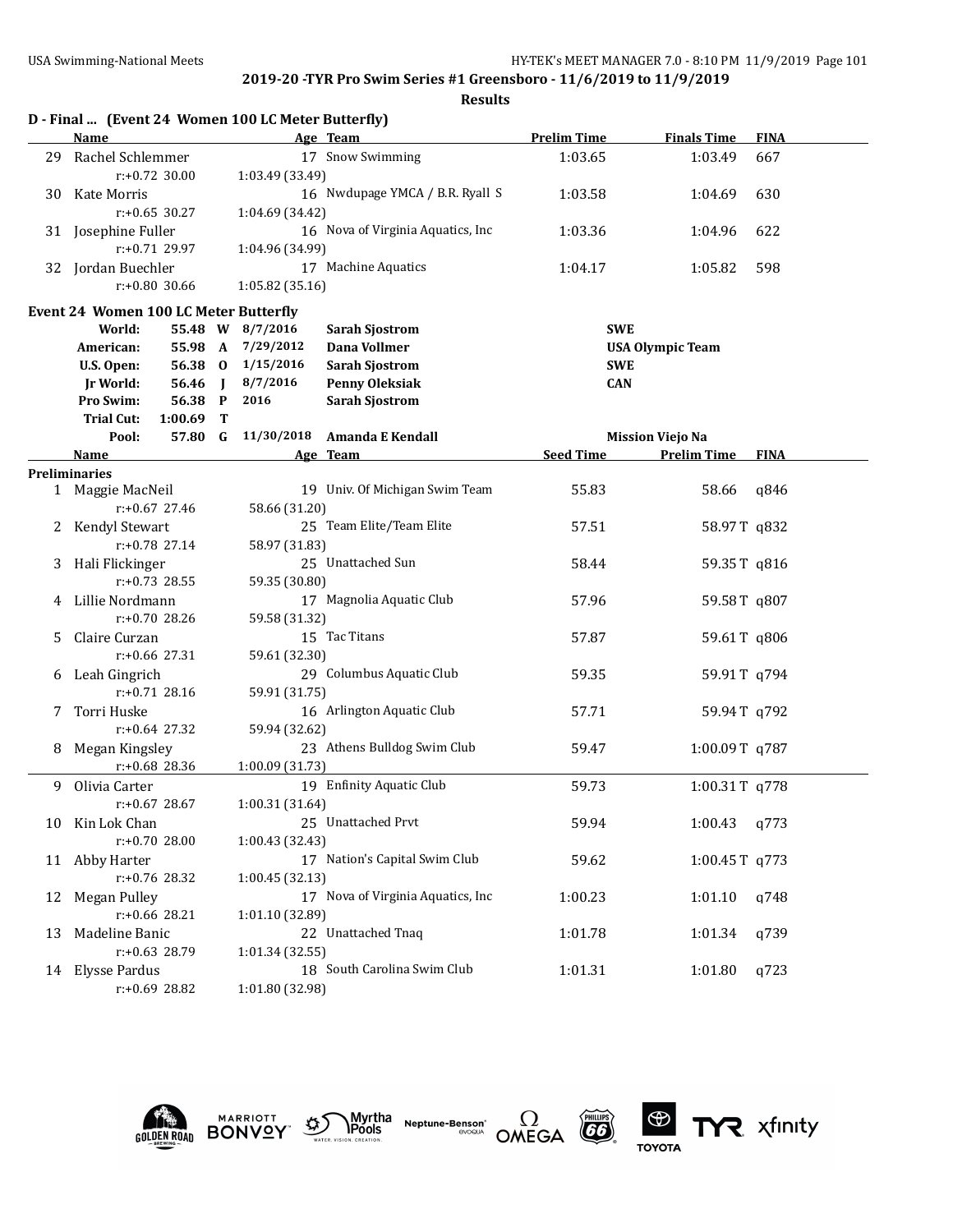|    | D - Final  (Event 24 Women 100 LC Meter Butterfly) |         |              |                   |                                   |                    |                         |             |
|----|----------------------------------------------------|---------|--------------|-------------------|-----------------------------------|--------------------|-------------------------|-------------|
|    | <b>Name</b>                                        |         |              |                   | Age Team                          | <b>Prelim Time</b> | <b>Finals Time</b>      | <b>FINA</b> |
| 29 | Rachel Schlemmer                                   |         |              |                   | 17 Snow Swimming                  | 1:03.65            | 1:03.49                 | 667         |
|    | $r: +0.72$ 30.00                                   |         |              | 1:03.49 (33.49)   |                                   |                    |                         |             |
| 30 | Kate Morris                                        |         |              |                   | 16 Nwdupage YMCA / B.R. Ryall S   | 1:03.58            | 1:04.69                 | 630         |
|    | $r: +0.65$ 30.27                                   |         |              | 1:04.69 (34.42)   |                                   |                    |                         |             |
|    | 31 Josephine Fuller                                |         |              |                   | 16 Nova of Virginia Aquatics, Inc | 1:03.36            | 1:04.96                 | 622         |
|    | r:+0.71 29.97                                      |         |              | 1:04.96 (34.99)   |                                   |                    |                         |             |
|    | 32 Jordan Buechler                                 |         |              |                   | 17 Machine Aquatics               | 1:04.17            | 1:05.82                 | 598         |
|    | $r: +0.80$ 30.66                                   |         |              | 1:05.82(35.16)    |                                   |                    |                         |             |
|    |                                                    |         |              |                   |                                   |                    |                         |             |
|    | <b>Event 24 Women 100 LC Meter Butterfly</b>       |         |              |                   |                                   |                    |                         |             |
|    | World:                                             |         |              | 55.48 W 8/7/2016  | <b>Sarah Sjostrom</b>             | <b>SWE</b>         |                         |             |
|    | American:                                          |         |              | 55.98 A 7/29/2012 | Dana Vollmer                      |                    | <b>USA Olympic Team</b> |             |
|    | U.S. Open:                                         | 56.38 0 |              | 1/15/2016         | <b>Sarah Sjostrom</b>             | <b>SWE</b>         |                         |             |
|    | Jr World:                                          | 56.46   | $\mathbf{I}$ | 8/7/2016          | <b>Penny Oleksiak</b>             | <b>CAN</b>         |                         |             |
|    | Pro Swim:                                          | 56.38 P |              | 2016              | <b>Sarah Sjostrom</b>             |                    |                         |             |
|    | <b>Trial Cut:</b>                                  | 1:00.69 | T            |                   |                                   |                    |                         |             |
|    | Pool:                                              | 57.80   | G            | 11/30/2018        | <b>Amanda E Kendall</b>           |                    | <b>Mission Viejo Na</b> |             |
|    | Name                                               |         |              |                   | Age Team                          | <b>Seed Time</b>   | <b>Prelim Time</b>      | <b>FINA</b> |
|    | <b>Preliminaries</b>                               |         |              |                   | 19 Univ. Of Michigan Swim Team    |                    |                         |             |
|    | 1 Maggie MacNeil                                   |         |              |                   |                                   | 55.83              | 58.66                   | q846        |
|    | $r: +0.67$ 27.46                                   |         |              | 58.66 (31.20)     |                                   |                    |                         |             |
| 2  | Kendyl Stewart                                     |         |              |                   | 25 Team Elite/Team Elite          | 57.51              | 58.97T q832             |             |
|    | $r: +0.78$ 27.14                                   |         |              | 58.97 (31.83)     |                                   |                    |                         |             |
| 3  | Hali Flickinger                                    |         |              |                   | 25 Unattached Sun                 | 58.44              | 59.35T q816             |             |
|    | $r: +0.73$ 28.55                                   |         |              | 59.35 (30.80)     |                                   |                    |                         |             |
| 4  | Lillie Nordmann                                    |         |              |                   | 17 Magnolia Aquatic Club          | 57.96              | 59.58T q807             |             |
|    | $r: +0.70$ 28.26                                   |         |              | 59.58 (31.32)     |                                   |                    |                         |             |
| 5. | Claire Curzan                                      |         |              |                   | 15 Tac Titans                     | 57.87              | 59.61T q806             |             |
|    | $r: +0.66$ 27.31                                   |         |              | 59.61 (32.30)     |                                   |                    |                         |             |
| 6  | Leah Gingrich                                      |         |              |                   | 29 Columbus Aquatic Club          | 59.35              | 59.91T q794             |             |
|    | $r: +0.71$ 28.16                                   |         |              | 59.91 (31.75)     |                                   |                    |                         |             |
| 7  | Torri Huske                                        |         |              |                   | 16 Arlington Aquatic Club         | 57.71              | 59.94T q792             |             |
|    | $r: +0.64$ 27.32                                   |         |              | 59.94 (32.62)     |                                   |                    |                         |             |
| 8  | Megan Kingsley                                     |         |              |                   | 23 Athens Bulldog Swim Club       | 59.47              | 1:00.09T q787           |             |
|    | r:+0.68 28.36                                      |         |              | 1:00.09 (31.73)   |                                   |                    |                         |             |
| 9  | Olivia Carter                                      |         |              |                   | 19 Enfinity Aquatic Club          | 59.73              | 1:00.31T q778           |             |
|    | $r$ :+0.67 28.67                                   |         |              | 1:00.31 (31.64)   |                                   |                    |                         |             |
|    | 10 Kin Lok Chan                                    |         |              |                   | 25 Unattached Prvt                | 59.94              | 1:00.43                 | q773        |
|    | r:+0.70 28.00                                      |         |              | 1:00.43 (32.43)   |                                   |                    |                         |             |
|    | 11 Abby Harter                                     |         |              |                   | 17 Nation's Capital Swim Club     | 59.62              | 1:00.45T q773           |             |
|    | r:+0.76 28.32                                      |         |              | 1:00.45(32.13)    |                                   |                    |                         |             |
|    | <b>Megan Pulley</b>                                |         |              |                   | 17 Nova of Virginia Aquatics, Inc | 1:00.23            | 1:01.10                 | q748        |
| 12 | r:+0.66 28.21                                      |         |              |                   |                                   |                    |                         |             |
|    |                                                    |         |              | 1:01.10 (32.89)   |                                   |                    |                         |             |
| 13 | Madeline Banic                                     |         |              |                   | 22 Unattached Tnaq                | 1:01.78            | 1:01.34                 | q739        |
|    | $r: +0.63$ 28.79                                   |         |              | 1:01.34 (32.55)   |                                   |                    |                         |             |
| 14 | <b>Elysse Pardus</b>                               |         |              |                   | 18 South Carolina Swim Club       | 1:01.31            | 1:01.80                 | q723        |
|    | r:+0.69 28.82                                      |         |              | 1:01.80 (32.98)   |                                   |                    |                         |             |











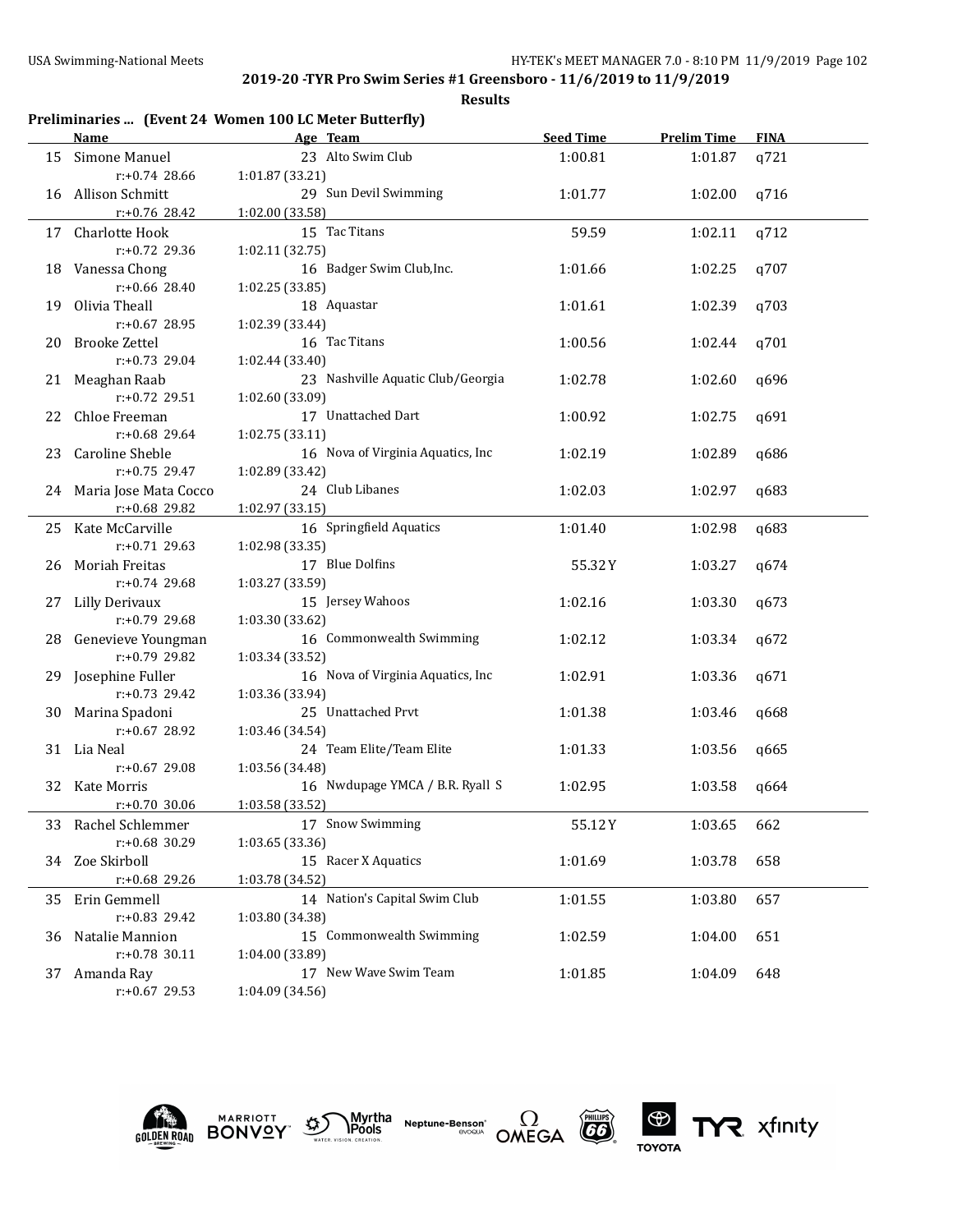| Preliminaries  (Event 24 Women 100 LC Meter Butterfly) |  |  |  |  |
|--------------------------------------------------------|--|--|--|--|
|--------------------------------------------------------|--|--|--|--|

|    | Name                                 | Age Team                          | <b>Seed Time</b> | <b>Prelim Time</b> | <b>FINA</b> |
|----|--------------------------------------|-----------------------------------|------------------|--------------------|-------------|
|    | 15 Simone Manuel                     | 23 Alto Swim Club                 | 1:00.81          | 1:01.87            | q721        |
|    | $r: +0.74$ 28.66                     | 1:01.87 (33.21)                   |                  |                    |             |
|    | 16 Allison Schmitt                   | 29 Sun Devil Swimming             | 1:01.77          | 1:02.00            | q716        |
|    | r:+0.76 28.42                        | 1:02.00 (33.58)                   |                  |                    |             |
|    | 17 Charlotte Hook                    | 15 Tac Titans                     | 59.59            | 1:02.11            | q712        |
|    | r:+0.72 29.36                        | 1:02.11 (32.75)                   |                  |                    |             |
|    | 18 Vanessa Chong                     | 16 Badger Swim Club, Inc.         | 1:01.66          | 1:02.25            | q707        |
|    | $r: +0.66$ 28.40                     | 1:02.25(33.85)                    |                  |                    |             |
| 19 | Olivia Theall                        | 18 Aquastar                       | 1:01.61          | 1:02.39            | q703        |
|    | $r: +0.67$ 28.95                     | 1:02.39 (33.44)                   |                  |                    |             |
| 20 | Brooke Zettel                        | 16 Tac Titans                     | 1:00.56          | 1:02.44            | q701        |
|    | $r: +0.73$ 29.04                     | 1:02.44 (33.40)                   |                  |                    |             |
|    | 21 Meaghan Raab                      | 23 Nashville Aquatic Club/Georgia | 1:02.78          | 1:02.60            | q696        |
|    | $r: +0.72$ 29.51                     | 1:02.60 (33.09)                   |                  |                    |             |
| 22 | Chloe Freeman                        | 17 Unattached Dart                | 1:00.92          | 1:02.75            | q691        |
|    | $r: +0.68$ 29.64                     | 1:02.75 (33.11)                   |                  |                    |             |
| 23 | Caroline Sheble                      | 16 Nova of Virginia Aquatics, Inc | 1:02.19          | 1:02.89            | q686        |
|    | $r: +0.75$ 29.47                     | 1:02.89 (33.42)                   |                  |                    |             |
|    | 24 Maria Jose Mata Cocco             | 24 Club Libanes                   | 1:02.03          | 1:02.97            | q683        |
|    | r:+0.68 29.82                        | 1:02.97 (33.15)                   |                  |                    |             |
|    | 25 Kate McCarville                   | 16 Springfield Aquatics           | 1:01.40          | 1:02.98            | q683        |
|    | $r: +0.71$ 29.63                     | 1:02.98 (33.35)                   |                  |                    |             |
|    | 26 Moriah Freitas                    | 17 Blue Dolfins                   | 55.32Y           | 1:03.27            | q674        |
|    | $r: +0.74$ 29.68                     | 1:03.27 (33.59)                   |                  |                    |             |
|    | 27 Lilly Derivaux                    | 15 Jersey Wahoos                  | 1:02.16          | 1:03.30            | q673        |
|    | $r: +0.79$ 29.68                     | 1:03.30 (33.62)                   |                  |                    |             |
|    | 28 Genevieve Youngman                | 16 Commonwealth Swimming          | 1:02.12          | 1:03.34            | q672        |
|    | $r: +0.79$ 29.82                     | 1:03.34 (33.52)                   |                  |                    |             |
|    | 29 Josephine Fuller                  | 16 Nova of Virginia Aquatics, Inc | 1:02.91          | 1:03.36            | q671        |
|    | $r: +0.73$ 29.42                     | 1:03.36 (33.94)                   |                  |                    |             |
|    | 30 Marina Spadoni                    | 25 Unattached Prvt                | 1:01.38          | 1:03.46            | q668        |
|    | $r: +0.67$ 28.92                     | 1:03.46 (34.54)                   |                  |                    |             |
|    | 31 Lia Neal                          | 24 Team Elite/Team Elite          | 1:01.33          | 1:03.56            | q665        |
|    | $r: +0.67$ 29.08                     | 1:03.56 (34.48)                   |                  |                    |             |
|    | 32 Kate Morris                       | 16 Nwdupage YMCA / B.R. Ryall S   | 1:02.95          | 1:03.58            | q664        |
|    | $r: +0.70$ 30.06                     | 1:03.58 (33.52)                   |                  |                    |             |
|    |                                      |                                   | 55.12Y           |                    |             |
|    | 33 Rachel Schlemmer<br>r:+0.68 30.29 | 17 Snow Swimming                  |                  | 1:03.65            | 662         |
|    |                                      | 1:03.65 (33.36)                   |                  |                    |             |
| 34 | Zoe Skirboll                         | 15 Racer X Aquatics               | 1:01.69          | 1:03.78            | 658         |
|    | r:+0.68 29.26                        | 1:03.78 (34.52)                   |                  |                    |             |
| 35 | Erin Gemmell                         | 14 Nation's Capital Swim Club     | 1:01.55          | 1:03.80            | 657         |
|    | r:+0.83 29.42                        | 1:03.80 (34.38)                   |                  |                    |             |
| 36 | Natalie Mannion                      | 15 Commonwealth Swimming          | 1:02.59          | 1:04.00            | 651         |
|    | r:+0.78 30.11                        | 1:04.00 (33.89)                   |                  |                    |             |
| 37 | Amanda Ray                           | 17 New Wave Swim Team             | 1:01.85          | 1:04.09            | 648         |
|    | r:+0.67 29.53                        | 1:04.09 (34.56)                   |                  |                    |             |











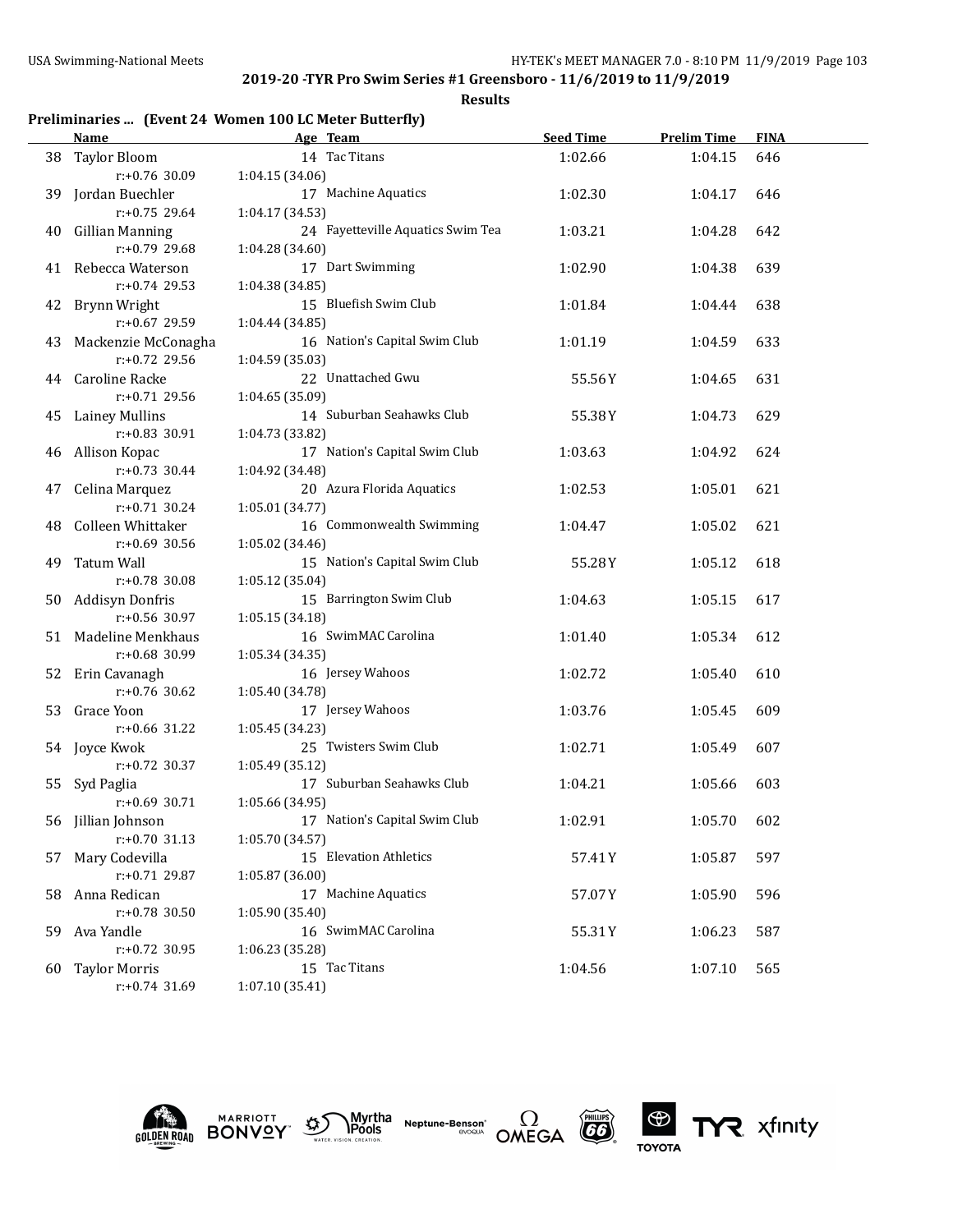**Results**

## **Preliminaries ... (Event 24 Women 100 LC Meter Butterfly)**

|     | Name                   | Age Team                               | <b>Seed Time</b> | <b>Prelim Time</b> | <b>FINA</b> |
|-----|------------------------|----------------------------------------|------------------|--------------------|-------------|
|     | 38 Taylor Bloom        | 14 Tac Titans                          | 1:02.66          | 1:04.15            | 646         |
|     | r:+0.76 30.09          | 1:04.15 (34.06)                        |                  |                    |             |
| 39. | Jordan Buechler        | 17 Machine Aquatics                    | 1:02.30          | 1:04.17            | 646         |
|     | $r: +0.75$ 29.64       | 1:04.17 (34.53)                        |                  |                    |             |
| 40  | <b>Gillian Manning</b> | 24 Fayetteville Aquatics Swim Tea      | 1:03.21          | 1:04.28            | 642         |
|     | r:+0.79 29.68          | 1:04.28 (34.60)                        |                  |                    |             |
|     | 41 Rebecca Waterson    | 17 Dart Swimming                       | 1:02.90          | 1:04.38            | 639         |
|     | $r: +0.74$ 29.53       | 1:04.38 (34.85)                        |                  |                    |             |
| 42  | Brynn Wright           | 15 Bluefish Swim Club                  | 1:01.84          | 1:04.44            | 638         |
|     | r:+0.67 29.59          | 1:04.44 (34.85)                        |                  |                    |             |
| 43  | Mackenzie McConagha    | 16 Nation's Capital Swim Club          | 1:01.19          | 1:04.59            | 633         |
|     | $r: +0.72$ 29.56       | 1:04.59 (35.03)                        |                  |                    |             |
|     | 44 Caroline Racke      | 22 Unattached Gwu                      | 55.56Y           | 1:04.65            | 631         |
|     | r:+0.71 29.56          | 1:04.65 (35.09)                        |                  |                    |             |
| 45  | Lainey Mullins         | 14 Suburban Seahawks Club              | 55.38Y           | 1:04.73            | 629         |
|     | $r: +0.83$ 30.91       | 1:04.73 (33.82)                        |                  |                    |             |
| 46  | Allison Kopac          | 17 Nation's Capital Swim Club          | 1:03.63          | 1:04.92            | 624         |
|     | $r: +0.73$ 30.44       | 1:04.92 (34.48)                        |                  |                    |             |
| 47  | Celina Marquez         | 20 Azura Florida Aquatics              | 1:02.53          | 1:05.01            | 621         |
|     | $r: +0.71$ 30.24       | 1:05.01 (34.77)                        |                  |                    |             |
| 48  | Colleen Whittaker      | 16 Commonwealth Swimming               | 1:04.47          | 1:05.02            | 621         |
|     | $r: +0.69$ 30.56       | 1:05.02 (34.46)                        |                  |                    |             |
| 49  | Tatum Wall             | 15 Nation's Capital Swim Club          | 55.28Y           | 1:05.12            | 618         |
|     | $r: +0.78$ 30.08       | 1:05.12 (35.04)                        |                  |                    |             |
| 50  | Addisyn Donfris        | 15 Barrington Swim Club                | 1:04.63          | 1:05.15            | 617         |
|     | $r: +0.56$ 30.97       | 1:05.15 (34.18)                        |                  |                    |             |
| 51  | Madeline Menkhaus      | 16 SwimMAC Carolina                    | 1:01.40          | 1:05.34            | 612         |
|     | $r: +0.68$ 30.99       | 1:05.34 (34.35)                        |                  |                    |             |
|     | 52 Erin Cavanagh       | 16 Jersey Wahoos                       | 1:02.72          | 1:05.40            | 610         |
|     | $r: +0.76$ 30.62       | 1:05.40 (34.78)                        |                  |                    |             |
|     | 53 Grace Yoon          | 17 Jersey Wahoos                       | 1:03.76          | 1:05.45            | 609         |
|     | $r: +0.66$ 31.22       | 1:05.45 (34.23)                        |                  |                    |             |
|     | 54 Joyce Kwok          | 25 Twisters Swim Club                  | 1:02.71          | 1:05.49            | 607         |
|     | r:+0.72 30.37          | 1:05.49 (35.12)                        |                  |                    |             |
|     | 55 Syd Paglia          | 17 Suburban Seahawks Club              | 1:04.21          | 1:05.66            | 603         |
|     | $r: +0.69$ 30.71       | 1:05.66 (34.95)                        |                  |                    |             |
|     | 56 Jillian Johnson     | 17 Nation's Capital Swim Club          | 1:02.91          | 1:05.70            | 602         |
|     | $r: +0.70$ 31.13       | 1:05.70 (34.57)                        |                  |                    |             |
|     | 57 Mary Codevilla      | 15 Elevation Athletics                 | 57.41Y           |                    | 597         |
|     | $r: +0.71$ 29.87       | 1:05.87 (36.00)                        |                  | 1:05.87            |             |
|     |                        | 17 Machine Aquatics                    |                  |                    |             |
| 58  | Anna Redican           |                                        | 57.07Y           | 1:05.90            | 596         |
|     | r:+0.78 30.50          | 1:05.90 (35.40)<br>16 SwimMAC Carolina |                  |                    |             |
| 59  | Ava Yandle             |                                        | 55.31Y           | 1:06.23            | 587         |
|     | r:+0.72 30.95          | 1:06.23 (35.28)                        |                  |                    |             |
| 60  | <b>Taylor Morris</b>   | 15 Tac Titans                          | 1:04.56          | 1:07.10            | 565         |
|     | r:+0.74 31.69          | 1:07.10 (35.41)                        |                  |                    |             |





**Neptune-Benson\***<br>evoqua





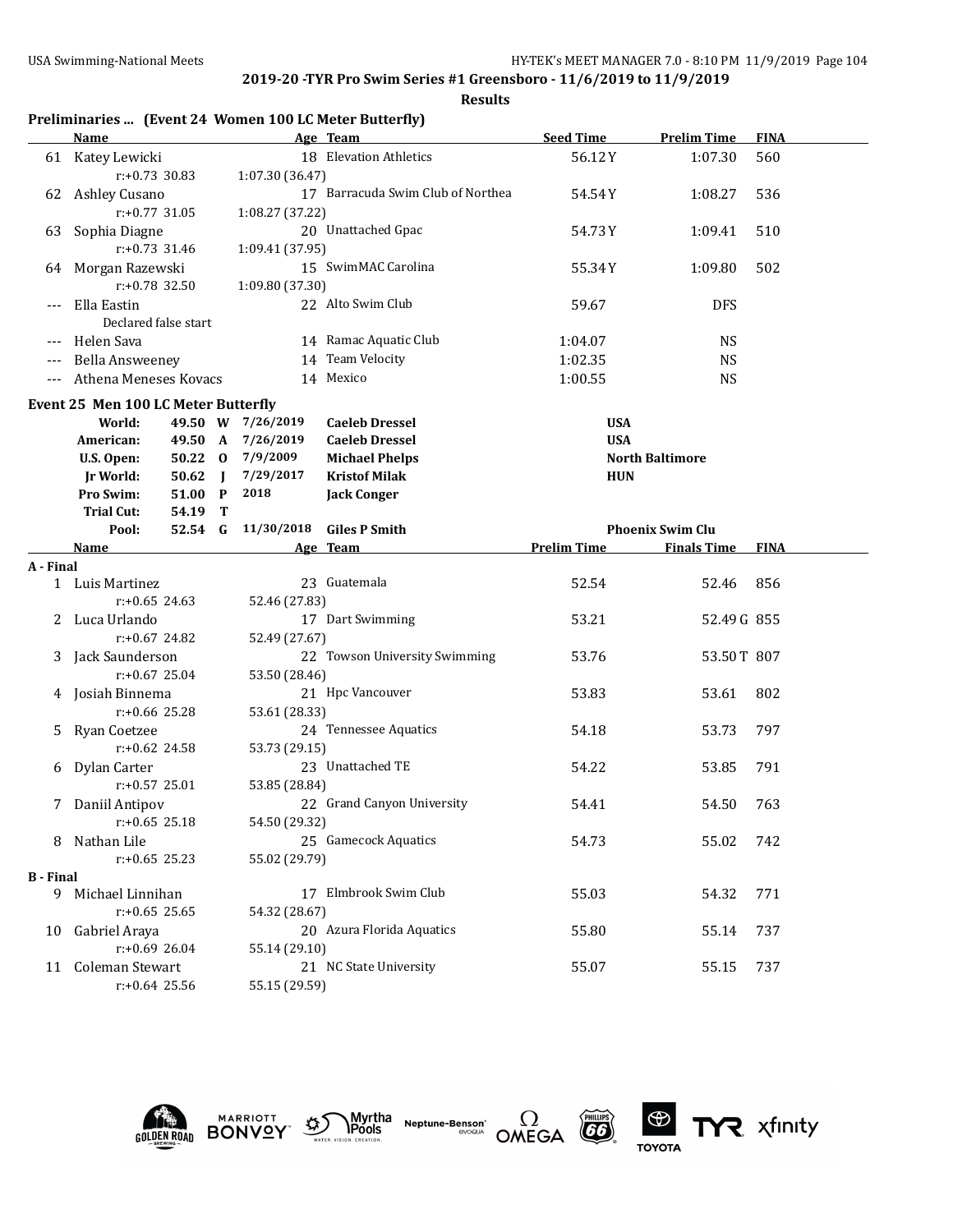| Preliminaries  (Event 24 Women 100 LC Meter Butterfly) |  |  |  |  |  |  |
|--------------------------------------------------------|--|--|--|--|--|--|
|--------------------------------------------------------|--|--|--|--|--|--|

|                          | <b>Name</b>                                |           |   |                   | Age Team                          | <b>Seed Time</b>   | <b>Prelim Time</b>      | <b>FINA</b> |
|--------------------------|--------------------------------------------|-----------|---|-------------------|-----------------------------------|--------------------|-------------------------|-------------|
|                          | 61 Katey Lewicki                           |           |   |                   | 18 Elevation Athletics            | 56.12Y             | 1:07.30                 | 560         |
|                          | $r: +0.73$ 30.83                           |           |   | 1:07.30 (36.47)   |                                   |                    |                         |             |
| 62                       | Ashley Cusano                              |           |   |                   | 17 Barracuda Swim Club of Northea | 54.54Y             | 1:08.27                 | 536         |
|                          | r:+0.77 31.05                              |           |   | 1:08.27 (37.22)   |                                   |                    |                         |             |
| 63                       | Sophia Diagne                              |           |   |                   | 20 Unattached Gpac                | 54.73 Y            | 1:09.41                 | 510         |
|                          | r:+0.73 31.46                              |           |   | 1:09.41 (37.95)   |                                   |                    |                         |             |
|                          | 64 Morgan Razewski                         |           |   |                   | 15 SwimMAC Carolina               | 55.34Y             | 1:09.80                 | 502         |
|                          | r:+0.78 32.50                              |           |   | 1:09.80 (37.30)   |                                   |                    |                         |             |
|                          | Ella Eastin                                |           |   |                   | 22 Alto Swim Club                 | 59.67              | <b>DFS</b>              |             |
|                          | Declared false start                       |           |   |                   |                                   |                    |                         |             |
| $---$                    | Helen Sava                                 |           |   |                   | 14 Ramac Aquatic Club             | 1:04.07            | <b>NS</b>               |             |
| $---$                    | Bella Answeeney                            |           |   |                   | 14 Team Velocity                  | 1:02.35            | <b>NS</b>               |             |
| $\overline{\phantom{a}}$ | Athena Meneses Kovacs                      |           |   |                   | 14 Mexico                         | 1:00.55            | NS                      |             |
|                          | <b>Event 25 Men 100 LC Meter Butterfly</b> |           |   |                   |                                   |                    |                         |             |
|                          | World:                                     |           |   | 49.50 W 7/26/2019 | <b>Caeleb Dressel</b>             | <b>USA</b>         |                         |             |
|                          | American:                                  | 49.50 A   |   | 7/26/2019         | <b>Caeleb Dressel</b>             | <b>USA</b>         |                         |             |
|                          | U.S. Open:                                 | 50.22 0   |   | 7/9/2009          | <b>Michael Phelps</b>             |                    | <b>North Baltimore</b>  |             |
|                          | <b>Jr World:</b>                           | $50.62$ J |   | 7/29/2017         | <b>Kristof Milak</b>              | <b>HUN</b>         |                         |             |
|                          | Pro Swim:                                  | 51.00 P   |   | 2018              | <b>Jack Conger</b>                |                    |                         |             |
|                          | <b>Trial Cut:</b>                          | 54.19     | т |                   |                                   |                    |                         |             |
|                          | Pool:                                      | 52.54 G   |   | 11/30/2018        | <b>Giles P Smith</b>              |                    | <b>Phoenix Swim Clu</b> |             |
|                          | <u>Name</u>                                |           |   |                   | Age Team                          | <b>Prelim Time</b> | <b>Finals Time</b>      | <b>FINA</b> |
| A - Final                |                                            |           |   |                   |                                   |                    |                         |             |
|                          | 1 Luis Martinez                            |           |   |                   | 23 Guatemala                      | 52.54              | 52.46                   | 856         |
|                          | $r: +0.65$ 24.63                           |           |   | 52.46 (27.83)     |                                   |                    |                         |             |
|                          | 2 Luca Urlando                             |           |   |                   | 17 Dart Swimming                  | 53.21              | 52.49 G 855             |             |
|                          | $r: +0.67$ 24.82                           |           |   | 52.49 (27.67)     |                                   |                    |                         |             |
| 3                        | Jack Saunderson                            |           |   |                   | 22 Towson University Swimming     | 53.76              | 53.50T 807              |             |
|                          | $r: +0.67$ 25.04                           |           |   | 53.50 (28.46)     |                                   |                    |                         |             |
|                          | 4 Josiah Binnema                           |           |   |                   | 21 Hpc Vancouver                  | 53.83              | 53.61                   | 802         |
|                          | $r: +0.66$ 25.28                           |           |   | 53.61 (28.33)     |                                   |                    |                         |             |
| 5                        | Ryan Coetzee                               |           |   |                   | 24 Tennessee Aquatics             | 54.18              | 53.73                   | 797         |
|                          | r:+0.62 24.58                              |           |   | 53.73 (29.15)     |                                   |                    |                         |             |
|                          | 6 Dylan Carter                             |           |   |                   | 23 Unattached TE                  | 54.22              | 53.85                   | 791         |
|                          | $r: +0.57$ 25.01                           |           |   | 53.85 (28.84)     |                                   |                    |                         |             |
|                          | 7 Daniil Antipov                           |           |   |                   | 22 Grand Canyon University        | 54.41              | 54.50                   | 763         |
|                          | $r: +0.65$ 25.18                           |           |   | 54.50 (29.32)     |                                   |                    |                         |             |
| 8                        | Nathan Lile                                |           |   |                   | 25 Gamecock Aquatics              | 54.73              | 55.02                   | 742         |
|                          | $r: +0.65$ 25.23                           |           |   | 55.02 (29.79)     |                                   |                    |                         |             |
| <b>B</b> - Final         |                                            |           |   |                   |                                   |                    |                         |             |
|                          | 9 Michael Linnihan                         |           |   |                   | 17 Elmbrook Swim Club             | 55.03              | 54.32                   | 771         |
|                          | $r: +0.65$ 25.65                           |           |   | 54.32 (28.67)     |                                   |                    |                         |             |
|                          | 10 Gabriel Araya                           |           |   |                   | 20 Azura Florida Aquatics         | 55.80              | 55.14                   | 737         |
|                          | r:+0.69 26.04                              |           |   | 55.14 (29.10)     |                                   |                    |                         |             |
|                          | 11 Coleman Stewart<br>$r: +0.64$ 25.56     |           |   |                   | 21 NC State University            | 55.07              | 55.15                   | 737         |
|                          |                                            |           |   | 55.15 (29.59)     |                                   |                    |                         |             |











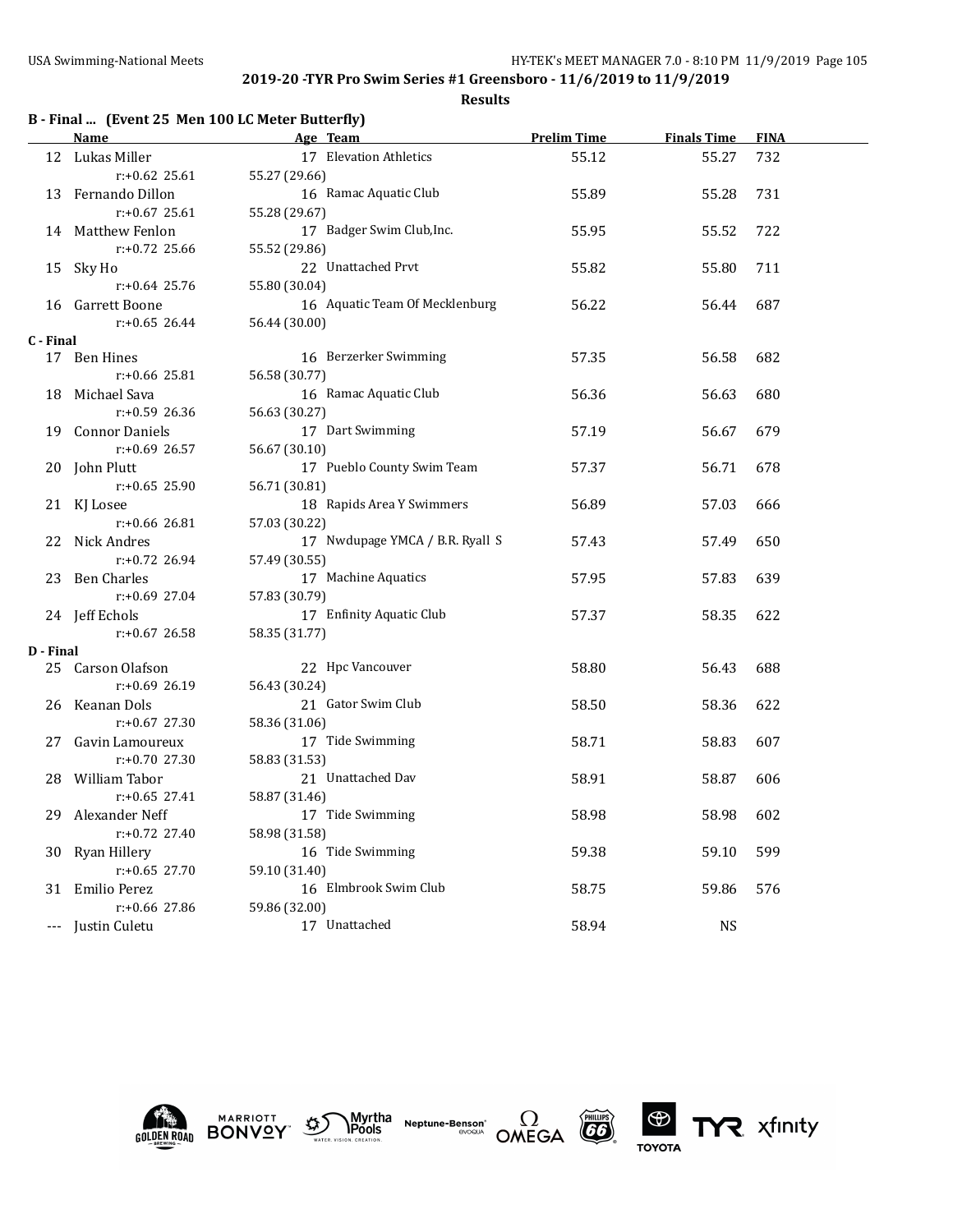**Results**

|  |  | B - Final  (Event 25 Men 100 LC Meter Butterfly) |  |
|--|--|--------------------------------------------------|--|
|--|--|--------------------------------------------------|--|

|           | <u>Name</u>        | Age Team                        | <b>Prelim Time</b> | <b>Finals Time</b> | <b>FINA</b> |  |
|-----------|--------------------|---------------------------------|--------------------|--------------------|-------------|--|
|           | 12 Lukas Miller    | 17 Elevation Athletics          | 55.12              | 55.27              | 732         |  |
|           | $r: +0.62$ 25.61   | 55.27 (29.66)                   |                    |                    |             |  |
|           | 13 Fernando Dillon | 16 Ramac Aquatic Club           | 55.89              | 55.28              | 731         |  |
|           | $r: +0.67$ 25.61   | 55.28 (29.67)                   |                    |                    |             |  |
|           | 14 Matthew Fenlon  | 17 Badger Swim Club, Inc.       | 55.95              | 55.52              | 722         |  |
|           | r:+0.72 25.66      | 55.52 (29.86)                   |                    |                    |             |  |
|           | 15 Sky Ho          | 22 Unattached Prvt              | 55.82              | 55.80              | 711         |  |
|           | $r: +0.64$ 25.76   | 55.80 (30.04)                   |                    |                    |             |  |
|           | 16 Garrett Boone   | 16 Aquatic Team Of Mecklenburg  | 56.22              | 56.44              | 687         |  |
|           | $r: +0.65$ 26.44   | 56.44 (30.00)                   |                    |                    |             |  |
| C - Final |                    |                                 |                    |                    |             |  |
|           | 17 Ben Hines       | 16 Berzerker Swimming           | 57.35              | 56.58              | 682         |  |
|           | $r: +0.66$ 25.81   | 56.58 (30.77)                   |                    |                    |             |  |
|           | 18 Michael Sava    | 16 Ramac Aquatic Club           | 56.36              | 56.63              | 680         |  |
|           | $r: +0.59$ 26.36   | 56.63 (30.27)                   |                    |                    |             |  |
|           | 19 Connor Daniels  | 17 Dart Swimming                | 57.19              | 56.67              | 679         |  |
|           | $r: +0.69$ 26.57   | 56.67 (30.10)                   |                    |                    |             |  |
|           | 20 John Plutt      | 17 Pueblo County Swim Team      | 57.37              | 56.71              | 678         |  |
|           | $r: +0.65$ 25.90   | 56.71 (30.81)                   |                    |                    |             |  |
|           | 21 KJ Losee        | 18 Rapids Area Y Swimmers       | 56.89              | 57.03              | 666         |  |
|           | $r: +0.66$ 26.81   | 57.03 (30.22)                   |                    |                    |             |  |
|           | 22 Nick Andres     | 17 Nwdupage YMCA / B.R. Ryall S | 57.43              | 57.49              | 650         |  |
|           | $r: +0.72$ 26.94   | 57.49 (30.55)                   |                    |                    |             |  |
|           | 23 Ben Charles     | 17 Machine Aquatics             | 57.95              | 57.83              | 639         |  |
|           | r:+0.69 27.04      | 57.83 (30.79)                   |                    |                    |             |  |
|           | 24 Jeff Echols     | 17 Enfinity Aquatic Club        | 57.37              | 58.35              | 622         |  |
|           | $r: +0.67$ 26.58   | 58.35 (31.77)                   |                    |                    |             |  |
| D - Final |                    |                                 |                    |                    |             |  |
|           | 25 Carson Olafson  | 22 Hpc Vancouver                | 58.80              | 56.43              | 688         |  |
|           | $r: +0.69$ 26.19   | 56.43 (30.24)                   |                    |                    |             |  |
|           | 26 Keanan Dols     | 21 Gator Swim Club              | 58.50              | 58.36              | 622         |  |
|           | $r: +0.67$ 27.30   | 58.36 (31.06)                   |                    |                    |             |  |
|           | 27 Gavin Lamoureux | 17 Tide Swimming                | 58.71              | 58.83              | 607         |  |
|           | $r: +0.70$ 27.30   | 58.83 (31.53)                   |                    |                    |             |  |
|           | 28 William Tabor   | 21 Unattached Dav               | 58.91              | 58.87              | 606         |  |
|           | $r: +0.65$ 27.41   | 58.87 (31.46)                   |                    |                    |             |  |
| 29        | Alexander Neff     | 17 Tide Swimming                | 58.98              | 58.98              | 602         |  |
|           | r:+0.72 27.40      | 58.98 (31.58)                   |                    |                    |             |  |
|           | 30 Ryan Hillery    | 16 Tide Swimming                | 59.38              | 59.10              | 599         |  |
|           | $r: +0.65$ 27.70   | 59.10 (31.40)                   |                    |                    |             |  |
|           | 31 Emilio Perez    | 16 Elmbrook Swim Club           | 58.75              | 59.86              | 576         |  |
|           | $r: +0.66$ 27.86   | 59.86 (32.00)                   |                    |                    |             |  |
|           | --- Iustin Culetu  | 17 Unattached                   | 58.94              | <b>NS</b>          |             |  |





Myrtha<br>Pools **Neptune-Benson\***<br>evoqua





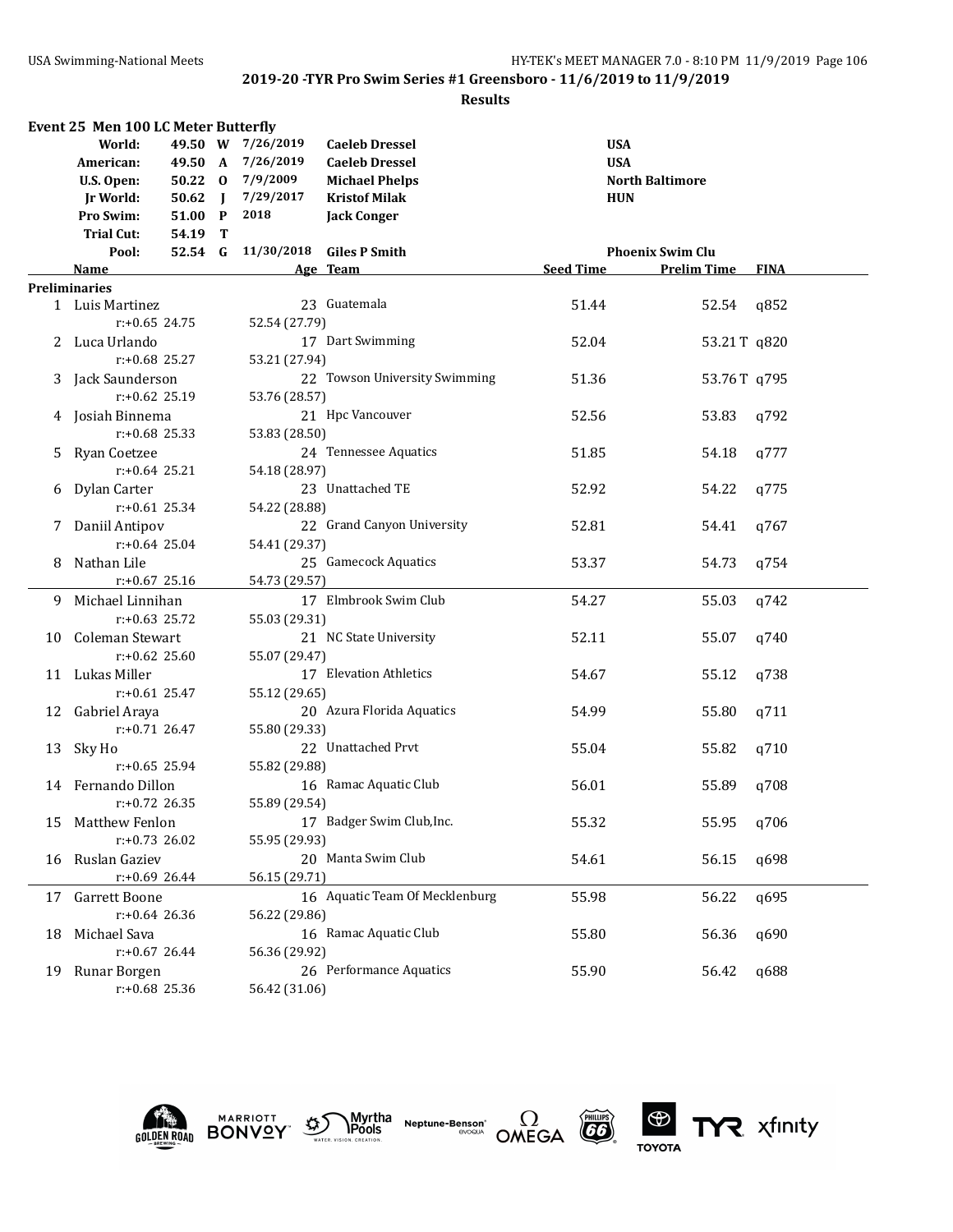|     | Event 25 Men 100 LC Meter Butterfly |           |  |                    |                                |                  |                         |             |  |
|-----|-------------------------------------|-----------|--|--------------------|--------------------------------|------------------|-------------------------|-------------|--|
|     | World:                              |           |  | 49.50 W 7/26/2019  | <b>Caeleb Dressel</b>          | <b>USA</b>       |                         |             |  |
|     | American:                           |           |  | 49.50 A 7/26/2019  | <b>Caeleb Dressel</b>          | <b>USA</b>       |                         |             |  |
|     | U.S. Open:                          |           |  | 50.22 0 7/9/2009   | <b>Michael Phelps</b>          |                  | <b>North Baltimore</b>  |             |  |
|     | Jr World:                           | $50.62$ J |  | 7/29/2017          | <b>Kristof Milak</b>           | <b>HUN</b>       |                         |             |  |
|     | <b>Pro Swim:</b>                    | 51.00 P   |  | 2018               | <b>Jack Conger</b>             |                  |                         |             |  |
|     | <b>Trial Cut:</b>                   | 54.19 T   |  |                    |                                |                  |                         |             |  |
|     | Pool:                               |           |  | 52.54 G 11/30/2018 | <b>Giles P Smith</b>           |                  | <b>Phoenix Swim Clu</b> |             |  |
|     | Name                                |           |  |                    | Age Team                       | <b>Seed Time</b> | <b>Prelim Time</b>      | <b>FINA</b> |  |
|     | <b>Preliminaries</b>                |           |  |                    |                                |                  |                         |             |  |
|     | 1 Luis Martinez                     |           |  |                    | 23 Guatemala                   | 51.44            | 52.54                   | q852        |  |
|     | $r: +0.65$ 24.75                    |           |  | 52.54 (27.79)      |                                |                  |                         |             |  |
|     |                                     |           |  |                    | 17 Dart Swimming               |                  |                         |             |  |
|     | 2 Luca Urlando                      |           |  |                    |                                | 52.04            | 53.21T q820             |             |  |
|     | $r: +0.68$ 25.27                    |           |  | 53.21 (27.94)      |                                |                  |                         |             |  |
|     | 3 Jack Saunderson                   |           |  |                    | 22 Towson University Swimming  | 51.36            | 53.76T q795             |             |  |
|     | $r: +0.62$ 25.19                    |           |  | 53.76 (28.57)      |                                |                  |                         |             |  |
|     | 4 Josiah Binnema                    |           |  |                    | 21 Hpc Vancouver               | 52.56            | 53.83                   | q792        |  |
|     | $r: +0.68$ 25.33                    |           |  | 53.83 (28.50)      |                                |                  |                         |             |  |
|     | 5 Ryan Coetzee                      |           |  |                    | 24 Tennessee Aquatics          | 51.85            | 54.18                   | q777        |  |
|     | $r: +0.64$ 25.21                    |           |  | 54.18 (28.97)      |                                |                  |                         |             |  |
| 6   | Dylan Carter                        |           |  |                    | 23 Unattached TE               | 52.92            | 54.22                   | q775        |  |
|     | $r: +0.61$ 25.34                    |           |  | 54.22 (28.88)      |                                |                  |                         |             |  |
| 7.  | Daniil Antipov                      |           |  |                    | 22 Grand Canyon University     | 52.81            | 54.41                   | q767        |  |
|     | $r: +0.64$ 25.04                    |           |  | 54.41 (29.37)      |                                |                  |                         |             |  |
| 8.  | Nathan Lile                         |           |  |                    | 25 Gamecock Aquatics           | 53.37            | 54.73                   | q754        |  |
|     | $r: +0.67$ 25.16                    |           |  | 54.73 (29.57)      |                                |                  |                         |             |  |
| 9.  | Michael Linnihan                    |           |  |                    | 17 Elmbrook Swim Club          | 54.27            | 55.03                   | q742        |  |
|     | $r: +0.63$ 25.72                    |           |  | 55.03 (29.31)      |                                |                  |                         |             |  |
|     | 10 Coleman Stewart                  |           |  |                    | 21 NC State University         | 52.11            | 55.07                   | q740        |  |
|     | $r: +0.62$ 25.60                    |           |  | 55.07 (29.47)      |                                |                  |                         |             |  |
|     | 11 Lukas Miller                     |           |  |                    | 17 Elevation Athletics         | 54.67            |                         | q738        |  |
|     |                                     |           |  |                    |                                |                  | 55.12                   |             |  |
|     | $r: +0.61$ 25.47                    |           |  | 55.12 (29.65)      |                                |                  |                         |             |  |
|     | 12 Gabriel Araya                    |           |  |                    | 20 Azura Florida Aquatics      | 54.99            | 55.80                   | q711        |  |
|     | $r: +0.71$ 26.47                    |           |  | 55.80 (29.33)      |                                |                  |                         |             |  |
|     | 13 Sky Ho                           |           |  |                    | 22 Unattached Prvt             | 55.04            | 55.82                   | q710        |  |
|     | $r: +0.65$ 25.94                    |           |  | 55.82 (29.88)      |                                |                  |                         |             |  |
|     | 14 Fernando Dillon                  |           |  |                    | 16 Ramac Aquatic Club          | 56.01            | 55.89                   | q708        |  |
|     | $r: +0.72$ 26.35                    |           |  | 55.89 (29.54)      |                                |                  |                         |             |  |
| 15. | Matthew Fenlon                      |           |  |                    | 17 Badger Swim Club, Inc.      | 55.32            | 55.95                   | q706        |  |
|     | $r: +0.73$ 26.02                    |           |  | 55.95 (29.93)      |                                |                  |                         |             |  |
| 16  | Ruslan Gaziev                       |           |  |                    | 20 Manta Swim Club             | 54.61            | 56.15                   | q698        |  |
|     | $r: +0.69$ 26.44                    |           |  | 56.15 (29.71)      |                                |                  |                         |             |  |
| 17  | Garrett Boone                       |           |  |                    | 16 Aquatic Team Of Mecklenburg | 55.98            | 56.22                   | q695        |  |
|     | $r: +0.64$ 26.36                    |           |  | 56.22 (29.86)      |                                |                  |                         |             |  |
| 18  | Michael Sava                        |           |  |                    | 16 Ramac Aquatic Club          | 55.80            | 56.36                   | q690        |  |
|     | $r: +0.67$ 26.44                    |           |  | 56.36 (29.92)      |                                |                  |                         |             |  |
| 19  | Runar Borgen                        |           |  |                    | 26 Performance Aquatics        | 55.90            | 56.42                   | q688        |  |
|     | r:+0.68 25.36                       |           |  | 56.42 (31.06)      |                                |                  |                         |             |  |
|     |                                     |           |  |                    |                                |                  |                         |             |  |











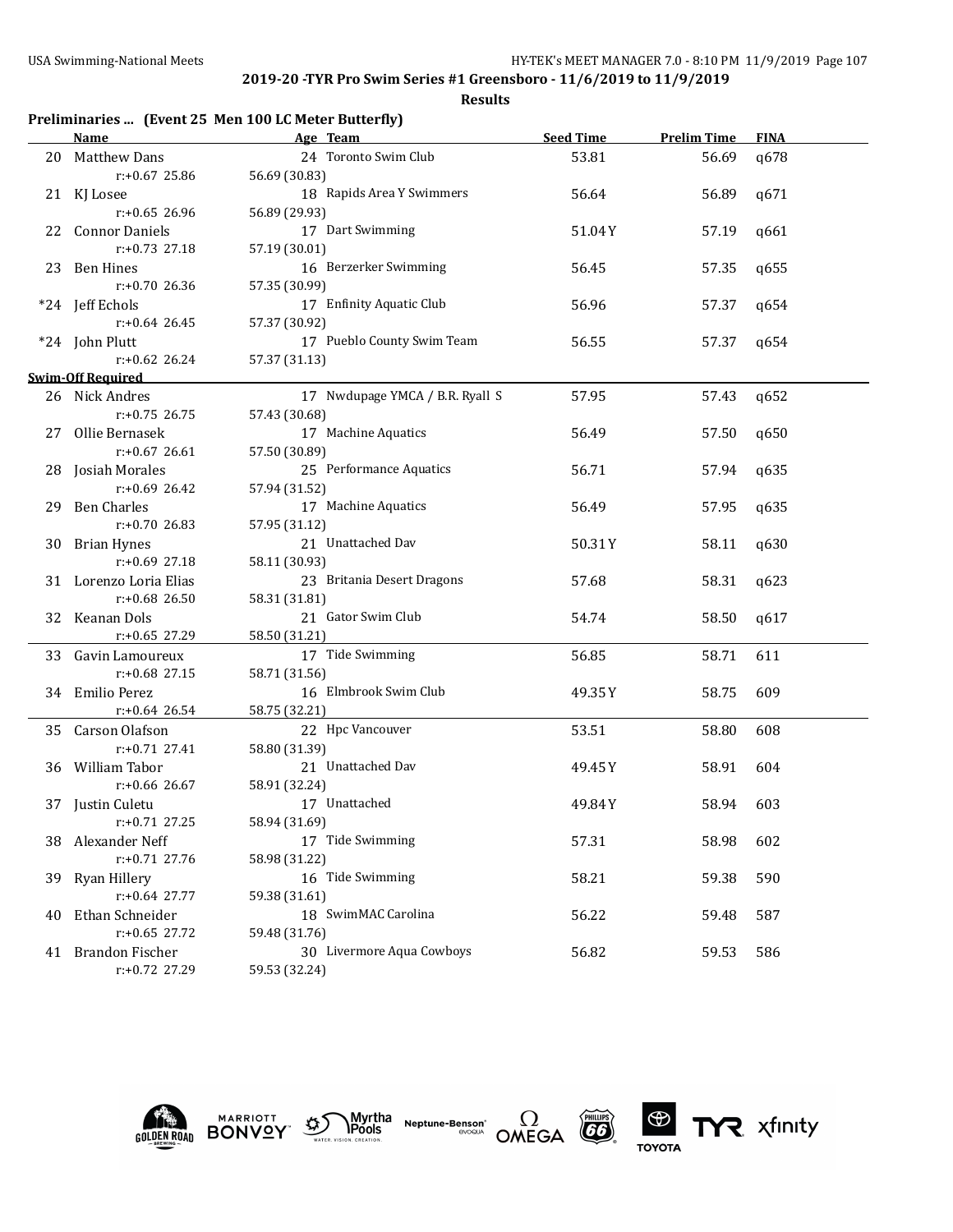|     |                          | Preliminaries  (Event 25 Men 100 LC Meter Butterfly) |                  |                    |             |
|-----|--------------------------|------------------------------------------------------|------------------|--------------------|-------------|
|     | Name                     | Age Team                                             | <b>Seed Time</b> | <b>Prelim Time</b> | <b>FINA</b> |
| 20  | <b>Matthew Dans</b>      | 24 Toronto Swim Club                                 | 53.81            | 56.69              | q678        |
|     | $r: +0.67$ 25.86         | 56.69 (30.83)                                        |                  |                    |             |
|     | 21 KJ Losee              | 18 Rapids Area Y Swimmers                            | 56.64            | 56.89              | q671        |
|     | $r: +0.65$ 26.96         | 56.89 (29.93)                                        |                  |                    |             |
| 22  | <b>Connor Daniels</b>    | 17 Dart Swimming                                     | 51.04Y           | 57.19              | q661        |
|     | r:+0.73 27.18            | 57.19 (30.01)                                        |                  |                    |             |
|     | 23 Ben Hines             | 16 Berzerker Swimming                                | 56.45            | 57.35              | q655        |
|     | r:+0.70 26.36            | 57.35 (30.99)                                        |                  |                    |             |
|     | *24 Jeff Echols          | 17 Enfinity Aquatic Club                             | 56.96            | 57.37              | q654        |
|     | $r: +0.64$ 26.45         | 57.37 (30.92)                                        |                  |                    |             |
|     | *24 John Plutt           | 17 Pueblo County Swim Team                           | 56.55            | 57.37              | q654        |
|     | $r: +0.62$ 26.24         | 57.37 (31.13)                                        |                  |                    |             |
|     | <b>Swim-Off Required</b> |                                                      |                  |                    |             |
|     | 26 Nick Andres           | 17 Nwdupage YMCA / B.R. Ryall S                      | 57.95            | 57.43              | q652        |
|     | $r: +0.75$ 26.75         | 57.43 (30.68)                                        |                  |                    |             |
| 27  | Ollie Bernasek           | 17 Machine Aquatics                                  | 56.49            | 57.50              | q650        |
|     | $r: +0.67$ 26.61         | 57.50 (30.89)                                        |                  |                    |             |
|     | 28 Josiah Morales        | 25 Performance Aquatics                              | 56.71            | 57.94              | q635        |
|     | $r: +0.69$ 26.42         | 57.94 (31.52)                                        |                  |                    |             |
| 29  | <b>Ben Charles</b>       | 17 Machine Aquatics                                  | 56.49            | 57.95              | q635        |
|     | r:+0.70 26.83            | 57.95 (31.12)                                        |                  |                    |             |
| 30  | <b>Brian Hynes</b>       | 21 Unattached Dav                                    | 50.31Y           | 58.11              | q630        |
|     | $r: +0.69$ 27.18         | 58.11 (30.93)                                        |                  |                    |             |
|     | 31 Lorenzo Loria Elias   | 23 Britania Desert Dragons                           | 57.68            | 58.31              | q623        |
|     | $r: +0.68$ 26.50         | 58.31 (31.81)                                        |                  |                    |             |
|     | 32 Keanan Dols           | 21 Gator Swim Club                                   | 54.74            | 58.50              | q617        |
|     | r:+0.65 27.29            | 58.50 (31.21)                                        |                  |                    |             |
|     | 33 Gavin Lamoureux       | 17 Tide Swimming                                     | 56.85            | 58.71              | 611         |
|     | r:+0.68 27.15            | 58.71 (31.56)                                        |                  |                    |             |
|     | 34 Emilio Perez          | 16 Elmbrook Swim Club                                | 49.35Y           | 58.75              | 609         |
|     | $r+0.64$ 26.54           | 58.75 (32.21)                                        |                  |                    |             |
|     | 35 Carson Olafson        | 22 Hpc Vancouver                                     | 53.51            | 58.80              | 608         |
|     | r:+0.71 27.41            | 58.80 (31.39)                                        |                  |                    |             |
|     | 36 William Tabor         | 21 Unattached Dav                                    | 49.45Y           | 58.91              | 604         |
|     | $r: +0.66$ 26.67         | 58.91 (32.24)                                        |                  |                    |             |
|     | 37 Justin Culetu         | 17 Unattached                                        | 49.84Y           | 58.94              | 603         |
|     | r:+0.71 27.25            | 58.94 (31.69)                                        |                  |                    |             |
| 38. | Alexander Neff           | 17 Tide Swimming                                     | 57.31            | 58.98              | 602         |
|     | r:+0.71 27.76            | 58.98 (31.22)                                        |                  |                    |             |
| 39- | Ryan Hillery             | 16 Tide Swimming                                     | 58.21            | 59.38              | 590         |
|     | r:+0.64 27.77            | 59.38 (31.61)                                        |                  |                    |             |
| 40  | Ethan Schneider          | 18 SwimMAC Carolina                                  | 56.22            | 59.48              | 587         |
|     | $r: +0.65$ 27.72         | 59.48 (31.76)                                        |                  |                    |             |
|     | 41 Brandon Fischer       | 30 Livermore Aqua Cowboys                            | 56.82            | 59.53              | 586         |
|     | r:+0.72 27.29            | 59.53 (32.24)                                        |                  |                    |             |











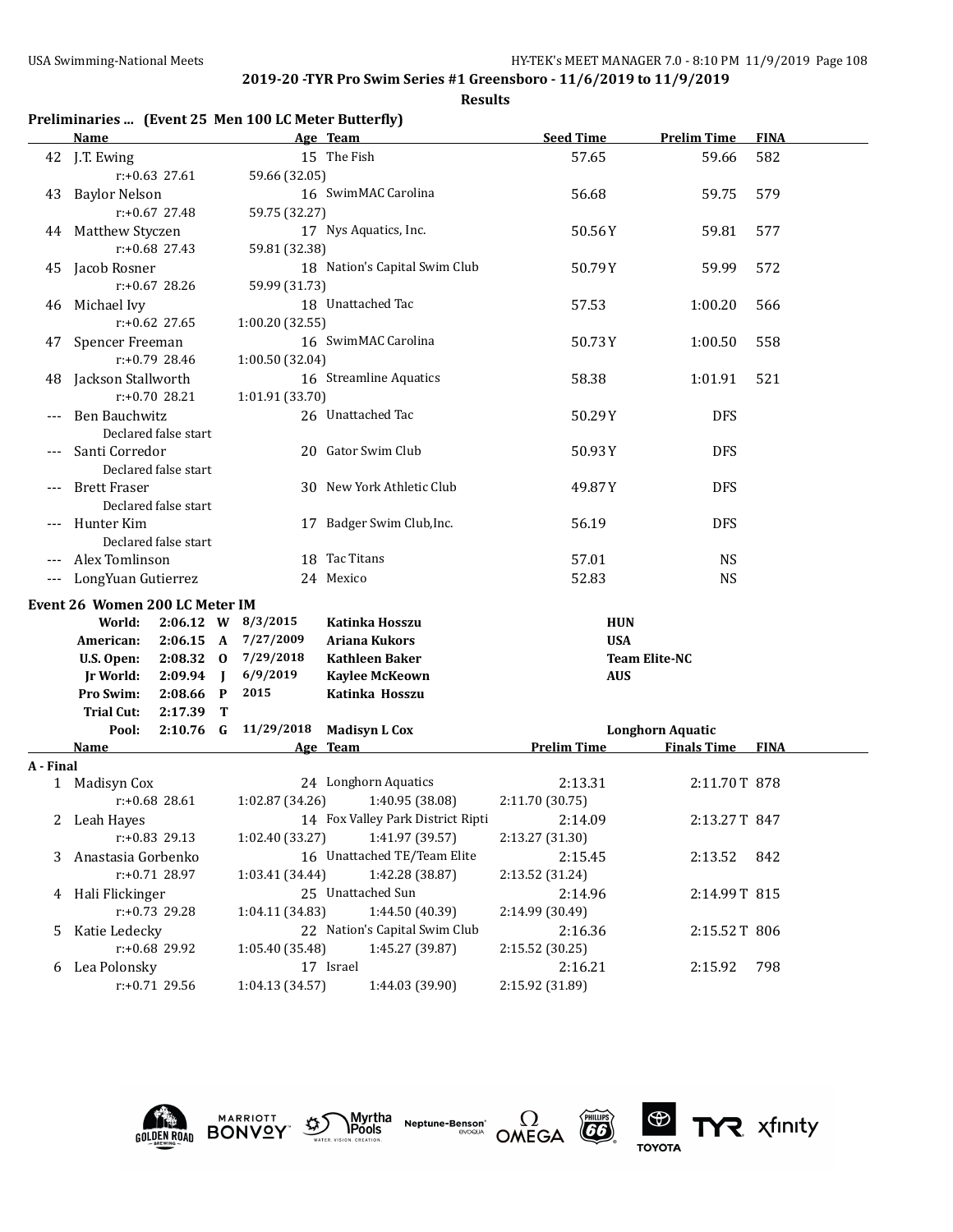| Preliminaries  (Event 25 Men 100 LC Meter Butterfly) |  |  |  |  |
|------------------------------------------------------|--|--|--|--|
|------------------------------------------------------|--|--|--|--|

|           | Name                           |                      |                |                    | Age Team                          | <b>Seed Time</b>   | <b>Prelim Time</b>                                 | <b>FINA</b> |
|-----------|--------------------------------|----------------------|----------------|--------------------|-----------------------------------|--------------------|----------------------------------------------------|-------------|
|           | 42 J.T. Ewing                  |                      |                |                    | 15 The Fish                       | 57.65              | 59.66                                              | 582         |
|           |                                | r:+0.63 27.61        |                | 59.66 (32.05)      |                                   |                    |                                                    |             |
| 43        | <b>Baylor Nelson</b>           |                      |                |                    | 16 SwimMAC Carolina               | 56.68              | 59.75                                              | 579         |
|           |                                | $r: +0.67$ 27.48     |                | 59.75 (32.27)      |                                   |                    |                                                    |             |
| 44        | Matthew Styczen                |                      |                |                    | 17 Nys Aquatics, Inc.             | 50.56Y             | 59.81                                              | 577         |
|           |                                | $r: +0.68$ 27.43     |                | 59.81 (32.38)      |                                   |                    |                                                    |             |
| 45        | Jacob Rosner                   |                      |                |                    | 18 Nation's Capital Swim Club     | 50.79Y             | 59.99                                              | 572         |
|           |                                | r:+0.67 28.26        |                | 59.99 (31.73)      |                                   |                    |                                                    |             |
| 46        | Michael Ivy                    |                      |                |                    | 18 Unattached Tac                 | 57.53              | 1:00.20                                            | 566         |
|           |                                | r:+0.62 27.65        |                | 1:00.20 (32.55)    |                                   |                    |                                                    |             |
|           | 47 Spencer Freeman             |                      |                |                    | 16 SwimMAC Carolina               | 50.73Y             | 1:00.50                                            | 558         |
|           |                                | r:+0.79 28.46        |                | 1:00.50 (32.04)    |                                   |                    |                                                    |             |
| 48        | Jackson Stallworth             |                      |                |                    | 16 Streamline Aquatics            | 58.38              | 1:01.91                                            | 521         |
|           |                                | $r: +0.70$ 28.21     |                | 1:01.91 (33.70)    |                                   |                    |                                                    |             |
|           | <b>Ben Bauchwitz</b>           |                      |                |                    | 26 Unattached Tac                 | 50.29Y             | <b>DFS</b>                                         |             |
|           |                                | Declared false start |                |                    |                                   |                    |                                                    |             |
|           | Santi Corredor                 |                      |                |                    | 20 Gator Swim Club                | 50.93Y             | <b>DFS</b>                                         |             |
|           |                                | Declared false start |                |                    |                                   |                    |                                                    |             |
|           | <b>Brett Fraser</b>            |                      |                |                    | 30 New York Athletic Club         | 49.87Y             | <b>DFS</b>                                         |             |
|           |                                | Declared false start |                |                    |                                   |                    |                                                    |             |
|           | Hunter Kim                     |                      |                |                    | 17 Badger Swim Club, Inc.         | 56.19              | <b>DFS</b>                                         |             |
|           |                                | Declared false start |                |                    |                                   |                    |                                                    |             |
|           | Alex Tomlinson                 |                      |                |                    | 18 Tac Titans                     | 57.01              | <b>NS</b>                                          |             |
| $---$     | LongYuan Gutierrez             |                      |                |                    | 24 Mexico                         | 52.83              | <b>NS</b>                                          |             |
|           | Event 26 Women 200 LC Meter IM |                      |                |                    |                                   |                    |                                                    |             |
|           | World:                         |                      |                | 2:06.12 W 8/3/2015 | Katinka Hosszu                    | <b>HUN</b>         |                                                    |             |
|           | American:                      | $2:06.15 \text{ A}$  |                | 7/27/2009          | <b>Ariana Kukors</b>              | <b>USA</b>         |                                                    |             |
|           | U.S. Open:                     | $2:08.32$ 0          |                | 7/29/2018          | <b>Kathleen Baker</b>             |                    | <b>Team Elite-NC</b>                               |             |
|           | <b>Jr World:</b>               | 2:09.94              | $\blacksquare$ | 6/9/2019           | <b>Kaylee McKeown</b>             | <b>AUS</b>         |                                                    |             |
|           | Pro Swim:                      | 2:08.66              | $\mathbf{P}$   | 2015               | Katinka Hosszu                    |                    |                                                    |             |
|           | Trial Cut:                     | 2:17.39              | Т              |                    |                                   |                    |                                                    |             |
|           | Pool:<br>Name                  | $2:10.76$ G          |                | 11/29/2018         | <b>Madisyn L Cox</b><br>Age Team  | <b>Prelim Time</b> | <b>Longhorn Aquatic</b><br><b>Finals Time FINA</b> |             |
| A - Final |                                |                      |                |                    |                                   |                    |                                                    |             |
|           | 1 Madisyn Cox                  |                      |                |                    | 24 Longhorn Aquatics              | 2:13.31            | 2:11.70T 878                                       |             |
|           |                                | $r: +0.68$ 28.61     |                | 1:02.87 (34.26)    | 1:40.95 (38.08)                   | 2:11.70 (30.75)    |                                                    |             |
|           | 2 Leah Hayes                   |                      |                |                    | 14 Fox Valley Park District Ripti | 2:14.09            | 2:13.27T 847                                       |             |
|           |                                | r:+0.83 29.13        |                | 1:02.40 (33.27)    | 1:41.97 (39.57)                   | 2:13.27 (31.30)    |                                                    |             |
|           | 3 Anastasia Gorbenko           |                      |                |                    | 16 Unattached TE/Team Elite       | 2:15.45            | 2:13.52                                            | 842         |
|           |                                | r:+0.71 28.97        |                | 1:03.41 (34.44)    | 1:42.28 (38.87)                   | 2:13.52 (31.24)    |                                                    |             |
|           | 4 Hali Flickinger              |                      |                |                    | 25 Unattached Sun                 | 2:14.96            | 2:14.99T 815                                       |             |
|           |                                | r:+0.73 29.28        |                | 1:04.11 (34.83)    | 1:44.50 (40.39)                   | 2:14.99 (30.49)    |                                                    |             |
| 5         | Katie Ledecky                  |                      |                |                    | 22 Nation's Capital Swim Club     | 2:16.36            | 2:15.52T 806                                       |             |
|           |                                | r:+0.68 29.92        |                | 1:05.40 (35.48)    | 1:45.27 (39.87)                   | 2:15.52 (30.25)    |                                                    |             |
|           | 6 Lea Polonsky                 |                      |                |                    | 17 Israel                         | 2:16.21            | 2:15.92                                            | 798         |
|           |                                | r:+0.71 29.56        |                | 1:04.13 (34.57)    | 1:44.03 (39.90)                   | 2:15.92 (31.89)    |                                                    |             |











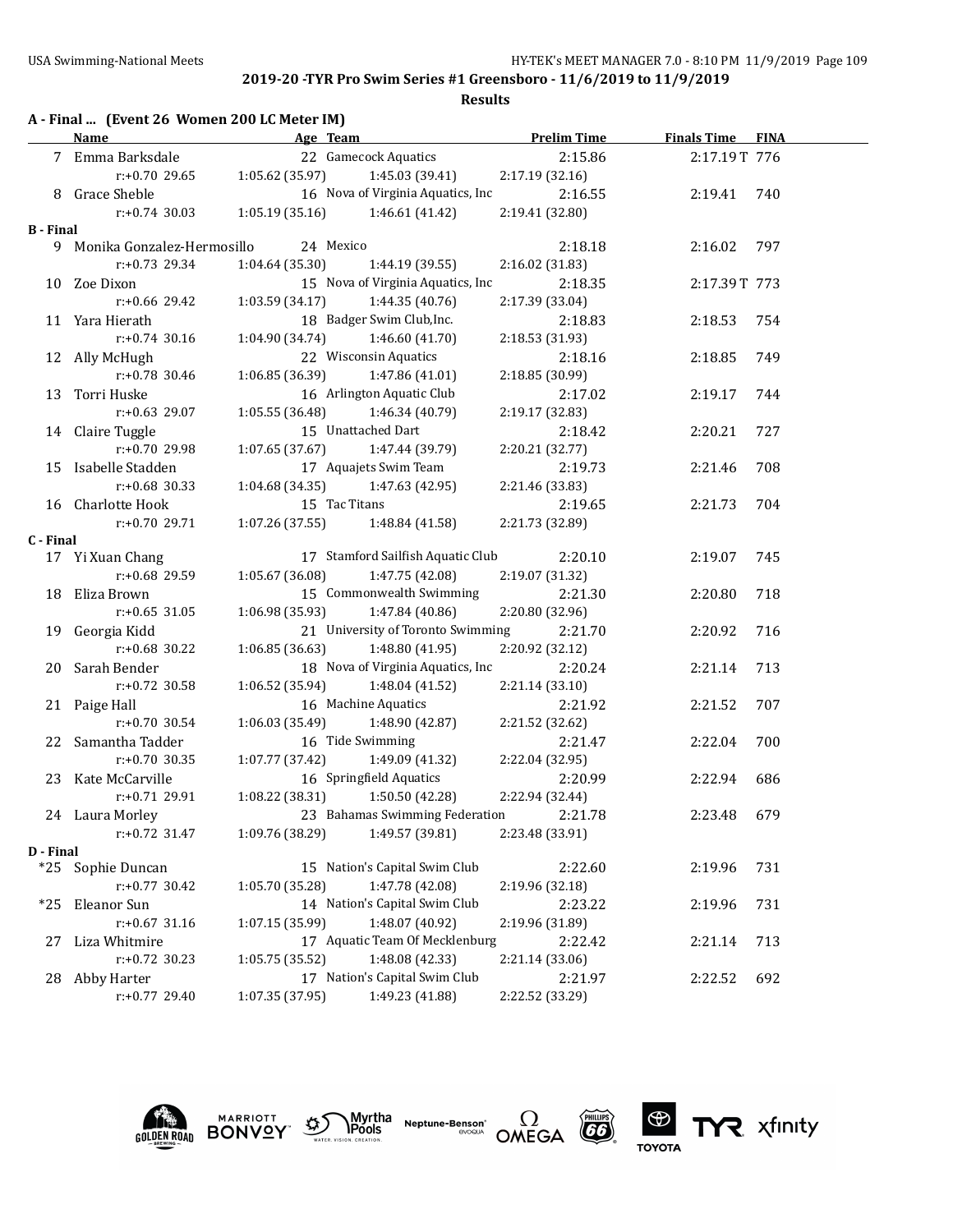|                  | A - Final  (Event 26 Women 200 LC Meter IM)<br><b>Name</b> |                  | Age Team Prelim Time                       |                 | <b>Finals Time FINA</b> |     |
|------------------|------------------------------------------------------------|------------------|--------------------------------------------|-----------------|-------------------------|-----|
|                  | 7 Emma Barksdale                                           |                  | 22 Gamecock Aquatics                       | 2:15.86         | 2:17.19T 776            |     |
|                  | $r: +0.70$ 29.65                                           | 1:05.62(35.97)   | 1:45.03 (39.41)                            | 2:17.19(32.16)  |                         |     |
|                  | 8 Grace Sheble                                             |                  | 16 Nova of Virginia Aquatics, Inc          | 2:16.55         | 2:19.41                 | 740 |
|                  | $r: +0.74$ 30.03                                           | 1:05.19(35.16)   | 1:46.61 (41.42)                            | 2:19.41 (32.80) |                         |     |
| <b>B</b> - Final |                                                            |                  |                                            |                 |                         |     |
|                  | 9 Monika Gonzalez-Hermosillo                               | 24 Mexico        |                                            | 2:18.18         | 2:16.02                 | 797 |
|                  | $r: +0.73$ 29.34                                           | 1:04.64(35.30)   | 1:44.19(39.55)                             | 2:16.02 (31.83) |                         |     |
|                  | 10 Zoe Dixon                                               |                  | 15 Nova of Virginia Aquatics, Inc          | 2:18.35         | 2:17.39T 773            |     |
|                  | $r: +0.66$ 29.42                                           | 1:03.59(34.17)   | 1:44.35 (40.76)                            | 2:17.39 (33.04) |                         |     |
|                  | 11 Yara Hierath                                            |                  | 18 Badger Swim Club, Inc.                  | 2:18.83         | 2:18.53                 | 754 |
|                  | $r: +0.74$ 30.16                                           | 1:04.90 (34.74)  | 1:46.60(41.70)                             | 2:18.53 (31.93) |                         |     |
|                  | 12 Ally McHugh                                             |                  | 22 Wisconsin Aquatics                      | 2:18.16         | 2:18.85                 | 749 |
|                  | r:+0.78 30.46                                              | 1:06.85 (36.39)  | 1:47.86 (41.01)                            | 2:18.85 (30.99) |                         |     |
|                  | 13 Torri Huske                                             |                  | 16 Arlington Aquatic Club                  | 2:17.02         | 2:19.17                 | 744 |
|                  | $r: +0.63$ 29.07                                           | 1:05.55 (36.48)  | 1:46.34 (40.79)                            | 2:19.17 (32.83) |                         |     |
|                  | 14 Claire Tuggle                                           |                  | 15 Unattached Dart                         | 2:18.42         | 2:20.21                 | 727 |
|                  | r:+0.70 29.98                                              | 1:07.65(37.67)   | 1:47.44 (39.79)                            | 2:20.21 (32.77) |                         |     |
|                  | 15 Isabelle Stadden                                        |                  | 17 Aquajets Swim Team                      | 2:19.73         | 2:21.46                 | 708 |
|                  | $r: +0.68$ 30.33                                           | 1:04.68(34.35)   | 1:47.63 (42.95)                            | 2:21.46 (33.83) |                         |     |
|                  | 16 Charlotte Hook                                          | 15 Tac Titans    |                                            | 2:19.65         | 2:21.73                 | 704 |
|                  | $r: +0.7029.71$                                            | 1:07.26(37.55)   | 1:48.84 (41.58)                            | 2:21.73 (32.89) |                         |     |
| C - Final        |                                                            |                  |                                            |                 |                         |     |
|                  | 17 Yi Xuan Chang                                           |                  | 17 Stamford Sailfish Aquatic Club          | 2:20.10         | 2:19.07                 | 745 |
|                  | $r: +0.68$ 29.59                                           | 1:05.67 (36.08)  | 1:47.75 (42.08)                            | 2:19.07 (31.32) |                         |     |
| 18               | Eliza Brown                                                |                  | 15 Commonwealth Swimming                   | 2:21.30         | 2:20.80                 | 718 |
|                  | $r: +0.65$ 31.05                                           | 1:06.98 (35.93)  | 1:47.84 (40.86)                            | 2:20.80 (32.96) |                         |     |
|                  | 19 Georgia Kidd                                            |                  | 21 University of Toronto Swimming          | 2:21.70         | 2:20.92                 | 716 |
|                  | $r: +0.68$ 30.22                                           | 1:06.85(36.63)   | 1:48.80 (41.95)                            | 2:20.92 (32.12) |                         |     |
|                  | 20 Sarah Bender                                            |                  | 18 Nova of Virginia Aquatics, Inc          | 2:20.24         | 2:21.14                 | 713 |
|                  | $r: +0.72$ 30.58                                           | 1:06.52(35.94)   | 1:48.04 (41.52)                            | 2:21.14 (33.10) |                         |     |
|                  | 21 Paige Hall                                              |                  | 16 Machine Aquatics                        | 2:21.92         | 2:21.52                 | 707 |
|                  | $r: +0.70$ 30.54                                           | 1:06.03(35.49)   | 1:48.90 (42.87)                            | 2:21.52 (32.62) |                         |     |
|                  | 22 Samantha Tadder                                         | 16 Tide Swimming |                                            | 2:21.47         | 2:22.04                 | 700 |
|                  | $r: +0.70$ 30.35                                           | 1:07.77 (37.42)  | 1:49.09 (41.32)<br>16 Springfield Aquatics | 2:22.04 (32.95) |                         |     |
| 23               | Kate McCarville                                            |                  |                                            | 2:20.99         | 2:22.94                 | 686 |
|                  | $r: +0.71$ 29.91                                           | 1:08.22 (38.31)  | 1:50.50 (42.28)                            | 2:22.94 (32.44) |                         |     |
|                  | 24 Laura Morley                                            |                  | 23 Bahamas Swimming Federation             | 2:21.78         | 2:23.48                 | 679 |
| D - Final        | $r: +0.72$ 31.47                                           | 1:09.76 (38.29)  | 1:49.57 (39.81)                            | 2:23.48 (33.91) |                         |     |
|                  | *25 Sophie Duncan                                          |                  | 15 Nation's Capital Swim Club              | 2:22.60         | 2:19.96                 | 731 |
|                  | $r: +0.77$ 30.42                                           | 1:05.70 (35.28)  | 1:47.78 (42.08)                            | 2:19.96 (32.18) |                         |     |
| $*25$            | Eleanor Sun                                                |                  | 14 Nation's Capital Swim Club              | 2:23.22         | 2:19.96                 | 731 |
|                  | $r: +0.67$ 31.16                                           | 1:07.15 (35.99)  | 1:48.07 (40.92)                            | 2:19.96 (31.89) |                         |     |
| 27               | Liza Whitmire                                              |                  | 17 Aquatic Team Of Mecklenburg             | 2:22.42         | 2:21.14                 | 713 |
|                  | $r: +0.72$ 30.23                                           | 1:05.75 (35.52)  | 1:48.08 (42.33)                            | 2:21.14 (33.06) |                         |     |
| 28               | Abby Harter                                                |                  | 17 Nation's Capital Swim Club              | 2:21.97         | 2:22.52                 | 692 |
|                  | r:+0.77 29.40                                              | 1:07.35 (37.95)  | 1:49.23 (41.88)                            | 2:22.52 (33.29) |                         |     |
|                  |                                                            |                  |                                            |                 |                         |     |











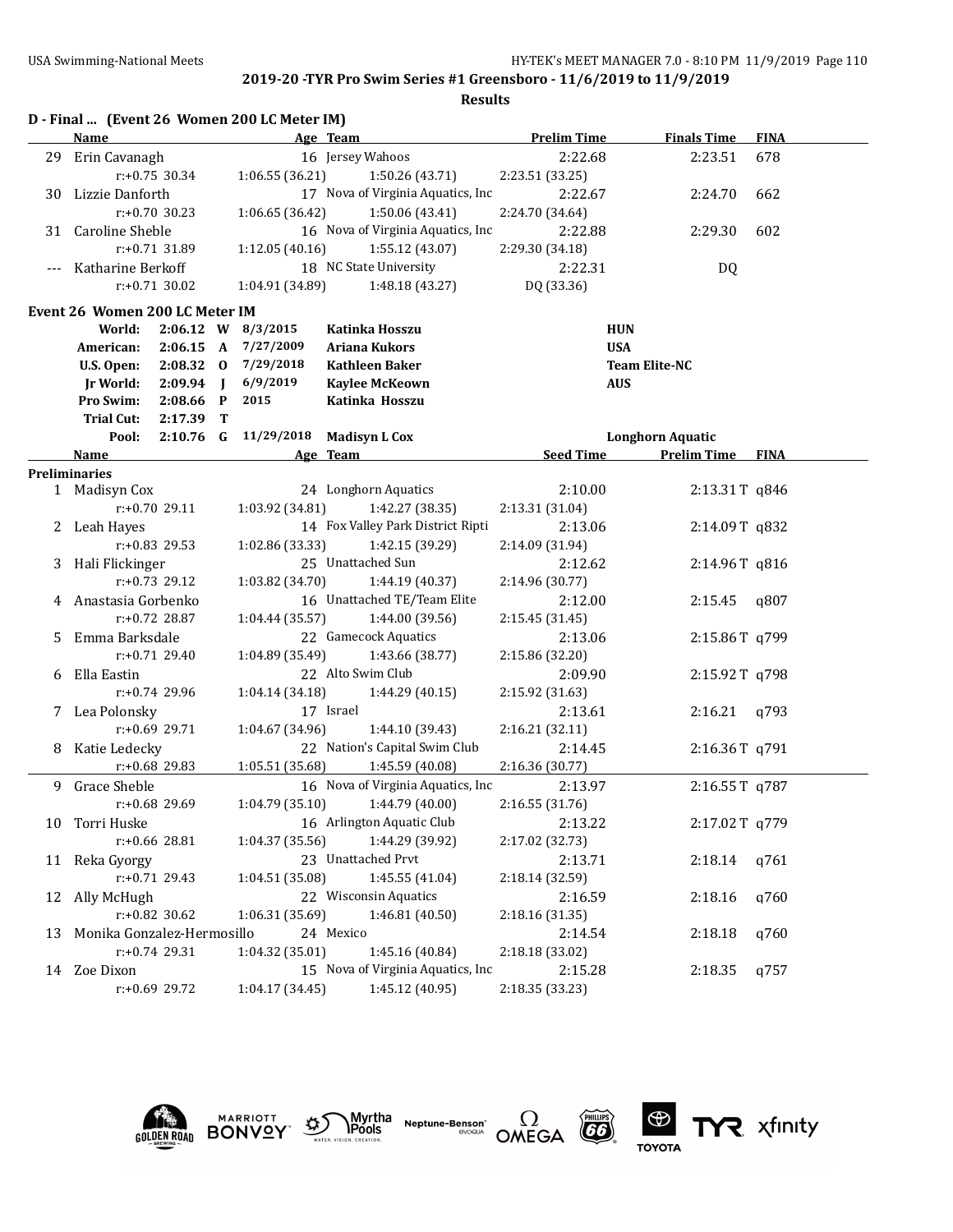|    |                                |                  |                | D - Final  (Event 26 Women 200 LC Meter IM) |                                                                |                    |                         |             |
|----|--------------------------------|------------------|----------------|---------------------------------------------|----------------------------------------------------------------|--------------------|-------------------------|-------------|
|    | Name                           |                  |                |                                             | Age Team                                                       | <b>Prelim Time</b> | <b>Finals Time</b>      | <b>FINA</b> |
| 29 | Erin Cavanagh                  |                  |                |                                             | 16 Jersey Wahoos                                               | 2:22.68            | 2:23.51                 | 678         |
|    |                                | $r: +0.75$ 30.34 |                | 1:06.55 (36.21)                             | 1:50.26 (43.71)                                                | 2:23.51 (33.25)    |                         |             |
|    | 30 Lizzie Danforth             |                  |                |                                             | 17 Nova of Virginia Aquatics, Inc                              | 2:22.67            | 2:24.70                 | 662         |
|    |                                | $r: +0.70$ 30.23 |                | 1:06.65(36.42)                              | 1:50.06 (43.41)                                                | 2:24.70 (34.64)    |                         |             |
| 31 | <b>Caroline Sheble</b>         |                  |                |                                             | 16 Nova of Virginia Aquatics, Inc                              | 2:22.88            | 2:29.30                 | 602         |
|    |                                | $r: +0.71$ 31.89 |                | 1:12.05(40.16)                              | 1:55.12 (43.07)                                                | 2:29.30 (34.18)    |                         |             |
|    | Katharine Berkoff              |                  |                |                                             | 18 NC State University                                         | 2:22.31            | DQ                      |             |
|    |                                | $r: +0.71$ 30.02 |                | 1:04.91 (34.89)                             | 1:48.18 (43.27)                                                | DQ (33.36)         |                         |             |
|    | Event 26 Women 200 LC Meter IM |                  |                |                                             |                                                                |                    |                         |             |
|    | World:                         |                  |                | 2:06.12 W 8/3/2015                          | Katinka Hosszu                                                 | <b>HUN</b>         |                         |             |
|    | American:                      | 2:06.15 A        |                | 7/27/2009                                   | <b>Ariana Kukors</b>                                           | <b>USA</b>         |                         |             |
|    | U.S. Open:                     | $2:08.32$ 0      |                | 7/29/2018                                   | <b>Kathleen Baker</b>                                          |                    | <b>Team Elite-NC</b>    |             |
|    | <b>Jr World:</b>               | 2:09.94          | $\blacksquare$ | 6/9/2019                                    | <b>Kaylee McKeown</b>                                          | <b>AUS</b>         |                         |             |
|    | Pro Swim:                      | 2:08.66          | $\mathbf{P}$   | 2015                                        | Katinka Hosszu                                                 |                    |                         |             |
|    | <b>Trial Cut:</b>              | 2:17.39          | T              |                                             |                                                                |                    |                         |             |
|    | Pool:                          | $2:10.76$ G      |                | 11/29/2018                                  | <b>Madisyn L Cox</b>                                           |                    | <b>Longhorn Aquatic</b> |             |
|    | Name                           |                  |                |                                             | Age Team                                                       | <b>Seed Time</b>   | <b>Prelim Time</b>      | <b>FINA</b> |
|    | <b>Preliminaries</b>           |                  |                |                                             |                                                                |                    |                         |             |
|    | 1 Madisyn Cox                  |                  |                |                                             | 24 Longhorn Aquatics                                           | 2:10.00            | 2:13.31T q846           |             |
|    |                                | r:+0.70 29.11    |                | 1:03.92 (34.81)                             | 1:42.27 (38.35)                                                | 2:13.31 (31.04)    |                         |             |
| 2  | Leah Hayes                     |                  |                |                                             | 14 Fox Valley Park District Ripti                              | 2:13.06            | 2:14.09T q832           |             |
|    |                                | $r: +0.83$ 29.53 |                | 1:02.86 (33.33)                             | 1:42.15 (39.29)                                                | 2:14.09 (31.94)    |                         |             |
|    | 3 Hali Flickinger              |                  |                |                                             | 25 Unattached Sun                                              | 2:12.62            | 2:14.96T q816           |             |
|    |                                | $r: +0.73$ 29.12 |                | 1:03.82 (34.70)                             | 1:44.19 (40.37)                                                | 2:14.96 (30.77)    |                         |             |
| 4  | Anastasia Gorbenko             |                  |                |                                             | 16 Unattached TE/Team Elite                                    | 2:12.00            | 2:15.45                 | q807        |
|    |                                | $r: +0.72$ 28.87 |                | 1:04.44 (35.57)                             | 1:44.00 (39.56)                                                | 2:15.45 (31.45)    |                         |             |
| 5. | Emma Barksdale                 |                  |                |                                             | 22 Gamecock Aquatics                                           | 2:13.06            | 2:15.86T q799           |             |
|    |                                | $r: +0.71$ 29.40 |                | 1:04.89 (35.49)                             | 1:43.66 (38.77)                                                | 2:15.86 (32.20)    |                         |             |
| 6  | Ella Eastin                    |                  |                |                                             | 22 Alto Swim Club                                              | 2:09.90            | 2:15.92T q798           |             |
|    |                                | r:+0.74 29.96    |                | 1:04.14 (34.18)                             | 1:44.29 (40.15)                                                | 2:15.92 (31.63)    |                         |             |
|    | 7 Lea Polonsky                 |                  |                |                                             | 17 Israel                                                      | 2:13.61            | 2:16.21                 | q793        |
|    |                                | $r: +0.69$ 29.71 |                | 1:04.67(34.96)                              | 1:44.10 (39.43)                                                | 2:16.21 (32.11)    |                         |             |
|    | 8 Katie Ledecky                | r:+0.68 29.83    |                |                                             | 22 Nation's Capital Swim Club                                  | 2:14.45            | 2:16.36T q791           |             |
|    | Grace Sheble                   |                  |                | 1:05.51 (35.68)                             | 1:45.59 (40.08)<br>16 Nova of Virginia Aquatics, Inc           | 2:16.36 (30.77)    |                         |             |
| 9  |                                | r:+0.68 29.69    |                |                                             |                                                                | 2:13.97            | 2:16.55T q787           |             |
|    |                                |                  |                |                                             | $1:04.79(35.10)$ $1:44.79(40.00)$<br>16 Arlington Aquatic Club | 2:16.55 (31.76)    |                         |             |
|    | 10 Torri Huske                 |                  |                |                                             |                                                                | 2:13.22            | 2:17.02T q779           |             |
|    |                                | r:+0.66 28.81    |                | 1:04.37 (35.56)                             | 1:44.29 (39.92)                                                | 2:17.02 (32.73)    |                         |             |
|    | 11 Reka Gyorgy                 |                  |                |                                             | 23 Unattached Prvt                                             | 2:13.71            | 2:18.14                 | q761        |
|    |                                | r:+0.71 29.43    |                | 1:04.51 (35.08)                             | 1:45.55 (41.04)<br>22 Wisconsin Aquatics                       | 2:18.14 (32.59)    |                         |             |
|    | 12 Ally McHugh                 |                  |                |                                             |                                                                | 2:16.59            | 2:18.16                 | q760        |
|    |                                | r:+0.82 30.62    |                | 1:06.31 (35.69)                             | 1:46.81 (40.50)                                                | 2:18.16 (31.35)    |                         |             |
| 13 | Monika Gonzalez-Hermosillo     |                  |                |                                             | 24 Mexico                                                      | 2:14.54            | 2:18.18                 | q760        |
|    |                                | r:+0.74 29.31    |                | 1:04.32 (35.01)                             | 1:45.16 (40.84)<br>15 Nova of Virginia Aquatics, Inc           | 2:18.18 (33.02)    |                         |             |
|    | 14 Zoe Dixon                   |                  |                |                                             |                                                                | 2:15.28            | 2:18.35                 | q757        |
|    |                                | r:+0.69 29.72    |                | 1:04.17 (34.45)                             | 1:45.12 (40.95)                                                | 2:18.35 (33.23)    |                         |             |









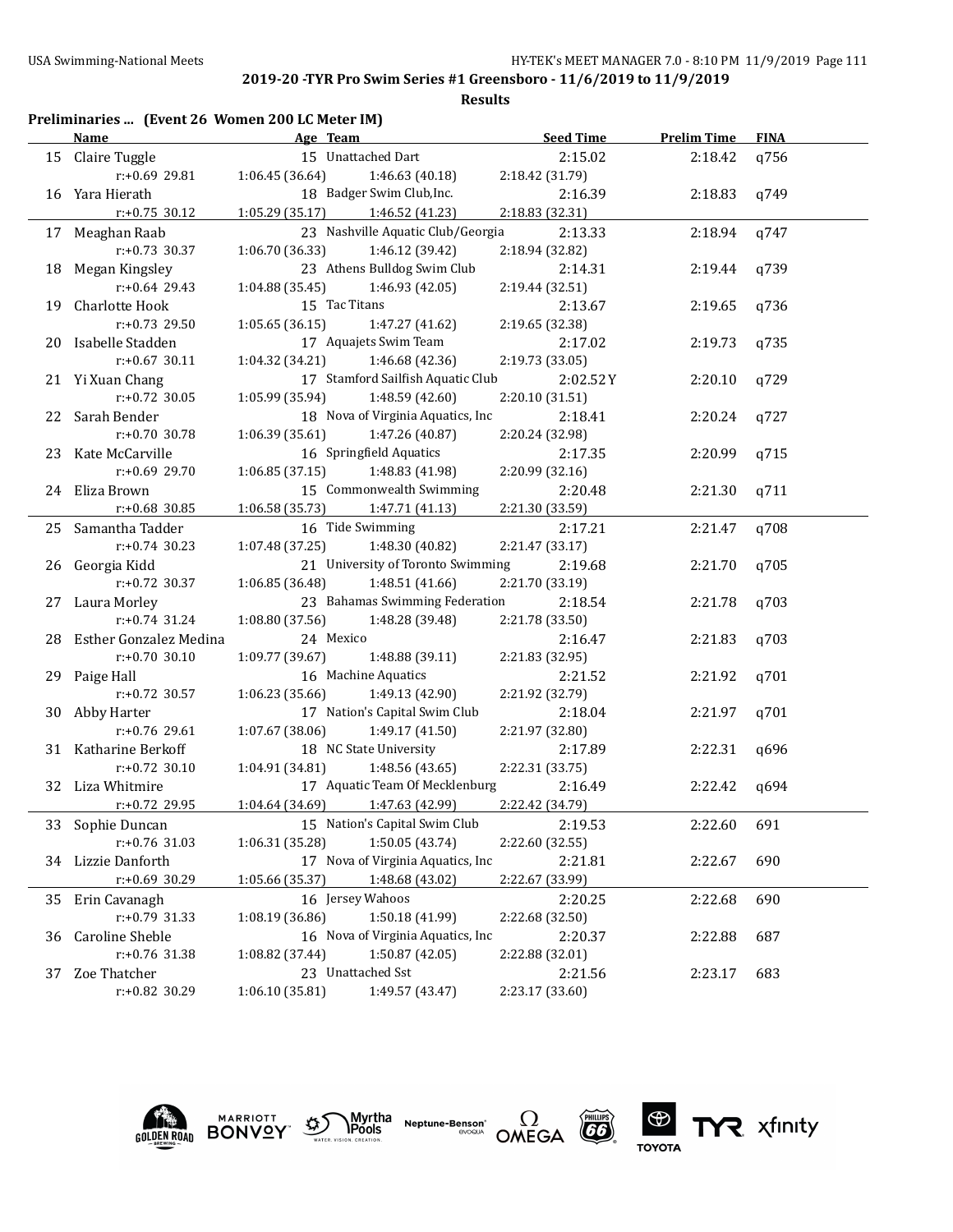| <b>Seed Time</b><br><b>Prelim Time</b><br><b>Name</b><br>Age Team<br>15 Unattached Dart<br>Claire Tuggle<br>2:15.02<br>15<br>r:+0.69 29.81<br>1:06.45 (36.64)<br>1:46.63 (40.18)<br>2:18.42 (31.79)<br>18 Badger Swim Club, Inc.<br>Yara Hierath<br>2:16.39<br>16<br>$r: +0.75$ 30.12<br>1:05.29 (35.17)<br>1:46.52 (41.23)<br>2:18.83 (32.31)<br>23 Nashville Aquatic Club/Georgia<br>Meaghan Raab<br>2:13.33<br>17<br>$r: +0.73$ 30.37<br>1:06.70 (36.33)<br>1:46.12 (39.42)<br>2:18.94 (32.82)<br>23 Athens Bulldog Swim Club<br>Megan Kingsley<br>2:14.31<br>18<br>$r: +0.64$ 29.43<br>1:04.88 (35.45)<br>1:46.93 (42.05)<br>2:19.44 (32.51)<br>15 Tac Titans<br>Charlotte Hook<br>2:13.67<br>19<br>r:+0.73 29.50<br>1:05.65 (36.15)<br>1:47.27 (41.62)<br>2:19.65 (32.38)<br>17 Aquajets Swim Team<br>Isabelle Stadden<br>2:17.02<br>20<br>$r: +0.67$ 30.11<br>1:04.32 (34.21)<br>1:46.68 (42.36)<br>2:19.73 (33.05)<br>17 Stamford Sailfish Aquatic Club<br>21 Yi Xuan Chang<br>2:02.52Y<br>$r: +0.72$ 30.05<br>1:05.99 (35.94)<br>1:48.59 (42.60)<br>2:20.10 (31.51)<br>18 Nova of Virginia Aquatics, Inc<br>Sarah Bender<br>2:18.41<br>22<br>$r: +0.70$ 30.78<br>1:06.39 (35.61)<br>1:47.26 (40.87)<br>2:20.24 (32.98)<br>16 Springfield Aquatics<br>Kate McCarville<br>2:17.35<br>23<br>r:+0.69 29.70<br>1:06.85(37.15)<br>1:48.83 (41.98)<br>2:20.99 (32.16)<br>15 Commonwealth Swimming<br>Eliza Brown<br>2:20.48<br>24<br>$r: +0.68$ 30.85<br>1:06.58 (35.73)<br>1:47.71 (41.13)<br>2:21.30 (33.59)<br>16 Tide Swimming<br>Samantha Tadder<br>2:17.21<br>25<br>$r: +0.74$ 30.23<br>1:07.48 (37.25)<br>1:48.30 (40.82)<br>2:21.47 (33.17)<br>21 University of Toronto Swimming<br>Georgia Kidd<br>2:19.68<br>26<br>r:+0.72 30.37<br>1:06.85 (36.48)<br>1:48.51 (41.66)<br>2:21.70 (33.19)<br>23 Bahamas Swimming Federation<br>Laura Morley<br>2:18.54<br>27<br>$r: +0.74$ 31.24<br>1:08.80 (37.56)<br>1:48.28 (39.48)<br>2:21.78 (33.50) | <b>FINA</b><br>q756<br>2:18.42<br>2:18.83<br>q749 |
|------------------------------------------------------------------------------------------------------------------------------------------------------------------------------------------------------------------------------------------------------------------------------------------------------------------------------------------------------------------------------------------------------------------------------------------------------------------------------------------------------------------------------------------------------------------------------------------------------------------------------------------------------------------------------------------------------------------------------------------------------------------------------------------------------------------------------------------------------------------------------------------------------------------------------------------------------------------------------------------------------------------------------------------------------------------------------------------------------------------------------------------------------------------------------------------------------------------------------------------------------------------------------------------------------------------------------------------------------------------------------------------------------------------------------------------------------------------------------------------------------------------------------------------------------------------------------------------------------------------------------------------------------------------------------------------------------------------------------------------------------------------------------------------------------------------------------------------------------------------------------------------------------------------------------------------------------|---------------------------------------------------|
|                                                                                                                                                                                                                                                                                                                                                                                                                                                                                                                                                                                                                                                                                                                                                                                                                                                                                                                                                                                                                                                                                                                                                                                                                                                                                                                                                                                                                                                                                                                                                                                                                                                                                                                                                                                                                                                                                                                                                      |                                                   |
|                                                                                                                                                                                                                                                                                                                                                                                                                                                                                                                                                                                                                                                                                                                                                                                                                                                                                                                                                                                                                                                                                                                                                                                                                                                                                                                                                                                                                                                                                                                                                                                                                                                                                                                                                                                                                                                                                                                                                      |                                                   |
|                                                                                                                                                                                                                                                                                                                                                                                                                                                                                                                                                                                                                                                                                                                                                                                                                                                                                                                                                                                                                                                                                                                                                                                                                                                                                                                                                                                                                                                                                                                                                                                                                                                                                                                                                                                                                                                                                                                                                      |                                                   |
|                                                                                                                                                                                                                                                                                                                                                                                                                                                                                                                                                                                                                                                                                                                                                                                                                                                                                                                                                                                                                                                                                                                                                                                                                                                                                                                                                                                                                                                                                                                                                                                                                                                                                                                                                                                                                                                                                                                                                      |                                                   |
|                                                                                                                                                                                                                                                                                                                                                                                                                                                                                                                                                                                                                                                                                                                                                                                                                                                                                                                                                                                                                                                                                                                                                                                                                                                                                                                                                                                                                                                                                                                                                                                                                                                                                                                                                                                                                                                                                                                                                      |                                                   |
|                                                                                                                                                                                                                                                                                                                                                                                                                                                                                                                                                                                                                                                                                                                                                                                                                                                                                                                                                                                                                                                                                                                                                                                                                                                                                                                                                                                                                                                                                                                                                                                                                                                                                                                                                                                                                                                                                                                                                      | 2:18.94<br>q747                                   |
|                                                                                                                                                                                                                                                                                                                                                                                                                                                                                                                                                                                                                                                                                                                                                                                                                                                                                                                                                                                                                                                                                                                                                                                                                                                                                                                                                                                                                                                                                                                                                                                                                                                                                                                                                                                                                                                                                                                                                      |                                                   |
|                                                                                                                                                                                                                                                                                                                                                                                                                                                                                                                                                                                                                                                                                                                                                                                                                                                                                                                                                                                                                                                                                                                                                                                                                                                                                                                                                                                                                                                                                                                                                                                                                                                                                                                                                                                                                                                                                                                                                      | q739<br>2:19.44                                   |
|                                                                                                                                                                                                                                                                                                                                                                                                                                                                                                                                                                                                                                                                                                                                                                                                                                                                                                                                                                                                                                                                                                                                                                                                                                                                                                                                                                                                                                                                                                                                                                                                                                                                                                                                                                                                                                                                                                                                                      |                                                   |
|                                                                                                                                                                                                                                                                                                                                                                                                                                                                                                                                                                                                                                                                                                                                                                                                                                                                                                                                                                                                                                                                                                                                                                                                                                                                                                                                                                                                                                                                                                                                                                                                                                                                                                                                                                                                                                                                                                                                                      | 2:19.65<br>q736                                   |
|                                                                                                                                                                                                                                                                                                                                                                                                                                                                                                                                                                                                                                                                                                                                                                                                                                                                                                                                                                                                                                                                                                                                                                                                                                                                                                                                                                                                                                                                                                                                                                                                                                                                                                                                                                                                                                                                                                                                                      |                                                   |
|                                                                                                                                                                                                                                                                                                                                                                                                                                                                                                                                                                                                                                                                                                                                                                                                                                                                                                                                                                                                                                                                                                                                                                                                                                                                                                                                                                                                                                                                                                                                                                                                                                                                                                                                                                                                                                                                                                                                                      | 2:19.73<br>q735                                   |
|                                                                                                                                                                                                                                                                                                                                                                                                                                                                                                                                                                                                                                                                                                                                                                                                                                                                                                                                                                                                                                                                                                                                                                                                                                                                                                                                                                                                                                                                                                                                                                                                                                                                                                                                                                                                                                                                                                                                                      |                                                   |
|                                                                                                                                                                                                                                                                                                                                                                                                                                                                                                                                                                                                                                                                                                                                                                                                                                                                                                                                                                                                                                                                                                                                                                                                                                                                                                                                                                                                                                                                                                                                                                                                                                                                                                                                                                                                                                                                                                                                                      | q729<br>2:20.10                                   |
|                                                                                                                                                                                                                                                                                                                                                                                                                                                                                                                                                                                                                                                                                                                                                                                                                                                                                                                                                                                                                                                                                                                                                                                                                                                                                                                                                                                                                                                                                                                                                                                                                                                                                                                                                                                                                                                                                                                                                      |                                                   |
|                                                                                                                                                                                                                                                                                                                                                                                                                                                                                                                                                                                                                                                                                                                                                                                                                                                                                                                                                                                                                                                                                                                                                                                                                                                                                                                                                                                                                                                                                                                                                                                                                                                                                                                                                                                                                                                                                                                                                      | 2:20.24<br>q727                                   |
|                                                                                                                                                                                                                                                                                                                                                                                                                                                                                                                                                                                                                                                                                                                                                                                                                                                                                                                                                                                                                                                                                                                                                                                                                                                                                                                                                                                                                                                                                                                                                                                                                                                                                                                                                                                                                                                                                                                                                      |                                                   |
|                                                                                                                                                                                                                                                                                                                                                                                                                                                                                                                                                                                                                                                                                                                                                                                                                                                                                                                                                                                                                                                                                                                                                                                                                                                                                                                                                                                                                                                                                                                                                                                                                                                                                                                                                                                                                                                                                                                                                      | 2:20.99<br>q715                                   |
|                                                                                                                                                                                                                                                                                                                                                                                                                                                                                                                                                                                                                                                                                                                                                                                                                                                                                                                                                                                                                                                                                                                                                                                                                                                                                                                                                                                                                                                                                                                                                                                                                                                                                                                                                                                                                                                                                                                                                      |                                                   |
|                                                                                                                                                                                                                                                                                                                                                                                                                                                                                                                                                                                                                                                                                                                                                                                                                                                                                                                                                                                                                                                                                                                                                                                                                                                                                                                                                                                                                                                                                                                                                                                                                                                                                                                                                                                                                                                                                                                                                      | 2:21.30<br>q711                                   |
|                                                                                                                                                                                                                                                                                                                                                                                                                                                                                                                                                                                                                                                                                                                                                                                                                                                                                                                                                                                                                                                                                                                                                                                                                                                                                                                                                                                                                                                                                                                                                                                                                                                                                                                                                                                                                                                                                                                                                      |                                                   |
|                                                                                                                                                                                                                                                                                                                                                                                                                                                                                                                                                                                                                                                                                                                                                                                                                                                                                                                                                                                                                                                                                                                                                                                                                                                                                                                                                                                                                                                                                                                                                                                                                                                                                                                                                                                                                                                                                                                                                      | 2:21.47<br>q708                                   |
|                                                                                                                                                                                                                                                                                                                                                                                                                                                                                                                                                                                                                                                                                                                                                                                                                                                                                                                                                                                                                                                                                                                                                                                                                                                                                                                                                                                                                                                                                                                                                                                                                                                                                                                                                                                                                                                                                                                                                      |                                                   |
|                                                                                                                                                                                                                                                                                                                                                                                                                                                                                                                                                                                                                                                                                                                                                                                                                                                                                                                                                                                                                                                                                                                                                                                                                                                                                                                                                                                                                                                                                                                                                                                                                                                                                                                                                                                                                                                                                                                                                      | 2:21.70<br>q705                                   |
|                                                                                                                                                                                                                                                                                                                                                                                                                                                                                                                                                                                                                                                                                                                                                                                                                                                                                                                                                                                                                                                                                                                                                                                                                                                                                                                                                                                                                                                                                                                                                                                                                                                                                                                                                                                                                                                                                                                                                      |                                                   |
|                                                                                                                                                                                                                                                                                                                                                                                                                                                                                                                                                                                                                                                                                                                                                                                                                                                                                                                                                                                                                                                                                                                                                                                                                                                                                                                                                                                                                                                                                                                                                                                                                                                                                                                                                                                                                                                                                                                                                      |                                                   |
|                                                                                                                                                                                                                                                                                                                                                                                                                                                                                                                                                                                                                                                                                                                                                                                                                                                                                                                                                                                                                                                                                                                                                                                                                                                                                                                                                                                                                                                                                                                                                                                                                                                                                                                                                                                                                                                                                                                                                      | 2:21.78<br>q703                                   |
|                                                                                                                                                                                                                                                                                                                                                                                                                                                                                                                                                                                                                                                                                                                                                                                                                                                                                                                                                                                                                                                                                                                                                                                                                                                                                                                                                                                                                                                                                                                                                                                                                                                                                                                                                                                                                                                                                                                                                      |                                                   |
| 24 Mexico<br>Esther Gonzalez Medina<br>2:16.47<br>28                                                                                                                                                                                                                                                                                                                                                                                                                                                                                                                                                                                                                                                                                                                                                                                                                                                                                                                                                                                                                                                                                                                                                                                                                                                                                                                                                                                                                                                                                                                                                                                                                                                                                                                                                                                                                                                                                                 | 2:21.83<br>q703                                   |
| $r: +0.70$ 30.10<br>1:09.77 (39.67)<br>1:48.88 (39.11)<br>2:21.83 (32.95)                                                                                                                                                                                                                                                                                                                                                                                                                                                                                                                                                                                                                                                                                                                                                                                                                                                                                                                                                                                                                                                                                                                                                                                                                                                                                                                                                                                                                                                                                                                                                                                                                                                                                                                                                                                                                                                                            |                                                   |
| 16 Machine Aquatics<br>2:21.52<br>Paige Hall<br>29                                                                                                                                                                                                                                                                                                                                                                                                                                                                                                                                                                                                                                                                                                                                                                                                                                                                                                                                                                                                                                                                                                                                                                                                                                                                                                                                                                                                                                                                                                                                                                                                                                                                                                                                                                                                                                                                                                   | 2:21.92<br>q701                                   |
| r:+0.72 30.57<br>1:06.23 (35.66)<br>1:49.13 (42.90)<br>2:21.92 (32.79)                                                                                                                                                                                                                                                                                                                                                                                                                                                                                                                                                                                                                                                                                                                                                                                                                                                                                                                                                                                                                                                                                                                                                                                                                                                                                                                                                                                                                                                                                                                                                                                                                                                                                                                                                                                                                                                                               |                                                   |
| 17 Nation's Capital Swim Club<br>2:18.04<br>Abby Harter<br>30                                                                                                                                                                                                                                                                                                                                                                                                                                                                                                                                                                                                                                                                                                                                                                                                                                                                                                                                                                                                                                                                                                                                                                                                                                                                                                                                                                                                                                                                                                                                                                                                                                                                                                                                                                                                                                                                                        | 2:21.97<br>q701                                   |
| r:+0.76 29.61<br>1:07.67 (38.06)<br>1:49.17(41.50)<br>2:21.97 (32.80)                                                                                                                                                                                                                                                                                                                                                                                                                                                                                                                                                                                                                                                                                                                                                                                                                                                                                                                                                                                                                                                                                                                                                                                                                                                                                                                                                                                                                                                                                                                                                                                                                                                                                                                                                                                                                                                                                |                                                   |
| 18 NC State University<br>31 Katharine Berkoff<br>2:17.89                                                                                                                                                                                                                                                                                                                                                                                                                                                                                                                                                                                                                                                                                                                                                                                                                                                                                                                                                                                                                                                                                                                                                                                                                                                                                                                                                                                                                                                                                                                                                                                                                                                                                                                                                                                                                                                                                            | 2:22.31<br>q696                                   |
| $r: +0.72$ 30.10<br>1:04.91 (34.81)<br>1:48.56 (43.65)<br>2:22.31 (33.75)                                                                                                                                                                                                                                                                                                                                                                                                                                                                                                                                                                                                                                                                                                                                                                                                                                                                                                                                                                                                                                                                                                                                                                                                                                                                                                                                                                                                                                                                                                                                                                                                                                                                                                                                                                                                                                                                            |                                                   |
| 17 Aquatic Team Of Mecklenburg<br>Liza Whitmire<br>2:16.49<br>32                                                                                                                                                                                                                                                                                                                                                                                                                                                                                                                                                                                                                                                                                                                                                                                                                                                                                                                                                                                                                                                                                                                                                                                                                                                                                                                                                                                                                                                                                                                                                                                                                                                                                                                                                                                                                                                                                     | 2:22.42<br>q694                                   |
| $1:04.64$ (34.69) $1:47.63$ (42.99)<br>2:22.42 (34.79)<br>r:+0.72 29.95                                                                                                                                                                                                                                                                                                                                                                                                                                                                                                                                                                                                                                                                                                                                                                                                                                                                                                                                                                                                                                                                                                                                                                                                                                                                                                                                                                                                                                                                                                                                                                                                                                                                                                                                                                                                                                                                              |                                                   |
| 15 Nation's Capital Swim Club<br>2:19.53<br>33 Sophie Duncan                                                                                                                                                                                                                                                                                                                                                                                                                                                                                                                                                                                                                                                                                                                                                                                                                                                                                                                                                                                                                                                                                                                                                                                                                                                                                                                                                                                                                                                                                                                                                                                                                                                                                                                                                                                                                                                                                         | 2:22.60<br>691                                    |
| r:+0.76 31.03<br>1:06.31 (35.28)<br>1:50.05 (43.74)<br>2:22.60 (32.55)                                                                                                                                                                                                                                                                                                                                                                                                                                                                                                                                                                                                                                                                                                                                                                                                                                                                                                                                                                                                                                                                                                                                                                                                                                                                                                                                                                                                                                                                                                                                                                                                                                                                                                                                                                                                                                                                               |                                                   |
| 17 Nova of Virginia Aquatics, Inc<br>2:21.81<br>34 Lizzie Danforth                                                                                                                                                                                                                                                                                                                                                                                                                                                                                                                                                                                                                                                                                                                                                                                                                                                                                                                                                                                                                                                                                                                                                                                                                                                                                                                                                                                                                                                                                                                                                                                                                                                                                                                                                                                                                                                                                   | 2:22.67<br>690                                    |
| r:+0.69 30.29<br>1:05.66 (35.37)<br>1:48.68 (43.02)<br>2:22.67 (33.99)                                                                                                                                                                                                                                                                                                                                                                                                                                                                                                                                                                                                                                                                                                                                                                                                                                                                                                                                                                                                                                                                                                                                                                                                                                                                                                                                                                                                                                                                                                                                                                                                                                                                                                                                                                                                                                                                               |                                                   |
| 16 Jersey Wahoos<br>2:20.25<br>35 Erin Cavanagh                                                                                                                                                                                                                                                                                                                                                                                                                                                                                                                                                                                                                                                                                                                                                                                                                                                                                                                                                                                                                                                                                                                                                                                                                                                                                                                                                                                                                                                                                                                                                                                                                                                                                                                                                                                                                                                                                                      | 2:22.68<br>690                                    |
| r:+0.79 31.33<br>1:08.19 (36.86)<br>1:50.18 (41.99)<br>2:22.68 (32.50)                                                                                                                                                                                                                                                                                                                                                                                                                                                                                                                                                                                                                                                                                                                                                                                                                                                                                                                                                                                                                                                                                                                                                                                                                                                                                                                                                                                                                                                                                                                                                                                                                                                                                                                                                                                                                                                                               |                                                   |
| 16 Nova of Virginia Aquatics, Inc<br>Caroline Sheble<br>2:20.37<br>36                                                                                                                                                                                                                                                                                                                                                                                                                                                                                                                                                                                                                                                                                                                                                                                                                                                                                                                                                                                                                                                                                                                                                                                                                                                                                                                                                                                                                                                                                                                                                                                                                                                                                                                                                                                                                                                                                | 2:22.88<br>687                                    |
| r:+0.76 31.38<br>1:08.82 (37.44)<br>1:50.87 (42.05)<br>2:22.88 (32.01)                                                                                                                                                                                                                                                                                                                                                                                                                                                                                                                                                                                                                                                                                                                                                                                                                                                                                                                                                                                                                                                                                                                                                                                                                                                                                                                                                                                                                                                                                                                                                                                                                                                                                                                                                                                                                                                                               |                                                   |
| 23 Unattached Sst<br>2:21.56<br>Zoe Thatcher<br>37                                                                                                                                                                                                                                                                                                                                                                                                                                                                                                                                                                                                                                                                                                                                                                                                                                                                                                                                                                                                                                                                                                                                                                                                                                                                                                                                                                                                                                                                                                                                                                                                                                                                                                                                                                                                                                                                                                   | 2:23.17<br>683                                    |
| r:+0.82 30.29<br>1:06.10(35.81)<br>1:49.57 (43.47)<br>2:23.17 (33.60)                                                                                                                                                                                                                                                                                                                                                                                                                                                                                                                                                                                                                                                                                                                                                                                                                                                                                                                                                                                                                                                                                                                                                                                                                                                                                                                                                                                                                                                                                                                                                                                                                                                                                                                                                                                                                                                                                |                                                   |











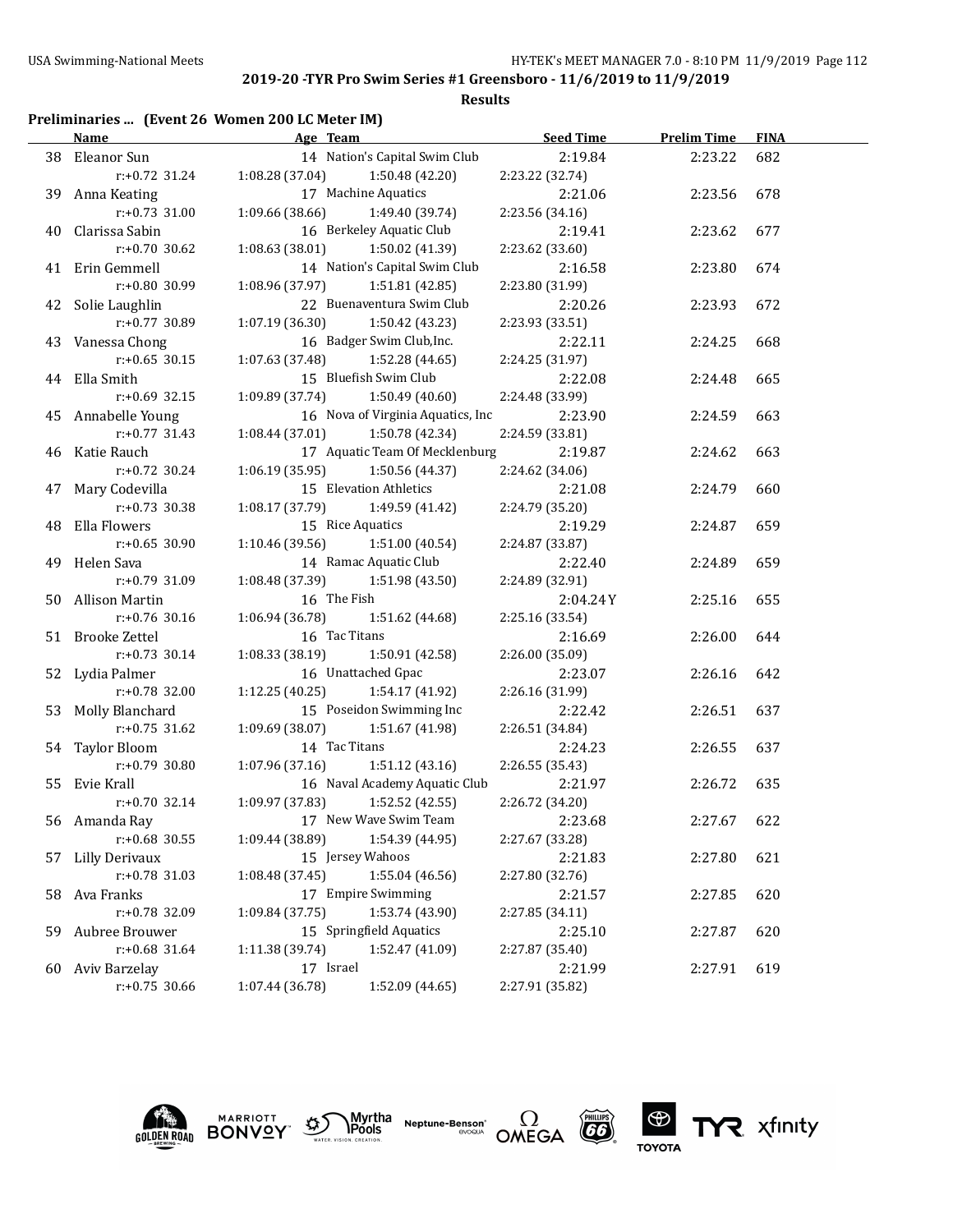### **Results**

# **Preliminaries ... (Event 26 Women 200 LC Meter IM)**

|    | <b>Name</b>        | Age Team                            | <b>Seed Time</b> | <b>Prelim Time</b> | <b>FINA</b> |  |
|----|--------------------|-------------------------------------|------------------|--------------------|-------------|--|
|    | 38 Eleanor Sun     | 14 Nation's Capital Swim Club       | 2:19.84          | 2:23.22            | 682         |  |
|    | r:+0.72 31.24      | $1:08.28(37.04)$ $1:50.48(42.20)$   | 2:23.22 (32.74)  |                    |             |  |
|    | 39 Anna Keating    | 17 Machine Aquatics                 | 2:21.06          | 2:23.56            | 678         |  |
|    | $r: +0.73$ 31.00   | 1:09.66 (38.66) 1:49.40 (39.74)     | 2:23.56 (34.16)  |                    |             |  |
|    | 40 Clarissa Sabin  | 16 Berkeley Aquatic Club            | 2:19.41          | 2:23.62            | 677         |  |
|    | $r: +0.70$ 30.62   | $1:08.63$ (38.01) $1:50.02$ (41.39) | 2:23.62 (33.60)  |                    |             |  |
|    | 41 Erin Gemmell    | 14 Nation's Capital Swim Club       | 2:16.58          | 2:23.80            | 674         |  |
|    | $r: +0.80$ 30.99   | $1:08.96(37.97)$ $1:51.81(42.85)$   | 2:23.80 (31.99)  |                    |             |  |
|    | 42 Solie Laughlin  | 22 Buenaventura Swim Club           | 2:20.26          | 2:23.93            | 672         |  |
|    | $r: +0.77$ 30.89   | $1:07.19(36.30)$ $1:50.42(43.23)$   | 2:23.93 (33.51)  |                    |             |  |
|    | 43 Vanessa Chong   | 16 Badger Swim Club, Inc.           | 2:22.11          | 2:24.25            | 668         |  |
|    | $r: +0.65$ 30.15   | $1:07.63(37.48)$ $1:52.28(44.65)$   | 2:24.25 (31.97)  |                    |             |  |
|    | 44 Ella Smith      | 15 Bluefish Swim Club               | 2:22.08          | 2:24.48            | 665         |  |
|    | $r: +0.69$ 32.15   | $1:09.89(37.74)$ $1:50.49(40.60)$   | 2:24.48 (33.99)  |                    |             |  |
|    | 45 Annabelle Young | 16 Nova of Virginia Aquatics, Inc   | 2:23.90          | 2:24.59            | 663         |  |
|    | $r: +0.77$ 31.43   | $1:08.44(37.01)$ $1:50.78(42.34)$   | 2:24.59 (33.81)  |                    |             |  |
|    | 46 Katie Rauch     | 17 Aquatic Team Of Mecklenburg      | 2:19.87          | 2:24.62            | 663         |  |
|    | $r: +0.72$ 30.24   | $1:06.19(35.95)$ $1:50.56(44.37)$   | 2:24.62 (34.06)  |                    |             |  |
|    | 47 Mary Codevilla  | 15 Elevation Athletics              | 2:21.08          | 2:24.79            | 660         |  |
|    | $r: +0.73$ 30.38   | $1:08.17(37.79)$ $1:49.59(41.42)$   | 2:24.79 (35.20)  |                    |             |  |
|    | 48 Ella Flowers    | 15 Rice Aquatics                    | 2:19.29          | 2:24.87            | 659         |  |
|    | $r: +0.65$ 30.90   | $1:10.46(39.56)$ $1:51.00(40.54)$   | 2:24.87 (33.87)  |                    |             |  |
|    | 49 Helen Sava      | 14 Ramac Aquatic Club               | 2:22.40          | 2:24.89            | 659         |  |
|    | $r: +0.79$ 31.09   | $1:08.48(37.39)$ $1:51.98(43.50)$   | 2:24.89 (32.91)  |                    |             |  |
|    | 50 Allison Martin  | 16 The Fish                         | 2:04.24Y         | 2:25.16            | 655         |  |
|    | $r: +0.76$ 30.16   | $1:06.94(36.78)$ $1:51.62(44.68)$   | 2:25.16 (33.54)  |                    |             |  |
|    | 51 Brooke Zettel   | 16 Tac Titans                       | 2:16.69          | 2:26.00            | 644         |  |
|    | $r: +0.73$ 30.14   | $1:08.33(38.19)$ $1:50.91(42.58)$   | 2:26.00 (35.09)  |                    |             |  |
|    | 52 Lydia Palmer    | 16 Unattached Gpac                  | 2:23.07          | 2:26.16            | 642         |  |
|    | $r: +0.78$ 32.00   | $1:12.25(40.25)$ $1:54.17(41.92)$   | 2:26.16 (31.99)  |                    |             |  |
|    | 53 Molly Blanchard | 15 Poseidon Swimming Inc            | 2:22.42          | 2:26.51            | 637         |  |
|    | $r: +0.75$ 31.62   | 1:51.67 (41.98)<br>1:09.69 (38.07)  | 2:26.51 (34.84)  |                    |             |  |
|    | 54 Taylor Bloom    | 14 Tac Titans                       | 2:24.23          | 2:26.55            | 637         |  |
|    | $r: +0.79$ 30.80   | 1:07.96(37.16)<br>1:51.12(43.16)    | 2:26.55 (35.43)  |                    |             |  |
|    | 55 Evie Krall      | 16 Naval Academy Aquatic Club       | 2:21.97          | 2:26.72            | 635         |  |
|    | $r: +0.70$ 32.14   | 1:09.97 (37.83)<br>1:52.52(42.55)   | 2:26.72 (34.20)  |                    |             |  |
|    | 56 Amanda Ray      | 17 New Wave Swim Team               | 2:23.68          | 2:27.67            | 622         |  |
|    | r:+0.68 30.55      | 1:54.39 (44.95)<br>1:09.44 (38.89)  | 2:27.67 (33.28)  |                    |             |  |
|    | 57 Lilly Derivaux  | 15 Jersey Wahoos                    | 2:21.83          | 2:27.80            | 621         |  |
|    | r:+0.78 31.03      | 1:08.48 (37.45)<br>1:55.04 (46.56)  | 2:27.80 (32.76)  |                    |             |  |
|    | 58 Ava Franks      | 17 Empire Swimming                  | 2:21.57          | 2:27.85            | 620         |  |
|    | r:+0.78 32.09      | 1:09.84 (37.75)<br>1:53.74 (43.90)  | 2:27.85 (34.11)  |                    |             |  |
| 59 | Aubree Brouwer     | 15 Springfield Aquatics             | 2:25.10          | 2:27.87            | 620         |  |
|    | r:+0.68 31.64      | 1:52.47 (41.09)<br>1:11.38 (39.74)  | 2:27.87 (35.40)  |                    |             |  |
|    | 60 Aviv Barzelay   | 17 Israel                           | 2:21.99          | 2:27.91            | 619         |  |
|    | r:+0.75 30.66      | 1:07.44 (36.78)<br>1:52.09 (44.65)  | 2:27.91 (35.82)  |                    |             |  |





Myrtha<br>Pools **Neptune-Benson**\*<br>evoqua





TYR xfinity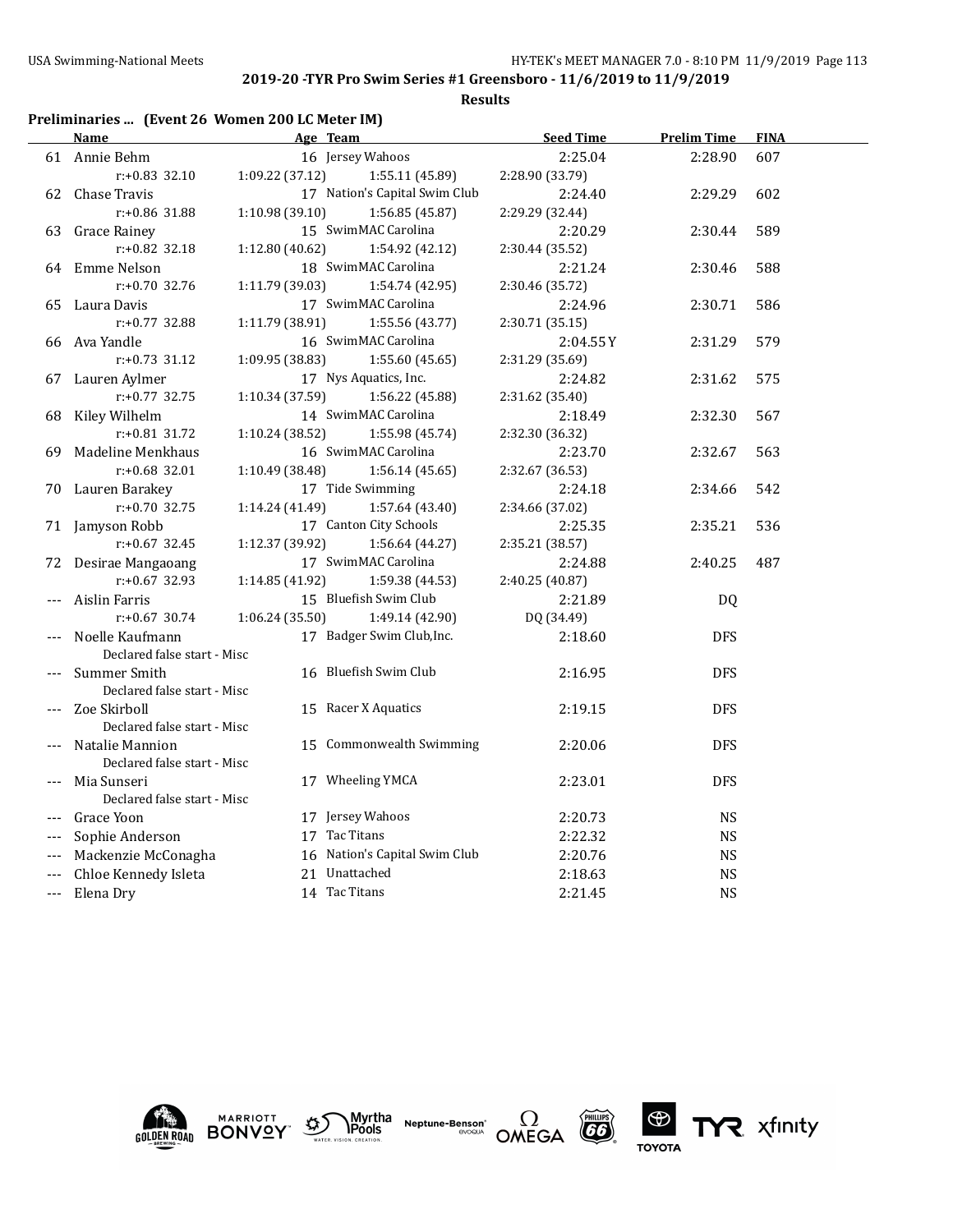**Results**

# **Preliminaries ... (Event 26 Women 200 LC Meter IM)**

|       | Name                        |                 | Age Team                      | <b>Seed Time</b> | <b>Prelim Time</b> | <b>FINA</b> |
|-------|-----------------------------|-----------------|-------------------------------|------------------|--------------------|-------------|
|       | 61 Annie Behm               |                 | 16 Jersey Wahoos              | 2:25.04          | 2:28.90            | 607         |
|       | $r: +0.83$ 32.10            | 1:09.22(37.12)  | 1:55.11 (45.89)               | 2:28.90 (33.79)  |                    |             |
| 62    | Chase Travis                |                 | 17 Nation's Capital Swim Club | 2:24.40          | 2:29.29            | 602         |
|       | r:+0.86 31.88               | 1:10.98 (39.10) | 1:56.85 (45.87)               | 2:29.29 (32.44)  |                    |             |
| 63    | Grace Rainey                |                 | 15 SwimMAC Carolina           | 2:20.29          | 2:30.44            | 589         |
|       | $r: +0.82$ 32.18            | 1:12.80 (40.62) | 1:54.92 (42.12)               | 2:30.44 (35.52)  |                    |             |
|       | 64 Emme Nelson              |                 | 18 SwimMAC Carolina           | 2:21.24          | 2:30.46            | 588         |
|       | $r: +0.70$ 32.76            | 1:11.79 (39.03) | 1:54.74 (42.95)               | 2:30.46 (35.72)  |                    |             |
| 65    | Laura Davis                 |                 | 17 SwimMAC Carolina           | 2:24.96          | 2:30.71            | 586         |
|       | r:+0.77 32.88               | 1:11.79 (38.91) | 1:55.56 (43.77)               | 2:30.71 (35.15)  |                    |             |
| 66    | Ava Yandle                  |                 | 16 SwimMAC Carolina           | 2:04.55Y         | 2:31.29            | 579         |
|       | $r: +0.73$ 31.12            | 1:09.95 (38.83) | 1:55.60(45.65)                | 2:31.29 (35.69)  |                    |             |
| 67    | Lauren Aylmer               |                 | 17 Nys Aquatics, Inc.         | 2:24.82          | 2:31.62            | 575         |
|       | $r: +0.77$ 32.75            | 1:10.34 (37.59) | 1:56.22 (45.88)               | 2:31.62 (35.40)  |                    |             |
| 68    | Kiley Wilhelm               |                 | 14 SwimMAC Carolina           | 2:18.49          | 2:32.30            | 567         |
|       | $r: +0.81$ 31.72            | 1:10.24 (38.52) | 1:55.98 (45.74)               | 2:32.30 (36.32)  |                    |             |
| 69    | Madeline Menkhaus           |                 | 16 SwimMAC Carolina           | 2:23.70          | 2:32.67            | 563         |
|       | $r: +0.68$ 32.01            | 1:10.49 (38.48) | 1:56.14(45.65)                | 2:32.67 (36.53)  |                    |             |
| 70    | Lauren Barakey              |                 | 17 Tide Swimming              | 2:24.18          | 2:34.66            | 542         |
|       | $r: +0.70$ 32.75            | 1:14.24 (41.49) | 1:57.64 (43.40)               | 2:34.66 (37.02)  |                    |             |
| 71    | Jamyson Robb                |                 | 17 Canton City Schools        | 2:25.35          | 2:35.21            | 536         |
|       | $r: +0.67$ 32.45            | 1:12.37 (39.92) | 1:56.64 (44.27)               | 2:35.21 (38.57)  |                    |             |
| 72    | Desirae Mangaoang           |                 | 17 SwimMAC Carolina           | 2:24.88          | 2:40.25            | 487         |
|       | $r: +0.67$ 32.93            | 1:14.85 (41.92) | 1:59.38 (44.53)               | 2:40.25 (40.87)  |                    |             |
|       | Aislin Farris               |                 | 15 Bluefish Swim Club         | 2:21.89          | DQ                 |             |
|       | $r: +0.67$ 30.74            | 1:06.24(35.50)  | 1:49.14 (42.90)               | DQ (34.49)       |                    |             |
|       | Noelle Kaufmann             |                 | 17 Badger Swim Club, Inc.     | 2:18.60          | <b>DFS</b>         |             |
|       | Declared false start - Misc |                 |                               |                  |                    |             |
|       | Summer Smith                |                 | 16 Bluefish Swim Club         | 2:16.95          | <b>DFS</b>         |             |
|       | Declared false start - Misc |                 |                               |                  |                    |             |
|       | Zoe Skirboll                |                 | 15 Racer X Aquatics           | 2:19.15          | <b>DFS</b>         |             |
|       | Declared false start - Misc |                 |                               |                  |                    |             |
|       | Natalie Mannion             |                 | 15 Commonwealth Swimming      | 2:20.06          | <b>DFS</b>         |             |
|       | Declared false start - Misc |                 |                               |                  |                    |             |
|       | Mia Sunseri                 |                 | 17 Wheeling YMCA              | 2:23.01          | <b>DFS</b>         |             |
|       | Declared false start - Misc |                 |                               |                  |                    |             |
|       | Grace Yoon                  |                 | 17 Jersey Wahoos              | 2:20.73          | <b>NS</b>          |             |
| $---$ | Sophie Anderson             |                 | 17 Tac Titans                 | 2:22.32          | <b>NS</b>          |             |
|       | Mackenzie McConagha         |                 | 16 Nation's Capital Swim Club | 2:20.76          | <b>NS</b>          |             |
|       | Chloe Kennedy Isleta        |                 | 21 Unattached                 | 2:18.63          | <b>NS</b>          |             |
| ---   | Elena Dry                   |                 | 14 Tac Titans                 | 2:21.45          | <b>NS</b>          |             |





Myrtha<br>Pools **Neptune-Benson**\*<br>evoqua





TYR xfinity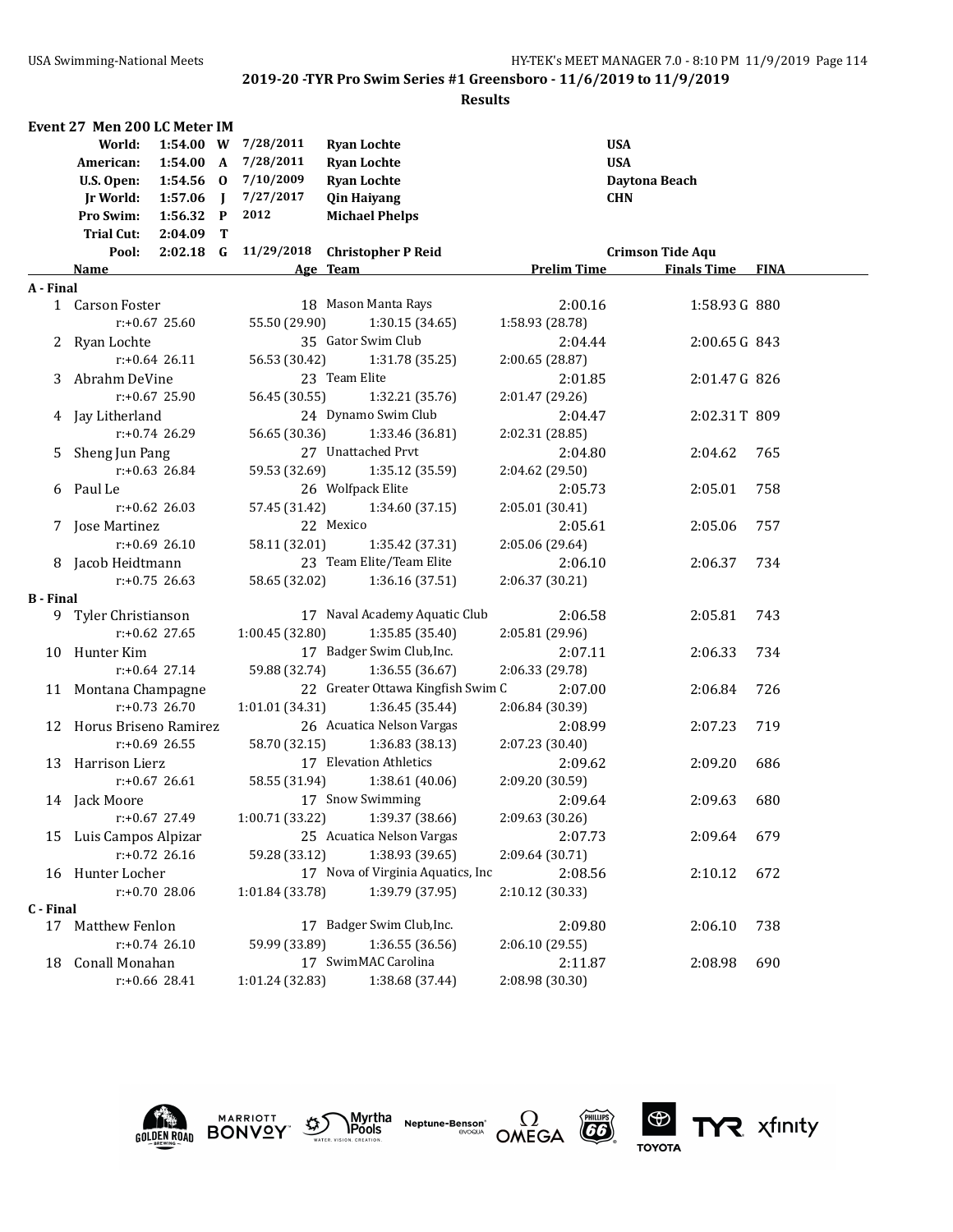|                  | Event 27 Men 200 LC Meter IM     |                 |                                   |                    |                         |     |
|------------------|----------------------------------|-----------------|-----------------------------------|--------------------|-------------------------|-----|
|                  | World:<br>1:54.00 W              | 7/28/2011       | <b>Ryan Lochte</b>                |                    | <b>USA</b>              |     |
|                  | American:<br>1:54.00 A           | 7/28/2011       | <b>Ryan Lochte</b>                |                    | <b>USA</b>              |     |
|                  | 1:54.56 0<br>U.S. Open:          | 7/10/2009       | <b>Ryan Lochte</b>                |                    | Daytona Beach           |     |
|                  | Jr World:<br>$1:57.06$ J         | 7/27/2017       | <b>Qin Haiyang</b>                |                    | <b>CHN</b>              |     |
|                  | Pro Swim:<br>1:56.32 P           | 2012            | <b>Michael Phelps</b>             |                    |                         |     |
|                  | <b>Trial Cut:</b><br>$2:04.09$ T |                 |                                   |                    |                         |     |
|                  | $2:02.18$ G<br>Pool:             |                 | 11/29/2018 Christopher P Reid     |                    | <b>Crimson Tide Aqu</b> |     |
|                  | <u>Name</u>                      |                 | Age Team                          | <b>Prelim Time</b> | <b>Finals Time FINA</b> |     |
| A - Final        |                                  |                 |                                   |                    |                         |     |
|                  | 1 Carson Foster                  |                 | 18 Mason Manta Rays               | 2:00.16            | 1:58.93 G 880           |     |
|                  | r:+0.67 25.60                    | 55.50 (29.90)   | 1:30.15(34.65)                    | 1:58.93 (28.78)    |                         |     |
|                  | 2 Ryan Lochte                    |                 | 35 Gator Swim Club                | 2:04.44            | 2:00.65 G 843           |     |
|                  | $r: +0.64$ 26.11                 | 56.53 (30.42)   | 1:31.78 (35.25)                   | 2:00.65 (28.87)    |                         |     |
|                  | 3 Abrahm DeVine                  |                 | 23 Team Elite                     | 2:01.85            | 2:01.47 G 826           |     |
|                  | $r: +0.67$ 25.90                 | 56.45 (30.55)   | 1:32.21 (35.76)                   | 2:01.47 (29.26)    |                         |     |
|                  | 4 Jay Litherland                 |                 | 24 Dynamo Swim Club               | 2:04.47            | 2:02.31T 809            |     |
|                  | $r: +0.74$ 26.29                 | 56.65 (30.36)   | 1:33.46 (36.81)                   | 2:02.31 (28.85)    |                         |     |
| 5.               | Sheng Jun Pang                   |                 | 27 Unattached Prvt                | 2:04.80            | 2:04.62                 | 765 |
|                  | $r: +0.63$ 26.84                 | 59.53 (32.69)   | 1:35.12 (35.59)                   | 2:04.62 (29.50)    |                         |     |
|                  | 6 Paul Le                        |                 | 26 Wolfpack Elite                 | 2:05.73            | 2:05.01                 | 758 |
|                  | $r: +0.62$ 26.03                 | 57.45 (31.42)   | 1:34.60 (37.15)                   | 2:05.01 (30.41)    |                         |     |
|                  | 7 Jose Martinez                  |                 | 22 Mexico                         | 2:05.61            | 2:05.06                 | 757 |
|                  | $r: +0.69$ 26.10                 | 58.11 (32.01)   | 1:35.42 (37.31)                   | 2:05.06 (29.64)    |                         |     |
|                  | 8 Jacob Heidtmann                |                 | 23 Team Elite/Team Elite          | 2:06.10            | 2:06.37                 | 734 |
|                  | $r: +0.75$ 26.63                 | 58.65 (32.02)   | 1:36.16 (37.51)                   | 2:06.37 (30.21)    |                         |     |
| <b>B</b> - Final |                                  |                 |                                   |                    |                         |     |
|                  | 9 Tyler Christianson             |                 | 17 Naval Academy Aquatic Club     | 2:06.58            | 2:05.81                 | 743 |
|                  | $r: +0.62$ 27.65                 | 1:00.45 (32.80) | 1:35.85 (35.40)                   | 2:05.81 (29.96)    |                         |     |
|                  | 10 Hunter Kim                    |                 | 17 Badger Swim Club, Inc.         | 2:07.11            | 2:06.33                 | 734 |
|                  | $r: +0.64$ 27.14                 | 59.88 (32.74)   | 1:36.55(36.67)                    | 2:06.33 (29.78)    |                         |     |
|                  | 11 Montana Champagne             |                 | 22 Greater Ottawa Kingfish Swim C | 2:07.00            | 2:06.84                 | 726 |
|                  | $r: +0.73$ 26.70                 | 1:01.01 (34.31) | 1:36.45 (35.44)                   | 2:06.84 (30.39)    |                         |     |
|                  | 12 Horus Briseno Ramirez         |                 | 26 Acuatica Nelson Vargas         | 2:08.99            | 2:07.23                 | 719 |
|                  | $r: +0.69$ 26.55                 | 58.70 (32.15)   | 1:36.83 (38.13)                   | 2:07.23 (30.40)    |                         |     |
|                  | 13 Harrison Lierz                |                 | 17 Elevation Athletics            | 2:09.62            | 2:09.20                 | 686 |
|                  | $r: +0.67$ 26.61                 | 58.55 (31.94)   | 1:38.61 (40.06)                   | 2:09.20 (30.59)    |                         |     |
|                  | 14 Jack Moore                    |                 | 17 Snow Swimming                  | 2:09.64            | 2:09.63                 | 680 |
|                  | r:+0.67 27.49                    | 1:00.71(33.22)  | 1:39.37 (38.66)                   | 2:09.63 (30.26)    |                         |     |
|                  | 15 Luis Campos Alpizar           |                 | 25 Acuatica Nelson Vargas         | 2:07.73            | 2:09.64                 | 679 |
|                  | $r: +0.72$ 26.16                 | 59.28 (33.12)   | 1:38.93 (39.65)                   | 2:09.64 (30.71)    |                         |     |
|                  | 16 Hunter Locher                 |                 | 17 Nova of Virginia Aquatics, Inc | 2:08.56            | 2:10.12                 | 672 |
|                  | $r: +0.70$ 28.06                 | 1:01.84 (33.78) | 1:39.79 (37.95)                   | 2:10.12 (30.33)    |                         |     |
| C - Final        |                                  |                 |                                   |                    |                         |     |
| 17               | Matthew Fenlon                   |                 | 17 Badger Swim Club, Inc.         | 2:09.80            | 2:06.10                 | 738 |
|                  | $r: +0.74$ 26.10                 | 59.99 (33.89)   | 1:36.55 (36.56)                   | 2:06.10 (29.55)    |                         |     |
| 18               | Conall Monahan                   |                 | 17 SwimMAC Carolina               | 2:11.87            | 2:08.98                 | 690 |
|                  | r:+0.66 28.41                    | 1:01.24 (32.83) | 1:38.68 (37.44)                   | 2:08.98 (30.30)    |                         |     |











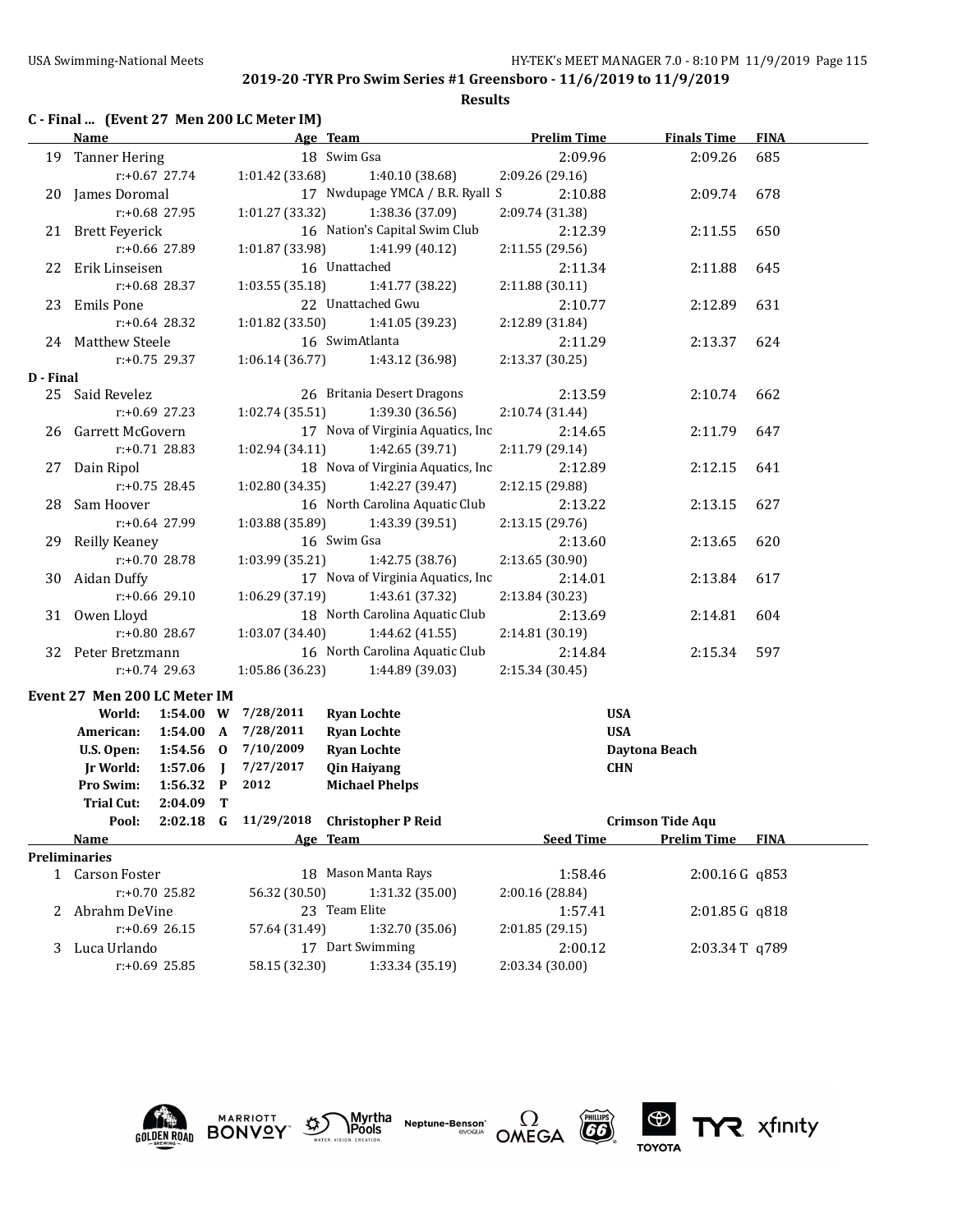**Results**

|  |  |  | C - Final  (Event 27 Men 200 LC Meter IM) |  |
|--|--|--|-------------------------------------------|--|
|--|--|--|-------------------------------------------|--|

|           | <b>Name</b>                  |                  |                |                 | Age Team                          | <b>Prelim Time</b> | <b>Finals Time</b>      | <b>FINA</b> |
|-----------|------------------------------|------------------|----------------|-----------------|-----------------------------------|--------------------|-------------------------|-------------|
|           | 19 Tanner Hering             |                  |                |                 | 18 Swim Gsa                       | 2:09.96            | 2:09.26                 | 685         |
|           |                              | $r: +0.67$ 27.74 |                | 1:01.42 (33.68) | 1:40.10 (38.68)                   | 2:09.26 (29.16)    |                         |             |
|           | 20 James Doromal             |                  |                |                 | 17 Nwdupage YMCA / B.R. Ryall S   | 2:10.88            | 2:09.74                 | 678         |
|           |                              | r:+0.68 27.95    |                | 1:01.27(33.32)  | 1:38.36 (37.09)                   | 2:09.74 (31.38)    |                         |             |
|           | 21 Brett Feyerick            |                  |                |                 | 16 Nation's Capital Swim Club     | 2:12.39            | 2:11.55                 | 650         |
|           |                              | r:+0.66 27.89    |                | 1:01.87 (33.98) | 1:41.99 (40.12)                   | 2:11.55 (29.56)    |                         |             |
|           | 22 Erik Linseisen            |                  |                |                 | 16 Unattached                     | 2:11.34            | 2:11.88                 | 645         |
|           |                              | $r: +0.68$ 28.37 |                | 1:03.55(35.18)  | 1:41.77 (38.22)                   | 2:11.88 (30.11)    |                         |             |
|           | 23 Emils Pone                |                  |                |                 | 22 Unattached Gwu                 | 2:10.77            | 2:12.89                 | 631         |
|           |                              | $r: +0.64$ 28.32 |                | 1:01.82(33.50)  | 1:41.05 (39.23)                   | 2:12.89 (31.84)    |                         |             |
|           | 24 Matthew Steele            |                  |                |                 | 16 SwimAtlanta                    | 2:11.29            | 2:13.37                 | 624         |
|           |                              | $r: +0.75$ 29.37 |                | 1:06.14(36.77)  | 1:43.12 (36.98)                   | 2:13.37 (30.25)    |                         |             |
| D - Final |                              |                  |                |                 |                                   |                    |                         |             |
|           | 25 Said Revelez              |                  |                |                 | 26 Britania Desert Dragons        | 2:13.59            | 2:10.74                 | 662         |
|           |                              | $r: +0.69$ 27.23 |                | 1:02.74(35.51)  | 1:39.30(36.56)                    | 2:10.74 (31.44)    |                         |             |
|           | 26 Garrett McGovern          |                  |                |                 | 17 Nova of Virginia Aquatics, Inc | 2:14.65            | 2:11.79                 | 647         |
|           |                              | $r: +0.71$ 28.83 |                | 1:02.94(34.11)  | 1:42.65 (39.71)                   | 2:11.79 (29.14)    |                         |             |
|           | 27 Dain Ripol                |                  |                |                 | 18 Nova of Virginia Aquatics, Inc | 2:12.89            | 2:12.15                 | 641         |
|           |                              | $r: +0.75$ 28.45 |                | 1:02.80(34.35)  | 1:42.27 (39.47)                   | 2:12.15 (29.88)    |                         |             |
| 28        | Sam Hoover                   |                  |                |                 | 16 North Carolina Aquatic Club    | 2:13.22            | 2:13.15                 | 627         |
|           |                              | $r: +0.64$ 27.99 |                | 1:03.88 (35.89) | 1:43.39 (39.51)                   | 2:13.15 (29.76)    |                         |             |
|           | 29 Reilly Keaney             |                  |                |                 | 16 Swim Gsa                       | 2:13.60            | 2:13.65                 | 620         |
|           |                              | $r: +0.70$ 28.78 |                | 1:03.99(35.21)  | 1:42.75 (38.76)                   | 2:13.65 (30.90)    |                         |             |
|           | 30 Aidan Duffy               |                  |                |                 | 17 Nova of Virginia Aquatics, Inc | 2:14.01            | 2:13.84                 | 617         |
|           |                              | $r: +0.66$ 29.10 |                | 1:06.29(37.19)  | 1:43.61 (37.32)                   | 2:13.84 (30.23)    |                         |             |
|           | 31 Owen Lloyd                |                  |                |                 | 18 North Carolina Aquatic Club    | 2:13.69            | 2:14.81                 | 604         |
|           |                              | $r: +0.80$ 28.67 |                | 1:03.07(34.40)  | 1:44.62 (41.55)                   | 2:14.81 (30.19)    |                         |             |
|           | 32 Peter Bretzmann           |                  |                |                 | 16 North Carolina Aquatic Club    | 2:14.84            | 2:15.34                 | 597         |
|           |                              | $r: +0.74$ 29.63 |                | 1:05.86 (36.23) | 1:44.89 (39.03)                   | 2:15.34 (30.45)    |                         |             |
|           | Event 27 Men 200 LC Meter IM |                  |                |                 |                                   |                    |                         |             |
|           | World:                       | 1:54.00 W        |                | 7/28/2011       | <b>Ryan Lochte</b>                |                    | <b>USA</b>              |             |
|           | American:                    | 1:54.00 A        |                | 7/28/2011       | <b>Ryan Lochte</b>                |                    | <b>USA</b>              |             |
|           | U.S. Open:                   | 1:54.56 0        |                | 7/10/2009       | <b>Ryan Lochte</b>                |                    | Daytona Beach           |             |
|           | Ir World:                    | 1:57.06          | $\blacksquare$ | 7/27/2017       | <b>Qin Haiyang</b>                |                    | <b>CHN</b>              |             |
|           | Pro Swim:                    | 1:56.32          | $\mathbf{P}$   | 2012            | <b>Michael Phelps</b>             |                    |                         |             |
|           | Trial Cut:                   | 2:04.09          | Т              |                 |                                   |                    |                         |             |
|           | Pool:                        | $2:02.18$ G      |                | 11/29/2018      | <b>Christopher P Reid</b>         |                    | <b>Crimson Tide Aqu</b> |             |
|           | <b>Name</b>                  |                  |                |                 | Age Team                          | <b>Seed Time</b>   | <b>Prelim Time</b>      | <b>FINA</b> |
|           | <b>Preliminaries</b>         |                  |                |                 |                                   |                    |                         |             |
|           | 1 Carson Foster              |                  |                |                 | 18 Mason Manta Rays               | 1:58.46            | 2:00.16G q853           |             |
|           |                              | $r: +0.70$ 25.82 |                | 56.32 (30.50)   | 1:31.32 (35.00)                   | 2:00.16 (28.84)    |                         |             |
|           | 2 Abrahm DeVine              |                  |                |                 | 23 Team Elite                     | 1:57.41            | 2:01.85 G q818          |             |
|           |                              | $r: +0.69$ 26.15 |                | 57.64 (31.49)   | 1:32.70 (35.06)                   | 2:01.85 (29.15)    |                         |             |
| 3         | Luca Urlando                 |                  |                |                 | 17 Dart Swimming                  | 2:00.12            | 2:03.34T q789           |             |
|           |                              | $r: +0.69$ 25.85 |                | 58.15 (32.30)   | 1:33.34 (35.19)                   | 2:03.34 (30.00)    |                         |             |





Myrtha<br>Pools **Neptune-Benson\***<br>evoqua





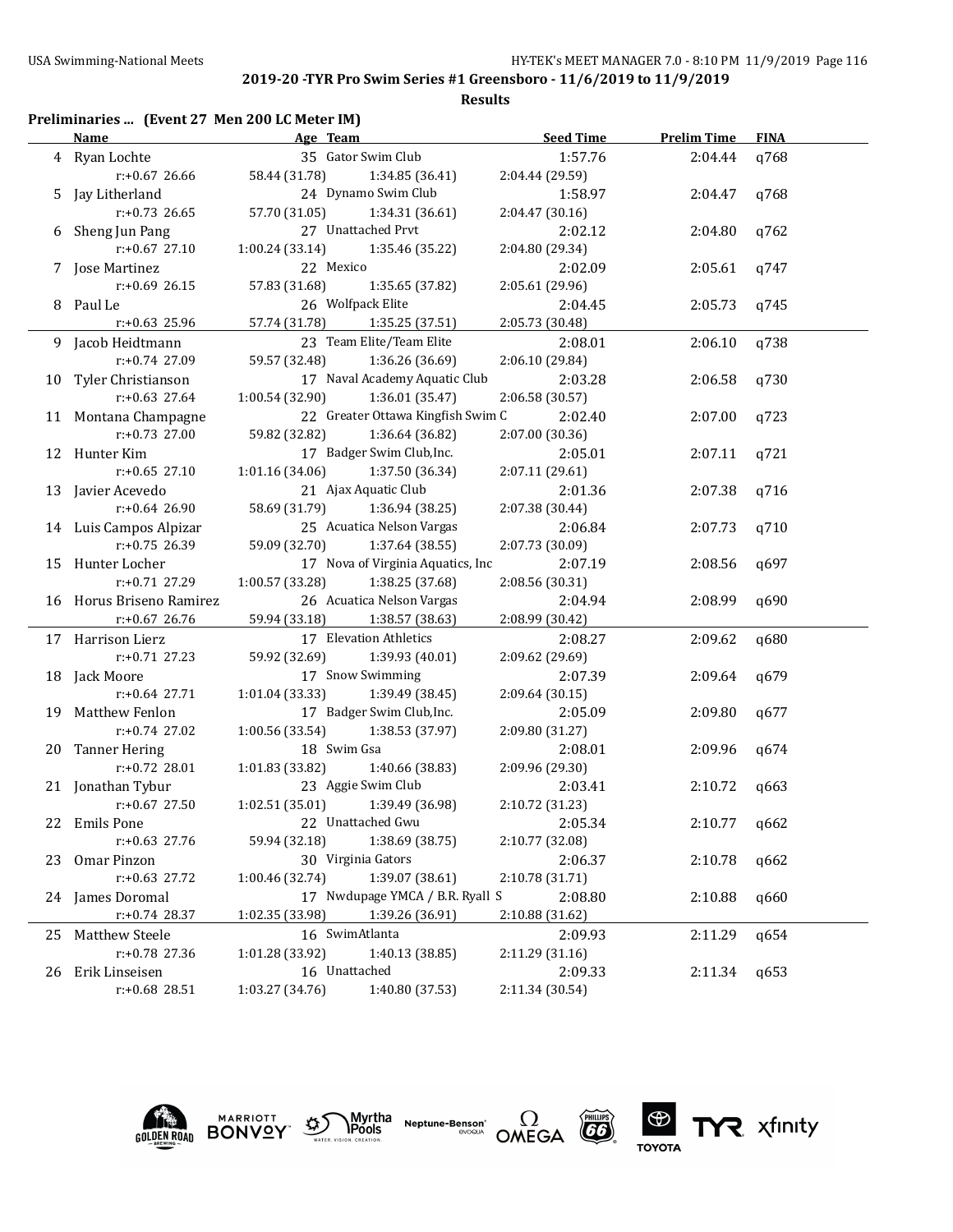| Preliminaries  (Event 27 Men 200 LC Meter IM) |  |  |  |
|-----------------------------------------------|--|--|--|
|-----------------------------------------------|--|--|--|

| 35 Gator Swim Club<br>1:57.76<br>4 Ryan Lochte<br>2:04.44<br>q768<br>58.44 (31.78)<br>$r: +0.67$ 26.66<br>1:34.85 (36.41)<br>2:04.44 (29.59)<br>24 Dynamo Swim Club<br>5 Jay Litherland<br>1:58.97<br>2:04.47<br>q768<br>57.70 (31.05)<br>$r: +0.73$ 26.65<br>1:34.31(36.61)<br>2:04.47 (30.16)<br>27 Unattached Prvt<br>2:02.12<br>6 Sheng Jun Pang<br>2:04.80<br>q762<br>$r: +0.67$ 27.10<br>1:00.24 (33.14)<br>1:35.46 (35.22)<br>2:04.80 (29.34)<br>7 Jose Martinez<br>22 Mexico<br>2:02.09<br>2:05.61<br>q747<br>$r: +0.69$ 26.15<br>57.83 (31.68)<br>1:35.65 (37.82)<br>2:05.61 (29.96)<br>26 Wolfpack Elite<br>8 Paul Le<br>2:04.45<br>2:05.73<br>q745<br>$r: +0.63$ 25.96<br>57.74 (31.78)<br>1:35.25 (37.51)<br>2:05.73 (30.48)<br>23 Team Elite/Team Elite<br>9 Jacob Heidtmann<br>2:08.01<br>2:06.10<br>q738<br>$r: +0.74$ 27.09<br>59.57 (32.48)<br>1:36.26 (36.69)<br>2:06.10 (29.84)<br>17 Naval Academy Aquatic Club<br>10 Tyler Christianson<br>2:03.28<br>2:06.58<br>q730<br>$r: +0.63$ 27.64<br>1:00.54 (32.90)<br>1:36.01 (35.47)<br>2:06.58 (30.57)<br>22 Greater Ottawa Kingfish Swim C<br>11 Montana Champagne<br>2:02.40<br>2:07.00<br>q723<br>r:+0.73 27.00<br>59.82 (32.82)<br>1:36.64 (36.82)<br>2:07.00 (30.36)<br>17 Badger Swim Club, Inc.<br>12 Hunter Kim<br>2:05.01<br>2:07.11<br>q721<br>$r: +0.65$ 27.10<br>1:01.16(34.06)<br>1:37.50 (36.34)<br>2:07.11 (29.61)<br>21 Ajax Aquatic Club<br>13 Javier Acevedo<br>2:01.36<br>2:07.38<br>q716<br>r:+0.64 26.90<br>58.69 (31.79)<br>2:07.38 (30.44)<br>1:36.94 (38.25)<br>25 Acuatica Nelson Vargas<br>14 Luis Campos Alpizar<br>2:06.84<br>2:07.73<br>q710<br>$r: +0.75$ 26.39<br>59.09 (32.70)<br>1:37.64 (38.55)<br>2:07.73 (30.09)<br>17 Nova of Virginia Aquatics, Inc<br>15 Hunter Locher<br>2:07.19<br>2:08.56<br>q697<br>$r: +0.71$ 27.29<br>1:00.57(33.28)<br>1:38.25 (37.68)<br>2:08.56 (30.31)<br>26 Acuatica Nelson Vargas<br>16 Horus Briseno Ramirez<br>2:04.94<br>2:08.99<br>q690<br>59.94 (33.18)<br>$r: +0.67$ 26.76<br>1:38.57 (38.63)<br>2:08.99 (30.42)<br>17 Elevation Athletics<br>17 Harrison Lierz<br>2:08.27<br>2:09.62<br>q680<br>$r: +0.71$ 27.23<br>59.92 (32.69)<br>1:39.93 (40.01)<br>2:09.62 (29.69)<br>17 Snow Swimming<br>18 Jack Moore<br>2:07.39<br>2:09.64<br>q679<br>$r: +0.64$ 27.71<br>1:01.04(33.33)<br>1:39.49 (38.45)<br>2:09.64 (30.15)<br>17 Badger Swim Club, Inc.<br>19 Matthew Fenlon<br>2:05.09<br>2:09.80<br>q677<br>1:00.56 (33.54)<br>1:38.53 (37.97)<br>$r: +0.74$ 27.02<br>2:09.80 (31.27)<br>18 Swim Gsa<br>20 Tanner Hering<br>2:08.01<br>2:09.96<br>q674<br>$r: +0.72$ 28.01<br>1:01.83 (33.82)<br>1:40.66 (38.83)<br>2:09.96 (29.30)<br>23 Aggie Swim Club<br>21 Jonathan Tybur<br>2:03.41<br>2:10.72<br>q663<br>$r: +0.67$ 27.50<br>1:02.51(35.01)<br>1:39.49 (36.98)<br>2:10.72 (31.23)<br>22 Unattached Gwu<br>2:05.34<br>22 Emils Pone<br>2:10.77<br>q662<br>$r: +0.63$ 27.76<br>59.94 (32.18)<br>1:38.69 (38.75)<br>2:10.77 (32.08)<br>30 Virginia Gators<br>Omar Pinzon<br>2:06.37<br>2:10.78<br>q662<br>23<br>r:+0.63 27.72<br>1:00.46 (32.74)<br>1:39.07 (38.61)<br>2:10.78 (31.71)<br>17 Nwdupage YMCA / B.R. Ryall S<br>24 James Doromal<br>2:08.80<br>2:10.88<br>q660<br>r:+0.74 28.37<br>1:02.35 (33.98)<br>1:39.26 (36.91)<br>2:10.88 (31.62)<br>16 SwimAtlanta<br>2:09.93<br>Matthew Steele<br>2:11.29<br>q654<br>25<br>r:+0.78 27.36<br>1:01.28 (33.92)<br>1:40.13 (38.85)<br>2:11.29 (31.16)<br>16 Unattached<br>Erik Linseisen<br>2:09.33<br>2:11.34<br>q653<br>26 | <b>Name</b>   |                 | Age Team and the state of the state of the state of the state of the state of the state of the state of the state of the state of the state of the state of the state of the state of the state of the state of the state of t | <b>Seed Time</b> | <b>Prelim Time</b> | <b>FINA</b> |
|-----------------------------------------------------------------------------------------------------------------------------------------------------------------------------------------------------------------------------------------------------------------------------------------------------------------------------------------------------------------------------------------------------------------------------------------------------------------------------------------------------------------------------------------------------------------------------------------------------------------------------------------------------------------------------------------------------------------------------------------------------------------------------------------------------------------------------------------------------------------------------------------------------------------------------------------------------------------------------------------------------------------------------------------------------------------------------------------------------------------------------------------------------------------------------------------------------------------------------------------------------------------------------------------------------------------------------------------------------------------------------------------------------------------------------------------------------------------------------------------------------------------------------------------------------------------------------------------------------------------------------------------------------------------------------------------------------------------------------------------------------------------------------------------------------------------------------------------------------------------------------------------------------------------------------------------------------------------------------------------------------------------------------------------------------------------------------------------------------------------------------------------------------------------------------------------------------------------------------------------------------------------------------------------------------------------------------------------------------------------------------------------------------------------------------------------------------------------------------------------------------------------------------------------------------------------------------------------------------------------------------------------------------------------------------------------------------------------------------------------------------------------------------------------------------------------------------------------------------------------------------------------------------------------------------------------------------------------------------------------------------------------------------------------------------------------------------------------------------------------------------------------------------------------------------------------------------------------------------------------------------------------------------------------------------------------------------------------------------------------------------------------------------------------------------------------------------------------------------------------------------------------------------|---------------|-----------------|--------------------------------------------------------------------------------------------------------------------------------------------------------------------------------------------------------------------------------|------------------|--------------------|-------------|
|                                                                                                                                                                                                                                                                                                                                                                                                                                                                                                                                                                                                                                                                                                                                                                                                                                                                                                                                                                                                                                                                                                                                                                                                                                                                                                                                                                                                                                                                                                                                                                                                                                                                                                                                                                                                                                                                                                                                                                                                                                                                                                                                                                                                                                                                                                                                                                                                                                                                                                                                                                                                                                                                                                                                                                                                                                                                                                                                                                                                                                                                                                                                                                                                                                                                                                                                                                                                                                                                                                                             |               |                 |                                                                                                                                                                                                                                |                  |                    |             |
|                                                                                                                                                                                                                                                                                                                                                                                                                                                                                                                                                                                                                                                                                                                                                                                                                                                                                                                                                                                                                                                                                                                                                                                                                                                                                                                                                                                                                                                                                                                                                                                                                                                                                                                                                                                                                                                                                                                                                                                                                                                                                                                                                                                                                                                                                                                                                                                                                                                                                                                                                                                                                                                                                                                                                                                                                                                                                                                                                                                                                                                                                                                                                                                                                                                                                                                                                                                                                                                                                                                             |               |                 |                                                                                                                                                                                                                                |                  |                    |             |
|                                                                                                                                                                                                                                                                                                                                                                                                                                                                                                                                                                                                                                                                                                                                                                                                                                                                                                                                                                                                                                                                                                                                                                                                                                                                                                                                                                                                                                                                                                                                                                                                                                                                                                                                                                                                                                                                                                                                                                                                                                                                                                                                                                                                                                                                                                                                                                                                                                                                                                                                                                                                                                                                                                                                                                                                                                                                                                                                                                                                                                                                                                                                                                                                                                                                                                                                                                                                                                                                                                                             |               |                 |                                                                                                                                                                                                                                |                  |                    |             |
|                                                                                                                                                                                                                                                                                                                                                                                                                                                                                                                                                                                                                                                                                                                                                                                                                                                                                                                                                                                                                                                                                                                                                                                                                                                                                                                                                                                                                                                                                                                                                                                                                                                                                                                                                                                                                                                                                                                                                                                                                                                                                                                                                                                                                                                                                                                                                                                                                                                                                                                                                                                                                                                                                                                                                                                                                                                                                                                                                                                                                                                                                                                                                                                                                                                                                                                                                                                                                                                                                                                             |               |                 |                                                                                                                                                                                                                                |                  |                    |             |
|                                                                                                                                                                                                                                                                                                                                                                                                                                                                                                                                                                                                                                                                                                                                                                                                                                                                                                                                                                                                                                                                                                                                                                                                                                                                                                                                                                                                                                                                                                                                                                                                                                                                                                                                                                                                                                                                                                                                                                                                                                                                                                                                                                                                                                                                                                                                                                                                                                                                                                                                                                                                                                                                                                                                                                                                                                                                                                                                                                                                                                                                                                                                                                                                                                                                                                                                                                                                                                                                                                                             |               |                 |                                                                                                                                                                                                                                |                  |                    |             |
|                                                                                                                                                                                                                                                                                                                                                                                                                                                                                                                                                                                                                                                                                                                                                                                                                                                                                                                                                                                                                                                                                                                                                                                                                                                                                                                                                                                                                                                                                                                                                                                                                                                                                                                                                                                                                                                                                                                                                                                                                                                                                                                                                                                                                                                                                                                                                                                                                                                                                                                                                                                                                                                                                                                                                                                                                                                                                                                                                                                                                                                                                                                                                                                                                                                                                                                                                                                                                                                                                                                             |               |                 |                                                                                                                                                                                                                                |                  |                    |             |
|                                                                                                                                                                                                                                                                                                                                                                                                                                                                                                                                                                                                                                                                                                                                                                                                                                                                                                                                                                                                                                                                                                                                                                                                                                                                                                                                                                                                                                                                                                                                                                                                                                                                                                                                                                                                                                                                                                                                                                                                                                                                                                                                                                                                                                                                                                                                                                                                                                                                                                                                                                                                                                                                                                                                                                                                                                                                                                                                                                                                                                                                                                                                                                                                                                                                                                                                                                                                                                                                                                                             |               |                 |                                                                                                                                                                                                                                |                  |                    |             |
|                                                                                                                                                                                                                                                                                                                                                                                                                                                                                                                                                                                                                                                                                                                                                                                                                                                                                                                                                                                                                                                                                                                                                                                                                                                                                                                                                                                                                                                                                                                                                                                                                                                                                                                                                                                                                                                                                                                                                                                                                                                                                                                                                                                                                                                                                                                                                                                                                                                                                                                                                                                                                                                                                                                                                                                                                                                                                                                                                                                                                                                                                                                                                                                                                                                                                                                                                                                                                                                                                                                             |               |                 |                                                                                                                                                                                                                                |                  |                    |             |
|                                                                                                                                                                                                                                                                                                                                                                                                                                                                                                                                                                                                                                                                                                                                                                                                                                                                                                                                                                                                                                                                                                                                                                                                                                                                                                                                                                                                                                                                                                                                                                                                                                                                                                                                                                                                                                                                                                                                                                                                                                                                                                                                                                                                                                                                                                                                                                                                                                                                                                                                                                                                                                                                                                                                                                                                                                                                                                                                                                                                                                                                                                                                                                                                                                                                                                                                                                                                                                                                                                                             |               |                 |                                                                                                                                                                                                                                |                  |                    |             |
|                                                                                                                                                                                                                                                                                                                                                                                                                                                                                                                                                                                                                                                                                                                                                                                                                                                                                                                                                                                                                                                                                                                                                                                                                                                                                                                                                                                                                                                                                                                                                                                                                                                                                                                                                                                                                                                                                                                                                                                                                                                                                                                                                                                                                                                                                                                                                                                                                                                                                                                                                                                                                                                                                                                                                                                                                                                                                                                                                                                                                                                                                                                                                                                                                                                                                                                                                                                                                                                                                                                             |               |                 |                                                                                                                                                                                                                                |                  |                    |             |
|                                                                                                                                                                                                                                                                                                                                                                                                                                                                                                                                                                                                                                                                                                                                                                                                                                                                                                                                                                                                                                                                                                                                                                                                                                                                                                                                                                                                                                                                                                                                                                                                                                                                                                                                                                                                                                                                                                                                                                                                                                                                                                                                                                                                                                                                                                                                                                                                                                                                                                                                                                                                                                                                                                                                                                                                                                                                                                                                                                                                                                                                                                                                                                                                                                                                                                                                                                                                                                                                                                                             |               |                 |                                                                                                                                                                                                                                |                  |                    |             |
|                                                                                                                                                                                                                                                                                                                                                                                                                                                                                                                                                                                                                                                                                                                                                                                                                                                                                                                                                                                                                                                                                                                                                                                                                                                                                                                                                                                                                                                                                                                                                                                                                                                                                                                                                                                                                                                                                                                                                                                                                                                                                                                                                                                                                                                                                                                                                                                                                                                                                                                                                                                                                                                                                                                                                                                                                                                                                                                                                                                                                                                                                                                                                                                                                                                                                                                                                                                                                                                                                                                             |               |                 |                                                                                                                                                                                                                                |                  |                    |             |
|                                                                                                                                                                                                                                                                                                                                                                                                                                                                                                                                                                                                                                                                                                                                                                                                                                                                                                                                                                                                                                                                                                                                                                                                                                                                                                                                                                                                                                                                                                                                                                                                                                                                                                                                                                                                                                                                                                                                                                                                                                                                                                                                                                                                                                                                                                                                                                                                                                                                                                                                                                                                                                                                                                                                                                                                                                                                                                                                                                                                                                                                                                                                                                                                                                                                                                                                                                                                                                                                                                                             |               |                 |                                                                                                                                                                                                                                |                  |                    |             |
|                                                                                                                                                                                                                                                                                                                                                                                                                                                                                                                                                                                                                                                                                                                                                                                                                                                                                                                                                                                                                                                                                                                                                                                                                                                                                                                                                                                                                                                                                                                                                                                                                                                                                                                                                                                                                                                                                                                                                                                                                                                                                                                                                                                                                                                                                                                                                                                                                                                                                                                                                                                                                                                                                                                                                                                                                                                                                                                                                                                                                                                                                                                                                                                                                                                                                                                                                                                                                                                                                                                             |               |                 |                                                                                                                                                                                                                                |                  |                    |             |
|                                                                                                                                                                                                                                                                                                                                                                                                                                                                                                                                                                                                                                                                                                                                                                                                                                                                                                                                                                                                                                                                                                                                                                                                                                                                                                                                                                                                                                                                                                                                                                                                                                                                                                                                                                                                                                                                                                                                                                                                                                                                                                                                                                                                                                                                                                                                                                                                                                                                                                                                                                                                                                                                                                                                                                                                                                                                                                                                                                                                                                                                                                                                                                                                                                                                                                                                                                                                                                                                                                                             |               |                 |                                                                                                                                                                                                                                |                  |                    |             |
|                                                                                                                                                                                                                                                                                                                                                                                                                                                                                                                                                                                                                                                                                                                                                                                                                                                                                                                                                                                                                                                                                                                                                                                                                                                                                                                                                                                                                                                                                                                                                                                                                                                                                                                                                                                                                                                                                                                                                                                                                                                                                                                                                                                                                                                                                                                                                                                                                                                                                                                                                                                                                                                                                                                                                                                                                                                                                                                                                                                                                                                                                                                                                                                                                                                                                                                                                                                                                                                                                                                             |               |                 |                                                                                                                                                                                                                                |                  |                    |             |
|                                                                                                                                                                                                                                                                                                                                                                                                                                                                                                                                                                                                                                                                                                                                                                                                                                                                                                                                                                                                                                                                                                                                                                                                                                                                                                                                                                                                                                                                                                                                                                                                                                                                                                                                                                                                                                                                                                                                                                                                                                                                                                                                                                                                                                                                                                                                                                                                                                                                                                                                                                                                                                                                                                                                                                                                                                                                                                                                                                                                                                                                                                                                                                                                                                                                                                                                                                                                                                                                                                                             |               |                 |                                                                                                                                                                                                                                |                  |                    |             |
|                                                                                                                                                                                                                                                                                                                                                                                                                                                                                                                                                                                                                                                                                                                                                                                                                                                                                                                                                                                                                                                                                                                                                                                                                                                                                                                                                                                                                                                                                                                                                                                                                                                                                                                                                                                                                                                                                                                                                                                                                                                                                                                                                                                                                                                                                                                                                                                                                                                                                                                                                                                                                                                                                                                                                                                                                                                                                                                                                                                                                                                                                                                                                                                                                                                                                                                                                                                                                                                                                                                             |               |                 |                                                                                                                                                                                                                                |                  |                    |             |
|                                                                                                                                                                                                                                                                                                                                                                                                                                                                                                                                                                                                                                                                                                                                                                                                                                                                                                                                                                                                                                                                                                                                                                                                                                                                                                                                                                                                                                                                                                                                                                                                                                                                                                                                                                                                                                                                                                                                                                                                                                                                                                                                                                                                                                                                                                                                                                                                                                                                                                                                                                                                                                                                                                                                                                                                                                                                                                                                                                                                                                                                                                                                                                                                                                                                                                                                                                                                                                                                                                                             |               |                 |                                                                                                                                                                                                                                |                  |                    |             |
|                                                                                                                                                                                                                                                                                                                                                                                                                                                                                                                                                                                                                                                                                                                                                                                                                                                                                                                                                                                                                                                                                                                                                                                                                                                                                                                                                                                                                                                                                                                                                                                                                                                                                                                                                                                                                                                                                                                                                                                                                                                                                                                                                                                                                                                                                                                                                                                                                                                                                                                                                                                                                                                                                                                                                                                                                                                                                                                                                                                                                                                                                                                                                                                                                                                                                                                                                                                                                                                                                                                             |               |                 |                                                                                                                                                                                                                                |                  |                    |             |
|                                                                                                                                                                                                                                                                                                                                                                                                                                                                                                                                                                                                                                                                                                                                                                                                                                                                                                                                                                                                                                                                                                                                                                                                                                                                                                                                                                                                                                                                                                                                                                                                                                                                                                                                                                                                                                                                                                                                                                                                                                                                                                                                                                                                                                                                                                                                                                                                                                                                                                                                                                                                                                                                                                                                                                                                                                                                                                                                                                                                                                                                                                                                                                                                                                                                                                                                                                                                                                                                                                                             |               |                 |                                                                                                                                                                                                                                |                  |                    |             |
|                                                                                                                                                                                                                                                                                                                                                                                                                                                                                                                                                                                                                                                                                                                                                                                                                                                                                                                                                                                                                                                                                                                                                                                                                                                                                                                                                                                                                                                                                                                                                                                                                                                                                                                                                                                                                                                                                                                                                                                                                                                                                                                                                                                                                                                                                                                                                                                                                                                                                                                                                                                                                                                                                                                                                                                                                                                                                                                                                                                                                                                                                                                                                                                                                                                                                                                                                                                                                                                                                                                             |               |                 |                                                                                                                                                                                                                                |                  |                    |             |
|                                                                                                                                                                                                                                                                                                                                                                                                                                                                                                                                                                                                                                                                                                                                                                                                                                                                                                                                                                                                                                                                                                                                                                                                                                                                                                                                                                                                                                                                                                                                                                                                                                                                                                                                                                                                                                                                                                                                                                                                                                                                                                                                                                                                                                                                                                                                                                                                                                                                                                                                                                                                                                                                                                                                                                                                                                                                                                                                                                                                                                                                                                                                                                                                                                                                                                                                                                                                                                                                                                                             |               |                 |                                                                                                                                                                                                                                |                  |                    |             |
|                                                                                                                                                                                                                                                                                                                                                                                                                                                                                                                                                                                                                                                                                                                                                                                                                                                                                                                                                                                                                                                                                                                                                                                                                                                                                                                                                                                                                                                                                                                                                                                                                                                                                                                                                                                                                                                                                                                                                                                                                                                                                                                                                                                                                                                                                                                                                                                                                                                                                                                                                                                                                                                                                                                                                                                                                                                                                                                                                                                                                                                                                                                                                                                                                                                                                                                                                                                                                                                                                                                             |               |                 |                                                                                                                                                                                                                                |                  |                    |             |
|                                                                                                                                                                                                                                                                                                                                                                                                                                                                                                                                                                                                                                                                                                                                                                                                                                                                                                                                                                                                                                                                                                                                                                                                                                                                                                                                                                                                                                                                                                                                                                                                                                                                                                                                                                                                                                                                                                                                                                                                                                                                                                                                                                                                                                                                                                                                                                                                                                                                                                                                                                                                                                                                                                                                                                                                                                                                                                                                                                                                                                                                                                                                                                                                                                                                                                                                                                                                                                                                                                                             |               |                 |                                                                                                                                                                                                                                |                  |                    |             |
|                                                                                                                                                                                                                                                                                                                                                                                                                                                                                                                                                                                                                                                                                                                                                                                                                                                                                                                                                                                                                                                                                                                                                                                                                                                                                                                                                                                                                                                                                                                                                                                                                                                                                                                                                                                                                                                                                                                                                                                                                                                                                                                                                                                                                                                                                                                                                                                                                                                                                                                                                                                                                                                                                                                                                                                                                                                                                                                                                                                                                                                                                                                                                                                                                                                                                                                                                                                                                                                                                                                             |               |                 |                                                                                                                                                                                                                                |                  |                    |             |
|                                                                                                                                                                                                                                                                                                                                                                                                                                                                                                                                                                                                                                                                                                                                                                                                                                                                                                                                                                                                                                                                                                                                                                                                                                                                                                                                                                                                                                                                                                                                                                                                                                                                                                                                                                                                                                                                                                                                                                                                                                                                                                                                                                                                                                                                                                                                                                                                                                                                                                                                                                                                                                                                                                                                                                                                                                                                                                                                                                                                                                                                                                                                                                                                                                                                                                                                                                                                                                                                                                                             |               |                 |                                                                                                                                                                                                                                |                  |                    |             |
|                                                                                                                                                                                                                                                                                                                                                                                                                                                                                                                                                                                                                                                                                                                                                                                                                                                                                                                                                                                                                                                                                                                                                                                                                                                                                                                                                                                                                                                                                                                                                                                                                                                                                                                                                                                                                                                                                                                                                                                                                                                                                                                                                                                                                                                                                                                                                                                                                                                                                                                                                                                                                                                                                                                                                                                                                                                                                                                                                                                                                                                                                                                                                                                                                                                                                                                                                                                                                                                                                                                             |               |                 |                                                                                                                                                                                                                                |                  |                    |             |
|                                                                                                                                                                                                                                                                                                                                                                                                                                                                                                                                                                                                                                                                                                                                                                                                                                                                                                                                                                                                                                                                                                                                                                                                                                                                                                                                                                                                                                                                                                                                                                                                                                                                                                                                                                                                                                                                                                                                                                                                                                                                                                                                                                                                                                                                                                                                                                                                                                                                                                                                                                                                                                                                                                                                                                                                                                                                                                                                                                                                                                                                                                                                                                                                                                                                                                                                                                                                                                                                                                                             |               |                 |                                                                                                                                                                                                                                |                  |                    |             |
|                                                                                                                                                                                                                                                                                                                                                                                                                                                                                                                                                                                                                                                                                                                                                                                                                                                                                                                                                                                                                                                                                                                                                                                                                                                                                                                                                                                                                                                                                                                                                                                                                                                                                                                                                                                                                                                                                                                                                                                                                                                                                                                                                                                                                                                                                                                                                                                                                                                                                                                                                                                                                                                                                                                                                                                                                                                                                                                                                                                                                                                                                                                                                                                                                                                                                                                                                                                                                                                                                                                             |               |                 |                                                                                                                                                                                                                                |                  |                    |             |
|                                                                                                                                                                                                                                                                                                                                                                                                                                                                                                                                                                                                                                                                                                                                                                                                                                                                                                                                                                                                                                                                                                                                                                                                                                                                                                                                                                                                                                                                                                                                                                                                                                                                                                                                                                                                                                                                                                                                                                                                                                                                                                                                                                                                                                                                                                                                                                                                                                                                                                                                                                                                                                                                                                                                                                                                                                                                                                                                                                                                                                                                                                                                                                                                                                                                                                                                                                                                                                                                                                                             |               |                 |                                                                                                                                                                                                                                |                  |                    |             |
|                                                                                                                                                                                                                                                                                                                                                                                                                                                                                                                                                                                                                                                                                                                                                                                                                                                                                                                                                                                                                                                                                                                                                                                                                                                                                                                                                                                                                                                                                                                                                                                                                                                                                                                                                                                                                                                                                                                                                                                                                                                                                                                                                                                                                                                                                                                                                                                                                                                                                                                                                                                                                                                                                                                                                                                                                                                                                                                                                                                                                                                                                                                                                                                                                                                                                                                                                                                                                                                                                                                             |               |                 |                                                                                                                                                                                                                                |                  |                    |             |
|                                                                                                                                                                                                                                                                                                                                                                                                                                                                                                                                                                                                                                                                                                                                                                                                                                                                                                                                                                                                                                                                                                                                                                                                                                                                                                                                                                                                                                                                                                                                                                                                                                                                                                                                                                                                                                                                                                                                                                                                                                                                                                                                                                                                                                                                                                                                                                                                                                                                                                                                                                                                                                                                                                                                                                                                                                                                                                                                                                                                                                                                                                                                                                                                                                                                                                                                                                                                                                                                                                                             |               |                 |                                                                                                                                                                                                                                |                  |                    |             |
|                                                                                                                                                                                                                                                                                                                                                                                                                                                                                                                                                                                                                                                                                                                                                                                                                                                                                                                                                                                                                                                                                                                                                                                                                                                                                                                                                                                                                                                                                                                                                                                                                                                                                                                                                                                                                                                                                                                                                                                                                                                                                                                                                                                                                                                                                                                                                                                                                                                                                                                                                                                                                                                                                                                                                                                                                                                                                                                                                                                                                                                                                                                                                                                                                                                                                                                                                                                                                                                                                                                             |               |                 |                                                                                                                                                                                                                                |                  |                    |             |
|                                                                                                                                                                                                                                                                                                                                                                                                                                                                                                                                                                                                                                                                                                                                                                                                                                                                                                                                                                                                                                                                                                                                                                                                                                                                                                                                                                                                                                                                                                                                                                                                                                                                                                                                                                                                                                                                                                                                                                                                                                                                                                                                                                                                                                                                                                                                                                                                                                                                                                                                                                                                                                                                                                                                                                                                                                                                                                                                                                                                                                                                                                                                                                                                                                                                                                                                                                                                                                                                                                                             |               |                 |                                                                                                                                                                                                                                |                  |                    |             |
|                                                                                                                                                                                                                                                                                                                                                                                                                                                                                                                                                                                                                                                                                                                                                                                                                                                                                                                                                                                                                                                                                                                                                                                                                                                                                                                                                                                                                                                                                                                                                                                                                                                                                                                                                                                                                                                                                                                                                                                                                                                                                                                                                                                                                                                                                                                                                                                                                                                                                                                                                                                                                                                                                                                                                                                                                                                                                                                                                                                                                                                                                                                                                                                                                                                                                                                                                                                                                                                                                                                             |               |                 |                                                                                                                                                                                                                                |                  |                    |             |
|                                                                                                                                                                                                                                                                                                                                                                                                                                                                                                                                                                                                                                                                                                                                                                                                                                                                                                                                                                                                                                                                                                                                                                                                                                                                                                                                                                                                                                                                                                                                                                                                                                                                                                                                                                                                                                                                                                                                                                                                                                                                                                                                                                                                                                                                                                                                                                                                                                                                                                                                                                                                                                                                                                                                                                                                                                                                                                                                                                                                                                                                                                                                                                                                                                                                                                                                                                                                                                                                                                                             |               |                 |                                                                                                                                                                                                                                |                  |                    |             |
|                                                                                                                                                                                                                                                                                                                                                                                                                                                                                                                                                                                                                                                                                                                                                                                                                                                                                                                                                                                                                                                                                                                                                                                                                                                                                                                                                                                                                                                                                                                                                                                                                                                                                                                                                                                                                                                                                                                                                                                                                                                                                                                                                                                                                                                                                                                                                                                                                                                                                                                                                                                                                                                                                                                                                                                                                                                                                                                                                                                                                                                                                                                                                                                                                                                                                                                                                                                                                                                                                                                             |               |                 |                                                                                                                                                                                                                                |                  |                    |             |
|                                                                                                                                                                                                                                                                                                                                                                                                                                                                                                                                                                                                                                                                                                                                                                                                                                                                                                                                                                                                                                                                                                                                                                                                                                                                                                                                                                                                                                                                                                                                                                                                                                                                                                                                                                                                                                                                                                                                                                                                                                                                                                                                                                                                                                                                                                                                                                                                                                                                                                                                                                                                                                                                                                                                                                                                                                                                                                                                                                                                                                                                                                                                                                                                                                                                                                                                                                                                                                                                                                                             |               |                 |                                                                                                                                                                                                                                |                  |                    |             |
|                                                                                                                                                                                                                                                                                                                                                                                                                                                                                                                                                                                                                                                                                                                                                                                                                                                                                                                                                                                                                                                                                                                                                                                                                                                                                                                                                                                                                                                                                                                                                                                                                                                                                                                                                                                                                                                                                                                                                                                                                                                                                                                                                                                                                                                                                                                                                                                                                                                                                                                                                                                                                                                                                                                                                                                                                                                                                                                                                                                                                                                                                                                                                                                                                                                                                                                                                                                                                                                                                                                             |               |                 |                                                                                                                                                                                                                                |                  |                    |             |
|                                                                                                                                                                                                                                                                                                                                                                                                                                                                                                                                                                                                                                                                                                                                                                                                                                                                                                                                                                                                                                                                                                                                                                                                                                                                                                                                                                                                                                                                                                                                                                                                                                                                                                                                                                                                                                                                                                                                                                                                                                                                                                                                                                                                                                                                                                                                                                                                                                                                                                                                                                                                                                                                                                                                                                                                                                                                                                                                                                                                                                                                                                                                                                                                                                                                                                                                                                                                                                                                                                                             |               |                 |                                                                                                                                                                                                                                |                  |                    |             |
|                                                                                                                                                                                                                                                                                                                                                                                                                                                                                                                                                                                                                                                                                                                                                                                                                                                                                                                                                                                                                                                                                                                                                                                                                                                                                                                                                                                                                                                                                                                                                                                                                                                                                                                                                                                                                                                                                                                                                                                                                                                                                                                                                                                                                                                                                                                                                                                                                                                                                                                                                                                                                                                                                                                                                                                                                                                                                                                                                                                                                                                                                                                                                                                                                                                                                                                                                                                                                                                                                                                             |               |                 |                                                                                                                                                                                                                                |                  |                    |             |
|                                                                                                                                                                                                                                                                                                                                                                                                                                                                                                                                                                                                                                                                                                                                                                                                                                                                                                                                                                                                                                                                                                                                                                                                                                                                                                                                                                                                                                                                                                                                                                                                                                                                                                                                                                                                                                                                                                                                                                                                                                                                                                                                                                                                                                                                                                                                                                                                                                                                                                                                                                                                                                                                                                                                                                                                                                                                                                                                                                                                                                                                                                                                                                                                                                                                                                                                                                                                                                                                                                                             |               |                 |                                                                                                                                                                                                                                |                  |                    |             |
|                                                                                                                                                                                                                                                                                                                                                                                                                                                                                                                                                                                                                                                                                                                                                                                                                                                                                                                                                                                                                                                                                                                                                                                                                                                                                                                                                                                                                                                                                                                                                                                                                                                                                                                                                                                                                                                                                                                                                                                                                                                                                                                                                                                                                                                                                                                                                                                                                                                                                                                                                                                                                                                                                                                                                                                                                                                                                                                                                                                                                                                                                                                                                                                                                                                                                                                                                                                                                                                                                                                             |               |                 |                                                                                                                                                                                                                                |                  |                    |             |
|                                                                                                                                                                                                                                                                                                                                                                                                                                                                                                                                                                                                                                                                                                                                                                                                                                                                                                                                                                                                                                                                                                                                                                                                                                                                                                                                                                                                                                                                                                                                                                                                                                                                                                                                                                                                                                                                                                                                                                                                                                                                                                                                                                                                                                                                                                                                                                                                                                                                                                                                                                                                                                                                                                                                                                                                                                                                                                                                                                                                                                                                                                                                                                                                                                                                                                                                                                                                                                                                                                                             | r:+0.68 28.51 | 1:03.27 (34.76) | 1:40.80 (37.53)                                                                                                                                                                                                                | 2:11.34 (30.54)  |                    |             |









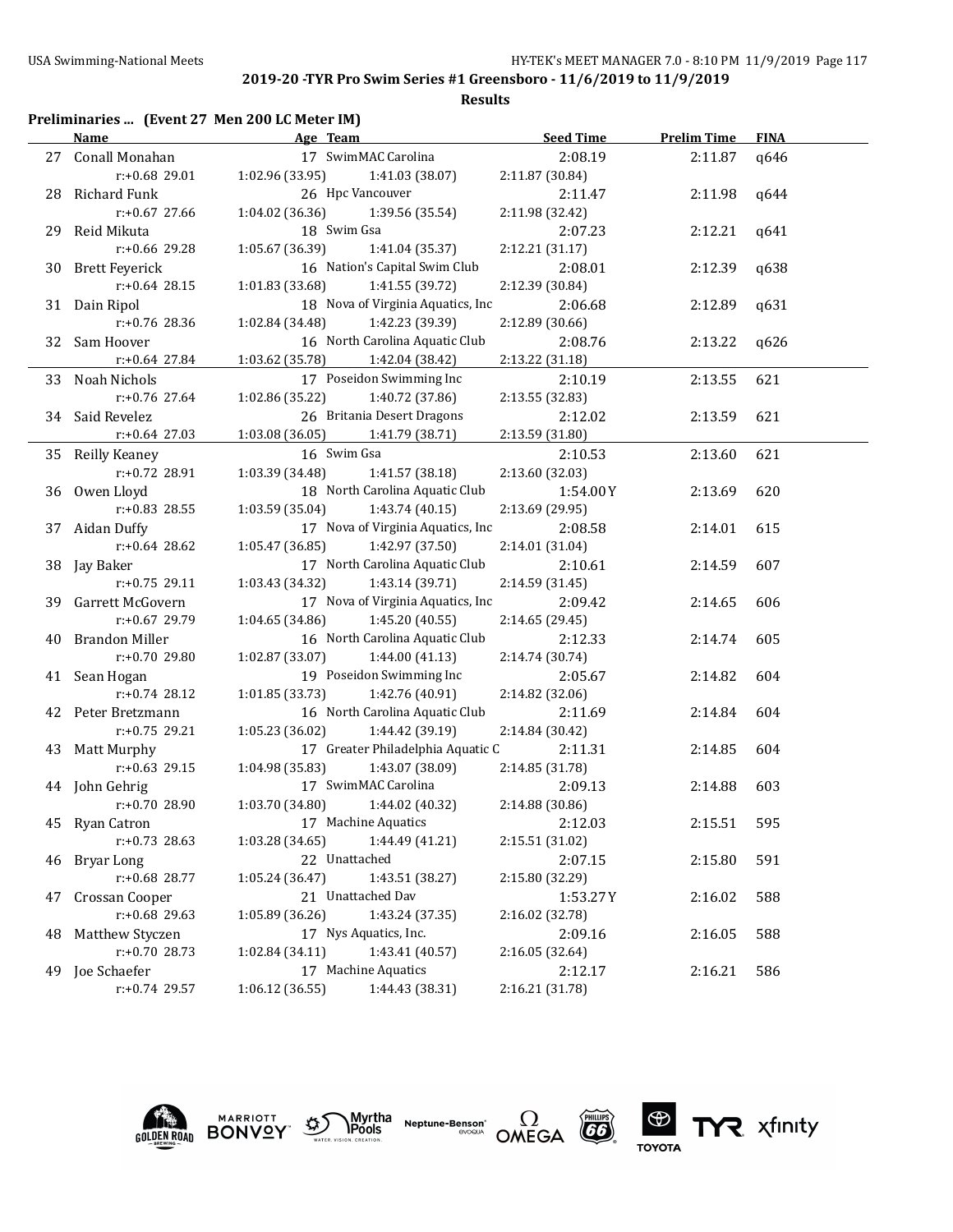|    | <b>USA Swimming-National Meets</b>            |                                   |                                   | HY-TEK's MEET MANAGER 7.0 - 8:10 PM 11/9/2019 Page 117               |                    |             |  |
|----|-----------------------------------------------|-----------------------------------|-----------------------------------|----------------------------------------------------------------------|--------------------|-------------|--|
|    |                                               |                                   |                                   | 2019-20 - TYR Pro Swim Series #1 Greensboro - 11/6/2019 to 11/9/2019 |                    |             |  |
|    |                                               |                                   | <b>Results</b>                    |                                                                      |                    |             |  |
|    | Preliminaries  (Event 27 Men 200 LC Meter IM) |                                   |                                   |                                                                      |                    |             |  |
|    | Name                                          | Age Team                          |                                   | <b>Seed Time</b>                                                     | <b>Prelim Time</b> | <b>FINA</b> |  |
|    | 27 Conall Monahan                             | 17 SwimMAC Carolina               |                                   | 2:08.19                                                              | 2:11.87            | q646        |  |
|    | r:+0.68 29.01                                 | 1:02.96 (33.95)                   | 1:41.03 (38.07)                   | 2:11.87 (30.84)                                                      |                    |             |  |
|    | 28 Richard Funk                               | 26 Hpc Vancouver                  |                                   | 2:11.47                                                              | 2:11.98            | q644        |  |
|    | r:+0.67 27.66                                 | 1:04.02 (36.36)                   | 1:39.56 (35.54)                   | 2:11.98 (32.42)                                                      |                    |             |  |
|    | 29 Reid Mikuta                                | 18 Swim Gsa                       |                                   | 2:07.23                                                              | 2:12.21            | q641        |  |
|    | r:+0.66 29.28                                 | 1:05.67 (36.39)                   | 1:41.04 (35.37)                   | 2:12.21 (31.17)                                                      |                    |             |  |
|    | 30 Brett Feyerick                             |                                   | 16 Nation's Capital Swim Club     | 2:08.01                                                              | 2:12.39            | q638        |  |
|    | $r: +0.64$ 28.15                              | 1:01.83 (33.68)                   | 1:41.55 (39.72)                   | 2:12.39 (30.84)                                                      |                    |             |  |
|    | 31 Dain Ripol                                 |                                   | 18 Nova of Virginia Aquatics, Inc | 2:06.68                                                              | 2:12.89            | q631        |  |
|    | r:+0.76 28.36                                 | 1:02.84 (34.48)                   | 1:42.23 (39.39)                   | 2:12.89 (30.66)                                                      |                    |             |  |
|    | 32 Sam Hoover                                 |                                   | 16 North Carolina Aquatic Club    | 2:08.76                                                              | 2:13.22            | q626        |  |
|    | r:+0.64 27.84                                 | 1:03.62 (35.78)                   | 1:42.04 (38.42)                   | 2:13.22 (31.18)                                                      |                    |             |  |
|    | 33 Noah Nichols                               |                                   | 17 Poseidon Swimming Inc          | 2:10.19                                                              | 2:13.55            | 621         |  |
|    | r:+0.76 27.64                                 | 1:02.86 (35.22)                   | 1:40.72 (37.86)                   | 2:13.55 (32.83)                                                      |                    |             |  |
|    | 34 Said Revelez                               |                                   | 26 Britania Desert Dragons        | 2:12.02                                                              | 2:13.59            | 621         |  |
|    | $r: +0.64$ 27.03                              | 1:03.08(36.05)                    | 1:41.79 (38.71)                   | 2:13.59 (31.80)                                                      |                    |             |  |
|    | 35 Reilly Keaney                              | 16 Swim Gsa                       |                                   | 2:10.53                                                              | 2:13.60            | 621         |  |
|    | r:+0.72 28.91                                 | 1:03.39 (34.48)                   | 1:41.57 (38.18)                   | 2:13.60 (32.03)                                                      |                    |             |  |
|    | 36 Owen Lloyd                                 |                                   | 18 North Carolina Aquatic Club    | 1:54.00Y                                                             | 2:13.69            | 620         |  |
|    | r:+0.83 28.55                                 | 1:03.59 (35.04)                   | 1:43.74(40.15)                    | 2:13.69 (29.95)                                                      |                    |             |  |
|    | 37 Aidan Duffy                                |                                   | 17 Nova of Virginia Aquatics, Inc | 2:08.58                                                              | 2:14.01            | 615         |  |
|    | $r: +0.64$ 28.62                              | 1:05.47(36.85)                    | 1:42.97 (37.50)                   | 2:14.01 (31.04)                                                      |                    |             |  |
|    | 38 Jay Baker                                  |                                   | 17 North Carolina Aquatic Club    | 2:10.61                                                              | 2:14.59            | 607         |  |
|    | $r: +0.75$ 29.11                              | 1:03.43 (34.32)                   | 1:43.14 (39.71)                   | 2:14.59 (31.45)                                                      |                    |             |  |
|    | 39 Garrett McGovern                           |                                   | 17 Nova of Virginia Aquatics, Inc | 2:09.42                                                              | 2:14.65            | 606         |  |
|    | $r: +0.67$ 29.79                              | 1:04.65(34.86)                    | 1:45.20 (40.55)                   | 2:14.65 (29.45)                                                      |                    |             |  |
|    | 40 Brandon Miller                             |                                   | 16 North Carolina Aquatic Club    | 2:12.33                                                              | 2:14.74            | 605         |  |
|    | r:+0.70 29.80                                 | 1:02.87 (33.07)                   | 1:44.00 (41.13)                   | 2:14.74 (30.74)                                                      |                    |             |  |
|    | 41 Sean Hogan                                 |                                   | 19 Poseidon Swimming Inc          | 2:05.67                                                              | 2:14.82            | 604         |  |
|    | $r: +0.74$ 28.12                              | 1:01.85(33.73)                    | 1:42.76 (40.91)                   | 2:14.82 (32.06)                                                      |                    |             |  |
|    | 42 Peter Bretzmann                            |                                   | 16 North Carolina Aquatic Club    | 2:11.69                                                              | 2:14.84            | 604         |  |
|    | $r: +0.75$ 29.21                              | 1:05.23(36.02)                    | 1:44.42 (39.19)                   | 2:14.84 (30.42)                                                      |                    |             |  |
|    | 43 Matt Murphy                                |                                   | 17 Greater Philadelphia Aquatic C | 2:11.31                                                              | 2:14.85            | 604         |  |
|    | $r: +0.63$ 29.15                              | 1:04.98(35.83)                    | 1:43.07 (38.09)                   | 2:14.85 (31.78)                                                      |                    |             |  |
|    | 44 John Gehrig                                | 17 SwimMAC Carolina               |                                   | 2:09.13                                                              | 2:14.88            | 603         |  |
|    | r:+0.70 28.90                                 | 1:03.70 (34.80)                   | 1:44.02 (40.32)                   | 2:14.88 (30.86)                                                      |                    |             |  |
| 45 | <b>Ryan Catron</b>                            | 17 Machine Aquatics               |                                   | 2:12.03                                                              | 2:15.51            | 595         |  |
|    | $r: +0.73$ 28.63                              | 1:03.28 (34.65)                   | 1:44.49 (41.21)                   | 2:15.51 (31.02)                                                      |                    |             |  |
| 46 | Bryar Long                                    | 22 Unattached                     |                                   | 2:07.15                                                              | 2:15.80            | 591         |  |
|    | r:+0.68 28.77                                 | 1:05.24 (36.47)                   | 1:43.51 (38.27)                   | 2:15.80 (32.29)                                                      |                    |             |  |
| 47 | Crossan Cooper                                | 21 Unattached Dav                 |                                   | 1:53.27Y                                                             | 2:16.02            | 588         |  |
|    | r:+0.68 29.63                                 | 1:05.89 (36.26)                   | 1:43.24 (37.35)                   | 2:16.02 (32.78)                                                      |                    |             |  |
| 48 | Matthew Styczen                               | 17 Nys Aquatics, Inc.             |                                   | 2:09.16                                                              | 2:16.05            | 588         |  |
|    | r:+0.70 28.73                                 | $1:02.84(34.11)$ $1:43.41(40.57)$ |                                   | 2:16.05 (32.64)                                                      |                    |             |  |

49 Joe Schaefer 17 Machine Aquatics 2:12.17 2:16.21 586 r:+0.74 29.57 1:06.12 (36.55) 1:44.43 (38.31) 2:16.21 (31.78)









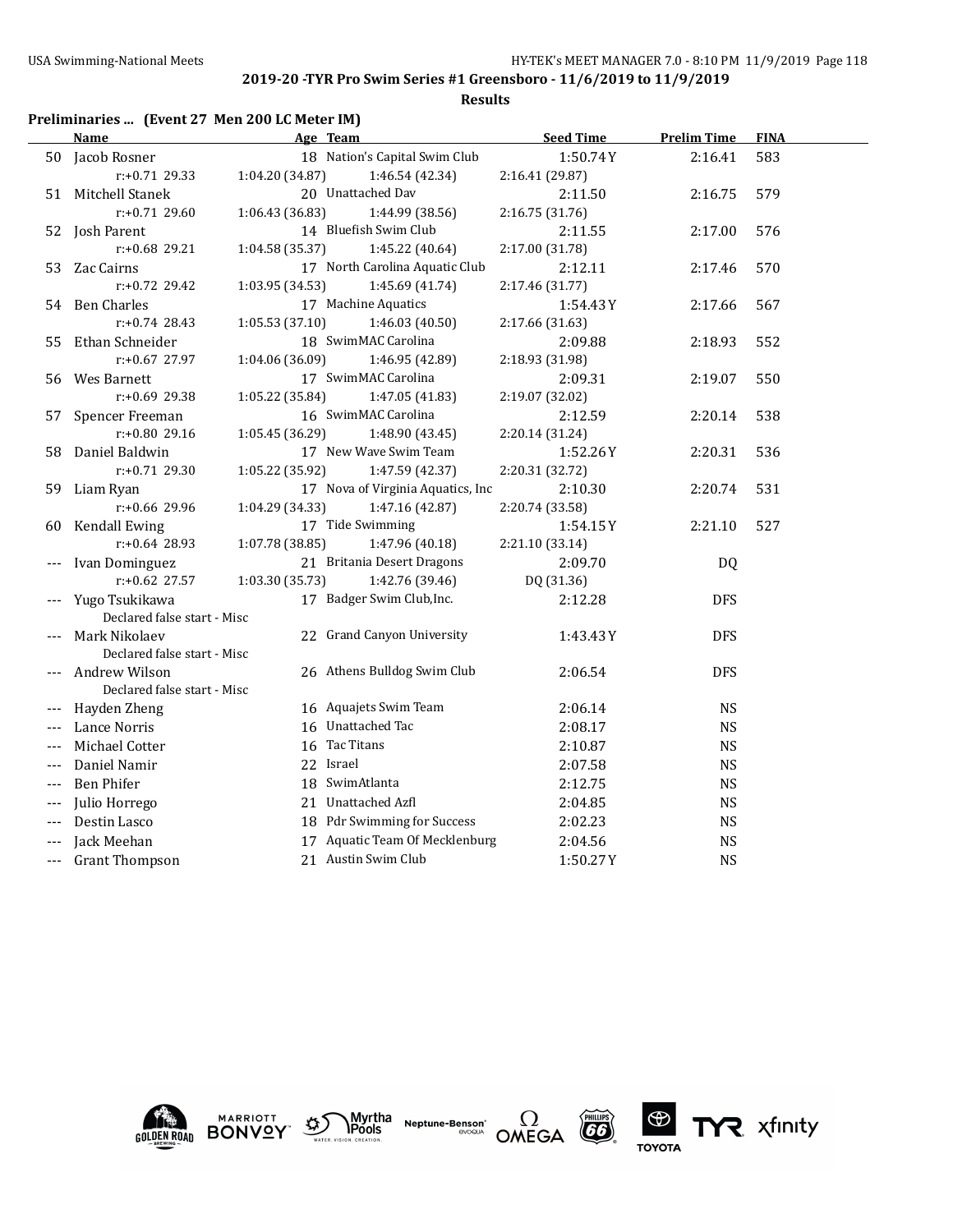$\overline{a}$ 

### **2019-20 -TYR Pro Swim Series #1 Greensboro - 11/6/2019 to 11/9/2019**

**Results**

# **Preliminaries ... (Event 27 Men 200 LC Meter IM)**

|       | <u>Name</u>                 |                 | Age Team                          | <b>Seed Time</b> | <b>Prelim Time</b> | <b>FINA</b> |  |
|-------|-----------------------------|-----------------|-----------------------------------|------------------|--------------------|-------------|--|
|       | 50 Jacob Rosner             |                 | 18 Nation's Capital Swim Club     | 1:50.74Y         | 2:16.41            | 583         |  |
|       | $r: +0.71$ 29.33            | 1:04.20 (34.87) | 1:46.54 (42.34)                   | 2:16.41 (29.87)  |                    |             |  |
| 51    | Mitchell Stanek             |                 | 20 Unattached Dav                 | 2:11.50          | 2:16.75            | 579         |  |
|       | $r: +0.71$ 29.60            | 1:06.43 (36.83) | 1:44.99 (38.56)                   | 2:16.75 (31.76)  |                    |             |  |
| 52    | Josh Parent                 |                 | 14 Bluefish Swim Club             | 2:11.55          | 2:17.00            | 576         |  |
|       | r:+0.68 29.21               | 1:04.58 (35.37) | 1:45.22 (40.64)                   | 2:17.00 (31.78)  |                    |             |  |
| 53    | Zac Cairns                  |                 | 17 North Carolina Aquatic Club    | 2:12.11          | 2:17.46            | 570         |  |
|       | $r: +0.72$ 29.42            | 1:03.95 (34.53) | 1:45.69 (41.74)                   | 2:17.46 (31.77)  |                    |             |  |
| 54    | Ben Charles                 |                 | 17 Machine Aquatics               | 1:54.43Y         | 2:17.66            | 567         |  |
|       | $r: +0.74$ 28.43            | 1:05.53 (37.10) | 1:46.03(40.50)                    | 2:17.66 (31.63)  |                    |             |  |
| 55    | Ethan Schneider             |                 | 18 SwimMAC Carolina               | 2:09.88          | 2:18.93            | 552         |  |
|       | r:+0.67 27.97               | 1:04.06 (36.09) | 1:46.95 (42.89)                   | 2:18.93 (31.98)  |                    |             |  |
| 56    | Wes Barnett                 |                 | 17 SwimMAC Carolina               | 2:09.31          | 2:19.07            | 550         |  |
|       | $r: +0.69$ 29.38            | 1:05.22 (35.84) | 1:47.05 (41.83)                   | 2:19.07 (32.02)  |                    |             |  |
| 57    | Spencer Freeman             |                 | 16 SwimMAC Carolina               | 2:12.59          | 2:20.14            | 538         |  |
|       | r:+0.80 29.16               | 1:05.45(36.29)  | 1:48.90 (43.45)                   | 2:20.14 (31.24)  |                    |             |  |
| 58    | Daniel Baldwin              |                 | 17 New Wave Swim Team             | 1:52.26Y         | 2:20.31            | 536         |  |
|       | $r: +0.71$ 29.30            | 1:05.22 (35.92) | 1:47.59 (42.37)                   | 2:20.31 (32.72)  |                    |             |  |
| 59    | Liam Ryan                   |                 | 17 Nova of Virginia Aquatics, Inc | 2:10.30          | 2:20.74            | 531         |  |
|       | r:+0.66 29.96               | 1:04.29 (34.33) | 1:47.16 (42.87)                   | 2:20.74 (33.58)  |                    |             |  |
| 60    | Kendall Ewing               |                 | 17 Tide Swimming                  | 1:54.15Y         | 2:21.10            | 527         |  |
|       | $r: +0.64$ 28.93            | 1:07.78 (38.85) | 1:47.96 (40.18)                   | 2:21.10 (33.14)  |                    |             |  |
|       | Ivan Dominguez              |                 | 21 Britania Desert Dragons        | 2:09.70          | DQ                 |             |  |
|       | $r: +0.62$ 27.57            | 1:03.30 (35.73) | 1:42.76 (39.46)                   | DQ (31.36)       |                    |             |  |
|       | Yugo Tsukikawa              |                 | 17 Badger Swim Club, Inc.         | 2:12.28          | <b>DFS</b>         |             |  |
|       | Declared false start - Misc |                 |                                   |                  |                    |             |  |
|       | Mark Nikolaev               |                 | 22 Grand Canyon University        | 1:43.43Y         | <b>DFS</b>         |             |  |
|       | Declared false start - Misc |                 |                                   |                  |                    |             |  |
|       | Andrew Wilson               |                 | 26 Athens Bulldog Swim Club       | 2:06.54          | <b>DFS</b>         |             |  |
|       | Declared false start - Misc |                 |                                   |                  |                    |             |  |
|       | Hayden Zheng                |                 | 16 Aquajets Swim Team             | 2:06.14          | <b>NS</b>          |             |  |
|       | Lance Norris                |                 | 16 Unattached Tac                 | 2:08.17          | <b>NS</b>          |             |  |
|       | Michael Cotter              |                 | 16 Tac Titans                     | 2:10.87          | <b>NS</b>          |             |  |
|       | Daniel Namir                |                 | 22 Israel                         | 2:07.58          | <b>NS</b>          |             |  |
| $---$ | <b>Ben Phifer</b>           |                 | 18 SwimAtlanta                    | 2:12.75          | <b>NS</b>          |             |  |
| $---$ | Julio Horrego               |                 | 21 Unattached Azfl                | 2:04.85          | <b>NS</b>          |             |  |
|       | Destin Lasco                |                 | 18 Pdr Swimming for Success       | 2:02.23          | <b>NS</b>          |             |  |
|       | Jack Meehan                 |                 | 17 Aquatic Team Of Mecklenburg    | 2:04.56          | <b>NS</b>          |             |  |
| ---   | <b>Grant Thompson</b>       |                 | 21 Austin Swim Club               | 1:50.27Y         | <b>NS</b>          |             |  |
|       |                             |                 |                                   |                  |                    |             |  |





Myrtha<br>Pools **Neptune-Benson\***<br>evoqua





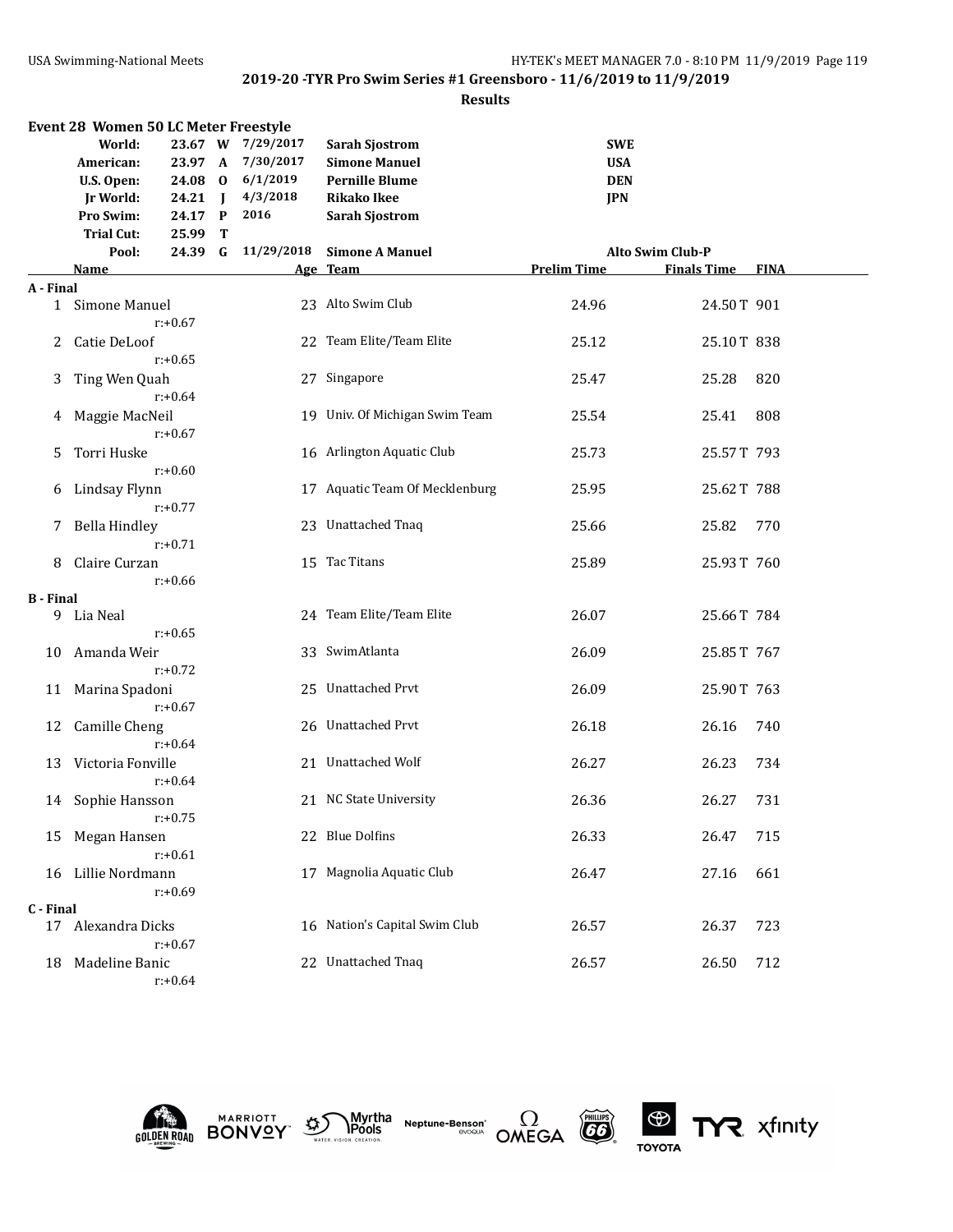#### **Results**

| Event 28 Women 50 LC Meter Freestyle |                      |            |   |                   |                                |                    |                         |             |  |
|--------------------------------------|----------------------|------------|---|-------------------|--------------------------------|--------------------|-------------------------|-------------|--|
|                                      | World:               |            |   | 23.67 W 7/29/2017 | <b>Sarah Sjostrom</b>          | <b>SWE</b>         |                         |             |  |
|                                      | American:            |            |   | 23.97 A 7/30/2017 | <b>Simone Manuel</b>           | <b>USA</b>         |                         |             |  |
|                                      | U.S. Open:           |            |   | 24.08 0 6/1/2019  | <b>Pernille Blume</b>          | <b>DEN</b>         |                         |             |  |
|                                      | Jr World:            | 24.21 J    |   | 4/3/2018          | <b>Rikako Ikee</b>             | <b>JPN</b>         |                         |             |  |
|                                      | Pro Swim:            | 24.17 P    |   | 2016              | <b>Sarah Sjostrom</b>          |                    |                         |             |  |
|                                      | <b>Trial Cut:</b>    | 25.99      | T |                   |                                |                    |                         |             |  |
|                                      | Pool:                | 24.39      | G | 11/29/2018        | <b>Simone A Manuel</b>         |                    | <b>Alto Swim Club-P</b> |             |  |
|                                      | <u>Name</u>          |            |   |                   | Age Team                       | <b>Prelim Time</b> | <b>Finals Time</b>      | <b>FINA</b> |  |
| A - Final                            |                      |            |   |                   |                                |                    |                         |             |  |
|                                      | 1 Simone Manuel      |            |   |                   | 23 Alto Swim Club              | 24.96              | 24.50T 901              |             |  |
|                                      |                      | $r: +0.67$ |   |                   |                                |                    |                         |             |  |
|                                      |                      |            |   |                   | 22 Team Elite/Team Elite       | 25.12              | 25.10T 838              |             |  |
| 2                                    | Catie DeLoof         |            |   |                   |                                |                    |                         |             |  |
|                                      |                      | $r: +0.65$ |   |                   |                                |                    |                         |             |  |
| 3                                    | Ting Wen Quah        |            |   |                   | 27 Singapore                   | 25.47              | 25.28                   | 820         |  |
|                                      |                      | $r: +0.64$ |   |                   |                                |                    |                         |             |  |
| 4                                    | Maggie MacNeil       |            |   |                   | 19 Univ. Of Michigan Swim Team | 25.54              | 25.41                   | 808         |  |
|                                      |                      | $r: +0.67$ |   |                   |                                |                    |                         |             |  |
| 5.                                   | Torri Huske          |            |   |                   | 16 Arlington Aquatic Club      | 25.73              | 25.57T 793              |             |  |
|                                      |                      | $r: +0.60$ |   |                   |                                |                    |                         |             |  |
| 6                                    | Lindsay Flynn        |            |   |                   | 17 Aquatic Team Of Mecklenburg | 25.95              | 25.62T 788              |             |  |
|                                      |                      | $r: +0.77$ |   |                   |                                |                    |                         |             |  |
| 7.                                   | <b>Bella Hindley</b> |            |   |                   | 23 Unattached Tnaq             | 25.66              | 25.82                   | 770         |  |
|                                      |                      | $r: +0.71$ |   |                   |                                |                    |                         |             |  |
|                                      | Claire Curzan        |            |   |                   | 15 Tac Titans                  | 25.89              | 25.93T 760              |             |  |
|                                      |                      | $r: +0.66$ |   |                   |                                |                    |                         |             |  |
| <b>B</b> - Final                     |                      |            |   |                   |                                |                    |                         |             |  |
|                                      | 9 Lia Neal           |            |   |                   | 24 Team Elite/Team Elite       | 26.07              | 25.66T 784              |             |  |
|                                      |                      | $r: +0.65$ |   |                   |                                |                    |                         |             |  |
| 10                                   | Amanda Weir          |            |   |                   | 33 SwimAtlanta                 | 26.09              | 25.85T 767              |             |  |
|                                      |                      | $r: +0.72$ |   |                   |                                |                    |                         |             |  |
| 11                                   | Marina Spadoni       |            |   |                   | 25 Unattached Prvt             | 26.09              | 25.90T 763              |             |  |
|                                      |                      | $r: +0.67$ |   |                   |                                |                    |                         |             |  |
| 12                                   | Camille Cheng        |            |   |                   | 26 Unattached Prvt             | 26.18              | 26.16                   | 740         |  |
|                                      |                      | $r: +0.64$ |   |                   |                                |                    |                         |             |  |
| 13                                   | Victoria Fonville    |            |   |                   | 21 Unattached Wolf             | 26.27              | 26.23                   | 734         |  |
|                                      |                      | $r: +0.64$ |   |                   |                                |                    |                         |             |  |
|                                      | 14 Sophie Hansson    |            |   |                   | 21 NC State University         | 26.36              | 26.27                   | 731         |  |
|                                      |                      | r:+0.75    |   |                   |                                |                    |                         |             |  |
|                                      | 15 Megan Hansen      |            |   |                   | 22 Blue Dolfins                | 26.33              | 26.47                   | 715         |  |
|                                      |                      | $r: +0.61$ |   |                   |                                |                    |                         |             |  |
| 16                                   | Lillie Nordmann      |            |   |                   | 17 Magnolia Aquatic Club       | 26.47              | 27.16                   | 661         |  |
|                                      |                      | $r: +0.69$ |   |                   |                                |                    |                         |             |  |
| C - Final                            |                      |            |   |                   |                                |                    |                         |             |  |
|                                      | 17 Alexandra Dicks   |            |   |                   | 16 Nation's Capital Swim Club  | 26.57              | 26.37                   | 723         |  |
|                                      |                      | $r: +0.67$ |   |                   |                                |                    |                         |             |  |
| 18                                   | Madeline Banic       |            |   |                   | 22 Unattached Tnaq             | 26.57              | 26.50                   | 712         |  |
|                                      |                      |            |   |                   |                                |                    |                         |             |  |











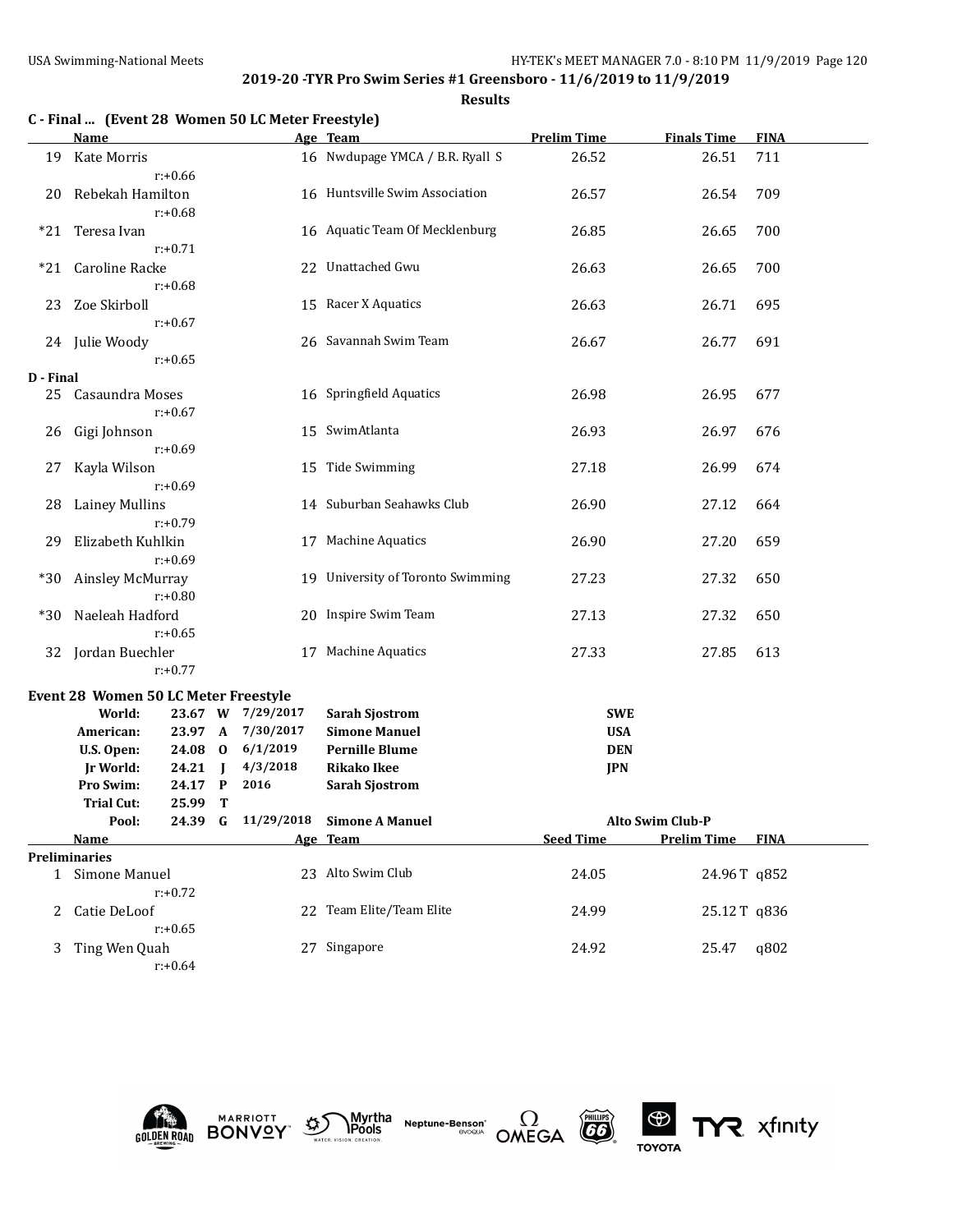**Results**

|           | C - Final  (Event 28 Women 50 LC Meter Freestyle) |            |                |                   |                                    |                    |                    |             |
|-----------|---------------------------------------------------|------------|----------------|-------------------|------------------------------------|--------------------|--------------------|-------------|
|           | Name                                              |            |                |                   | Age Team                           | <b>Prelim Time</b> | <b>Finals Time</b> | <b>FINA</b> |
| 19        | Kate Morris                                       | $r: +0.66$ |                |                   | 16 Nwdupage YMCA / B.R. Ryall S    | 26.52              | 26.51              | 711         |
| 20        | Rebekah Hamilton                                  | $r: +0.68$ |                |                   | 16 Huntsville Swim Association     | 26.57              | 26.54              | 709         |
| $*21$     | Teresa Ivan                                       | $r: +0.71$ |                |                   | 16 Aquatic Team Of Mecklenburg     | 26.85              | 26.65              | 700         |
| $*21$     | Caroline Racke                                    | $r: +0.68$ |                |                   | 22 Unattached Gwu                  | 26.63              | 26.65              | 700         |
| 23        | Zoe Skirboll                                      | $r: +0.67$ |                |                   | 15 Racer X Aquatics                | 26.63              | 26.71              | 695         |
| 24        | Julie Woody                                       | $r: +0.65$ |                |                   | 26 Savannah Swim Team              | 26.67              | 26.77              | 691         |
| D - Final |                                                   |            |                |                   |                                    |                    |                    |             |
| 25        | Casaundra Moses                                   | $r: +0.67$ |                |                   | 16 Springfield Aquatics            | 26.98              | 26.95              | 677         |
| 26        | Gigi Johnson                                      | $r: +0.69$ |                |                   | 15 SwimAtlanta                     | 26.93              | 26.97              | 676         |
| 27        | Kayla Wilson                                      | $r: +0.69$ |                |                   | 15 Tide Swimming                   | 27.18              | 26.99              | 674         |
| 28        | Lainey Mullins                                    | $r: +0.79$ |                |                   | 14 Suburban Seahawks Club          | 26.90              | 27.12              | 664         |
| 29        | Elizabeth Kuhlkin                                 | $r: +0.69$ |                |                   | 17 Machine Aquatics                | 26.90              | 27.20              | 659         |
| $*30$     | Ainsley McMurray                                  | $r: +0.80$ |                |                   | 19 University of Toronto Swimming  | 27.23              | 27.32              | 650         |
| $*30$     | Naeleah Hadford                                   | $r: +0.65$ |                |                   | 20 Inspire Swim Team               | 27.13              | 27.32              | 650         |
| 32        | Jordan Buechler                                   | $r: +0.77$ |                |                   | 17 Machine Aquatics                | 27.33              | 27.85              | 613         |
|           | Event 28 Women 50 LC Meter Freestyle              |            |                |                   |                                    |                    |                    |             |
|           | World:                                            |            |                | 23.67 W 7/29/2017 | <b>Sarah Sjostrom</b>              | <b>SWE</b>         |                    |             |
|           | American:                                         | 23.97 A    |                | 7/30/2017         | <b>Simone Manuel</b>               | <b>USA</b>         |                    |             |
|           | U.S. Open:                                        | 24.08 0    |                | 6/1/2019          | <b>Pernille Blume</b>              | <b>DEN</b>         |                    |             |
|           | Jr World:                                         | 24.21      | $\blacksquare$ | 4/3/2018          | <b>Rikako Ikee</b>                 | <b>JPN</b>         |                    |             |
|           | Pro Swim:                                         | 24.17 P    |                | 2016              | <b>Sarah Sjostrom</b>              |                    |                    |             |
|           | <b>Trial Cut:</b>                                 | 25.99      | Т              |                   |                                    |                    |                    |             |
|           | Pool:                                             |            |                |                   | 24.39 G 11/29/2018 Simone A Manuel |                    | Alto Swim Club-P   |             |
|           | Name                                              |            |                |                   | Age Team                           | <b>Seed Time</b>   | <b>Prelim Time</b> | <b>FINA</b> |
|           | <b>Preliminaries</b>                              |            |                |                   |                                    |                    |                    |             |
|           | 1 Simone Manuel                                   | $r: +0.72$ |                |                   | 23 Alto Swim Club                  | 24.05              | 24.96T q852        |             |
|           | 2 Catie DeLoof                                    | $r: +0.65$ |                |                   | 22 Team Elite/Team Elite           | 24.99              | 25.12T q836        |             |
|           | 3 Ting Wen Quah                                   |            |                |                   | 27 Singapore                       | 24.92              | 25.47              | q802        |











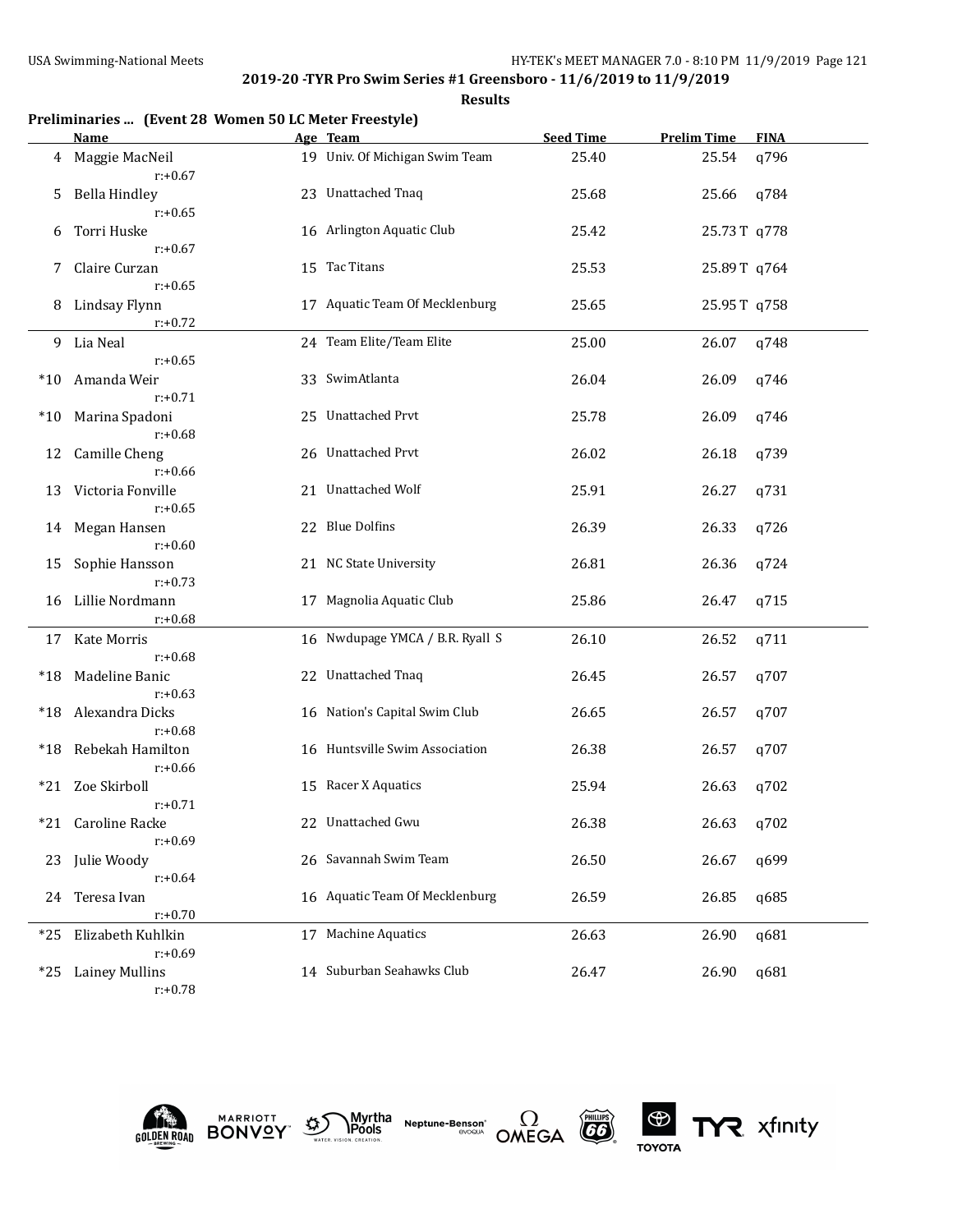|       | Preliminaries  (Event 28 Women 50 LC Meter Freestyle)<br>Name | Age Team                        | <b>Seed Time</b> | <b>Prelim Time</b> | <b>FINA</b> |
|-------|---------------------------------------------------------------|---------------------------------|------------------|--------------------|-------------|
| 4     | Maggie MacNeil                                                | 19 Univ. Of Michigan Swim Team  | 25.40            | 25.54              | q796        |
|       | $r: +0.67$                                                    |                                 |                  |                    |             |
| 5     | <b>Bella Hindley</b>                                          | 23 Unattached Tnaq              | 25.68            | 25.66              | q784        |
|       | $r: +0.65$                                                    |                                 |                  |                    |             |
| 6     | Torri Huske                                                   | 16 Arlington Aquatic Club       | 25.42            | 25.73T q778        |             |
|       | $r: +0.67$                                                    |                                 |                  |                    |             |
| 7     | Claire Curzan                                                 | 15 Tac Titans                   | 25.53            | 25.89T q764        |             |
|       | $r: +0.65$                                                    |                                 |                  |                    |             |
| 8     | Lindsay Flynn                                                 | 17 Aquatic Team Of Mecklenburg  | 25.65            | 25.95T q758        |             |
|       | $r: +0.72$                                                    |                                 |                  |                    |             |
| 9.    | Lia Neal                                                      | 24 Team Elite/Team Elite        | 25.00            | 26.07              | q748        |
|       | $r: +0.65$                                                    |                                 |                  |                    |             |
| $*10$ | Amanda Weir                                                   | 33 SwimAtlanta                  | 26.04            | 26.09              | q746        |
|       | $r: +0.71$                                                    |                                 |                  |                    |             |
| $*10$ | Marina Spadoni                                                | 25 Unattached Prvt              | 25.78            | 26.09              | q746        |
|       | $r: +0.68$                                                    |                                 |                  |                    |             |
| 12    | Camille Cheng                                                 | 26 Unattached Prvt              | 26.02            | 26.18              | q739        |
|       | $r: +0.66$                                                    |                                 |                  |                    |             |
| 13    | Victoria Fonville                                             | 21 Unattached Wolf              | 25.91            | 26.27              | q731        |
|       | $r: +0.65$                                                    |                                 |                  |                    |             |
| 14    | Megan Hansen                                                  | 22 Blue Dolfins                 | 26.39            | 26.33              | q726        |
|       | $r: +0.60$                                                    |                                 |                  |                    |             |
| 15    | Sophie Hansson                                                | 21 NC State University          | 26.81            | 26.36              | q724        |
|       | $r: +0.73$                                                    |                                 |                  |                    |             |
| 16    | Lillie Nordmann                                               | 17 Magnolia Aquatic Club        | 25.86            | 26.47              | q715        |
|       | $r: +0.68$                                                    |                                 |                  |                    |             |
| 17    | Kate Morris                                                   | 16 Nwdupage YMCA / B.R. Ryall S | 26.10            | 26.52              | q711        |
|       | $r: +0.68$                                                    |                                 |                  |                    |             |
| *18   | Madeline Banic                                                | 22 Unattached Tnaq              | 26.45            | 26.57              | q707        |
|       | $r: +0.63$                                                    |                                 |                  |                    |             |
| *18   | Alexandra Dicks                                               | 16 Nation's Capital Swim Club   | 26.65            | 26.57              | q707        |
|       | $r: +0.68$                                                    |                                 |                  |                    |             |
| *18   | Rebekah Hamilton                                              | 16 Huntsville Swim Association  | 26.38            | 26.57              | q707        |
|       | $r: +0.66$<br>Zoe Skirboll                                    | 15 Racer X Aquatics             |                  |                    |             |
| *21   | $r: +0.71$                                                    |                                 | 25.94            | 26.63              | q702        |
|       |                                                               | 22 Unattached Gwu               | 26.38            |                    | q702        |
| *21   | Caroline Racke<br>$r: +0.69$                                  |                                 |                  | 26.63              |             |
| 23    | Julie Woody                                                   | 26 Savannah Swim Team           | 26.50            | 26.67              | q699        |
|       | $r: +0.64$                                                    |                                 |                  |                    |             |
| 24    | Teresa Ivan                                                   | 16 Aquatic Team Of Mecklenburg  | 26.59            | 26.85              | q685        |
|       | $r: +0.70$                                                    |                                 |                  |                    |             |
| *25   | Elizabeth Kuhlkin                                             | 17 Machine Aquatics             | 26.63            | 26.90              | q681        |
|       | $r: +0.69$                                                    |                                 |                  |                    |             |
| $*25$ | <b>Lainey Mullins</b>                                         | 14 Suburban Seahawks Club       | 26.47            | 26.90              | q681        |
|       | $r: +0.78$                                                    |                                 |                  |                    |             |











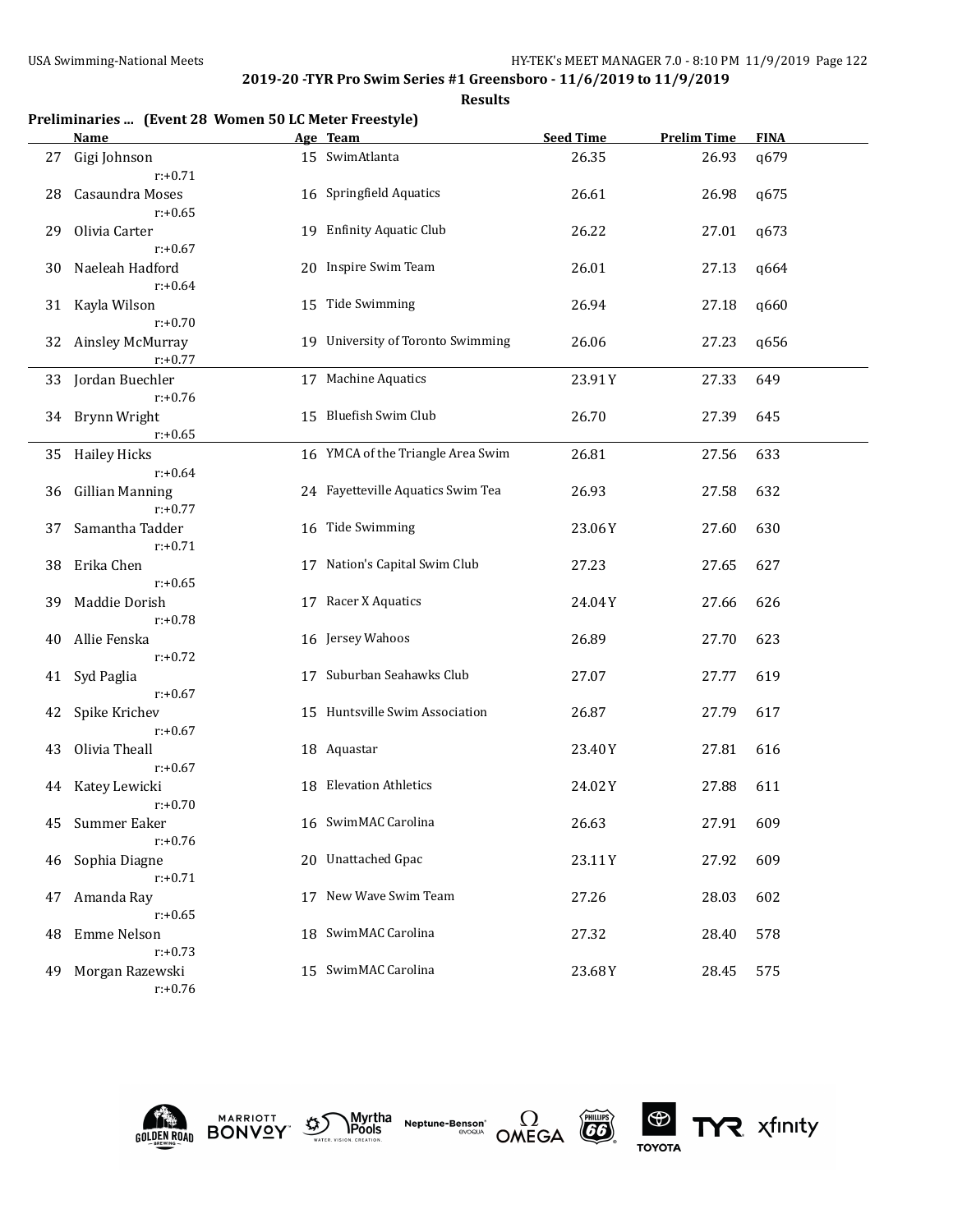|    | Preliminaries  (Event 28 Women 50 LC Meter Freestyle) |  |                                   |                  |                    |             |  |  |
|----|-------------------------------------------------------|--|-----------------------------------|------------------|--------------------|-------------|--|--|
|    | <b>Name</b>                                           |  | Age Team                          | <b>Seed Time</b> | <b>Prelim Time</b> | <b>FINA</b> |  |  |
| 27 | Gigi Johnson<br>$r: +0.71$                            |  | 15 SwimAtlanta                    | 26.35            | 26.93              | q679        |  |  |
| 28 | Casaundra Moses<br>$r: +0.65$                         |  | 16 Springfield Aquatics           | 26.61            | 26.98              | q675        |  |  |
| 29 | Olivia Carter<br>$r: +0.67$                           |  | 19 Enfinity Aquatic Club          | 26.22            | 27.01              | q673        |  |  |
| 30 | Naeleah Hadford<br>$r: +0.64$                         |  | 20 Inspire Swim Team              | 26.01            | 27.13              | q664        |  |  |
| 31 | Kayla Wilson<br>$r: +0.70$                            |  | 15 Tide Swimming                  | 26.94            | 27.18              | q660        |  |  |
| 32 | Ainsley McMurray<br>$r: +0.77$                        |  | 19 University of Toronto Swimming | 26.06            | 27.23              | q656        |  |  |
| 33 | Jordan Buechler<br>$r: +0.76$                         |  | 17 Machine Aquatics               | 23.91Y           | 27.33              | 649         |  |  |
| 34 | Brynn Wright<br>$r: +0.65$                            |  | 15 Bluefish Swim Club             | 26.70            | 27.39              | 645         |  |  |
| 35 | <b>Hailey Hicks</b><br>$r: +0.64$                     |  | 16 YMCA of the Triangle Area Swim | 26.81            | 27.56              | 633         |  |  |
| 36 | <b>Gillian Manning</b><br>$r: +0.77$                  |  | 24 Fayetteville Aquatics Swim Tea | 26.93            | 27.58              | 632         |  |  |
| 37 | Samantha Tadder<br>$r: +0.71$                         |  | 16 Tide Swimming                  | 23.06Y           | 27.60              | 630         |  |  |
| 38 | Erika Chen<br>$r: +0.65$                              |  | 17 Nation's Capital Swim Club     | 27.23            | 27.65              | 627         |  |  |
| 39 | Maddie Dorish<br>$r: +0.78$                           |  | 17 Racer X Aquatics               | 24.04Y           | 27.66              | 626         |  |  |
| 40 | Allie Fenska<br>$r: +0.72$                            |  | 16 Jersey Wahoos                  | 26.89            | 27.70              | 623         |  |  |
| 41 | Syd Paglia<br>$r: +0.67$                              |  | 17 Suburban Seahawks Club         | 27.07            | 27.77              | 619         |  |  |
| 42 | Spike Krichev<br>$r: +0.67$                           |  | 15 Huntsville Swim Association    | 26.87            | 27.79              | 617         |  |  |
| 43 | Olivia Theall<br>$r: +0.67$                           |  | 18 Aquastar                       | 23.40Y           | 27.81              | 616         |  |  |
|    | 44 Katey Lewicki<br>$r: +0.70$                        |  | 18 Elevation Athletics            | 24.02Y           | 27.88              | 611         |  |  |
| 45 | Summer Eaker<br>$r: +0.76$                            |  | 16 SwimMAC Carolina               | 26.63            | 27.91              | 609         |  |  |
| 46 | Sophia Diagne<br>$r: +0.71$                           |  | 20 Unattached Gpac                | 23.11Y           | 27.92              | 609         |  |  |
| 47 | Amanda Ray<br>$r: +0.65$                              |  | 17 New Wave Swim Team             | 27.26            | 28.03              | 602         |  |  |
| 48 | Emme Nelson<br>$r: +0.73$                             |  | 18 SwimMAC Carolina               | 27.32            | 28.40              | 578         |  |  |
| 49 | Morgan Razewski<br>$r: +0.76$                         |  | 15 SwimMAC Carolina               | 23.68Y           | 28.45              | 575         |  |  |











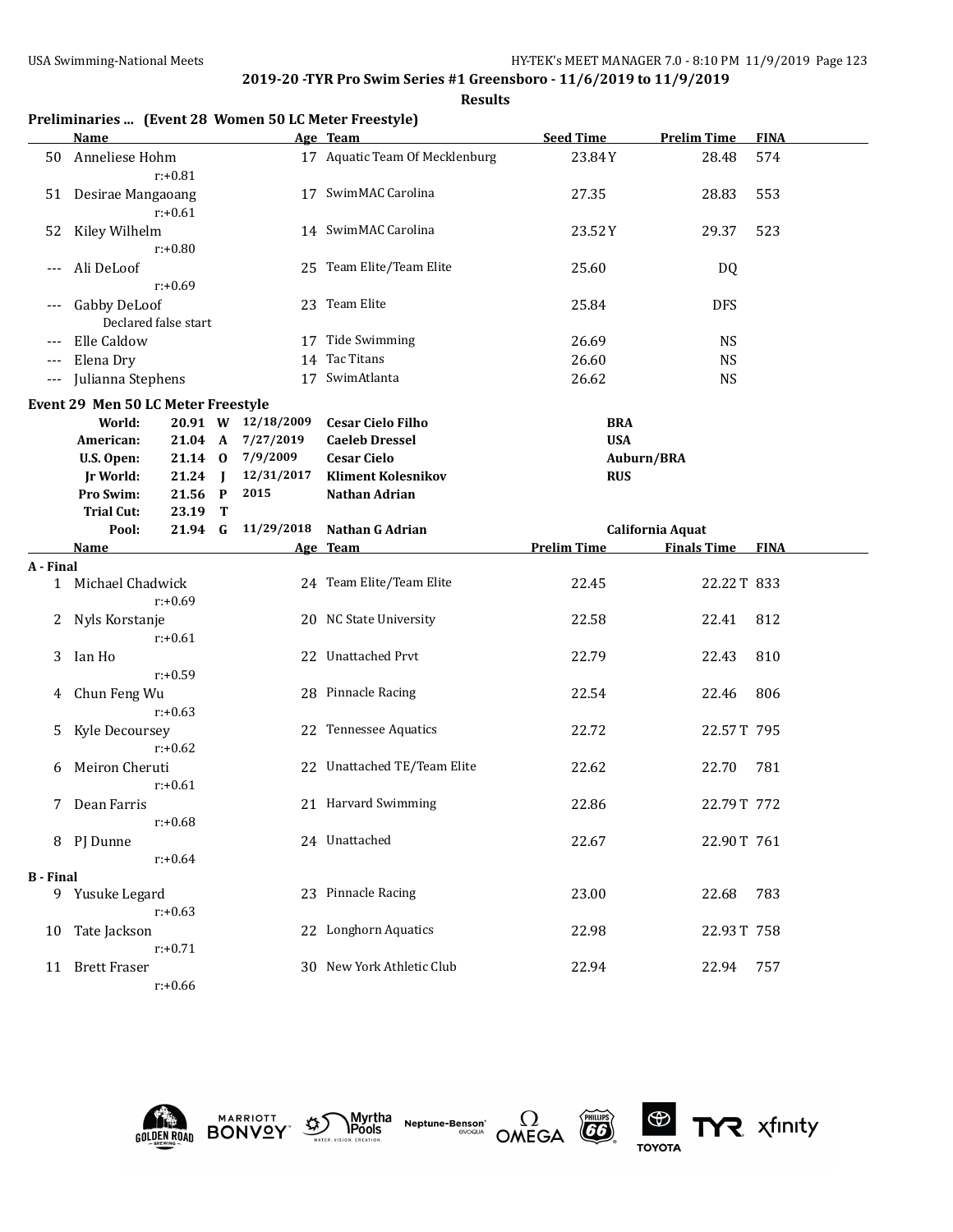**Results**

|                  |                                              |                      |   |                    | Preliminaries  (Event 28 Women 50 LC Meter Freestyle) |                    |                    |             |
|------------------|----------------------------------------------|----------------------|---|--------------------|-------------------------------------------------------|--------------------|--------------------|-------------|
|                  | Name                                         |                      |   |                    | Age Team                                              | <b>Seed Time</b>   | <b>Prelim Time</b> | <b>FINA</b> |
| 50               | Anneliese Hohm                               | $r: +0.81$           |   |                    | 17 Aquatic Team Of Mecklenburg                        | 23.84Y             | 28.48              | 574         |
| 51               | Desirae Mangaoang                            | $r: +0.61$           |   |                    | 17 SwimMAC Carolina                                   | 27.35              | 28.83              | 553         |
| 52               | Kiley Wilhelm                                | $r: +0.80$           |   |                    | 14 SwimMAC Carolina                                   | 23.52Y             | 29.37              | 523         |
| ---              | Ali DeLoof                                   | $r: +0.69$           |   |                    | 25 Team Elite/Team Elite                              | 25.60              | DQ                 |             |
| ---              | Gabby DeLoof                                 | Declared false start |   |                    | 23 Team Elite                                         | 25.84              | <b>DFS</b>         |             |
|                  | Elle Caldow                                  |                      |   |                    | 17 Tide Swimming                                      | 26.69              | <b>NS</b>          |             |
| $---$            | Elena Dry                                    |                      |   | 14                 | Tac Titans                                            | 26.60              | <b>NS</b>          |             |
| $---$            | Julianna Stephens                            |                      |   |                    | 17 SwimAtlanta                                        | 26.62              | <b>NS</b>          |             |
|                  |                                              |                      |   |                    |                                                       |                    |                    |             |
|                  | Event 29 Men 50 LC Meter Freestyle<br>World: |                      |   | 20.91 W 12/18/2009 | <b>Cesar Cielo Filho</b>                              | <b>BRA</b>         |                    |             |
|                  | American:                                    | 21.04 A              |   | 7/27/2019          | <b>Caeleb Dressel</b>                                 | <b>USA</b>         |                    |             |
|                  | U.S. Open:                                   | 21.14 0              |   | 7/9/2009           | <b>Cesar Cielo</b>                                    | Auburn/BRA         |                    |             |
|                  | <b>Jr World:</b>                             | 21.24 J              |   | 12/31/2017         | <b>Kliment Kolesnikov</b>                             | <b>RUS</b>         |                    |             |
|                  | Pro Swim:                                    | 21.56 P              |   | 2015               | Nathan Adrian                                         |                    |                    |             |
|                  | <b>Trial Cut:</b>                            | 23.19                | Т |                    |                                                       |                    |                    |             |
|                  | Pool:                                        | 21.94 G              |   | 11/29/2018         | Nathan G Adrian                                       |                    | California Aquat   |             |
|                  | <u>Name</u>                                  |                      |   |                    | Age Team                                              | <b>Prelim Time</b> | <b>Finals Time</b> | <b>FINA</b> |
| A - Final        |                                              |                      |   |                    |                                                       |                    |                    |             |
|                  | 1 Michael Chadwick                           | $r: +0.69$           |   |                    | 24 Team Elite/Team Elite                              | 22.45              | 22.22T 833         |             |
| 2                | Nyls Korstanje                               | $r: +0.61$           |   |                    | 20 NC State University                                | 22.58              | 22.41              | 812         |
| 3                | Ian Ho                                       | $r: +0.59$           |   |                    | 22 Unattached Prvt                                    | 22.79              | 22.43              | 810         |
| 4                | Chun Feng Wu                                 | $r: +0.63$           |   |                    | 28 Pinnacle Racing                                    | 22.54              | 22.46              | 806         |
| 5                | Kyle Decoursey                               | $r: +0.62$           |   |                    | 22 Tennessee Aquatics                                 | 22.72              | 22.57T 795         |             |
| 6                | Meiron Cheruti                               | $r: +0.61$           |   |                    | 22 Unattached TE/Team Elite                           | 22.62              | 22.70              | 781         |
|                  | 7 Dean Farris                                | $r: +0.68$           |   |                    | 21 Harvard Swimming                                   | 22.86              | 22.79T 772         |             |
|                  | 8 PJ Dunne                                   | $r: +0.64$           |   |                    | 24 Unattached                                         | 22.67              | 22.90T 761         |             |
| <b>B</b> - Final |                                              |                      |   |                    |                                                       |                    |                    |             |
|                  | 9 Yusuke Legard                              | $r: +0.63$           |   |                    | 23 Pinnacle Racing                                    | 23.00              | 22.68              | 783         |
| 10               | Tate Jackson                                 | $r: +0.71$           |   |                    | 22 Longhorn Aquatics                                  | 22.98              | 22.93T 758         |             |
|                  | 11 Brett Fraser                              |                      |   |                    | 30 New York Athletic Club                             | 22.94              | 22.94              | 757         |











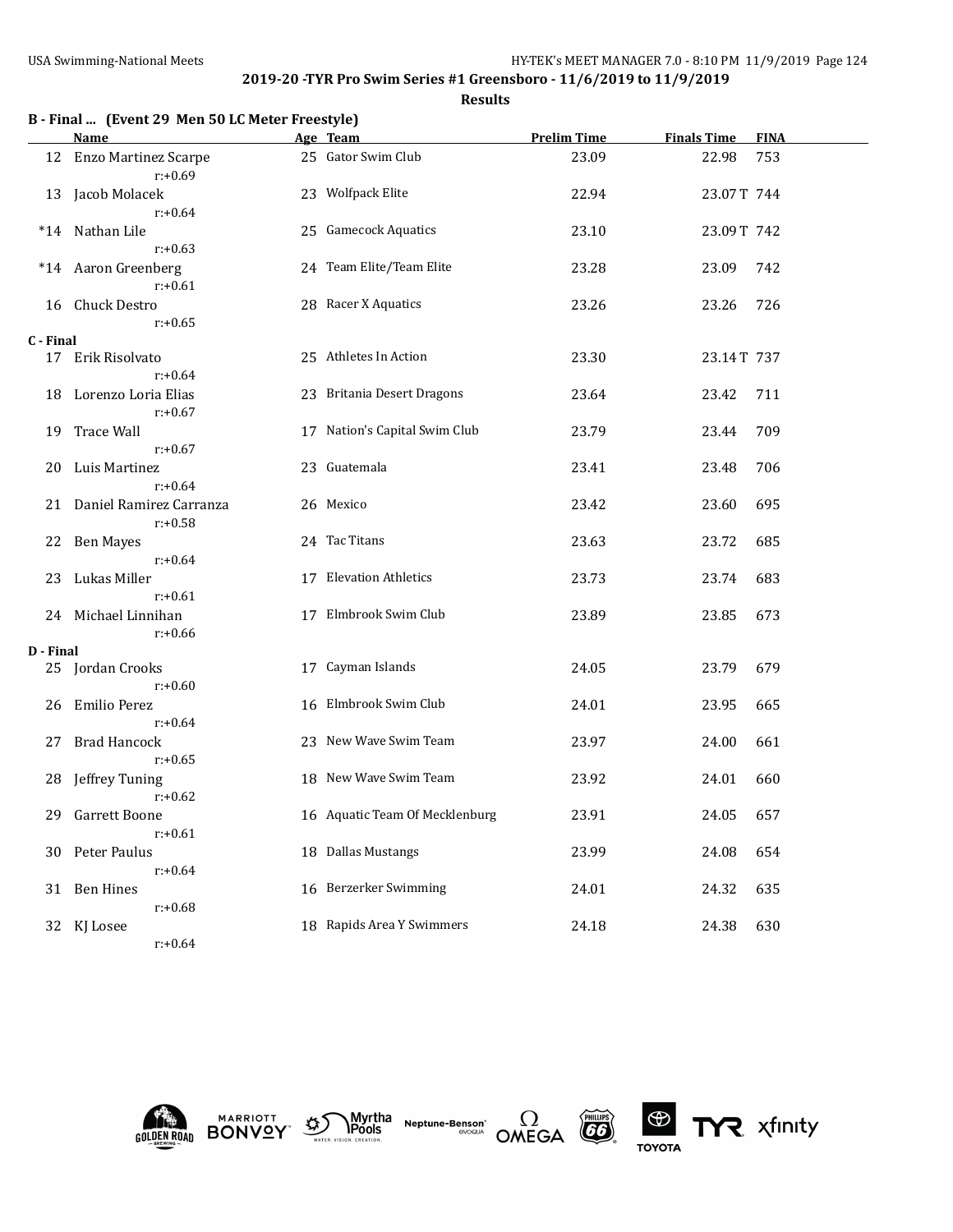|           | B - Final  (Event 29 Men 50 LC Meter Freestyle)<br>Name | Age Team                       | <b>Prelim Time</b> | <b>Finals Time</b> | <b>FINA</b> |
|-----------|---------------------------------------------------------|--------------------------------|--------------------|--------------------|-------------|
| 12        | <b>Enzo Martinez Scarpe</b>                             | 25 Gator Swim Club             | 23.09              | 22.98              | 753         |
|           | $r: +0.69$                                              |                                |                    |                    |             |
| 13        | Jacob Molacek                                           | 23 Wolfpack Elite              | 22.94              | 23.07T 744         |             |
|           | $r: +0.64$                                              |                                |                    |                    |             |
|           | *14 Nathan Lile                                         | 25 Gamecock Aquatics           | 23.10              | 23.09T 742         |             |
|           | $r: +0.63$                                              | 24 Team Elite/Team Elite       | 23.28              | 23.09              | 742         |
|           | *14 Aaron Greenberg<br>$r: +0.61$                       |                                |                    |                    |             |
| 16        | Chuck Destro                                            | 28 Racer X Aquatics            | 23.26              | 23.26              | 726         |
|           | $r: +0.65$                                              |                                |                    |                    |             |
| C - Final |                                                         |                                |                    |                    |             |
|           | 17 Erik Risolvato                                       | 25 Athletes In Action          | 23.30              | 23.14T 737         |             |
|           | $r: +0.64$                                              |                                |                    |                    |             |
| 18        | Lorenzo Loria Elias                                     | 23 Britania Desert Dragons     | 23.64              | 23.42              | 711         |
|           | $r: +0.67$                                              |                                |                    |                    |             |
| 19        | <b>Trace Wall</b>                                       | 17 Nation's Capital Swim Club  | 23.79              | 23.44              | 709         |
|           | $r: +0.67$                                              | 23 Guatemala                   |                    |                    |             |
| 20        | Luis Martinez<br>$r: +0.64$                             |                                | 23.41              | 23.48              | 706         |
|           | 21 Daniel Ramirez Carranza                              | 26 Mexico                      | 23.42              | 23.60              | 695         |
|           | $r: +0.58$                                              |                                |                    |                    |             |
|           | 22 Ben Mayes                                            | 24 Tac Titans                  | 23.63              | 23.72              | 685         |
|           | $r: +0.64$                                              |                                |                    |                    |             |
| 23        | Lukas Miller                                            | 17 Elevation Athletics         | 23.73              | 23.74              | 683         |
|           | $r: +0.61$                                              |                                |                    |                    |             |
| 24        | Michael Linnihan                                        | 17 Elmbrook Swim Club          | 23.89              | 23.85              | 673         |
|           | $r: +0.66$                                              |                                |                    |                    |             |
| D - Final | 25 Jordan Crooks                                        | 17 Cayman Islands              | 24.05              | 23.79              | 679         |
|           | $r: +0.60$                                              |                                |                    |                    |             |
| 26        | <b>Emilio Perez</b>                                     | 16 Elmbrook Swim Club          | 24.01              | 23.95              | 665         |
|           | $r: +0.64$                                              |                                |                    |                    |             |
| 27        | <b>Brad Hancock</b>                                     | 23 New Wave Swim Team          | 23.97              | 24.00              | 661         |
|           | $r: +0.65$                                              |                                |                    |                    |             |
| 28        | Jeffrey Tuning                                          | 18 New Wave Swim Team          | 23.92              | 24.01              | 660         |
|           | $r: +0.62$                                              |                                |                    |                    |             |
|           | 29 Garrett Boone                                        | 16 Aquatic Team Of Mecklenburg | 23.91              | 24.05              | 657         |
|           | $r: +0.61$                                              |                                |                    |                    |             |
|           | 30 Peter Paulus                                         | 18 Dallas Mustangs             | 23.99              | 24.08              | 654         |
|           | $r: +0.64$<br><b>Ben Hines</b>                          | 16 Berzerker Swimming          | 24.01              | 24.32              | 635         |
| 31        | $r: +0.68$                                              |                                |                    |                    |             |
|           | 32 KJ Losee                                             | 18 Rapids Area Y Swimmers      | 24.18              | 24.38              | 630         |
|           | $r: +0.64$                                              |                                |                    |                    |             |











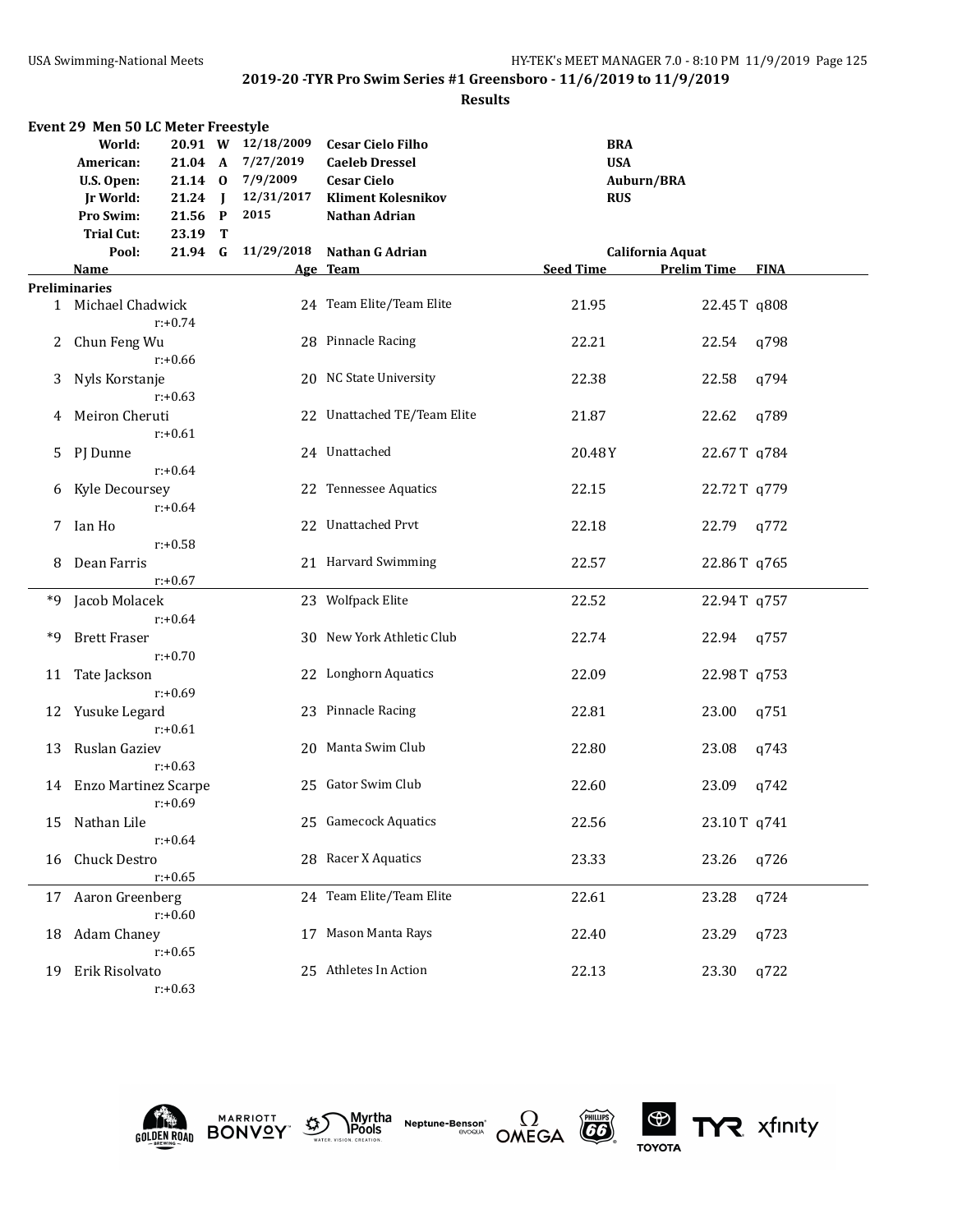#### **Results**

| Event 29 Men 50 LC Meter Freestyle |                         |            |  |                    |                             |                  |                    |             |
|------------------------------------|-------------------------|------------|--|--------------------|-----------------------------|------------------|--------------------|-------------|
|                                    | World:                  |            |  | 20.91 W 12/18/2009 | <b>Cesar Cielo Filho</b>    | <b>BRA</b>       |                    |             |
|                                    | American:               |            |  | 21.04 A 7/27/2019  | <b>Caeleb Dressel</b>       | <b>USA</b>       |                    |             |
|                                    | U.S. Open:              |            |  | 21.14 0 7/9/2009   | <b>Cesar Cielo</b>          |                  | Auburn/BRA         |             |
|                                    | Jr World:               | 21.24 J    |  | 12/31/2017         | <b>Kliment Kolesnikov</b>   | <b>RUS</b>       |                    |             |
|                                    | Pro Swim:               | 21.56 P    |  | 2015               | <b>Nathan Adrian</b>        |                  |                    |             |
|                                    | <b>Trial Cut:</b>       | 23.19 T    |  |                    |                             |                  |                    |             |
|                                    | Pool:                   | 21.94 G    |  | 11/29/2018         | Nathan G Adrian             |                  | California Aquat   |             |
|                                    | Name                    |            |  |                    | Age Team                    | <b>Seed Time</b> | <b>Prelim Time</b> | <b>FINA</b> |
|                                    | <b>Preliminaries</b>    |            |  |                    |                             |                  |                    |             |
|                                    | 1 Michael Chadwick      | $r: +0.74$ |  |                    | 24 Team Elite/Team Elite    | 21.95            | 22.45T q808        |             |
|                                    | 2 Chun Feng Wu          |            |  |                    | 28 Pinnacle Racing          | 22.21            | 22.54              | q798        |
|                                    |                         | $r: +0.66$ |  |                    |                             |                  |                    |             |
|                                    | Nyls Korstanje          |            |  |                    | 20 NC State University      | 22.38            | 22.58              | q794        |
| 3                                  |                         | $r: +0.63$ |  |                    |                             |                  |                    |             |
|                                    |                         |            |  |                    |                             |                  |                    |             |
|                                    | Meiron Cheruti          |            |  |                    | 22 Unattached TE/Team Elite | 21.87            | 22.62              | q789        |
|                                    |                         | $r: +0.61$ |  |                    |                             |                  |                    |             |
| 5                                  | PJ Dunne                |            |  |                    | 24 Unattached               | 20.48Y           | 22.67T q784        |             |
|                                    |                         | $r: +0.64$ |  |                    |                             |                  |                    |             |
| 6                                  | Kyle Decoursey          |            |  |                    | 22 Tennessee Aquatics       | 22.15            | 22.72T q779        |             |
|                                    |                         | $r: +0.64$ |  |                    |                             |                  |                    |             |
| 7                                  | Ian Ho                  |            |  |                    | 22 Unattached Prvt          | 22.18            | 22.79              | q772        |
|                                    |                         | $r: +0.58$ |  |                    |                             |                  |                    |             |
| 8                                  | Dean Farris             |            |  |                    | 21 Harvard Swimming         | 22.57            | 22.86T q765        |             |
|                                    |                         | $r: +0.67$ |  |                    |                             |                  |                    |             |
| *9                                 | Jacob Molacek           |            |  |                    | 23 Wolfpack Elite           | 22.52            | 22.94T q757        |             |
|                                    |                         | $r: +0.64$ |  |                    |                             |                  |                    |             |
| *9                                 | <b>Brett Fraser</b>     |            |  |                    | 30 New York Athletic Club   | 22.74            | 22.94              | q757        |
|                                    |                         | $r: +0.70$ |  |                    |                             |                  |                    |             |
| 11                                 | Tate Jackson            |            |  |                    | 22 Longhorn Aquatics        | 22.09            | 22.98T q753        |             |
|                                    |                         | $r: +0.69$ |  |                    |                             |                  |                    |             |
|                                    |                         |            |  |                    | 23 Pinnacle Racing          |                  |                    |             |
|                                    | 12 Yusuke Legard        | $r: +0.61$ |  |                    |                             | 22.81            | 23.00              | q751        |
|                                    |                         |            |  |                    |                             |                  |                    |             |
| 13                                 | Ruslan Gaziev           |            |  |                    | 20 Manta Swim Club          | 22.80            | 23.08              | q743        |
|                                    |                         | $r: +0.63$ |  |                    |                             |                  |                    |             |
|                                    | 14 Enzo Martinez Scarpe |            |  |                    | 25 Gator Swim Club          | 22.60            | 23.09              | q742        |
|                                    |                         | $r: +0.69$ |  |                    |                             |                  |                    |             |
| 15                                 | Nathan Lile             |            |  |                    | 25 Gamecock Aquatics        | 22.56            | 23.10T q741        |             |
|                                    |                         | $r: +0.64$ |  |                    |                             |                  |                    |             |
| 16                                 | Chuck Destro            |            |  |                    | 28 Racer X Aquatics         | 23.33            | 23.26              | q726        |
|                                    |                         | $r: +0.65$ |  |                    |                             |                  |                    |             |
| 17                                 | Aaron Greenberg         |            |  |                    | 24 Team Elite/Team Elite    | 22.61            | 23.28              | q724        |
|                                    |                         | $r: +0.60$ |  |                    |                             |                  |                    |             |
| 18                                 | <b>Adam Chaney</b>      |            |  |                    | 17 Mason Manta Rays         | 22.40            | 23.29              | q723        |
|                                    |                         | $r: +0.65$ |  |                    |                             |                  |                    |             |
| 19                                 | Erik Risolvato          |            |  |                    | 25 Athletes In Action       | 22.13            | 23.30              | q722        |
|                                    |                         |            |  |                    |                             |                  |                    |             |











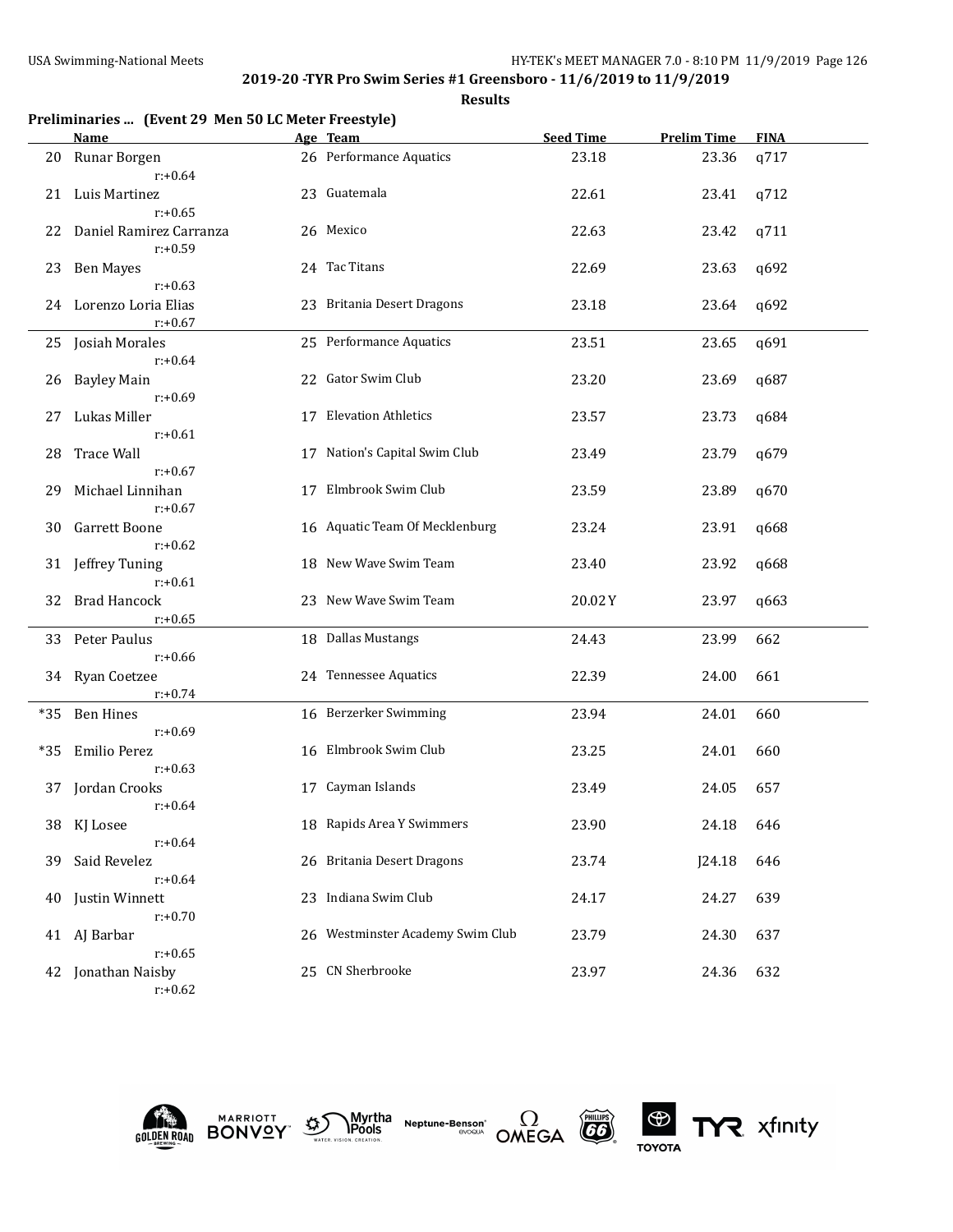**Results**

|       | Preliminaries  (Event 29 Men 50 LC Meter Freestyle) |    |                                  |                  |                    |             |
|-------|-----------------------------------------------------|----|----------------------------------|------------------|--------------------|-------------|
|       | <b>Name</b>                                         |    | Age Team                         | <b>Seed Time</b> | <b>Prelim Time</b> | <b>FINA</b> |
| 20    | Runar Borgen<br>$r: +0.64$                          |    | 26 Performance Aquatics          | 23.18            | 23.36              | q717        |
| 21    | Luis Martinez<br>$r: +0.65$                         |    | 23 Guatemala                     | 22.61            | 23.41              | q712        |
| 22    | Daniel Ramirez Carranza<br>$r: +0.59$               |    | 26 Mexico                        | 22.63            | 23.42              | q711        |
| 23    | <b>Ben Mayes</b><br>$r: +0.63$                      |    | 24 Tac Titans                    | 22.69            | 23.63              | q692        |
| 24    | Lorenzo Loria Elias<br>$r: +0.67$                   |    | 23 Britania Desert Dragons       | 23.18            | 23.64              | q692        |
|       | 25 Josiah Morales<br>$r: +0.64$                     |    | 25 Performance Aquatics          | 23.51            | 23.65              | q691        |
| 26    | <b>Bayley Main</b><br>$r: +0.69$                    |    | 22 Gator Swim Club               | 23.20            | 23.69              | q687        |
| 27    | Lukas Miller<br>$r: +0.61$                          |    | 17 Elevation Athletics           | 23.57            | 23.73              | q684        |
| 28    | <b>Trace Wall</b><br>$r: +0.67$                     |    | 17 Nation's Capital Swim Club    | 23.49            | 23.79              | q679        |
| 29    | Michael Linnihan<br>$r: +0.67$                      |    | 17 Elmbrook Swim Club            | 23.59            | 23.89              | q670        |
| 30    | Garrett Boone<br>$r: +0.62$                         |    | 16 Aquatic Team Of Mecklenburg   | 23.24            | 23.91              | q668        |
| 31    | Jeffrey Tuning<br>$r: +0.61$                        |    | 18 New Wave Swim Team            | 23.40            | 23.92              | q668        |
| 32    | <b>Brad Hancock</b><br>$r: +0.65$                   |    | 23 New Wave Swim Team            | 20.02Y           | 23.97              | q663        |
|       | 33 Peter Paulus                                     |    | 18 Dallas Mustangs               | 24.43            | 23.99              | 662         |
|       | $r: +0.66$<br>34 Ryan Coetzee                       |    | 24 Tennessee Aquatics            | 22.39            | 24.00              | 661         |
| $*35$ | $r: +0.74$<br><b>Ben Hines</b>                      |    | 16 Berzerker Swimming            | 23.94            | 24.01              | 660         |
| $*35$ | $r: +0.69$<br>Emilio Perez                          |    | 16 Elmbrook Swim Club            | 23.25            | 24.01              | 660         |
|       | $r: +0.63$<br>37 Jordan Crooks                      |    | 17 Cayman Islands                | 23.49            | 24.05              | 657         |
|       | $r: +0.64$<br>38 KJ Losee                           |    | 18 Rapids Area Y Swimmers        | 23.90            | 24.18              | 646         |
| 39    | $r: +0.64$<br>Said Revelez                          |    | 26 Britania Desert Dragons       | 23.74            | J24.18             | 646         |
| 40    | $r: +0.64$<br>Justin Winnett                        | 23 | Indiana Swim Club                | 24.17            | 24.27              | 639         |
|       | $r: +0.70$<br>41 AJ Barbar                          |    | 26 Westminster Academy Swim Club | 23.79            | 24.30              | 637         |
|       | $r: +0.65$<br>42 Jonathan Naisby                    |    | 25 CN Sherbrooke                 | 23.97            | 24.36              | 632         |